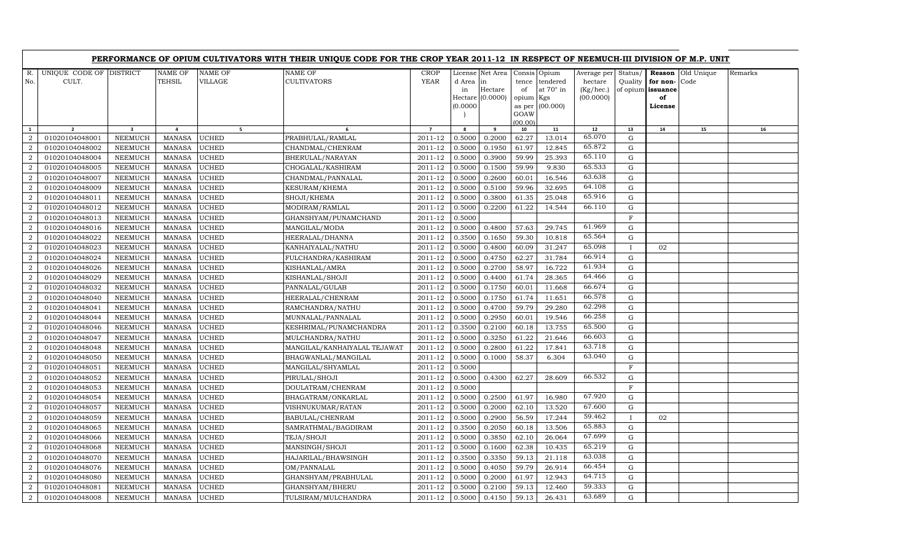|                                  |                                  |                                  |                                 |                              | PERFORMANCE OF OPIUM CULTIVATORS WITH THEIR UNIQUE CODE FOR THE CROP YEAR 2011-12 IN RESPECT OF NEEMUCH-III DIVISION OF M.P. UNIT |                    |                  |                                                         |                                          |                              |                                                  |                          |                                                       |                    |         |
|----------------------------------|----------------------------------|----------------------------------|---------------------------------|------------------------------|-----------------------------------------------------------------------------------------------------------------------------------|--------------------|------------------|---------------------------------------------------------|------------------------------------------|------------------------------|--------------------------------------------------|--------------------------|-------------------------------------------------------|--------------------|---------|
| R.<br>No.                        | UNIQUE CODE OF DISTRICT<br>CULT. |                                  | <b>NAME OF</b><br><b>TEHSIL</b> | <b>NAME OF</b><br>VILLAGE    | <b>NAME OF</b><br><b>CULTIVATORS</b>                                                                                              | CROP<br>YEAR       | d Area<br>in     | License Net Area<br>in<br>Hectare<br>Hectare $(0.0000)$ | Consis Opium<br>tence<br>of<br>opium Kgs | tendered<br>at $70^\circ$ in | Average per<br>hectare<br>(Kg/hec.)<br>(00.0000) | Status/                  | Reason<br>Quality for non-<br>of opium issuance<br>of | Old Unique<br>Code | Remarks |
|                                  |                                  |                                  |                                 |                              |                                                                                                                                   |                    | (0.0000)         |                                                         | as per<br>GOAW<br>(00.00)                | (00.000)                     |                                                  |                          | License                                               |                    |         |
| $\mathbf{1}$                     | $\overline{2}$                   | $\overline{\mathbf{3}}$          | $\overline{a}$                  | 5 <sub>1</sub>               | 6                                                                                                                                 | $\overline{7}$     | 8                | 9                                                       | 10                                       | 11                           | $12\,$<br>65.070                                 | 13                       | 14                                                    | 15                 | $16\,$  |
| $\overline{2}$<br>$\overline{2}$ | 01020104048001<br>01020104048002 | NEEMUCH<br>NEEMUCH               | MANASA<br><b>MANASA</b>         | <b>UCHED</b><br><b>UCHED</b> | PRABHULAL/RAMLAL<br>CHANDMAL/CHENRAM                                                                                              | 2011-12<br>2011-12 | 0.5000<br>0.5000 | 0.2000<br>0.1950                                        | 62.27<br>61.97                           | 13.014<br>12.845             | 65.872                                           | G<br>$\mathbf G$         |                                                       |                    |         |
| $\overline{2}$                   | 01020104048004                   | <b>NEEMUCH</b>                   | <b>MANASA</b>                   | <b>UCHED</b>                 | BHERULAL/NARAYAN                                                                                                                  | 2011-12            | 0.5000           | 0.3900                                                  | 59.99                                    | 25.393                       | 65.110                                           | G                        |                                                       |                    |         |
| $\overline{2}$                   | 01020104048005                   | NEEMUCH                          | MANASA                          | <b>UCHED</b>                 | CHOGALAL/KASHIRAM                                                                                                                 | 2011-12            | 0.5000           | 0.1500                                                  | 59.99                                    | 9.830                        | 65.533                                           | ${\rm G}$                |                                                       |                    |         |
| $\boldsymbol{2}$                 | 01020104048007                   | NEEMUCH                          | <b>MANASA</b>                   | <b>UCHED</b>                 | CHANDMAL/PANNALAL                                                                                                                 | 2011-12            | 0.5000           | 0.2600                                                  | 60.01                                    | 16.546                       | 63.638                                           | $\mathbf G$              |                                                       |                    |         |
| $\overline{2}$                   | 01020104048009                   | <b>NEEMUCH</b>                   | <b>MANASA</b>                   | <b>UCHED</b>                 | KESURAM/KHEMA                                                                                                                     | 2011-12            | 0.5000           | 0.5100                                                  | 59.96                                    | 32.695                       | 64.108                                           | $\mathbf G$              |                                                       |                    |         |
| $\overline{2}$                   | 01020104048011                   | NEEMUCH                          | MANASA                          | <b>UCHED</b>                 | SHOJI/KHEMA                                                                                                                       | $2011 - 12$        | 0.5000           | 0.3800                                                  | 61.35                                    | 25.048                       | 65.916                                           | G                        |                                                       |                    |         |
| 2                                | 01020104048012                   | <b>NEEMUCH</b>                   | <b>MANASA</b>                   | <b>UCHED</b>                 | MODIRAM/RAMLAL                                                                                                                    | 2011-12            | 0.5000           | 0.2200                                                  | 61.22                                    | 14.544                       | 66.110                                           | G                        |                                                       |                    |         |
| $\overline{2}$                   | 01020104048013                   | <b>NEEMUCH</b>                   | <b>MANASA</b>                   | <b>UCHED</b>                 | GHANSHYAM/PUNAMCHAND                                                                                                              | 2011-12            | 0.5000           |                                                         |                                          |                              |                                                  | $\mathbf F$              |                                                       |                    |         |
| $\boldsymbol{2}$                 | 01020104048016                   | NEEMUCH                          | MANASA                          | <b>UCHED</b>                 | MANGILAL/MODA                                                                                                                     | 2011-12            | 0.5000           | 0.4800                                                  | 57.63                                    | 29.745                       | 61.969                                           | G                        |                                                       |                    |         |
| $\overline{2}$                   | 01020104048022                   | <b>NEEMUCH</b>                   | <b>MANASA</b>                   | <b>UCHED</b>                 | HEERALAL/DHANNA                                                                                                                   | 2011-12            | 0.3500           | 0.1650                                                  | 59.30                                    | 10.818                       | 65.564                                           | $\mathbf G$              |                                                       |                    |         |
| $\overline{2}$                   | 01020104048023                   | <b>NEEMUCH</b>                   | <b>MANASA</b>                   | <b>UCHED</b>                 | KANHAIYALAL/NATHU                                                                                                                 | 2011-12            | 0.5000           | 0.4800                                                  | 60.09                                    | 31.247                       | 65.098                                           | $\mathbf{I}$             | 02                                                    |                    |         |
| $\overline{2}$                   | 01020104048024                   | NEEMUCH                          | MANASA                          | <b>UCHED</b>                 | FULCHANDRA/KASHIRAM                                                                                                               | 2011-12            | 0.5000           | 0.4750                                                  | 62.27                                    | 31.784                       | 66.914                                           | G                        |                                                       |                    |         |
| $\overline{2}$                   | 01020104048026                   | <b>NEEMUCH</b>                   | MANASA                          | <b>UCHED</b>                 | KISHANLAL/AMRA                                                                                                                    | 2011-12            | 0.5000           | 0.2700                                                  | 58.97                                    | 16.722                       | 61.934                                           | $\mathbf G$              |                                                       |                    |         |
| $\overline{2}$                   | 01020104048029                   | <b>NEEMUCH</b>                   | MANASA                          | <b>UCHED</b>                 | KISHANLAL/SHOJI                                                                                                                   | 2011-12            | 0.5000           | 0.4400                                                  | 61.74                                    | 28.365                       | 64.466                                           | $\mathbf G$              |                                                       |                    |         |
| $\overline{2}$                   | 01020104048032                   | <b>NEEMUCH</b>                   | MANASA                          | <b>UCHED</b>                 | PANNALAL/GULAB                                                                                                                    | 2011-12            | 0.5000           | 0.1750                                                  | 60.01                                    | 11.668                       | 66.674                                           | ${\rm G}$                |                                                       |                    |         |
| $\overline{2}$                   | 01020104048040                   | NEEMUCH                          | MANASA                          | <b>UCHED</b>                 | HEERALAL/CHENRAM                                                                                                                  | 2011-12            | 0.5000           | 0.1750                                                  | 61.74                                    | 11.651                       | 66.578                                           | $\mathbf G$              |                                                       |                    |         |
| $\overline{2}$                   | 01020104048041                   | <b>NEEMUCH</b>                   | <b>MANASA</b>                   | <b>UCHED</b>                 | RAMCHANDRA/NATHU                                                                                                                  | 2011-12            | 0.5000           | 0.4700                                                  | 59.79                                    | 29.280                       | 62.298                                           | $\mathbf G$              |                                                       |                    |         |
| $\overline{2}$                   | 01020104048044                   | <b>NEEMUCH</b>                   | MANASA                          | <b>UCHED</b>                 | MUNNALAL/PANNALAL                                                                                                                 | 2011-12            | 0.5000           | 0.2950                                                  | 60.01                                    | 19.546                       | 66.258                                           | G                        |                                                       |                    |         |
| $\overline{2}$                   | 01020104048046                   | <b>NEEMUCH</b>                   | MANASA                          | <b>UCHED</b>                 | KESHRIMAL/PUNAMCHANDRA                                                                                                            | 2011-12            | 0.3500           | 0.2100                                                  | 60.18                                    | 13.755                       | 65.500                                           | $\mathbf G$              |                                                       |                    |         |
| $\overline{2}$                   | 01020104048047                   | <b>NEEMUCH</b>                   | <b>MANASA</b>                   | <b>UCHED</b>                 | MULCHANDRA/NATHU                                                                                                                  | 2011-12            | 0.5000           | 0.3250                                                  | 61.22                                    | 21.646                       | 66.603                                           | $\mathbf G$              |                                                       |                    |         |
| $\overline{2}$                   | 01020104048048                   | <b>NEEMUCH</b>                   | MANASA                          | <b>UCHED</b>                 | MANGILAL/KANHAIYALAL TEJAWAT                                                                                                      | 2011-12            | 0.5000           | 0.2800                                                  | 61.22                                    | 17.841                       | 63.718                                           | G                        |                                                       |                    |         |
| $\overline{2}$                   | 01020104048050                   | <b>NEEMUCH</b>                   | <b>MANASA</b>                   | <b>UCHED</b>                 | BHAGWANLAL/MANGILAL                                                                                                               | 2011-12            | 0.5000           | 0.1000                                                  | 58.37                                    | 6.304                        | 63.040                                           | ${\rm G}$                |                                                       |                    |         |
| 2                                | 01020104048051                   | <b>NEEMUCH</b>                   | <b>MANASA</b>                   | <b>UCHED</b>                 | MANGILAL/SHYAMLAL                                                                                                                 | 2011-12            | 0.5000           |                                                         |                                          |                              |                                                  | F                        |                                                       |                    |         |
| $\overline{2}$                   | 01020104048052                   | <b>NEEMUCH</b>                   | <b>MANASA</b>                   | <b>UCHED</b>                 | PIRULAL/SHOJI                                                                                                                     | 2011-12            | 0.5000           | 0.4300                                                  | 62.27                                    | 28.609                       | 66.532                                           | G                        |                                                       |                    |         |
| $\overline{2}$                   | 01020104048053                   | <b>NEEMUCH</b>                   | <b>MANASA</b>                   | <b>UCHED</b>                 | DOULATRAM/CHENRAM                                                                                                                 | 2011-12            | 0.5000           |                                                         |                                          |                              |                                                  | F                        |                                                       |                    |         |
| $\overline{2}$                   | 01020104048054                   | <b>NEEMUCH</b>                   | <b>MANASA</b>                   | <b>UCHED</b>                 | BHAGATRAM/ONKARLAL                                                                                                                | 2011-12            | 0.5000           | 0.2500                                                  | 61.97                                    | 16.980                       | 67.920                                           | G                        |                                                       |                    |         |
| $\overline{2}$                   | 01020104048057                   | NEEMUCH                          | MANASA                          | <b>UCHED</b>                 | VISHNUKUMAR/RATAN                                                                                                                 | 2011-12            | 0.5000           | 0.2000                                                  | 62.10                                    | 13.520                       | 67.600                                           | ${\rm G}$                |                                                       |                    |         |
| $\overline{2}$                   | 01020104048059                   | <b>NEEMUCH</b>                   | <b>MANASA</b>                   | <b>UCHED</b>                 | BABULAL/CHENRAM                                                                                                                   | 2011-12            | 0.5000           | 0.2900                                                  | 56.59                                    | 17.244                       | 59.462<br>65.883                                 | $\mathbf{I}$             | 02                                                    |                    |         |
| $\overline{2}$                   | 01020104048065                   | NEEMUCH                          | <b>MANASA</b>                   | <b>UCHED</b>                 | SAMRATHMAL/BAGDIRAM                                                                                                               | 2011-12            | 0.3500           | 0.2050                                                  | 60.18                                    | 13.506                       | 67.699                                           | $\mathbf G$              |                                                       |                    |         |
| $\overline{2}$                   | 01020104048066                   | <b>NEEMUCH</b>                   | MANASA                          | <b>UCHED</b>                 | TEJA/SHOJI                                                                                                                        | 2011-12            | 0.5000           | 0.3850                                                  | 62.10                                    | 26.064                       | 65.219                                           | G                        |                                                       |                    |         |
| $\overline{2}$<br>2              | 01020104048068                   | <b>NEEMUCH</b>                   | <b>MANASA</b>                   | <b>UCHED</b>                 | MANSINGH/SHOJI                                                                                                                    | 2011-12            | 0.5000           | 0.1600                                                  | 62.38                                    | 10.435                       | 63.038                                           | ${\rm G}$                |                                                       |                    |         |
| $\overline{2}$                   | 01020104048070                   | NEEMUCH                          | <b>MANASA</b>                   | <b>UCHED</b><br><b>UCHED</b> | HAJARILAL/BHAWSINGH                                                                                                               | 2011-12            | 0.3500<br>0.5000 | 0.3350<br>0.4050                                        | 59.13<br>59.79                           | 21.118<br>26.914             | 66.454                                           | $\mathbf G$<br>${\rm G}$ |                                                       |                    |         |
| $\overline{2}$                   | 01020104048076<br>01020104048080 | <b>NEEMUCH</b><br><b>NEEMUCH</b> | MANASA<br><b>MANASA</b>         | <b>UCHED</b>                 | OM/PANNALAL<br>GHANSHYAM/PRABHULAL                                                                                                | 2011-12<br>2011-12 | 0.5000           | 0.2000                                                  | 61.97                                    | 12.943                       | 64.715                                           | G                        |                                                       |                    |         |
| $\overline{2}$                   | 01020104048081                   | <b>NEEMUCH</b>                   | MANASA                          | <b>UCHED</b>                 | GHANSHYAM/BHERU                                                                                                                   | 2011-12            | 0.5000           | 0.2100                                                  | 59.13                                    | 12.460                       | 59.333                                           | G                        |                                                       |                    |         |
| $\overline{2}$                   | 01020104048008                   | NEEMUCH                          | MANASA                          | <b>UCHED</b>                 | TULSIRAM/MULCHANDRA                                                                                                               | 2011-12            | 0.5000           | 0.4150                                                  | 59.13                                    | 26.431                       | 63.689                                           | G                        |                                                       |                    |         |
|                                  |                                  |                                  |                                 |                              |                                                                                                                                   |                    |                  |                                                         |                                          |                              |                                                  |                          |                                                       |                    |         |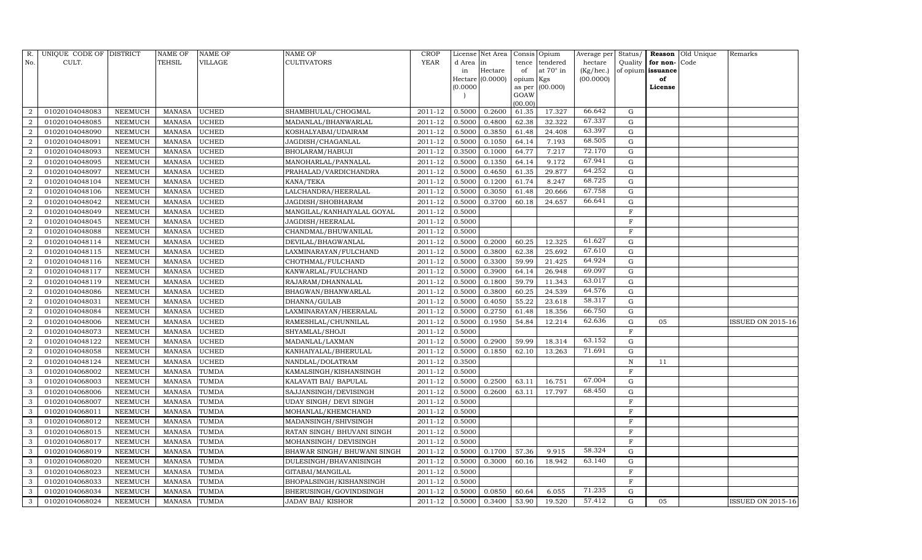| R.             | UNIQUE CODE OF DISTRICT |                 | <b>NAME OF</b> | <b>NAME OF</b> | <b>NAME OF</b>              | <b>CROP</b> |          | License Net Area |           | Consis Opium      | Average per | Status/     |                   | Reason Old Unique | Remarks                  |
|----------------|-------------------------|-----------------|----------------|----------------|-----------------------------|-------------|----------|------------------|-----------|-------------------|-------------|-------------|-------------------|-------------------|--------------------------|
| No.            | CULT.                   |                 | <b>TEHSIL</b>  | <b>VILLAGE</b> | CULTIVATORS                 | <b>YEAR</b> | d Area   | in               | tence     | tendered          | hectare     | Quality     | for non-          | Code              |                          |
|                |                         |                 |                |                |                             |             | in       | Hectare          | of        | at 70° in         | (Kg/hec.)   |             | of opium issuance |                   |                          |
|                |                         |                 |                |                |                             |             |          | Hectare (0.0000) | opium Kgs |                   | (00.0000)   |             | of                |                   |                          |
|                |                         |                 |                |                |                             |             | (0.0000) |                  | GOAW      | as per $(00.000)$ |             |             | License           |                   |                          |
|                |                         |                 |                |                |                             |             |          |                  | (00.00)   |                   |             |             |                   |                   |                          |
| $\overline{2}$ | 01020104048083          | <b>NEEMUCH</b>  | <b>MANASA</b>  | <b>UCHED</b>   | SHAMBHULAL/CHOGMAL          | 2011-12     | 0.5000   | 0.2600           | 61.35     | 17.327            | 66.642      | G           |                   |                   |                          |
| $\overline{2}$ | 01020104048085          | NEEMUCH         | <b>MANASA</b>  | <b>UCHED</b>   | MADANLAL/BHANWARLAL         | 2011-12     | 0.5000   | 0.4800           | 62.38     | 32.322            | 67.337      | G           |                   |                   |                          |
| $\overline{2}$ | 01020104048090          | <b>NEEMUCH</b>  | <b>MANASA</b>  | <b>UCHED</b>   | KOSHALYABAI/UDAIRAM         | 2011-12     | 0.5000   | 0.3850           | 61.48     | 24.408            | 63.397      | G           |                   |                   |                          |
| $\overline{2}$ | 01020104048091          | <b>NEEMUCH</b>  | <b>MANASA</b>  | <b>UCHED</b>   | JAGDISH/CHAGANLAL           | 2011-12     | 0.5000   | 0.1050           | 64.14     | 7.193             | 68.505      | ${\rm G}$   |                   |                   |                          |
| $\overline{2}$ | 01020104048093          | <b>NEEMUCH</b>  | <b>MANASA</b>  | <b>UCHED</b>   | BHOLARAM/HABUJI             | 2011-12     | 0.3500   | 0.1000           | 64.77     | 7.217             | 72.170      | G           |                   |                   |                          |
| $\overline{2}$ | 01020104048095          | <b>NEEMUCH</b>  | <b>MANASA</b>  | <b>UCHED</b>   | MANOHARLAL/PANNALAL         | 2011-12     | 0.5000   | 0.1350           | 64.14     | 9.172             | 67.941      | $\mathbf G$ |                   |                   |                          |
| $\overline{2}$ | 01020104048097          | NEEMUCH         | <b>MANASA</b>  | <b>UCHED</b>   | PRAHALAD/VARDICHANDRA       | 2011-12     | 0.5000   | 0.4650           | 61.35     | 29.877            | 64.252      | G           |                   |                   |                          |
| $\overline{2}$ | 01020104048104          | <b>NEEMUCH</b>  | <b>MANASA</b>  | <b>UCHED</b>   | KANA/TEKA                   | 2011-12     | 0.5000   | 0.1200           | 61.74     | 8.247             | 68.725      | ${\rm G}$   |                   |                   |                          |
| $\overline{2}$ | 01020104048106          | <b>NEEMUCH</b>  | <b>MANASA</b>  | <b>UCHED</b>   | LALCHANDRA/HEERALAL         | 2011-12     | 0.5000   | 0.3050           | 61.48     | 20.666            | 67.758      | G           |                   |                   |                          |
| $\overline{2}$ | 01020104048042          | <b>NEEMUCH</b>  | <b>MANASA</b>  | <b>UCHED</b>   | JAGDISH/SHOBHARAM           | 2011-12     | 0.5000   | 0.3700           | 60.18     | 24.657            | 66.641      | G           |                   |                   |                          |
| $\overline{2}$ | 01020104048049          | <b>NEEMUCH</b>  | <b>MANASA</b>  | <b>UCHED</b>   | MANGILAL/KANHAIYALAL GOYAL  | 2011-12     | 0.5000   |                  |           |                   |             | $\mathbf F$ |                   |                   |                          |
| $\overline{2}$ | 01020104048045          | <b>NEEMUCH</b>  | <b>MANASA</b>  | <b>UCHED</b>   | JAGDISH/HEERALAL            | 2011-12     | 0.5000   |                  |           |                   |             | $\mathbf F$ |                   |                   |                          |
| $\overline{2}$ | 01020104048088          | <b>NEEMUCH</b>  | <b>MANASA</b>  | <b>UCHED</b>   | CHANDMAL/BHUWANILAL         | 2011-12     | 0.5000   |                  |           |                   |             | $\mathbf F$ |                   |                   |                          |
| $\overline{2}$ | 01020104048114          | <b>NEEMUCH</b>  | <b>MANASA</b>  | <b>UCHED</b>   | DEVILAL/BHAGWANLAL          | 2011-12     | 0.5000   | 0.2000           | 60.25     | 12.325            | 61.627      | G           |                   |                   |                          |
| $\overline{2}$ | 01020104048115          | <b>NEEMUCH</b>  | <b>MANASA</b>  | <b>UCHED</b>   | LAXMINARAYAN/FULCHAND       | 2011-12     | 0.5000   | 0.3800           | 62.38     | 25.692            | 67.610      | ${\rm G}$   |                   |                   |                          |
| $\overline{2}$ | 01020104048116          | <b>NEEMUCH</b>  | <b>MANASA</b>  | <b>UCHED</b>   | CHOTHMAL/FULCHAND           | 2011-12     | 0.5000   | 0.3300           | 59.99     | 21.425            | 64.924      | ${\rm G}$   |                   |                   |                          |
| $\overline{2}$ | 01020104048117          | <b>NEEMUCH</b>  | <b>MANASA</b>  | <b>UCHED</b>   | KANWARLAL/FULCHAND          | 2011-12     | 0.5000   | 0.3900           | 64.14     | 26.948            | 69.097      | ${\rm G}$   |                   |                   |                          |
| $\overline{2}$ | 01020104048119          | <b>NEEMUCH</b>  | <b>MANASA</b>  | <b>UCHED</b>   | RAJARAM/DHANNALAL           | 2011-12     | 0.5000   | 0.1800           | 59.79     | 11.343            | 63.017      | G           |                   |                   |                          |
| $\overline{2}$ | 01020104048086          | <b>NEEMUCH</b>  | <b>MANASA</b>  | <b>UCHED</b>   | BHAGWAN/BHANWARLAL          | 2011-12     | 0.5000   | 0.3800           | 60.25     | 24.539            | 64.576      | ${\rm G}$   |                   |                   |                          |
| 2              | 01020104048031          | <b>NEEMUCH</b>  | <b>MANASA</b>  | <b>UCHED</b>   | DHANNA/GULAB                | 2011-12     | 0.5000   | 0.4050           | 55.22     | 23.618            | 58.317      | G           |                   |                   |                          |
| $\overline{2}$ | 01020104048084          | NEEMUCH         | <b>MANASA</b>  | <b>UCHED</b>   | LAXMINARAYAN/HEERALAL       | 2011-12     | 0.5000   | 0.2750           | 61.48     | 18.356            | 66.750      | ${\rm G}$   |                   |                   |                          |
| $\overline{2}$ | 01020104048006          | <b>NEEMUCH</b>  | <b>MANASA</b>  | <b>UCHED</b>   | RAMESHLAL/CHUNNILAL         | 2011-12     | 0.5000   | 0.1950           | 54.84     | 12.214            | 62.636      | ${\rm G}$   | 05                |                   | <b>ISSUED ON 2015-16</b> |
| 2              | 01020104048073          | ${\tt NEEMUCH}$ | <b>MANASA</b>  | <b>UCHED</b>   | SHYAMLAL/SHOJI              | 2011-12     | 0.5000   |                  |           |                   |             | F           |                   |                   |                          |
| $\overline{a}$ | 01020104048122          | <b>NEEMUCH</b>  | <b>MANASA</b>  | <b>UCHED</b>   | MADANLAL/LAXMAN             | 2011-12     | 0.5000   | 0.2900           | 59.99     | 18.314            | 63.152      | ${\rm G}$   |                   |                   |                          |
| $\overline{2}$ | 01020104048058          | <b>NEEMUCH</b>  | <b>MANASA</b>  | <b>UCHED</b>   | KANHAIYALAL/BHERULAL        | 2011-12     | 0.5000   | 0.1850           | 62.10     | 13.263            | 71.691      | $\mathbf G$ |                   |                   |                          |
| $\overline{2}$ | 01020104048124          | NEEMUCH         | <b>MANASA</b>  | <b>UCHED</b>   | NANDLAL/DOLATRAM            | 2011-12     | 0.3500   |                  |           |                   |             | $\mathbb N$ | 11                |                   |                          |
| 3              | 01020104068002          | <b>NEEMUCH</b>  | <b>MANASA</b>  | <b>TUMDA</b>   | KAMALSINGH/KISHANSINGH      | 2011-12     | 0.5000   |                  |           |                   |             | $\mathbf F$ |                   |                   |                          |
| 3              | 01020104068003          | <b>NEEMUCH</b>  | <b>MANASA</b>  | <b>TUMDA</b>   | KALAVATI BAI/ BAPULAL       | 2011-12     | 0.5000   | 0.2500           | 63.11     | 16.751            | 67.004      | G           |                   |                   |                          |
| 3              | 01020104068006          | <b>NEEMUCH</b>  | <b>MANASA</b>  | <b>TUMDA</b>   | SAJJANSINGH/DEVISINGH       | 2011-12     | 0.5000   | 0.2600           | 63.11     | 17.797            | 68.450      | G           |                   |                   |                          |
| 3              | 01020104068007          | <b>NEEMUCH</b>  | <b>MANASA</b>  | <b>TUMDA</b>   | UDAY SINGH/ DEVI SINGH      | 2011-12     | 0.5000   |                  |           |                   |             | $\mathbf F$ |                   |                   |                          |
| 3              | 01020104068011          | <b>NEEMUCH</b>  | <b>MANASA</b>  | <b>TUMDA</b>   | MOHANLAL/KHEMCHAND          | 2011-12     | 0.5000   |                  |           |                   |             | $\mathbf F$ |                   |                   |                          |
| 3              | 01020104068012          | <b>NEEMUCH</b>  | <b>MANASA</b>  | <b>TUMDA</b>   | MADANSINGH/SHIVSINGH        | 2011-12     | 0.5000   |                  |           |                   |             | $\mathbf F$ |                   |                   |                          |
| 3              | 01020104068015          | NEEMUCH         | <b>MANASA</b>  | <b>TUMDA</b>   | RATAN SINGH/ BHUVANI SINGH  | 2011-12     | 0.5000   |                  |           |                   |             | $\rm F$     |                   |                   |                          |
| 3              | 01020104068017          | NEEMUCH         | <b>MANASA</b>  | TUMDA          | MOHANSINGH/ DEVISINGH       | 2011-12     | 0.5000   |                  |           |                   |             | $\mathbf F$ |                   |                   |                          |
| 3              | 01020104068019          | NEEMUCH         | <b>MANASA</b>  | <b>TUMDA</b>   | BHAWAR SINGH/ BHUWANI SINGH | 2011-12     | 0.5000   | 0.1700           | 57.36     | 9.915             | 58.324      | G           |                   |                   |                          |
| 3              | 01020104068020          | NEEMUCH         | <b>MANASA</b>  | <b>TUMDA</b>   | DULESINGH/BHAVANISINGH      | 2011-12     | 0.5000   | 0.3000           | 60.16     | 18.942            | 63.140      | ${\rm G}$   |                   |                   |                          |
| 3              | 01020104068023          | NEEMUCH         | <b>MANASA</b>  | TUMDA          | GITABAI/MANGILAL            | 2011-12     | 0.5000   |                  |           |                   |             | $\mathbf F$ |                   |                   |                          |
| 3              | 01020104068033          | <b>NEEMUCH</b>  | <b>MANASA</b>  | <b>TUMDA</b>   | BHOPALSINGH/KISHANSINGH     | 2011-12     | 0.5000   |                  |           |                   |             | F           |                   |                   |                          |
| 3              | 01020104068034          | <b>NEEMUCH</b>  | <b>MANASA</b>  | <b>TUMDA</b>   | BHERUSINGH/GOVINDSINGH      | 2011-12     | 0.5000   | 0.0850           | 60.64     | 6.055             | 71.235      | G           |                   |                   |                          |
| 3              | 01020104068024          | NEEMUCH         | MANASA         | <b>TUMDA</b>   | JADAV BAI/KISHOR            | 2011-12     | 0.5000   | 0.3400           | 53.90     | 19.520            | 57.412      | G           | 05                |                   | <b>ISSUED ON 2015-16</b> |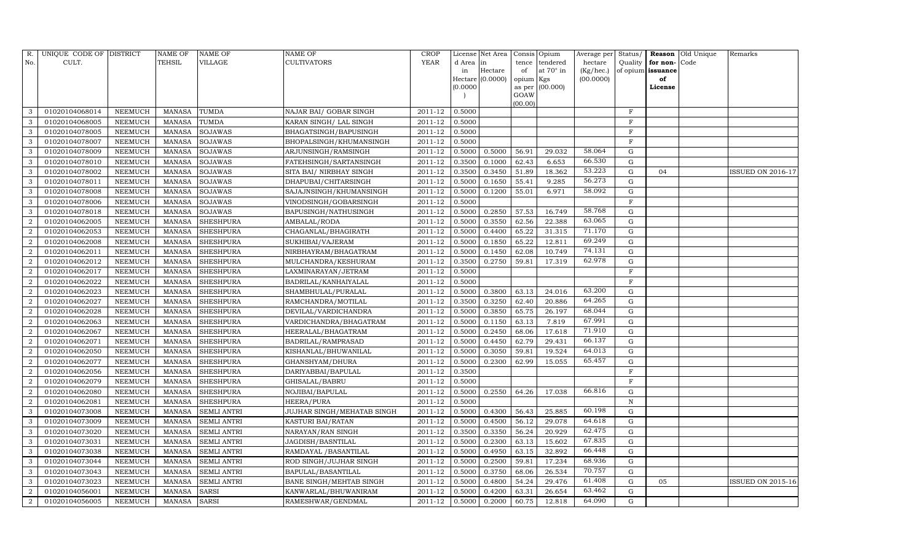| R.             | UNIQUE CODE OF DISTRICT |                | <b>NAME OF</b> | <b>NAME OF</b>     | <b>NAME OF</b>             | CROP        |           | License Net Area |                | Consis Opium     | Average per | Status/     | <b>Reason</b>        | Old Unique | Remarks                  |
|----------------|-------------------------|----------------|----------------|--------------------|----------------------------|-------------|-----------|------------------|----------------|------------------|-------------|-------------|----------------------|------------|--------------------------|
| No.            | CULT.                   |                | TEHSIL         | VILLAGE            | <b>CULTIVATORS</b>         | <b>YEAR</b> | d Area in |                  | tence          | tendered         | hectare     |             | Quality $ $ for non- | Code       |                          |
|                |                         |                |                |                    |                            |             | in        | Hectare          | of             | at $70^\circ$ in | (Kg/hec.)   |             | of opium issuance    |            |                          |
|                |                         |                |                |                    |                            |             | (0.0000)  | Hectare (0.0000) | opium Kgs      |                  | (00.0000)   |             | of                   |            |                          |
|                |                         |                |                |                    |                            |             |           |                  | as per<br>GOAW | (00.000)         |             |             | License              |            |                          |
|                |                         |                |                |                    |                            |             |           |                  | (00.00)        |                  |             |             |                      |            |                          |
| 3              | 01020104068014          | NEEMUCH        | <b>MANASA</b>  | <b>TUMDA</b>       | NAJAR BAI/ GOBAR SINGH     | 2011-12     | 0.5000    |                  |                |                  |             | $\mathbf F$ |                      |            |                          |
| 3              | 01020104068005          | NEEMUCH        | <b>MANASA</b>  | <b>TUMDA</b>       | KARAN SINGH/ LAL SINGH     | 2011-12     | 0.5000    |                  |                |                  |             | F           |                      |            |                          |
| 3              | 01020104078005          | NEEMUCH        | <b>MANASA</b>  | <b>SOJAWAS</b>     | BHAGATSINGH/BAPUSINGH      | 2011-12     | 0.5000    |                  |                |                  |             | $\mathbf F$ |                      |            |                          |
| 3              | 01020104078007          | NEEMUCH        | <b>MANASA</b>  | <b>SOJAWAS</b>     | BHOPALSINGH/KHUMANSINGH    | 2011-12     | 0.5000    |                  |                |                  |             | F           |                      |            |                          |
| 3              | 01020104078009          | NEEMUCH        | <b>MANASA</b>  | <b>SOJAWAS</b>     | ARJUNSINGH/RAMSINGH        | 2011-12     | 0.5000    | 0.5000           | 56.91          | 29.032           | 58.064      | ${\rm G}$   |                      |            |                          |
| 3              | 01020104078010          | <b>NEEMUCH</b> | <b>MANASA</b>  | <b>SOJAWAS</b>     | FATEHSINGH/SARTANSINGH     | 2011-12     | 0.3500    | 0.1000           | 62.43          | 6.653            | 66.530      | ${\rm G}$   |                      |            |                          |
| 3              | 01020104078002          | NEEMUCH        | <b>MANASA</b>  | <b>SOJAWAS</b>     | SITA BAI/ NIRBHAY SINGH    | 2011-12     | 0.3500    | 0.3450           | 51.89          | 18.362           | 53.223      | G           | 04                   |            | <b>ISSUED ON 2016-17</b> |
| 3              | 01020104078011          | NEEMUCH        | <b>MANASA</b>  | <b>SOJAWAS</b>     | DHAPUBAI/CHITARSINGH       | 2011-12     | 0.5000    | 0.1650           | 55.41          | 9.285            | 56.273      | ${\rm G}$   |                      |            |                          |
| 3              | 01020104078008          | <b>NEEMUCH</b> | <b>MANASA</b>  | <b>SOJAWAS</b>     | SAJAJNSINGH/KHUMANSINGH    | 2011-12     | 0.5000    | 0.1200           | 55.01          | 6.971            | 58.092      | $\mathbf G$ |                      |            |                          |
| 3              | 01020104078006          | NEEMUCH        | <b>MANASA</b>  | <b>SOJAWAS</b>     | VINODSINGH/GOBARSINGH      | 2011-12     | 0.5000    |                  |                |                  |             | $\mathbf F$ |                      |            |                          |
| 3              | 01020104078018          | <b>NEEMUCH</b> | <b>MANASA</b>  | <b>SOJAWAS</b>     | BAPUSINGH/NATHUSINGH       | 2011-12     | 0.5000    | 0.2850           | 57.53          | 16.749           | 58.768      | G           |                      |            |                          |
| 2              | 01020104062005          | NEEMUCH        | <b>MANASA</b>  | <b>SHESHPURA</b>   | AMBALAL/RODA               | 2011-12     | 0.5000    | 0.3550           | 62.56          | 22.388           | 63.065      | ${\rm G}$   |                      |            |                          |
| $\overline{a}$ | 01020104062053          | NEEMUCH        | <b>MANASA</b>  | <b>SHESHPURA</b>   | CHAGANLAL/BHAGIRATH        | 2011-12     | 0.5000    | 0.4400           | 65.22          | 31.315           | 71.170      | $\mathbf G$ |                      |            |                          |
| $\overline{2}$ | 01020104062008          | <b>NEEMUCH</b> | <b>MANASA</b>  | <b>SHESHPURA</b>   | SUKHIBAI/VAJERAM           | 2011-12     | 0.5000    | 0.1850           | 65.22          | 12.811           | 69.249      | ${\rm G}$   |                      |            |                          |
| $\overline{a}$ | 01020104062011          | NEEMUCH        | <b>MANASA</b>  | <b>SHESHPURA</b>   | NIRBHAYRAM/BHAGATRAM       | 2011-12     | 0.5000    | 0.1450           | 62.08          | 10.749           | 74.131      | G           |                      |            |                          |
| $\overline{a}$ | 01020104062012          | NEEMUCH        | <b>MANASA</b>  | <b>SHESHPURA</b>   | MULCHANDRA/KESHURAM        | 2011-12     | 0.3500    | 0.2750           | 59.81          | 17.319           | 62.978      | ${\rm G}$   |                      |            |                          |
| $\overline{2}$ | 01020104062017          | <b>NEEMUCH</b> | <b>MANASA</b>  | <b>SHESHPURA</b>   | LAXMINARAYAN/JETRAM        | 2011-12     | 0.5000    |                  |                |                  |             | $\mathbf F$ |                      |            |                          |
| $\overline{2}$ | 01020104062022          | NEEMUCH        | <b>MANASA</b>  | <b>SHESHPURA</b>   | BADRILAL/KANHAIYALAL       | 2011-12     | 0.5000    |                  |                |                  |             | $\mathbf F$ |                      |            |                          |
| 2              | 01020104062023          | NEEMUCH        | <b>MANASA</b>  | <b>SHESHPURA</b>   | SHAMBHULAL/PURALAL         | 2011-12     | 0.5000    | 0.3800           | 63.13          | 24.016           | 63.200      | G           |                      |            |                          |
| $\overline{2}$ | 01020104062027          | <b>NEEMUCH</b> | <b>MANASA</b>  | <b>SHESHPURA</b>   | RAMCHANDRA/MOTILAL         | 2011-12     | 0.3500    | 0.3250           | 62.40          | 20.886           | 64.265      | G           |                      |            |                          |
| $\overline{2}$ | 01020104062028          | <b>NEEMUCH</b> | <b>MANASA</b>  | <b>SHESHPURA</b>   | DEVILAL/VARDICHANDRA       | 2011-12     | 0.5000    | 0.3850           | 65.75          | 26.197           | 68.044      | ${\rm G}$   |                      |            |                          |
| $\overline{2}$ | 01020104062063          | <b>NEEMUCH</b> | <b>MANASA</b>  | <b>SHESHPURA</b>   | VARDICHANDRA/BHAGATRAM     | 2011-12     | 0.5000    | 0.1150           | 63.13          | 7.819            | 67.991      | G           |                      |            |                          |
| $\overline{a}$ | 01020104062067          | <b>NEEMUCH</b> | <b>MANASA</b>  | <b>SHESHPURA</b>   | HEERALAL/BHAGATRAM         | 2011-12     | 0.5000    | 0.2450           | 68.06          | 17.618           | 71.910      | G           |                      |            |                          |
| 2              | 01020104062071          | NEEMUCH        | <b>MANASA</b>  | <b>SHESHPURA</b>   | BADRILAL/RAMPRASAD         | 2011-12     | 0.5000    | 0.4450           | 62.79          | 29.431           | 66.137      | G           |                      |            |                          |
| $\overline{2}$ | 01020104062050          | <b>NEEMUCH</b> | <b>MANASA</b>  | <b>SHESHPURA</b>   | KISHANLAL/BHUWANILAL       | 2011-12     | 0.5000    | 0.3050           | 59.81          | 19.524           | 64.013      | $\mathbf G$ |                      |            |                          |
| $\overline{2}$ | 01020104062077          | <b>NEEMUCH</b> | <b>MANASA</b>  | <b>SHESHPURA</b>   | GHANSHYAM/DHURA            | 2011-12     | 0.5000    | 0.2300           | 62.99          | 15.055           | 65.457      | G           |                      |            |                          |
| 2              | 01020104062056          | NEEMUCH        | <b>MANASA</b>  | <b>SHESHPURA</b>   | DARIYABBAI/BAPULAL         | 2011-12     | 0.3500    |                  |                |                  |             | $\mathbf F$ |                      |            |                          |
| $\overline{2}$ | 01020104062079          | <b>NEEMUCH</b> | <b>MANASA</b>  | <b>SHESHPURA</b>   | GHISALAL/BABRU             | 2011-12     | 0.5000    |                  |                |                  |             | $\mathbf F$ |                      |            |                          |
| $\overline{2}$ | 01020104062080          | NEEMUCH        | <b>MANASA</b>  | <b>SHESHPURA</b>   | NOJIBAI/BAPULAL            | 2011-12     | 0.5000    | 0.2550           | 64.26          | 17.038           | 66.816      | G           |                      |            |                          |
| $\overline{a}$ | 01020104062081          | <b>NEEMUCH</b> | <b>MANASA</b>  | <b>SHESHPURA</b>   | HEERA/PURA                 | 2011-12     | 0.5000    |                  |                |                  |             | $\,$ N      |                      |            |                          |
| 3              | 01020104073008          | <b>NEEMUCH</b> | <b>MANASA</b>  | <b>SEMLI ANTRI</b> | JUJHAR SINGH/MEHATAB SINGH | 2011-12     | 0.5000    | 0.4300           | 56.43          | 25.885           | 60.198      | $\mathbf G$ |                      |            |                          |
| 3              | 01020104073009          | <b>NEEMUCH</b> | <b>MANASA</b>  | <b>SEMLI ANTRI</b> | KASTURI BAI/RATAN          | 2011-12     | 0.5000    | 0.4500           | 56.12          | 29.078           | 64.618      | ${\rm G}$   |                      |            |                          |
| 3              | 01020104073020          | NEEMUCH        | <b>MANASA</b>  | <b>SEMLI ANTRI</b> | NARAYAN/RAN SINGH          | 2011-12     | 0.3500    | 0.3350           | 56.24          | 20.929           | 62.475      | ${\rm G}$   |                      |            |                          |
| 3              | 01020104073031          | NEEMUCH        | <b>MANASA</b>  | <b>SEMLI ANTRI</b> | JAGDISH/BASNTILAL          | $2011 - 12$ | 0.5000    | 0.2300           | 63.13          | 15.602           | 67.835      | G           |                      |            |                          |
| 3              | 01020104073038          | NEEMUCH        | <b>MANASA</b>  | <b>SEMLI ANTRI</b> | RAMDAYAL / BASANTILAL      | 2011-12     | 0.5000    | 0.4950           | 63.15          | 32.892           | 66.448      | ${\rm G}$   |                      |            |                          |
| 3              | 01020104073044          | NEEMUCH        | <b>MANASA</b>  | <b>SEMLI ANTRI</b> | ROD SINGH/JUJHAR SINGH     | 2011-12     | 0.5000    | 0.2500           | 59.81          | 17.234           | 68.936      | $\mathbf G$ |                      |            |                          |
| 3              | 01020104073043          | <b>NEEMUCH</b> | <b>MANASA</b>  | <b>SEMLI ANTRI</b> | BAPULAL/BASANTILAL         | 2011-12     | 0.5000    | 0.3750           | 68.06          | 26.534           | 70.757      | G           |                      |            |                          |
| 3              | 01020104073023          | NEEMUCH        | <b>MANASA</b>  | <b>SEMLI ANTRI</b> | BANE SINGH/MEHTAB SINGH    | 2011-12     | 0.5000    | 0.4800           | 54.24          | 29.476           | 61.408      | G           | 05                   |            | <b>ISSUED ON 2015-16</b> |
| $\sqrt{2}$     | 01020104056001          | <b>NEEMUCH</b> | <b>MANASA</b>  | <b>SARSI</b>       | KANWARLAL/BHUWANIRAM       | 2011-12     | 0.5000    | 0.4200           | 63.31          | 26.654           | 63.462      | $\mathbf G$ |                      |            |                          |
| $\sqrt{2}$     | 01020104056005          | NEEMUCH        | MANASA         | <b>SARSI</b>       | RAMESHWAR/GENDMAL          | 2011-12     | 0.5000    | 0.2000           | 60.75          | 12.818           | 64.090      | G           |                      |            |                          |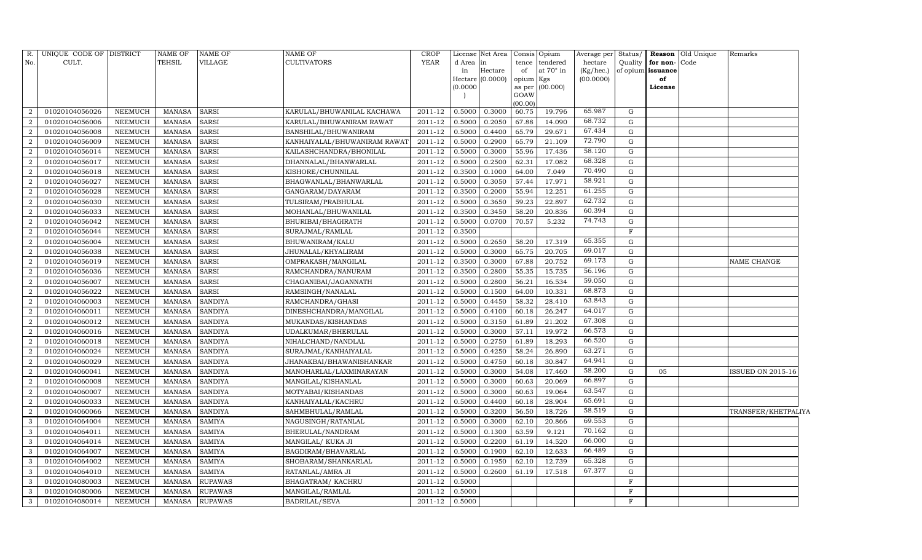| R.             | UNIQUE CODE OF DISTRICT |                | NAME OF       | NAME OF        | <b>NAME OF</b>               | <b>CROP</b> |           | License Net Area | Consis Opium |                  | Average per | Status/      |                   | <b>Reason</b> Old Unique | Remarks                  |  |
|----------------|-------------------------|----------------|---------------|----------------|------------------------------|-------------|-----------|------------------|--------------|------------------|-------------|--------------|-------------------|--------------------------|--------------------------|--|
| No.            | CULT.                   |                | TEHSIL        | VILLAGE        | <b>CULTIVATORS</b>           | <b>YEAR</b> | d Area in |                  | tence        | tendered         | hectare     | Quality      | for non-          | Code                     |                          |  |
|                |                         |                |               |                |                              |             | in        | Hectare          | of           | at $70^\circ$ in | (Kg/hec.)   |              | of opium issuance |                          |                          |  |
|                |                         |                |               |                |                              |             | (0.0000)  | Hectare (0.0000) | opium Kgs    | as per (00.000)  | (00.0000)   |              | of<br>License     |                          |                          |  |
|                |                         |                |               |                |                              |             |           |                  | GOAW         |                  |             |              |                   |                          |                          |  |
|                |                         |                |               |                |                              |             |           |                  | (00.00)      |                  |             |              |                   |                          |                          |  |
| $\overline{2}$ | 01020104056026          | <b>NEEMUCH</b> | <b>MANASA</b> | <b>SARSI</b>   | KARULAL/BHUWANILAL KACHAWA   | 2011-12     | 0.5000    | 0.3000           | 60.75        | 19.796           | 65.987      | G            |                   |                          |                          |  |
| $\overline{2}$ | 01020104056006          | <b>NEEMUCH</b> | <b>MANASA</b> | <b>SARSI</b>   | KARULAL/BHUWANIRAM RAWAT     | 2011-12     | 0.5000    | 0.2050           | 67.88        | 14.090           | 68.732      | G            |                   |                          |                          |  |
| $\overline{2}$ | 01020104056008          | <b>NEEMUCH</b> | <b>MANASA</b> | <b>SARSI</b>   | BANSHILAL/BHUWANIRAM         | 2011-12     | 0.5000    | 0.4400           | 65.79        | 29.671           | 67.434      | G            |                   |                          |                          |  |
| $\overline{a}$ | 01020104056009          | <b>NEEMUCH</b> | <b>MANASA</b> | <b>SARSI</b>   | KANHAIYALAL/BHUWANIRAM RAWAT | 2011-12     | 0.5000    | 0.2900           | 65.79        | 21.109           | 72.790      | G            |                   |                          |                          |  |
| $\overline{a}$ | 01020104056014          | <b>NEEMUCH</b> | <b>MANASA</b> | <b>SARSI</b>   | KAILASHCHANDRA/BHONILAL      | 2011-12     | 0.5000    | 0.3000           | 55.96        | 17.436           | 58.120      | G            |                   |                          |                          |  |
| $\overline{2}$ | 01020104056017          | <b>NEEMUCH</b> | <b>MANASA</b> | SARSI          | DHANNALAL/BHANWARLAL         | 2011-12     | 0.5000    | 0.2500           | 62.31        | 17.082           | 68.328      | G            |                   |                          |                          |  |
| $\overline{2}$ | 01020104056018          | <b>NEEMUCH</b> | <b>MANASA</b> | <b>SARSI</b>   | KISHORE/CHUNNILAL            | 2011-12     | 0.3500    | 0.1000           | 64.00        | 7.049            | 70.490      | G            |                   |                          |                          |  |
| $\overline{a}$ | 01020104056027          | <b>NEEMUCH</b> | <b>MANASA</b> | <b>SARSI</b>   | BHAGWANLAL/BHANWARLAL        | 2011-12     | 0.5000    | 0.3050           | 57.44        | 17.971           | 58.921      | G            |                   |                          |                          |  |
| $\overline{2}$ | 01020104056028          | <b>NEEMUCH</b> | <b>MANASA</b> | <b>SARSI</b>   | GANGARAM/DAYARAM             | 2011-12     | 0.3500    | 0.2000           | 55.94        | 12.251           | 61.255      | G            |                   |                          |                          |  |
| $\overline{2}$ | 01020104056030          | <b>NEEMUCH</b> | <b>MANASA</b> | <b>SARSI</b>   | TULSIRAM/PRABHULAL           | 2011-12     | 0.5000    | 0.3650           | 59.23        | 22.897           | 62.732      | G            |                   |                          |                          |  |
| 2              | 01020104056033          | <b>NEEMUCH</b> | <b>MANASA</b> | <b>SARSI</b>   | MOHANLAL/BHUWANILAL          | 2011-12     | 0.3500    | 0.3450           | 58.20        | 20.836           | 60.394      | G            |                   |                          |                          |  |
| $\overline{a}$ | 01020104056042          | <b>NEEMUCH</b> | <b>MANASA</b> | SARSI          | BHURIBAI/BHAGIRATH           | 2011-12     | 0.5000    | 0.0700           | 70.57        | 5.232            | 74.743      | G            |                   |                          |                          |  |
| $\overline{a}$ | 01020104056044          | <b>NEEMUCH</b> | <b>MANASA</b> | <b>SARSI</b>   | SURAJMAL/RAMLAL              | 2011-12     | 0.3500    |                  |              |                  |             | F            |                   |                          |                          |  |
| 2              | 01020104056004          | <b>NEEMUCH</b> | <b>MANASA</b> | <b>SARSI</b>   | BHUWANIRAM/KALU              | 2011-12     | 0.5000    | 0.2650           | 58.20        | 17.319           | 65.355      | G            |                   |                          |                          |  |
| 2              | 01020104056038          | NEEMUCH        | <b>MANASA</b> | SARSI          | JHUNALAL/KHYALIRAM           | 2011-12     | 0.5000    | 0.3000           | 65.75        | 20.705           | 69.017      | G            |                   |                          |                          |  |
| 2              | 01020104056019          | NEEMUCH        | <b>MANASA</b> | <b>SARSI</b>   | OMPRAKASH/MANGILAL           | 2011-12     | 0.3500    | 0.3000           | 67.88        | 20.752           | 69.173      | G            |                   |                          | <b>NAME CHANGE</b>       |  |
| $\overline{2}$ | 01020104056036          | <b>NEEMUCH</b> | <b>MANASA</b> | SARSI          | RAMCHANDRA/NANURAM           | 2011-12     | 0.3500    | 0.2800           | 55.35        | 15.735           | 56.196      | G            |                   |                          |                          |  |
| 2              | 01020104056007          | <b>NEEMUCH</b> | <b>MANASA</b> | <b>SARSI</b>   | CHAGANIBAI/JAGANNATH         | 2011-12     | 0.5000    | 0.2800           | 56.21        | 16.534           | 59.050      | G            |                   |                          |                          |  |
| $\overline{a}$ | 01020104056022          | NEEMUCH        | <b>MANASA</b> | <b>SARSI</b>   | RAMSINGH/NANALAL             | 2011-12     | 0.5000    | 0.1500           | 64.00        | 10.331           | 68.873      | G            |                   |                          |                          |  |
| $\overline{2}$ | 01020104060003          | NEEMUCH        | <b>MANASA</b> | SANDIYA        | RAMCHANDRA/GHASI             | 2011-12     | 0.5000    | 0.4450           | 58.32        | 28.410           | 63.843      | G            |                   |                          |                          |  |
| $\overline{2}$ | 01020104060011          | <b>NEEMUCH</b> | <b>MANASA</b> | SANDIYA        | DINESHCHANDRA/MANGILAL       | 2011-12     | 0.5000    | 0.4100           | 60.18        | 26.247           | 64.017      | G            |                   |                          |                          |  |
| $\overline{a}$ | 01020104060012          | <b>NEEMUCH</b> | <b>MANASA</b> | SANDIYA        | MUKANDAS/KISHANDAS           | 2011-12     | 0.5000    | 0.3150           | 61.89        | 21.202           | 67.308      | G            |                   |                          |                          |  |
| $\overline{a}$ | 01020104060016          | NEEMUCH        | <b>MANASA</b> | SANDIYA        | UDALKUMAR/BHERULAL           | 2011-12     | 0.5000    | 0.3000           | 57.11        | 19.972           | 66.573      | G            |                   |                          |                          |  |
| $\overline{2}$ | 01020104060018          | <b>NEEMUCH</b> | <b>MANASA</b> | <b>SANDIYA</b> | NIHALCHAND/NANDLAL           | 2011-12     | 0.5000    | 0.2750           | 61.89        | 18.293           | 66.520      | G            |                   |                          |                          |  |
| $\overline{2}$ | 01020104060024          | <b>NEEMUCH</b> | <b>MANASA</b> | SANDIYA        | SURAJMAL/KANHAIYALAL         | 2011-12     | 0.5000    | 0.4250           | 58.24        | 26.890           | 63.271      | G            |                   |                          |                          |  |
| $\overline{2}$ | 01020104060029          | <b>NEEMUCH</b> | <b>MANASA</b> | <b>SANDIYA</b> | JHANAKBAI/BHAWANISHANKAR     | 2011-12     | 0.5000    | 0.4750           | 60.18        | 30.847           | 64.941      | G            |                   |                          |                          |  |
| $\overline{a}$ | 01020104060041          | <b>NEEMUCH</b> | <b>MANASA</b> | SANDIYA        | MANOHARLAL/LAXMINARAYAN      | 2011-12     | 0.5000    | 0.3000           | 54.08        | 17.460           | 58.200      | G            | 05                |                          | <b>ISSUED ON 2015-16</b> |  |
| $\overline{2}$ | 01020104060008          | <b>NEEMUCH</b> | <b>MANASA</b> | SANDIYA        | MANGILAL/KISHANLAL           | 2011-12     | 0.5000    | 0.3000           | 60.63        | 20.069           | 66.897      | G            |                   |                          |                          |  |
| $\overline{a}$ | 01020104060007          | <b>NEEMUCH</b> | <b>MANASA</b> | SANDIYA        | MOTYABAI/KISHANDAS           | 2011-12     | 0.5000    | 0.3000           | 60.63        | 19.064           | 63.547      | G            |                   |                          |                          |  |
| $\overline{a}$ | 01020104060033          | <b>NEEMUCH</b> | <b>MANASA</b> | <b>SANDIYA</b> | KANHAIYALAL/KACHRU           | 2011-12     | 0.5000    | 0.4400           | 60.18        | 28.904           | 65.691      | G            |                   |                          |                          |  |
| $\overline{a}$ | 01020104060066          | <b>NEEMUCH</b> | <b>MANASA</b> | <b>SANDIYA</b> | SAHMBHULAL/RAMLAL            | 2011-12     | 0.5000    | 0.3200           | 56.50        | 18.726           | 58.519      | G            |                   |                          | TRANSFER/KHETPALIYA      |  |
| 3              | 01020104064004          | <b>NEEMUCH</b> | <b>MANASA</b> | <b>SAMIYA</b>  | NAGUSINGH/RATANLAL           | 2011-12     | 0.5000    | 0.3000           | 62.10        | 20.866           | 69.553      | G            |                   |                          |                          |  |
| 3              | 01020104064011          | <b>NEEMUCH</b> | <b>MANASA</b> | SAMIYA         | BHERULAL/NANDRAM             | 2011-12     | 0.5000    | 0.1300           | 63.59        | 9.121            | 70.162      | G            |                   |                          |                          |  |
| 3              | 01020104064014          | <b>NEEMUCH</b> | <b>MANASA</b> | SAMIYA         | MANGILAL/ KUKA JI            | 2011-12     | 0.5000    | 0.2200           | 61.19        | 14.520           | 66.000      | G            |                   |                          |                          |  |
| 3              | 01020104064007          | <b>NEEMUCH</b> | <b>MANASA</b> | SAMIYA         | BAGDIRAM/BHAVARLAL           | 2011-12     | 0.5000    | 0.1900           | 62.10        | 12.633           | 66.489      | G            |                   |                          |                          |  |
| 3              | 01020104064002          | <b>NEEMUCH</b> | <b>MANASA</b> | SAMIYA         | SHOBARAM/SHANKARLAL          | 2011-12     | 0.5000    | 0.1950           | 62.10        | 12.739           | 65.328      | G            |                   |                          |                          |  |
| 3              | 01020104064010          | <b>NEEMUCH</b> | <b>MANASA</b> | SAMIYA         | RATANLAL/AMRA JI             | 2011-12     | 0.5000    | 0.2600           | 61.19        | 17.518           | 67.377      | G            |                   |                          |                          |  |
| 3              | 01020104080003          | <b>NEEMUCH</b> | <b>MANASA</b> | RUPAWAS        | BHAGATRAM/KACHRU             | 2011-12     | 0.5000    |                  |              |                  |             | $\mathbf{F}$ |                   |                          |                          |  |
| 3              | 01020104080006          | <b>NEEMUCH</b> | <b>MANASA</b> | RUPAWAS        | MANGILAL/RAMLAL              | 2011-12     | 0.5000    |                  |              |                  |             | $_{\rm F}$   |                   |                          |                          |  |
| 3              | 01020104080014          | NEEMUCH        | <b>MANASA</b> | <b>RUPAWAS</b> | <b>BADRILAL/SEVA</b>         | 2011-12     | 0.5000    |                  |              |                  |             | F            |                   |                          |                          |  |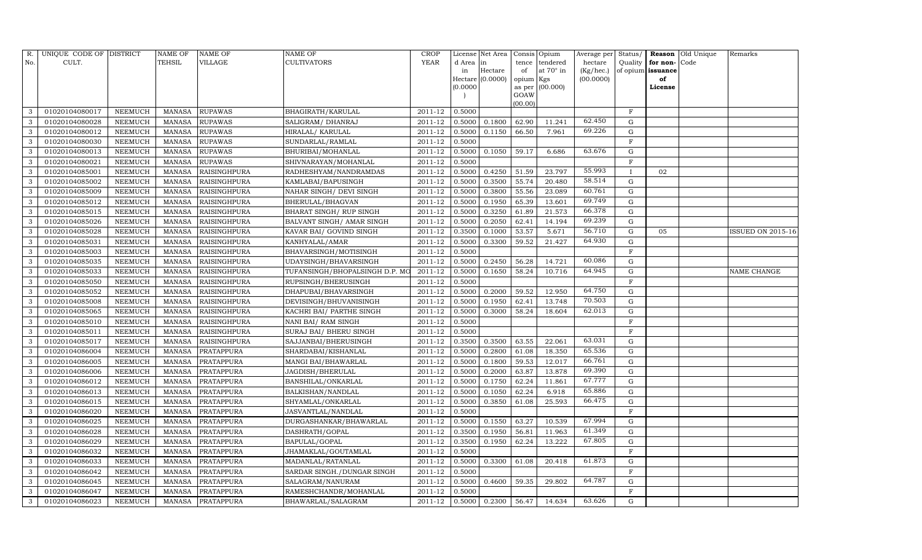| R.           | UNIQUE CODE OF DISTRICT |                | NAME OF       | <b>NAME OF</b>      | <b>NAME OF</b>                 | CROP        |           | License Net Area |           | Consis Opium        | Average per | Status/      |                   | <b>Reason</b> Old Unique | Remarks           |
|--------------|-------------------------|----------------|---------------|---------------------|--------------------------------|-------------|-----------|------------------|-----------|---------------------|-------------|--------------|-------------------|--------------------------|-------------------|
| No.          | CULT.                   |                | <b>TEHSIL</b> | VILLAGE             | <b>CULTIVATORS</b>             | YEAR        | d Area in |                  | tence     | tendered            | hectare     | Quality      | for non-          | Code                     |                   |
|              |                         |                |               |                     |                                |             | in        | Hectare          | of        | at $70^\circ$ in    | (Kg/hec.)   |              | of opium issuance |                          |                   |
|              |                         |                |               |                     |                                |             |           | Hectare (0.0000) | opium Kgs |                     | (00.0000)   |              | of                |                          |                   |
|              |                         |                |               |                     |                                |             | (0.0000   |                  | GOAW      | as per $(00.000)$   |             |              | License           |                          |                   |
|              |                         |                |               |                     |                                |             |           |                  | (00.00)   |                     |             |              |                   |                          |                   |
| 3            | 01020104080017          | NEEMUCH        | MANASA        | <b>RUPAWAS</b>      | <b>BHAGIRATH/KARULAL</b>       | 2011-12     | 0.5000    |                  |           |                     |             | $\mathbf F$  |                   |                          |                   |
| 3            | 01020104080028          | NEEMUCH        | MANASA        | <b>RUPAWAS</b>      | SALIGRAM/ DHANRAJ              | 2011-12     | 0.5000    | 0.1800           | 62.90     | 11.241              | 62.450      | G            |                   |                          |                   |
| 3            | 01020104080012          | <b>NEEMUCH</b> | MANASA        | <b>RUPAWAS</b>      | HIRALAL/KARULAL                | 2011-12     | 0.5000    | 0.1150           | 66.50     | 7.961               | 69.226      | G            |                   |                          |                   |
| 3            | 01020104080030          | NEEMUCH        | MANASA        | <b>RUPAWAS</b>      | SUNDARLAL/RAMLAL               | 2011-12     | 0.5000    |                  |           |                     |             | $\mathbf F$  |                   |                          |                   |
| 3            | 01020104080013          | NEEMUCH        | MANASA        | <b>RUPAWAS</b>      | BHURIBAI/MOHANLAL              | 2011-12     | 0.5000    | 0.1050           | 59.17     | 6.686               | 63.676      | $\mathbf G$  |                   |                          |                   |
| 3            | 01020104080021          | NEEMUCH        | MANASA        | <b>RUPAWAS</b>      | SHIVNARAYAN/MOHANLAL           | 2011-12     | 0.5000    |                  |           |                     |             | $\rm F$      |                   |                          |                   |
| 3            | 01020104085001          | NEEMUCH        | MANASA        | <b>RAISINGHPURA</b> | RADHESHYAM/NANDRAMDAS          | $2011 - 12$ | 0.5000    | 0.4250           | 51.59     | 23.797              | 55.993      | $\mathbf{I}$ | 02                |                          |                   |
| 3            | 01020104085002          | NEEMUCH        | MANASA        | <b>RAISINGHPURA</b> | KAMLABAI/BAPUSINGH             | 2011-12     | 0.5000    | 0.3500           | 55.74     | 20.480              | 58.514      | $\mathbf G$  |                   |                          |                   |
| 3            | 01020104085009          | <b>NEEMUCH</b> | MANASA        | <b>RAISINGHPURA</b> | NAHAR SINGH / DEVI SINGH       | 2011-12     | 0.5000    | 0.3800           | 55.56     | 23.089              | 60.761      | $\mathbf G$  |                   |                          |                   |
| 3            | 01020104085012          | NEEMUCH        | MANASA        | <b>RAISINGHPURA</b> | BHERULAL/BHAGVAN               | 2011-12     | 0.5000    | 0.1950           | 65.39     | 13.601              | 69.749      | ${\rm G}$    |                   |                          |                   |
| 3            | 01020104085015          | <b>NEEMUCH</b> | MANASA        | <b>RAISINGHPURA</b> | BHARAT SINGH / RUP SINGH       | 2011-12     | 0.5000    | 0.3250           | 61.89     | $21.\overline{573}$ | 66.378      | ${\rm G}$    |                   |                          |                   |
| $\mathbf{3}$ | 01020104085026          | <b>NEEMUCH</b> | MANASA        | <b>RAISINGHPURA</b> | BALVANT SINGH/ AMAR SINGH      | 2011-12     | 0.5000    | 0.2050           | 62.41     | 14.194              | 69.239      | G            |                   |                          |                   |
| 3            | 01020104085028          | <b>NEEMUCH</b> | <b>MANASA</b> | <b>RAISINGHPURA</b> | KAVAR BAI/ GOVIND SINGH        | 2011-12     | 0.3500    | 0.1000           | 53.57     | 5.671               | 56.710      | $\mathbf G$  | 05                |                          | ISSUED ON 2015-16 |
| 3            | 01020104085031          | <b>NEEMUCH</b> | MANASA        | <b>RAISINGHPURA</b> | KANHYALAL/AMAR                 | 2011-12     | 0.5000    | 0.3300           | 59.52     | 21.427              | 64.930      | G            |                   |                          |                   |
| 3            | 01020104085003          | NEEMUCH        | MANASA        | RAISINGHPURA        | BHAVARSINGH/MOTISINGH          | 2011-12     | 0.5000    |                  |           |                     |             | F            |                   |                          |                   |
| 3            | 01020104085035          | NEEMUCH        | MANASA        | <b>RAISINGHPURA</b> | UDAYSINGH/BHAVARSINGH          | 2011-12     | 0.5000    | 0.2450           | 56.28     | 14.721              | 60.086      | $\mathbf G$  |                   |                          |                   |
| 3            | 01020104085033          | <b>NEEMUCH</b> | <b>MANASA</b> | <b>RAISINGHPURA</b> | TUFANSINGH/BHOPALSINGH D.P. MO | 2011-12     | 0.5000    | 0.1650           | 58.24     | 10.716              | 64.945      | G            |                   |                          | NAME CHANGE       |
| 3            | 01020104085050          | <b>NEEMUCH</b> | MANASA        | RAISINGHPURA        | RUPSINGH/BHERUSINGH            | 2011-12     | 0.5000    |                  |           |                     |             | $\mathbf{F}$ |                   |                          |                   |
| 3            | 01020104085052          | NEEMUCH        | MANASA        | <b>RAISINGHPURA</b> | DHAPUBAI/BHAVARSINGH           | 2011-12     | 0.5000    | 0.2000           | 59.52     | 12.950              | 64.750      | G            |                   |                          |                   |
| 3            | 01020104085008          | NEEMUCH        | MANASA        | <b>RAISINGHPURA</b> | DEVISINGH/BHUVANISINGH         | 2011-12     | 0.5000    | 0.1950           | 62.41     | 13.748              | 70.503      | G            |                   |                          |                   |
| 3            | 01020104085065          | NEEMUCH        | MANASA        | <b>RAISINGHPURA</b> | KACHRI BAI/ PARTHE SINGH       | 2011-12     | 0.5000    | 0.3000           | 58.24     | 18.604              | 62.013      | G            |                   |                          |                   |
| 3            | 01020104085010          | <b>NEEMUCH</b> | <b>MANASA</b> | <b>RAISINGHPURA</b> | NANI BAI/ RAM SINGH            | 2011-12     | 0.5000    |                  |           |                     |             | $\rm F$      |                   |                          |                   |
| 3            | 01020104085011          | NEEMUCH        | MANASA        | <b>RAISINGHPURA</b> | SURAJ BAI/ BHERU SINGH         | 2011-12     | 0.5000    |                  |           |                     |             | $\mathbf F$  |                   |                          |                   |
| 3            | 01020104085017          | <b>NEEMUCH</b> | MANASA        | <b>RAISINGHPURA</b> | SAJJANBAI/BHERUSINGH           | 2011-12     | 0.3500    | 0.3500           | 63.55     | 22.061              | 63.031      | $\mathbf G$  |                   |                          |                   |
| 3            | 01020104086004          | NEEMUCH        | MANASA        | PRATAPPURA          | SHARDABAI/KISHANLAL            | 2011-12     | 0.5000    | 0.2800           | 61.08     | 18.350              | 65.536      | G            |                   |                          |                   |
| 3            | 01020104086005          | <b>NEEMUCH</b> | <b>MANASA</b> | PRATAPPURA          | MANGI BAI/BHAWARLAL            | 2011-12     | 0.5000    | 0.1800           | 59.53     | 12.017              | 66.761      | G            |                   |                          |                   |
| 3            | 01020104086006          | <b>NEEMUCH</b> | MANASA        | <b>PRATAPPURA</b>   | JAGDISH/BHERULAL               | 2011-12     | 0.5000    | 0.2000           | 63.87     | 13.878              | 69.390      | ${\rm G}$    |                   |                          |                   |
| 3            | 01020104086012          | <b>NEEMUCH</b> | <b>MANASA</b> | PRATAPPURA          | <b>BANSHILAL/ONKARLAL</b>      | 2011-12     | 0.5000    | 0.1750           | 62.24     | 11.861              | 67.777      | $\mathbf G$  |                   |                          |                   |
| 3            | 01020104086013          | NEEMUCH        | MANASA        | <b>PRATAPPURA</b>   | BALKISHAN/NANDLAL              | 2011-12     | 0.5000    | 0.1050           | 62.24     | 6.918               | 65.886      | G            |                   |                          |                   |
| 3            | 01020104086015          | NEEMUCH        | MANASA        | <b>PRATAPPURA</b>   | SHYAMLAL/ONKARLAL              | 2011-12     | 0.5000    | 0.3850           | 61.08     | 25.593              | 66.475      | ${\rm G}$    |                   |                          |                   |
| 3            | 01020104086020          | <b>NEEMUCH</b> | MANASA        | <b>PRATAPPURA</b>   | JASVANTLAL/NANDLAL             | 2011-12     | 0.5000    |                  |           |                     |             | $\mathbf F$  |                   |                          |                   |
| 3            | 01020104086025          | NEEMUCH        | MANASA        | <b>PRATAPPURA</b>   | DURGASHANKAR/BHAWARLAL         | 2011-12     | 0.5000    | 0.1550           | 63.27     | 10.539              | 67.994      | $\mathbf G$  |                   |                          |                   |
| 3            | 01020104086028          | <b>NEEMUCH</b> | MANASA        | <b>PRATAPPURA</b>   | DASHRATH/GOPAL                 | 2011-12     | 0.3500    | 0.1950           | 56.81     | 11.963              | 61.349      | G            |                   |                          |                   |
| 3            | 01020104086029          | <b>NEEMUCH</b> | MANASA        | <b>PRATAPPURA</b>   | BAPULAL/GOPAL                  | 2011-12     | 0.3500    | 0.1950           | 62.24     | 13.222              | 67.805      | G            |                   |                          |                   |
| 3            | 01020104086032          | <b>NEEMUCH</b> | MANASA        | <b>PRATAPPURA</b>   | JHAMAKLAL/GOUTAMLAL            | 2011-12     | 0.5000    |                  |           |                     |             | $\mathbf F$  |                   |                          |                   |
| 3            | 01020104086033          | <b>NEEMUCH</b> | <b>MANASA</b> | <b>PRATAPPURA</b>   | MADANLAL/RATANLAL              | 2011-12     | 0.5000    | 0.3300           | 61.08     | 20.418              | 61.873      | $\mathbf G$  |                   |                          |                   |
| 3            | 01020104086042          | <b>NEEMUCH</b> | MANASA        | <b>PRATAPPURA</b>   | SARDAR SINGH./DUNGAR SINGH     | 2011-12     | 0.5000    |                  |           |                     |             | $\mathbf F$  |                   |                          |                   |
| 3            | 01020104086045          | NEEMUCH        | MANASA        | PRATAPPURA          | SALAGRAM/NANURAM               | 2011-12     | 0.5000    | 0.4600           | 59.35     | 29.802              | 64.787      | G            |                   |                          |                   |
| $\mathbf{3}$ | 01020104086047          | <b>NEEMUCH</b> | MANASA        | PRATAPPURA          | RAMESHCHANDR/MOHANLAL          | 2011-12     | 0.5000    |                  |           |                     |             | F            |                   |                          |                   |
| 3            | 01020104086023          | <b>NEEMUCH</b> |               | MANASA PRATAPPURA   | BHAWARLAL/SALAGRAM             | 2011-12     | 0.5000    | 0.2300           | 56.47     | 14.634              | 63.626      | G            |                   |                          |                   |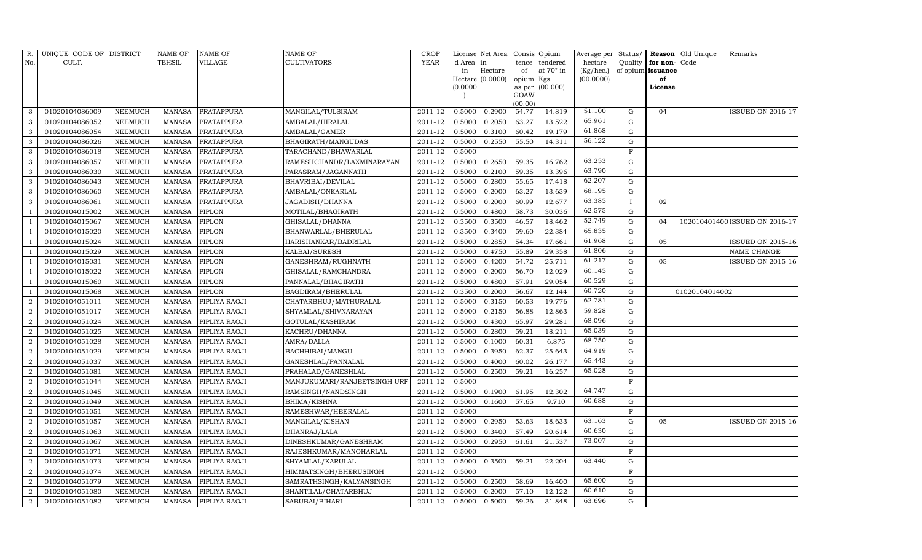| R.             | UNIQUE CODE OF DISTRICT |                | <b>NAME OF</b> | <b>NAME OF</b>       | <b>NAME OF</b>               | CROP        |           | License Net Area |                     | Consis Opium | Average per | Status/      | Reason                   | Old Unique     | Remarks                        |
|----------------|-------------------------|----------------|----------------|----------------------|------------------------------|-------------|-----------|------------------|---------------------|--------------|-------------|--------------|--------------------------|----------------|--------------------------------|
| No.            | CULT.                   |                | <b>TEHSIL</b>  | VILLAGE              | <b>CULTIVATORS</b>           | YEAR        | d Area in |                  | tence               | tendered     | hectare     | Quality      | for non-                 | Code           |                                |
|                |                         |                |                |                      |                              |             | in        | Hectare          | of                  | at 70° in    | (Kg/hec.)   |              | of opium <b>issuance</b> |                |                                |
|                |                         |                |                |                      |                              |             | (0.0000   | Hectare (0.0000) | opium Kgs<br>as per | (00.000)     | (00.0000)   |              | of<br>License            |                |                                |
|                |                         |                |                |                      |                              |             |           |                  | GOAW                |              |             |              |                          |                |                                |
|                |                         |                |                |                      |                              |             |           |                  | (00.00)             |              |             |              |                          |                |                                |
| 3              | 01020104086009          | NEEMUCH        | MANASA         | <b>PRATAPPURA</b>    | MANGILAL/TULSIRAM            | 2011-12     | 0.5000    | 0.2900           | 54.77               | 14.819       | 51.100      | G            | 04                       |                | ISSUED ON 2016-17              |
| 3              | 01020104086052          | NEEMUCH        | MANASA         | <b>PRATAPPURA</b>    | AMBALAL/HIRALAL              | 2011-12     | 0.5000    | 0.2050           | 63.27               | 13.522       | 65.961      | G            |                          |                |                                |
| 3              | 01020104086054          | <b>NEEMUCH</b> | <b>MANASA</b>  | PRATAPPURA           | AMBALAL/GAMER                | 2011-12     | 0.5000    | 0.3100           | 60.42               | 19.179       | 61.868      | G            |                          |                |                                |
| 3              | 01020104086026          | <b>NEEMUCH</b> | MANASA         | <b>PRATAPPURA</b>    | BHAGIRATH/MANGUDAS           | $2011 - 12$ | 0.5000    | 0.2550           | 55.50               | 14.311       | 56.122      | $\mathbf G$  |                          |                |                                |
| 3              | 01020104086018          | <b>NEEMUCH</b> | <b>MANASA</b>  | <b>PRATAPPURA</b>    | TARACHAND/BHAWARLAL          | 2011-12     | 0.5000    |                  |                     |              |             | $\mathbf F$  |                          |                |                                |
| 3              | 01020104086057          | <b>NEEMUCH</b> | MANASA         | <b>PRATAPPURA</b>    | RAMESHCHANDR/LAXMINARAYAN    | 2011-12     | 0.5000    | 0.2650           | 59.35               | 16.762       | 63.253      | G            |                          |                |                                |
| 3              | 01020104086030          | NEEMUCH        | MANASA         | <b>PRATAPPURA</b>    | PARASRAM/JAGANNATH           | $2011 - 12$ | 0.5000    | 0.2100           | 59.35               | 13.396       | 63.790      | G            |                          |                |                                |
| 3              | 01020104086043          | <b>NEEMUCH</b> | MANASA         | <b>PRATAPPURA</b>    | <b>BHAVRIBAI/DEVILAL</b>     | 2011-12     | 0.5000    | 0.2800           | 55.65               | 17.418       | 62.207      | $\mathbf G$  |                          |                |                                |
| 3              | 01020104086060          | <b>NEEMUCH</b> | <b>MANASA</b>  | <b>PRATAPPURA</b>    | AMBALAL/ONKARLAL             | 2011-12     | 0.5000    | 0.2000           | 63.27               | 13.639       | 68.195      | $\mathbf G$  |                          |                |                                |
| 3              | 01020104086061          | NEEMUCH        | MANASA         | <b>PRATAPPURA</b>    | JAGADISH/DHANNA              | 2011-12     | 0.5000    | 0.2000           | 60.99               | 12.677       | 63.385      | $\mathbf{I}$ | 02                       |                |                                |
|                | 01020104015002          | <b>NEEMUCH</b> | <b>MANASA</b>  | PIPLON               | MOTILAL/BHAGIRATH            | 2011-12     | 0.5000    | 0.4800           | 58.73               | 30.036       | 62.575      | $\mathbf G$  |                          |                |                                |
|                | 01020104015067          | <b>NEEMUCH</b> | MANASA         | PIPLON               | GHISALAL/DHANNA              | 2011-12     | 0.3500    | 0.3500           | 46.57               | 18.462       | 52.749      | $\mathbf G$  | 04                       |                | 102010401400 ISSUED ON 2016-17 |
|                | 01020104015020          | <b>NEEMUCH</b> | <b>MANASA</b>  | PIPLON               | BHANWARLAL/BHERULAL          | 2011-12     | 0.3500    | 0.3400           | 59.60               | 22.384       | 65.835      | $\mathbf G$  |                          |                |                                |
|                | 01020104015024          | <b>NEEMUCH</b> | <b>MANASA</b>  | <b>PIPLON</b>        | HARISHANKAR/BADRILAL         | 2011-12     | 0.5000    | 0.2850           | 54.34               | 17.661       | 61.968      | G            | 05                       |                | ISSUED ON 2015-16              |
|                | 01020104015029          | NEEMUCH        | MANASA         | PIPLON               | KALBAI/SURESH                | 2011-12     | 0.5000    | 0.4750           | 55.89               | 29.358       | 61.806      | G            |                          |                | NAME CHANGE                    |
|                | 01020104015031          | NEEMUCH        | <b>MANASA</b>  | <b>PIPLON</b>        | GANESHRAM/RUGHNATH           | 2011-12     | 0.5000    | 0.4200           | 54.72               | 25.711       | 61.217      | $\mathbf G$  | 05                       |                | ISSUED ON 2015-16              |
|                | 01020104015022          | <b>NEEMUCH</b> | <b>MANASA</b>  | PIPLON               | GHISALAL/RAMCHANDRA          | 2011-12     | 0.5000    | 0.2000           | 56.70               | 12.029       | 60.145      | G            |                          |                |                                |
|                | 01020104015060          | <b>NEEMUCH</b> | MANASA         | PIPLON               | PANNALAL/BHAGIRATH           | 2011-12     | 0.5000    | 0.4800           | 57.91               | 29.054       | 60.529      | G            |                          |                |                                |
|                | 01020104015068          | NEEMUCH        | <b>MANASA</b>  | PIPLON               | BAGDIRAM/BHERULAL            | 2011-12     | 0.3500    | 0.2000           | 56.67               | 12.144       | 60.720      | G            |                          | 01020104014002 |                                |
| $\overline{2}$ | 01020104051011          | NEEMUCH        | MANASA         | PIPLIYA RAOJI        | CHATARBHUJ/MATHURALAL        | 2011-12     | 0.5000    | 0.3150           | 60.53               | 19.776       | 62.781      | G            |                          |                |                                |
| $\overline{2}$ | 01020104051017          | NEEMUCH        | MANASA         | PIPLIYA RAOJI        | SHYAMLAL/SHIVNARAYAN         | 2011-12     | 0.5000    | 0.2150           | 56.88               | 12.863       | 59.828      | ${\rm G}$    |                          |                |                                |
| $\overline{2}$ | 01020104051024          | <b>NEEMUCH</b> | <b>MANASA</b>  | PIPLIYA RAOJI        | GOTULAL/KASHIRAM             | 2011-12     | 0.5000    | 0.4300           | 65.97               | 29.281       | 68.096      | ${\rm G}$    |                          |                |                                |
| $\overline{2}$ | 01020104051025          | <b>NEEMUCH</b> | MANASA         | PIPLIYA RAOJI        | KACHRU/DHANNA                | 2011-12     | 0.5000    | 0.2800           | 59.21               | 18.211       | 65.039      | G            |                          |                |                                |
| $\overline{2}$ | 01020104051028          | <b>NEEMUCH</b> | MANASA         | PIPLIYA RAOJI        | AMRA/DALLA                   | 2011-12     | 0.5000    | 0.1000           | 60.31               | 6.875        | 68.750      | ${\rm G}$    |                          |                |                                |
| $\overline{2}$ | 01020104051029          | NEEMUCH        | <b>MANASA</b>  | PIPLIYA RAOJI        | BACHHIBAI/MANGU              | 2011-12     | 0.5000    | 0.3950           | 62.37               | 25.643       | 64.919      | ${\rm G}$    |                          |                |                                |
| $\overline{2}$ | 01020104051037          | <b>NEEMUCH</b> | <b>MANASA</b>  | PIPLIYA RAOJI        | GANESHLAL/PANNALAL           | 2011-12     | 0.5000    | 0.4000           | 60.02               | 26.177       | 65.443      | G            |                          |                |                                |
| $\overline{2}$ | 01020104051081          | <b>NEEMUCH</b> | MANASA         | PIPLIYA RAOJI        | PRAHALAD/GANESHLAL           | 2011-12     | 0.5000    | 0.2500           | 59.21               | 16.257       | 65.028      | ${\rm G}$    |                          |                |                                |
| $\overline{2}$ | 01020104051044          | <b>NEEMUCH</b> | <b>MANASA</b>  | PIPLIYA RAOJI        | MANJUKUMARI/RANJEETSINGH URF | 2011-12     | 0.5000    |                  |                     |              |             | $\mathbf F$  |                          |                |                                |
| $\overline{2}$ | 01020104051045          | NEEMUCH        | MANASA         | PIPLIYA RAOJI        | RAMSINGH/NANDSINGH           | 2011-12     | 0.5000    | 0.1900           | 61.95               | 12.302       | 64.747      | G            |                          |                |                                |
| $\overline{2}$ | 01020104051049          | <b>NEEMUCH</b> | MANASA         | PIPLIYA RAOJI        | BHIMA/KISHNA                 | 2011-12     | 0.5000    | 0.1600           | 57.65               | 9.710        | 60.688      | ${\rm G}$    |                          |                |                                |
| $\overline{2}$ | 01020104051051          | <b>NEEMUCH</b> | MANASA         | PIPLIYA RAOJI        | RAMESHWAR/HEERALAL           | 2011-12     | 0.5000    |                  |                     |              |             | $\mathbf F$  |                          |                |                                |
| $\overline{2}$ | 01020104051057          | <b>NEEMUCH</b> | MANASA         | PIPLIYA RAOJI        | MANGILAL/KISHAN              | 2011-12     | 0.5000    | 0.2950           | 53.63               | 18.633       | 63.163      | $\mathbf G$  | 05                       |                | <b>ISSUED ON 2015-16</b>       |
| $\overline{2}$ | 01020104051063          | <b>NEEMUCH</b> | MANASA         | PIPLIYA RAOJI        | DHANRAJ/LALA                 | 2011-12     | 0.5000    | 0.3400           | 57.49               | 20.614       | 60.630      | ${\rm G}$    |                          |                |                                |
| $\overline{2}$ | 01020104051067          | <b>NEEMUCH</b> | MANASA         | PIPLIYA RAOJI        | DINESHKUMAR/GANESHRAM        | 2011-12     | 0.5000    | 0.2950           | 61.61               | 21.537       | 73.007      | G            |                          |                |                                |
| $\overline{2}$ | 01020104051071          | <b>NEEMUCH</b> | MANASA         | PIPLIYA RAOJI        | RAJESHKUMAR/MANOHARLAL       | 2011-12     | 0.5000    |                  |                     |              |             | $\mathbf F$  |                          |                |                                |
| $\overline{2}$ | 01020104051073          | <b>NEEMUCH</b> | <b>MANASA</b>  | PIPLIYA RAOJI        | SHYAMLAL/KARULAL             | 2011-12     | 0.5000    | 0.3500           | 59.21               | 22.204       | 63.440      | $\mathbf G$  |                          |                |                                |
| $\overline{2}$ | 01020104051074          | <b>NEEMUCH</b> | MANASA         | PIPLIYA RAOJI        | HIMMATSINGH/BHERUSINGH       | 2011-12     | 0.5000    |                  |                     |              |             | $\mathbf F$  |                          |                |                                |
| $\overline{2}$ | 01020104051079          | NEEMUCH        | MANASA         | PIPLIYA RAOJI        | SAMRATHSINGH/KALYANSINGH     | 2011-12     | 0.5000    | 0.2500           | 58.69               | 16.400       | 65.600      | $\mathbf G$  |                          |                |                                |
| $\overline{2}$ | 01020104051080          | NEEMUCH        | MANASA         | PIPLIYA RAOJI        | SHANTILAL/CHATARBHUJ         | 2011-12     | 0.5000    | 0.2000           | 57.10               | 12.122       | 60.610      | G            |                          |                |                                |
| $\overline{2}$ | 01020104051082          | <b>NEEMUCH</b> |                | MANASA PIPLIYA RAOJI | SABUBAI/BIHARI               | 2011-12     | 0.5000    | 0.5000           | 59.26               | 31.848       | 63.696      | G            |                          |                |                                |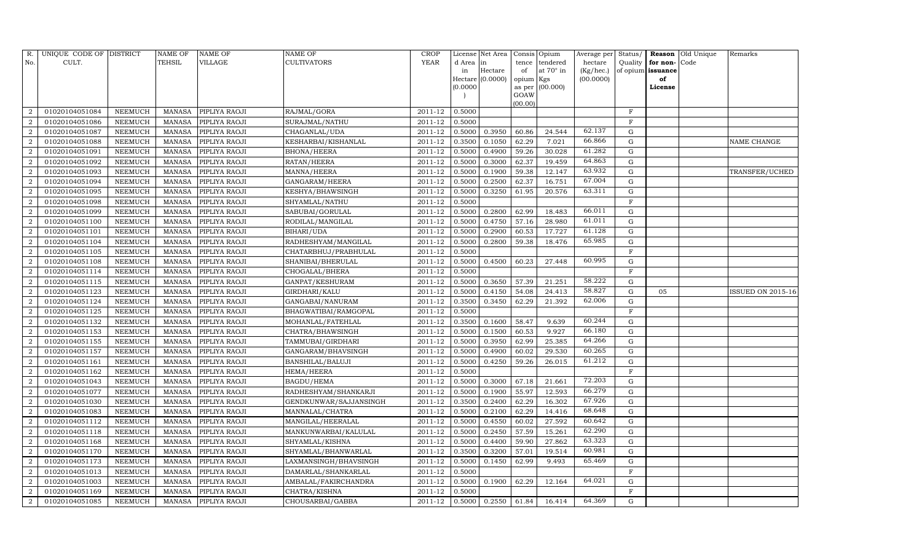| R.                          | UNIQUE CODE OF DISTRICT |                | <b>NAME OF</b> | NAME OF       | NAME OF                | <b>CROP</b> |           | License Net Area |                | Consis Opium | Average per | Status/      | Reason            | Old Unique | Remarks                  |
|-----------------------------|-------------------------|----------------|----------------|---------------|------------------------|-------------|-----------|------------------|----------------|--------------|-------------|--------------|-------------------|------------|--------------------------|
| No.                         | CULT.                   |                | TEHSIL         | VILLAGE       | <b>CULTIVATORS</b>     | YEAR        | d Area in |                  | tence          | tendered     | hectare     | Quality      | for non-          | Code       |                          |
|                             |                         |                |                |               |                        |             | in        | Hectare          | of             | at 70° in    | (Kg/hec.)   |              | of opium issuance |            |                          |
|                             |                         |                |                |               |                        |             |           | Hectare (0.0000) | opium Kgs      |              | (00.0000)   |              | of                |            |                          |
|                             |                         |                |                |               |                        |             | (0.0000)  |                  | as per<br>GOAW | (00.000)     |             |              | License           |            |                          |
|                             |                         |                |                |               |                        |             |           |                  | (00.00)        |              |             |              |                   |            |                          |
| $\mathcal{D}$               | 01020104051084          | NEEMUCH        | MANASA         | PIPLIYA RAOJI | RAJMAL/GORA            | 2011-12     | 0.5000    |                  |                |              |             | $\mathbf F$  |                   |            |                          |
|                             | 01020104051086          | NEEMUCH        | <b>MANASA</b>  | PIPLIYA RAOJI | SURAJMAL/NATHU         | 2011-12     | 0.5000    |                  |                |              |             | $\mathbf{F}$ |                   |            |                          |
| 2                           | 01020104051087          | <b>NEEMUCH</b> | <b>MANASA</b>  | PIPLIYA RAOJI | CHAGANLAL/UDA          | 2011-12     | 0.5000    | 0.3950           | 60.86          | 24.544       | 62.137      | G            |                   |            |                          |
| 2                           | 01020104051088          | NEEMUCH        | MANASA         | PIPLIYA RAOJI | KESHARBAI/KISHANLAL    | 2011-12     | 0.3500    | 0.1050           | 62.29          | 7.021        | 66.866      | $\mathbf G$  |                   |            | NAME CHANGE              |
| $\overline{2}$              | 01020104051091          | NEEMUCH        | <b>MANASA</b>  | PIPLIYA RAOJI | <b>BHONA/HEERA</b>     | 2011-12     | 0.5000    | 0.4900           | 59.26          | 30.028       | 61.282      | G            |                   |            |                          |
| $\overline{2}$              | 01020104051092          | NEEMUCH        | <b>MANASA</b>  | PIPLIYA RAOJI | RATAN/HEERA            | 2011-12     | 0.5000    | 0.3000           | 62.37          | 19.459       | 64.863      | G            |                   |            |                          |
| $\overline{2}$              | 01020104051093          | NEEMUCH        | <b>MANASA</b>  | PIPLIYA RAOJI | MANNA/HEERA            | 2011-12     | 0.5000    | 0.1900           | 59.38          | 12.147       | 63.932      | ${\rm G}$    |                   |            | TRANSFER/UCHED           |
| 2                           | 01020104051094          | NEEMUCH        | <b>MANASA</b>  | PIPLIYA RAOJI | GANGARAM/HEERA         | 2011-12     | 0.5000    | 0.2500           | 62.37          | 16.751       | 67.004      | $\mathbf G$  |                   |            |                          |
| $\overline{2}$              | 01020104051095          | <b>NEEMUCH</b> | <b>MANASA</b>  | PIPLIYA RAOJI | KESHYA/BHAWSINGH       | 2011-12     | 0.5000    | 0.3250           | 61.95          | 20.576       | 63.311      | $\mathbf G$  |                   |            |                          |
|                             | 01020104051098          | NEEMUCH        | <b>MANASA</b>  | PIPLIYA RAOJI | SHYAMLAL/NATHU         | 2011-12     | 0.5000    |                  |                |              |             | $\mathbf F$  |                   |            |                          |
| $\overline{2}$              | 01020104051099          | NEEMUCH        | <b>MANASA</b>  | PIPLIYA RAOJI | SABUBAI/GORULAL        | 2011-12     | 0.5000    | 0.2800           | 62.99          | 18.483       | 66.011      | ${\rm G}$    |                   |            |                          |
| $\overline{2}$              | 01020104051100          | NEEMUCH        | <b>MANASA</b>  | PIPLIYA RAOJI | RODILAL/MANGILAL       | 2011-12     | 0.5000    | 0.4750           | 57.16          | 28.980       | 61.011      | G            |                   |            |                          |
| $\overline{2}$              | 01020104051101          | <b>NEEMUCH</b> | <b>MANASA</b>  | PIPLIYA RAOJI | BIHARI/UDA             | 2011-12     | 0.5000    | 0.2900           | 60.53          | 17.727       | 61.128      | $\mathbf G$  |                   |            |                          |
| 2                           | 01020104051104          | NEEMUCH        | MANASA         | PIPLIYA RAOJI | RADHESHYAM/MANGILAL    | 2011-12     | 0.5000    | 0.2800           | 59.38          | 18.476       | 65.985      | G            |                   |            |                          |
| $\overline{2}$              | 01020104051105          | NEEMUCH        | MANASA         | PIPLIYA RAOJI | CHATARBHUJ/PRABHULAL   | 2011-12     | 0.5000    |                  |                |              |             | $\mathbf F$  |                   |            |                          |
| 2                           | 01020104051108          | NEEMUCH        | <b>MANASA</b>  | PIPLIYA RAOJI | SHANIBAI/BHERULAL      | 2011-12     | 0.5000    | 0.4500           | 60.23          | 27.448       | 60.995      | $\mathbf G$  |                   |            |                          |
| $\mathcal{D}$               | 01020104051114          | NEEMUCH        | <b>MANASA</b>  | PIPLIYA RAOJI | CHOGALAL/BHERA         | 2011-12     | 0.5000    |                  |                |              |             | $\mathbf{F}$ |                   |            |                          |
| 2                           | 01020104051115          | NEEMUCH        | MANASA         | PIPLIYA RAOJI | GANPAT/KESHURAM        | 2011-12     | 0.5000    | 0.3650           | 57.39          | 21.251       | 58.222      | G            |                   |            |                          |
| $\overline{2}$              | 01020104051123          | NEEMUCH        | <b>MANASA</b>  | PIPLIYA RAOJI | GIRDHARI/KALU          | 2011-12     | 0.5000    | 0.4150           | 54.08          | 24.413       | 58.827      | G            | 05                |            | <b>ISSUED ON 2015-16</b> |
| 2                           | 01020104051124          | NEEMUCH        | <b>MANASA</b>  | PIPLIYA RAOJI | GANGABAI/NANURAM       | 2011-12     | 0.3500    | 0.3450           | 62.29          | 21.392       | 62.006      | G            |                   |            |                          |
| $\overline{2}$              | 01020104051125          | NEEMUCH        | <b>MANASA</b>  | PIPLIYA RAOJI | BHAGWATIBAI/RAMGOPAL   | 2011-12     | 0.5000    |                  |                |              |             | F            |                   |            |                          |
| $\mathcal{D}_{\mathcal{L}}$ | 01020104051132          | NEEMUCH        | <b>MANASA</b>  | PIPLIYA RAOJI | MOHANLAL/FATEHLAL      | 2011-12     | 0.3500    | 0.1600           | 58.47          | 9.639        | 60.244      | G            |                   |            |                          |
| 2                           | 01020104051153          | NEEMUCH        | <b>MANASA</b>  | PIPLIYA RAOJI | CHATRA/BHAWSINGH       | 2011-12     | 0.5000    | 0.1500           | 60.53          | 9.927        | 66.180      | G            |                   |            |                          |
| 2                           | 01020104051155          | NEEMUCH        | <b>MANASA</b>  | PIPLIYA RAOJI | TAMMUBAI/GIRDHARI      | 2011-12     | 0.5000    | 0.3950           | 62.99          | 25.385       | 64.266      | G            |                   |            |                          |
|                             | 01020104051157          | NEEMUCH        | <b>MANASA</b>  | PIPLIYA RAOJI | GANGARAM/BHAVSINGH     | 2011-12     | 0.5000    | 0.4900           | 60.02          | 29.530       | 60.265      | G            |                   |            |                          |
| $\overline{2}$              | 01020104051161          | <b>NEEMUCH</b> | <b>MANASA</b>  | PIPLIYA RAOJI | BANSHILAL/BALUJI       | 2011-12     | 0.5000    | 0.4250           | 59.26          | 26.015       | 61.212      | G            |                   |            |                          |
| 2                           | 01020104051162          | NEEMUCH        | <b>MANASA</b>  | PIPLIYA RAOJI | <b>HEMA/HEERA</b>      | 2011-12     | 0.5000    |                  |                |              |             | $\mathbf F$  |                   |            |                          |
| $\overline{2}$              | 01020104051043          | <b>NEEMUCH</b> | <b>MANASA</b>  | PIPLIYA RAOJI | <b>BAGDU/HEMA</b>      | 2011-12     | 0.5000    | 0.3000           | 67.18          | 21.661       | 72.203      | $\mathbf G$  |                   |            |                          |
| $\overline{2}$              | 01020104051077          | NEEMUCH        | <b>MANASA</b>  | PIPLIYA RAOJI | RADHESHYAM/SHANKARJI   | 2011-12     | 0.5000    | 0.1900           | 55.97          | 12.593       | 66.279      | G            |                   |            |                          |
| $\overline{2}$              | 01020104051030          | NEEMUCH        | <b>MANASA</b>  | PIPLIYA RAOJI | GENDKUNWAR/SAJJANSINGH | 2011-12     | 0.3500    | 0.2400           | 62.29          | 16.302       | 67.926      | ${\rm G}$    |                   |            |                          |
| $\overline{2}$              | 01020104051083          | NEEMUCH        | MANASA         | PIPLIYA RAOJI | MANNALAL/CHATRA        | 2011-12     | 0.5000    | 0.2100           | 62.29          | 14.416       | 68.648      | $\mathbf G$  |                   |            |                          |
| $\overline{2}$              | 01020104051112          | NEEMUCH        | <b>MANASA</b>  | PIPLIYA RAOJI | MANGILAL/HEERALAL      | 2011-12     | 0.5000    | 0.4550           | 60.02          | 27.592       | 60.642      | $\mathbf G$  |                   |            |                          |
|                             | 01020104051118          | NEEMUCH        | <b>MANASA</b>  | PIPLIYA RAOJI | MANKUNWARBAI/KALULAL   | 2011-12     | 0.5000    | 0.2450           | 57.59          | 15.261       | 62.290      | ${\rm G}$    |                   |            |                          |
| $\overline{2}$              | 01020104051168          | NEEMUCH        | <b>MANASA</b>  | PIPLIYA RAOJI | SHYAMLAL/KISHNA        | 2011-12     | 0.5000    | 0.4400           | 59.90          | 27.862       | 63.323      | ${\rm G}$    |                   |            |                          |
| 2                           | 01020104051170          | NEEMUCH        | <b>MANASA</b>  | PIPLIYA RAOJI | SHYAMLAL/BHANWARLAL    | 2011-12     | 0.3500    | 0.3200           | 57.01          | 19.514       | 60.981      | ${\rm G}$    |                   |            |                          |
| $\overline{2}$              | 01020104051173          | <b>NEEMUCH</b> | <b>MANASA</b>  | PIPLIYA RAOJI | LAXMANSINGH/BHAVSINGH  | 2011-12     | 0.5000    | 0.1450           | 62.99          | 9.493        | 65.469      | $\mathbf G$  |                   |            |                          |
| $\overline{2}$              | 01020104051013          | NEEMUCH        | <b>MANASA</b>  | PIPLIYA RAOJI | DAMARLAL/SHANKARLAL    | 2011-12     | 0.5000    |                  |                |              |             | $\mathbf F$  |                   |            |                          |
| $\overline{2}$              | 01020104051003          | NEEMUCH        | <b>MANASA</b>  | PIPLIYA RAOJI | AMBALAL/FAKIRCHANDRA   | 2011-12     | 0.5000    | 0.1900           | 62.29          | 12.164       | 64.021      | G            |                   |            |                          |
| 2                           | 01020104051169          | NEEMUCH        | <b>MANASA</b>  | PIPLIYA RAOJI | CHATRA/KISHNA          | 2011-12     | 0.5000    |                  |                |              |             | F            |                   |            |                          |
| $\,2\,$                     | 01020104051085          | <b>NEEMUCH</b> | MANASA         | PIPLIYA RAOJI | CHOUSARBAI/GABBA       | 2011-12     | 0.5000    | 0.2550           | 61.84          | 16.414       | 64.369      | G            |                   |            |                          |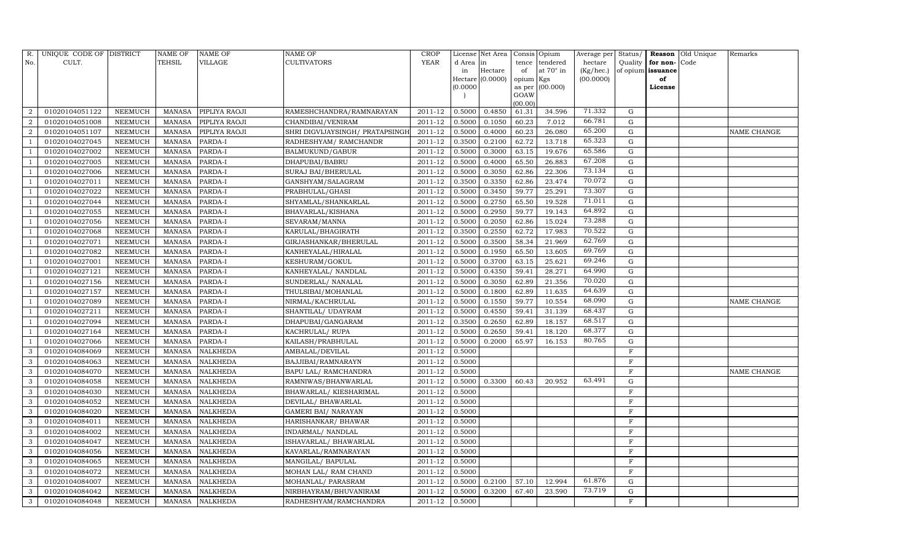| R.             | UNIQUE CODE OF DISTRICT |                | NAME OF       | <b>NAME OF</b>  | <b>NAME OF</b>                   | CROP        |           | License Net Area |                | Consis Opium     | Average per | Status/      |                   | Reason Old Unique | Remarks     |
|----------------|-------------------------|----------------|---------------|-----------------|----------------------------------|-------------|-----------|------------------|----------------|------------------|-------------|--------------|-------------------|-------------------|-------------|
| No.            | CULT.                   |                | <b>TEHSIL</b> | VILLAGE         | <b>CULTIVATORS</b>               | YEAR        | d Area in |                  | tence          | tendered         | hectare     | Quality      | for non-          | Code              |             |
|                |                         |                |               |                 |                                  |             | in        | Hectare          | of             | at $70^\circ$ in | (Kg/hec.)   |              | of opium issuance |                   |             |
|                |                         |                |               |                 |                                  |             |           | Hectare (0.0000) | opium Kgs      |                  | (00.0000)   |              | of                |                   |             |
|                |                         |                |               |                 |                                  |             | (0.0000)  |                  | as per<br>GOAW | (00.000)         |             |              | License           |                   |             |
|                |                         |                |               |                 |                                  |             |           |                  | (00.00)        |                  |             |              |                   |                   |             |
| $\overline{2}$ | 01020104051122          | NEEMUCH        | MANASA        | PIPLIYA RAOJI   | RAMESHCHANDRA/RAMNARAYAN         | 2011-12     | 0.5000    | 0.4850           | 61.31          | 34.596           | 71.332      | G            |                   |                   |             |
| $\overline{2}$ | 01020104051008          | NEEMUCH        | MANASA        | PIPLIYA RAOJI   | CHANDIBAI/VENIRAM                | 2011-12     | 0.5000    | 0.1050           | 60.23          | 7.012            | 66.781      | G            |                   |                   |             |
| $\overline{a}$ | 01020104051107          | <b>NEEMUCH</b> | <b>MANASA</b> | PIPLIYA RAOJI   | SHRI DIGVIJAYSINGH / PRATAPSINGH | 2011-12     | 0.5000    | 0.4000           | 60.23          | 26.080           | 65.200      | G            |                   |                   | NAME CHANGE |
|                | 01020104027045          | NEEMUCH        | MANASA        | PARDA-I         | RADHESHYAM / RAMCHANDR           | 2011-12     | 0.3500    | 0.2100           | 62.72          | 13.718           | 65.323      | $\mathbf G$  |                   |                   |             |
|                | 01020104027002          | NEEMUCH        | <b>MANASA</b> | PARDA-I         | <b>BALMUKUND/GABUR</b>           | 2011-12     | 0.5000    | 0.3000           | 63.15          | 19.676           | 65.586      | $\mathbf G$  |                   |                   |             |
|                | 01020104027005          | NEEMUCH        | MANASA        | PARDA-I         | DHAPUBAI/BABRU                   | 2011-12     | 0.5000    | 0.4000           | 65.50          | 26.883           | 67.208      | ${\rm G}$    |                   |                   |             |
|                | 01020104027006          | NEEMUCH        | MANASA        | PARDA-I         | SURAJ BAI/BHERULAL               | $2011 - 12$ | 0.5000    | 0.3050           | 62.86          | 22.306           | 73.134      | G            |                   |                   |             |
|                | 01020104027011          | NEEMUCH        | MANASA        | PARDA-I         | GANSHYAM/SALAGRAM                | 2011-12     | 0.3500    | 0.3350           | 62.86          | 23.474           | 70.072      | $\mathbf G$  |                   |                   |             |
|                | 01020104027022          | <b>NEEMUCH</b> | <b>MANASA</b> | PARDA-I         | PRABHULAL/GHASI                  | 2011-12     | 0.5000    | 0.3450           | 59.77          | 25.291           | 73.307      | $\mathbf G$  |                   |                   |             |
|                | 01020104027044          | NEEMUCH        | MANASA        | PARDA-I         | SHYAMLAL/SHANKARLAL              | 2011-12     | 0.5000    | 0.2750           | 65.50          | 19.528           | 71.011      | ${\rm G}$    |                   |                   |             |
|                | 01020104027055          | <b>NEEMUCH</b> | MANASA        | PARDA-I         | <b>BHAVARLAL/KISHANA</b>         | 2011-12     | 0.5000    | 0.2950           | 59.77          | 19.143           | 64.892      | ${\rm G}$    |                   |                   |             |
|                | 01020104027056          | <b>NEEMUCH</b> | MANASA        | PARDA-I         | SEVARAM/MANNA                    | 2011-12     | 0.5000    | 0.2050           | 62.86          | 15.024           | 73.288      | G            |                   |                   |             |
|                | 01020104027068          | <b>NEEMUCH</b> | <b>MANASA</b> | PARDA-I         | KARULAL/BHAGIRATH                | 2011-12     | 0.3500    | 0.2550           | 62.72          | 17.983           | 70.522      | $\mathbf G$  |                   |                   |             |
|                | 01020104027071          | <b>NEEMUCH</b> | MANASA        | PARDA-I         | GIRJASHANKAR/BHERULAL            | 2011-12     | 0.5000    | 0.3500           | 58.34          | 21.969           | 62.769      | G            |                   |                   |             |
|                | 01020104027082          | NEEMUCH        | MANASA        | PARDA-I         | KANHEYALAL/HIRALAL               | 2011-12     | 0.5000    | 0.1950           | 65.50          | 13.605           | 69.769      | G            |                   |                   |             |
|                | 01020104027001          | NEEMUCH        | MANASA        | PARDA-I         | KESHURAM/GOKUL                   | 2011-12     | 0.5000    | 0.3700           | 63.15          | 25.621           | 69.246      | $\mathbf G$  |                   |                   |             |
|                | 01020104027121          | <b>NEEMUCH</b> | <b>MANASA</b> | PARDA-I         | KANHEYALAL/ NANDLAL              | 2011-12     | 0.5000    | 0.4350           | 59.41          | 28.271           | 64.990      | G            |                   |                   |             |
|                | 01020104027156          | <b>NEEMUCH</b> | MANASA        | PARDA-I         | SUNDERLAL/ NANALAL               | 2011-12     | 0.5000    | 0.3050           | 62.89          | 21.356           | 70.020      | G            |                   |                   |             |
|                | 01020104027157          | NEEMUCH        | MANASA        | PARDA-I         | THULSIBAI/MOHANLAL               | 2011-12     | 0.5000    | 0.1800           | 62.89          | 11.635           | 64.639      | G            |                   |                   |             |
|                | 01020104027089          | NEEMUCH        | MANASA        | PARDA-I         | NIRMAL/KACHRULAL                 | 2011-12     | 0.5000    | 0.1550           | 59.77          | 10.554           | 68.090      | $\mathbf G$  |                   |                   | NAME CHANGE |
|                | 01020104027211          | NEEMUCH        | MANASA        | PARDA-I         | SHANTILAL/ UDAYRAM               | 2011-12     | 0.5000    | 0.4550           | 59.41          | 31.139           | 68.437      | $\mathbf G$  |                   |                   |             |
|                | 01020104027094          | <b>NEEMUCH</b> | <b>MANASA</b> | PARDA-I         | DHAPUBAI/GANGARAM                | 2011-12     | 0.3500    | 0.2650           | 62.89          | 18.157           | 68.517      | $\mathbf G$  |                   |                   |             |
|                | 01020104027164          | NEEMUCH        | MANASA        | PARDA-I         | KACHRULAL/RUPA                   | 2011-12     | 0.5000    | 0.2650           | 59.41          | 18.120           | 68.377      | G            |                   |                   |             |
|                | 01020104027066          | NEEMUCH        | MANASA        | PARDA-I         | KAILASH/PRABHULAL                | 2011-12     | 0.5000    | 0.2000           | 65.97          | 16.153           | 80.765      | ${\rm G}$    |                   |                   |             |
| 3              | 01020104084069          | NEEMUCH        | <b>MANASA</b> | NALKHEDA        | AMBALAL/DEVILAL                  | 2011-12     | 0.5000    |                  |                |                  |             | $\mathbf{F}$ |                   |                   |             |
| 3              | 01020104084063          | <b>NEEMUCH</b> | <b>MANASA</b> | <b>NALKHEDA</b> | BAJJIBAI/RAMNARAYN               | 2011-12     | 0.5000    |                  |                |                  |             | $\rm F$      |                   |                   |             |
| 3              | 01020104084070          | <b>NEEMUCH</b> | <b>MANASA</b> | <b>NALKHEDA</b> | BAPU LAL/ RAMCHANDRA             | 2011-12     | 0.5000    |                  |                |                  |             | F            |                   |                   | NAME CHANGE |
| 3              | 01020104084058          | <b>NEEMUCH</b> | <b>MANASA</b> | <b>NALKHEDA</b> | RAMNIWAS/BHANWARLAL              | 2011-12     | 0.5000    | 0.3300           | 60.43          | 20.952           | 63.491      | G            |                   |                   |             |
| 3              | 01020104084030          | NEEMUCH        | MANASA        | <b>NALKHEDA</b> | BHAWARLAL/ KIESHARIMAL           | 2011-12     | 0.5000    |                  |                |                  |             | $\mathbf F$  |                   |                   |             |
| 3              | 01020104084052          | NEEMUCH        | MANASA        | <b>NALKHEDA</b> | DEVILAL/ BHAWARLAL               | 2011-12     | 0.5000    |                  |                |                  |             | $\mathbf{F}$ |                   |                   |             |
| 3              | 01020104084020          | <b>NEEMUCH</b> | MANASA        | <b>NALKHEDA</b> | <b>GAMERI BAI/ NARAYAN</b>       | 2011-12     | 0.5000    |                  |                |                  |             | $\mathbf F$  |                   |                   |             |
| 3              | 01020104084011          | NEEMUCH        | <b>MANASA</b> | <b>NALKHEDA</b> | HARISHANKAR/ BHAWAR              | 2011-12     | 0.5000    |                  |                |                  |             | $\mathbf{F}$ |                   |                   |             |
| 3              | 01020104084002          | <b>NEEMUCH</b> | MANASA        | <b>NALKHEDA</b> | INDARMAL/ NANDLAL                | 2011-12     | 0.5000    |                  |                |                  |             | $\mathbf F$  |                   |                   |             |
| 3              | 01020104084047          | <b>NEEMUCH</b> | MANASA        | <b>NALKHEDA</b> | ISHAVARLAL/ BHAWARLAL            | 2011-12     | 0.5000    |                  |                |                  |             | $\mathbf{F}$ |                   |                   |             |
| 3              | 01020104084056          | NEEMUCH        | MANASA        | <b>NALKHEDA</b> | KAVARLAL/RAMNARAYAN              | 2011-12     | 0.5000    |                  |                |                  |             | $\mathbf F$  |                   |                   |             |
| 3              | 01020104084065          | <b>NEEMUCH</b> | <b>MANASA</b> | <b>NALKHEDA</b> | MANGILAL/ BAPULAL                | 2011-12     | 0.5000    |                  |                |                  |             | F            |                   |                   |             |
| 3              | 01020104084072          | <b>NEEMUCH</b> | MANASA        | <b>NALKHEDA</b> | MOHAN LAL/ RAM CHAND             | 2011-12     | 0.5000    |                  |                |                  |             | $\mathbf F$  |                   |                   |             |
| 3              | 01020104084007          | NEEMUCH        | <b>MANASA</b> | <b>NALKHEDA</b> | MOHANLAL/ PARASRAM               | 2011-12     | 0.5000    | 0.2100           | 57.10          | 12.994           | 61.876      | G            |                   |                   |             |
| 3              | 01020104084042          | NEEMUCH        | MANASA        | <b>NALKHEDA</b> | NIRBHAYRAM/BHUVANIRAM            | 2011-12     | 0.5000    | 0.3200           | 67.40          | 23.590           | 73.719      | $\mathbf G$  |                   |                   |             |
| 3              | 01020104084048          | <b>NEEMUCH</b> |               | MANASA NALKHEDA | RADHESHYAM/RAMCHANDRA            | 2011-12     | 0.5000    |                  |                |                  |             | F            |                   |                   |             |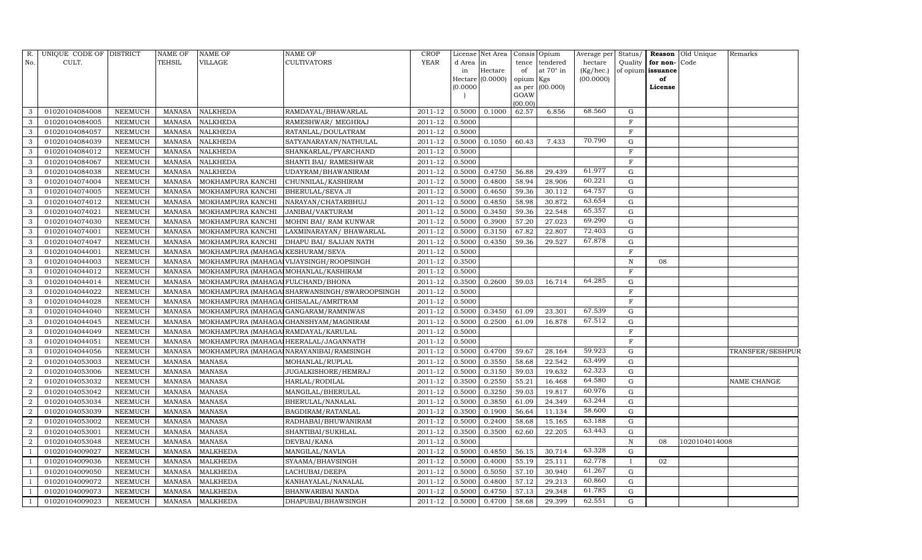| R.             | UNIQUE CODE OF DISTRICT |                | NAME OF       | <b>NAME OF</b>                         | <b>NAME OF</b>                               | <b>CROP</b> |          | License Net Area |           | Consis Opium      | Average per | Status/      |                   | <b>Reason</b> Old Unique | Remarks          |
|----------------|-------------------------|----------------|---------------|----------------------------------------|----------------------------------------------|-------------|----------|------------------|-----------|-------------------|-------------|--------------|-------------------|--------------------------|------------------|
| No.            | CULT.                   |                | <b>TEHSIL</b> | VILLAGE                                | CULTIVATORS                                  | <b>YEAR</b> | d Area   | in               | tence     | tendered          | hectare     | Quality      | for non-Code      |                          |                  |
|                |                         |                |               |                                        |                                              |             | in       | Hectare          | of        | at 70° in         | (Kg/hec.)   |              | of opium issuance |                          |                  |
|                |                         |                |               |                                        |                                              |             |          | Hectare (0.0000) | opium Kgs |                   | (00.0000)   |              | of                |                          |                  |
|                |                         |                |               |                                        |                                              |             | (0.0000) |                  | GOAW      | as per $(00.000)$ |             |              | License           |                          |                  |
|                |                         |                |               |                                        |                                              |             |          |                  | (00.00)   |                   |             |              |                   |                          |                  |
| 3              | 01020104084008          | NEEMUCH        | MANASA        | <b>NALKHEDA</b>                        | RAMDAYAL/BHAWARLAL                           | 2011-12     | 0.5000   | 0.1000           | 62.57     | 6.856             | 68.560      | G            |                   |                          |                  |
| 3              | 01020104084005          | NEEMUCH        | MANASA        | <b>NALKHEDA</b>                        | RAMESHWAR/ MEGHRAJ                           | 2011-12     | 0.5000   |                  |           |                   |             | $\mathbf F$  |                   |                          |                  |
| 3              | 01020104084057          | <b>NEEMUCH</b> | <b>MANASA</b> | <b>NALKHEDA</b>                        | RATANLAL/DOULATRAM                           | 2011-12     | 0.5000   |                  |           |                   |             | $\mathbf F$  |                   |                          |                  |
| 3              | 01020104084039          | NEEMUCH        | MANASA        | <b>NALKHEDA</b>                        | SATYANARAYAN/NATHULAL                        | 2011-12     | 0.5000   | 0.1050           | 60.43     | 7.433             | 70.790      | $\mathbf G$  |                   |                          |                  |
| 3              | 01020104084012          | NEEMUCH        | <b>MANASA</b> | <b>NALKHEDA</b>                        | SHANKARLAL/PYARCHAND                         | 2011-12     | 0.5000   |                  |           |                   |             | $\mathbf F$  |                   |                          |                  |
| 3              | 01020104084067          | <b>NEEMUCH</b> | <b>MANASA</b> | <b>NALKHEDA</b>                        | SHANTI BAI/ RAMESHWAR                        | 2011-12     | 0.5000   |                  |           |                   |             | $\mathbf F$  |                   |                          |                  |
| 3              | 01020104084038          | NEEMUCH        | <b>MANASA</b> | <b>NALKHEDA</b>                        | UDAYRAM/BHAWANIRAM                           | 2011-12     | 0.5000   | 0.4750           | 56.88     | 29.439            | 61.977      | G            |                   |                          |                  |
| 3              | 01020104074004          | <b>NEEMUCH</b> | MANASA        | MOKHAMPURA KANCHI                      | CHUNNILAL/KASHIRAM                           | 2011-12     | 0.5000   | 0.4800           | 58.94     | 28.906            | 60.221      | $\mathbf G$  |                   |                          |                  |
| 3              | 01020104074005          | <b>NEEMUCH</b> | <b>MANASA</b> | MOKHAMPURA KANCHI                      | BHERULAL/SEVA JI                             | 2011-12     | 0.5000   | 0.4650           | 59.36     | 30.112            | 64.757      | $\mathbf G$  |                   |                          |                  |
| 3              | 01020104074012          | NEEMUCH        | <b>MANASA</b> | MOKHAMPURA KANCHI                      | NARAYAN/CHATARBHUJ                           | 2011-12     | 0.5000   | 0.4850           | 58.98     | 30.872            | 63.654      | $\mathbf G$  |                   |                          |                  |
| 3              | 01020104074021          | <b>NEEMUCH</b> | <b>MANASA</b> | MOKHAMPURA KANCHI                      | <b>JANIBAI/VAKTURAM</b>                      | 2011-12     | 0.5000   | 0.3450           | 59.36     | 22.548            | 65.357      | $\mathbf G$  |                   |                          |                  |
| 3              | 01020104074030          | <b>NEEMUCH</b> | <b>MANASA</b> | MOKHAMPURA KANCHI                      | MOHNI BAI/ RAM KUNWAR                        | 2011-12     | 0.5000   | 0.3900           | 57.20     | 27.023            | 69.290      | $\mathbf G$  |                   |                          |                  |
| 3              | 01020104074001          | <b>NEEMUCH</b> | <b>MANASA</b> | MOKHAMPURA KANCHI                      | LAXMINARAYAN / BHAWARLAL                     | 2011-12     | 0.5000   | 0.3150           | 67.82     | 22.807            | 72.403      | $\mathbf G$  |                   |                          |                  |
| 3              | 01020104074047          | <b>NEEMUCH</b> | <b>MANASA</b> | MOKHAMPURA KANCHI                      | DHAPU BAI/ SAJJAN NATH                       | 2011-12     | 0.5000   | 0.4350           | 59.36     | 29.527            | 67.878      | G            |                   |                          |                  |
| 3              | 01020104044001          | NEEMUCH        | MANASA        | MOKHAMPURA (MAHAGAI KESHURAM/SEVA      |                                              | 2011-12     | 0.5000   |                  |           |                   |             | $\mathbf F$  |                   |                          |                  |
| 3              | 01020104044003          | <b>NEEMUCH</b> | MANASA        |                                        | MOKHAMPURA (MAHAGAJ VIJAYSINGH/ROOPSINGH     | 2011-12     | 0.3500   |                  |           |                   |             | N            | 08                |                          |                  |
| 3              | 01020104044012          | <b>NEEMUCH</b> | <b>MANASA</b> | MOKHAMPURA (MAHAGAI MOHANLAL/KASHIRAM  |                                              | 2011-12     | 0.5000   |                  |           |                   |             | $\mathbf F$  |                   |                          |                  |
| 3              | 01020104044014          | NEEMUCH        | MANASA        | MOKHAMPURA (MAHAGAI FULCHAND/BHONA     |                                              | 2011-12     | 0.3500   | 0.2600           | 59.03     | 16.714            | 64.285      | G            |                   |                          |                  |
| 3              | 01020104044022          | <b>NEEMUCH</b> | <b>MANASA</b> |                                        | MOKHAMPURA (MAHAGA SHARWANSINGH/SWAROOPSINGH | 2011-12     | 0.5000   |                  |           |                   |             | $\mathbf F$  |                   |                          |                  |
| 3              | 01020104044028          | <b>NEEMUCH</b> | <b>MANASA</b> | MOKHAMPURA (MAHAGAI GHISALAL/AMRITRAM  |                                              | 2011-12     | 0.5000   |                  |           |                   |             | $\rm F$      |                   |                          |                  |
| 3              | 01020104044040          | NEEMUCH        | MANASA        | MOKHAMPURA (MAHAGAI GANGARAM/RAMNIWAS  |                                              | 2011-12     | 0.5000   | 0.3450           | 61.09     | 23.301            | 67.539      | ${\rm G}$    |                   |                          |                  |
| 3              | 01020104044045          | NEEMUCH        | <b>MANASA</b> |                                        | MOKHAMPURA (MAHAGAI GHANSHYAM/MAGNIRAM       | 2011-12     | 0.5000   | 0.2500           | 61.09     | 16.878            | 67.512      | G            |                   |                          |                  |
| 3              | 01020104044049          | <b>NEEMUCH</b> | <b>MANASA</b> | MOKHAMPURA (MAHAGA RAMDAYAL/KARULAL    |                                              | 2011-12     | 0.5000   |                  |           |                   |             | $\mathbf F$  |                   |                          |                  |
| 3              | 01020104044051          | <b>NEEMUCH</b> | <b>MANASA</b> | MOKHAMPURA (MAHAGAI HEERALAL/JAGANNATH |                                              | 2011-12     | 0.5000   |                  |           |                   |             | $\mathbf F$  |                   |                          |                  |
|                | 01020104044056          | <b>NEEMUCH</b> | <b>MANASA</b> |                                        | MOKHAMPURA (MAHAGAI NARAYANIBAI/RAMSINGH     | 2011-12     | 0.5000   | 0.4700           | 59.67     | 28.164            | 59.923      | $\mathbf G$  |                   |                          | TRANSFER/SESHPUR |
| $\overline{2}$ | 01020104053003          | <b>NEEMUCH</b> | <b>MANASA</b> | <b>MANASA</b>                          | MOHANLAL/RUPLAL                              | 2011-12     | 0.5000   | 0.3550           | 58.68     | 22.542            | 63.499      | G            |                   |                          |                  |
| $\overline{2}$ | 01020104053006          | <b>NEEMUCH</b> | <b>MANASA</b> | <b>MANASA</b>                          | JUGALKISHORE/HEMRAJ                          | 2011-12     | 0.5000   | 0.3150           | 59.03     | 19.632            | 62.323      | ${\rm G}$    |                   |                          |                  |
| $\overline{2}$ | 01020104053032          | NEEMUCH        | <b>MANASA</b> | <b>MANASA</b>                          | HARLAL/RODILAL                               | 2011-12     | 0.3500   | 0.2550           | 55.21     | 16.468            | 64.580      | $\mathbf G$  |                   |                          | NAME CHANGE      |
|                | 01020104053042          | NEEMUCH        | <b>MANASA</b> | <b>MANASA</b>                          | MANGILAL/BHERULAL                            | 2011-12     | 0.5000   | 0.3250           | 59.03     | 19.817            | 60.976      | ${\rm G}$    |                   |                          |                  |
| $\overline{2}$ | 01020104053034          | <b>NEEMUCH</b> | <b>MANASA</b> | <b>MANASA</b>                          | BHERULAL/NANALAL                             | 2011-12     | 0.5000   | 0.3850           | 61.09     | 24.349            | 63.244      | ${\rm G}$    |                   |                          |                  |
| $\overline{2}$ | 01020104053039          | NEEMUCH        | MANASA        | <b>MANASA</b>                          | BAGDIRAM/RATANLAL                            | 2011-12     | 0.3500   | 0.1900           | 56.64     | 11.134            | 58.600      | $\mathbf G$  |                   |                          |                  |
| $\overline{2}$ | 01020104053002          | NEEMUCH        | <b>MANASA</b> | <b>MANASA</b>                          | RADHABAI/BHUWANIRAM                          | 2011-12     | 0.5000   | 0.2400           | 58.68     | 15.165            | 63.188      | $\mathbf G$  |                   |                          |                  |
|                | 01020104053001          | <b>NEEMUCH</b> | <b>MANASA</b> | <b>MANASA</b>                          | SHANTIBAI/SUKHLAL                            | 2011-12     | 0.3500   | 0.3500           | 62.60     | 22.205            | 63.443      | $\mathbf G$  |                   |                          |                  |
| $\overline{2}$ | 01020104053048          | <b>NEEMUCH</b> | <b>MANASA</b> | <b>MANASA</b>                          | DEVBAI/KANA                                  | 2011-12     | 0.5000   |                  |           |                   |             | $\mathbf N$  | 08                | 1020104014008            |                  |
|                | 01020104009027          | NEEMUCH        | <b>MANASA</b> | <b>MALKHEDA</b>                        | MANGILAL/NAVLA                               | 2011-12     | 0.5000   | 0.4850           | 56.15     | 30.714            | 63.328      | $\mathbf G$  |                   |                          |                  |
|                | 01020104009036          | <b>NEEMUCH</b> | <b>MANASA</b> | <b>MALKHEDA</b>                        | SYAAMA/BHAVSINGH                             | 2011-12     | 0.5000   | 0.4000           | 55.19     | 25.111            | 62.778      | $\mathbf{I}$ | 02                |                          |                  |
|                | 01020104009050          | NEEMUCH        | MANASA        | <b>MALKHEDA</b>                        | LACHUBAI/DEEPA                               | 2011-12     | 0.5000   | 0.5050           | 57.10     | 30.940            | 61.267      | G            |                   |                          |                  |
|                | 01020104009072          | NEEMUCH        | <b>MANASA</b> | <b>MALKHEDA</b>                        | KANHAYALAL/NANALAL                           | 2011-12     | 0.5000   | 0.4800           | 57.12     | 29.213            | 60.860      | G            |                   |                          |                  |
|                | 01020104009073          | <b>NEEMUCH</b> | MANASA        | <b>MALKHEDA</b>                        | BHANWARIBAI NANDA                            | $2011 - 12$ | 0.5000   | 0.4750           | 57.13     | 29.348            | 61.785      | G            |                   |                          |                  |
| $\overline{1}$ | 01020104009023          | <b>NEEMUCH</b> |               | MANASA MALKHEDA                        | DHAPUBAI/BHAWSINGH                           | 2011-12     | 0.5000   | 0.4700           | 58.68     | 29.399            | 62.551      | G            |                   |                          |                  |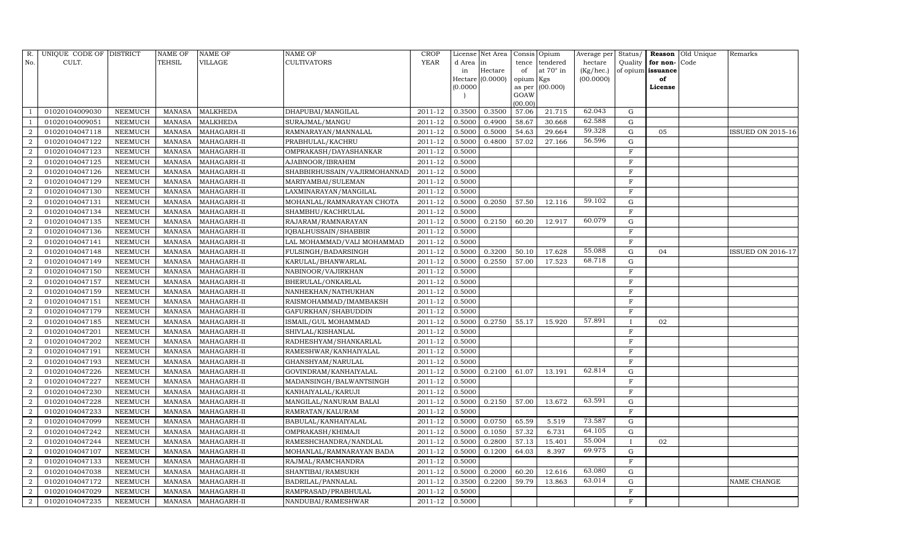| R.             | UNIQUE CODE OF DISTRICT |                | <b>NAME OF</b> | <b>NAME OF</b>     | <b>NAME OF</b>               | CROP           |           | License Net Area |                | Consis Opium     | Average per | Status/      | Reason            | Old Unique | Remarks           |
|----------------|-------------------------|----------------|----------------|--------------------|------------------------------|----------------|-----------|------------------|----------------|------------------|-------------|--------------|-------------------|------------|-------------------|
| No.            | CULT.                   |                | <b>TEHSIL</b>  | VILLAGE            | <b>CULTIVATORS</b>           | <b>YEAR</b>    | d Area in |                  | tence          | tendered         | hectare     | Quality      | for non-          | Code       |                   |
|                |                         |                |                |                    |                              |                | in        | Hectare          | of             | at $70^\circ$ in | (Kg/hec.)   |              | of opium issuance |            |                   |
|                |                         |                |                |                    |                              |                |           | Hectare (0.0000) | opium Kgs      |                  | (00.0000)   |              | of                |            |                   |
|                |                         |                |                |                    |                              |                | (0.0000)  |                  | as per<br>GOAW | (00.000)         |             |              | License           |            |                   |
|                |                         |                |                |                    |                              |                |           |                  | (00.00)        |                  |             |              |                   |            |                   |
|                | 01020104009030          | NEEMUCH        | MANASA         | <b>MALKHEDA</b>    | DHAPUBAI/MANGILAL            | 2011-12        | 0.3500    | 0.3500           | 57.06          | 21.715           | 62.043      | G            |                   |            |                   |
|                | 01020104009051          | NEEMUCH        | MANASA         | <b>MALKHEDA</b>    | SURAJMAL/MANGU               | 2011-12        | 0.5000    | 0.4900           | 58.67          | 30.668           | 62.588      | G            |                   |            |                   |
| $\overline{2}$ | 01020104047118          | NEEMUCH        | MANASA         | MAHAGARH-II        | RAMNARAYAN/MANNALAL          | 2011-12        | 0.5000    | 0.5000           | 54.63          | 29.664           | 59.328      | G            | 05                |            | ISSUED ON 2015-16 |
| $\overline{2}$ | 01020104047122          | NEEMUCH        | MANASA         | MAHAGARH-II        | PRABHULAL/KACHRU             | 2011-12        | 0.5000    | 0.4800           | 57.02          | 27.166           | 56.596      | G            |                   |            |                   |
| $\overline{2}$ | 01020104047123          | NEEMUCH        | MANASA         | MAHAGARH-II        | OMPRAKASH/DAYASHANKAR        | 2011-12        | 0.5000    |                  |                |                  |             | $\mathbf F$  |                   |            |                   |
| $\overline{2}$ | 01020104047125          | <b>NEEMUCH</b> | <b>MANASA</b>  | MAHAGARH-II        | AJABNOOR/IBRAHIM             | 2011-12        | 0.5000    |                  |                |                  |             | $\mathbf F$  |                   |            |                   |
| $\overline{2}$ | 01020104047126          | <b>NEEMUCH</b> | <b>MANASA</b>  | MAHAGARH-II        | SHABBIRHUSSAIN/VAJIRMOHANNAD | 2011-12        | 0.5000    |                  |                |                  |             | $\rm F$      |                   |            |                   |
| $\overline{2}$ | 01020104047129          | NEEMUCH        | MANASA         | MAHAGARH-II        | MARIYAMBAI/SULEMAN           | 2011-12        | 0.5000    |                  |                |                  |             | F            |                   |            |                   |
| $\overline{2}$ | 01020104047130          | <b>NEEMUCH</b> | MANASA         | MAHAGARH-II        | LAXMINARAYAN/MANGILAL        | 2011-12        | 0.5000    |                  |                |                  |             | $\mathbf{F}$ |                   |            |                   |
| $\overline{2}$ | 01020104047131          | NEEMUCH        | <b>MANASA</b>  | MAHAGARH-II        | MOHANLAL/RAMNARAYAN CHOTA    | 2011-12        | 0.5000    | 0.2050           | 57.50          | 12.116           | 59.102      | $\mathbf G$  |                   |            |                   |
| $\overline{2}$ | 01020104047134          | <b>NEEMUCH</b> | <b>MANASA</b>  | MAHAGARH-II        | SHAMBHU/KACHRULAL            | 2011-12        | 0.5000    |                  |                |                  |             | $\rm F$      |                   |            |                   |
| $\overline{2}$ | 01020104047135          | NEEMUCH        | MANASA         | MAHAGARH-II        | RAJARAM/RAMNARAYAN           | 2011-12        | 0.5000    | 0.2150           | 60.20          | 12.917           | 60.079      | $\mathbf G$  |                   |            |                   |
| $\overline{2}$ | 01020104047136          | NEEMUCH        | <b>MANASA</b>  | MAHAGARH-II        | IQBALHUSSAIN/SHABBIR         | 2011-12        | 0.5000    |                  |                |                  |             | $\mathbf F$  |                   |            |                   |
| $\overline{2}$ | 01020104047141          | <b>NEEMUCH</b> | MANASA         | MAHAGARH-II        | LAL MOHAMMAD/VALI MOHAMMAD   | 2011-12        | 0.5000    |                  |                |                  |             | $\mathbf F$  |                   |            |                   |
| $\overline{2}$ | 01020104047148          | <b>NEEMUCH</b> | <b>MANASA</b>  | MAHAGARH-II        | FULSINGH/BADARSINGH          | 2011-12        | 0.5000    | 0.3200           | 50.10          | 17.628           | 55.088      | G            | 04                |            | ISSUED ON 2016-17 |
| 2              | 01020104047149          | <b>NEEMUCH</b> | MANASA         | MAHAGARH-II        | KARULAL/BHANWARLAL           | 2011-12        | 0.5000    | 0.2550           | 57.00          | 17.523           | 68.718      | ${\rm G}$    |                   |            |                   |
| $\overline{2}$ | 01020104047150          | NEEMUCH        | <b>MANASA</b>  | MAHAGARH-II        | NABINOOR/VAJIRKHAN           | 2011-12        | 0.5000    |                  |                |                  |             | $\mathbf F$  |                   |            |                   |
| $\overline{2}$ | 01020104047157          | NEEMUCH        | MANASA         | MAHAGARH-II        | BHERULAL/ONKARLAL            | 2011-12        | 0.5000    |                  |                |                  |             | F            |                   |            |                   |
| $\overline{2}$ | 01020104047159          | <b>NEEMUCH</b> | <b>MANASA</b>  | MAHAGARH-II        | NANHEKHAN/NATHUKHAN          | 2011-12        | 0.5000    |                  |                |                  |             | $\mathbf{F}$ |                   |            |                   |
| $\overline{2}$ | 01020104047151          | NEEMUCH        | MANASA         | MAHAGARH-II        | RAISMOHAMMAD/IMAMBAKSH       | 2011-12        | 0.5000    |                  |                |                  |             | F            |                   |            |                   |
| $\overline{2}$ | 01020104047179          | NEEMUCH        | <b>MANASA</b>  | MAHAGARH-II        | GAFURKHAN/SHABUDDIN          | 2011-12        | 0.5000    |                  |                |                  |             | F            |                   |            |                   |
| $\overline{2}$ | 01020104047185          | NEEMUCH        | MANASA         | MAHAGARH-II        | ISMAIL/GUL MOHAMMAD          | 2011-12        | 0.5000    | 0.2750           | 55.17          | 15.920           | 57.891      | $\bf{I}$     | 02                |            |                   |
| $\overline{2}$ | 01020104047201          | NEEMUCH        | MANASA         | MAHAGARH-II        | SHIVLAL/KISHANLAL            | 2011-12        | 0.5000    |                  |                |                  |             | F            |                   |            |                   |
| $\overline{2}$ | 01020104047202          | NEEMUCH        | MANASA         | MAHAGARH-II        | RADHESHYAM/SHANKARLAL        | 2011-12        | 0.5000    |                  |                |                  |             | F            |                   |            |                   |
| $\overline{2}$ | 01020104047191          | <b>NEEMUCH</b> | <b>MANASA</b>  | MAHAGARH-II        | RAMESHWAR/KANHAIYALAL        | 2011-12        | 0.5000    |                  |                |                  |             | F            |                   |            |                   |
| $\overline{2}$ | 01020104047193          | NEEMUCH        | MANASA         | MAHAGARH-II        | GHANSHYAM/NARULAL            | 2011-12        | 0.5000    |                  |                |                  |             | $\rm F$      |                   |            |                   |
| $\overline{2}$ | 01020104047226          | NEEMUCH        | MANASA         | MAHAGARH-II        | GOVINDRAM/KANHAIYALAL        | 2011-12        | 0.5000    | 0.2100           | 61.07          | 13.191           | 62.814      | G            |                   |            |                   |
| $\overline{2}$ | 01020104047227          | <b>NEEMUCH</b> | MANASA         | MAHAGARH-II        | MADANSINGH/BALWANTSINGH      | 2011-12        | 0.5000    |                  |                |                  |             | $\mathbf{F}$ |                   |            |                   |
| $\overline{2}$ | 01020104047230          | NEEMUCH        | <b>MANASA</b>  | MAHAGARH-II        | KANHAIYALAL/KARUJI           | 2011-12        | 0.5000    |                  |                |                  |             | $\mathbf F$  |                   |            |                   |
| $\overline{2}$ | 01020104047228          | <b>NEEMUCH</b> | <b>MANASA</b>  | MAHAGARH-II        | MANGILAL/NANURAM BALAI       | 2011-12        | 0.5000    | 0.2150           | 57.00          | 13.672           | 63.591      | G            |                   |            |                   |
| $\overline{2}$ | 01020104047233          | NEEMUCH        | MANASA         | MAHAGARH-II        | RAMRATAN/KALURAM             | 2011-12        | 0.5000    |                  |                |                  |             | $\mathbf F$  |                   |            |                   |
| $\overline{2}$ | 01020104047099          | <b>NEEMUCH</b> | MANASA         | MAHAGARH-II        | BABULAL/KANHAIYALAL          | 2011-12        | 0.5000    | 0.0750           | 65.59          | 5.519            | 73.587      | ${\rm G}$    |                   |            |                   |
| $\overline{2}$ | 01020104047242          | <b>NEEMUCH</b> | <b>MANASA</b>  | MAHAGARH-II        | OMPRAKASH/KHIMAJI            | 2011-12        | 0.5000    | 0.1050           | 57.32          | 6.731            | 64.105      | $\mathbf G$  |                   |            |                   |
| $\overline{2}$ | 01020104047244          | NEEMUCH        | MANASA         | MAHAGARH-II        | RAMESHCHANDRA/NANDLAL        | 2011-12        | 0.5000    | 0.2800           | 57.13          | 15.401           | 55.004      | $\mathbf{I}$ | 02                |            |                   |
| $\overline{2}$ | 01020104047107          | <b>NEEMUCH</b> | <b>MANASA</b>  | MAHAGARH-II        | MOHANLAL/RAMNARAYAN BADA     | 2011-12        | 0.5000    | 0.1200           | 64.03          | 8.397            | 69.975      | ${\rm G}$    |                   |            |                   |
| $\overline{2}$ | 01020104047133          | <b>NEEMUCH</b> | MANASA         | MAHAGARH-II        | RAJMAL/RAMCHANDRA            | 2011-12        | 0.5000    |                  |                |                  |             | $\mathbf F$  |                   |            |                   |
| $\overline{2}$ | 01020104047038          | NEEMUCH        | MANASA         | MAHAGARH-II        | SHANTIBAI/RAMSUKH            | 2011-12        | 0.5000    | 0.2000           | 60.20          | 12.616           | 63.080      | ${\rm G}$    |                   |            |                   |
| $\overline{2}$ | 01020104047172          | <b>NEEMUCH</b> | <b>MANASA</b>  | MAHAGARH-II        | BADRILAL/PANNALAL            | 2011-12        | 0.3500    | 0.2200           | 59.79          | 13.863           | 63.014      | ${\rm G}$    |                   |            | NAME CHANGE       |
| $\overline{2}$ | 01020104047029          | <b>NEEMUCH</b> | MANASA         | MAHAGARH-II        | RAMPRASAD/PRABHULAL          | 2011-12        | 0.5000    |                  |                |                  |             | F            |                   |            |                   |
| $\sqrt{2}$     | 01020104047235          | <b>NEEMUCH</b> |                | MANASA MAHAGARH-II | NANDUBAI/RAMESHWAR           | 2011-12 0.5000 |           |                  |                |                  |             | $\mathbf F$  |                   |            |                   |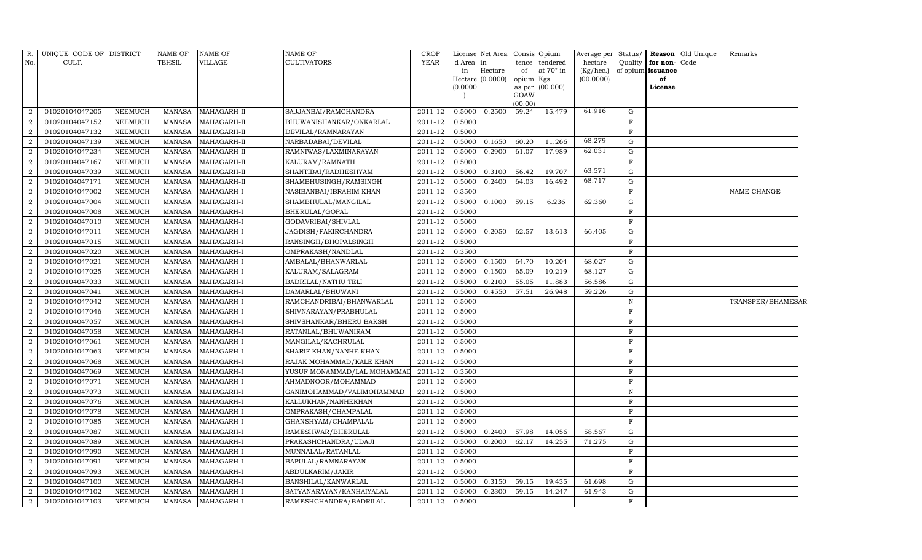|                   | Remarks     | <b>Reason</b> Old Unique |                   |              | Average per Status/ | Opium     | Consis         | Net Area | License  | <b>CROP</b> | <b>NAME OF</b>              | <b>NAME OF</b> | <b>NAME OF</b> |                | UNIQUE CODE OF DISTRICT | R.               |
|-------------------|-------------|--------------------------|-------------------|--------------|---------------------|-----------|----------------|----------|----------|-------------|-----------------------------|----------------|----------------|----------------|-------------------------|------------------|
|                   |             |                          | for non-Code      | Quality      | hectare             | tendered  | tence          | in       | d Area   | <b>YEAR</b> | <b>CULTIVATORS</b>          | VILLAGE        | <b>TEHSIL</b>  |                | CULT.                   | No.              |
|                   |             |                          | of opium issuance |              | (Kg/hec.)           | at 70° in | of             | Hectare  | in       |             |                             |                |                |                |                         |                  |
|                   |             |                          | of                |              | (00.0000)           | Kgs       | opium          | (0.0000) | Hectare  |             |                             |                |                |                |                         |                  |
|                   |             |                          | License           |              |                     | (00.000)  | as per<br>GOAW |          | (0.0000) |             |                             |                |                |                |                         |                  |
|                   |             |                          |                   |              |                     |           | (00.00)        |          |          |             |                             |                |                |                |                         |                  |
|                   |             |                          |                   | $\mathbf G$  | 61.916              | 15.479    | 59.24          | 0.2500   | 0.5000   | 2011-12     | SAJJANBAI/RAMCHANDRA        | MAHAGARH-II    | <b>MANASA</b>  | NEEMUCH        | 01020104047205          | $\overline{2}$   |
|                   |             |                          |                   | $\mathbf F$  |                     |           |                |          | 0.5000   | 2011-12     | BHUWANISHANKAR/ONKARLAL     | MAHAGARH-II    | <b>MANASA</b>  | <b>NEEMUCH</b> | 01020104047152          | $\overline{2}$   |
|                   |             |                          |                   | $\, {\rm F}$ |                     |           |                |          | 0.5000   | 2011-12     | DEVILAL/RAMNARAYAN          | MAHAGARH-II    | <b>MANASA</b>  | NEEMUCH        | 01020104047132          | $\overline{2}$   |
|                   |             |                          |                   | ${\rm G}$    | 68.279              | 11.266    | 60.20          | 0.1650   | 0.5000   | 2011-12     | NARBADABAI/DEVILAL          | MAHAGARH-II    | <b>MANASA</b>  | <b>NEEMUCH</b> | 01020104047139          | $\overline{a}$   |
|                   |             |                          |                   | $\mathbf G$  | 62.031              | 17.989    | 61.07          | 0.2900   | 0.5000   | 2011-12     | RAMNIWAS/LAXMINARAYAN       | MAHAGARH-II    | <b>MANASA</b>  | <b>NEEMUCH</b> | 01020104047234          | $\overline{2}$   |
|                   |             |                          |                   | $\mathbf F$  |                     |           |                |          | 0.5000   | 2011-12     | KALURAM/RAMNATH             | MAHAGARH-II    | <b>MANASA</b>  | <b>NEEMUCH</b> | 01020104047167          | $\overline{2}$   |
|                   |             |                          |                   | G            | 63.571              | 19.707    | 56.42          | 0.3100   | 0.5000   | 2011-12     | SHANTIBAI/RADHESHYAM        | MAHAGARH-II    | <b>MANASA</b>  | <b>NEEMUCH</b> | 01020104047039          | $\overline{2}$   |
|                   |             |                          |                   | ${\rm G}$    | 68.717              | 16.492    | 64.03          | 0.2400   | 0.5000   | 2011-12     | SHAMBHUSINGH/RAMSINGH       | MAHAGARH-II    | <b>MANASA</b>  | <b>NEEMUCH</b> | 01020104047171          | $\overline{a}$   |
|                   | NAME CHANGE |                          |                   | $\mathbf{F}$ |                     |           |                |          | 0.3500   | 2011-12     | NASIBANBAI/IBRAHIM KHAN     | MAHAGARH-I     | <b>MANASA</b>  | <b>NEEMUCH</b> | 01020104047002          | $\overline{a}$   |
|                   |             |                          |                   | ${\rm G}$    | 62.360              | 6.236     | 59.15          | 0.1000   | 0.5000   | 2011-12     | SHAMBHULAL/MANGILAL         | MAHAGARH-I     | <b>MANASA</b>  | <b>NEEMUCH</b> | 01020104047004          | $\overline{a}$   |
|                   |             |                          |                   | $_{\rm F}$   |                     |           |                |          | 0.5000   | 2011-12     | BHERULAL/GOPAL              | MAHAGARH-I     | <b>MANASA</b>  | <b>NEEMUCH</b> | 01020104047008          | $\overline{a}$   |
|                   |             |                          |                   | F            |                     |           |                |          | 0.5000   | 2011-12     | GODAVRIBAI/SHIVLAL          | MAHAGARH-I     | <b>MANASA</b>  | <b>NEEMUCH</b> | 01020104047010          | $\overline{2}$   |
|                   |             |                          |                   | ${\rm G}$    | 66.405              | 13.613    | 62.57          | 0.2050   | 0.5000   | 2011-12     | JAGDISH/FAKIRCHANDRA        | MAHAGARH-I     | <b>MANASA</b>  | <b>NEEMUCH</b> | 01020104047011          | $\overline{2}$   |
|                   |             |                          |                   | $\mathbf F$  |                     |           |                |          | 0.5000   | 2011-12     | RANSINGH/BHOPALSINGH        | MAHAGARH-I     | MANASA         | <b>NEEMUCH</b> | 01020104047015          | $\overline{2}$   |
|                   |             |                          |                   | $\mathbf F$  |                     |           |                |          | 0.3500   | 2011-12     | OMPRAKASH/NANDLAL           | MAHAGARH-I     | <b>MANASA</b>  | <b>NEEMUCH</b> | 01020104047020          | $\overline{2}$   |
|                   |             |                          |                   | $\mathbf G$  | 68.027              | 10.204    | 64.70          | 0.1500   | 0.5000   | 2011-12     | AMBALAL/BHANWARLAL          | MAHAGARH-I     | <b>MANASA</b>  | <b>NEEMUCH</b> | 01020104047021          | $\overline{2}$   |
|                   |             |                          |                   | $\mathbf G$  | 68.127              | 10.219    | 65.09          | 0.1500   | 0.5000   | 2011-12     | KALURAM/SALAGRAM            | MAHAGARH-I     | <b>MANASA</b>  | <b>NEEMUCH</b> | 01020104047025          | 2                |
|                   |             |                          |                   | G            | 56.586              | 11.883    | 55.05          | 0.2100   | 0.5000   | 2011-12     | BADRILAL/NATHU TELI         | MAHAGARH-I     | <b>MANASA</b>  | <b>NEEMUCH</b> | 01020104047033          | $\overline{2}$   |
|                   |             |                          |                   | G            | 59.226              | 26.948    | 57.51          | 0.4550   | 0.5000   | 2011-12     | DAMARLAL/BHUWANI            | MAHAGARH-I     | <b>MANASA</b>  | <b>NEEMUCH</b> | 01020104047041          | $\overline{2}$   |
| TRANSFER/BHAMESAR |             |                          |                   | $\, {\rm N}$ |                     |           |                |          | 0.5000   | 2011-12     |                             | MAHAGARH-I     | <b>MANASA</b>  | <b>NEEMUCH</b> | 01020104047042          | $\overline{a}$   |
|                   |             |                          |                   | $\mathbf F$  |                     |           |                |          | 0.5000   | 2011-12     | SHIVNARAYAN/PRABHULAL       | MAHAGARH-I     | <b>MANASA</b>  | <b>NEEMUCH</b> | 01020104047046          | $\overline{a}$   |
|                   |             |                          |                   | $\mathbf F$  |                     |           |                |          | 0.5000   | 2011-12     | SHIVSHANKAR/BHERU BAKSH     | MAHAGARH-I     | <b>MANASA</b>  | <b>NEEMUCH</b> | 01020104047057          | $\overline{2}$   |
|                   |             |                          |                   | $\mathbf F$  |                     |           |                |          | 0.5000   | 2011-12     | RATANLAL/BHUWANIRAM         | MAHAGARH-I     | <b>MANASA</b>  | <b>NEEMUCH</b> | 01020104047058          | $\overline{2}$   |
|                   |             |                          |                   | $\mathbf F$  |                     |           |                |          | 0.5000   | 2011-12     | MANGILAL/KACHRULAL          | MAHAGARH-I     | <b>MANASA</b>  | <b>NEEMUCH</b> | 01020104047061          | $\overline{a}$   |
|                   |             |                          |                   | $\mathbf F$  |                     |           |                |          | 0.5000   | 2011-12     | SHARIF KHAN/NANHE KHAN      | MAHAGARH-I     | <b>MANASA</b>  | <b>NEEMUCH</b> | 01020104047063          | 2                |
|                   |             |                          |                   | $\mathbf F$  |                     |           |                |          | 0.5000   | 2011-12     | RAJAK MOHAMMAD/KALE KHAN    | MAHAGARH-I     | <b>MANASA</b>  | <b>NEEMUCH</b> | 01020104047068          | $\overline{2}$   |
|                   |             |                          |                   | $\mathbf F$  |                     |           |                |          | 0.3500   | 2011-12     | YUSUF MONAMMAD/LAL MOHAMMAI | MAHAGARH-I     | <b>MANASA</b>  | <b>NEEMUCH</b> | 01020104047069          | 2                |
|                   |             |                          |                   | $\mathbf F$  |                     |           |                |          | 0.5000   | 2011-12     | AHMADNOOR/MOHAMMAD          | MAHAGARH-I     | <b>MANASA</b>  | <b>NEEMUCH</b> | 01020104047071          | $\boldsymbol{2}$ |
|                   |             |                          |                   | $\mathbf N$  |                     |           |                |          | 0.5000   | 2011-12     | GANIMOHAMMAD/VALIMOHAMMAD   | MAHAGARH-I     | <b>MANASA</b>  | <b>NEEMUCH</b> | 01020104047073          | $\overline{a}$   |
|                   |             |                          |                   | $\, {\rm F}$ |                     |           |                |          | 0.5000   | 2011-12     | KALLUKHAN/NANHEKHAN         | MAHAGARH-I     | <b>MANASA</b>  | NEEMUCH        | 01020104047076          | $\overline{a}$   |
|                   |             |                          |                   | $\mathbf F$  |                     |           |                |          | 0.5000   | 2011-12     | OMPRAKASH/CHAMPALAL         | MAHAGARH-I     | <b>MANASA</b>  | <b>NEEMUCH</b> | 01020104047078          | $\overline{2}$   |
|                   |             |                          |                   | $\mathbf F$  |                     |           |                |          | 0.5000   | 2011-12     | GHANSHYAM/CHAMPALAL         | MAHAGARH-I     | <b>MANASA</b>  | <b>NEEMUCH</b> | 01020104047085          | $\overline{2}$   |
|                   |             |                          |                   | $\mathbf G$  | 58.567              | 14.056    | 57.98          | 0.2400   | 0.5000   | 2011-12     | RAMESHWAR/BHERULAL          | MAHAGARH-I     | <b>MANASA</b>  | <b>NEEMUCH</b> | 01020104047087          | $\overline{a}$   |
|                   |             |                          |                   | ${\rm G}$    | 71.275              | 14.255    | 62.17          | 0.2000   | 0.5000   | 2011-12     | PRAKASHCHANDRA/UDAJI        | MAHAGARH-I     | <b>MANASA</b>  | <b>NEEMUCH</b> | 01020104047089          | $\sqrt{2}$       |
|                   |             |                          |                   | $\mathbf F$  |                     |           |                |          | 0.5000   | 2011-12     | MUNNALAL/RATANLAL           | MAHAGARH-I     | <b>MANASA</b>  | <b>NEEMUCH</b> | 01020104047090          | $\overline{2}$   |
|                   |             |                          |                   | $\mathbf F$  |                     |           |                |          | 0.5000   | 2011-12     | BAPULAL/RAMNARAYAN          | MAHAGARH-I     | <b>MANASA</b>  | <b>NEEMUCH</b> | 01020104047091          | 2                |
|                   |             |                          |                   | F            |                     |           |                |          | 0.5000   | $2011 - 12$ | ABDULKARIM/JAKIR            | MAHAGARH-I     | <b>MANASA</b>  | <b>NEEMUCH</b> | 01020104047093          | $\overline{2}$   |
|                   |             |                          |                   | ${\rm G}$    | 61.698              | 19.435    | 59.15          | 0.3150   | 0.5000   | 2011-12     | BANSHILAL/KANWARLAL         | MAHAGARH-I     | <b>MANASA</b>  | <b>NEEMUCH</b> | 01020104047100          | $\overline{2}$   |
|                   |             |                          |                   | ${\rm G}$    | 61.943              | 14.247    | 59.15          | 0.2300   | 0.5000   | 2011-12     | SATYANARAYAN/KANHAIYALAL    | MAHAGARH-I     | <b>MANASA</b>  | <b>NEEMUCH</b> | 01020104047102          | $\boldsymbol{2}$ |
|                   |             |                          |                   | $\mathbf F$  |                     |           |                |          | 0.5000   | 2011-12     | RAMESHCHANDRA/BADRILAL      | MAHAGARH-I     | <b>MANASA</b>  | NEEMUCH        | 01020104047103          | $\overline{2}$   |
|                   |             |                          |                   |              |                     |           |                |          |          |             | RAMCHANDRIBAI/BHANWARLAL    |                |                |                |                         |                  |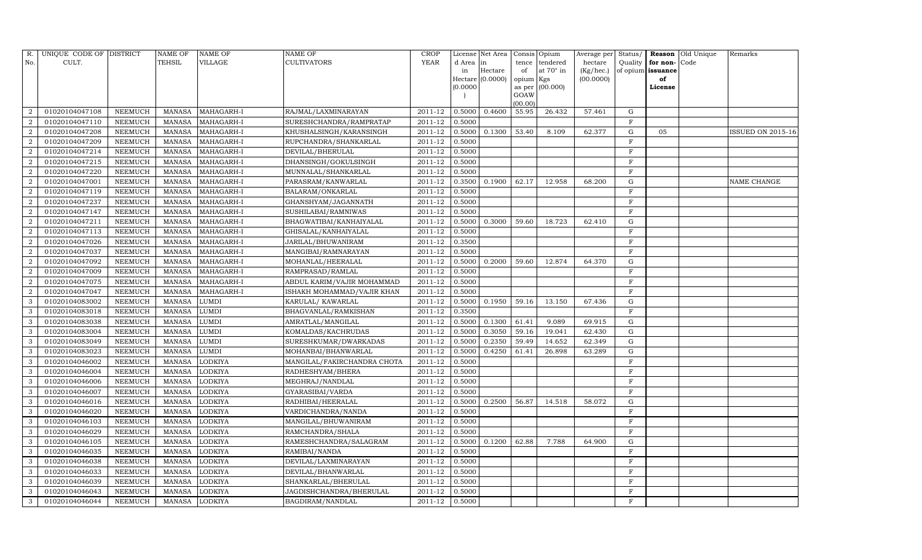| R.             | UNIQUE CODE OF DISTRICT |                | NAME OF       | NAME OF        | NAME OF                     | <b>CROP</b> |           | License Net Area |                | Consis Opium | Average per | Status/      | Reason            | Old Unique | Remarks           |
|----------------|-------------------------|----------------|---------------|----------------|-----------------------------|-------------|-----------|------------------|----------------|--------------|-------------|--------------|-------------------|------------|-------------------|
| No.            | CULT.                   |                | TEHSIL        | VILLAGE        | <b>CULTIVATORS</b>          | <b>YEAR</b> | d Area in |                  | tence          | tendered     | hectare     | Quality      | for non-          | Code       |                   |
|                |                         |                |               |                |                             |             | in        | Hectare          | of             | at 70° in    | (Kg/hec.)   |              | of opium issuance |            |                   |
|                |                         |                |               |                |                             |             |           | Hectare (0.0000) | opium Kgs      |              | (00.0000)   |              | of                |            |                   |
|                |                         |                |               |                |                             |             | (0.0000)  |                  | as per<br>GOAW | (00.000)     |             |              | License           |            |                   |
|                |                         |                |               |                |                             |             |           |                  | (00.00)        |              |             |              |                   |            |                   |
|                | 01020104047108          | NEEMUCH        | MANASA        | MAHAGARH-I     | RAJMAL/LAXMINARAYAN         | 2011-12     | 0.5000    | 0.4600           | 55.95          | 26.432       | 57.461      | G            |                   |            |                   |
| $\overline{2}$ | 01020104047110          | NEEMUCH        | MANASA        | MAHAGARH-I     | SURESHCHANDRA/RAMPRATAP     | 2011-12     | 0.5000    |                  |                |              |             | F            |                   |            |                   |
| $\overline{2}$ | 01020104047208          | NEEMUCH        | MANASA        | MAHAGARH-I     | KHUSHALSINGH/KARANSINGH     | 2011-12     | 0.5000    | 0.1300           | 53.40          | 8.109        | 62.377      | G            | 05                |            | ISSUED ON 2015-16 |
| $\mathcal{D}$  | 01020104047209          | NEEMUCH        | MANASA        | MAHAGARH-I     | RUPCHANDRA/SHANKARLAL       | 2011-12     | 0.5000    |                  |                |              |             | F            |                   |            |                   |
| 2              | 01020104047214          | NEEMUCH        | <b>MANASA</b> | MAHAGARH-I     | DEVILAL/BHERULAL            | 2011-12     | 0.5000    |                  |                |              |             | F            |                   |            |                   |
|                | 01020104047215          | NEEMUCH        | <b>MANASA</b> | MAHAGARH-I     | DHANSINGH/GOKULSINGH        | 2011-12     | 0.5000    |                  |                |              |             | F            |                   |            |                   |
| $\mathcal{D}$  | 01020104047220          | NEEMUCH        | <b>MANASA</b> | MAHAGARH-I     | MUNNALAL/SHANKARLAL         | 2011-12     | 0.5000    |                  |                |              |             | $\rm F$      |                   |            |                   |
| 2              | 01020104047001          | NEEMUCH        | <b>MANASA</b> | MAHAGARH-I     | PARASRAM/KANWARLAL          | 2011-12     | 0.3500    | 0.1900           | 62.17          | 12.958       | 68.200      | G            |                   |            | NAME CHANGE       |
| 2              | 01020104047119          | NEEMUCH        | <b>MANASA</b> | MAHAGARH-I     | BALARAM/ONKARLAL            | 2011-12     | 0.5000    |                  |                |              |             | $\mathbf{F}$ |                   |            |                   |
|                | 01020104047237          | NEEMUCH        | <b>MANASA</b> | MAHAGARH-I     | GHANSHYAM/JAGANNATH         | 2011-12     | 0.5000    |                  |                |              |             | $\mathbf F$  |                   |            |                   |
| 2              | 01020104047147          | NEEMUCH        | <b>MANASA</b> | MAHAGARH-I     | SUSHILABAI/RAMNIWAS         | 2011-12     | 0.5000    |                  |                |              |             | $\rm F$      |                   |            |                   |
| $\overline{2}$ | 01020104047211          | NEEMUCH        | MANASA        | MAHAGARH-I     | BHAGWATIBAI/KANHAIYALAL     | 2011-12     | 0.5000    | 0.3000           | 59.60          | 18.723       | 62.410      | $\mathbf G$  |                   |            |                   |
| $\overline{2}$ | 01020104047113          | NEEMUCH        | <b>MANASA</b> | MAHAGARH-I     | GHISALAL/KANHAIYALAL        | 2011-12     | 0.5000    |                  |                |              |             | $\mathbf{F}$ |                   |            |                   |
| $\overline{2}$ | 01020104047026          | NEEMUCH        | <b>MANASA</b> | MAHAGARH-I     | JARILAL/BHUWANIRAM          | 2011-12     | 0.3500    |                  |                |              |             | $\rm F$      |                   |            |                   |
| $\overline{2}$ | 01020104047037          | NEEMUCH        | MANASA        | MAHAGARH-I     | MANGIBAI/RAMNARAYAN         | 2011-12     | 0.5000    |                  |                |              |             | $\mathbf F$  |                   |            |                   |
| 2              | 01020104047092          | NEEMUCH        | MANASA        | MAHAGARH-I     | MOHANLAL/HEERALAL           | 2011-12     | 0.5000    | 0.2000           | 59.60          | 12.874       | 64.370      | ${\rm G}$    |                   |            |                   |
| $\overline{2}$ | 01020104047009          | NEEMUCH        | <b>MANASA</b> | MAHAGARH-I     | RAMPRASAD/RAMLAL            | 2011-12     | 0.5000    |                  |                |              |             | $\mathbf{F}$ |                   |            |                   |
|                | 01020104047075          | NEEMUCH        | <b>MANASA</b> | MAHAGARH-I     | ABDUL KARIM/VAJIR MOHAMMAD  | 2011-12     | 0.5000    |                  |                |              |             | $\mathbf F$  |                   |            |                   |
| $\overline{2}$ | 01020104047047          | NEEMUCH        | <b>MANASA</b> | MAHAGARH-I     | ISHAKH MOHAMMAD/VAJIR KHAN  | 2011-12     | 0.5000    |                  |                |              |             | $\mathbf F$  |                   |            |                   |
| 3              | 01020104083002          | NEEMUCH        | <b>MANASA</b> | LUMDI          | KARULAL/KAWARLAL            | 2011-12     | 0.5000    | 0.1950           | 59.16          | 13.150       | 67.436      | $\mathbf G$  |                   |            |                   |
| 3              | 01020104083018          | <b>NEEMUCH</b> | <b>MANASA</b> | LUMDI          | BHAGVANLAL/RAMKISHAN        | 2011-12     | 0.3500    |                  |                |              |             | $\mathbf F$  |                   |            |                   |
| 3              | 01020104083038          | NEEMUCH        | <b>MANASA</b> | LUMDI          | AMRATLAL/MANGILAL           | 2011-12     | 0.5000    | 0.1300           | 61.41          | 9.089        | 69.915      | G            |                   |            |                   |
| 3              | 01020104083004          | NEEMUCH        | MANASA        | LUMDI          | KOMALDAS/KACHRUDAS          | 2011-12     | 0.5000    | 0.3050           | 59.16          | 19.041       | 62.430      | G            |                   |            |                   |
| 3              | 01020104083049          | NEEMUCH        | <b>MANASA</b> | LUMDI          | SURESHKUMAR/DWARKADAS       | 2011-12     | 0.5000    | 0.2350           | 59.49          | 14.652       | 62.349      | ${\rm G}$    |                   |            |                   |
|                | 01020104083023          | <b>NEEMUCH</b> | <b>MANASA</b> | LUMDI          | MOHANBAI/BHANWARLAL         | 2011-12     | 0.5000    | 0.4250           | 61.41          | 26.898       | 63.289      | ${\rm G}$    |                   |            |                   |
| 3              | 01020104046002          | NEEMUCH        | <b>MANASA</b> | LODKIYA        | MANGILAL/FAKIRCHANDRA CHOTA | 2011-12     | 0.5000    |                  |                |              |             | $\mathbf F$  |                   |            |                   |
| 3              | 01020104046004          | NEEMUCH        | <b>MANASA</b> | LODKIYA        | RADHESHYAM/BHERA            | 2011-12     | 0.5000    |                  |                |              |             | F            |                   |            |                   |
| 3              | 01020104046006          | NEEMUCH        | <b>MANASA</b> | LODKIYA        | MEGHRAJ/NANDLAL             | 2011-12     | 0.5000    |                  |                |              |             | $\mathbf F$  |                   |            |                   |
| 3              | 01020104046007          | NEEMUCH        | <b>MANASA</b> | LODKIYA        | GYARASIBAI/VARDA            | 2011-12     | 0.5000    |                  |                |              |             | $\mathbf F$  |                   |            |                   |
| 3              | 01020104046016          | NEEMUCH        | <b>MANASA</b> | <b>LODKIYA</b> | RADHIBAI/HEERALAL           | 2011-12     | 0.5000    | 0.2500           | 56.87          | 14.518       | 58.072      | ${\rm G}$    |                   |            |                   |
| 3              | 01020104046020          | NEEMUCH        | <b>MANASA</b> | LODKIYA        | VARDICHANDRA/NANDA          | 2011-12     | 0.5000    |                  |                |              |             | F            |                   |            |                   |
| 3              | 01020104046103          | NEEMUCH        | <b>MANASA</b> | LODKIYA        | MANGILAL/BHUWANIRAM         | 2011-12     | 0.5000    |                  |                |              |             | $\mathbf F$  |                   |            |                   |
| 3              | 01020104046029          | NEEMUCH        | <b>MANASA</b> | LODKIYA        | RAMCHANDRA/SHALA            | 2011-12     | 0.5000    |                  |                |              |             | $\mathbf F$  |                   |            |                   |
| 3              | 01020104046105          | NEEMUCH        | <b>MANASA</b> | LODKIYA        | RAMESHCHANDRA/SALAGRAM      | 2011-12     | 0.5000    | 0.1200           | 62.88          | 7.788        | 64.900      | G            |                   |            |                   |
| 3              | 01020104046035          | NEEMUCH        | <b>MANASA</b> | LODKIYA        | RAMIBAI/NANDA               | 2011-12     | 0.5000    |                  |                |              |             | $\mathbf F$  |                   |            |                   |
| 3              | 01020104046038          | <b>NEEMUCH</b> | <b>MANASA</b> | LODKIYA        | DEVILAL/LAXMINARAYAN        | 2011-12     | 0.5000    |                  |                |              |             | F            |                   |            |                   |
| 3              | 01020104046033          | NEEMUCH        | MANASA        | LODKIYA        | DEVILAL/BHANWARLAL          | 2011-12     | 0.5000    |                  |                |              |             | $\mathbf F$  |                   |            |                   |
| 3              | 01020104046039          | NEEMUCH        | <b>MANASA</b> | LODKIYA        | SHANKARLAL/BHERULAL         | 2011-12     | 0.5000    |                  |                |              |             | F            |                   |            |                   |
| 3              | 01020104046043          | NEEMUCH        | MANASA        | LODKIYA        | JAGDISHCHANDRA/BHERULAL     | 2011-12     | 0.5000    |                  |                |              |             | F            |                   |            |                   |
| 3              | 01020104046044          | <b>NEEMUCH</b> | MANASA        | <b>LODKIYA</b> | BAGDIRAM/NANDLAL            | 2011-12     | 0.5000    |                  |                |              |             | F            |                   |            |                   |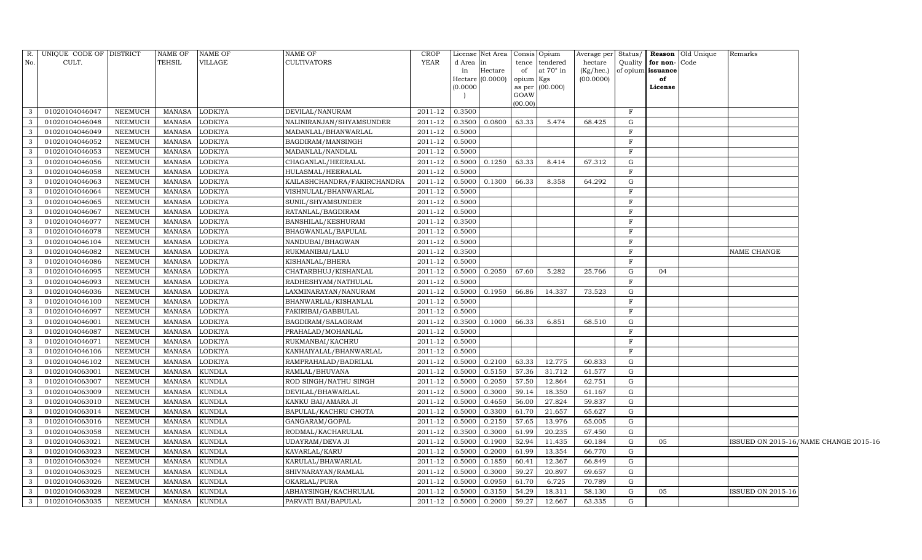| (00.00)<br>3<br>01020104046047<br><b>NEEMUCH</b><br>MANASA<br><b>LODKIYA</b><br>DEVILAL/NANURAM<br>2011-12<br>0.3500<br>$\mathbf{F}$<br><b>LODKIYA</b><br>2011-12<br>0.3500 0.0800<br>63.33<br>5.474<br>68.425<br>G<br>$\mathbf{3}$<br>01020104046048<br><b>NEEMUCH</b><br>MANASA<br>NALINIRANJAN/SHYAMSUNDER<br>$\mathbf{3}$<br>01020104046049<br><b>NEEMUCH</b><br><b>MANASA</b><br>LODKIYA<br>2011-12<br>0.5000<br>F<br>MADANLAL/BHANWARLAL<br>$\overline{3}$<br>01020104046052<br><b>NEEMUCH</b><br><b>MANASA</b><br>LODKIYA<br>BAGDIRAM/MANSINGH<br>2011-12<br>0.5000<br>$\mathbf F$<br>$\mathbf{3}$<br><b>MANASA</b><br><b>LODKIYA</b><br>2011-12<br>0.5000<br>$\mathbf{F}$<br>01020104046053<br><b>NEEMUCH</b><br>MADANLAL/NANDLAL<br>2011-12<br>0.1250<br>$\mathbf{3}$<br>01020104046056<br>NEEMUCH<br><b>MANASA</b><br><b>LODKIYA</b><br>CHAGANLAL/HEERALAL<br>0.5000<br>63.33<br>8.414<br>67.312<br>G<br>$\mathbf{3}$<br>2011-12<br>F<br>01020104046058<br><b>NEEMUCH</b><br><b>MANASA</b><br><b>LODKIYA</b><br>HULASMAL/HEERALAL<br>0.5000<br><b>MANASA</b><br><b>LODKIYA</b><br>2011-12<br>0.5000<br>0.1300<br>66.33<br>8.358<br>64.292<br>${\rm G}$<br>$\mathbf{3}$<br>01020104046063<br>NEEMUCH<br>KAILASHCHANDRA/FAKIRCHANDRA<br>$\mathbf{3}$<br>2011-12<br>01020104046064<br><b>NEEMUCH</b><br><b>MANASA</b><br>LODKIYA<br>VISHNULAL/BHANWARLAL<br>0.5000<br>$\mathbf F$<br>$\,$ F<br>$\mathbf{3}$<br>01020104046065<br><b>NEEMUCH</b><br>MANASA<br><b>LODKIYA</b><br>SUNIL/SHYAMSUNDER<br>2011-12<br>0.5000<br>01020104046067<br>MANASA<br>2011-12<br>F<br>3<br><b>NEEMUCH</b><br>LODKIYA<br>RATANLAL/BAGDIRAM<br>0.5000<br>$\mathbf{3}$<br>01020104046077<br><b>NEEMUCH</b><br><b>MANASA</b><br>LODKIYA<br>BANSHILAL/KESHURAM<br>2011-12<br>0.3500<br>F<br>$\mathbf{3}$<br>0.5000<br>$\mathbf F$<br>01020104046078<br><b>NEEMUCH</b><br><b>MANASA</b><br>LODKIYA<br>BHAGWANLAL/BAPULAL<br>2011-12<br>2011-12<br>$\overline{3}$<br>01020104046104<br><b>NEEMUCH</b><br><b>MANASA</b><br>LODKIYA<br>NANDUBAI/BHAGWAN<br>0.5000<br>$\mathbf{F}$<br>$\mathbf{3}$<br>01020104046082<br>2011-12<br>$\mathbf F$<br><b>NEEMUCH</b><br>MANASA<br><b>LODKIYA</b><br>RUKMANIBAI/LALU<br>0.3500<br>NAME CHANGE<br>3<br>01020104046086<br><b>NEEMUCH</b><br><b>MANASA</b><br><b>LODKIYA</b><br>KISHANLAL/BHERA<br>2011-12<br>0.5000<br>$\mathbf F$<br>$\mathbf{3}$<br>0.2050<br>01020104046095<br><b>NEEMUCH</b><br><b>MANASA</b><br><b>LODKIYA</b><br>CHATARBHUJ/KISHANLAL<br>2011-12<br>0.5000<br>67.60<br>5.282<br>25.766<br>G<br>04<br>2011-12<br>$\mathbf F$<br>$\mathbf{3}$<br>01020104046093<br><b>NEEMUCH</b><br><b>MANASA</b><br><b>LODKIYA</b><br>RADHESHYAM/NATHULAL<br>0.5000<br>$\overline{3}$<br>01020104046036<br>2011-12<br>0.1950<br>66.86<br>${\rm G}$<br><b>NEEMUCH</b><br><b>MANASA</b><br><b>LODKIYA</b><br>LAXMINARAYAN/NANURAM<br>0.5000<br>14.337<br>73.523<br>$\mathbf{3}$<br>01020104046100<br>NEEMUCH<br><b>MANASA</b><br>LODKIYA<br>BHANWARLAL/KISHANLAL<br>2011-12<br>0.5000<br>F<br><b>LODKIYA</b><br>0.5000<br>$\mathbf F$<br>$\mathbf{3}$<br>01020104046097<br><b>NEEMUCH</b><br>MANASA<br>FAKIRIBAI/GABBULAL<br>2011-12<br>01020104046001<br><b>NEEMUCH</b><br><b>MANASA</b><br><b>LODKIYA</b><br>BAGDIRAM/SALAGRAM<br>2011-12<br>0.3500<br>0.1000<br>66.33<br>6.851<br>68.510<br>G<br>$\mathbf{3}$<br>$\mathbf{3}$<br>2011-12<br>$\mathbf F$<br>01020104046087<br><b>NEEMUCH</b><br>MANASA<br><b>LODKIYA</b><br>PRAHALAD/MOHANLAL<br>0.5000<br>$\mathbf{3}$<br>01020104046071<br><b>NEEMUCH</b><br><b>MANASA</b><br><b>LODKIYA</b><br>RUKMANBAI/KACHRU<br>2011-12<br>0.5000<br>$\mathbf F$<br>$\mathbf{3}$<br>01020104046106<br>2011-12<br>$\mathbf F$<br><b>NEEMUCH</b><br><b>MANASA</b><br>LODKIYA<br>KANHAIYALAL/BHANWARLAL<br>0.5000<br>$\mathbf{3}$<br>01020104046102<br><b>NEEMUCH</b><br><b>MANASA</b><br><b>LODKIYA</b><br>RAMPRAHALAD/BADRILAL<br>2011-12<br>0.2100<br>63.33<br>12.775<br>60.833<br>G<br>0.5000<br>2011-12<br>0.5150<br>57.36<br>${\rm G}$<br>$\mathbf{3}$<br>01020104063001<br><b>NEEMUCH</b><br><b>MANASA</b><br><b>KUNDLA</b><br>RAMLAL/BHUVANA<br>0.5000<br>31.712<br>61.577<br>$\overline{3}$<br>0.2050<br>57.50<br>12.864<br>01020104063007<br><b>NEEMUCH</b><br><b>MANASA</b><br><b>KUNDLA</b><br>ROD SINGH/NATHU SINGH<br>2011-12<br>0.5000<br>62.751<br>G<br>59.14<br>$\mathbf{3}$<br><b>MANASA</b><br>KUNDLA<br>2011-12<br>0.5000<br>0.3000<br>18.350<br>61.167<br>G<br>01020104063009<br>NEEMUCH<br>DEVILAL/BHAWARLAL<br>01020104063010<br>2011-12<br>0.4650<br>27.824<br>59.837<br>G<br>3<br><b>NEEMUCH</b><br><b>MANASA</b><br><b>KUNDLA</b><br>KANKU BAI/AMARA JI<br>0.5000<br>56.00<br>$\mathbf{3}$<br>01020104063014<br>2011-12<br>0.3300<br>61.70<br><b>NEEMUCH</b><br>MANASA<br><b>KUNDLA</b><br>BAPULAL/KACHRU CHOTA<br>0.5000<br>21.657<br>65.627<br>G<br>01020104063016<br><b>NEEMUCH</b><br><b>MANASA</b><br><b>KUNDLA</b><br>GANGARAM/GOPAL<br>2011-12<br>0.5000<br>0.2150<br>57.65<br>13.976<br>65.005<br>G<br>3<br>$\mathbf{3}$<br>01020104063058<br><b>KUNDLA</b><br>2011-12<br>0.3000<br>61.99<br>20.235<br><b>NEEMUCH</b><br><b>MANASA</b><br>RODMAL/KACHARULAL<br>0.3500<br>67.450<br>G<br>$\mathbf{3}$<br><b>NEEMUCH</b><br><b>MANASA</b><br>KUNDLA<br>2011-12<br>0.1900<br>52.94<br>11.435<br>60.184<br>G<br>01020104063021<br>UDAYRAM/DEVA JI<br>0.5000<br>05<br>ISSUED ON 2015-16/NAME CHANGE 2015-16<br>$\mathbf{3}$<br>01020104063023<br><b>NEEMUCH</b><br><b>KUNDLA</b><br>2011-12<br>0.5000<br>0.2000<br>61.99<br>13.354<br>G<br><b>MANASA</b><br>KAVARLAL/KARU<br>66.770<br>$\mathbf{3}$<br>0.1850<br>01020104063024<br><b>NEEMUCH</b><br><b>MANASA</b><br><b>KUNDLA</b><br>KARULAL/BHAWARLAL<br>2011-12<br>0.5000<br>60.41<br>12.367<br>66.849<br>G<br>$\mathbf{3}$<br>NEEMUCH<br><b>MANASA</b><br>KUNDLA<br>2011-12<br>0.5000<br>0.3000<br>59.27<br>20.897<br>G<br>01020104063025<br>SHIVNARAYAN/RAMLAL<br>69.657<br>2011-12<br>0.0950<br>6.725<br>${\rm G}$<br>$\mathbf{3}$<br>01020104063026<br>NEEMUCH<br><b>MANASA</b><br><b>KUNDLA</b><br>OKARLAL/PURA<br>0.5000<br>61.70<br>70.789<br>$\mathbf{3}$<br>01020104063028<br><b>NEEMUCH</b><br><b>MANASA</b><br>KUNDLA<br>ABHAYSINGH/KACHRULAL<br>2011-12<br>0.5000<br>0.3150<br>54.29<br>18.311<br>58.130<br>G<br>ISSUED ON 2015-16<br>05<br><b>MANASA</b><br>0.2000<br>59.27<br>3<br>01020104063035<br><b>NEEMUCH</b><br><b>KUNDLA</b><br>PARVATI BAI/BAPULAL<br>2011-12<br>0.5000<br>12.667<br>63.335<br>G | R.<br>No. | UNIQUE CODE OF DISTRICT<br>CULT. | <b>NAME OF</b><br><b>TEHSIL</b> | NAME OF<br>VILLAGE | NAME OF<br>CULTIVATORS | CROP<br><b>YEAR</b> | License Net Area   Consis   Opium<br>d Area<br>Hectare<br>in<br>Hectare (0.0000)<br>0.0000 | of<br>opium Kgs<br>GOAW | tence tendered<br>at $70^\circ$ in<br>as per (00.000) | Average per Status/<br>hectare<br>(Kg/hec.)<br>(00.0000) | Quality | for non-<br>of opium issuance<br>of<br>License | <b>Reason</b> Old Unique<br>Code | Remarks |  |
|------------------------------------------------------------------------------------------------------------------------------------------------------------------------------------------------------------------------------------------------------------------------------------------------------------------------------------------------------------------------------------------------------------------------------------------------------------------------------------------------------------------------------------------------------------------------------------------------------------------------------------------------------------------------------------------------------------------------------------------------------------------------------------------------------------------------------------------------------------------------------------------------------------------------------------------------------------------------------------------------------------------------------------------------------------------------------------------------------------------------------------------------------------------------------------------------------------------------------------------------------------------------------------------------------------------------------------------------------------------------------------------------------------------------------------------------------------------------------------------------------------------------------------------------------------------------------------------------------------------------------------------------------------------------------------------------------------------------------------------------------------------------------------------------------------------------------------------------------------------------------------------------------------------------------------------------------------------------------------------------------------------------------------------------------------------------------------------------------------------------------------------------------------------------------------------------------------------------------------------------------------------------------------------------------------------------------------------------------------------------------------------------------------------------------------------------------------------------------------------------------------------------------------------------------------------------------------------------------------------------------------------------------------------------------------------------------------------------------------------------------------------------------------------------------------------------------------------------------------------------------------------------------------------------------------------------------------------------------------------------------------------------------------------------------------------------------------------------------------------------------------------------------------------------------------------------------------------------------------------------------------------------------------------------------------------------------------------------------------------------------------------------------------------------------------------------------------------------------------------------------------------------------------------------------------------------------------------------------------------------------------------------------------------------------------------------------------------------------------------------------------------------------------------------------------------------------------------------------------------------------------------------------------------------------------------------------------------------------------------------------------------------------------------------------------------------------------------------------------------------------------------------------------------------------------------------------------------------------------------------------------------------------------------------------------------------------------------------------------------------------------------------------------------------------------------------------------------------------------------------------------------------------------------------------------------------------------------------------------------------------------------------------------------------------------------------------------------------------------------------------------------------------------------------------------------------------------------------------------------------------------------------------------------------------------------------------------------------------------------------------------------------------------------------------------------------------------------------------------------------------------------------------------------------------------------------------------------------------------------------------------------------------------------------------------------------------------------------------------------------------------------------------------------------------------------------------------------------------------------------------------------------------------------------------------------------------------------------------------------------------------------------------------------------------------------------------------------------------------------------------------------------------------------------------------------------------------------------------------------------------------------------------------------------------------------------------------------------------------------------------------------------------------------------------------------------------------------------------------------------------------------------------------------------------------------------------------------------------------------------------------------------------------------------------------------------------------------------------------------------------------------------------------------------------------------------------------------------|-----------|----------------------------------|---------------------------------|--------------------|------------------------|---------------------|--------------------------------------------------------------------------------------------|-------------------------|-------------------------------------------------------|----------------------------------------------------------|---------|------------------------------------------------|----------------------------------|---------|--|
|                                                                                                                                                                                                                                                                                                                                                                                                                                                                                                                                                                                                                                                                                                                                                                                                                                                                                                                                                                                                                                                                                                                                                                                                                                                                                                                                                                                                                                                                                                                                                                                                                                                                                                                                                                                                                                                                                                                                                                                                                                                                                                                                                                                                                                                                                                                                                                                                                                                                                                                                                                                                                                                                                                                                                                                                                                                                                                                                                                                                                                                                                                                                                                                                                                                                                                                                                                                                                                                                                                                                                                                                                                                                                                                                                                                                                                                                                                                                                                                                                                                                                                                                                                                                                                                                                                                                                                                                                                                                                                                                                                                                                                                                                                                                                                                                                                                                                                                                                                                                                                                                                                                                                                                                                                                                                                                                                                                                                                                                                                                                                                                                                                                                                                                                                                                                                                                                                                                                                                                                                                                                                                                                                                                                                                                                                                                                                                                                                                                                        |           |                                  |                                 |                    |                        |                     |                                                                                            |                         |                                                       |                                                          |         |                                                |                                  |         |  |
|                                                                                                                                                                                                                                                                                                                                                                                                                                                                                                                                                                                                                                                                                                                                                                                                                                                                                                                                                                                                                                                                                                                                                                                                                                                                                                                                                                                                                                                                                                                                                                                                                                                                                                                                                                                                                                                                                                                                                                                                                                                                                                                                                                                                                                                                                                                                                                                                                                                                                                                                                                                                                                                                                                                                                                                                                                                                                                                                                                                                                                                                                                                                                                                                                                                                                                                                                                                                                                                                                                                                                                                                                                                                                                                                                                                                                                                                                                                                                                                                                                                                                                                                                                                                                                                                                                                                                                                                                                                                                                                                                                                                                                                                                                                                                                                                                                                                                                                                                                                                                                                                                                                                                                                                                                                                                                                                                                                                                                                                                                                                                                                                                                                                                                                                                                                                                                                                                                                                                                                                                                                                                                                                                                                                                                                                                                                                                                                                                                                                        |           |                                  |                                 |                    |                        |                     |                                                                                            |                         |                                                       |                                                          |         |                                                |                                  |         |  |
|                                                                                                                                                                                                                                                                                                                                                                                                                                                                                                                                                                                                                                                                                                                                                                                                                                                                                                                                                                                                                                                                                                                                                                                                                                                                                                                                                                                                                                                                                                                                                                                                                                                                                                                                                                                                                                                                                                                                                                                                                                                                                                                                                                                                                                                                                                                                                                                                                                                                                                                                                                                                                                                                                                                                                                                                                                                                                                                                                                                                                                                                                                                                                                                                                                                                                                                                                                                                                                                                                                                                                                                                                                                                                                                                                                                                                                                                                                                                                                                                                                                                                                                                                                                                                                                                                                                                                                                                                                                                                                                                                                                                                                                                                                                                                                                                                                                                                                                                                                                                                                                                                                                                                                                                                                                                                                                                                                                                                                                                                                                                                                                                                                                                                                                                                                                                                                                                                                                                                                                                                                                                                                                                                                                                                                                                                                                                                                                                                                                                        |           |                                  |                                 |                    |                        |                     |                                                                                            |                         |                                                       |                                                          |         |                                                |                                  |         |  |
|                                                                                                                                                                                                                                                                                                                                                                                                                                                                                                                                                                                                                                                                                                                                                                                                                                                                                                                                                                                                                                                                                                                                                                                                                                                                                                                                                                                                                                                                                                                                                                                                                                                                                                                                                                                                                                                                                                                                                                                                                                                                                                                                                                                                                                                                                                                                                                                                                                                                                                                                                                                                                                                                                                                                                                                                                                                                                                                                                                                                                                                                                                                                                                                                                                                                                                                                                                                                                                                                                                                                                                                                                                                                                                                                                                                                                                                                                                                                                                                                                                                                                                                                                                                                                                                                                                                                                                                                                                                                                                                                                                                                                                                                                                                                                                                                                                                                                                                                                                                                                                                                                                                                                                                                                                                                                                                                                                                                                                                                                                                                                                                                                                                                                                                                                                                                                                                                                                                                                                                                                                                                                                                                                                                                                                                                                                                                                                                                                                                                        |           |                                  |                                 |                    |                        |                     |                                                                                            |                         |                                                       |                                                          |         |                                                |                                  |         |  |
|                                                                                                                                                                                                                                                                                                                                                                                                                                                                                                                                                                                                                                                                                                                                                                                                                                                                                                                                                                                                                                                                                                                                                                                                                                                                                                                                                                                                                                                                                                                                                                                                                                                                                                                                                                                                                                                                                                                                                                                                                                                                                                                                                                                                                                                                                                                                                                                                                                                                                                                                                                                                                                                                                                                                                                                                                                                                                                                                                                                                                                                                                                                                                                                                                                                                                                                                                                                                                                                                                                                                                                                                                                                                                                                                                                                                                                                                                                                                                                                                                                                                                                                                                                                                                                                                                                                                                                                                                                                                                                                                                                                                                                                                                                                                                                                                                                                                                                                                                                                                                                                                                                                                                                                                                                                                                                                                                                                                                                                                                                                                                                                                                                                                                                                                                                                                                                                                                                                                                                                                                                                                                                                                                                                                                                                                                                                                                                                                                                                                        |           |                                  |                                 |                    |                        |                     |                                                                                            |                         |                                                       |                                                          |         |                                                |                                  |         |  |
|                                                                                                                                                                                                                                                                                                                                                                                                                                                                                                                                                                                                                                                                                                                                                                                                                                                                                                                                                                                                                                                                                                                                                                                                                                                                                                                                                                                                                                                                                                                                                                                                                                                                                                                                                                                                                                                                                                                                                                                                                                                                                                                                                                                                                                                                                                                                                                                                                                                                                                                                                                                                                                                                                                                                                                                                                                                                                                                                                                                                                                                                                                                                                                                                                                                                                                                                                                                                                                                                                                                                                                                                                                                                                                                                                                                                                                                                                                                                                                                                                                                                                                                                                                                                                                                                                                                                                                                                                                                                                                                                                                                                                                                                                                                                                                                                                                                                                                                                                                                                                                                                                                                                                                                                                                                                                                                                                                                                                                                                                                                                                                                                                                                                                                                                                                                                                                                                                                                                                                                                                                                                                                                                                                                                                                                                                                                                                                                                                                                                        |           |                                  |                                 |                    |                        |                     |                                                                                            |                         |                                                       |                                                          |         |                                                |                                  |         |  |
|                                                                                                                                                                                                                                                                                                                                                                                                                                                                                                                                                                                                                                                                                                                                                                                                                                                                                                                                                                                                                                                                                                                                                                                                                                                                                                                                                                                                                                                                                                                                                                                                                                                                                                                                                                                                                                                                                                                                                                                                                                                                                                                                                                                                                                                                                                                                                                                                                                                                                                                                                                                                                                                                                                                                                                                                                                                                                                                                                                                                                                                                                                                                                                                                                                                                                                                                                                                                                                                                                                                                                                                                                                                                                                                                                                                                                                                                                                                                                                                                                                                                                                                                                                                                                                                                                                                                                                                                                                                                                                                                                                                                                                                                                                                                                                                                                                                                                                                                                                                                                                                                                                                                                                                                                                                                                                                                                                                                                                                                                                                                                                                                                                                                                                                                                                                                                                                                                                                                                                                                                                                                                                                                                                                                                                                                                                                                                                                                                                                                        |           |                                  |                                 |                    |                        |                     |                                                                                            |                         |                                                       |                                                          |         |                                                |                                  |         |  |
|                                                                                                                                                                                                                                                                                                                                                                                                                                                                                                                                                                                                                                                                                                                                                                                                                                                                                                                                                                                                                                                                                                                                                                                                                                                                                                                                                                                                                                                                                                                                                                                                                                                                                                                                                                                                                                                                                                                                                                                                                                                                                                                                                                                                                                                                                                                                                                                                                                                                                                                                                                                                                                                                                                                                                                                                                                                                                                                                                                                                                                                                                                                                                                                                                                                                                                                                                                                                                                                                                                                                                                                                                                                                                                                                                                                                                                                                                                                                                                                                                                                                                                                                                                                                                                                                                                                                                                                                                                                                                                                                                                                                                                                                                                                                                                                                                                                                                                                                                                                                                                                                                                                                                                                                                                                                                                                                                                                                                                                                                                                                                                                                                                                                                                                                                                                                                                                                                                                                                                                                                                                                                                                                                                                                                                                                                                                                                                                                                                                                        |           |                                  |                                 |                    |                        |                     |                                                                                            |                         |                                                       |                                                          |         |                                                |                                  |         |  |
|                                                                                                                                                                                                                                                                                                                                                                                                                                                                                                                                                                                                                                                                                                                                                                                                                                                                                                                                                                                                                                                                                                                                                                                                                                                                                                                                                                                                                                                                                                                                                                                                                                                                                                                                                                                                                                                                                                                                                                                                                                                                                                                                                                                                                                                                                                                                                                                                                                                                                                                                                                                                                                                                                                                                                                                                                                                                                                                                                                                                                                                                                                                                                                                                                                                                                                                                                                                                                                                                                                                                                                                                                                                                                                                                                                                                                                                                                                                                                                                                                                                                                                                                                                                                                                                                                                                                                                                                                                                                                                                                                                                                                                                                                                                                                                                                                                                                                                                                                                                                                                                                                                                                                                                                                                                                                                                                                                                                                                                                                                                                                                                                                                                                                                                                                                                                                                                                                                                                                                                                                                                                                                                                                                                                                                                                                                                                                                                                                                                                        |           |                                  |                                 |                    |                        |                     |                                                                                            |                         |                                                       |                                                          |         |                                                |                                  |         |  |
|                                                                                                                                                                                                                                                                                                                                                                                                                                                                                                                                                                                                                                                                                                                                                                                                                                                                                                                                                                                                                                                                                                                                                                                                                                                                                                                                                                                                                                                                                                                                                                                                                                                                                                                                                                                                                                                                                                                                                                                                                                                                                                                                                                                                                                                                                                                                                                                                                                                                                                                                                                                                                                                                                                                                                                                                                                                                                                                                                                                                                                                                                                                                                                                                                                                                                                                                                                                                                                                                                                                                                                                                                                                                                                                                                                                                                                                                                                                                                                                                                                                                                                                                                                                                                                                                                                                                                                                                                                                                                                                                                                                                                                                                                                                                                                                                                                                                                                                                                                                                                                                                                                                                                                                                                                                                                                                                                                                                                                                                                                                                                                                                                                                                                                                                                                                                                                                                                                                                                                                                                                                                                                                                                                                                                                                                                                                                                                                                                                                                        |           |                                  |                                 |                    |                        |                     |                                                                                            |                         |                                                       |                                                          |         |                                                |                                  |         |  |
|                                                                                                                                                                                                                                                                                                                                                                                                                                                                                                                                                                                                                                                                                                                                                                                                                                                                                                                                                                                                                                                                                                                                                                                                                                                                                                                                                                                                                                                                                                                                                                                                                                                                                                                                                                                                                                                                                                                                                                                                                                                                                                                                                                                                                                                                                                                                                                                                                                                                                                                                                                                                                                                                                                                                                                                                                                                                                                                                                                                                                                                                                                                                                                                                                                                                                                                                                                                                                                                                                                                                                                                                                                                                                                                                                                                                                                                                                                                                                                                                                                                                                                                                                                                                                                                                                                                                                                                                                                                                                                                                                                                                                                                                                                                                                                                                                                                                                                                                                                                                                                                                                                                                                                                                                                                                                                                                                                                                                                                                                                                                                                                                                                                                                                                                                                                                                                                                                                                                                                                                                                                                                                                                                                                                                                                                                                                                                                                                                                                                        |           |                                  |                                 |                    |                        |                     |                                                                                            |                         |                                                       |                                                          |         |                                                |                                  |         |  |
|                                                                                                                                                                                                                                                                                                                                                                                                                                                                                                                                                                                                                                                                                                                                                                                                                                                                                                                                                                                                                                                                                                                                                                                                                                                                                                                                                                                                                                                                                                                                                                                                                                                                                                                                                                                                                                                                                                                                                                                                                                                                                                                                                                                                                                                                                                                                                                                                                                                                                                                                                                                                                                                                                                                                                                                                                                                                                                                                                                                                                                                                                                                                                                                                                                                                                                                                                                                                                                                                                                                                                                                                                                                                                                                                                                                                                                                                                                                                                                                                                                                                                                                                                                                                                                                                                                                                                                                                                                                                                                                                                                                                                                                                                                                                                                                                                                                                                                                                                                                                                                                                                                                                                                                                                                                                                                                                                                                                                                                                                                                                                                                                                                                                                                                                                                                                                                                                                                                                                                                                                                                                                                                                                                                                                                                                                                                                                                                                                                                                        |           |                                  |                                 |                    |                        |                     |                                                                                            |                         |                                                       |                                                          |         |                                                |                                  |         |  |
|                                                                                                                                                                                                                                                                                                                                                                                                                                                                                                                                                                                                                                                                                                                                                                                                                                                                                                                                                                                                                                                                                                                                                                                                                                                                                                                                                                                                                                                                                                                                                                                                                                                                                                                                                                                                                                                                                                                                                                                                                                                                                                                                                                                                                                                                                                                                                                                                                                                                                                                                                                                                                                                                                                                                                                                                                                                                                                                                                                                                                                                                                                                                                                                                                                                                                                                                                                                                                                                                                                                                                                                                                                                                                                                                                                                                                                                                                                                                                                                                                                                                                                                                                                                                                                                                                                                                                                                                                                                                                                                                                                                                                                                                                                                                                                                                                                                                                                                                                                                                                                                                                                                                                                                                                                                                                                                                                                                                                                                                                                                                                                                                                                                                                                                                                                                                                                                                                                                                                                                                                                                                                                                                                                                                                                                                                                                                                                                                                                                                        |           |                                  |                                 |                    |                        |                     |                                                                                            |                         |                                                       |                                                          |         |                                                |                                  |         |  |
|                                                                                                                                                                                                                                                                                                                                                                                                                                                                                                                                                                                                                                                                                                                                                                                                                                                                                                                                                                                                                                                                                                                                                                                                                                                                                                                                                                                                                                                                                                                                                                                                                                                                                                                                                                                                                                                                                                                                                                                                                                                                                                                                                                                                                                                                                                                                                                                                                                                                                                                                                                                                                                                                                                                                                                                                                                                                                                                                                                                                                                                                                                                                                                                                                                                                                                                                                                                                                                                                                                                                                                                                                                                                                                                                                                                                                                                                                                                                                                                                                                                                                                                                                                                                                                                                                                                                                                                                                                                                                                                                                                                                                                                                                                                                                                                                                                                                                                                                                                                                                                                                                                                                                                                                                                                                                                                                                                                                                                                                                                                                                                                                                                                                                                                                                                                                                                                                                                                                                                                                                                                                                                                                                                                                                                                                                                                                                                                                                                                                        |           |                                  |                                 |                    |                        |                     |                                                                                            |                         |                                                       |                                                          |         |                                                |                                  |         |  |
|                                                                                                                                                                                                                                                                                                                                                                                                                                                                                                                                                                                                                                                                                                                                                                                                                                                                                                                                                                                                                                                                                                                                                                                                                                                                                                                                                                                                                                                                                                                                                                                                                                                                                                                                                                                                                                                                                                                                                                                                                                                                                                                                                                                                                                                                                                                                                                                                                                                                                                                                                                                                                                                                                                                                                                                                                                                                                                                                                                                                                                                                                                                                                                                                                                                                                                                                                                                                                                                                                                                                                                                                                                                                                                                                                                                                                                                                                                                                                                                                                                                                                                                                                                                                                                                                                                                                                                                                                                                                                                                                                                                                                                                                                                                                                                                                                                                                                                                                                                                                                                                                                                                                                                                                                                                                                                                                                                                                                                                                                                                                                                                                                                                                                                                                                                                                                                                                                                                                                                                                                                                                                                                                                                                                                                                                                                                                                                                                                                                                        |           |                                  |                                 |                    |                        |                     |                                                                                            |                         |                                                       |                                                          |         |                                                |                                  |         |  |
|                                                                                                                                                                                                                                                                                                                                                                                                                                                                                                                                                                                                                                                                                                                                                                                                                                                                                                                                                                                                                                                                                                                                                                                                                                                                                                                                                                                                                                                                                                                                                                                                                                                                                                                                                                                                                                                                                                                                                                                                                                                                                                                                                                                                                                                                                                                                                                                                                                                                                                                                                                                                                                                                                                                                                                                                                                                                                                                                                                                                                                                                                                                                                                                                                                                                                                                                                                                                                                                                                                                                                                                                                                                                                                                                                                                                                                                                                                                                                                                                                                                                                                                                                                                                                                                                                                                                                                                                                                                                                                                                                                                                                                                                                                                                                                                                                                                                                                                                                                                                                                                                                                                                                                                                                                                                                                                                                                                                                                                                                                                                                                                                                                                                                                                                                                                                                                                                                                                                                                                                                                                                                                                                                                                                                                                                                                                                                                                                                                                                        |           |                                  |                                 |                    |                        |                     |                                                                                            |                         |                                                       |                                                          |         |                                                |                                  |         |  |
|                                                                                                                                                                                                                                                                                                                                                                                                                                                                                                                                                                                                                                                                                                                                                                                                                                                                                                                                                                                                                                                                                                                                                                                                                                                                                                                                                                                                                                                                                                                                                                                                                                                                                                                                                                                                                                                                                                                                                                                                                                                                                                                                                                                                                                                                                                                                                                                                                                                                                                                                                                                                                                                                                                                                                                                                                                                                                                                                                                                                                                                                                                                                                                                                                                                                                                                                                                                                                                                                                                                                                                                                                                                                                                                                                                                                                                                                                                                                                                                                                                                                                                                                                                                                                                                                                                                                                                                                                                                                                                                                                                                                                                                                                                                                                                                                                                                                                                                                                                                                                                                                                                                                                                                                                                                                                                                                                                                                                                                                                                                                                                                                                                                                                                                                                                                                                                                                                                                                                                                                                                                                                                                                                                                                                                                                                                                                                                                                                                                                        |           |                                  |                                 |                    |                        |                     |                                                                                            |                         |                                                       |                                                          |         |                                                |                                  |         |  |
|                                                                                                                                                                                                                                                                                                                                                                                                                                                                                                                                                                                                                                                                                                                                                                                                                                                                                                                                                                                                                                                                                                                                                                                                                                                                                                                                                                                                                                                                                                                                                                                                                                                                                                                                                                                                                                                                                                                                                                                                                                                                                                                                                                                                                                                                                                                                                                                                                                                                                                                                                                                                                                                                                                                                                                                                                                                                                                                                                                                                                                                                                                                                                                                                                                                                                                                                                                                                                                                                                                                                                                                                                                                                                                                                                                                                                                                                                                                                                                                                                                                                                                                                                                                                                                                                                                                                                                                                                                                                                                                                                                                                                                                                                                                                                                                                                                                                                                                                                                                                                                                                                                                                                                                                                                                                                                                                                                                                                                                                                                                                                                                                                                                                                                                                                                                                                                                                                                                                                                                                                                                                                                                                                                                                                                                                                                                                                                                                                                                                        |           |                                  |                                 |                    |                        |                     |                                                                                            |                         |                                                       |                                                          |         |                                                |                                  |         |  |
|                                                                                                                                                                                                                                                                                                                                                                                                                                                                                                                                                                                                                                                                                                                                                                                                                                                                                                                                                                                                                                                                                                                                                                                                                                                                                                                                                                                                                                                                                                                                                                                                                                                                                                                                                                                                                                                                                                                                                                                                                                                                                                                                                                                                                                                                                                                                                                                                                                                                                                                                                                                                                                                                                                                                                                                                                                                                                                                                                                                                                                                                                                                                                                                                                                                                                                                                                                                                                                                                                                                                                                                                                                                                                                                                                                                                                                                                                                                                                                                                                                                                                                                                                                                                                                                                                                                                                                                                                                                                                                                                                                                                                                                                                                                                                                                                                                                                                                                                                                                                                                                                                                                                                                                                                                                                                                                                                                                                                                                                                                                                                                                                                                                                                                                                                                                                                                                                                                                                                                                                                                                                                                                                                                                                                                                                                                                                                                                                                                                                        |           |                                  |                                 |                    |                        |                     |                                                                                            |                         |                                                       |                                                          |         |                                                |                                  |         |  |
|                                                                                                                                                                                                                                                                                                                                                                                                                                                                                                                                                                                                                                                                                                                                                                                                                                                                                                                                                                                                                                                                                                                                                                                                                                                                                                                                                                                                                                                                                                                                                                                                                                                                                                                                                                                                                                                                                                                                                                                                                                                                                                                                                                                                                                                                                                                                                                                                                                                                                                                                                                                                                                                                                                                                                                                                                                                                                                                                                                                                                                                                                                                                                                                                                                                                                                                                                                                                                                                                                                                                                                                                                                                                                                                                                                                                                                                                                                                                                                                                                                                                                                                                                                                                                                                                                                                                                                                                                                                                                                                                                                                                                                                                                                                                                                                                                                                                                                                                                                                                                                                                                                                                                                                                                                                                                                                                                                                                                                                                                                                                                                                                                                                                                                                                                                                                                                                                                                                                                                                                                                                                                                                                                                                                                                                                                                                                                                                                                                                                        |           |                                  |                                 |                    |                        |                     |                                                                                            |                         |                                                       |                                                          |         |                                                |                                  |         |  |
|                                                                                                                                                                                                                                                                                                                                                                                                                                                                                                                                                                                                                                                                                                                                                                                                                                                                                                                                                                                                                                                                                                                                                                                                                                                                                                                                                                                                                                                                                                                                                                                                                                                                                                                                                                                                                                                                                                                                                                                                                                                                                                                                                                                                                                                                                                                                                                                                                                                                                                                                                                                                                                                                                                                                                                                                                                                                                                                                                                                                                                                                                                                                                                                                                                                                                                                                                                                                                                                                                                                                                                                                                                                                                                                                                                                                                                                                                                                                                                                                                                                                                                                                                                                                                                                                                                                                                                                                                                                                                                                                                                                                                                                                                                                                                                                                                                                                                                                                                                                                                                                                                                                                                                                                                                                                                                                                                                                                                                                                                                                                                                                                                                                                                                                                                                                                                                                                                                                                                                                                                                                                                                                                                                                                                                                                                                                                                                                                                                                                        |           |                                  |                                 |                    |                        |                     |                                                                                            |                         |                                                       |                                                          |         |                                                |                                  |         |  |
|                                                                                                                                                                                                                                                                                                                                                                                                                                                                                                                                                                                                                                                                                                                                                                                                                                                                                                                                                                                                                                                                                                                                                                                                                                                                                                                                                                                                                                                                                                                                                                                                                                                                                                                                                                                                                                                                                                                                                                                                                                                                                                                                                                                                                                                                                                                                                                                                                                                                                                                                                                                                                                                                                                                                                                                                                                                                                                                                                                                                                                                                                                                                                                                                                                                                                                                                                                                                                                                                                                                                                                                                                                                                                                                                                                                                                                                                                                                                                                                                                                                                                                                                                                                                                                                                                                                                                                                                                                                                                                                                                                                                                                                                                                                                                                                                                                                                                                                                                                                                                                                                                                                                                                                                                                                                                                                                                                                                                                                                                                                                                                                                                                                                                                                                                                                                                                                                                                                                                                                                                                                                                                                                                                                                                                                                                                                                                                                                                                                                        |           |                                  |                                 |                    |                        |                     |                                                                                            |                         |                                                       |                                                          |         |                                                |                                  |         |  |
|                                                                                                                                                                                                                                                                                                                                                                                                                                                                                                                                                                                                                                                                                                                                                                                                                                                                                                                                                                                                                                                                                                                                                                                                                                                                                                                                                                                                                                                                                                                                                                                                                                                                                                                                                                                                                                                                                                                                                                                                                                                                                                                                                                                                                                                                                                                                                                                                                                                                                                                                                                                                                                                                                                                                                                                                                                                                                                                                                                                                                                                                                                                                                                                                                                                                                                                                                                                                                                                                                                                                                                                                                                                                                                                                                                                                                                                                                                                                                                                                                                                                                                                                                                                                                                                                                                                                                                                                                                                                                                                                                                                                                                                                                                                                                                                                                                                                                                                                                                                                                                                                                                                                                                                                                                                                                                                                                                                                                                                                                                                                                                                                                                                                                                                                                                                                                                                                                                                                                                                                                                                                                                                                                                                                                                                                                                                                                                                                                                                                        |           |                                  |                                 |                    |                        |                     |                                                                                            |                         |                                                       |                                                          |         |                                                |                                  |         |  |
|                                                                                                                                                                                                                                                                                                                                                                                                                                                                                                                                                                                                                                                                                                                                                                                                                                                                                                                                                                                                                                                                                                                                                                                                                                                                                                                                                                                                                                                                                                                                                                                                                                                                                                                                                                                                                                                                                                                                                                                                                                                                                                                                                                                                                                                                                                                                                                                                                                                                                                                                                                                                                                                                                                                                                                                                                                                                                                                                                                                                                                                                                                                                                                                                                                                                                                                                                                                                                                                                                                                                                                                                                                                                                                                                                                                                                                                                                                                                                                                                                                                                                                                                                                                                                                                                                                                                                                                                                                                                                                                                                                                                                                                                                                                                                                                                                                                                                                                                                                                                                                                                                                                                                                                                                                                                                                                                                                                                                                                                                                                                                                                                                                                                                                                                                                                                                                                                                                                                                                                                                                                                                                                                                                                                                                                                                                                                                                                                                                                                        |           |                                  |                                 |                    |                        |                     |                                                                                            |                         |                                                       |                                                          |         |                                                |                                  |         |  |
|                                                                                                                                                                                                                                                                                                                                                                                                                                                                                                                                                                                                                                                                                                                                                                                                                                                                                                                                                                                                                                                                                                                                                                                                                                                                                                                                                                                                                                                                                                                                                                                                                                                                                                                                                                                                                                                                                                                                                                                                                                                                                                                                                                                                                                                                                                                                                                                                                                                                                                                                                                                                                                                                                                                                                                                                                                                                                                                                                                                                                                                                                                                                                                                                                                                                                                                                                                                                                                                                                                                                                                                                                                                                                                                                                                                                                                                                                                                                                                                                                                                                                                                                                                                                                                                                                                                                                                                                                                                                                                                                                                                                                                                                                                                                                                                                                                                                                                                                                                                                                                                                                                                                                                                                                                                                                                                                                                                                                                                                                                                                                                                                                                                                                                                                                                                                                                                                                                                                                                                                                                                                                                                                                                                                                                                                                                                                                                                                                                                                        |           |                                  |                                 |                    |                        |                     |                                                                                            |                         |                                                       |                                                          |         |                                                |                                  |         |  |
|                                                                                                                                                                                                                                                                                                                                                                                                                                                                                                                                                                                                                                                                                                                                                                                                                                                                                                                                                                                                                                                                                                                                                                                                                                                                                                                                                                                                                                                                                                                                                                                                                                                                                                                                                                                                                                                                                                                                                                                                                                                                                                                                                                                                                                                                                                                                                                                                                                                                                                                                                                                                                                                                                                                                                                                                                                                                                                                                                                                                                                                                                                                                                                                                                                                                                                                                                                                                                                                                                                                                                                                                                                                                                                                                                                                                                                                                                                                                                                                                                                                                                                                                                                                                                                                                                                                                                                                                                                                                                                                                                                                                                                                                                                                                                                                                                                                                                                                                                                                                                                                                                                                                                                                                                                                                                                                                                                                                                                                                                                                                                                                                                                                                                                                                                                                                                                                                                                                                                                                                                                                                                                                                                                                                                                                                                                                                                                                                                                                                        |           |                                  |                                 |                    |                        |                     |                                                                                            |                         |                                                       |                                                          |         |                                                |                                  |         |  |
|                                                                                                                                                                                                                                                                                                                                                                                                                                                                                                                                                                                                                                                                                                                                                                                                                                                                                                                                                                                                                                                                                                                                                                                                                                                                                                                                                                                                                                                                                                                                                                                                                                                                                                                                                                                                                                                                                                                                                                                                                                                                                                                                                                                                                                                                                                                                                                                                                                                                                                                                                                                                                                                                                                                                                                                                                                                                                                                                                                                                                                                                                                                                                                                                                                                                                                                                                                                                                                                                                                                                                                                                                                                                                                                                                                                                                                                                                                                                                                                                                                                                                                                                                                                                                                                                                                                                                                                                                                                                                                                                                                                                                                                                                                                                                                                                                                                                                                                                                                                                                                                                                                                                                                                                                                                                                                                                                                                                                                                                                                                                                                                                                                                                                                                                                                                                                                                                                                                                                                                                                                                                                                                                                                                                                                                                                                                                                                                                                                                                        |           |                                  |                                 |                    |                        |                     |                                                                                            |                         |                                                       |                                                          |         |                                                |                                  |         |  |
|                                                                                                                                                                                                                                                                                                                                                                                                                                                                                                                                                                                                                                                                                                                                                                                                                                                                                                                                                                                                                                                                                                                                                                                                                                                                                                                                                                                                                                                                                                                                                                                                                                                                                                                                                                                                                                                                                                                                                                                                                                                                                                                                                                                                                                                                                                                                                                                                                                                                                                                                                                                                                                                                                                                                                                                                                                                                                                                                                                                                                                                                                                                                                                                                                                                                                                                                                                                                                                                                                                                                                                                                                                                                                                                                                                                                                                                                                                                                                                                                                                                                                                                                                                                                                                                                                                                                                                                                                                                                                                                                                                                                                                                                                                                                                                                                                                                                                                                                                                                                                                                                                                                                                                                                                                                                                                                                                                                                                                                                                                                                                                                                                                                                                                                                                                                                                                                                                                                                                                                                                                                                                                                                                                                                                                                                                                                                                                                                                                                                        |           |                                  |                                 |                    |                        |                     |                                                                                            |                         |                                                       |                                                          |         |                                                |                                  |         |  |
|                                                                                                                                                                                                                                                                                                                                                                                                                                                                                                                                                                                                                                                                                                                                                                                                                                                                                                                                                                                                                                                                                                                                                                                                                                                                                                                                                                                                                                                                                                                                                                                                                                                                                                                                                                                                                                                                                                                                                                                                                                                                                                                                                                                                                                                                                                                                                                                                                                                                                                                                                                                                                                                                                                                                                                                                                                                                                                                                                                                                                                                                                                                                                                                                                                                                                                                                                                                                                                                                                                                                                                                                                                                                                                                                                                                                                                                                                                                                                                                                                                                                                                                                                                                                                                                                                                                                                                                                                                                                                                                                                                                                                                                                                                                                                                                                                                                                                                                                                                                                                                                                                                                                                                                                                                                                                                                                                                                                                                                                                                                                                                                                                                                                                                                                                                                                                                                                                                                                                                                                                                                                                                                                                                                                                                                                                                                                                                                                                                                                        |           |                                  |                                 |                    |                        |                     |                                                                                            |                         |                                                       |                                                          |         |                                                |                                  |         |  |
|                                                                                                                                                                                                                                                                                                                                                                                                                                                                                                                                                                                                                                                                                                                                                                                                                                                                                                                                                                                                                                                                                                                                                                                                                                                                                                                                                                                                                                                                                                                                                                                                                                                                                                                                                                                                                                                                                                                                                                                                                                                                                                                                                                                                                                                                                                                                                                                                                                                                                                                                                                                                                                                                                                                                                                                                                                                                                                                                                                                                                                                                                                                                                                                                                                                                                                                                                                                                                                                                                                                                                                                                                                                                                                                                                                                                                                                                                                                                                                                                                                                                                                                                                                                                                                                                                                                                                                                                                                                                                                                                                                                                                                                                                                                                                                                                                                                                                                                                                                                                                                                                                                                                                                                                                                                                                                                                                                                                                                                                                                                                                                                                                                                                                                                                                                                                                                                                                                                                                                                                                                                                                                                                                                                                                                                                                                                                                                                                                                                                        |           |                                  |                                 |                    |                        |                     |                                                                                            |                         |                                                       |                                                          |         |                                                |                                  |         |  |
|                                                                                                                                                                                                                                                                                                                                                                                                                                                                                                                                                                                                                                                                                                                                                                                                                                                                                                                                                                                                                                                                                                                                                                                                                                                                                                                                                                                                                                                                                                                                                                                                                                                                                                                                                                                                                                                                                                                                                                                                                                                                                                                                                                                                                                                                                                                                                                                                                                                                                                                                                                                                                                                                                                                                                                                                                                                                                                                                                                                                                                                                                                                                                                                                                                                                                                                                                                                                                                                                                                                                                                                                                                                                                                                                                                                                                                                                                                                                                                                                                                                                                                                                                                                                                                                                                                                                                                                                                                                                                                                                                                                                                                                                                                                                                                                                                                                                                                                                                                                                                                                                                                                                                                                                                                                                                                                                                                                                                                                                                                                                                                                                                                                                                                                                                                                                                                                                                                                                                                                                                                                                                                                                                                                                                                                                                                                                                                                                                                                                        |           |                                  |                                 |                    |                        |                     |                                                                                            |                         |                                                       |                                                          |         |                                                |                                  |         |  |
|                                                                                                                                                                                                                                                                                                                                                                                                                                                                                                                                                                                                                                                                                                                                                                                                                                                                                                                                                                                                                                                                                                                                                                                                                                                                                                                                                                                                                                                                                                                                                                                                                                                                                                                                                                                                                                                                                                                                                                                                                                                                                                                                                                                                                                                                                                                                                                                                                                                                                                                                                                                                                                                                                                                                                                                                                                                                                                                                                                                                                                                                                                                                                                                                                                                                                                                                                                                                                                                                                                                                                                                                                                                                                                                                                                                                                                                                                                                                                                                                                                                                                                                                                                                                                                                                                                                                                                                                                                                                                                                                                                                                                                                                                                                                                                                                                                                                                                                                                                                                                                                                                                                                                                                                                                                                                                                                                                                                                                                                                                                                                                                                                                                                                                                                                                                                                                                                                                                                                                                                                                                                                                                                                                                                                                                                                                                                                                                                                                                                        |           |                                  |                                 |                    |                        |                     |                                                                                            |                         |                                                       |                                                          |         |                                                |                                  |         |  |
|                                                                                                                                                                                                                                                                                                                                                                                                                                                                                                                                                                                                                                                                                                                                                                                                                                                                                                                                                                                                                                                                                                                                                                                                                                                                                                                                                                                                                                                                                                                                                                                                                                                                                                                                                                                                                                                                                                                                                                                                                                                                                                                                                                                                                                                                                                                                                                                                                                                                                                                                                                                                                                                                                                                                                                                                                                                                                                                                                                                                                                                                                                                                                                                                                                                                                                                                                                                                                                                                                                                                                                                                                                                                                                                                                                                                                                                                                                                                                                                                                                                                                                                                                                                                                                                                                                                                                                                                                                                                                                                                                                                                                                                                                                                                                                                                                                                                                                                                                                                                                                                                                                                                                                                                                                                                                                                                                                                                                                                                                                                                                                                                                                                                                                                                                                                                                                                                                                                                                                                                                                                                                                                                                                                                                                                                                                                                                                                                                                                                        |           |                                  |                                 |                    |                        |                     |                                                                                            |                         |                                                       |                                                          |         |                                                |                                  |         |  |
|                                                                                                                                                                                                                                                                                                                                                                                                                                                                                                                                                                                                                                                                                                                                                                                                                                                                                                                                                                                                                                                                                                                                                                                                                                                                                                                                                                                                                                                                                                                                                                                                                                                                                                                                                                                                                                                                                                                                                                                                                                                                                                                                                                                                                                                                                                                                                                                                                                                                                                                                                                                                                                                                                                                                                                                                                                                                                                                                                                                                                                                                                                                                                                                                                                                                                                                                                                                                                                                                                                                                                                                                                                                                                                                                                                                                                                                                                                                                                                                                                                                                                                                                                                                                                                                                                                                                                                                                                                                                                                                                                                                                                                                                                                                                                                                                                                                                                                                                                                                                                                                                                                                                                                                                                                                                                                                                                                                                                                                                                                                                                                                                                                                                                                                                                                                                                                                                                                                                                                                                                                                                                                                                                                                                                                                                                                                                                                                                                                                                        |           |                                  |                                 |                    |                        |                     |                                                                                            |                         |                                                       |                                                          |         |                                                |                                  |         |  |
|                                                                                                                                                                                                                                                                                                                                                                                                                                                                                                                                                                                                                                                                                                                                                                                                                                                                                                                                                                                                                                                                                                                                                                                                                                                                                                                                                                                                                                                                                                                                                                                                                                                                                                                                                                                                                                                                                                                                                                                                                                                                                                                                                                                                                                                                                                                                                                                                                                                                                                                                                                                                                                                                                                                                                                                                                                                                                                                                                                                                                                                                                                                                                                                                                                                                                                                                                                                                                                                                                                                                                                                                                                                                                                                                                                                                                                                                                                                                                                                                                                                                                                                                                                                                                                                                                                                                                                                                                                                                                                                                                                                                                                                                                                                                                                                                                                                                                                                                                                                                                                                                                                                                                                                                                                                                                                                                                                                                                                                                                                                                                                                                                                                                                                                                                                                                                                                                                                                                                                                                                                                                                                                                                                                                                                                                                                                                                                                                                                                                        |           |                                  |                                 |                    |                        |                     |                                                                                            |                         |                                                       |                                                          |         |                                                |                                  |         |  |
|                                                                                                                                                                                                                                                                                                                                                                                                                                                                                                                                                                                                                                                                                                                                                                                                                                                                                                                                                                                                                                                                                                                                                                                                                                                                                                                                                                                                                                                                                                                                                                                                                                                                                                                                                                                                                                                                                                                                                                                                                                                                                                                                                                                                                                                                                                                                                                                                                                                                                                                                                                                                                                                                                                                                                                                                                                                                                                                                                                                                                                                                                                                                                                                                                                                                                                                                                                                                                                                                                                                                                                                                                                                                                                                                                                                                                                                                                                                                                                                                                                                                                                                                                                                                                                                                                                                                                                                                                                                                                                                                                                                                                                                                                                                                                                                                                                                                                                                                                                                                                                                                                                                                                                                                                                                                                                                                                                                                                                                                                                                                                                                                                                                                                                                                                                                                                                                                                                                                                                                                                                                                                                                                                                                                                                                                                                                                                                                                                                                                        |           |                                  |                                 |                    |                        |                     |                                                                                            |                         |                                                       |                                                          |         |                                                |                                  |         |  |
|                                                                                                                                                                                                                                                                                                                                                                                                                                                                                                                                                                                                                                                                                                                                                                                                                                                                                                                                                                                                                                                                                                                                                                                                                                                                                                                                                                                                                                                                                                                                                                                                                                                                                                                                                                                                                                                                                                                                                                                                                                                                                                                                                                                                                                                                                                                                                                                                                                                                                                                                                                                                                                                                                                                                                                                                                                                                                                                                                                                                                                                                                                                                                                                                                                                                                                                                                                                                                                                                                                                                                                                                                                                                                                                                                                                                                                                                                                                                                                                                                                                                                                                                                                                                                                                                                                                                                                                                                                                                                                                                                                                                                                                                                                                                                                                                                                                                                                                                                                                                                                                                                                                                                                                                                                                                                                                                                                                                                                                                                                                                                                                                                                                                                                                                                                                                                                                                                                                                                                                                                                                                                                                                                                                                                                                                                                                                                                                                                                                                        |           |                                  |                                 |                    |                        |                     |                                                                                            |                         |                                                       |                                                          |         |                                                |                                  |         |  |
|                                                                                                                                                                                                                                                                                                                                                                                                                                                                                                                                                                                                                                                                                                                                                                                                                                                                                                                                                                                                                                                                                                                                                                                                                                                                                                                                                                                                                                                                                                                                                                                                                                                                                                                                                                                                                                                                                                                                                                                                                                                                                                                                                                                                                                                                                                                                                                                                                                                                                                                                                                                                                                                                                                                                                                                                                                                                                                                                                                                                                                                                                                                                                                                                                                                                                                                                                                                                                                                                                                                                                                                                                                                                                                                                                                                                                                                                                                                                                                                                                                                                                                                                                                                                                                                                                                                                                                                                                                                                                                                                                                                                                                                                                                                                                                                                                                                                                                                                                                                                                                                                                                                                                                                                                                                                                                                                                                                                                                                                                                                                                                                                                                                                                                                                                                                                                                                                                                                                                                                                                                                                                                                                                                                                                                                                                                                                                                                                                                                                        |           |                                  |                                 |                    |                        |                     |                                                                                            |                         |                                                       |                                                          |         |                                                |                                  |         |  |
|                                                                                                                                                                                                                                                                                                                                                                                                                                                                                                                                                                                                                                                                                                                                                                                                                                                                                                                                                                                                                                                                                                                                                                                                                                                                                                                                                                                                                                                                                                                                                                                                                                                                                                                                                                                                                                                                                                                                                                                                                                                                                                                                                                                                                                                                                                                                                                                                                                                                                                                                                                                                                                                                                                                                                                                                                                                                                                                                                                                                                                                                                                                                                                                                                                                                                                                                                                                                                                                                                                                                                                                                                                                                                                                                                                                                                                                                                                                                                                                                                                                                                                                                                                                                                                                                                                                                                                                                                                                                                                                                                                                                                                                                                                                                                                                                                                                                                                                                                                                                                                                                                                                                                                                                                                                                                                                                                                                                                                                                                                                                                                                                                                                                                                                                                                                                                                                                                                                                                                                                                                                                                                                                                                                                                                                                                                                                                                                                                                                                        |           |                                  |                                 |                    |                        |                     |                                                                                            |                         |                                                       |                                                          |         |                                                |                                  |         |  |
|                                                                                                                                                                                                                                                                                                                                                                                                                                                                                                                                                                                                                                                                                                                                                                                                                                                                                                                                                                                                                                                                                                                                                                                                                                                                                                                                                                                                                                                                                                                                                                                                                                                                                                                                                                                                                                                                                                                                                                                                                                                                                                                                                                                                                                                                                                                                                                                                                                                                                                                                                                                                                                                                                                                                                                                                                                                                                                                                                                                                                                                                                                                                                                                                                                                                                                                                                                                                                                                                                                                                                                                                                                                                                                                                                                                                                                                                                                                                                                                                                                                                                                                                                                                                                                                                                                                                                                                                                                                                                                                                                                                                                                                                                                                                                                                                                                                                                                                                                                                                                                                                                                                                                                                                                                                                                                                                                                                                                                                                                                                                                                                                                                                                                                                                                                                                                                                                                                                                                                                                                                                                                                                                                                                                                                                                                                                                                                                                                                                                        |           |                                  |                                 |                    |                        |                     |                                                                                            |                         |                                                       |                                                          |         |                                                |                                  |         |  |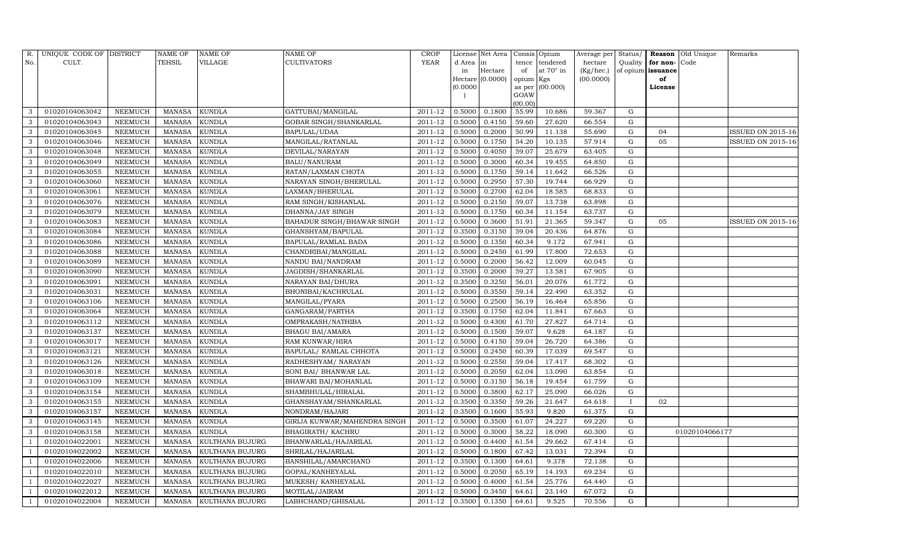| R.             | UNIQUE CODE OF DISTRICT |                | <b>NAME OF</b> | <b>NAME OF</b>         | <b>NAME OF</b>               | CROP    |           | License Net Area |                | Consis Opium     | Average per | Status/      | Reason            | Old Unique     | Remarks           |
|----------------|-------------------------|----------------|----------------|------------------------|------------------------------|---------|-----------|------------------|----------------|------------------|-------------|--------------|-------------------|----------------|-------------------|
| No.            | CULT.                   |                | <b>TEHSIL</b>  | VILLAGE                | <b>CULTIVATORS</b>           | YEAR    | d Area in |                  | tence          | tendered         | hectare     | Quality      | for non-          | Code           |                   |
|                |                         |                |                |                        |                              |         | in        | Hectare          | of             | at $70^\circ$ in | (Kg/hec.)   |              | of opium issuance |                |                   |
|                |                         |                |                |                        |                              |         |           | Hectare (0.0000) | opium Kgs      |                  | (00.0000)   |              | of                |                |                   |
|                |                         |                |                |                        |                              |         | (0.0000)  |                  | as per<br>GOAW | (00.000)         |             |              | License           |                |                   |
|                |                         |                |                |                        |                              |         |           |                  | (00.00)        |                  |             |              |                   |                |                   |
| 3              | 01020104063042          | NEEMUCH        | MANASA         | <b>KUNDLA</b>          | GATTUBAI/MANGILAL            | 2011-12 | 0.5000    | 0.1800           | 55.99          | 10.686           | 59.367      | G            |                   |                |                   |
| 3              | 01020104063043          | NEEMUCH        | MANASA         | <b>KUNDLA</b>          | GOBAR SINGH/SHANKARLAL       | 2011-12 | 0.5000    | 0.4150           | 59.60          | 27.620           | 66.554      | G            |                   |                |                   |
| 3              | 01020104063045          | <b>NEEMUCH</b> | <b>MANASA</b>  | <b>KUNDLA</b>          | BAPULAL/UDAA                 | 2011-12 | 0.5000    | 0.2000           | 50.99          | 11.138           | 55.690      | G            | 04                |                | ISSUED ON 2015-16 |
| 3              | 01020104063046          | NEEMUCH        | MANASA         | <b>KUNDLA</b>          | MANGILAL/RATANLAL            | 2011-12 | 0.5000    | 0.1750           | 54.20          | 10.135           | 57.914      | ${\rm G}$    | 05                |                | ISSUED ON 2015-16 |
| 3              | 01020104063048          | NEEMUCH        | MANASA         | <b>KUNDLA</b>          | DEVILAL/NARAYAN              | 2011-12 | 0.5000    | 0.4050           | 59.07          | 25.679           | 63.405      | G            |                   |                |                   |
| 3              | 01020104063049          | <b>NEEMUCH</b> | MANASA         | <b>KUNDLA</b>          | <b>BALU/NANURAM</b>          | 2011-12 | 0.5000    | 0.3000           | 60.34          | 19.455           | 64.850      | G            |                   |                |                   |
| 3              | 01020104063055          | NEEMUCH        | MANASA         | <b>KUNDLA</b>          | RATAN/LAXMAN CHOTA           | 2011-12 | 0.5000    | 0.1750           | 59.14          | 11.642           | 66.526      | G            |                   |                |                   |
| 3              | 01020104063060          | <b>NEEMUCH</b> | MANASA         | <b>KUNDLA</b>          | NARAYAN SINGH/BHERULAL       | 2011-12 | 0.5000    | 0.2950           | 57.30          | 19.744           | 66.929      | G            |                   |                |                   |
| 3              | 01020104063061          | <b>NEEMUCH</b> | <b>MANASA</b>  | <b>KUNDLA</b>          | LAXMAN/BHERULAL              | 2011-12 | 0.5000    | 0.2700           | 62.04          | 18.585           | 68.833      | G            |                   |                |                   |
| 3              | 01020104063076          | NEEMUCH        | MANASA         | <b>KUNDLA</b>          | RAM SINGH/KISHANLAL          | 2011-12 | 0.5000    | 0.2150           | 59.07          | 13.738           | 63.898      | G            |                   |                |                   |
| 3              | 01020104063079          | NEEMUCH        | <b>MANASA</b>  | <b>KUNDLA</b>          | DHANNA/JAY SINGH             | 2011-12 | 0.5000    | 0.1750           | 60.34          | 11.154           | 63.737      | G            |                   |                |                   |
| 3              | 01020104063083          | NEEMUCH        | MANASA         | <b>KUNDLA</b>          | BAHADUR SINGH/BHAWAR SINGH   | 2011-12 | 0.5000    | 0.3600           | 51.91          | 21.365           | 59.347      | G            | 05                |                | ISSUED ON 2015-16 |
| 3              | 01020104063084          | NEEMUCH        | MANASA         | <b>KUNDLA</b>          | GHANSHYAM/BAPULAL            | 2011-12 | 0.3500    | 0.3150           | 59.04          | 20.436           | 64.876      | G            |                   |                |                   |
| 3              | 01020104063086          | <b>NEEMUCH</b> | <b>MANASA</b>  | <b>KUNDLA</b>          | <b>BAPULAL/RAMLAL BADA</b>   | 2011-12 | 0.5000    | 0.1350           | 60.34          | 9.172            | 67.941      | G            |                   |                |                   |
| 3              | 01020104063088          | NEEMUCH        | MANASA         | <b>KUNDLA</b>          | CHANDRIBAI/MANGILAL          | 2011-12 | 0.5000    | 0.2450           | 61.99          | 17.800           | 72.653      | ${\rm G}$    |                   |                |                   |
| 3              | 01020104063089          | NEEMUCH        | MANASA         | <b>KUNDLA</b>          | NANDU BAI/NANDRAM            | 2011-12 | 0.5000    | 0.2000           | 56.42          | 12.009           | 60.045      | ${\rm G}$    |                   |                |                   |
| 3              | 01020104063090          | NEEMUCH        | <b>MANASA</b>  | <b>KUNDLA</b>          | JAGDISH/SHANKARLAL           | 2011-12 | 0.3500    | 0.2000           | 59.27          | 13.581           | 67.905      | ${\rm G}$    |                   |                |                   |
| 3              | 01020104063091          | <b>NEEMUCH</b> | MANASA         | <b>KUNDLA</b>          | NARAYAN BAI/DHURA            | 2011-12 | 0.3500    | 0.3250           | 56.01          | 20.076           | 61.772      | G            |                   |                |                   |
| 3              | 01020104063031          | NEEMUCH        | MANASA         | <b>KUNDLA</b>          | BHONIBAI/KACHRULAL           | 2011-12 | 0.5000    | 0.3550           | 59.14          | 22.490           | 63.352      | ${\rm G}$    |                   |                |                   |
| 3              | 01020104063106          | <b>NEEMUCH</b> | <b>MANASA</b>  | <b>KUNDLA</b>          | MANGILAL/PYARA               | 2011-12 | 0.5000    | 0.2500           | 56.19          | 16.464           | 65.856      | $\mathbf G$  |                   |                |                   |
| 3              | 01020104063064          | <b>NEEMUCH</b> | MANASA         | <b>KUNDLA</b>          | GANGARAM/PARTHA              | 2011-12 | 0.3500    | 0.1750           | 62.04          | 11.841           | 67.663      | G            |                   |                |                   |
| 3              | 01020104063112          | NEEMUCH        | MANASA         | <b>KUNDLA</b>          | OMPRAKASH/NATHIBA            | 2011-12 | 0.5000    | 0.4300           | 61.70          | 27.827           | 64.714      | G            |                   |                |                   |
| 3              | 01020104063137          | NEEMUCH        | MANASA         | <b>KUNDLA</b>          | <b>BHAGU BAI/AMARA</b>       | 2011-12 | 0.5000    | 0.1500           | 59.07          | 9.628            | 64.187      | G            |                   |                |                   |
| 3              | 01020104063017          | NEEMUCH        | <b>MANASA</b>  | <b>KUNDLA</b>          | RAM KUNWAR/HIRA              | 2011-12 | 0.5000    | 0.4150           | 59.04          | 26.720           | 64.386      | $\mathbf G$  |                   |                |                   |
| 3              | 01020104063121          | <b>NEEMUCH</b> | MANASA         | <b>KUNDLA</b>          | BAPULAL/ RAMLAL CHHOTA       | 2011-12 | 0.5000    | 0.2450           | 60.39          | 17.039           | 69.547      | G            |                   |                |                   |
| 3              | 01020104063126          | <b>NEEMUCH</b> | MANASA         | <b>KUNDLA</b>          | RADHESHYAM/ NARAYAN          | 2011-12 | 0.5000    | 0.2550           | 59.04          | 17.417           | 68.302      | G            |                   |                |                   |
| 3              | 01020104063018          | NEEMUCH        | MANASA         | <b>KUNDLA</b>          | SONI BAI/ BHANWAR LAL        | 2011-12 | 0.5000    | 0.2050           | 62.04          | 13.090           | 63.854      | G            |                   |                |                   |
| 3              | 01020104063109          | <b>NEEMUCH</b> | <b>MANASA</b>  | <b>KUNDLA</b>          | BHAWARI BAI/MOHANLAL         | 2011-12 | 0.5000    | 0.3150           | 56.18          | 19.454           | 61.759      | ${\rm G}$    |                   |                |                   |
| 3              | 01020104063154          | <b>NEEMUCH</b> | MANASA         | <b>KUNDLA</b>          | SHAMBHULAL/HIRALAL           | 2011-12 | 0.5000    | 0.3800           | 62.17          | 25.090           | 66.026      | G            |                   |                |                   |
| 3              | 01020104063155          | <b>NEEMUCH</b> | <b>MANASA</b>  | <b>KUNDLA</b>          | GHANSHAYAM/SHANKARLAL        | 2011-12 | 0.3500    | 0.3350           | 59.26          | 21.647           | 64.618      | $\mathbf{I}$ | 02                |                |                   |
| 3              | 01020104063157          | NEEMUCH        | <b>MANASA</b>  | <b>KUNDLA</b>          | NONDRAM/HAJARI               | 2011-12 | 0.3500    | 0.1600           | 55.93          | 9.820            | 61.375      | $\mathbf G$  |                   |                |                   |
| 3              | 01020104063145          | NEEMUCH        | MANASA         | <b>KUNDLA</b>          | GIRIJA KUNWAR/MAHENDRA SINGH | 2011-12 | 0.5000    | 0.3500           | 61.07          | 24.227           | 69.220      | G            |                   |                |                   |
| 3              | 01020104063158          | <b>NEEMUCH</b> | <b>MANASA</b>  | <b>KUNDLA</b>          | <b>BHAGIRATH/ KACHRU</b>     | 2011-12 | 0.5000    | 0.3000           | 58.22          | 18.090           | 60.300      | G            |                   | 01020104066177 |                   |
|                | 01020104022001          | NEEMUCH        | <b>MANASA</b>  | KULTHANA BUJURG        | BHANWARLAL/HAJARILAL         | 2011-12 | 0.5000    | 0.4400           | 61.54          | 29.662           | 67.414      | G            |                   |                |                   |
|                | 01020104022002          | <b>NEEMUCH</b> | <b>MANASA</b>  | KULTHANA BUJURG        | SHRILAL/HAJARILAL            | 2011-12 | 0.5000    | 0.1800           | 67.42          | 13.031           | 72.394      | G            |                   |                |                   |
|                | 01020104022006          | <b>NEEMUCH</b> | <b>MANASA</b>  | KULTHANA BUJURG        | BANSHILAL/AMARCHAND          | 2011-12 | 0.3500    | 0.1300           | 64.61          | 9.378            | 72.138      | G            |                   |                |                   |
|                | 01020104022010          | <b>NEEMUCH</b> | MANASA         | KULTHANA BUJURG        | GOPAL/KANHEYALAL             | 2011-12 | 0.5000    | 0.2050           | 65.19          | 14.193           | 69.234      | G            |                   |                |                   |
| $\overline{1}$ | 01020104022027          | <b>NEEMUCH</b> | MANASA         | <b>KULTHANA BUJURG</b> | MUKESH/ KANHEYALAL           | 2011-12 | 0.5000    | 0.4000           | 61.54          | 25.776           | 64.440      | ${\rm G}$    |                   |                |                   |
|                | 01020104022012          | <b>NEEMUCH</b> | MANASA         | KULTHANA BUJURG        | MOTILAL/JAIRAM               | 2011-12 | 0.5000    | 0.3450           | 64.61          | 23.140           | 67.072      | $\mathbf G$  |                   |                |                   |
| 1              | 01020104022004          | NEEMUCH        |                | MANASA KULTHANA BUJURG | LABHCHAND/GHISALAL           | 2011-12 | 0.3500    | 0.1350           | 64.61          | 9.525            | 70.556      | $\mathbf G$  |                   |                |                   |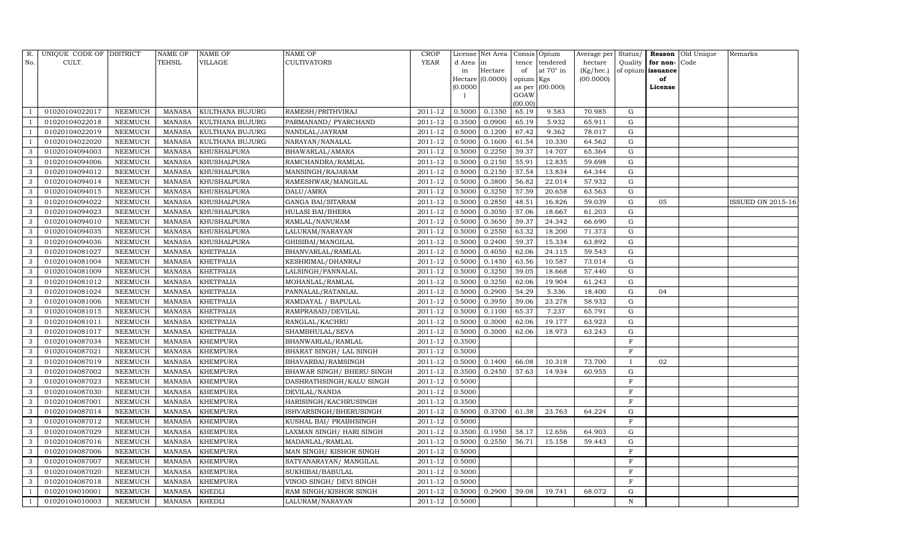| R.             | UNIQUE CODE OF DISTRICT |                | <b>NAME OF</b> | NAME OF          | <b>NAME OF</b>             | <b>CROP</b> |           | License Net Area |                | Consis Opium | Average per | Status/      | Reason            | Old Unique | Remarks                  |
|----------------|-------------------------|----------------|----------------|------------------|----------------------------|-------------|-----------|------------------|----------------|--------------|-------------|--------------|-------------------|------------|--------------------------|
| No.            | CULT.                   |                | TEHSIL         | VILLAGE          | <b>CULTIVATORS</b>         | YEAR        | d Area in |                  | tence          | tendered     | hectare     | Quality      | for non-          | Code       |                          |
|                |                         |                |                |                  |                            |             | in        | Hectare          | of             | at 70° in    | (Kg/hec.)   |              | of opium issuance |            |                          |
|                |                         |                |                |                  |                            |             |           | Hectare (0.0000) | opium Kgs      |              | (00.0000)   |              | of                |            |                          |
|                |                         |                |                |                  |                            |             | (0.0000)  |                  | as per<br>GOAW | (00.000)     |             |              | License           |            |                          |
|                |                         |                |                |                  |                            |             |           |                  | (00.00)        |              |             |              |                   |            |                          |
|                | 01020104022017          | NEEMUCH        | MANASA         | KULTHANA BUJURG  | RAMESH/PRITHVIRAJ          | 2011-12     | 0.5000    | 0.1350           | 65.19          | 9.583        | 70.985      | G            |                   |            |                          |
|                | 01020104022018          | NEEMUCH        | <b>MANASA</b>  | KULTHANA BUJURG  | PARMANAND/ PYARCHAND       | 2011-12     | 0.3500    | 0.0900           | 65.19          | 5.932        | 65.911      | G            |                   |            |                          |
|                | 01020104022019          | <b>NEEMUCH</b> | <b>MANASA</b>  | KULTHANA BUJURG  | NANDLAL/JAYRAM             | 2011-12     | 0.5000    | 0.1200           | 67.42          | 9.362        | 78.017      | G            |                   |            |                          |
|                | 01020104022020          | NEEMUCH        | <b>MANASA</b>  | KULTHANA BUJURG  | NARAYAN/NANALAL            | $2011 - 12$ | 0.5000    | 0.1600           | 61.54          | 10.330       | 64.562      | G            |                   |            |                          |
| 3              | 01020104094003          | <b>NEEMUCH</b> | <b>MANASA</b>  | KHUSHALPURA      | BHAWARLAL/AMARA            | 2011-12     | 0.5000    | 0.2250           | 59.37          | 14.707       | 65.364      | G            |                   |            |                          |
| 3              | 01020104094006          | NEEMUCH        | <b>MANASA</b>  | KHUSHALPURA      | RAMCHANDRA/RAMLAL          | 2011-12     | 0.5000    | 0.2150           | 55.91          | 12.835       | 59.698      | G            |                   |            |                          |
| 3              | 01020104094012          | NEEMUCH        | <b>MANASA</b>  | KHUSHALPURA      | MANSINGH/RAJARAM           | 2011-12     | 0.5000    | 0.2150           | 57.54          | 13.834       | 64.344      | G            |                   |            |                          |
| 3              | 01020104094014          | NEEMUCH        | <b>MANASA</b>  | KHUSHALPURA      | RAMESHWAR/MANGILAL         | 2011-12     | 0.5000    | 0.3800           | 56.82          | 22.014       | 57.932      | G            |                   |            |                          |
| 3              | 01020104094015          | <b>NEEMUCH</b> | <b>MANASA</b>  | KHUSHALPURA      | DALU/AMRA                  | 2011-12     | 0.5000    | 0.3250           | 57.59          | 20.658       | 63.563      | $\mathbf G$  |                   |            |                          |
| 3              | 01020104094022          | NEEMUCH        | <b>MANASA</b>  | KHUSHALPURA      | GANGA BAI/SITARAM          | 2011-12     | 0.5000    | 0.2850           | 48.51          | 16.826       | 59.039      | G            | 05                |            | <b>ISSUED ON 2015-16</b> |
| 3              | 01020104094023          | NEEMUCH        | <b>MANASA</b>  | KHUSHALPURA      | <b>HULASI BAI/BHERA</b>    | 2011-12     | 0.5000    | 0.3050           | 57.06          | 18.667       | 61.203      | ${\rm G}$    |                   |            |                          |
| 3              | 01020104094010          | NEEMUCH        | MANASA         | KHUSHALPURA      | RAMLAL/NANURAM             | 2011-12     | 0.5000    | 0.3650           | 59.37          | 24.342       | 66.690      | G            |                   |            |                          |
| 3              | 01020104094035          | <b>NEEMUCH</b> | <b>MANASA</b>  | KHUSHALPURA      | LALURAM/NARAYAN            | 2011-12     | 0.5000    | 0.2550           | 63.32          | 18.200       | 71.373      | ${\rm G}$    |                   |            |                          |
| 3              | 01020104094036          | NEEMUCH        | <b>MANASA</b>  | KHUSHALPURA      | GHISIBAI/MANGILAL          | 2011-12     | 0.5000    | 0.2400           | 59.37          | 15.334       | 63.892      | G            |                   |            |                          |
| 3              | 01020104081027          | NEEMUCH        | MANASA         | KHETPALIA        | BHANVARLAL/RAMLAL          | 2011-12     | 0.5000    | 0.4050           | 62.06          | 24.115       | 59.543      | G            |                   |            |                          |
| 3              | 01020104081004          | NEEMUCH        | <b>MANASA</b>  | KHETPALIA        | KESHRIMAL/DHANRAJ          | 2011-12     | 0.5000    | 0.1450           | 63.56          | 10.587       | 73.014      | G            |                   |            |                          |
| 3              | 01020104081009          | <b>NEEMUCH</b> | <b>MANASA</b>  | KHETPALIA        | LALSINGH/PANNALAL          | 2011-12     | 0.5000    | 0.3250           | 59.05          | 18.668       | 57.440      | G            |                   |            |                          |
| 3              | 01020104081012          | NEEMUCH        | MANASA         | KHETPALIA        | MOHANLAL/RAMLAL            | 2011-12     | 0.5000    | 0.3250           | 62.06          | 19.904       | 61.243      | G            |                   |            |                          |
| 3              | 01020104081024          | NEEMUCH        | <b>MANASA</b>  | KHETPALIA        | PANNALAL/RATANLAL          | 2011-12     | 0.5000    | 0.2900           | 54.29          | 5.336        | 18.400      | G            | 04                |            |                          |
| 3              | 01020104081006          | NEEMUCH        | <b>MANASA</b>  | KHETPALIA        | RAMDAYAL / BAPULAL         | 2011-12     | 0.5000    | 0.3950           | 59.06          | 23.278       | 58.932      | G            |                   |            |                          |
| 3              | 01020104081015          | NEEMUCH        | <b>MANASA</b>  | <b>KHETPALIA</b> | RAMPRASAD/DEVILAL          | 2011-12     | 0.5000    | 0.1100           | 65.37          | 7.237        | 65.791      | G            |                   |            |                          |
| 3              | 01020104081011          | NEEMUCH        | <b>MANASA</b>  | <b>KHETPALIA</b> | RANGLAL/KACHRU             | 2011-12     | 0.5000    | 0.3000           | 62.06          | 19.177       | 63.923      | G            |                   |            |                          |
| 3              | 01020104081017          | NEEMUCH        | <b>MANASA</b>  | KHETPALIA        | SHAMBHULAL/SEVA            | 2011-12     | 0.5000    | 0.3000           | 62.06          | 18.973       | 63.243      | G            |                   |            |                          |
| 3              | 01020104087034          | NEEMUCH        | <b>MANASA</b>  | KHEMPURA         | BHANWARLAL/RAMLAL          | 2011-12     | 0.3500    |                  |                |              |             | $\mathbf F$  |                   |            |                          |
|                | 01020104087021          | NEEMUCH        | <b>MANASA</b>  | KHEMPURA         | BHARAT SINGH/ LAL SINGH    | 2011-12     | 0.5000    |                  |                |              |             | $\mathbf{F}$ |                   |            |                          |
| 3              | 01020104087019          | <b>NEEMUCH</b> | <b>MANASA</b>  | KHEMPURA         | BHAVARBAI/RAMSINGH         | 2011-12     | 0.5000    | 0.1400           | 66.08          | 10.318       | 73.700      | $\mathbf{I}$ | 02                |            |                          |
| 3              | 01020104087002          | NEEMUCH        | <b>MANASA</b>  | KHEMPURA         | BHAWAR SINGH / BHERU SINGH | 2011-12     | 0.3500    | 0.2450           | 57.63          | 14.934       | 60.955      | G            |                   |            |                          |
| 3              | 01020104087023          | NEEMUCH        | <b>MANASA</b>  | KHEMPURA         | DASHRATHSINGH/KALU SINGH   | 2011-12     | 0.5000    |                  |                |              |             | $\mathbf{F}$ |                   |            |                          |
| 3              | 01020104087030          | NEEMUCH        | <b>MANASA</b>  | <b>KHEMPURA</b>  | DEVILAL/NANDA              | 2011-12     | 0.5000    |                  |                |              |             | $\rm F$      |                   |            |                          |
| 3              | 01020104087001          | NEEMUCH        | <b>MANASA</b>  | <b>KHEMPURA</b>  | HARISINGH/KACHRUSINGH      | 2011-12     | 0.3500    |                  |                |              |             | $\mathbf F$  |                   |            |                          |
| 3              | 01020104087014          | NEEMUCH        | <b>MANASA</b>  | KHEMPURA         | ISHVARSINGH/BHERUSINGH     | 2011-12     | 0.5000    | 0.3700           | 61.38          | 23.763       | 64.224      | $\mathbf G$  |                   |            |                          |
| 3              | 01020104087012          | NEEMUCH        | <b>MANASA</b>  | <b>KHEMPURA</b>  | KUSHAL BAI/ PRABHSINGH     | 2011-12     | 0.5000    |                  |                |              |             | $\mathbf{F}$ |                   |            |                          |
| 3              | 01020104087029          | NEEMUCH        | <b>MANASA</b>  | KHEMPURA         | LAXMAN SINGH/ HARI SINGH   | 2011-12     | 0.3500    | 0.1950           | 58.17          | 12.656       | 64.903      | G            |                   |            |                          |
| 3              | 01020104087016          | NEEMUCH        | <b>MANASA</b>  | KHEMPURA         | MADANLAL/RAMLAL            | 2011-12     | 0.5000    | 0.2550           | 56.71          | 15.158       | 59.443      | ${\rm G}$    |                   |            |                          |
| 3              | 01020104087006          | NEEMUCH        | <b>MANASA</b>  | KHEMPURA         | MAN SINGH/KISHOR SINGH     | 2011-12     | 0.5000    |                  |                |              |             | $\mathbf F$  |                   |            |                          |
| 3              | 01020104087007          | <b>NEEMUCH</b> | <b>MANASA</b>  | <b>KHEMPURA</b>  | SATYANARAYAN / MANGILAL    | 2011-12     | 0.5000    |                  |                |              |             | F            |                   |            |                          |
| 3              | 01020104087020          | NEEMUCH        | <b>MANASA</b>  | KHEMPURA         | SUKHIBAI/BABULAL           | 2011-12     | 0.5000    |                  |                |              |             | $\mathbf{F}$ |                   |            |                          |
| 3              | 01020104087018          | NEEMUCH        | <b>MANASA</b>  | KHEMPURA         | VINOD SINGH/ DEVI SINGH    | 2011-12     | 0.5000    |                  |                |              |             | F            |                   |            |                          |
|                | 01020104010001          | NEEMUCH        | <b>MANASA</b>  | KHEDLI           | RAM SINGH/KISHOR SINGH     | 2011-12     | 0.5000    | 0.2900           | 59.08          | 19.741       | 68.072      | G            |                   |            |                          |
| $\overline{1}$ | 01020104010003          | <b>NEEMUCH</b> | MANASA         | <b>KHEDLI</b>    | LALURAM/NARAYAN            | 2011-12     | 0.5000    |                  |                |              |             | N            |                   |            |                          |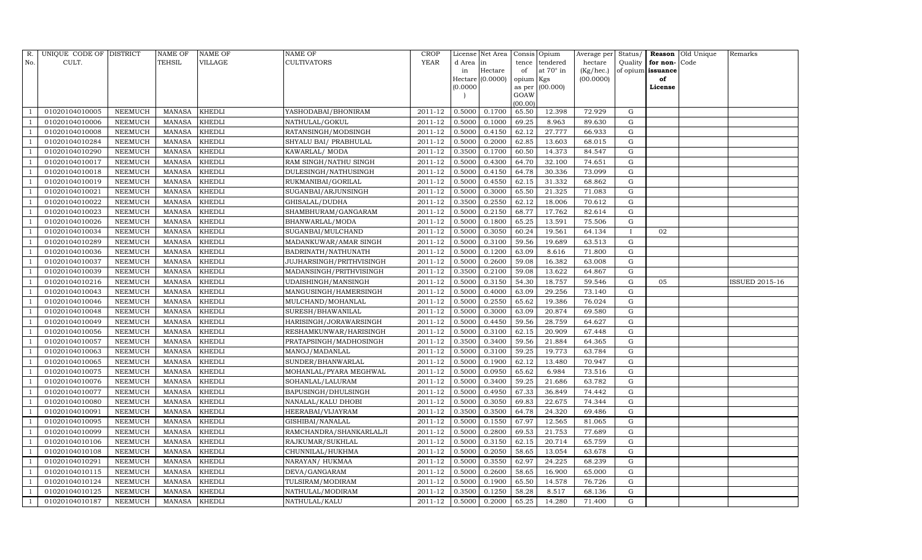| R.             | UNIQUE CODE OF DISTRICT |                 | NAME OF       | <b>NAME OF</b> | <b>NAME OF</b>           | CROP        |           | License Net Area |                 | Consis Opium     | Average per | Status/     | Reason            | Old Unique | Remarks        |
|----------------|-------------------------|-----------------|---------------|----------------|--------------------------|-------------|-----------|------------------|-----------------|------------------|-------------|-------------|-------------------|------------|----------------|
| No.            | CULT.                   |                 | <b>TEHSIL</b> | VILLAGE        | <b>CULTIVATORS</b>       | YEAR        | d Area in |                  | tence           | tendered         | hectare     | Quality     | for non-          | Code       |                |
|                |                         |                 |               |                |                          |             | in        | Hectare          | of              | at $70^\circ$ in | (Kg/hec.)   |             | of opium issuance |            |                |
|                |                         |                 |               |                |                          |             |           | Hectare (0.0000) | opium Kgs       |                  | (00.0000)   |             | of                |            |                |
|                |                         |                 |               |                |                          |             | (0.0000)  |                  | as per          | (00.000)         |             |             | License           |            |                |
|                |                         |                 |               |                |                          |             |           |                  | GOAW<br>(00.00) |                  |             |             |                   |            |                |
|                | 01020104010005          | NEEMUCH         | MANASA        | <b>KHEDLI</b>  | YASHODABAI/BHONIRAM      | 2011-12     | 0.5000    | 0.1700           | 65.50           | 12.398           | 72.929      | G           |                   |            |                |
|                | 01020104010006          | NEEMUCH         | MANASA        | <b>KHEDLI</b>  | NATHULAL/GOKUL           | 2011-12     | 0.5000    | 0.1000           | 69.25           | 8.963            | 89.630      | G           |                   |            |                |
|                | 01020104010008          | <b>NEEMUCH</b>  | <b>MANASA</b> | <b>KHEDLI</b>  | RATANSINGH/MODSINGH      | 2011-12     | 0.5000    | 0.4150           | 62.12           | 27.777           | 66.933      | G           |                   |            |                |
|                | 01020104010284          | NEEMUCH         | MANASA        | <b>KHEDLI</b>  | SHYALU BAI/ PRABHULAL    | 2011-12     | 0.5000    | 0.2000           | 62.85           | 13.603           | 68.015      | ${\rm G}$   |                   |            |                |
|                | 01020104010290          | NEEMUCH         | MANASA        | <b>KHEDLI</b>  | KAWARLAL/ MODA           | 2011-12     | 0.3500    | 0.1700           | 60.50           | 14.373           | 84.547      | G           |                   |            |                |
|                | 01020104010017          | <b>NEEMUCH</b>  | MANASA        | <b>KHEDLI</b>  | RAM SINGH/NATHU SINGH    | 2011-12     | 0.5000    | 0.4300           | 64.70           | 32.100           | 74.651      | G           |                   |            |                |
|                | 01020104010018          | NEEMUCH         | MANASA        | <b>KHEDLI</b>  | DULESINGH/NATHUSINGH     | $2011 - 12$ | 0.5000    | 0.4150           | 64.78           | 30.336           | 73.099      | G           |                   |            |                |
|                | 01020104010019          | NEEMUCH         | MANASA        | <b>KHEDLI</b>  | RUKMANIBAI/GORILAL       | 2011-12     | 0.5000    | 0.4550           | 62.15           | 31.332           | 68.862      | G           |                   |            |                |
|                | 01020104010021          | <b>NEEMUCH</b>  | <b>MANASA</b> | <b>KHEDLI</b>  | SUGANBAI/ARJUNSINGH      | 2011-12     | 0.5000    | 0.3000           | 65.50           | 21.325           | 71.083      | $\mathbf G$ |                   |            |                |
|                | 01020104010022          | NEEMUCH         | MANASA        | <b>KHEDLI</b>  | GHISALAL/DUDHA           | 2011-12     | 0.3500    | 0.2550           | 62.12           | 18.006           | 70.612      | G           |                   |            |                |
|                | 01020104010023          | NEEMUCH         | MANASA        | <b>KHEDLI</b>  | SHAMBHURAM/GANGARAM      | 2011-12     | 0.5000    | 0.2150           | 68.77           | 17.762           | 82.614      | G           |                   |            |                |
|                | 01020104010026          | <b>NEEMUCH</b>  | MANASA        | <b>KHEDLI</b>  | BHANWARLAL/MODA          | 2011-12     | 0.5000    | 0.1800           | 65.25           | 13.591           | 75.506      | $\mathbf G$ |                   |            |                |
|                | 01020104010034          | NEEMUCH         | <b>MANASA</b> | <b>KHEDLI</b>  | SUGANBAI/MULCHAND        | 2011-12     | 0.5000    | 0.3050           | 60.24           | 19.561           | 64.134      |             | 02                |            |                |
|                | 01020104010289          | <b>NEEMUCH</b>  | <b>MANASA</b> | <b>KHEDLI</b>  | MADANKUWAR/AMAR SINGH    | 2011-12     | 0.5000    | 0.3100           | 59.56           | 19.689           | 63.513      | ${\rm G}$   |                   |            |                |
|                | 01020104010036          | <b>NEEMUCH</b>  | MANASA        | <b>KHEDLI</b>  | BADRINATH/NATHUNATH      | 2011-12     | 0.5000    | 0.1200           | 63.09           | 8.616            | 71.800      | G           |                   |            |                |
|                | 01020104010037          | <b>NEEMUCH</b>  | MANASA        | <b>KHEDLI</b>  | JUJHARSINGH/PRITHVISINGH | 2011-12     | 0.5000    | 0.2600           | 59.08           | 16.382           | 63.008      | G           |                   |            |                |
|                | 01020104010039          | NEEMUCH         | <b>MANASA</b> | <b>KHEDLI</b>  | MADANSINGH/PRITHVISINGH  | 2011-12     | 0.3500    | 0.2100           | 59.08           | 13.622           | 64.867      | $\mathbf G$ |                   |            |                |
|                | 01020104010216          | <b>NEEMUCH</b>  | <b>MANASA</b> | <b>KHEDLI</b>  | UDAISHINGH/MANSINGH      | 2011-12     | 0.5000    | 0.3150           | 54.30           | 18.757           | 59.546      | G           | 05                |            | ISSUED 2015-16 |
|                | 01020104010043          | <b>NEEMUCH</b>  | MANASA        | <b>KHEDLI</b>  | MANGUSINGH/HAMERSINGH    | 2011-12     | 0.5000    | 0.4000           | 63.09           | 29.256           | 73.140      | ${\rm G}$   |                   |            |                |
|                | 01020104010046          | <b>NEEMUCH</b>  | <b>MANASA</b> | <b>KHEDLI</b>  | MULCHAND/MOHANLAL        | 2011-12     | 0.5000    | 0.2550           | 65.62           | 19.386           | 76.024      | $\mathbf G$ |                   |            |                |
|                | 01020104010048          | NEEMUCH         | MANASA        | <b>KHEDLI</b>  | SURESH/BHAWANILAL        | 2011-12     | 0.5000    | 0.3000           | 63.09           | 20.874           | 69.580      | ${\rm G}$   |                   |            |                |
|                | 01020104010049          | NEEMUCH         | MANASA        | <b>KHEDLI</b>  | HARISINGH/JORAWARSINGH   | 2011-12     | 0.5000    | 0.4450           | 59.56           | 28.759           | 64.627      | ${\rm G}$   |                   |            |                |
|                | 01020104010056          | <b>NEEMUCH</b>  | MANASA        | <b>KHEDLI</b>  | RESHAMKUNWAR/HARISINGH   | 2011-12     | 0.5000    | 0.3100           | 62.15           | 20.909           | 67.448      | $\mathbf G$ |                   |            |                |
|                | 01020104010057          | ${\tt NEEMUCH}$ | <b>MANASA</b> | <b>KHEDLI</b>  | PRATAPSINGH/MADHOSINGH   | 2011-12     | 0.3500    | 0.3400           | 59.56           | 21.884           | 64.365      | $\mathbf G$ |                   |            |                |
|                | 01020104010063          | <b>NEEMUCH</b>  | MANASA        | <b>KHEDLI</b>  | MANOJ/MADANLAL           | 2011-12     | 0.5000    | 0.3100           | 59.25           | 19.773           | 63.784      | G           |                   |            |                |
|                | 01020104010065          | <b>NEEMUCH</b>  | MANASA        | <b>KHEDLI</b>  | SUNDER/BHANWARLAL        | 2011-12     | 0.5000    | 0.1900           | 62.12           | 13.480           | 70.947      | G           |                   |            |                |
|                | 01020104010075          | <b>NEEMUCH</b>  | MANASA        | <b>KHEDLI</b>  | MOHANLAL/PYARA MEGHWAL   | 2011-12     | 0.5000    | 0.0950           | 65.62           | 6.984            | 73.516      | ${\rm G}$   |                   |            |                |
|                | 01020104010076          | <b>NEEMUCH</b>  | <b>MANASA</b> | <b>KHEDLI</b>  | SOHANLAL/LALURAM         | 2011-12     | 0.5000    | 0.3400           | 59.25           | 21.686           | 63.782      | $\mathbf G$ |                   |            |                |
|                | 01020104010077          | <b>NEEMUCH</b>  | MANASA        | <b>KHEDLI</b>  | BAPUSINGH/DHULSINGH      | 2011-12     | 0.5000    | 0.4950           | 67.33           | 36.849           | 74.442      | G           |                   |            |                |
|                | 01020104010080          | NEEMUCH         | <b>MANASA</b> | <b>KHEDLI</b>  | NANALAL/KALU DHOBI       | 2011-12     | 0.5000    | 0.3050           | 69.83           | 22.675           | 74.344      | ${\rm G}$   |                   |            |                |
|                | 01020104010091          | <b>NEEMUCH</b>  | MANASA        | <b>KHEDLI</b>  | HEERABAI/VIJAYRAM        | 2011-12     | 0.3500    | 0.3500           | 64.78           | 24.320           | 69.486      | G           |                   |            |                |
|                | 01020104010095          | <b>NEEMUCH</b>  | MANASA        | <b>KHEDLI</b>  | GISHIBAI/NANALAL         | 2011-12     | 0.5000    | 0.1550           | 67.97           | 12.565           | 81.065      | G           |                   |            |                |
|                | 01020104010099          | <b>NEEMUCH</b>  | <b>MANASA</b> | <b>KHEDLI</b>  | RAMCHANDRA/SHANKARLALJI  | 2011-12     | 0.5000    | 0.2800           | 69.53           | 21.753           | 77.689      | G           |                   |            |                |
|                | 01020104010106          | <b>NEEMUCH</b>  | MANASA        | <b>KHEDLI</b>  | RAJKUMAR/SUKHLAL         | 2011-12     | 0.5000    | 0.3150           | 62.15           | 20.714           | 65.759      | G           |                   |            |                |
|                | 01020104010108          | NEEMUCH         | MANASA        | <b>KHEDLI</b>  | CHUNNILAL/HUKHMA         | 2011-12     | 0.5000    | 0.2050           | 58.65           | 13.054           | 63.678      | $\mathbf G$ |                   |            |                |
|                | 01020104010291          | NEEMUCH         | MANASA        | <b>KHEDLI</b>  | NARAYAN/ HUKMAA          | 2011-12     | 0.5000    | 0.3550           | 62.97           | 24.225           | 68.239      | G           |                   |            |                |
|                | 01020104010115          | NEEMUCH         | <b>MANASA</b> | <b>KHEDLI</b>  | DEVA/GANGARAM            | 2011-12     | 0.5000    | 0.2600           | 58.65           | 16.900           | 65.000      | G           |                   |            |                |
|                | 01020104010124          | <b>NEEMUCH</b>  | MANASA        | <b>KHEDLI</b>  | TULSIRAM/MODIRAM         | 2011-12     | 0.5000    | 0.1900           | 65.50           | 14.578           | 76.726      | ${\rm G}$   |                   |            |                |
|                | 01020104010125          | <b>NEEMUCH</b>  | <b>MANASA</b> | <b>KHEDLI</b>  | NATHULAL/MODIRAM         | 2011-12     | 0.3500    | 0.1250           | 58.28           | 8.517            | 68.136      | G           |                   |            |                |
| $\overline{1}$ | 01020104010187          | NEEMUCH         | MANASA        | <b>KHEDLI</b>  | NATHULAL/KALU            | 2011-12     | 0.5000    | 0.2000           | 65.25           | 14.280           | 71.400      | G           |                   |            |                |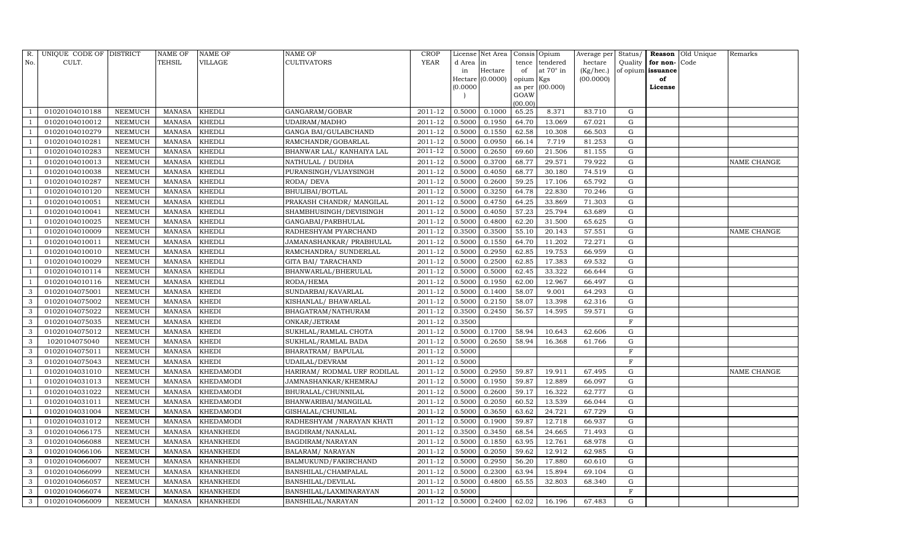| R.  | UNIQUE CODE OF DISTRICT |                | NAME OF       | <b>NAME OF</b>   | <b>NAME OF</b>              | CROP    |           | License Net Area |                | Consis Opium     | Average per | Status/     |                   | <b>Reason</b> Old Unique | Remarks     |
|-----|-------------------------|----------------|---------------|------------------|-----------------------------|---------|-----------|------------------|----------------|------------------|-------------|-------------|-------------------|--------------------------|-------------|
| No. | CULT.                   |                | <b>TEHSIL</b> | VILLAGE          | <b>CULTIVATORS</b>          | YEAR    | d Area in |                  | tence          | tendered         | hectare     | Quality     | for non-          | Code                     |             |
|     |                         |                |               |                  |                             |         | in        | Hectare          | of             | at $70^\circ$ in | (Kg/hec.)   |             | of opium issuance |                          |             |
|     |                         |                |               |                  |                             |         |           | Hectare (0.0000) | opium Kgs      |                  | (00.0000)   |             | of                |                          |             |
|     |                         |                |               |                  |                             |         | (0.0000)  |                  | as per<br>GOAW | (00.000)         |             |             | License           |                          |             |
|     |                         |                |               |                  |                             |         |           |                  | (00.00)        |                  |             |             |                   |                          |             |
|     | 01020104010188          | NEEMUCH        | MANASA        | <b>KHEDLI</b>    | GANGARAM/GOBAR              | 2011-12 | 0.5000    | 0.1000           | 65.25          | 8.371            | 83.710      | G           |                   |                          |             |
|     | 01020104010012          | NEEMUCH        | MANASA        | <b>KHEDLI</b>    | UDAIRAM/MADHO               | 2011-12 | 0.5000    | 0.1950           | 64.70          | 13.069           | 67.021      | G           |                   |                          |             |
|     | 01020104010279          | <b>NEEMUCH</b> | <b>MANASA</b> | <b>KHEDLI</b>    | GANGA BAI/GULABCHAND        | 2011-12 | 0.5000    | 0.1550           | 62.58          | 10.308           | 66.503      | G           |                   |                          |             |
|     | 01020104010281          | NEEMUCH        | MANASA        | <b>KHEDLI</b>    | RAMCHANDR/GOBARLAL          | 2011-12 | 0.5000    | 0.0950           | 66.14          | 7.719            | 81.253      | G           |                   |                          |             |
|     | 01020104010283          | NEEMUCH        | MANASA        | <b>KHEDLI</b>    | BHANWAR LAL/ KANHAIYA LAL   | 2011-12 | 0.5000    | 0.2650           | 69.60          | 21.506           | 81.155      | G           |                   |                          |             |
|     | 01020104010013          | <b>NEEMUCH</b> | MANASA        | <b>KHEDLI</b>    | NATHULAL / DUDHA            | 2011-12 | 0.5000    | 0.3700           | 68.77          | 29.571           | 79.922      | G           |                   |                          | NAME CHANGE |
|     | 01020104010038          | NEEMUCH        | MANASA        | <b>KHEDLI</b>    | PURANSINGH/VIJAYSINGH       | 2011-12 | 0.5000    | 0.4050           | 68.77          | 30.180           | 74.519      | G           |                   |                          |             |
|     | 01020104010287          | NEEMUCH        | MANASA        | <b>KHEDLI</b>    | RODA/ DEVA                  | 2011-12 | 0.5000    | 0.2600           | 59.25          | 17.106           | 65.792      | G           |                   |                          |             |
|     | 01020104010120          | NEEMUCH        | <b>MANASA</b> | <b>KHEDLI</b>    | BHULIBAI/BOTLAL             | 2011-12 | 0.5000    | 0.3250           | 64.78          | 22.830           | 70.246      | G           |                   |                          |             |
|     | 01020104010051          | NEEMUCH        | MANASA        | <b>KHEDLI</b>    | PRAKASH CHANDR/ MANGILAL    | 2011-12 | 0.5000    | 0.4750           | 64.25          | 33.869           | 71.303      | G           |                   |                          |             |
|     | 01020104010041          | NEEMUCH        | MANASA        | <b>KHEDLI</b>    | SHAMBHUSINGH/DEVISINGH      | 2011-12 | 0.5000    | 0.4050           | 57.23          | 25.794           | 63.689      | G           |                   |                          |             |
|     | 01020104010025          | NEEMUCH        | MANASA        | <b>KHEDLI</b>    | GANGABAI/PARBHULAL          | 2011-12 | 0.5000    | 0.4800           | 62.20          | 31.500           | 65.625      | G           |                   |                          |             |
|     | 01020104010009          | NEEMUCH        | MANASA        | <b>KHEDLI</b>    | RADHESHYAM PYARCHAND        | 2011-12 | 0.3500    | 0.3500           | 55.10          | 20.143           | 57.551      | G           |                   |                          | NAME CHANGE |
|     | 01020104010011          | <b>NEEMUCH</b> | <b>MANASA</b> | <b>KHEDLI</b>    | JAMANASHANKAR/ PRABHULAL    | 2011-12 | 0.5000    | 0.1550           | 64.70          | 11.202           | 72.271      | G           |                   |                          |             |
|     | 01020104010010          | NEEMUCH        | MANASA        | <b>KHEDLI</b>    | RAMCHANDRA/ SUNDERLAL       | 2011-12 | 0.5000    | 0.2950           | 62.85          | 19.753           | 66.959      | ${\rm G}$   |                   |                          |             |
|     | 01020104010029          | NEEMUCH        | <b>MANASA</b> | <b>KHEDLI</b>    | GITA BAI/ TARACHAND         | 2011-12 | 0.5000    | 0.2500           | 62.85          | 17.383           | 69.532      | G           |                   |                          |             |
|     | 01020104010114          | <b>NEEMUCH</b> | MANASA        | <b>KHEDLI</b>    | BHANWARLAL/BHERULAL         | 2011-12 | 0.5000    | 0.5000           | 62.45          | 33.322           | 66.644      | G           |                   |                          |             |
|     | 01020104010116          | <b>NEEMUCH</b> | <b>MANASA</b> | <b>KHEDLI</b>    | RODA/HEMA                   | 2011-12 | 0.5000    | 0.1950           | 62.00          | 12.967           | 66.497      | G           |                   |                          |             |
| 3   | 01020104075001          | NEEMUCH        | MANASA        | <b>KHEDI</b>     | SUNDARBAI/KAVARLAL          | 2011-12 | 0.5000    | 0.1400           | 58.07          | 9.001            | 64.293      | ${\rm G}$   |                   |                          |             |
| 3   | 01020104075002          | <b>NEEMUCH</b> | <b>MANASA</b> | <b>KHEDI</b>     | KISHANLAL/ BHAWARLAL        | 2011-12 | 0.5000    | 0.2150           | 58.07          | 13.398           | 62.316      | $\mathbf G$ |                   |                          |             |
| 3   | 01020104075022          | <b>NEEMUCH</b> | MANASA        | <b>KHEDI</b>     | BHAGATRAM/NATHURAM          | 2011-12 | 0.3500    | 0.2450           | 56.57          | 14.595           | 59.571      | G           |                   |                          |             |
| 3   | 01020104075035          | NEEMUCH        | <b>MANASA</b> | <b>KHEDI</b>     | ONKAR/JETRAM                | 2011-12 | 0.3500    |                  |                |                  |             | F           |                   |                          |             |
| 3   | 01020104075012          | NEEMUCH        | MANASA        | <b>KHEDI</b>     | SUKHLAL/RAMLAL CHOTA        | 2011-12 | 0.5000    | 0.1700           | 58.94          | 10.643           | 62.606      | G           |                   |                          |             |
| 3   | 1020104075040           | NEEMUCH        | <b>MANASA</b> | <b>KHEDI</b>     | SUKHLAL/RAMLAL BADA         | 2011-12 | 0.5000    | 0.2650           | 58.94          | 16.368           | 61.766      | ${\rm G}$   |                   |                          |             |
| 3   | 01020104075011          | <b>NEEMUCH</b> | <b>MANASA</b> | <b>KHEDI</b>     | BHARATRAM / BAPULAL         | 2011-12 | 0.5000    |                  |                |                  |             | $\rm F$     |                   |                          |             |
| 3   | 01020104075043          | <b>NEEMUCH</b> | MANASA        | <b>KHEDI</b>     | UDAILAL/DEVRAM              | 2011-12 | 0.5000    |                  |                |                  |             | F           |                   |                          |             |
| - 1 | 01020104031010          | NEEMUCH        | MANASA        | <b>KHEDAMODI</b> | HARIRAM/ RODMAL URF RODILAL | 2011-12 | 0.5000    | 0.2950           | 59.87          | 19.911           | 67.495      | G           |                   |                          | NAME CHANGE |
|     | 01020104031013          | <b>NEEMUCH</b> | <b>MANASA</b> | <b>KHEDAMODI</b> | JAMNASHANKAR/KHEMRAJ        | 2011-12 | 0.5000    | 0.1950           | 59.87          | 12.889           | 66.097      | ${\rm G}$   |                   |                          |             |
|     | 01020104031022          | <b>NEEMUCH</b> | MANASA        | <b>KHEDAMODI</b> | BHURALAL/CHUNNILAL          | 2011-12 | 0.5000    | 0.2600           | 59.17          | 16.322           | 62.777      | G           |                   |                          |             |
|     | 01020104031011          | <b>NEEMUCH</b> | MANASA        | <b>KHEDAMODI</b> | BHANWARIBAI/MANGILAL        | 2011-12 | 0.5000    | 0.2050           | 60.52          | 13.539           | 66.044      | ${\rm G}$   |                   |                          |             |
|     | 01020104031004          | NEEMUCH        | MANASA        | <b>KHEDAMODI</b> | GISHALAL/CHUNILAL           | 2011-12 | 0.5000    | 0.3650           | 63.62          | 24.721           | 67.729      | ${\rm G}$   |                   |                          |             |
|     | 01020104031012          | NEEMUCH        | MANASA        | <b>KHEDAMODI</b> | RADHESHYAM / NARAYAN KHATI  | 2011-12 | 0.5000    | 0.1900           | 59.87          | 12.718           | 66.937      | G           |                   |                          |             |
| 3   | 01020104066175          | <b>NEEMUCH</b> | <b>MANASA</b> | <b>KHANKHEDI</b> | BAGDIRAM/NANALAL            | 2011-12 | 0.3500    | 0.3450           | 68.54          | 24.665           | 71.493      | G           |                   |                          |             |
| 3   | 01020104066088          | NEEMUCH        | MANASA        | <b>KHANKHEDI</b> | BAGDIRAM/NARAYAN            | 2011-12 | 0.5000    | 0.1850           | 63.95          | 12.761           | 68.978      | ${\rm G}$   |                   |                          |             |
| 3   | 01020104066106          | <b>NEEMUCH</b> | MANASA        | <b>KHANKHEDI</b> | <b>BALARAM/ NARAYAN</b>     | 2011-12 | 0.5000    | 0.2050           | 59.62          | 12.912           | 62.985      | G           |                   |                          |             |
| 3   | 01020104066007          | <b>NEEMUCH</b> | <b>MANASA</b> | <b>KHANKHEDI</b> | BALMUKUND/FAKIRCHAND        | 2011-12 | 0.5000    | 0.2950           | 56.20          | 17.880           | 60.610      | G           |                   |                          |             |
| 3   | 01020104066099          | <b>NEEMUCH</b> | MANASA        | KHANKHEDI        | BANSHILAL/CHAMPALAL         | 2011-12 | 0.5000    | 0.2300           | 63.94          | 15.894           | 69.104      | G           |                   |                          |             |
| 3   | 01020104066057          | <b>NEEMUCH</b> | MANASA        | <b>KHANKHEDI</b> | <b>BANSHILAL/DEVILAL</b>    | 2011-12 | 0.5000    | 0.4800           | 65.55          | 32.803           | 68.340      | ${\rm G}$   |                   |                          |             |
| 3   | 01020104066074          | NEEMUCH        | MANASA        | KHANKHEDI        | BANSHILAL/LAXMINARAYAN      | 2011-12 | 0.5000    |                  |                |                  |             | F           |                   |                          |             |
| 3   | 01020104066009          | NEEMUCH        |               | MANASA KHANKHEDI | <b>BANSHILAL/NARAYAN</b>    | 2011-12 | 0.5000    | 0.2400           | 62.02          | 16.196           | 67.483      | G           |                   |                          |             |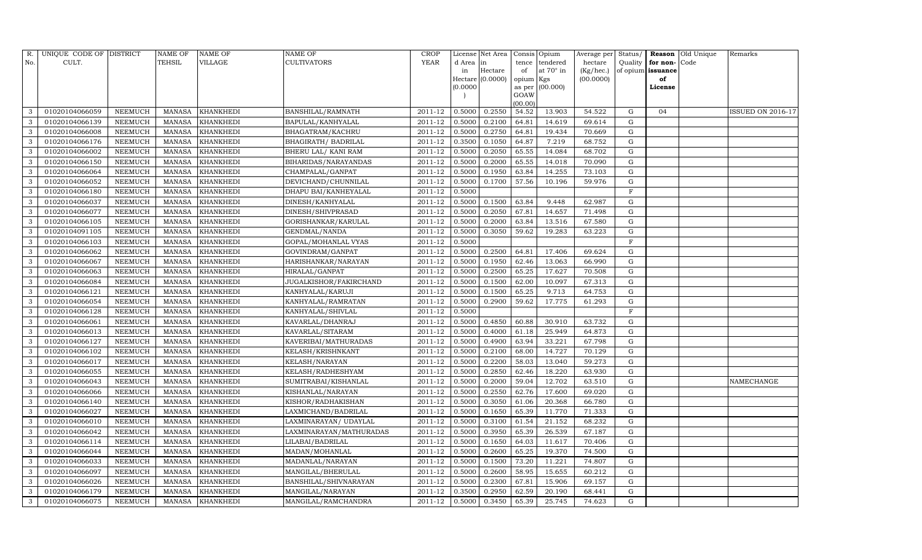| R.  | UNIQUE CODE OF DISTRICT |                 | <b>NAME OF</b> | <b>NAME OF</b>   | <b>NAME OF</b>             | CROP        |           | License Net Area |                | Consis Opium     | Average per | Status/      | Reason            | Old Unique | Remarks           |
|-----|-------------------------|-----------------|----------------|------------------|----------------------------|-------------|-----------|------------------|----------------|------------------|-------------|--------------|-------------------|------------|-------------------|
| No. | CULT.                   |                 | <b>TEHSIL</b>  | VILLAGE          | <b>CULTIVATORS</b>         | <b>YEAR</b> | d Area in |                  | tence          | tendered         | hectare     | Quality      | for non-          | Code       |                   |
|     |                         |                 |                |                  |                            |             | in        | Hectare          | of             | at $70^\circ$ in | (Kg/hec.)   |              | of opium issuance |            |                   |
|     |                         |                 |                |                  |                            |             |           | Hectare (0.0000) | opium Kgs      |                  | (00.0000)   |              | of                |            |                   |
|     |                         |                 |                |                  |                            |             | (0.0000)  |                  | as per<br>GOAW | (00.000)         |             |              | License           |            |                   |
|     |                         |                 |                |                  |                            |             |           |                  | (00.00)        |                  |             |              |                   |            |                   |
| 3   | 01020104066059          | NEEMUCH         | MANASA         | <b>KHANKHEDI</b> | <b>BANSHILAL/RAMNATH</b>   | 2011-12     | 0.5000    | 0.2550           | 54.52          | 13.903           | 54.522      | G            | 04                |            | ISSUED ON 2016-17 |
| 3   | 01020104066139          | <b>NEEMUCH</b>  | MANASA         | <b>KHANKHEDI</b> | BAPULAL/KANHYALAL          | 2011-12     | 0.5000    | 0.2100           | 64.81          | 14.619           | 69.614      | G            |                   |            |                   |
| 3   | 01020104066008          | <b>NEEMUCH</b>  | MANASA         | <b>KHANKHEDI</b> | <b>BHAGATRAM/KACHRU</b>    | 2011-12     | 0.5000    | 0.2750           | 64.81          | 19.434           | 70.669      | G            |                   |            |                   |
| 3   | 01020104066176          | NEEMUCH         | MANASA         | <b>KHANKHEDI</b> | <b>BHAGIRATH/ BADRILAL</b> | 2011-12     | 0.3500    | 0.1050           | 64.87          | 7.219            | 68.752      | G            |                   |            |                   |
| 3   | 01020104066002          | NEEMUCH         | MANASA         | <b>KHANKHEDI</b> | <b>BHERU LAL/ KANI RAM</b> | 2011-12     | 0.5000    | 0.2050           | 65.55          | 14.084           | 68.702      | G            |                   |            |                   |
| 3   | 01020104066150          | NEEMUCH         | MANASA         | <b>KHANKHEDI</b> | BIHARIDAS/NARAYANDAS       | 2011-12     | 0.5000    | 0.2000           | 65.55          | 14.018           | 70.090      | G            |                   |            |                   |
| 3   | 01020104066064          | NEEMUCH         | <b>MANASA</b>  | <b>KHANKHEDI</b> | CHAMPALAL/GANPAT           | 2011-12     | 0.5000    | 0.1950           | 63.84          | 14.255           | 73.103      | G            |                   |            |                   |
| 3   | 01020104066052          | NEEMUCH         | MANASA         | <b>KHANKHEDI</b> | DEVICHAND/CHUNNILAL        | 2011-12     | 0.5000    | 0.1700           | 57.56          | 10.196           | 59.976      | G            |                   |            |                   |
| 3   | 01020104066180          | NEEMUCH         | MANASA         | <b>KHANKHEDI</b> | DHAPU BAI/KANHEYALAL       | 2011-12     | 0.5000    |                  |                |                  |             | $\mathbf{F}$ |                   |            |                   |
| 3   | 01020104066037          | NEEMUCH         | MANASA         | <b>KHANKHEDI</b> | DINESH/KANHYALAL           | 2011-12     | 0.5000    | 0.1500           | 63.84          | 9.448            | 62.987      | G            |                   |            |                   |
| 3   | 01020104066077          | NEEMUCH         | MANASA         | <b>KHANKHEDI</b> | DINESH/SHIVPRASAD          | 2011-12     | 0.5000    | 0.2050           | 67.81          | 14.657           | 71.498      | G            |                   |            |                   |
| 3   | 01020104066105          | <b>NEEMUCH</b>  | MANASA         | <b>KHANKHEDI</b> | GORISHANKAR/KARULAL        | 2011-12     | 0.5000    | 0.2000           | 63.84          | 13.516           | 67.580      | ${\rm G}$    |                   |            |                   |
| 3   | 01020104091105          | NEEMUCH         | MANASA         | <b>KHANKHEDI</b> | GENDMAL/NANDA              | 2011-12     | 0.5000    | 0.3050           | 59.62          | 19.283           | 63.223      | G            |                   |            |                   |
| 3   | 01020104066103          | <b>NEEMUCH</b>  | MANASA         | <b>KHANKHEDI</b> | GOPAL/MOHANLAL VYAS        | 2011-12     | 0.5000    |                  |                |                  |             | $\mathbf{F}$ |                   |            |                   |
| 3   | 01020104066062          | <b>NEEMUCH</b>  | MANASA         | <b>KHANKHEDI</b> | GOVINDRAM/GANPAT           | 2011-12     | 0.5000    | 0.2500           | 64.81          | 17.406           | 69.624      | G            |                   |            |                   |
| 3   | 01020104066067          | <b>NEEMUCH</b>  | MANASA         | <b>KHANKHEDI</b> | HARISHANKAR/NARAYAN        | 2011-12     | 0.5000    | 0.1950           | 62.46          | 13.063           | 66.990      | G            |                   |            |                   |
| 3   | 01020104066063          | NEEMUCH         | <b>MANASA</b>  | <b>KHANKHEDI</b> | HIRALAL/GANPAT             | 2011-12     | 0.5000    | 0.2500           | 65.25          | 17.627           | 70.508      | $\mathbf G$  |                   |            |                   |
| 3   | 01020104066084          | NEEMUCH         | MANASA         | <b>KHANKHEDI</b> | JUGALKISHOR/FAKIRCHAND     | 2011-12     | 0.5000    | 0.1500           | 62.00          | 10.097           | 67.313      | G            |                   |            |                   |
| 3   | 01020104066121          | NEEMUCH         | MANASA         | <b>KHANKHEDI</b> | KANHYALAL/KARUJI           | 2011-12     | 0.5000    | 0.1500           | 65.25          | 9.713            | 64.753      | G            |                   |            |                   |
| 3   | 01020104066054          | NEEMUCH         | MANASA         | <b>KHANKHEDI</b> | KANHYALAL/RAMRATAN         | 2011-12     | 0.5000    | 0.2900           | 59.62          | 17.775           | 61.293      | G            |                   |            |                   |
| 3   | 01020104066128          | NEEMUCH         | MANASA         | <b>KHANKHEDI</b> | KANHYALAL/SHIVLAL          | 2011-12     | 0.5000    |                  |                |                  |             | $\mathbf F$  |                   |            |                   |
| 3   | 01020104066061          | <b>NEEMUCH</b>  | MANASA         | <b>KHANKHEDI</b> | KAVARLAL/DHANRAJ           | 2011-12     | 0.5000    | 0.4850           | 60.88          | 30.910           | 63.732      | G            |                   |            |                   |
| 3   | 01020104066013          | NEEMUCH         | MANASA         | <b>KHANKHEDI</b> | KAVARLAL/SITARAM           | 2011-12     | 0.5000    | 0.4000           | 61.18          | 25.949           | 64.873      | ${\rm G}$    |                   |            |                   |
| 3   | 01020104066127          | <b>NEEMUCH</b>  | MANASA         | <b>KHANKHEDI</b> | KAVERIBAI/MATHURADAS       | 2011-12     | 0.5000    | 0.4900           | 63.94          | 33.221           | 67.798      | G            |                   |            |                   |
| 3   | 01020104066102          | NEEMUCH         | MANASA         | <b>KHANKHEDI</b> | KELASH/KRISHNKANT          | 2011-12     | 0.5000    | 0.2100           | 68.00          | 14.727           | 70.129      | G            |                   |            |                   |
| 3   | 01020104066017          | NEEMUCH         | MANASA         | <b>KHANKHEDI</b> | KELASH/NARAYAN             | 2011-12     | 0.5000    | 0.2200           | 58.03          | 13.040           | 59.273      | G            |                   |            |                   |
| 3   | 01020104066055          | NEEMUCH         | MANASA         | <b>KHANKHEDI</b> | KELASH/RADHESHYAM          | 2011-12     | 0.5000    | 0.2850           | 62.46          | 18.220           | 63.930      | $\mathbf G$  |                   |            |                   |
| 3   | 01020104066043          | NEEMUCH         | <b>MANASA</b>  | <b>KHANKHEDI</b> | SUMITRABAI/KISHANLAL       | 2011-12     | 0.5000    | 0.2000           | 59.04          | 12.702           | 63.510      | G            |                   |            | NAMECHANGE        |
| 3   | 01020104066066          | <b>NEEMUCH</b>  | MANASA         | <b>KHANKHEDI</b> | KISHANLAL/NARAYAN          | 2011-12     | 0.5000    | 0.2550           | 62.76          | 17.600           | 69.020      | G            |                   |            |                   |
| 3   | 01020104066140          | NEEMUCH         | MANASA         | <b>KHANKHEDI</b> | KISHOR/RADHAKISHAN         | 2011-12     | 0.5000    | 0.3050           | 61.06          | 20.368           | 66.780      | G            |                   |            |                   |
| 3   | 01020104066027          | ${\tt NEEMUCH}$ | MANASA         | <b>KHANKHEDI</b> | LAXMICHAND/BADRILAL        | 2011-12     | 0.5000    | 0.1650           | 65.39          | 11.770           | 71.333      | G            |                   |            |                   |
| 3   | 01020104066010          | NEEMUCH         | MANASA         | <b>KHANKHEDI</b> | LAXMINARAYAN/ UDAYLAL      | 2011-12     | 0.5000    | 0.3100           | 61.54          | 21.152           | 68.232      | G            |                   |            |                   |
| 3   | 01020104066042          | <b>NEEMUCH</b>  | <b>MANASA</b>  | <b>KHANKHEDI</b> | LAXMINARAYAN/MATHURADAS    | 2011-12     | 0.5000    | 0.3950           | 65.39          | 26.539           | 67.187      | G            |                   |            |                   |
| 3   | 01020104066114          | NEEMUCH         | MANASA         | <b>KHANKHEDI</b> | LILABAI/BADRILAL           | 2011-12     | 0.5000    | 0.1650           | 64.03          | 11.617           | 70.406      | G            |                   |            |                   |
| 3   | 01020104066044          | <b>NEEMUCH</b>  | MANASA         | <b>KHANKHEDI</b> | MADAN/MOHANLAL             | 2011-12     | 0.5000    | 0.2600           | 65.25          | 19.370           | 74.500      | G            |                   |            |                   |
| 3   | 01020104066033          | <b>NEEMUCH</b>  | MANASA         | <b>KHANKHEDI</b> | MADANLAL/NARAYAN           | 2011-12     | 0.5000    | 0.1500           | 73.20          | 11.221           | 74.807      | G            |                   |            |                   |
| 3   | 01020104066097          | NEEMUCH         | MANASA         | <b>KHANKHEDI</b> | MANGILAL/BHERULAL          | 2011-12     | 0.5000    | 0.2600           | 58.95          | 15.655           | 60.212      | G            |                   |            |                   |
| 3   | 01020104066026          | NEEMUCH         | MANASA         | <b>KHANKHEDI</b> | BANSHILAL/SHIVNARAYAN      | 2011-12     | 0.5000    | 0.2300           | 67.81          | 15.906           | 69.157      | ${\rm G}$    |                   |            |                   |
| 3   | 01020104066179          | <b>NEEMUCH</b>  | MANASA         | <b>KHANKHEDI</b> | MANGILAL/NARAYAN           | 2011-12     | 0.3500    | 0.2950           | 62.59          | 20.190           | 68.441      | G            |                   |            |                   |
| 3   | 01020104066075          | NEEMUCH         |                | MANASA KHANKHEDI | MANGILAL/RAMCHANDRA        | 2011-12     | 0.5000    | 0.3450           | 65.39          | 25.745           | 74.623      | G            |                   |            |                   |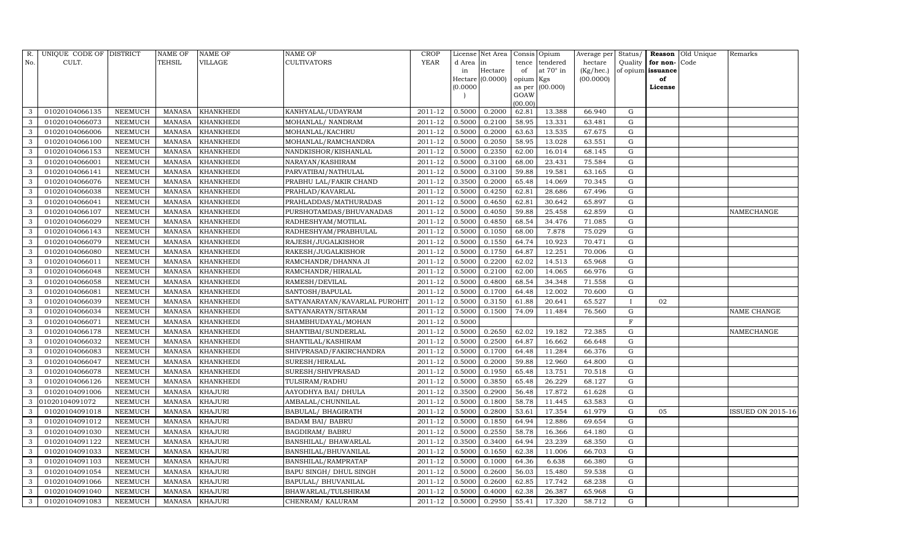| R.  | UNIQUE CODE OF DISTRICT |                | NAME OF       | NAME OF          | NAME OF                       | CROP        |           | License Net Area |                | Consis Opium | Average per | Status/      |          | Reason Old Unique | Remarks                  |
|-----|-------------------------|----------------|---------------|------------------|-------------------------------|-------------|-----------|------------------|----------------|--------------|-------------|--------------|----------|-------------------|--------------------------|
| No. | CULT.                   |                | TEHSIL        | VILLAGE          | CULTIVATORS                   | <b>YEAR</b> | d Area in |                  | tence          | tendered     | hectare     | Quality      | for non- | Code              |                          |
|     |                         |                |               |                  |                               |             | in        | Hectare          | of             | at 70° in    | (Kg/hec.)   | of opium     | issuance |                   |                          |
|     |                         |                |               |                  |                               |             |           | Hectare (0.0000) | opium Kgs      |              | (00.0000)   |              | of       |                   |                          |
|     |                         |                |               |                  |                               |             | (0.0000)  |                  | as per<br>GOAW | (00.000)     |             |              | License  |                   |                          |
|     |                         |                |               |                  |                               |             |           |                  | (00.00)        |              |             |              |          |                   |                          |
| 3   | 01020104066135          | NEEMUCH        | <b>MANASA</b> | KHANKHEDI        | KANHYALAL/UDAYRAM             | 2011-12     | 0.5000    | 0.2000           | 62.81          | 13.388       | 66.940      | G            |          |                   |                          |
| 3   | 01020104066073          | NEEMUCH        | <b>MANASA</b> | KHANKHEDI        | MOHANLAL/ NANDRAM             | 2011-12     | 0.5000    | 0.2100           | 58.95          | 13.331       | 63.481      | G            |          |                   |                          |
| 3   | 01020104066006          | NEEMUCH        | <b>MANASA</b> | <b>KHANKHEDI</b> | MOHANLAL/KACHRU               | 2011-12     | 0.5000    | 0.2000           | 63.63          | 13.535       | 67.675      | G            |          |                   |                          |
| 3   | 01020104066100          | NEEMUCH        | <b>MANASA</b> | KHANKHEDI        | MOHANLAL/RAMCHANDRA           | $2011 - 12$ | 0.5000    | 0.2050           | 58.95          | 13.028       | 63.551      | G            |          |                   |                          |
| 3   | 01020104066153          | <b>NEEMUCH</b> | <b>MANASA</b> | KHANKHEDI        | NANDKISHOR/KISHANLAL          | 2011-12     | 0.5000    | 0.2350           | 62.00          | 16.014       | 68.145      | G            |          |                   |                          |
| 3   | 01020104066001          | NEEMUCH        | <b>MANASA</b> | KHANKHEDI        | NARAYAN/KASHIRAM              | 2011-12     | 0.5000    | 0.3100           | 68.00          | 23.431       | 75.584      | ${\rm G}$    |          |                   |                          |
| 3   | 01020104066141          | NEEMUCH        | <b>MANASA</b> | <b>KHANKHEDI</b> | PARVATIBAI/NATHULAL           | $2011 - 12$ | 0.5000    | 0.3100           | 59.88          | 19.581       | 63.165      | G            |          |                   |                          |
| 3   | 01020104066076          | NEEMUCH        | <b>MANASA</b> | KHANKHEDI        | PRABHU LAL/FAKIR CHAND        | 2011-12     | 0.3500    | 0.2000           | 65.48          | 14.069       | 70.345      | ${\rm G}$    |          |                   |                          |
| 3   | 01020104066038          | <b>NEEMUCH</b> | <b>MANASA</b> | KHANKHEDI        | PRAHLAD/KAVARLAL              | 2011-12     | 0.5000    | 0.4250           | 62.81          | 28.686       | 67.496      | G            |          |                   |                          |
| 3   | 01020104066041          | NEEMUCH        | <b>MANASA</b> | KHANKHEDI        | PRAHLADDAS/MATHURADAS         | 2011-12     | 0.5000    | 0.4650           | 62.81          | 30.642       | 65.897      | ${\rm G}$    |          |                   |                          |
| 3   | 01020104066107          | NEEMUCH        | <b>MANASA</b> | KHANKHEDI        | PURSHOTAMDAS/BHUVANADAS       | 2011-12     | 0.5000    | 0.4050           | 59.88          | 25.458       | 62.859      | ${\rm G}$    |          |                   | NAMECHANGE               |
| 3   | 01020104066029          | NEEMUCH        | <b>MANASA</b> | KHANKHEDI        | RADHESHYAM/MOTILAL            | 2011-12     | 0.5000    | 0.4850           | 68.54          | 34.476       | 71.085      | G            |          |                   |                          |
| 3   | 01020104066143          | <b>NEEMUCH</b> | <b>MANASA</b> | KHANKHEDI        | RADHESHYAM/PRABHULAL          | 2011-12     | 0.5000    | 0.1050           | 68.00          | 7.878        | 75.029      | ${\rm G}$    |          |                   |                          |
| 3   | 01020104066079          | NEEMUCH        | <b>MANASA</b> | KHANKHEDI        | RAJESH/JUGALKISHOR            | 2011-12     | 0.5000    | 0.1550           | 64.74          | 10.923       | 70.471      | G            |          |                   |                          |
| 3   | 01020104066080          | NEEMUCH        | <b>MANASA</b> | KHANKHEDI        | RAKESH/JUGALKISHOR            | 2011-12     | 0.5000    | 0.1750           | 64.87          | 12.251       | 70.006      | G            |          |                   |                          |
| 3   | 01020104066011          | NEEMUCH        | <b>MANASA</b> | KHANKHEDI        | RAMCHANDR/DHANNA JI           | 2011-12     | 0.5000    | 0.2200           | 62.02          | 14.513       | 65.968      | G            |          |                   |                          |
| 3   | 01020104066048          | <b>NEEMUCH</b> | <b>MANASA</b> | KHANKHEDI        | RAMCHANDR/HIRALAL             | 2011-12     | 0.5000    | 0.2100           | 62.00          | 14.065       | 66.976      | G            |          |                   |                          |
| 3   | 01020104066058          | NEEMUCH        | MANASA        | KHANKHEDI        | RAMESH/DEVILAL                | 2011-12     | 0.5000    | 0.4800           | 68.54          | 34.348       | 71.558      | G            |          |                   |                          |
| 3   | 01020104066081          | NEEMUCH        | <b>MANASA</b> | KHANKHEDI        | SANTOSH/BAPULAL               | 2011-12     | 0.5000    | 0.1700           | 64.48          | 12.002       | 70.600      | ${\rm G}$    |          |                   |                          |
| 3   | 01020104066039          | NEEMUCH        | <b>MANASA</b> | KHANKHEDI        | SATYANARAYAN/KAVARLAL PUROHIT | 2011-12     | 0.5000    | 0.3150           | 61.88          | 20.641       | 65.527      | $\mathbf{I}$ | 02       |                   |                          |
| 3   | 01020104066034          | NEEMUCH        | <b>MANASA</b> | KHANKHEDI        | SATYANARAYN/SITARAM           | 2011-12     | 0.5000    | 0.1500           | 74.09          | 11.484       | 76.560      | ${\rm G}$    |          |                   | NAME CHANGE              |
| 3   | 01020104066071          | NEEMUCH        | <b>MANASA</b> | KHANKHEDI        | SHAMBHUDAYAL/MOHAN            | 2011-12     | 0.5000    |                  |                |              |             | $\mathbf F$  |          |                   |                          |
| 3   | 01020104066178          | NEEMUCH        | <b>MANASA</b> | KHANKHEDI        | SHANTIBAI/SUNDERLAL           | $2011 - 12$ | 0.5000    | 0.2650           | 62.02          | 19.182       | 72.385      | G            |          |                   | NAMECHANGE               |
| 3   | 01020104066032          | NEEMUCH        | <b>MANASA</b> | KHANKHEDI        | SHANTILAL/KASHIRAM            | 2011-12     | 0.5000    | 0.2500           | 64.87          | 16.662       | 66.648      | G            |          |                   |                          |
|     | 01020104066083          | NEEMUCH        | <b>MANASA</b> | KHANKHEDI        | SHIVPRASAD/FAKIRCHANDRA       | 2011-12     | 0.5000    | 0.1700           | 64.48          | 11.284       | 66.376      | ${\rm G}$    |          |                   |                          |
| 3   | 01020104066047          | NEEMUCH        | <b>MANASA</b> | KHANKHEDI        | SURESH/HIRALAL                | 2011-12     | 0.5000    | 0.2000           | 59.88          | 12.960       | 64.800      | G            |          |                   |                          |
| 3   | 01020104066078          | NEEMUCH        | <b>MANASA</b> | KHANKHEDI        | SURESH/SHIVPRASAD             | 2011-12     | 0.5000    | 0.1950           | 65.48          | 13.751       | 70.518      | ${\rm G}$    |          |                   |                          |
| 3   | 01020104066126          | <b>NEEMUCH</b> | <b>MANASA</b> | KHANKHEDI        | TULSIRAM/RADHU                | 2011-12     | 0.5000    | 0.3850           | 65.48          | 26.229       | 68.127      | $\mathbf G$  |          |                   |                          |
| 3   | 01020104091006          | NEEMUCH        | <b>MANASA</b> | KHAJURI          | AAYODHYA BAI/ DHULA           | 2011-12     | 0.3500    | 0.2900           | 56.48          | 17.872       | 61.628      | G            |          |                   |                          |
| 3   | 01020104091072          | NEEMUCH        | <b>MANASA</b> | <b>KHAJURI</b>   | AMBALAL/CHUNNILAL             | 2011-12     | 0.5000    | 0.1800           | 58.78          | 11.445       | 63.583      | ${\rm G}$    |          |                   |                          |
| 3   | 01020104091018          | NEEMUCH        | <b>MANASA</b> | KHAJURI          | <b>BABULAL/ BHAGIRATH</b>     | 2011-12     | 0.5000    | 0.2800           | 53.61          | 17.354       | 61.979      | G            | 05       |                   | <b>ISSUED ON 2015-16</b> |
| 3   | 01020104091012          | <b>NEEMUCH</b> | <b>MANASA</b> | KHAJURI          | <b>BADAM BAI/ BABRU</b>       | 2011-12     | 0.5000    | 0.1850           | 64.94          | 12.886       | 69.654      | G            |          |                   |                          |
| 3   | 01020104091030          | NEEMUCH        | <b>MANASA</b> | KHAJURI          | <b>BAGDIRAM/ BABRU</b>        | 2011-12     | 0.5000    | 0.2550           | 58.78          | 16.366       | 64.180      | ${\rm G}$    |          |                   |                          |
| 3   | 01020104091122          | NEEMUCH        | <b>MANASA</b> | KHAJURI          | BANSHILAL/ BHAWARLAL          | 2011-12     | 0.3500    | 0.3400           | 64.94          | 23.239       | 68.350      | ${\rm G}$    |          |                   |                          |
| 3   | 01020104091033          | NEEMUCH        | <b>MANASA</b> | KHAJURI          | BANSHILAL/BHUVANILAL          | 2011-12     | 0.5000    | 0.1650           | 62.38          | 11.006       | 66.703      | G            |          |                   |                          |
| 3   | 01020104091103          | <b>NEEMUCH</b> | <b>MANASA</b> | KHAJURI          | BANSHILAL/RAMPRATAP           | 2011-12     | 0.5000    | 0.1000           | 64.36          | 6.638        | 66.380      | ${\rm G}$    |          |                   |                          |
| 3   | 01020104091054          | NEEMUCH        | <b>MANASA</b> | KHAJURI          | BAPU SINGH / DHUL SINGH       | 2011-12     | 0.5000    | 0.2600           | 56.03          | 15.480       | 59.538      | G            |          |                   |                          |
| 3   | 01020104091066          | NEEMUCH        | <b>MANASA</b> | KHAJURI          | BAPULAL/ BHUVANILAL           | 2011-12     | 0.5000    | 0.2600           | 62.85          | 17.742       | 68.238      | G            |          |                   |                          |
| 3   | 01020104091040          | NEEMUCH        | <b>MANASA</b> | KHAJURI          | BHAWARLAL/TULSHIRAM           | 2011-12     | 0.5000    | 0.4000           | 62.38          | 26.387       | 65.968      | G            |          |                   |                          |
| 3   | 01020104091083          | <b>NEEMUCH</b> | MANASA        | <b>KHAJURI</b>   | CHENRAM/KALURAM               | 2011-12     | 0.5000    | 0.2950           | 55.41          | 17.320       | 58.712      | G            |          |                   |                          |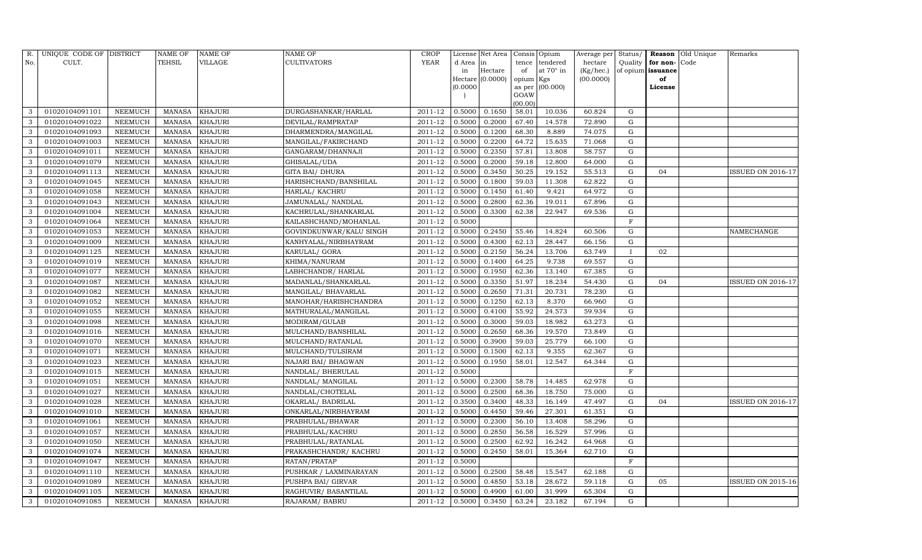| R.  | UNIQUE CODE OF DISTRICT |                | <b>NAME OF</b> | NAME OF        | <b>NAME OF</b>          | CROP        |           | License Net Area |                | Consis Opium | Average per | Status/      | Reason            | Old Unique | Remarks                  |
|-----|-------------------------|----------------|----------------|----------------|-------------------------|-------------|-----------|------------------|----------------|--------------|-------------|--------------|-------------------|------------|--------------------------|
| No. | CULT.                   |                | TEHSIL         | VILLAGE        | <b>CULTIVATORS</b>      | <b>YEAR</b> | d Area in |                  | tence          | tendered     | hectare     | Quality      | for non-          | Code       |                          |
|     |                         |                |                |                |                         |             | in        | Hectare          | of             | at 70° in    | (Kg/hec.)   |              | of opium issuance |            |                          |
|     |                         |                |                |                |                         |             |           | Hectare (0.0000) | opium Kgs      |              | (00.0000)   |              | of                |            |                          |
|     |                         |                |                |                |                         |             | (0.0000)  |                  | as per<br>GOAW | (00.000)     |             |              | License           |            |                          |
|     |                         |                |                |                |                         |             |           |                  | (00.00)        |              |             |              |                   |            |                          |
| 3   | 01020104091101          | NEEMUCH        | <b>MANASA</b>  | <b>KHAJURI</b> | DURGASHANKAR/HARLAL     | 2011-12     | 0.5000    | 0.1650           | 58.01          | 10.036       | 60.824      | G            |                   |            |                          |
| 3   | 01020104091022          | NEEMUCH        | <b>MANASA</b>  | KHAJURI        | DEVILAL/RAMPRATAP       | 2011-12     | 0.5000    | 0.2000           | 67.40          | 14.578       | 72.890      | G            |                   |            |                          |
| 3   | 01020104091093          | NEEMUCH        | <b>MANASA</b>  | <b>KHAJURI</b> | DHARMENDRA/MANGILAL     | 2011-12     | 0.5000    | 0.1200           | 68.30          | 8.889        | 74.075      | G            |                   |            |                          |
| 3   | 01020104091003          | NEEMUCH        | <b>MANASA</b>  | KHAJURI        | MANGILAL/FAKIRCHAND     | $2011 - 12$ | 0.5000    | 0.2200           | 64.72          | 15.635       | 71.068      | ${\rm G}$    |                   |            |                          |
| 3   | 01020104091011          | <b>NEEMUCH</b> | <b>MANASA</b>  | <b>KHAJURI</b> | GANGARAM/DHANNAJI       | 2011-12     | 0.5000    | 0.2350           | 57.81          | 13.808       | 58.757      | G            |                   |            |                          |
| 3   | 01020104091079          | NEEMUCH        | <b>MANASA</b>  | <b>KHAJURI</b> | GHISALAL/UDA            | 2011-12     | 0.5000    | 0.2000           | 59.18          | 12.800       | 64.000      | G            |                   |            |                          |
| 3   | 01020104091113          | NEEMUCH        | MANASA         | <b>KHAJURI</b> | <b>GITA BAI/ DHURA</b>  | 2011-12     | 0.5000    | 0.3450           | 50.25          | 19.152       | 55.513      | ${\rm G}$    | 04                |            | <b>ISSUED ON 2016-17</b> |
| 3   | 01020104091045          | NEEMUCH        | <b>MANASA</b>  | KHAJURI        | HARISHCHAND/BANSHILAL   | 2011-12     | 0.5000    | 0.1800           | 59.03          | 11.308       | 62.822      | ${\rm G}$    |                   |            |                          |
| 3   | 01020104091058          | <b>NEEMUCH</b> | <b>MANASA</b>  | KHAJURI        | HARLAL/ KACHRU          | 2011-12     | 0.5000    | 0.1450           | 61.40          | 9.421        | 64.972      | $\mathbf G$  |                   |            |                          |
| 3   | 01020104091043          | NEEMUCH        | <b>MANASA</b>  | <b>KHAJURI</b> | JAMUNALAL/ NANDLAL      | 2011-12     | 0.5000    | 0.2800           | 62.36          | 19.011       | 67.896      | ${\rm G}$    |                   |            |                          |
| 3   | 01020104091004          | NEEMUCH        | <b>MANASA</b>  | <b>KHAJURI</b> | KACHRULAL/SHANKARLAL    | 2011-12     | 0.5000    | 0.3300           | 62.38          | 22.947       | 69.536      | ${\rm G}$    |                   |            |                          |
| 3   | 01020104091064          | NEEMUCH        | <b>MANASA</b>  | KHAJURI        | KAILASHCHAND/MOHANLAL   | 2011-12     | 0.5000    |                  |                |              |             | $\mathbf F$  |                   |            |                          |
| 3   | 01020104091053          | <b>NEEMUCH</b> | <b>MANASA</b>  | KHAJURI        | GOVINDKUNWAR/KALU SINGH | 2011-12     | 0.5000    | 0.2450           | 55.46          | 14.824       | 60.506      | ${\rm G}$    |                   |            | NAMECHANGE               |
| 3   | 01020104091009          | NEEMUCH        | <b>MANASA</b>  | <b>KHAJURI</b> | KANHYALAL/NIRBHAYRAM    | 2011-12     | 0.5000    | 0.4300           | 62.13          | 28.447       | 66.156      | G            |                   |            |                          |
| 3   | 01020104091125          | NEEMUCH        | MANASA         | KHAJURI        | KARULAL/ GORA           | 2011-12     | 0.5000    | 0.2150           | 56.24          | 13.706       | 63.749      | $\mathbf{I}$ | 02                |            |                          |
| 3   | 01020104091019          | NEEMUCH        | <b>MANASA</b>  | KHAJURI        | KHIMA/NANURAM           | 2011-12     | 0.5000    | 0.1400           | 64.25          | 9.738        | 69.557      | G            |                   |            |                          |
| 3   | 01020104091077          | <b>NEEMUCH</b> | <b>MANASA</b>  | KHAJURI        | LABHCHANDR / HARLAL     | 2011-12     | 0.5000    | 0.1950           | 62.36          | 13.140       | 67.385      | G            |                   |            |                          |
| 3   | 01020104091087          | NEEMUCH        | MANASA         | KHAJURI        | MADANLAL/SHANKARLAL     | 2011-12     | 0.5000    | 0.3350           | 51.97          | 18.234       | 54.430      | G            | 04                |            | ISSUED ON 2016-17        |
| 3   | 01020104091082          | NEEMUCH        | <b>MANASA</b>  | KHAJURI        | MANGILAL/ BHAVARLAL     | 2011-12     | 0.5000    | 0.2650           | 71.31          | 20.731       | 78.230      | G            |                   |            |                          |
| 3   | 01020104091052          | NEEMUCH        | MANASA         | <b>KHAJURI</b> | MANOHAR/HARISHCHANDRA   | 2011-12     | 0.5000    | 0.1250           | 62.13          | 8.370        | 66.960      | G            |                   |            |                          |
| 3   | 01020104091055          | NEEMUCH        | <b>MANASA</b>  | KHAJURI        | MATHURALAL/MANGILAL     | 2011-12     | 0.5000    | 0.4100           | 55.92          | 24.573       | 59.934      | G            |                   |            |                          |
| 3   | 01020104091098          | <b>NEEMUCH</b> | <b>MANASA</b>  | KHAJURI        | MODIRAM/GULAB           | 2011-12     | 0.5000    | 0.3000           | 59.03          | 18.982       | 63.273      | G            |                   |            |                          |
| 3   | 01020104091016          | NEEMUCH        | <b>MANASA</b>  | KHAJURI        | MULCHAND/BANSHILAL      | 2011-12     | 0.5000    | 0.2650           | 68.36          | 19.570       | 73.849      | G            |                   |            |                          |
| 3   | 01020104091070          | NEEMUCH        | <b>MANASA</b>  | KHAJURI        | MULCHAND/RATANLAL       | 2011-12     | 0.5000    | 0.3900           | 59.03          | 25.779       | 66.100      | G            |                   |            |                          |
|     | 01020104091071          | NEEMUCH        | <b>MANASA</b>  | KHAJURI        | MULCHAND/TULSIRAM       | 2011-12     | 0.5000    | 0.1500           | 62.13          | 9.355        | 62.367      | G            |                   |            |                          |
| 3   | 01020104091023          | <b>NEEMUCH</b> | <b>MANASA</b>  | KHAJURI        | NAJARI BAI / BHAGWAN    | 2011-12     | 0.5000    | 0.1950           | 58.01          | 12.547       | 64.344      | G            |                   |            |                          |
| 3   | 01020104091015          | NEEMUCH        | <b>MANASA</b>  | KHAJURI        | NANDLAL/ BHERULAL       | 2011-12     | 0.5000    |                  |                |              |             | $\mathbf F$  |                   |            |                          |
| 3   | 01020104091051          | NEEMUCH        | <b>MANASA</b>  | KHAJURI        | NANDLAL/ MANGILAL       | 2011-12     | 0.5000    | 0.2300           | 58.78          | 14.485       | 62.978      | $\mathbf G$  |                   |            |                          |
| 3   | 01020104091027          | NEEMUCH        | <b>MANASA</b>  | KHAJURI        | NANDLAL/CHOTELAL        | 2011-12     | 0.5000    | 0.2500           | 68.36          | 18.750       | 75.000      | G            |                   |            |                          |
| 3   | 01020104091028          | NEEMUCH        | <b>MANASA</b>  | <b>KHAJURI</b> | OKARLAL/ BADRILAL       | 2011-12     | 0.3500    | 0.3400           | 48.33          | 16.149       | 47.497      | ${\rm G}$    | 04                |            | <b>ISSUED ON 2016-17</b> |
| 3   | 01020104091010          | NEEMUCH        | <b>MANASA</b>  | KHAJURI        | ONKARLAL/NIRBHAYRAM     | 2011-12     | 0.5000    | 0.4450           | 59.46          | 27.301       | 61.351      | $\mathbf G$  |                   |            |                          |
| 3   | 01020104091061          | <b>NEEMUCH</b> | <b>MANASA</b>  | <b>KHAJURI</b> | PRABHULAL/BHAWAR        | 2011-12     | 0.5000    | 0.2300           | 56.10          | 13.408       | 58.296      | $\mathbf G$  |                   |            |                          |
| 3   | 01020104091057          | NEEMUCH        | <b>MANASA</b>  | <b>KHAJURI</b> | PRABHULAL/KACHRU        | 2011-12     | 0.5000    | 0.2850           | 56.58          | 16.529       | 57.996      | ${\rm G}$    |                   |            |                          |
| 3   | 01020104091050          | NEEMUCH        | <b>MANASA</b>  | KHAJURI        | PRABHULAL/RATANLAL      | 2011-12     | 0.5000    | 0.2500           | 62.92          | 16.242       | 64.968      | ${\rm G}$    |                   |            |                          |
| 3   | 01020104091074          | NEEMUCH        | <b>MANASA</b>  | KHAJURI        | PRAKASHCHANDR/ KACHRU   | 2011-12     | 0.5000    | 0.2450           | 58.01          | 15.364       | 62.710      | ${\rm G}$    |                   |            |                          |
| 3   | 01020104091047          | <b>NEEMUCH</b> | <b>MANASA</b>  | <b>KHAJURI</b> | RATAN/PRATAP            | 2011-12     | 0.5000    |                  |                |              |             | $\mathbf F$  |                   |            |                          |
| 3   | 01020104091110          | NEEMUCH        | <b>MANASA</b>  | KHAJURI        | PUSHKAR / LAXMINARAYAN  | 2011-12     | 0.5000    | 0.2500           | 58.48          | 15.547       | 62.188      | G            |                   |            |                          |
| 3   | 01020104091089          | NEEMUCH        | <b>MANASA</b>  | KHAJURI        | PUSHPA BAI/ GIRVAR      | 2011-12     | 0.5000    | 0.4850           | 53.18          | 28.672       | 59.118      | G            | 05                |            | <b>ISSUED ON 2015-16</b> |
| 3   | 01020104091105          | NEEMUCH        | <b>MANASA</b>  | KHAJURI        | RAGHUVIR/ BASANTILAL    | 2011-12     | 0.5000    | 0.4900           | 61.00          | 31.999       | 65.304      | G            |                   |            |                          |
| 3   | 01020104091085          | <b>NEEMUCH</b> | MANASA         | <b>KHAJURI</b> | RAJARAM/ BABRU          | 2011-12     | 0.5000    | 0.3450           | 63.24          | 23.182       | 67.194      | G            |                   |            |                          |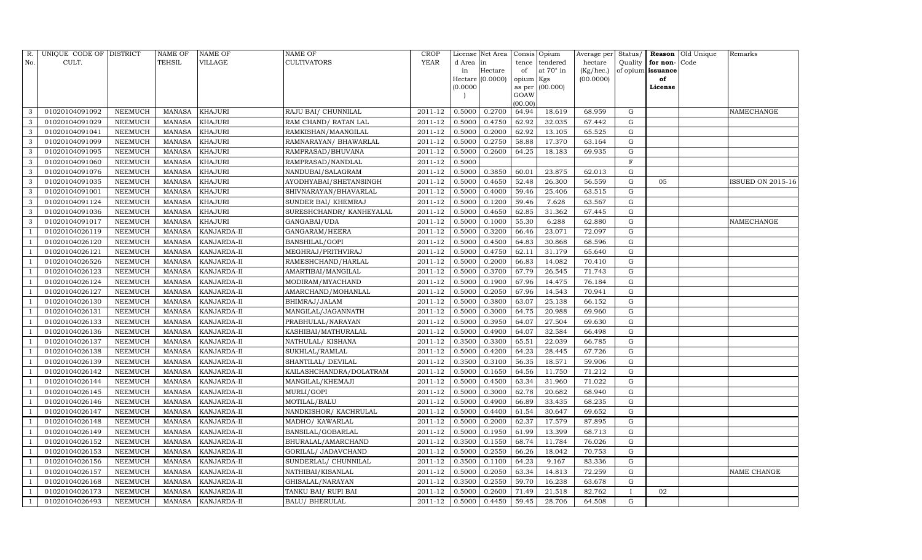| R.             | UNIQUE CODE OF DISTRICT |                | <b>NAME OF</b> | <b>NAME OF</b>     | <b>NAME OF</b>           | CROP        |           | License Net Area   |                | Consis Opium     | Average per | Status/      |                   | <b>Reason</b> Old Unique | Remarks                  |
|----------------|-------------------------|----------------|----------------|--------------------|--------------------------|-------------|-----------|--------------------|----------------|------------------|-------------|--------------|-------------------|--------------------------|--------------------------|
| No.            | CULT.                   |                | TEHSIL         | VILLAGE            | <b>CULTIVATORS</b>       | YEAR        | d Area in |                    | tence          | tendered         | hectare     | Quality      | for non-          | Code                     |                          |
|                |                         |                |                |                    |                          |             | in        | Hectare            | of             | at $70^\circ$ in | (Kg/hec.)   |              | of opium issuance |                          |                          |
|                |                         |                |                |                    |                          |             |           | Hectare $(0.0000)$ | opium Kgs      |                  | (00.0000)   |              | of                |                          |                          |
|                |                         |                |                |                    |                          |             | (0.0000)  |                    | as per<br>GOAW | (00.000)         |             |              | License           |                          |                          |
|                |                         |                |                |                    |                          |             |           |                    | (00.00)        |                  |             |              |                   |                          |                          |
| 3              | 01020104091092          | <b>NEEMUCH</b> | <b>MANASA</b>  | <b>KHAJURI</b>     | RAJU BAI/ CHUNNILAL      | 2011-12     | 0.5000    | 0.2700             | 64.94          | 18.619           | 68.959      | G            |                   |                          | NAMECHANGE               |
| 3              | 01020104091029          | NEEMUCH        | <b>MANASA</b>  | <b>KHAJURI</b>     | RAM CHAND/ RATAN LAL     | 2011-12     | 0.5000    | 0.4750             | 62.92          | 32.035           | 67.442      | G            |                   |                          |                          |
| 3              | 01020104091041          | <b>NEEMUCH</b> | <b>MANASA</b>  | <b>KHAJURI</b>     | RAMKISHAN/MAANGILAL      | 2011-12     | 0.5000    | 0.2000             | 62.92          | 13.105           | 65.525      | G            |                   |                          |                          |
| 3              | 01020104091099          | <b>NEEMUCH</b> | <b>MANASA</b>  | <b>KHAJURI</b>     | RAMNARAYAN / BHAWARLAL   | 2011-12     | 0.5000    | 0.2750             | 58.88          | 17.370           | 63.164      | ${\rm G}$    |                   |                          |                          |
| 3              | 01020104091095          | <b>NEEMUCH</b> | <b>MANASA</b>  | <b>KHAJURI</b>     | RAMPRASAD/BHUVANA        | 2011-12     | 0.5000    | 0.2600             | 64.25          | 18.183           | 69.935      | $\mathbf G$  |                   |                          |                          |
| 3              | 01020104091060          | <b>NEEMUCH</b> | <b>MANASA</b>  | <b>KHAJURI</b>     | RAMPRASAD/NANDLAL        | 2011-12     | 0.5000    |                    |                |                  |             | $\mathbf F$  |                   |                          |                          |
| 3              | 01020104091076          | <b>NEEMUCH</b> | <b>MANASA</b>  | <b>KHAJURI</b>     | NANDUBAI/SALAGRAM        | $2011 - 12$ | 0.5000    | 0.3850             | 60.01          | 23.875           | 62.013      | G            |                   |                          |                          |
| $\mathbf{3}$   | 01020104091035          | NEEMUCH        | <b>MANASA</b>  | <b>KHAJURI</b>     | AYODHYABAI/SHETANSINGH   | 2011-12     | 0.5000    | 0.4650             | 52.48          | 26.300           | 56.559      | ${\rm G}$    | 05                |                          | <b>ISSUED ON 2015-16</b> |
| 3              | 01020104091001          | <b>NEEMUCH</b> | <b>MANASA</b>  | <b>KHAJURI</b>     | SHIVNARAYAN/BHAVARLAL    | 2011-12     | 0.5000    | 0.4000             | 59.46          | 25.406           | 63.515      | $\mathbf G$  |                   |                          |                          |
| 3              | 01020104091124          | NEEMUCH        | <b>MANASA</b>  | <b>KHAJURI</b>     | SUNDER BAI/ KHEMRAJ      | 2011-12     | 0.5000    | 0.1200             | 59.46          | 7.628            | 63.567      | ${\rm G}$    |                   |                          |                          |
| 3              | 01020104091036          | <b>NEEMUCH</b> | <b>MANASA</b>  | <b>KHAJURI</b>     | SURESHCHANDR/ KANHEYALAL | 2011-12     | 0.5000    | 0.4650             | 62.85          | 31.362           | 67.445      | G            |                   |                          |                          |
| 3              | 01020104091017          | <b>NEEMUCH</b> | <b>MANASA</b>  | <b>KHAJURI</b>     | GANGABAI/UDA             | 2011-12     | 0.5000    | 0.1000             | 55.30          | 6.288            | 62.880      | G            |                   |                          | NAMECHANGE               |
|                | 01020104026119          | <b>NEEMUCH</b> | <b>MANASA</b>  | <b>KANJARDA-II</b> | GANGARAM/HEERA           | 2011-12     | 0.5000    | 0.3200             | 66.46          | 23.071           | 72.097      | G            |                   |                          |                          |
|                | 01020104026120          | <b>NEEMUCH</b> | <b>MANASA</b>  | KANJARDA-II        | BANSHILAL/GOPI           | 2011-12     | 0.5000    | 0.4500             | 64.83          | 30.868           | 68.596      | G            |                   |                          |                          |
|                | 01020104026121          | NEEMUCH        | MANASA         | KANJARDA-II        | MEGHRAJ/PRITHVIRAJ       | 2011-12     | 0.5000    | 0.4750             | 62.11          | 31.179           | 65.640      | G            |                   |                          |                          |
|                | 01020104026526          | NEEMUCH        | <b>MANASA</b>  | KANJARDA-II        | RAMESHCHAND/HARLAL       | 2011-12     | 0.5000    | 0.2000             | 66.83          | 14.082           | 70.410      | $\mathbf G$  |                   |                          |                          |
|                | 01020104026123          | <b>NEEMUCH</b> | <b>MANASA</b>  | KANJARDA-II        | AMARTIBAI/MANGILAL       | 2011-12     | 0.5000    | 0.3700             | 67.79          | 26.545           | 71.743      | $\mathbf G$  |                   |                          |                          |
|                | 01020104026124          | <b>NEEMUCH</b> | MANASA         | KANJARDA-II        | MODIRAM/MYACHAND         | 2011-12     | 0.5000    | 0.1900             | 67.96          | 14.475           | 76.184      | G            |                   |                          |                          |
|                | 01020104026127          | NEEMUCH        | <b>MANASA</b>  | KANJARDA-II        | AMARCHAND/MOHANLAL       | 2011-12     | 0.5000    | 0.2050             | 67.96          | 14.543           | 70.941      | G            |                   |                          |                          |
|                | 01020104026130          | NEEMUCH        | <b>MANASA</b>  | KANJARDA-II        | BHIMRAJ/JALAM            | 2011-12     | 0.5000    | 0.3800             | 63.07          | 25.138           | 66.152      | G            |                   |                          |                          |
|                | 01020104026131          | NEEMUCH        | <b>MANASA</b>  | KANJARDA-II        | MANGILAL/JAGANNATH       | 2011-12     | 0.5000    | 0.3000             | 64.75          | 20.988           | 69.960      | G            |                   |                          |                          |
|                | 01020104026133          | <b>NEEMUCH</b> | <b>MANASA</b>  | KANJARDA-II        | PRABHULAL/NARAYAN        | 2011-12     | 0.5000    | 0.3950             | 64.07          | 27.504           | 69.630      | G            |                   |                          |                          |
|                | 01020104026136          | <b>NEEMUCH</b> | <b>MANASA</b>  | KANJARDA-II        | KASHIBAI/MATHURALAL      | $2011 - 12$ | 0.5000    | 0.4900             | 64.07          | 32.584           | 66.498      | G            |                   |                          |                          |
|                | 01020104026137          | NEEMUCH        | <b>MANASA</b>  | KANJARDA-II        | NATHULAL/KISHANA         | 2011-12     | 0.3500    | 0.3300             | 65.51          | 22.039           | 66.785      | ${\rm G}$    |                   |                          |                          |
|                | 01020104026138          | <b>NEEMUCH</b> | <b>MANASA</b>  | KANJARDA-II        | SUKHLAL/RAMLAL           | 2011-12     | 0.5000    | 0.4200             | 64.23          | 28.445           | 67.726      | G            |                   |                          |                          |
|                | 01020104026139          | <b>NEEMUCH</b> | <b>MANASA</b>  | KANJARDA-II        | SHANTILAL/ DEVILAL       | 2011-12     | 0.3500    | 0.3100             | 56.35          | 18.571           | 59.906      | G            |                   |                          |                          |
|                | 01020104026142          | NEEMUCH        | <b>MANASA</b>  | KANJARDA-II        | KAILASHCHANDRA/DOLATRAM  | 2011-12     | 0.5000    | 0.1650             | 64.56          | 11.750           | 71.212      | ${\rm G}$    |                   |                          |                          |
|                | 01020104026144          | <b>NEEMUCH</b> | <b>MANASA</b>  | KANJARDA-II        | MANGILAL/KHEMAJI         | 2011-12     | 0.5000    | 0.4500             | 63.34          | 31.960           | 71.022      | ${\rm G}$    |                   |                          |                          |
|                | 01020104026145          | NEEMUCH        | <b>MANASA</b>  | KANJARDA-II        | MURLI/GOPI               | 2011-12     | 0.5000    | 0.3000             | 62.78          | 20.682           | 68.940      | G            |                   |                          |                          |
|                | 01020104026146          | NEEMUCH        | <b>MANASA</b>  | KANJARDA-II        | MOTILAL/BALU             | 2011-12     | 0.5000    | 0.4900             | 66.89          | 33.435           | 68.235      | ${\rm G}$    |                   |                          |                          |
|                | 01020104026147          | <b>NEEMUCH</b> | <b>MANASA</b>  | KANJARDA-II        | NANDKISHOR/KACHRULAL     | 2011-12     | 0.5000    | 0.4400             | 61.54          | 30.647           | 69.652      | $\mathbf G$  |                   |                          |                          |
|                | 01020104026148          | <b>NEEMUCH</b> | <b>MANASA</b>  | KANJARDA-II        | MADHO/ KAWARLAL          | 2011-12     | 0.5000    | 0.2000             | 62.37          | 17.579           | 87.895      | $\mathbf G$  |                   |                          |                          |
|                | 01020104026149          | NEEMUCH        | <b>MANASA</b>  | KANJARDA-II        | BANSILAL/GOBARLAL        | 2011-12     | 0.5000    | 0.1950             | 61.99          | 13.399           | 68.713      | ${\rm G}$    |                   |                          |                          |
|                | 01020104026152          | <b>NEEMUCH</b> | <b>MANASA</b>  | KANJARDA-II        | BHURALAL/AMARCHAND       | 2011-12     | 0.3500    | 0.1550             | 68.74          | 11.784           | 76.026      | G            |                   |                          |                          |
|                | 01020104026153          | NEEMUCH        | <b>MANASA</b>  | KANJARDA-II        | GORILAL/ JADAVCHAND      | 2011-12     | 0.5000    | 0.2550             | 66.26          | 18.042           | 70.753      | ${\rm G}$    |                   |                          |                          |
|                | 01020104026156          | <b>NEEMUCH</b> | <b>MANASA</b>  | <b>KANJARDA-II</b> | SUNDERLAL/ CHUNNILAL     | 2011-12     | 0.3500    | 0.1100             | 64.23          | 9.167            | 83.336      | ${\rm G}$    |                   |                          |                          |
|                | 01020104026157          | <b>NEEMUCH</b> | <b>MANASA</b>  | KANJARDA-II        | NATHIBAI/KISANLAL        | 2011-12     | 0.5000    | 0.2050             | 63.34          | 14.813           | 72.259      | G            |                   |                          | NAME CHANGE              |
|                | 01020104026168          | <b>NEEMUCH</b> | <b>MANASA</b>  | KANJARDA-II        | GHISALAL/NARAYAN         | 2011-12     | 0.3500    | 0.2550             | 59.70          | 16.238           | 63.678      | G            |                   |                          |                          |
|                | 01020104026173          | <b>NEEMUCH</b> | <b>MANASA</b>  | KANJARDA-II        | TANKU BAI/ RUPI BAI      | 2011-12     | 0.5000    | 0.2600             | 71.49          | 21.518           | 82.762      | $\mathbf{I}$ | 02                |                          |                          |
| $\overline{1}$ | 01020104026493          | <b>NEEMUCH</b> | MANASA         | KANJARDA-II        | <b>BALU/ BHERULAL</b>    | 2011-12     | 0.5000    | 0.4450             | 59.45          | 28.706           | 64.508      | G            |                   |                          |                          |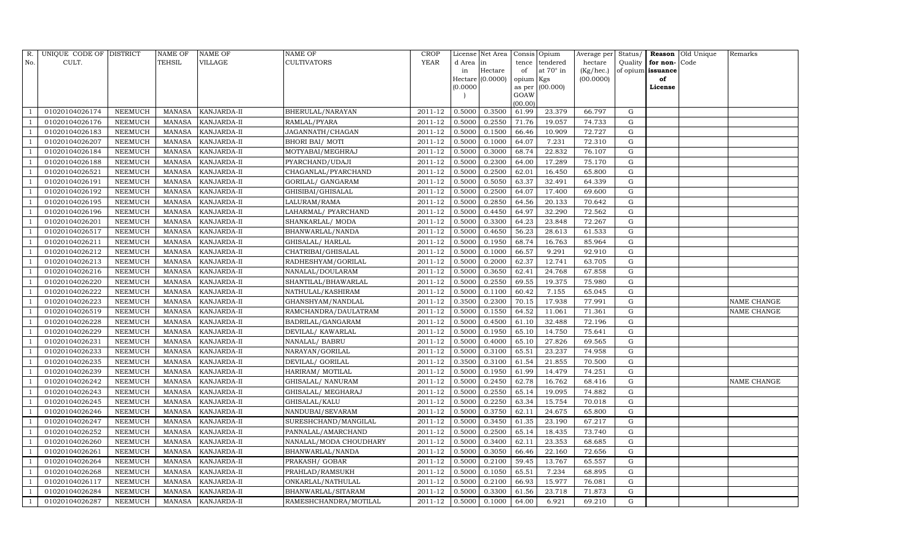| R.             | UNIQUE CODE OF DISTRICT |                | <b>NAME OF</b> | NAME OF            | NAME OF                               | CROP                 |          | License Net Area |           | Consis Opium     | Average per | Status/ |                   | Reason Old Unique | Remarks            |
|----------------|-------------------------|----------------|----------------|--------------------|---------------------------------------|----------------------|----------|------------------|-----------|------------------|-------------|---------|-------------------|-------------------|--------------------|
| No.            | CULT.                   |                | TEHSIL         | VILLAGE            | CULTIVATORS                           | <b>YEAR</b>          | d Area   | in               | tence     | tendered         | hectare     | Quality | for non-Code      |                   |                    |
|                |                         |                |                |                    |                                       |                      | in       | Hectare          | of        | at $70^\circ$ in | (Kg/hec.)   |         | of opium issuance |                   |                    |
|                |                         |                |                |                    |                                       |                      |          | Hectare (0.0000) | opium Kgs |                  | (00.0000)   |         | of                |                   |                    |
|                |                         |                |                |                    |                                       |                      | (0.0000) |                  | GOAW      | as per (00.000)  |             |         | License           |                   |                    |
|                |                         |                |                |                    |                                       |                      |          |                  | (00.00)   |                  |             |         |                   |                   |                    |
|                | 01020104026174          | NEEMUCH        | MANASA         | KANJARDA-II        | BHERULAL/NARAYAN                      | 2011-12              | 0.5000   | 0.3500           | 61.99     | 23.379           | 66.797      | G       |                   |                   |                    |
|                | 01020104026176          | NEEMUCH        | <b>MANASA</b>  | KANJARDA-II        | RAMLAL/PYARA                          | 2011-12              | 0.5000   | 0.2550           | 71.76     | 19.057           | 74.733      | G       |                   |                   |                    |
|                | 01020104026183          | <b>NEEMUCH</b> | <b>MANASA</b>  | KANJARDA-II        | JAGANNATH/CHAGAN                      | 2011-12              | 0.5000   | 0.1500           | 66.46     | 10.909           | 72.727      | G       |                   |                   |                    |
|                | 01020104026207          | <b>NEEMUCH</b> | <b>MANASA</b>  | KANJARDA-II        | <b>BHORI BAI/ MOTI</b>                | 2011-12              | 0.5000   | 0.1000           | 64.07     | 7.231            | 72.310      | G       |                   |                   |                    |
|                | 01020104026184          | <b>NEEMUCH</b> | <b>MANASA</b>  | KANJARDA-II        | MOTYABAI/MEGHRAJ                      | 2011-12              | 0.5000   | 0.3000           | 68.74     | 22.832           | 76.107      | G       |                   |                   |                    |
|                | 01020104026188          | <b>NEEMUCH</b> | <b>MANASA</b>  | KANJARDA-II        | PYARCHAND/UDAJI                       | 2011-12              | 0.5000   | 0.2300           | 64.00     | 17.289           | 75.170      | G       |                   |                   |                    |
|                | 01020104026521          | <b>NEEMUCH</b> | <b>MANASA</b>  | KANJARDA-II        | CHAGANLAL/PYARCHAND                   | 2011-12              | 0.5000   | 0.2500           | 62.01     | 16.450           | 65.800      | G       |                   |                   |                    |
| - 1            | 01020104026191          | NEEMUCH        | <b>MANASA</b>  | KANJARDA-II        | GORILAL/ GANGARAM                     | 2011-12              | 0.5000   | 0.5050           | 63.37     | 32.491           | 64.339      | G       |                   |                   |                    |
|                | 01020104026192          | <b>NEEMUCH</b> | <b>MANASA</b>  | KANJARDA-II        | GHISIBAI/GHISALAL                     | 2011-12              | 0.5000   | 0.2500           | 64.07     | 17.400           | 69.600      | G       |                   |                   |                    |
|                | 01020104026195          | NEEMUCH        | <b>MANASA</b>  | KANJARDA-II        | LALURAM/RAMA                          | 2011-12              | 0.5000   | 0.2850           | 64.56     | 20.133           | 70.642      | G       |                   |                   |                    |
|                | 01020104026196          | <b>NEEMUCH</b> | <b>MANASA</b>  | KANJARDA-II        | LAHARMAL/ PYARCHAND                   | 2011-12              | 0.5000   | 0.4450           | 64.97     | 32.290           | 72.562      | G       |                   |                   |                    |
|                | 01020104026201          | <b>NEEMUCH</b> | MANASA         | KANJARDA-II        | SHANKARLAL/MODA                       | 2011-12              | 0.5000   | 0.3300           | 64.23     | 23.848           | 72.267      | G       |                   |                   |                    |
|                | 01020104026517          | <b>NEEMUCH</b> | <b>MANASA</b>  | KANJARDA-II        | BHANWARLAL/NANDA                      | 2011-12              | 0.5000   | 0.4650           | 56.23     | 28.613           | 61.533      | G       |                   |                   |                    |
|                | 01020104026211          | <b>NEEMUCH</b> | MANASA         | KANJARDA-II        | GHISALAL/HARLAL                       | 2011-12              | 0.5000   | 0.1950           | 68.74     | 16.763           | 85.964      | G       |                   |                   |                    |
|                | 01020104026212          | NEEMUCH        | <b>MANASA</b>  | KANJARDA-II        | CHATRIBAI/GHISALAL                    | 2011-12              | 0.5000   | 0.1000           | 66.57     | 9.291            | 92.910      | G       |                   |                   |                    |
| - 1            | 01020104026213          | NEEMUCH        | MANASA         | KANJARDA-II        | RADHESHYAM/GORILAL                    | 2011-12              | 0.5000   | 0.2000           | 62.37     | 12.741           | 63.705      | G       |                   |                   |                    |
|                | 01020104026216          | NEEMUCH        | MANASA         | KANJARDA-II        | NANALAL/DOULARAM                      | 2011-12              | 0.5000   | 0.3650           | 62.41     | 24.768           | 67.858      | G       |                   |                   |                    |
|                | 01020104026220          | NEEMUCH        | MANASA         | KANJARDA-II        | SHANTILAL/BHAWARLAL                   | 2011-12              | 0.5000   | 0.2550           | 69.55     | 19.375           | 75.980      | G       |                   |                   |                    |
|                | 01020104026222          | NEEMUCH        | <b>MANASA</b>  | KANJARDA-II        | $\overline{\text{NATHULAL/KASHIRAM}}$ | 2011-12              | 0.5000   | 0.1100           | 60.42     | 7.155            | 65.045      | G       |                   |                   |                    |
|                | 01020104026223          | NEEMUCH        | MANASA         | KANJARDA-II        | GHANSHYAM/NANDLAL                     | 2011-12              | 0.3500   | 0.2300           | 70.15     | 17.938           | 77.991      | G       |                   |                   | <b>NAME CHANGE</b> |
|                | 01020104026519          | NEEMUCH        | <b>MANASA</b>  | KANJARDA-II        | RAMCHANDRA/DAULATRAM                  | 2011-12              | 0.5000   | 0.1550           | 64.52     | 11.061           | 71.361      | G       |                   |                   | NAME CHANGE        |
|                | 01020104026228          | <b>NEEMUCH</b> | <b>MANASA</b>  | KANJARDA-II        | BADRILAL/GANGARAM                     | 2011-12              | 0.5000   | 0.4500           | 61.10     | 32.488           | 72.196      | G       |                   |                   |                    |
|                | 01020104026229          | NEEMUCH        | MANASA         | KANJARDA-II        | DEVILAL/KAWARLAL                      | $2011 - 12$          | 0.5000   | 0.1950           | 65.10     | 14.750           | 75.641      | G       |                   |                   |                    |
|                | 01020104026231          | <b>NEEMUCH</b> | <b>MANASA</b>  | KANJARDA-II        | NANALAL/BABRU                         | 2011-12              | 0.5000   | 0.4000           | 65.10     | 27.826           | 69.565      | G       |                   |                   |                    |
|                | 01020104026233          | <b>NEEMUCH</b> | <b>MANASA</b>  | KANJARDA-II        | NARAYAN/GORILAL                       | 2011-12              | 0.5000   | 0.3100           | 65.51     | 23.237           | 74.958      | G       |                   |                   |                    |
|                | 01020104026235          | NEEMUCH        | <b>MANASA</b>  | KANJARDA-II        | DEVILAL/ GORILAL                      | 2011-12              | 0.3500   | 0.3100           | 61.54     | 21.855           | 70.500      | G       |                   |                   |                    |
|                | 01020104026239          | <b>NEEMUCH</b> | <b>MANASA</b>  | KANJARDA-II        | HARIRAM/ MOTILAL                      | 2011-12              | 0.5000   | 0.1950           | 61.99     | 14.479           | 74.251      | G       |                   |                   |                    |
|                | 01020104026242          | <b>NEEMUCH</b> | <b>MANASA</b>  | KANJARDA-II        | GHISALAL/ NANURAM                     | 2011-12              | 0.5000   | 0.2450           | 62.78     | 16.762           | 68.416      | G       |                   |                   | <b>NAME CHANGE</b> |
|                | 01020104026243          | <b>NEEMUCH</b> | <b>MANASA</b>  | KANJARDA-II        | GHISALAL/MEGHARAJ                     | 2011-12              | 0.5000   | 0.2550           | 65.14     | 19.095           | 74.882      | G       |                   |                   |                    |
|                | 01020104026245          | NEEMUCH        | <b>MANASA</b>  | KANJARDA-II        | GHISALAL/KALU                         | 2011-12              | 0.5000   | 0.2250           | 63.34     | 15.754           | 70.018      | G       |                   |                   |                    |
|                | 01020104026246          | <b>NEEMUCH</b> | <b>MANASA</b>  | KANJARDA-II        | NANDUBAI/SEVARAM                      | $\overline{2011-12}$ | 0.5000   | 0.3750           | 62.11     | 24.675           | 65.800      | G       |                   |                   |                    |
|                | 01020104026247          | <b>NEEMUCH</b> | <b>MANASA</b>  | KANJARDA-II        | SURESHCHAND/MANGILAL                  | 2011-12              | 0.5000   | 0.3450           | 61.35     | 23.190           | 67.217      | G       |                   |                   |                    |
|                | 01020104026252          | <b>NEEMUCH</b> | <b>MANASA</b>  | KANJARDA-II        | PANNALAL/AMARCHAND                    | 2011-12              | 0.5000   | 0.2500           | 65.14     | 18.435           | 73.740      | G       |                   |                   |                    |
|                | 01020104026260          | NEEMUCH        | <b>MANASA</b>  | KANJARDA-II        | NANALAL/MODA CHOUDHARY                | 2011-12              | 0.5000   | 0.3400           | 62.11     | 23.353           | 68.685      | G       |                   |                   |                    |
| $\overline{1}$ | 01020104026261          | <b>NEEMUCH</b> | <b>MANASA</b>  | KANJARDA-II        | BHANWARLAL/NANDA                      | 2011-12              | 0.5000   | 0.3050           | 66.46     | 22.160           | 72.656      | G       |                   |                   |                    |
|                | 01020104026264          | <b>NEEMUCH</b> | <b>MANASA</b>  | KANJARDA-II        | PRAKASH/ GOBAR                        | 2011-12              | 0.5000   | 0.2100           | 59.45     | 13.767           | 65.557      | G       |                   |                   |                    |
|                | 01020104026268          | <b>NEEMUCH</b> | MANASA         | KANJARDA-II        | PRAHLAD/RAMSUKH                       | 2011-12              | 0.5000   | 0.1050           | 65.51     | 7.234            | 68.895      | G       |                   |                   |                    |
|                | 01020104026117          | <b>NEEMUCH</b> | MANASA         | KANJARDA-II        | ONKARLAL/NATHULAL                     | 2011-12              | 0.5000   | 0.2100           | 66.93     | 15.977           | 76.081      | G       |                   |                   |                    |
| $\overline{1}$ | 01020104026284          | NEEMUCH        | MANASA         | KANJARDA-II        | BHANWARLAL/SITARAM                    | 2011-12              | 0.5000   | 0.3300           | 61.56     | 23.718           | 71.873      | G       |                   |                   |                    |
| 1              | 01020104026287          | <b>NEEMUCH</b> |                | MANASA KANJARDA-II | RAMESHCHANDRA/MOTILAL                 | 2011-12              | 0.5000   | 0.1000           | 64.00     | 6.921            | 69.210      | G       |                   |                   |                    |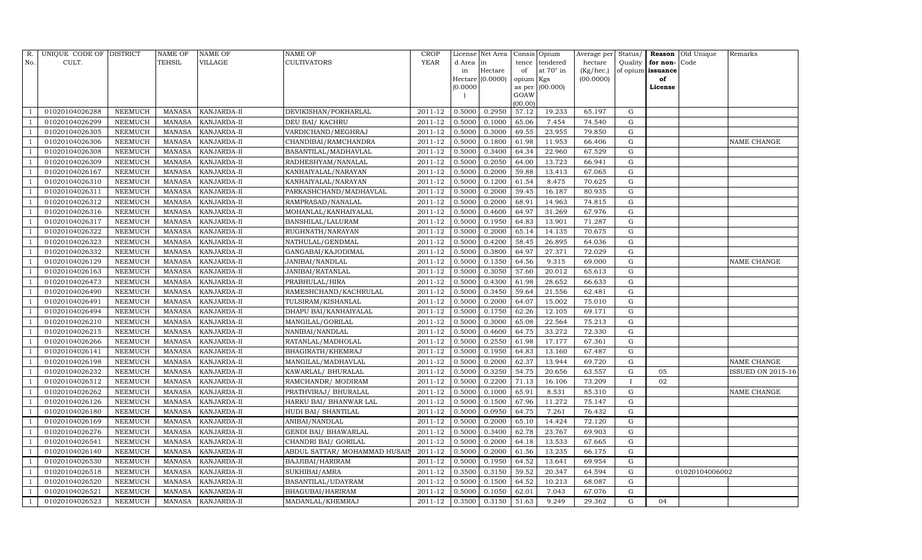| R.             | UNIQUE CODE OF DISTRICT |                | <b>NAME OF</b> | <b>NAME OF</b>     | <b>NAME OF</b>                | CROP        |           | License Net Area |                | Consis Opium     | Average per | Status/      |                   | <b>Reason</b> Old Unique | Remarks                  |
|----------------|-------------------------|----------------|----------------|--------------------|-------------------------------|-------------|-----------|------------------|----------------|------------------|-------------|--------------|-------------------|--------------------------|--------------------------|
| No.            | CULT.                   |                | <b>TEHSIL</b>  | VILLAGE            | <b>CULTIVATORS</b>            | YEAR        | d Area in |                  | tence          | tendered         | hectare     | Quality      | for non-          | Code                     |                          |
|                |                         |                |                |                    |                               |             | in        | Hectare          | of             | at $70^\circ$ in | (Kg/hec.)   |              | of opium issuance |                          |                          |
|                |                         |                |                |                    |                               |             |           | Hectare (0.0000) | opium Kgs      |                  | (00.0000)   |              | of                |                          |                          |
|                |                         |                |                |                    |                               |             | (0.0000)  |                  | as per<br>GOAW | (00.000)         |             |              | License           |                          |                          |
|                |                         |                |                |                    |                               |             |           |                  | (00.00)        |                  |             |              |                   |                          |                          |
|                | 01020104026288          | NEEMUCH        | MANASA         | KANJARDA-II        | DEVIKISHAN/POKHARLAL          | 2011-12     | 0.5000    | 0.2950           | 57.12          | 19.233           | 65.197      | G            |                   |                          |                          |
|                | 01020104026299          | NEEMUCH        | MANASA         | KANJARDA-II        | DEU BAI/ KACHRU               | 2011-12     | 0.5000    | 0.1000           | 65.06          | 7.454            | 74.540      | G            |                   |                          |                          |
|                | 01020104026305          | <b>NEEMUCH</b> | MANASA         | KANJARDA-II        | VARDICHAND/MEGHRAJ            | 2011-12     | 0.5000    | 0.3000           | 69.55          | 23.955           | 79.850      | G            |                   |                          |                          |
|                | 01020104026306          | NEEMUCH        | MANASA         | KANJARDA-II        | CHANDIBAI/RAMCHANDRA          | $2011 - 12$ | 0.5000    | 0.1800           | 61.98          | 11.953           | 66.406      | ${\rm G}$    |                   |                          | NAME CHANGE              |
|                | 01020104026308          | NEEMUCH        | MANASA         | KANJARDA-II        | BASANTILAL/MADHAVLAL          | 2011-12     | 0.5000    | 0.3400           | 64.34          | 22.960           | 67.529      | $\mathbf G$  |                   |                          |                          |
|                | 01020104026309          | NEEMUCH        | MANASA         | KANJARDA-II        | RADHESHYAM/NANALAL            | 2011-12     | 0.5000    | 0.2050           | 64.00          | 13.723           | 66.941      | G            |                   |                          |                          |
|                | 01020104026167          | NEEMUCH        | MANASA         | KANJARDA-II        | KANHAIYALAL/NARAYAN           | $2011 - 12$ | 0.5000    | 0.2000           | 59.88          | 13.413           | 67.065      | G            |                   |                          |                          |
|                | 01020104026310          | NEEMUCH        | MANASA         | KANJARDA-II        | KANHAIYALAL/NARAYAN           | 2011-12     | 0.5000    | 0.1200           | 61.54          | 8.475            | 70.625      | ${\rm G}$    |                   |                          |                          |
|                | 01020104026311          | <b>NEEMUCH</b> | MANASA         | KANJARDA-II        | PARKASHCHAND/MADHAVLAL        | 2011-12     | 0.5000    | 0.2000           | 59.45          | 16.187           | 80.935      | $\mathbf G$  |                   |                          |                          |
|                | 01020104026312          | NEEMUCH        | MANASA         | KANJARDA-II        | RAMPRASAD/NANALAL             | 2011-12     | 0.5000    | 0.2000           | 68.91          | 14.963           | 74.815      | ${\rm G}$    |                   |                          |                          |
|                | 01020104026316          | <b>NEEMUCH</b> | MANASA         | KANJARDA-II        | MOHANLAL/KANHAIYALAL          | 2011-12     | 0.5000    | 0.4600           | 64.97          | 31.269           | 67.976      | ${\rm G}$    |                   |                          |                          |
|                | 01020104026317          | <b>NEEMUCH</b> | MANASA         | KANJARDA-II        | <b>BANSHILAL/LALURAM</b>      | 2011-12     | 0.5000    | 0.1950           | 64.83          | 13.901           | 71.287      | G            |                   |                          |                          |
|                | 01020104026322          | <b>NEEMUCH</b> | <b>MANASA</b>  | KANJARDA-II        | RUGHNATH/NARAYAN              | 2011-12     | 0.5000    | 0.2000           | 65.14          | 14.135           | 70.675      | ${\rm G}$    |                   |                          |                          |
|                | 01020104026323          | <b>NEEMUCH</b> | MANASA         | KANJARDA-II        | NATHULAL/GENDMAL              | 2011-12     | 0.5000    | 0.4200           | 58.45          | 26.895           | 64.036      | G            |                   |                          |                          |
|                | 01020104026332          | NEEMUCH        | MANASA         | KANJARDA-II        | GANGABAI/KAJODIMAL            | 2011-12     | 0.5000    | 0.3800           | 64.97          | 27.371           | 72.029      | G            |                   |                          |                          |
|                | 01020104026129          | NEEMUCH        | MANASA         | KANJARDA-II        | JANIBAI/NANDLAL               | 2011-12     | 0.5000    | 0.1350           | 64.56          | 9.315            | 69.000      | $\mathbf G$  |                   |                          | NAME CHANGE              |
|                | 01020104026163          | <b>NEEMUCH</b> | MANASA         | KANJARDA-II        | JANIBAI/RATANLAL              | 2011-12     | 0.5000    | 0.3050           | 57.60          | 20.012           | 65.613      | $\mathbf G$  |                   |                          |                          |
|                | 01020104026473          | <b>NEEMUCH</b> | MANASA         | KANJARDA-II        | PRABHULAL/HIRA                | 2011-12     | 0.5000    | 0.4300           | 61.98          | 28.652           | 66.633      | G            |                   |                          |                          |
|                | 01020104026490          | NEEMUCH        | MANASA         | KANJARDA-II        | RAMESHCHAND/KACHRULAL         | 2011-12     | 0.5000    | 0.3450           | 59.64          | 21.556           | 62.481      | G            |                   |                          |                          |
|                | 01020104026491          | NEEMUCH        | MANASA         | KANJARDA-II        | TULSIRAM/KISHANLAL            | 2011-12     | 0.5000    | 0.2000           | 64.07          | 15.002           | 75.010      | G            |                   |                          |                          |
|                | 01020104026494          | NEEMUCH        | MANASA         | KANJARDA-II        | DHAPU BAI/KANHAIYALAL         | 2011-12     | 0.5000    | 0.1750           | 62.26          | 12.105           | 69.171      | G            |                   |                          |                          |
|                | 01020104026210          | <b>NEEMUCH</b> | <b>MANASA</b>  | KANJARDA-II        | MANGILAL/GORILAL              | 2011-12     | 0.5000    | 0.3000           | 65.08          | 22.564           | 75.213      | G            |                   |                          |                          |
|                | 01020104026215          | NEEMUCH        | MANASA         | KANJARDA-II        | NANIBAI/NANDLAL               | 2011-12     | 0.5000    | 0.4600           | 64.75          | 33.272           | 72.330      | G            |                   |                          |                          |
|                | 01020104026266          | <b>NEEMUCH</b> | MANASA         | KANJARDA-II        | RATANLAL/MADHOLAL             | 2011-12     | 0.5000    | 0.2550           | 61.98          | 17.177           | 67.361      | G            |                   |                          |                          |
|                | 01020104026141          | NEEMUCH        | MANASA         | KANJARDA-II        | BHAGIRATH/KHEMRAJ             | 2011-12     | 0.5000    | 0.1950           | 64.83          | 13.160           | 67.487      | G            |                   |                          |                          |
|                | 01020104026198          | <b>NEEMUCH</b> | <b>MANASA</b>  | KANJARDA-II        | MANGILAL/MADHAVLAL            | 2011-12     | 0.5000    | 0.2000           | 62.37          | 13.944           | 69.720      | G            |                   |                          | NAME CHANGE              |
|                | 01020104026232          | <b>NEEMUCH</b> | MANASA         | KANJARDA-II        | KAWARLAL/ BHURALAL            | 2011-12     | 0.5000    | 0.3250           | 54.75          | 20.656           | 63.557      | G            | 05                |                          | <b>ISSUED ON 2015-16</b> |
|                | 01020104026512          | <b>NEEMUCH</b> | <b>MANASA</b>  | KANJARDA-II        | RAMCHANDR/ MODIRAM            | 2011-12     | 0.5000    | 0.2200           | 71.13          | 16.106           | 73.209      | $\mathbf{I}$ | 02                |                          |                          |
|                | 01020104026262          | NEEMUCH        | MANASA         | KANJARDA-II        | PRATHVIRAJ / BHURALAL         | 2011-12     | 0.5000    | 0.1000           | 65.91          | 8.531            | 85.310      | G            |                   |                          | NAME CHANGE              |
|                | 01020104026126          | NEEMUCH        | MANASA         | KANJARDA-II        | HARKU BAI/ BHANWAR LAL        | 2011-12     | 0.5000    | 0.1500           | 67.96          | 11.272           | 75.147      | G            |                   |                          |                          |
|                | 01020104026180          | <b>NEEMUCH</b> | MANASA         | KANJARDA-II        | HUDI BAI/ SHANTILAL           | 2011-12     | 0.5000    | 0.0950           | 64.75          | 7.261            | 76.432      | $\mathbf G$  |                   |                          |                          |
|                | 01020104026169          | NEEMUCH        | MANASA         | KANJARDA-II        | ANIBAI/NANDLAL                | 2011-12     | 0.5000    | 0.2000           | 65.10          | 14.424           | 72.120      | $\mathbf G$  |                   |                          |                          |
|                | 01020104026276          | <b>NEEMUCH</b> | MANASA         | KANJARDA-II        | GENDI BAI/ BHAWARLAL          | 2011-12     | 0.5000    | 0.3400           | 62.78          | 23.767           | 69.903      | ${\rm G}$    |                   |                          |                          |
|                | 01020104026541          | <b>NEEMUCH</b> | MANASA         | KANJARDA-II        | CHANDRI BAI/ GORILAL          | 2011-12     | 0.5000    | 0.2000           | 64.18          | 13.533           | 67.665      | ${\rm G}$    |                   |                          |                          |
| - 1            | 01020104026140          | NEEMUCH        | MANASA         | KANJARDA-II        | ABDUL SATTAR/ MOHAMMAD HUSAIN | 2011-12     | 0.5000    | 0.2000           | 61.56          | 13.235           | 66.175      | ${\rm G}$    |                   |                          |                          |
|                | 01020104026530          | <b>NEEMUCH</b> | MANASA         | KANJARDA-II        | BAJJIBAI/HARIRAM              | 2011-12     | 0.5000    | 0.1950           | 64.52          | 13.641           | 69.954      | ${\rm G}$    |                   |                          |                          |
|                | 01020104026518          | <b>NEEMUCH</b> | MANASA         | KANJARDA-II        | SUKHIBAI/AMRA                 | 2011-12     | 0.3500    | 0.3150           | 59.52          | 20.347           | 64.594      | G            |                   | 01020104006002           |                          |
|                | 01020104026520          | NEEMUCH        | MANASA         | KANJARDA-II        | BASANTILAL/UDAYRAM            | 2011-12     | 0.5000    | 0.1500           | 64.52          | 10.213           | 68.087      | G            |                   |                          |                          |
| $\overline{1}$ | 01020104026521          | <b>NEEMUCH</b> | MANASA         | KANJARDA-II        | BHAGUBAI/HARIRAM              | 2011-12     | 0.5000    | 0.1050           | 62.01          | 7.043            | 67.076      | G            |                   |                          |                          |
| $\mathbf{1}$   | 01020104026523          | <b>NEEMUCH</b> |                | MANASA KANJARDA-II | MADANLAL/KHEMRAJ              | 2011-12     | 0.3500    | 0.3150           | 51.63          | 9.249            | 29.362      | G            | 04                |                          |                          |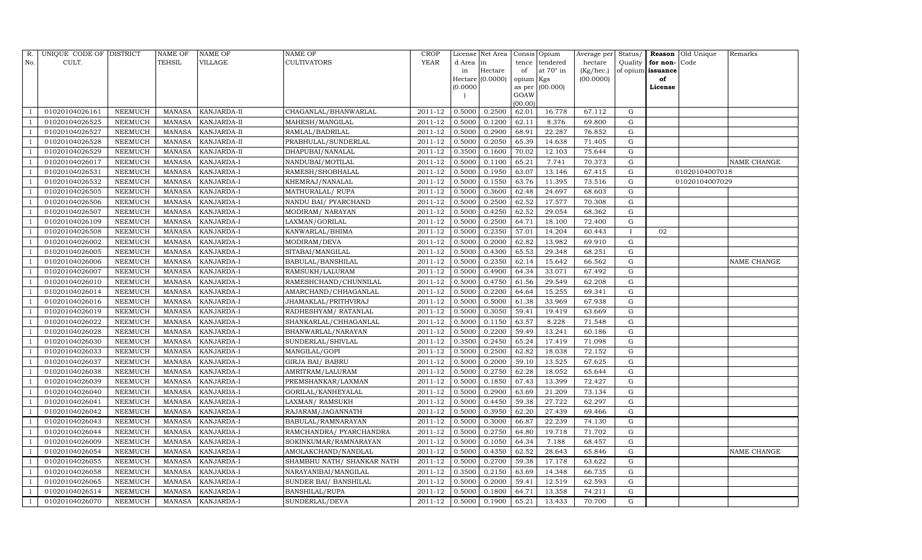| R.             | UNIQUE CODE OF DISTRICT |                | <b>NAME OF</b> | NAME OF           | NAME OF                    | CROP        |          | License Net Area |           | Consis Opium     | Average per | Status/  |                   | Reason Old Unique | Remarks            |
|----------------|-------------------------|----------------|----------------|-------------------|----------------------------|-------------|----------|------------------|-----------|------------------|-------------|----------|-------------------|-------------------|--------------------|
| No.            | CULT.                   |                | TEHSIL         | VILLAGE           | CULTIVATORS                | <b>YEAR</b> | d Area   | in               | tence     | tendered         | hectare     | Quality  | for non-Code      |                   |                    |
|                |                         |                |                |                   |                            |             | in       | Hectare          | of        | at $70^\circ$ in | (Kg/hec.)   |          | of opium issuance |                   |                    |
|                |                         |                |                |                   |                            |             |          | Hectare (0.0000) | opium Kgs |                  | (00.0000)   |          | of                |                   |                    |
|                |                         |                |                |                   |                            |             | (0.0000) |                  | GOAW      | as per (00.000)  |             |          | License           |                   |                    |
|                |                         |                |                |                   |                            |             |          |                  | (00.00)   |                  |             |          |                   |                   |                    |
|                | 01020104026161          | NEEMUCH        | MANASA         | KANJARDA-II       | CHAGANLAL/BHANWARLAL       | 2011-12     | 0.5000   | 0.2500           | 62.01     | 16.778           | 67.112      | G        |                   |                   |                    |
|                | 01020104026525          | NEEMUCH        | <b>MANASA</b>  | KANJARDA-II       | MAHESH/MANGILAL            | 2011-12     | 0.5000   | 0.1200           | 62.11     | 8.376            | 69.800      | G        |                   |                   |                    |
|                | 01020104026527          | <b>NEEMUCH</b> | <b>MANASA</b>  | KANJARDA-II       | RAMLAL/BADRILAL            | 2011-12     | 0.5000   | 0.2900           | 68.91     | 22.287           | 76.852      | G        |                   |                   |                    |
|                | 01020104026528          | <b>NEEMUCH</b> | <b>MANASA</b>  | KANJARDA-II       | PRABHULAL/SUNDERLAL        | 2011-12     | 0.5000   | 0.2050           | 65.39     | 14.638           | 71.405      | G        |                   |                   |                    |
|                | 01020104026529          | <b>NEEMUCH</b> | <b>MANASA</b>  | KANJARDA-II       | DHAPUBAI/NANALAL           | 2011-12     | 0.3500   | 0.1600           | 70.02     | 12.103           | 75.644      | G        |                   |                   |                    |
|                | 01020104026017          | NEEMUCH        | <b>MANASA</b>  | KANJARDA-I        | NANDUBAI/MOTILAL           | 2011-12     | 0.5000   | 0.1100           | 65.21     | 7.741            | 70.373      | G        |                   |                   | <b>NAME CHANGE</b> |
|                | 01020104026531          | <b>NEEMUCH</b> | <b>MANASA</b>  | KANJARDA-I        | RAMESH/SHOBHALAL           | 2011-12     | 0.5000   | 0.1950           | 63.07     | 13.146           | 67.415      | G        |                   | 01020104007018    |                    |
| - 1            | 01020104026532          | NEEMUCH        | <b>MANASA</b>  | KANJARDA-I        | KHEMRAJ/NANALAL            | 2011-12     | 0.5000   | 0.1550           | 63.76     | 11.395           | 73.516      | G        |                   | 01020104007029    |                    |
|                | 01020104026505          | <b>NEEMUCH</b> | <b>MANASA</b>  | KANJARDA-I        | MATHURALAL/RUPA            | 2011-12     | 0.5000   | 0.3600           | 62.48     | 24.697           | 68.603      | G        |                   |                   |                    |
|                | 01020104026506          | NEEMUCH        | <b>MANASA</b>  | KANJARDA-I        | NANDU BAI/ PYARCHAND       | 2011-12     | 0.5000   | 0.2500           | 62.52     | 17.577           | 70.308      | G        |                   |                   |                    |
|                | 01020104026507          | <b>NEEMUCH</b> | <b>MANASA</b>  | KANJARDA-I        | MODIRAM/NARAYAN            | 2011-12     | 0.5000   | 0.4250           | 62.52     | 29.054           | 68.362      | G        |                   |                   |                    |
|                | 01020104026109          | NEEMUCH        | MANASA         | KANJARDA-I        | LAXMAN/GORILAL             | 2011-12     | 0.5000   | 0.2500           | 64.71     | 18.100           | 72.400      | G        |                   |                   |                    |
|                | 01020104026508          | <b>NEEMUCH</b> | <b>MANASA</b>  | KANJARDA-I        | KANWARLAL/BHIMA            | 2011-12     | 0.5000   | 0.2350           | 57.01     | 14.204           | 60.443      | $\bf{I}$ | 02                |                   |                    |
|                | 01020104026002          | NEEMUCH        | <b>MANASA</b>  | KANJARDA-I        | MODIRAM/DEVA               | 2011-12     | 0.5000   | 0.2000           | 62.82     | 13.982           | 69.910      | G        |                   |                   |                    |
|                | 01020104026005          | NEEMUCH        | <b>MANASA</b>  | KANJARDA-I        | SITABAI/MANGILAL           | 2011-12     | 0.5000   | 0.4300           | 65.53     | 29.348           | 68.251      | G        |                   |                   |                    |
| - 1            | 01020104026006          | NEEMUCH        | MANASA         | KANJARDA-I        | BABULAL/BANSHILAL          | 2011-12     | 0.5000   | 0.2350           | 62.14     | 15.642           | 66.562      | G        |                   |                   | <b>NAME CHANGE</b> |
|                | 01020104026007          | NEEMUCH        | MANASA         | KANJARDA-I        | RAMSUKH/LALURAM            | 2011-12     | 0.5000   | 0.4900           | 64.34     | 33.071           | 67.492      | G        |                   |                   |                    |
|                | 01020104026010          | NEEMUCH        | MANASA         | KANJARDA-I        | RAMESHCHAND/CHUNNILAL      | 2011-12     | 0.5000   | 0.4750           | 61.56     | 29.549           | 62.208      | G        |                   |                   |                    |
|                | 01020104026014          | NEEMUCH        | <b>MANASA</b>  | KANJARDA-I        | AMARCHAND/CHHAGANLAL       | 2011-12     | 0.5000   | 0.2200           | 64.64     | 15.255           | 69.341      | G        |                   |                   |                    |
|                | 01020104026016          | NEEMUCH        | <b>MANASA</b>  | KANJARDA-I        | JHAMAKLAL/PRITHVIRAJ       | 2011-12     | 0.5000   | 0.5000           | 61.38     | 33.969           | 67.938      | G        |                   |                   |                    |
|                | 01020104026019          | NEEMUCH        | <b>MANASA</b>  | KANJARDA-I        | RADHESHYAM/RATANLAL        | 2011-12     | 0.5000   | 0.3050           | 59.41     | 19.419           | 63.669      | G        |                   |                   |                    |
|                | 01020104026022          | <b>NEEMUCH</b> | <b>MANASA</b>  | KANJARDA-I        | SHANKARLAL/CHHAGANLAL      | 2011-12     | 0.5000   | 0.1150           | 63.57     | 8.228            | 71.548      | G        |                   |                   |                    |
|                | 01020104026028          | NEEMUCH        | MANASA         | KANJARDA-I        | BHANWARLAL/NARAYAN         | $2011 - 12$ | 0.5000   | 0.2200           | 59.49     | 13.241           | 60.186      | G        |                   |                   |                    |
|                | 01020104026030          | <b>NEEMUCH</b> | <b>MANASA</b>  | KANJARDA-I        | SUNDERLAL/SHIVLAL          | 2011-12     | 0.3500   | 0.2450           | 65.24     | 17.419           | 71.098      | G        |                   |                   |                    |
|                | 01020104026033          | NEEMUCH        | <b>MANASA</b>  | KANJARDA-I        | MANGILAL/GOPI              | 2011-12     | 0.5000   | 0.2500           | 62.82     | 18.038           | 72.152      | G        |                   |                   |                    |
|                | 01020104026037          | NEEMUCH        | <b>MANASA</b>  | KANJARDA-I        | GIRJA BAI/ BABRU           | 2011-12     | 0.5000   | 0.2000           | 59.10     | 13.525           | 67.625      | G        |                   |                   |                    |
|                | 01020104026038          | <b>NEEMUCH</b> | <b>MANASA</b>  | KANJARDA-I        | AMRITRAM/LALURAM           | 2011-12     | 0.5000   | 0.2750           | 62.28     | 18.052           | 65.644      | G        |                   |                   |                    |
|                | 01020104026039          | <b>NEEMUCH</b> | <b>MANASA</b>  | KANJARDA-I        | PREMSHANKAR/LAXMAN         | 2011-12     | 0.5000   | 0.1850           | 67.43     | 13.399           | 72.427      | G        |                   |                   |                    |
|                | 01020104026040          | NEEMUCH        | <b>MANASA</b>  | KANJARDA-I        | GORILAL/KANHEYALAL         | 2011-12     | 0.5000   | 0.2900           | 63.69     | 21.209           | 73.134      | G        |                   |                   |                    |
|                | 01020104026041          | NEEMUCH        | MANASA         | KANJARDA-I        | LAXMAN/RAMSUKH             | 2011-12     | 0.5000   | 0.4450           | 59.38     | 27.722           | 62.297      | G        |                   |                   |                    |
|                | 01020104026042          | NEEMUCH        | <b>MANASA</b>  | KANJARDA-I        | RAJARAM/JAGANNATH          | $2011 - 12$ | 0.5000   | 0.3950           | 62.20     | 27.439           | 69.466      | G        |                   |                   |                    |
|                | 01020104026043          | <b>NEEMUCH</b> | <b>MANASA</b>  | KANJARDA-I        | BABULAL/RAMNARAYAN         | 2011-12     | 0.5000   | 0.3000           | 66.87     | 22.239           | 74.130      | G        |                   |                   |                    |
|                | 01020104026044          | NEEMUCH        | <b>MANASA</b>  | KANJARDA-I        | RAMCHANDRA/ PYARCHANDRA    | 2011-12     | 0.5000   | 0.2750           | 64.80     | 19.718           | 71.702      | G        |                   |                   |                    |
|                | 01020104026009          | NEEMUCH        | <b>MANASA</b>  | KANJARDA-I        | SOKINKUMAR/RAMNARAYAN      | 2011-12     | 0.5000   | 0.1050           | 64.34     | 7.188            | 68.457      | G        |                   |                   |                    |
|                | 01020104026054          | NEEMUCH        | <b>MANASA</b>  | KANJARDA-I        | AMOLAKCHAND/NANDLAL        | 2011-12     | 0.5000   | 0.4350           | 62.52     | 28.643           | 65.846      | G        |                   |                   | <b>NAME CHANGE</b> |
|                | 01020104026055          | <b>NEEMUCH</b> | <b>MANASA</b>  | KANJARDA-I        | SHAMBHU NATH/ SHANKAR NATH | 2011-12     | 0.5000   | 0.2700           | 59.38     | 17.178           | 63.622      | G        |                   |                   |                    |
|                | 01020104026058          | NEEMUCH        | <b>MANASA</b>  | KANJARDA-I        | NARAYANIBAI/MANGILAL       | 2011-12     | 0.3500   | 0.2150           | 63.69     | 14.348           | 66.735      | G        |                   |                   |                    |
|                | 01020104026065          | NEEMUCH        | MANASA         | KANJARDA-I        | SUNDER BAI / BANSHILAL     | 2011-12     | 0.5000   | 0.2000           | 59.41     | 12.519           | 62.593      | G        |                   |                   |                    |
| $\overline{1}$ | 01020104026514          | NEEMUCH        | MANASA         | KANJARDA-I        | BANSHILAL/RUPA             | 2011-12     | 0.5000   | 0.1800           | 64.71     | 13.358           | 74.211      | G        |                   |                   |                    |
| $\mathbf{1}$   | 01020104026070          | <b>NEEMUCH</b> |                | MANASA KANJARDA-I | SUNDERLAL/DEVA             | 2011-12     | 0.5000   | 0.1900           | 65.21     | 13.433           | 70.700      | G        |                   |                   |                    |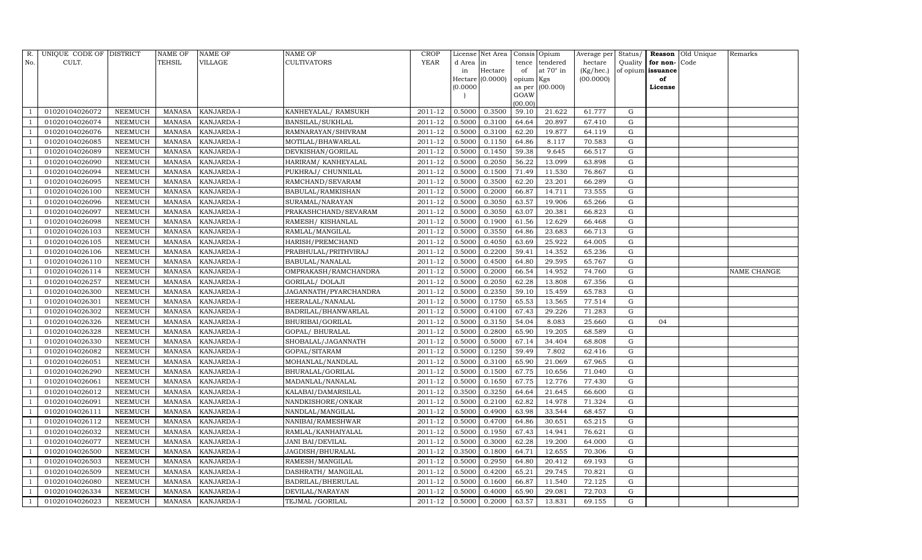| R.             | UNIQUE CODE OF DISTRICT |                | <b>NAME OF</b> | <b>NAME OF</b>    | <b>NAME OF</b>           | <b>CROP</b> |           | License Net Area |           | Consis Opium      | Average per | Status/     |                   | <b>Reason</b> Old Unique | Remarks     |
|----------------|-------------------------|----------------|----------------|-------------------|--------------------------|-------------|-----------|------------------|-----------|-------------------|-------------|-------------|-------------------|--------------------------|-------------|
| No.            | CULT.                   |                | <b>TEHSIL</b>  | VILLAGE           | <b>CULTIVATORS</b>       | YEAR        | d Area in |                  | tence     | tendered          | hectare     | Quality     | for non-          | Code                     |             |
|                |                         |                |                |                   |                          |             | in        | Hectare          | of        | at $70^\circ$ in  | (Kg/hec.)   |             | of opium issuance |                          |             |
|                |                         |                |                |                   |                          |             |           | Hectare (0.0000) | opium Kgs |                   | (00.0000)   |             | of                |                          |             |
|                |                         |                |                |                   |                          |             | (0.0000)  |                  | GOAW      | as per $(00.000)$ |             |             | License           |                          |             |
|                |                         |                |                |                   |                          |             |           |                  | (00.00)   |                   |             |             |                   |                          |             |
|                | 01020104026072          | NEEMUCH        | MANASA         | KANJARDA-I        | KANHEYALAL/ RAMSUKH      | 2011-12     | 0.5000    | 0.3500           | 59.10     | 21.622            | 61.777      | G           |                   |                          |             |
|                | 01020104026074          | NEEMUCH        | MANASA         | KANJARDA-I        | BANSILAL/SUKHLAL         | 2011-12     | 0.5000    | 0.3100           | 64.64     | 20.897            | 67.410      | G           |                   |                          |             |
|                | 01020104026076          | <b>NEEMUCH</b> | MANASA         | KANJARDA-I        | RAMNARAYAN/SHIVRAM       | 2011-12     | 0.5000    | 0.3100           | 62.20     | 19.877            | 64.119      | G           |                   |                          |             |
|                | 01020104026085          | NEEMUCH        | MANASA         | KANJARDA-I        | MOTILAL/BHAWARLAL        | $2011 - 12$ | 0.5000    | 0.1150           | 64.86     | 8.117             | 70.583      | G           |                   |                          |             |
|                | 01020104026089          | NEEMUCH        | MANASA         | KANJARDA-I        | DEVKISHAN/GORILAL        | 2011-12     | 0.5000    | 0.1450           | 59.38     | 9.645             | 66.517      | G           |                   |                          |             |
|                | 01020104026090          | NEEMUCH        | MANASA         | KANJARDA-I        | HARIRAM/KANHEYALAL       | 2011-12     | 0.5000    | 0.2050           | 56.22     | 13.099            | 63.898      | G           |                   |                          |             |
|                | 01020104026094          | NEEMUCH        | MANASA         | KANJARDA-I        | PUKHRAJ/ CHUNNILAL       | $2011 - 12$ | 0.5000    | 0.1500           | 71.49     | 11.530            | 76.867      | G           |                   |                          |             |
|                | 01020104026095          | NEEMUCH        | MANASA         | KANJARDA-I        | RAMCHAND/SEVARAM         | 2011-12     | 0.5000    | 0.3500           | 62.20     | 23.201            | 66.289      | G           |                   |                          |             |
|                | 01020104026100          | <b>NEEMUCH</b> | MANASA         | KANJARDA-I        | <b>BABULAL/RAMKISHAN</b> | 2011-12     | 0.5000    | 0.2000           | 66.87     | 14.711            | 73.555      | $\mathbf G$ |                   |                          |             |
|                | 01020104026096          | NEEMUCH        | MANASA         | KANJARDA-I        | SURAMAL/NARAYAN          | 2011-12     | 0.5000    | 0.3050           | 63.57     | 19.906            | 65.266      | G           |                   |                          |             |
|                | 01020104026097          | NEEMUCH        | MANASA         | KANJARDA-I        | PRAKASHCHAND/SEVARAM     | 2011-12     | 0.5000    | 0.3050           | 63.07     | 20.381            | 66.823      | G           |                   |                          |             |
|                | 01020104026098          | <b>NEEMUCH</b> | MANASA         | KANJARDA-I        | RAMESH / KISHANLAL       | 2011-12     | 0.5000    | 0.1900           | 61.56     | 12.629            | 66.468      | $\mathbf G$ |                   |                          |             |
|                | 01020104026103          | <b>NEEMUCH</b> | MANASA         | KANJARDA-I        | RAMLAL/MANGILAL          | 2011-12     | 0.5000    | 0.3550           | 64.86     | 23.683            | 66.713      | G           |                   |                          |             |
|                | 01020104026105          | <b>NEEMUCH</b> | <b>MANASA</b>  | KANJARDA-I        | HARISH/PREMCHAND         | 2011-12     | 0.5000    | 0.4050           | 63.69     | 25.922            | 64.005      | ${\rm G}$   |                   |                          |             |
|                | 01020104026106          | NEEMUCH        | MANASA         | KANJARDA-I        | PRABHULAL/PRITHVIRAJ     | 2011-12     | 0.5000    | 0.2200           | 59.41     | 14.352            | 65.236      | G           |                   |                          |             |
|                | 01020104026110          | <b>NEEMUCH</b> | MANASA         | KANJARDA-I        | BABULAL/NANALAL          | 2011-12     | 0.5000    | 0.4500           | 64.80     | 29.595            | 65.767      | ${\rm G}$   |                   |                          |             |
|                | 01020104026114          | NEEMUCH        | <b>MANASA</b>  | KANJARDA-I        | OMPRAKASH/RAMCHANDRA     | 2011-12     | 0.5000    | 0.2000           | 66.54     | 14.952            | 74.760      | ${\rm G}$   |                   |                          | NAME CHANGE |
|                | 01020104026257          | <b>NEEMUCH</b> | <b>MANASA</b>  | KANJARDA-I        | GORILAL/ DOLAJI          | 2011-12     | 0.5000    | 0.2050           | 62.28     | 13.808            | 67.356      | G           |                   |                          |             |
|                | 01020104026300          | NEEMUCH        | MANASA         | KANJARDA-I        | JAGANNATH/PYARCHANDRA    | 2011-12     | 0.5000    | 0.2350           | 59.10     | 15.459            | 65.783      | ${\rm G}$   |                   |                          |             |
|                | 01020104026301          | <b>NEEMUCH</b> | MANASA         | KANJARDA-I        | HEERALAL/NANALAL         | 2011-12     | 0.5000    | 0.1750           | 65.53     | 13.565            | 77.514      | $\mathbf G$ |                   |                          |             |
|                | 01020104026302          | NEEMUCH        | MANASA         | KANJARDA-I        | BADRILAL/BHANWARLAL      | 2011-12     | 0.5000    | 0.4100           | 67.43     | 29.226            | 71.283      | ${\rm G}$   |                   |                          |             |
|                | 01020104026326          | NEEMUCH        | MANASA         | KANJARDA-I        | BHURIBAI/GORILAL         | 2011-12     | 0.5000    | 0.3150           | 54.04     | 8.083             | 25.660      | ${\rm G}$   | 04                |                          |             |
|                | 01020104026328          | NEEMUCH        | MANASA         | KANJARDA-I        | GOPAL/ BHURALAL          | 2011-12     | 0.5000    | 0.2800           | 65.90     | 19.205            | 68.589      | $\mathbf G$ |                   |                          |             |
|                | 01020104026330          | NEEMUCH        | MANASA         | KANJARDA-I        | SHOBALAL/JAGANNATH       | 2011-12     | 0.5000    | 0.5000           | 67.14     | 34.404            | 68.808      | ${\rm G}$   |                   |                          |             |
|                | 01020104026082          | NEEMUCH        | MANASA         | KANJARDA-I        | GOPAL/SITARAM            | 2011-12     | 0.5000    | 0.1250           | 59.49     | 7.802             | 62.416      | G           |                   |                          |             |
|                | 01020104026051          | <b>NEEMUCH</b> | MANASA         | KANJARDA-I        | MOHANLAL/NANDLAL         | 2011-12     | 0.5000    | 0.3100           | 65.90     | 21.069            | 67.965      | ${\rm G}$   |                   |                          |             |
|                | 01020104026290          | NEEMUCH        | MANASA         | KANJARDA-I        | BHURALAL/GORILAL         | 2011-12     | 0.5000    | 0.1500           | 67.75     | 10.656            | 71.040      | ${\rm G}$   |                   |                          |             |
|                | 01020104026061          | <b>NEEMUCH</b> | MANASA         | KANJARDA-I        | MADANLAL/NANALAL         | 2011-12     | 0.5000    | 0.1650           | 67.75     | 12.776            | 77.430      | $\mathbf G$ |                   |                          |             |
|                | 01020104026012          | NEEMUCH        | MANASA         | KANJARDA-I        | KALABAI/DAMARSILAL       | 2011-12     | 0.3500    | 0.3250           | 64.64     | 21.645            | 66.600      | G           |                   |                          |             |
|                | 01020104026091          | NEEMUCH        | <b>MANASA</b>  | KANJARDA-I        | NANDKISHORE/ONKAR        | 2011-12     | 0.5000    | 0.2100           | 62.82     | 14.978            | 71.324      | ${\rm G}$   |                   |                          |             |
|                | 01020104026111          | <b>NEEMUCH</b> | MANASA         | KANJARDA-I        | NANDLAL/MANGILAL         | 2011-12     | 0.5000    | 0.4900           | 63.98     | 33.544            | 68.457      | G           |                   |                          |             |
|                | 01020104026112          | <b>NEEMUCH</b> | MANASA         | KANJARDA-I        | NANIBAI/RAMESHWAR        | 2011-12     | 0.5000    | 0.4700           | 64.86     | 30.651            | 65.215      | G           |                   |                          |             |
|                | 01020104026032          | <b>NEEMUCH</b> | MANASA         | KANJARDA-I        | RAMLAL/KANHAIYALAL       | 2011-12     | 0.5000    | 0.1950           | 67.43     | 14.941            | 76.621      | G           |                   |                          |             |
|                | 01020104026077          | <b>NEEMUCH</b> | MANASA         | KANJARDA-I        | <b>JANI BAI/DEVILAL</b>  | 2011-12     | 0.5000    | 0.3000           | 62.28     | 19.200            | 64.000      | G           |                   |                          |             |
|                | 01020104026500          | <b>NEEMUCH</b> | MANASA         | KANJARDA-I        | JAGDISH/BHURALAL         | 2011-12     | 0.3500    | 0.1800           | 64.71     | 12.655            | 70.306      | G           |                   |                          |             |
|                | 01020104026503          | NEEMUCH        | MANASA         | KANJARDA-I        | RAMESH/MANGILAL          | 2011-12     | 0.5000    | 0.2950           | 64.80     | 20.412            | 69.193      | G           |                   |                          |             |
|                | 01020104026509          | NEEMUCH        | MANASA         | KANJARDA-I        | DASHRATH / MANGILAL      | 2011-12     | 0.5000    | 0.4200           | 65.21     | 29.745            | 70.821      | G           |                   |                          |             |
|                | 01020104026080          | NEEMUCH        | MANASA         | KANJARDA-I        | <b>BADRILAL/BHERULAL</b> | 2011-12     | 0.5000    | 0.1600           | 66.87     | 11.540            | 72.125      | ${\rm G}$   |                   |                          |             |
|                | 01020104026334          | <b>NEEMUCH</b> | MANASA         | KANJARDA-I        | DEVILAL/NARAYAN          | 2011-12     | 0.5000    | 0.4000           | 65.90     | 29.081            | 72.703      | G           |                   |                          |             |
| $\overline{1}$ | 01020104026023          | NEEMUCH        |                | MANASA KANJARDA-I | TEJMAL / GORILAL         | $2011 - 12$ | 0.5000    | 0.2000           | 63.57     | 13.831            | 69.155      | G           |                   |                          |             |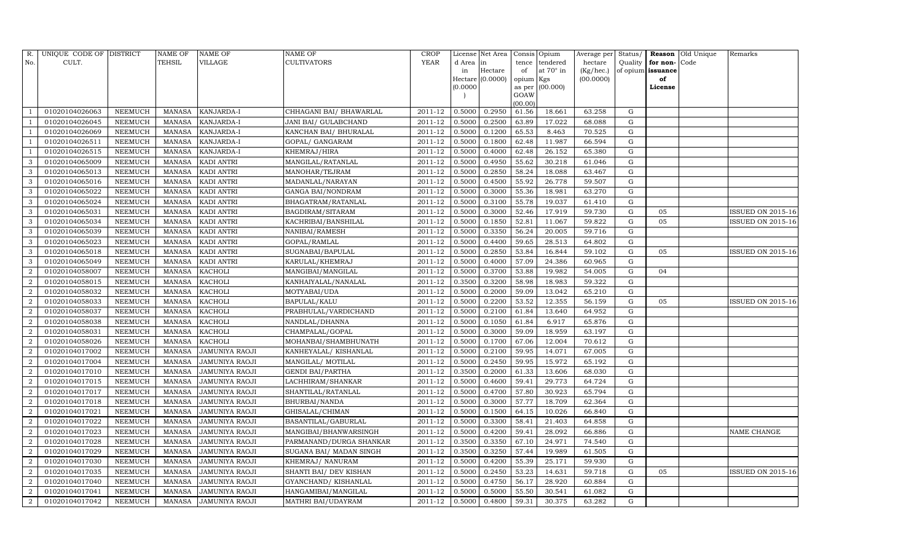| R.             | UNIQUE CODE OF DISTRICT |                | NAME OF       | <b>NAME OF</b>        | <b>NAME OF</b>           | CROP        |          | License Net Area |                | Consis Opium | Average per | Status/     | Reason            | Old Unique | Remarks                  |
|----------------|-------------------------|----------------|---------------|-----------------------|--------------------------|-------------|----------|------------------|----------------|--------------|-------------|-------------|-------------------|------------|--------------------------|
| No.            | CULT.                   |                | TEHSIL        | VILLAGE               | <b>CULTIVATORS</b>       | YEAR        | d Area   | in               | tence          | tendered     | hectare     | Quality     | for non-          | Code       |                          |
|                |                         |                |               |                       |                          |             | in       | Hectare          | of             | at 70° in    | (Kg/hec.)   |             | of opium issuance |            |                          |
|                |                         |                |               |                       |                          |             | (0.0000) | Hectare (0.0000) | opium Kgs      | (00.000)     | (00.0000)   |             | of<br>License     |            |                          |
|                |                         |                |               |                       |                          |             |          |                  | as per<br>GOAW |              |             |             |                   |            |                          |
|                |                         |                |               |                       |                          |             |          |                  | (00.00)        |              |             |             |                   |            |                          |
|                | 01020104026063          | NEEMUCH        | <b>MANASA</b> | KANJARDA-I            | CHHAGANI BAI/ BHAWARLAL  | 2011-12     | 0.5000   | 0.2950           | 61.56          | 18.661       | 63.258      | G           |                   |            |                          |
|                | 01020104026045          | NEEMUCH        | <b>MANASA</b> | KANJARDA-I            | JANI BAI/ GULABCHAND     | 2011-12     | 0.5000   | 0.2500           | 63.89          | 17.022       | 68.088      | G           |                   |            |                          |
|                | 01020104026069          | <b>NEEMUCH</b> | <b>MANASA</b> | KANJARDA-I            | KANCHAN BAI/ BHURALAL    | 2011-12     | 0.5000   | 0.1200           | 65.53          | 8.463        | 70.525      | G           |                   |            |                          |
|                | 01020104026511          | <b>NEEMUCH</b> | <b>MANASA</b> | KANJARDA-I            | GOPAL/ GANGARAM          | 2011-12     | 0.5000   | 0.1800           | 62.48          | 11.987       | 66.594      | ${\rm G}$   |                   |            |                          |
|                | 01020104026515          | <b>NEEMUCH</b> | <b>MANASA</b> | KANJARDA-I            | KHEMRAJ/HIRA             | 2011-12     | 0.5000   | 0.4000           | 62.48          | 26.152       | 65.380      | $\mathbf G$ |                   |            |                          |
| 3              | 01020104065009          | <b>NEEMUCH</b> | <b>MANASA</b> | KADI ANTRI            | MANGILAL/RATANLAL        | 2011-12     | 0.5000   | 0.4950           | 55.62          | 30.218       | 61.046      | G           |                   |            |                          |
| 3              | 01020104065013          | <b>NEEMUCH</b> | <b>MANASA</b> | <b>KADI ANTRI</b>     | MANOHAR/TEJRAM           | $2011 - 12$ | 0.5000   | 0.2850           | 58.24          | 18.088       | 63.467      | G           |                   |            |                          |
| 3              | 01020104065016          | NEEMUCH        | <b>MANASA</b> | <b>KADI ANTRI</b>     | MADANLAL/NARAYAN         | 2011-12     | 0.5000   | 0.4500           | 55.92          | 26.778       | 59.507      | ${\rm G}$   |                   |            |                          |
| 3              | 01020104065022          | <b>NEEMUCH</b> | <b>MANASA</b> | KADI ANTRI            | <b>GANGA BAI/NONDRAM</b> | 2011-12     | 0.5000   | 0.3000           | 55.36          | 18.981       | 63.270      | $\mathbf G$ |                   |            |                          |
| 3              | 01020104065024          | NEEMUCH        | <b>MANASA</b> | KADI ANTRI            | BHAGATRAM/RATANLAL       | 2011-12     | 0.5000   | 0.3100           | 55.78          | 19.037       | 61.410      | ${\rm G}$   |                   |            |                          |
| 3              | 01020104065031          | <b>NEEMUCH</b> | <b>MANASA</b> | KADI ANTRI            | BAGDIRAM/SITARAM         | 2011-12     | 0.5000   | 0.3000           | 52.46          | 17.919       | 59.730      | ${\rm G}$   | 05                |            | <b>ISSUED ON 2015-16</b> |
| 3              | 01020104065034          | <b>NEEMUCH</b> | <b>MANASA</b> | <b>KADI ANTRI</b>     | KACHRIBAI/BANSHILAL      | 2011-12     | 0.5000   | 0.1850           | 52.81          | 11.067       | 59.822      | G           | 05                |            | ISSUED ON 2015-16        |
| 3              | 01020104065039          | <b>NEEMUCH</b> | <b>MANASA</b> | <b>KADI ANTRI</b>     | NANIBAI/RAMESH           | 2011-12     | 0.5000   | 0.3350           | 56.24          | 20.005       | 59.716      | ${\rm G}$   |                   |            |                          |
| 3              | 01020104065023          | <b>NEEMUCH</b> | <b>MANASA</b> | <b>KADI ANTRI</b>     | GOPAL/RAMLAL             | 2011-12     | 0.5000   | 0.4400           | 59.65          | 28.513       | 64.802      | G           |                   |            |                          |
| 3              | 01020104065018          | NEEMUCH        | <b>MANASA</b> | <b>KADI ANTRI</b>     | SUGNABAI/BAPULAL         | 2011-12     | 0.5000   | 0.2850           | 53.84          | 16.844       | 59.102      | G           | 05                |            | ISSUED ON 2015-16        |
| 3              | 01020104065049          | NEEMUCH        | <b>MANASA</b> | <b>KADI ANTRI</b>     | KARULAL/KHEMRAJ          | 2011-12     | 0.5000   | 0.4000           | 57.09          | 24.386       | 60.965      | G           |                   |            |                          |
| $\overline{2}$ | 01020104058007          | <b>NEEMUCH</b> | <b>MANASA</b> | <b>KACHOLI</b>        | MANGIBAI/MANGILAL        | 2011-12     | 0.5000   | 0.3700           | 53.88          | 19.982       | 54.005      | $\mathbf G$ | 04                |            |                          |
| 2              | 01020104058015          | <b>NEEMUCH</b> | <b>MANASA</b> | <b>KACHOLI</b>        | KANHAIYALAL/NANALAL      | 2011-12     | 0.3500   | 0.3200           | 58.98          | 18.983       | 59.322      | G           |                   |            |                          |
| $\overline{c}$ | 01020104058032          | NEEMUCH        | <b>MANASA</b> | <b>KACHOLI</b>        | MOTYABAI/UDA             | 2011-12     | 0.5000   | 0.2000           | 59.09          | 13.042       | 65.210      | ${\rm G}$   |                   |            |                          |
| $\overline{2}$ | 01020104058033          | NEEMUCH        | <b>MANASA</b> | <b>KACHOLI</b>        | BAPULAL/KALU             | 2011-12     | 0.5000   | 0.2200           | 53.52          | 12.355       | 56.159      | G           | 05                |            | ISSUED ON 2015-16        |
| $\overline{2}$ | 01020104058037          | NEEMUCH        | <b>MANASA</b> | <b>KACHOLI</b>        | PRABHULAL/VARDICHAND     | 2011-12     | 0.5000   | 0.2100           | 61.84          | 13.640       | 64.952      | ${\rm G}$   |                   |            |                          |
| $\overline{a}$ | 01020104058038          | <b>NEEMUCH</b> | <b>MANASA</b> | <b>KACHOLI</b>        | NANDLAL/DHANNA           | 2011-12     | 0.5000   | 0.1050           | 61.84          | 6.917        | 65.876      | G           |                   |            |                          |
| $\overline{a}$ | 01020104058031          | <b>NEEMUCH</b> | <b>MANASA</b> | <b>KACHOLI</b>        | CHAMPALAL/GOPAL          | $2011 - 12$ | 0.5000   | 0.3000           | 59.09          | 18.959       | 63.197      | G           |                   |            |                          |
| $\overline{2}$ | 01020104058026          | NEEMUCH        | <b>MANASA</b> | <b>KACHOLI</b>        | MOHANBAI/SHAMBHUNATH     | 2011-12     | 0.5000   | 0.1700           | 67.06          | 12.004       | 70.612      | G           |                   |            |                          |
| $\overline{2}$ | 01020104017002          | NEEMUCH        | <b>MANASA</b> | JAMUNIYA RAOJI        | KANHEYALAL/KISHANLAL     | 2011-12     | 0.5000   | 0.2100           | 59.95          | 14.071       | 67.005      | ${\rm G}$   |                   |            |                          |
| $\overline{2}$ | 01020104017004          | <b>NEEMUCH</b> | <b>MANASA</b> | JAMUNIYA RAOJI        | MANGILAL/ MOTILAL        | 2011-12     | 0.5000   | 0.2450           | 59.95          | 15.972       | 65.192      | G           |                   |            |                          |
| $\overline{a}$ | 01020104017010          | <b>NEEMUCH</b> | <b>MANASA</b> | JAMUNIYA RAOJI        | <b>GENDI BAI/PARTHA</b>  | 2011-12     | 0.3500   | 0.2000           | 61.33          | 13.606       | 68.030      | ${\rm G}$   |                   |            |                          |
| $\overline{2}$ | 01020104017015          | <b>NEEMUCH</b> | <b>MANASA</b> | <b>JAMUNIYA RAOJI</b> | LACHHIRAM/SHANKAR        | 2011-12     | 0.5000   | 0.4600           | 59.41          | 29.773       | 64.724      | $\mathbf G$ |                   |            |                          |
| $\overline{a}$ | 01020104017017          | <b>NEEMUCH</b> | <b>MANASA</b> | JAMUNIYA RAOJI        | SHANTILAL/RATANLAL       | 2011-12     | 0.5000   | 0.4700           | 57.80          | 30.923       | 65.794      | G           |                   |            |                          |
| $\overline{a}$ | 01020104017018          | NEEMUCH        | <b>MANASA</b> | JAMUNIYA RAOJI        | BHURBAI/NANDA            | 2011-12     | 0.5000   | 0.3000           | 57.77          | 18.709       | 62.364      | ${\rm G}$   |                   |            |                          |
| $\overline{a}$ | 01020104017021          | <b>NEEMUCH</b> | <b>MANASA</b> | JAMUNIYA RAOJI        | GHISALAL/CHIMAN          | 2011-12     | 0.5000   | 0.1500           | 64.15          | 10.026       | 66.840      | ${\rm G}$   |                   |            |                          |
| $\overline{2}$ | 01020104017022          | <b>NEEMUCH</b> | <b>MANASA</b> | <b>JAMUNIYA RAOJI</b> | BASANTILAL/GABURLAL      | 2011-12     | 0.5000   | 0.3300           | 58.41          | 21.403       | 64.858      | $\mathbf G$ |                   |            |                          |
| $\overline{2}$ | 01020104017023          | <b>NEEMUCH</b> | <b>MANASA</b> | JAMUNIYA RAOJI        | MANGIBAI/BHANWARSINGH    | 2011-12     | 0.5000   | 0.4200           | 59.41          | 28.092       | 66.886      | ${\rm G}$   |                   |            | NAME CHANGE              |
| $\overline{a}$ | 01020104017028          | <b>NEEMUCH</b> | <b>MANASA</b> | <b>JAMUNIYA RAOJI</b> | PARMANAND/DURGA SHANKAR  | 2011-12     | 0.3500   | 0.3350           | 67.10          | 24.971       | 74.540      | G           |                   |            |                          |
| $\overline{a}$ | 01020104017029          | <b>NEEMUCH</b> | <b>MANASA</b> | JAMUNIYA RAOJI        | SUGANA BAI/ MADAN SINGH  | 2011-12     | 0.3500   | 0.3250           | 57.44          | 19.989       | 61.505      | ${\rm G}$   |                   |            |                          |
| $\overline{2}$ | 01020104017030          | <b>NEEMUCH</b> | <b>MANASA</b> | JAMUNIYA RAOJI        | KHEMRAJ / NANURAM        | 2011-12     | 0.5000   | 0.4200           | 55.39          | 25.171       | 59.930      | ${\rm G}$   |                   |            |                          |
| 2              | 01020104017035          | <b>NEEMUCH</b> | <b>MANASA</b> | JAMUNIYA RAOJI        | SHANTI BAI/ DEV KISHAN   | 2011-12     | 0.5000   | 0.2450           | 53.23          | 14.631       | 59.718      | G           | 05                |            | ISSUED ON 2015-16        |
| $\overline{c}$ | 01020104017040          | <b>NEEMUCH</b> | <b>MANASA</b> | JAMUNIYA RAOJI        | GYANCHAND/ KISHANLAL     | 2011-12     | 0.5000   | 0.4750           | 56.17          | 28.920       | 60.884      | G           |                   |            |                          |
| $\sqrt{2}$     | 01020104017041          | <b>NEEMUCH</b> | <b>MANASA</b> | JAMUNIYA RAOJI        | HANGAMIBAI/MANGILAL      | 2011-12     | 0.5000   | 0.5000           | 55.50          | 30.541       | 61.082      | G           |                   |            |                          |
| $\sqrt{2}$     | 01020104017042          | <b>NEEMUCH</b> | MANASA        | <b>JAMUNIYA RAOJI</b> | MATHRI BAI/UDAYRAM       | 2011-12     | 0.5000   | 0.4800           | 59.31          | 30.375       | 63.282      | G           |                   |            |                          |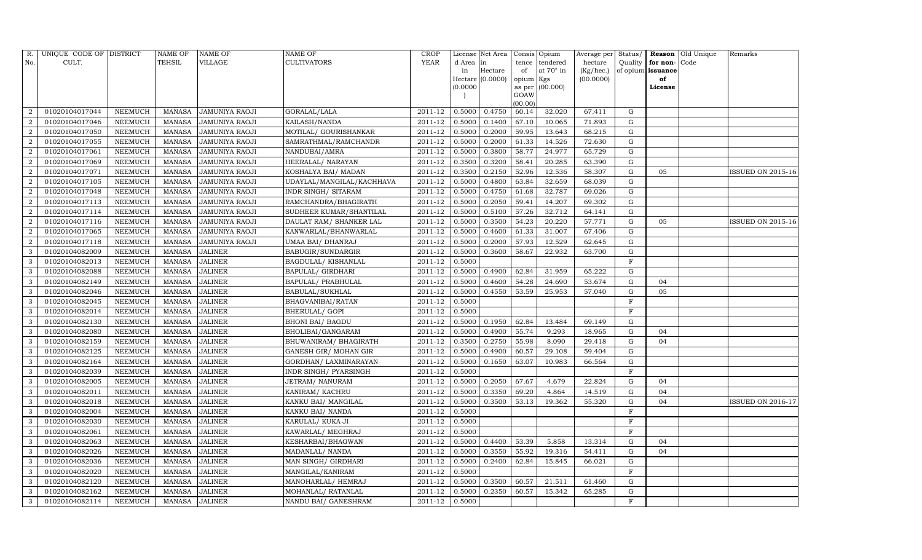| R.                          | UNIQUE CODE OF DISTRICT |                | <b>NAME OF</b> | NAME OF               | <b>NAME OF</b>             | <b>CROP</b> |           | License Net Area |                | Consis Opium | Average per | Status/      | Reason            | Old Unique | Remarks                  |
|-----------------------------|-------------------------|----------------|----------------|-----------------------|----------------------------|-------------|-----------|------------------|----------------|--------------|-------------|--------------|-------------------|------------|--------------------------|
| No.                         | CULT.                   |                | TEHSIL         | VILLAGE               | <b>CULTIVATORS</b>         | YEAR        | d Area in |                  | tence          | tendered     | hectare     | Quality      | for non-          | Code       |                          |
|                             |                         |                |                |                       |                            |             | in        | Hectare          | of             | at 70° in    | (Kg/hec.)   |              | of opium issuance |            |                          |
|                             |                         |                |                |                       |                            |             |           | Hectare (0.0000) | opium Kgs      |              | (00.0000)   |              | of                |            |                          |
|                             |                         |                |                |                       |                            |             | (0.0000)  |                  | as per<br>GOAW | (00.000)     |             |              | License           |            |                          |
|                             |                         |                |                |                       |                            |             |           |                  | (00.00)        |              |             |              |                   |            |                          |
| $\mathcal{D}_{\mathcal{L}}$ | 01020104017044          | NEEMUCH        | MANASA         | <b>JAMUNIYA RAOJI</b> | GORALAL/LALA               | 2011-12     | 0.5000    | 0.4750           | 60.14          | 32.020       | 67.411      | G            |                   |            |                          |
|                             | 01020104017046          | NEEMUCH        | <b>MANASA</b>  | <b>JAMUNIYA RAOJI</b> | KAILASH/NANDA              | 2011-12     | 0.5000    | 0.1400           | 67.10          | 10.065       | 71.893      | G            |                   |            |                          |
| 2                           | 01020104017050          | NEEMUCH        | <b>MANASA</b>  | JAMUNIYA RAOJI        | MOTILAL/ GOURISHANKAR      | 2011-12     | 0.5000    | 0.2000           | 59.95          | 13.643       | 68.215      | G            |                   |            |                          |
| 2                           | 01020104017055          | NEEMUCH        | MANASA         | JAMUNIYA RAOJI        | SAMRATHMAL/RAMCHANDR       | 2011-12     | 0.5000    | 0.2000           | 61.33          | 14.526       | 72.630      | G            |                   |            |                          |
| $\overline{2}$              | 01020104017061          | <b>NEEMUCH</b> | <b>MANASA</b>  | JAMUNIYA RAOJI        | NANDUBAI/AMRA              | 2011-12     | 0.5000    | 0.3800           | 58.77          | 24.977       | 65.729      | G            |                   |            |                          |
| $\overline{2}$              | 01020104017069          | NEEMUCH        | <b>MANASA</b>  | JAMUNIYA RAOJI        | HEERALAL/ NARAYAN          | 2011-12     | 0.3500    | 0.3200           | 58.41          | 20.285       | 63.390      | G            |                   |            |                          |
| $\overline{2}$              | 01020104017071          | NEEMUCH        | MANASA         | JAMUNIYA RAOJI        | KOSHALYA BAI/ MADAN        | 2011-12     | 0.3500    | 0.2150           | 52.96          | 12.536       | 58.307      | G            | 05                |            | <b>ISSUED ON 2015-16</b> |
| 2                           | 01020104017105          | NEEMUCH        | <b>MANASA</b>  | <b>JAMUNIYA RAOJI</b> | UDAYLAL/MANGILAL/KACHHAVA  | 2011-12     | 0.5000    | 0.4800           | 63.84          | 32.659       | 68.039      | ${\rm G}$    |                   |            |                          |
| $\overline{2}$              | 01020104017048          | <b>NEEMUCH</b> | <b>MANASA</b>  | JAMUNIYA RAOJI        | <b>INDR SINGH/ SITARAM</b> | 2011-12     | 0.5000    | 0.4750           | 61.68          | 32.787       | 69.026      | $\mathbf G$  |                   |            |                          |
|                             | 01020104017113          | NEEMUCH        | <b>MANASA</b>  | JAMUNIYA RAOJI        | RAMCHANDRA/BHAGIRATH       | 2011-12     | 0.5000    | 0.2050           | 59.41          | 14.207       | 69.302      | G            |                   |            |                          |
| $\overline{2}$              | 01020104017114          | NEEMUCH        | <b>MANASA</b>  | JAMUNIYA RAOJI        | SUDHEER KUMAR/SHANTILAL    | 2011-12     | 0.5000    | 0.5100           | 57.26          | 32.712       | 64.141      | ${\rm G}$    |                   |            |                          |
| $\overline{2}$              | 01020104017116          | NEEMUCH        | MANASA         | <b>JAMUNIYA RAOJI</b> | DAULAT RAM / SHANKER LAL   | 2011-12     | 0.5000    | 0.3500           | 54.23          | 20.220       | 57.771      | G            | 05                |            | <b>ISSUED ON 2015-16</b> |
| $\overline{2}$              | 01020104017065          | <b>NEEMUCH</b> | <b>MANASA</b>  | JAMUNIYA RAOJI        | KANWARLAL/BHANWARLAL       | 2011-12     | 0.5000    | 0.4600           | 61.33          | 31.007       | 67.406      | ${\rm G}$    |                   |            |                          |
| $\overline{2}$              | 01020104017118          | NEEMUCH        | <b>MANASA</b>  | <b>JAMUNIYA RAOJI</b> | UMAA BAI/ DHANRAJ          | 2011-12     | 0.5000    | 0.2000           | 57.93          | 12.529       | 62.645      | G            |                   |            |                          |
| 3                           | 01020104082009          | NEEMUCH        | MANASA         | JALINER               | BABUGIR/SUNDARGIR          | 2011-12     | 0.5000    | 0.3600           | 58.67          | 22.932       | 63.700      | G            |                   |            |                          |
| 3                           | 01020104082013          | NEEMUCH        | <b>MANASA</b>  | <b>JALINER</b>        | <b>BAGDULAL/ KISHANLAL</b> | 2011-12     | 0.5000    |                  |                |              |             | $\mathbf F$  |                   |            |                          |
| 3                           | 01020104082088          | <b>NEEMUCH</b> | <b>MANASA</b>  | <b>JALINER</b>        | <b>BAPULAL/ GIRDHARI</b>   | 2011-12     | 0.5000    | 0.4900           | 62.84          | 31.959       | 65.222      | G            |                   |            |                          |
| 3                           | 01020104082149          | NEEMUCH        | MANASA         | <b>JALINER</b>        | BAPULAL/ PRABHULAL         | 2011-12     | 0.5000    | 0.4600           | 54.28          | 24.690       | 53.674      | G            | 04                |            |                          |
| 3                           | 01020104082046          | NEEMUCH        | <b>MANASA</b>  | <b>JALINER</b>        | BABULAL/SUKHLAL            | 2011-12     | 0.5000    | 0.4550           | 53.59          | 25.953       | 57.040      | G            | 05                |            |                          |
| 3                           | 01020104082045          | NEEMUCH        | MANASA         | <b>JALINER</b>        | BHAGVANIBAI/RATAN          | 2011-12     | 0.5000    |                  |                |              |             | F            |                   |            |                          |
| 3                           | 01020104082014          | NEEMUCH        | <b>MANASA</b>  | <b>JALINER</b>        | BHERULAL/ GOPI             | 2011-12     | 0.5000    |                  |                |              |             | F            |                   |            |                          |
| 3                           | 01020104082130          | NEEMUCH        | <b>MANASA</b>  | <b>JALINER</b>        | <b>BHONI BAI/ BAGDU</b>    | 2011-12     | 0.5000    | 0.1950           | 62.84          | 13.484       | 69.149      | G            |                   |            |                          |
| 3                           | 01020104082080          | NEEMUCH        | <b>MANASA</b>  | <b>JALINER</b>        | BHOLIBAI/GANGARAM          | 2011-12     | 0.5000    | 0.4900           | 55.74          | 9.293        | 18.965      | G            | 04                |            |                          |
| 3                           | 01020104082159          | NEEMUCH        | <b>MANASA</b>  | <b>JALINER</b>        | BHUWANIRAM / BHAGIRATH     | 2011-12     | 0.3500    | 0.2750           | 55.98          | 8.090        | 29.418      | G            | 04                |            |                          |
|                             | 01020104082125          | NEEMUCH        | <b>MANASA</b>  | <b>JALINER</b>        | GANESH GIR/ MOHAN GIR      | 2011-12     | 0.5000    | 0.4900           | 60.57          | 29.108       | 59.404      | G            |                   |            |                          |
| 3                           | 01020104082164          | NEEMUCH        | <b>MANASA</b>  | <b>JALINER</b>        | GORDHAN/ LAXMINARAYAN      | 2011-12     | 0.5000    | 0.1650           | 63.07          | 10.983       | 66.564      | G            |                   |            |                          |
| 3                           | 01020104082039          | NEEMUCH        | <b>MANASA</b>  | <b>JALINER</b>        | INDR SINGH/ PYARSINGH      | 2011-12     | 0.5000    |                  |                |              |             | $\mathbf F$  |                   |            |                          |
| 3                           | 01020104082005          | NEEMUCH        | <b>MANASA</b>  | <b>JALINER</b>        | JETRAM/ NANURAM            | 2011-12     | 0.5000    | 0.2050           | 67.67          | 4.679        | 22.824      | $\mathbf G$  | 04                |            |                          |
| 3                           | 01020104082011          | NEEMUCH        | <b>MANASA</b>  | <b>JALINER</b>        | KANIRAM/KACHRU             | 2011-12     | 0.5000    | 0.3350           | 69.20          | 4.864        | 14.519      | G            | 04                |            |                          |
| 3                           | 01020104082018          | NEEMUCH        | <b>MANASA</b>  | <b>JALINER</b>        | KANKU BAI/ MANGILAL        | 2011-12     | 0.5000    | 0.3500           | 53.13          | 19.362       | 55.320      | G            | 04                |            | <b>ISSUED ON 2016-17</b> |
| 3                           | 01020104082004          | NEEMUCH        | MANASA         | <b>JALINER</b>        | KANKU BAI/ NANDA           | 2011-12     | 0.5000    |                  |                |              |             | $\mathbf F$  |                   |            |                          |
| 3                           | 01020104082030          | NEEMUCH        | <b>MANASA</b>  | <b>JALINER</b>        | KARULAL/ KUKA JI           | 2011-12     | 0.5000    |                  |                |              |             | $\mathbf{F}$ |                   |            |                          |
| 3                           | 01020104082061          | NEEMUCH        | <b>MANASA</b>  | <b>JALINER</b>        | KAWARLAL/ MEGHRAJ          | $2011 - 12$ | 0.5000    |                  |                |              |             | $\rm F$      |                   |            |                          |
| 3                           | 01020104082063          | NEEMUCH        | <b>MANASA</b>  | <b>JALINER</b>        | KESHARBAI/BHAGWAN          | 2011-12     | 0.5000    | 0.4400           | 53.39          | 5.858        | 13.314      | G            | 04                |            |                          |
| 3                           | 01020104082026          | NEEMUCH        | <b>MANASA</b>  | <b>JALINER</b>        | MADANLAL/ NANDA            | 2011-12     | 0.5000    | 0.3550           | 55.92          | 19.316       | 54.411      | G            | 04                |            |                          |
| 3                           | 01020104082036          | <b>NEEMUCH</b> | <b>MANASA</b>  | <b>JALINER</b>        | MAN SINGH/ GIRDHARI        | 2011-12     | 0.5000    | 0.2400           | 62.84          | 15.845       | 66.021      | ${\rm G}$    |                   |            |                          |
| 3                           | 01020104082020          | NEEMUCH        | MANASA         | <b>JALINER</b>        | MANGILAL/KANIRAM           | 2011-12     | 0.5000    |                  |                |              |             | $\mathbf F$  |                   |            |                          |
| 3                           | 01020104082120          | NEEMUCH        | <b>MANASA</b>  | <b>JALINER</b>        | MANOHARLAL/ HEMRAJ         | 2011-12     | 0.5000    | 0.3500           | 60.57          | 21.511       | 61.460      | G            |                   |            |                          |
| 3                           | 01020104082162          | NEEMUCH        | <b>MANASA</b>  | <b>JALINER</b>        | MOHANLAL/ RATANLAL         | 2011-12     | 0.5000    | 0.2350           | 60.57          | 15.342       | 65.285      | G            |                   |            |                          |
| 3                           | 01020104082114          | NEEMUCH        | MANASA         | <b>JALINER</b>        | NANDU BAI / GANESHRAM      | 2011-12     | 0.5000    |                  |                |              |             | F            |                   |            |                          |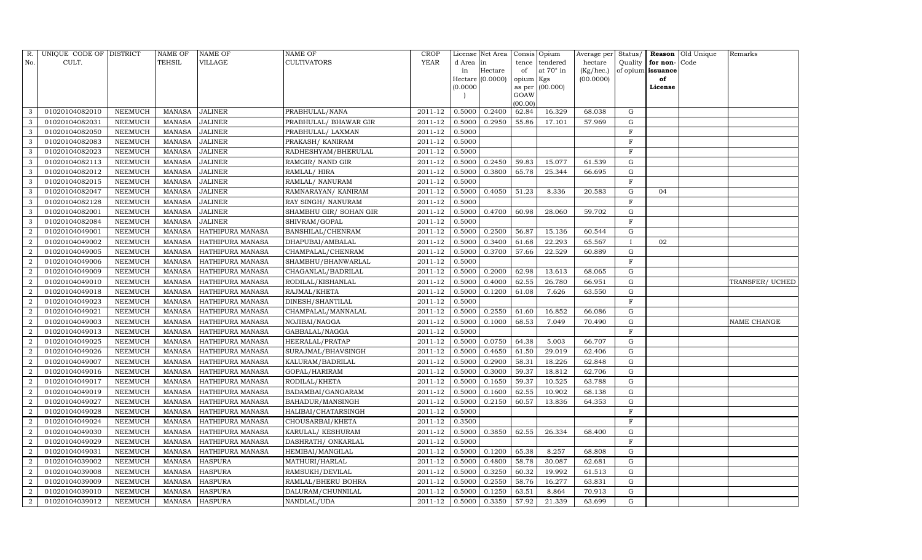| R.             | UNIQUE CODE OF DISTRICT |                 | <b>NAME OF</b> | <b>NAME OF</b>          | <b>NAME OF</b>         | CROP        |           | License Net Area |           | Consis Opium     | Average per | Status/      |                   | <b>Reason</b> Old Unique | Remarks         |
|----------------|-------------------------|-----------------|----------------|-------------------------|------------------------|-------------|-----------|------------------|-----------|------------------|-------------|--------------|-------------------|--------------------------|-----------------|
| No.            | CULT.                   |                 | <b>TEHSIL</b>  | VILLAGE                 | <b>CULTIVATORS</b>     | <b>YEAR</b> | d Area in |                  | tence     | tendered         | hectare     | Quality      | for non-          | Code                     |                 |
|                |                         |                 |                |                         |                        |             | in        | Hectare          | of        | at $70^\circ$ in | (Kg/hec.)   |              | of opium issuance |                          |                 |
|                |                         |                 |                |                         |                        |             |           | Hectare (0.0000) | opium Kgs |                  | (00.0000)   |              | of                |                          |                 |
|                |                         |                 |                |                         |                        |             | (0.0000)  |                  | GOAW      | as per (00.000)  |             |              | License           |                          |                 |
|                |                         |                 |                |                         |                        |             |           |                  | (00.00)   |                  |             |              |                   |                          |                 |
| 3              | 01020104082010          | NEEMUCH         | MANASA         | <b>JALINER</b>          | PRABHULAL/NANA         | 2011-12     | 0.5000    | 0.2400           | 62.84     | 16.329           | 68.038      | G            |                   |                          |                 |
| 3              | 01020104082031          | NEEMUCH         | MANASA         | <b>JALINER</b>          | PRABHULAL/ BHAWAR GIR  | 2011-12     | 0.5000    | 0.2950           | 55.86     | 17.101           | 57.969      | G            |                   |                          |                 |
| 3              | 01020104082050          | NEEMUCH         | MANASA         | <b>JALINER</b>          | PRABHULAL/ LAXMAN      | 2011-12     | 0.5000    |                  |           |                  |             | $\mathbf{F}$ |                   |                          |                 |
| 3              | 01020104082083          | NEEMUCH         | MANASA         | <b>JALINER</b>          | PRAKASH / KANIRAM      | 2011-12     | 0.5000    |                  |           |                  |             | F            |                   |                          |                 |
| 3              | 01020104082023          | NEEMUCH         | MANASA         | <b>JALINER</b>          | RADHESHYAM/BHERULAL    | 2011-12     | 0.5000    |                  |           |                  |             | F            |                   |                          |                 |
| 3              | 01020104082113          | NEEMUCH         | <b>MANASA</b>  | <b>JALINER</b>          | RAMGIR/ NAND GIR       | 2011-12     | 0.5000    | 0.2450           | 59.83     | 15.077           | 61.539      | ${\rm G}$    |                   |                          |                 |
| 3              | 01020104082012          | <b>NEEMUCH</b>  | <b>MANASA</b>  | <b>JALINER</b>          | RAMLAL/HIRA            | 2011-12     | 0.5000    | 0.3800           | 65.78     | 25.344           | 66.695      | G            |                   |                          |                 |
| 3              | 01020104082015          | <b>NEEMUCH</b>  | MANASA         | <b>JALINER</b>          | RAMLAL/ NANURAM        | 2011-12     | 0.5000    |                  |           |                  |             | $\mathbf F$  |                   |                          |                 |
| 3              | 01020104082047          | NEEMUCH         | MANASA         | <b>JALINER</b>          | RAMNARAYAN/KANIRAM     | 2011-12     | 0.5000    | 0.4050           | 51.23     | 8.336            | 20.583      | G            | 04                |                          |                 |
| 3              | 01020104082128          | NEEMUCH         | MANASA         | <b>JALINER</b>          | RAY SINGH/ NANURAM     | 2011-12     | 0.5000    |                  |           |                  |             | $\mathbf F$  |                   |                          |                 |
| 3              | 01020104082001          | <b>NEEMUCH</b>  | <b>MANASA</b>  | <b>JALINER</b>          | SHAMBHU GIR/ SOHAN GIR | 2011-12     | 0.5000    | 0.4700           | 60.98     | 28.060           | 59.702      | G            |                   |                          |                 |
| 3              | 01020104082084          | NEEMUCH         | MANASA         | <b>JALINER</b>          | SHIVRAM/GOPAL          | 2011-12     | 0.5000    |                  |           |                  |             | $\mathbf F$  |                   |                          |                 |
| $\overline{2}$ | 01020104049001          | NEEMUCH         | MANASA         | HATHIPURA MANASA        | BANSHILAL/CHENRAM      | 2011-12     | 0.5000    | 0.2500           | 56.87     | 15.136           | 60.544      | $\mathbf G$  |                   |                          |                 |
| $\overline{2}$ | 01020104049002          | NEEMUCH         | MANASA         | HATHIPURA MANASA        | DHAPUBAI/AMBALAL       | 2011-12     | 0.5000    | 0.3400           | 61.68     | 22.293           | 65.567      | $\bf{I}$     | 02                |                          |                 |
| $\overline{2}$ | 01020104049005          | NEEMUCH         | MANASA         | HATHIPURA MANASA        | CHAMPALAL/CHENRAM      | 2011-12     | 0.5000    | 0.3700           | 57.66     | 22.529           | 60.889      | G            |                   |                          |                 |
| $\overline{2}$ | 01020104049006          | NEEMUCH         | MANASA         | HATHIPURA MANASA        | SHAMBHU/BHANWARLAL     | 2011-12     | 0.5000    |                  |           |                  |             | $\mathbf F$  |                   |                          |                 |
| $\overline{2}$ | 01020104049009          | <b>NEEMUCH</b>  | MANASA         | HATHIPURA MANASA        | CHAGANLAL/BADRILAL     | 2011-12     | 0.5000    | 0.2000           | 62.98     | 13.613           | 68.065      | $\mathbf G$  |                   |                          |                 |
| $\overline{2}$ | 01020104049010          | NEEMUCH         | MANASA         | HATHIPURA MANASA        | RODILAL/KISHANLAL      | 2011-12     | 0.5000    | 0.4000           | 62.55     | 26.780           | 66.951      | ${\rm G}$    |                   |                          | TRANSFER/ UCHED |
| $\overline{a}$ | 01020104049018          | NEEMUCH         | MANASA         | HATHIPURA MANASA        | RAJMAL/KHETA           | 2011-12     | 0.5000    | 0.1200           | 61.08     | 7.626            | 63.550      | G            |                   |                          |                 |
| $\overline{2}$ | 01020104049023          | <b>NEEMUCH</b>  | MANASA         | HATHIPURA MANASA        | DINESH/SHANTILAL       | 2011-12     | 0.5000    |                  |           |                  |             | $\mathbf F$  |                   |                          |                 |
| $\overline{2}$ | 01020104049021          | NEEMUCH         | MANASA         | HATHIPURA MANASA        | CHAMPALAL/MANNALAL     | 2011-12     | 0.5000    | 0.2550           | 61.60     | 16.852           | 66.086      | ${\rm G}$    |                   |                          |                 |
| $\overline{2}$ | 01020104049003          | <b>NEEMUCH</b>  | <b>MANASA</b>  | <b>HATHIPURA MANASA</b> | NOJIBAI/NAGGA          | 2011-12     | 0.5000    | 0.1000           | 68.53     | 7.049            | 70.490      | G            |                   |                          | NAME CHANGE     |
| $\overline{2}$ | 01020104049013          | NEEMUCH         | MANASA         | <b>HATHIPURA MANASA</b> | GABBALAL/NAGGA         | 2011-12     | 0.5000    |                  |           |                  |             | F            |                   |                          |                 |
| $\overline{2}$ | 01020104049025          | <b>NEEMUCH</b>  | MANASA         | HATHIPURA MANASA        | HEERALAL/PRATAP        | 2011-12     | 0.5000    | 0.0750           | 64.38     | 5.003            | 66.707      | G            |                   |                          |                 |
| $\overline{2}$ | 01020104049026          | <b>NEEMUCH</b>  | <b>MANASA</b>  | <b>HATHIPURA MANASA</b> | SURAJMAL/BHAVSINGH     | 2011-12     | 0.5000    | 0.4650           | 61.50     | 29.019           | 62.406      | ${\rm G}$    |                   |                          |                 |
| $\overline{a}$ | 01020104049007          | <b>NEEMUCH</b>  | MANASA         | HATHIPURA MANASA        | KALURAM/BADRILAL       | 2011-12     | 0.5000    | 0.2900           | 58.31     | 18.226           | 62.848      | G            |                   |                          |                 |
| $\overline{2}$ | 01020104049016          | <b>NEEMUCH</b>  | MANASA         | <b>HATHIPURA MANASA</b> | GOPAL/HARIRAM          | 2011-12     | 0.5000    | 0.3000           | 59.37     | 18.812           | 62.706      | ${\rm G}$    |                   |                          |                 |
| $\overline{2}$ | 01020104049017          | ${\tt NEEMUCH}$ | MANASA         | <b>HATHIPURA MANASA</b> | RODILAL/KHETA          | 2011-12     | 0.5000    | 0.1650           | 59.37     | 10.525           | 63.788      | $\mathbf G$  |                   |                          |                 |
| $\overline{2}$ | 01020104049019          | NEEMUCH         | MANASA         | HATHIPURA MANASA        | BADAMBAI/GANGARAM      | 2011-12     | 0.5000    | 0.1600           | 62.55     | 10.902           | 68.138      | G            |                   |                          |                 |
| $\overline{2}$ | 01020104049027          | <b>NEEMUCH</b>  | <b>MANASA</b>  | HATHIPURA MANASA        | BAHADUR/MANSINGH       | 2011-12     | 0.5000    | 0.2150           | 60.57     | 13.836           | 64.353      | ${\rm G}$    |                   |                          |                 |
| $\overline{2}$ | 01020104049028          | NEEMUCH         | MANASA         | HATHIPURA MANASA        | HALIBAI/CHATARSINGH    | 2011-12     | 0.5000    |                  |           |                  |             | F            |                   |                          |                 |
| $\overline{2}$ | 01020104049024          | <b>NEEMUCH</b>  | <b>MANASA</b>  | HATHIPURA MANASA        | CHOUSARBAI/KHETA       | 2011-12     | 0.3500    |                  |           |                  |             | $\mathbf F$  |                   |                          |                 |
| $\overline{2}$ | 01020104049030          | <b>NEEMUCH</b>  | MANASA         | HATHIPURA MANASA        | KARULAL/KESHURAM       | 2011-12     | 0.5000    | 0.3850           | 62.55     | 26.334           | 68.400      | ${\rm G}$    |                   |                          |                 |
| $\overline{2}$ | 01020104049029          | <b>NEEMUCH</b>  | <b>MANASA</b>  | <b>HATHIPURA MANASA</b> | DASHRATH / ONKARLAL    | 2011-12     | 0.5000    |                  |           |                  |             | $\mathbf F$  |                   |                          |                 |
| 2              | 01020104049031          | NEEMUCH         | MANASA         | HATHIPURA MANASA        | HEMIBAI/MANGILAL       | 2011-12     | 0.5000    | 0.1200           | 65.38     | 8.257            | 68.808      | ${\rm G}$    |                   |                          |                 |
| $\overline{2}$ | 01020104039002          | <b>NEEMUCH</b>  | MANASA         | <b>HASPURA</b>          | MATHURI/HARLAL         | 2011-12     | 0.5000    | 0.4800           | 58.78     | 30.087           | 62.681      | G            |                   |                          |                 |
| 2              | 01020104039008          | <b>NEEMUCH</b>  | MANASA         | <b>HASPURA</b>          | RAMSUKH/DEVILAL        | 2011-12     | 0.5000    | 0.3250           | 60.32     | 19.992           | 61.513      | G            |                   |                          |                 |
| $\overline{a}$ | 01020104039009          | NEEMUCH         | MANASA         | <b>HASPURA</b>          | RAMLAL/BHERU BOHRA     | 2011-12     | 0.5000    | 0.2550           | 58.76     | 16.277           | 63.831      | G            |                   |                          |                 |
| $\overline{2}$ | 01020104039010          | <b>NEEMUCH</b>  | MANASA         | <b>HASPURA</b>          | DALURAM/CHUNNILAL      | 2011-12     | 0.5000    | 0.1250           | 63.51     | 8.864            | 70.913      | G            |                   |                          |                 |
| $\overline{2}$ | 01020104039012          | <b>NEEMUCH</b>  |                | MANASA HASPURA          | NANDLAL/UDA            | 2011-12     | 0.5000    | 0.3350           | 57.92     | 21.339           | 63.699      | G            |                   |                          |                 |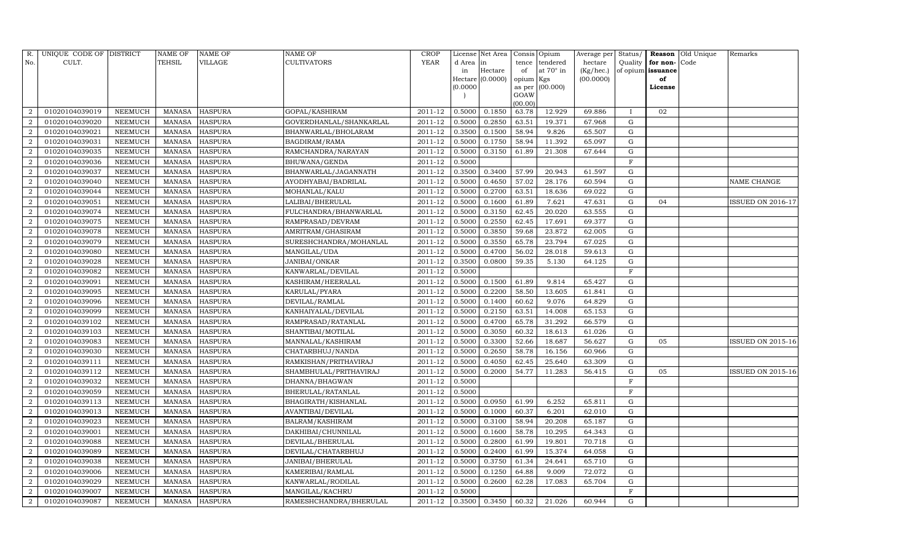| R.                          | UNIQUE CODE OF DISTRICT |                | <b>NAME OF</b> | NAME OF        | <b>NAME OF</b>          | <b>CROP</b> |           | License Net Area |                 | Consis Opium | Average per        | Status/      | Reason                   | Old Unique | Remarks           |
|-----------------------------|-------------------------|----------------|----------------|----------------|-------------------------|-------------|-----------|------------------|-----------------|--------------|--------------------|--------------|--------------------------|------------|-------------------|
| No.                         | CULT.                   |                | TEHSIL         | VILLAGE        | <b>CULTIVATORS</b>      | <b>YEAR</b> | d Area in |                  | tence           | tendered     | hectare            | Quality      | for non-                 | Code       |                   |
|                             |                         |                |                |                |                         |             | in        | Hectare          | of              | at 70° in    | $(Kg/ {\rm hec.})$ |              | of opium <b>issuance</b> |            |                   |
|                             |                         |                |                |                |                         |             |           | Hectare (0.0000) | opium Kgs       |              | (00.0000)          |              | of                       |            |                   |
|                             |                         |                |                |                |                         |             | (0.0000)  |                  | as per          | (00.000)     |                    |              | License                  |            |                   |
|                             |                         |                |                |                |                         |             |           |                  | GOAW<br>(00.00) |              |                    |              |                          |            |                   |
|                             | 01020104039019          | NEEMUCH        | MANASA         | <b>HASPURA</b> | GOPAL/KASHIRAM          | 2011-12     | 0.5000    | 0.1850           | 63.78           | 12.929       | 69.886             | $\mathbf{I}$ | 02                       |            |                   |
|                             | 01020104039020          | NEEMUCH        | <b>MANASA</b>  | <b>HASPURA</b> | GOVERDHANLAL/SHANKARLAL | 2011-12     | 0.5000    | 0.2850           | 63.51           | 19.371       | 67.968             | G            |                          |            |                   |
| $\overline{2}$              | 01020104039021          | NEEMUCH        | <b>MANASA</b>  | <b>HASPURA</b> | BHANWARLAL/BHOLARAM     | 2011-12     | 0.3500    | 0.1500           | 58.94           | 9.826        | 65.507             | G            |                          |            |                   |
| $\overline{2}$              | 01020104039031          | NEEMUCH        | MANASA         | <b>HASPURA</b> | BAGDIRAM/RAMA           | 2011-12     | 0.5000    | 0.1750           | 58.94           | 11.392       | 65.097             | G            |                          |            |                   |
| $\overline{2}$              | 01020104039035          | NEEMUCH        | <b>MANASA</b>  | <b>HASPURA</b> | RAMCHANDRA/NARAYAN      | 2011-12     | 0.5000    | 0.3150           | 61.89           | 21.308       | 67.644             | G            |                          |            |                   |
| $\overline{2}$              | 01020104039036          | NEEMUCH        | <b>MANASA</b>  | <b>HASPURA</b> | BHUWANA/GENDA           | 2011-12     | 0.5000    |                  |                 |              |                    | $\rm F$      |                          |            |                   |
| $\mathcal{D}$               | 01020104039037          | NEEMUCH        | <b>MANASA</b>  | <b>HASPURA</b> | BHANWARLAL/JAGANNATH    | 2011-12     | 0.3500    | 0.3400           | 57.99           | 20.943       | 61.597             | G            |                          |            |                   |
| 2                           | 01020104039040          | NEEMUCH        | <b>MANASA</b>  | <b>HASPURA</b> | AYODHYABAI/BADRILAL     | 2011-12     | 0.5000    | 0.4650           | 57.02           | 28.176       | 60.594             | G            |                          |            | NAME CHANGE       |
| $\mathcal{D}$               | 01020104039044          | NEEMUCH        | <b>MANASA</b>  | <b>HASPURA</b> | MOHANLAL/KALU           | 2011-12     | 0.5000    | 0.2700           | 63.51           | 18.636       | 69.022             | G            |                          |            |                   |
|                             | 01020104039051          | NEEMUCH        | MANASA         | <b>HASPURA</b> | LALIBAI/BHERULAL        | 2011-12     | 0.5000    | 0.1600           | 61.89           | 7.621        | 47.631             | G            | 04                       |            | ISSUED ON 2016-17 |
| $\overline{2}$              | 01020104039074          | NEEMUCH        | <b>MANASA</b>  | <b>HASPURA</b> | FULCHANDRA/BHANWARLAL   | 2011-12     | 0.5000    | 0.3150           | 62.45           | 20.020       | 63.555             | G            |                          |            |                   |
| $\mathcal{D}$               | 01020104039075          | NEEMUCH        | <b>MANASA</b>  | <b>HASPURA</b> | RAMPRASAD/DEVRAM        | 2011-12     | 0.5000    | 0.2550           | 62.45           | 17.691       | 69.377             | G            |                          |            |                   |
|                             | 01020104039078          | NEEMUCH        | <b>MANASA</b>  | <b>HASPURA</b> | AMRITRAM/GHASIRAM       | 2011-12     | 0.5000    | 0.3850           | 59.68           | 23.872       | 62.005             | G            |                          |            |                   |
| $\overline{2}$              | 01020104039079          | NEEMUCH        | <b>MANASA</b>  | <b>HASPURA</b> | SURESHCHANDRA/MOHANLAL  | 2011-12     | 0.5000    | 0.3550           | 65.78           | 23.794       | 67.025             | G            |                          |            |                   |
| $\overline{2}$              | 01020104039080          | NEEMUCH        | <b>MANASA</b>  | <b>HASPURA</b> | MANGILAL/UDA            | 2011-12     | 0.5000    | 0.4700           | 56.02           | 28.018       | 59.613             | G            |                          |            |                   |
| $\mathcal{D}_{\alpha}$      | 01020104039028          | NEEMUCH        | <b>MANASA</b>  | <b>HASPURA</b> | JANIBAI/ONKAR           | 2011-12     | 0.3500    | 0.0800           | 59.35           | 5.130        | 64.125             | G            |                          |            |                   |
|                             | 01020104039082          | NEEMUCH        | <b>MANASA</b>  | <b>HASPURA</b> | KANWARLAL/DEVILAL       | 2011-12     | 0.5000    |                  |                 |              |                    | $\mathbf{F}$ |                          |            |                   |
| $\overline{2}$              | 01020104039091          | NEEMUCH        | <b>MANASA</b>  | <b>HASPURA</b> | KASHIRAM/HEERALAL       | 2011-12     | 0.5000    | 0.1500           | 61.89           | 9.814        | 65.427             | G            |                          |            |                   |
| 2                           | 01020104039095          | NEEMUCH        | <b>MANASA</b>  | <b>HASPURA</b> | KARULAL/PYARA           | 2011-12     | 0.5000    | 0.2200           | 58.50           | 13.605       | 61.841             | ${\rm G}$    |                          |            |                   |
| $\mathcal{D}$               | 01020104039096          | NEEMUCH        | <b>MANASA</b>  | <b>HASPURA</b> | DEVILAL/RAMLAL          | 2011-12     | 0.5000    | 0.1400           | 60.62           | 9.076        | 64.829             | $\mathbf G$  |                          |            |                   |
|                             | 01020104039099          | NEEMUCH        | <b>MANASA</b>  | <b>HASPURA</b> | KANHAIYALAL/DEVILAL     | 2011-12     | 0.5000    | 0.2150           | 63.51           | 14.008       | 65.153             | G            |                          |            |                   |
| $\overline{2}$              | 01020104039102          | NEEMUCH        | <b>MANASA</b>  | <b>HASPURA</b> | RAMPRASAD/RATANLAL      | 2011-12     | 0.5000    | 0.4700           | 65.78           | 31.292       | 66.579             | G            |                          |            |                   |
| 2                           | 01020104039103          | NEEMUCH        | MANASA         | <b>HASPURA</b> | SHANTIBAI/MOTILAL       | 2011-12     | 0.5000    | 0.3050           | 60.32           | 18.613       | 61.026             | G            |                          |            |                   |
| $\overline{2}$              | 01020104039083          | NEEMUCH        | <b>MANASA</b>  | <b>HASPURA</b> | MANNALAL/KASHIRAM       | 2011-12     | 0.5000    | 0.3300           | 52.66           | 18.687       | 56.627             | ${\rm G}$    | 05                       |            | ISSUED ON 2015-16 |
| $\overline{2}$              | 01020104039030          | NEEMUCH        | <b>MANASA</b>  | <b>HASPURA</b> | CHATARBHUJ/NANDA        | 2011-12     | 0.5000    | 0.2650           | 58.78           | 16.156       | 60.966             | G            |                          |            |                   |
| $\mathcal{D}$               | 01020104039111          | NEEMUCH        | <b>MANASA</b>  | <b>HASPURA</b> | RAMKISHAN/PRITHAVIRAJ   | 2011-12     | 0.5000    | 0.4050           | 62.45           | 25.640       | 63.309             | G            |                          |            |                   |
| 2                           | 01020104039112          | NEEMUCH        | MANASA         | <b>HASPURA</b> | SHAMBHULAL/PRITHAVIRAJ  | 2011-12     | 0.5000    | 0.2000           | 54.77           | 11.283       | 56.415             | G            | 05                       |            | ISSUED ON 2015-16 |
|                             | 01020104039032          | NEEMUCH        | <b>MANASA</b>  | <b>HASPURA</b> | DHANNA/BHAGWAN          | 2011-12     | 0.5000    |                  |                 |              |                    | F            |                          |            |                   |
| $\mathcal{D}_{\mathcal{L}}$ | 01020104039059          | NEEMUCH        | <b>MANASA</b>  | <b>HASPURA</b> | BHERULAL/RATANLAL       | 2011-12     | 0.5000    |                  |                 |              |                    | $\mathbf F$  |                          |            |                   |
| $\overline{2}$              | 01020104039113          | NEEMUCH        | <b>MANASA</b>  | <b>HASPURA</b> | BHAGIRATH/KISHANLAL     | 2011-12     | 0.5000    | 0.0950           | 61.99           | 6.252        | 65.811             | ${\rm G}$    |                          |            |                   |
| $\mathcal{D}$               | 01020104039013          | NEEMUCH        | <b>MANASA</b>  | <b>HASPURA</b> | AVANTIBAI/DEVILAL       | 2011-12     | 0.5000    | 0.1000           | 60.37           | 6.201        | 62.010             | ${\rm G}$    |                          |            |                   |
|                             | 01020104039023          | NEEMUCH        | <b>MANASA</b>  | <b>HASPURA</b> | <b>BALRAM/KASHIRAM</b>  | 2011-12     | 0.5000    | 0.3100           | 58.94           | 20.208       | 65.187             | G            |                          |            |                   |
| $\mathcal{D}_{\mathcal{L}}$ | 01020104039001          | NEEMUCH        | <b>MANASA</b>  | <b>HASPURA</b> | DAKHIBAI/CHUNNILAL      | 2011-12     | 0.5000    | 0.1600           | 58.78           | 10.295       | 64.343             | G            |                          |            |                   |
| $\overline{2}$              | 01020104039088          | NEEMUCH        | <b>MANASA</b>  | <b>HASPURA</b> | DEVILAL/BHERULAL        | 2011-12     | 0.5000    | 0.2800           | 61.99           | 19.801       | 70.718             | G            |                          |            |                   |
| 2                           | 01020104039089          | NEEMUCH        | <b>MANASA</b>  | <b>HASPURA</b> | DEVILAL/CHATARBHUJ      | 2011-12     | 0.5000    | 0.2400           | 61.99           | 15.374       | 64.058             | G            |                          |            |                   |
| $\overline{2}$              | 01020104039038          | <b>NEEMUCH</b> | <b>MANASA</b>  | <b>HASPURA</b> | JANIBAI/BHERULAL        | 2011-12     | 0.5000    | 0.3750           | 61.34           | 24.641       | 65.710             | G            |                          |            |                   |
| $\mathcal{D}$               | 01020104039006          | NEEMUCH        | <b>MANASA</b>  | <b>HASPURA</b> | KAMERIBAI/RAMLAL        | 2011-12     | 0.5000    | 0.1250           | 64.88           | 9.009        | 72.072             | G            |                          |            |                   |
| 2                           | 01020104039029          | <b>NEEMUCH</b> | <b>MANASA</b>  | <b>HASPURA</b> | KANWARLAL/RODILAL       | 2011-12     | 0.5000    | 0.2600           | 62.28           | 17.083       | 65.704             | ${\rm G}$    |                          |            |                   |
| $\mathcal{D}$               | 01020104039007          | NEEMUCH        | <b>MANASA</b>  | <b>HASPURA</b> | MANGILAL/KACHRU         | 2011-12     | 0.5000    |                  |                 |              |                    | F            |                          |            |                   |
| $\overline{2}$              | 01020104039087          | NEEMUCH        |                | MANASA HASPURA | RAMESHCHANDRA/BHERULAL  | 2011-12     | 0.3500    | 0.3450           | 60.32           | 21.026       | 60.944             | G            |                          |            |                   |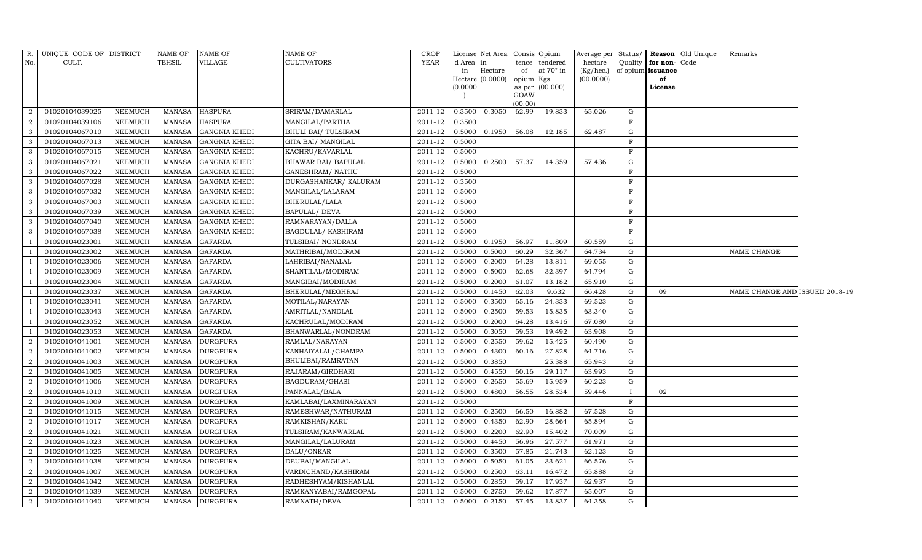|                | R. UNIQUE CODE OF DISTRICT |                | <b>NAME OF</b> | <b>NAME OF</b>       | <b>NAME OF</b>             | <b>CROP</b> |          | License Net Area Consis Opium |                     |                  | Average per | Status/      |               | Reason Old Unique | Remarks                        |  |
|----------------|----------------------------|----------------|----------------|----------------------|----------------------------|-------------|----------|-------------------------------|---------------------|------------------|-------------|--------------|---------------|-------------------|--------------------------------|--|
| No.            | CULT.                      |                | TEHSIL         | VILLAGE              | <b>CULTIVATORS</b>         | YEAR        | d Area   | in                            | tence               | tendered         | hectare     | Quality      | for non-Code  |                   |                                |  |
|                |                            |                |                |                      |                            |             | in       | Hectare                       | of                  | at $70^\circ$ in | (Kg/hec.)   | of opium     | issuance      |                   |                                |  |
|                |                            |                |                |                      |                            |             | (0.0000) | Hectare $(0.0000)$            | opium Kgs<br>as per | (00.000)         | (00.0000)   |              | of<br>License |                   |                                |  |
|                |                            |                |                |                      |                            |             |          |                               | GOAW                |                  |             |              |               |                   |                                |  |
|                |                            |                |                |                      |                            |             |          |                               | (00.00)             |                  |             |              |               |                   |                                |  |
| 2              | 01020104039025             | NEEMUCH        | MANASA         | <b>HASPURA</b>       | SRIRAM/DAMARLAL            | 2011-12     | 0.3500   | 0.3050                        | 62.99               | 19.833           | 65.026      | G            |               |                   |                                |  |
| $\overline{2}$ | 01020104039106             | <b>NEEMUCH</b> | MANASA         | <b>HASPURA</b>       | MANGILAL/PARTHA            | 2011-12     | 0.3500   |                               |                     |                  |             | F            |               |                   |                                |  |
| 3              | 01020104067010             | NEEMUCH        | MANASA         | <b>GANGNIA KHEDI</b> | <b>BHULI BAI/ TULSIRAM</b> | 2011-12     | 0.5000   | 0.1950                        | 56.08               | 12.185           | 62.487      | G            |               |                   |                                |  |
| 3              | 01020104067013             | NEEMUCH        | MANASA         | <b>GANGNIA KHEDI</b> | GITA BAI/ MANGILAL         | 2011-12     | 0.5000   |                               |                     |                  |             | F            |               |                   |                                |  |
| 3              | 01020104067015             | NEEMUCH        | <b>MANASA</b>  | <b>GANGNIA KHEDI</b> | KACHRU/KAVARLAL            | 2011-12     | 0.5000   |                               |                     |                  |             | F            |               |                   |                                |  |
| 3              | 01020104067021             | <b>NEEMUCH</b> | MANASA         | <b>GANGNIA KHEDI</b> | BHAWAR BAI/ BAPULAL        | 2011-12     | 0.5000   | 0.2500                        | 57.37               | 14.359           | 57.436      | G            |               |                   |                                |  |
| 3              | 01020104067022             | <b>NEEMUCH</b> | <b>MANASA</b>  | <b>GANGNIA KHEDI</b> | GANESHRAM/ NATHU           | 2011-12     | 0.5000   |                               |                     |                  |             | $\mathbf F$  |               |                   |                                |  |
| 3              | 01020104067028             | <b>NEEMUCH</b> | <b>MANASA</b>  | <b>GANGNIA KHEDI</b> | DURGASHANKAR/ KALURAM      | 2011-12     | 0.3500   |                               |                     |                  |             | $\mathbf F$  |               |                   |                                |  |
| 3              | 01020104067032             | <b>NEEMUCH</b> | <b>MANASA</b>  | <b>GANGNIA KHEDI</b> | MANGILAL/LALARAM           | 2011-12     | 0.5000   |                               |                     |                  |             | $\mathbf F$  |               |                   |                                |  |
| 3              | 01020104067003             | <b>NEEMUCH</b> | <b>MANASA</b>  | <b>GANGNIA KHEDI</b> | BHERULAL/LALA              | 2011-12     | 0.5000   |                               |                     |                  |             | F            |               |                   |                                |  |
| 3              | 01020104067039             | <b>NEEMUCH</b> | MANASA         | <b>GANGNIA KHEDI</b> | BAPULAL/ DEVA              | 2011-12     | 0.5000   |                               |                     |                  |             | F            |               |                   |                                |  |
| 3              | 01020104067040             | <b>NEEMUCH</b> | MANASA         | <b>GANGNIA KHEDI</b> | RAMNARAYAN/DALLA           | 2011-12     | 0.5000   |                               |                     |                  |             | F            |               |                   |                                |  |
| 3              | 01020104067038             | NEEMUCH        | <b>MANASA</b>  | <b>GANGNIA KHEDI</b> | BAGDULAL/KASHIRAM          | 2011-12     | 0.5000   |                               |                     |                  |             | F            |               |                   |                                |  |
|                | 01020104023001             | <b>NEEMUCH</b> | <b>MANASA</b>  | <b>GAFARDA</b>       | TULSIBAI/NONDRAM           | 2011-12     | 0.5000   | 0.1950                        | 56.97               | 11.809           | 60.559      | G            |               |                   |                                |  |
|                | 01020104023002             | <b>NEEMUCH</b> | <b>MANASA</b>  | <b>GAFARDA</b>       | MATHRIBAI/MODIRAM          | 2011-12     | 0.5000   | 0.5000                        | 60.29               | 32.367           | 64.734      | G            |               |                   | NAME CHANGE                    |  |
|                | 01020104023006             | <b>NEEMUCH</b> | <b>MANASA</b>  | <b>GAFARDA</b>       | LAHRIBAI/NANALAL           | 2011-12     | 0.5000   | 0.2000                        | 64.28               | 13.811           | 69.055      | G            |               |                   |                                |  |
|                | 01020104023009             | <b>NEEMUCH</b> | <b>MANASA</b>  | <b>GAFARDA</b>       | SHANTILAL/MODIRAM          | 2011-12     | 0.5000   | 0.5000                        | 62.68               | 32.397           | 64.794      | G            |               |                   |                                |  |
|                | 01020104023004             | <b>NEEMUCH</b> | <b>MANASA</b>  | <b>GAFARDA</b>       | MANGIBAI/MODIRAM           | 2011-12     | 0.5000   | 0.2000                        | 61.07               | 13.182           | 65.910      | G            |               |                   |                                |  |
|                | 01020104023037             | <b>NEEMUCH</b> | <b>MANASA</b>  | <b>GAFARDA</b>       | BHERULAL/MEGHRAJ           | 2011-12     | 0.5000   | 0.1450                        | 62.03               | 9.632            | 66.428      | G            | 09            |                   | NAME CHANGE AND ISSUED 2018-19 |  |
|                | 01020104023041             | NEEMUCH        | <b>MANASA</b>  | <b>GAFARDA</b>       | MOTILAL/NARAYAN            | 2011-12     | 0.5000   | 0.3500                        | 65.16               | 24.333           | 69.523      | G            |               |                   |                                |  |
|                | 01020104023043             | <b>NEEMUCH</b> | <b>MANASA</b>  | <b>GAFARDA</b>       | AMRITLAL/NANDLAL           | 2011-12     | 0.5000   | 0.2500                        | 59.53               | 15.835           | 63.340      | $\mathbf G$  |               |                   |                                |  |
|                | 01020104023052             | <b>NEEMUCH</b> | MANASA         | <b>GAFARDA</b>       | KACHRULAL/MODIRAM          | 2011-12     | 0.5000   | 0.2000                        | 64.28               | 13.416           | 67.080      | G            |               |                   |                                |  |
|                | 01020104023053             | NEEMUCH        | MANASA         | <b>GAFARDA</b>       | BHANWARLAL/NONDRAM         | 2011-12     | 0.5000   | 0.3050                        | 59.53               | 19.492           | 63.908      | G            |               |                   |                                |  |
| 2              | 01020104041001             | <b>NEEMUCH</b> | MANASA         | <b>DURGPURA</b>      | RAMLAL/NARAYAN             | 2011-12     | 0.5000   | 0.2550                        | 59.62               | 15.425           | 60.490      | G            |               |                   |                                |  |
| $\mathcal{D}$  | 01020104041002             | <b>NEEMUCH</b> | <b>MANASA</b>  | <b>DURGPURA</b>      | KANHAIYALAL/CHAMPA         | 2011-12     | 0.5000   | 0.4300                        | 60.16               | 27.828           | 64.716      | ${\rm G}$    |               |                   |                                |  |
| $\overline{2}$ | 01020104041003             | <b>NEEMUCH</b> | <b>MANASA</b>  | <b>DURGPURA</b>      | BHULIBAI/RAMRATAN          | 2011-12     | 0.5000   | 0.3850                        |                     | 25.388           | 65.943      | ${\rm G}$    |               |                   |                                |  |
| $\mathcal{D}$  | 01020104041005             | <b>NEEMUCH</b> | <b>MANASA</b>  | <b>DURGPURA</b>      | RAJARAM/GIRDHARI           | 2011-12     | 0.5000   | 0.4550                        | 60.16               | 29.117           | 63.993      | G            |               |                   |                                |  |
| 2              | 01020104041006             | <b>NEEMUCH</b> | MANASA         | <b>DURGPURA</b>      | BAGDURAM/GHASI             | 2011-12     | 0.5000   | 0.2650                        | 55.69               | 15.959           | 60.223      | G            |               |                   |                                |  |
| 2              | 01020104041010             | NEEMUCH        | <b>MANASA</b>  | <b>DURGPURA</b>      | PANNALAL/BALA              | 2011-12     | 0.5000   | 0.4800                        | 56.55               | 28.534           | 59.446      | $\mathbf{I}$ | 02            |                   |                                |  |
| $\overline{2}$ | 01020104041009             | <b>NEEMUCH</b> | <b>MANASA</b>  | <b>DURGPURA</b>      | KAMLABAI/LAXMINARAYAN      | 2011-12     | 0.5000   |                               |                     |                  |             | F            |               |                   |                                |  |
| 2              | 01020104041015             | NEEMUCH        | MANASA         | <b>DURGPURA</b>      | RAMESHWAR/NATHURAM         | $2011 - 12$ | 0.5000   | 0.2500                        | 66.50               | 16.882           | 67.528      | G            |               |                   |                                |  |
| $\overline{2}$ | 01020104041017             | <b>NEEMUCH</b> | <b>MANASA</b>  | <b>DURGPURA</b>      | RAMKISHAN/KARU             | 2011-12     | 0.5000   | 0.4350                        | 62.90               | 28.664           | 65.894      | G            |               |                   |                                |  |
| $\overline{2}$ | 01020104041021             | <b>NEEMUCH</b> | <b>MANASA</b>  | <b>DURGPURA</b>      | TULSIRAM/KANWARLAL         | 2011-12     | 0.5000   | 0.2200                        | 62.90               | 15.402           | 70.009      | $\mathbf G$  |               |                   |                                |  |
| $\overline{2}$ | 01020104041023             | <b>NEEMUCH</b> | MANASA         | <b>DURGPURA</b>      | MANGILAL/LALURAM           | 2011-12     | 0.5000   | 0.4450                        | 56.96               | 27.577           | 61.971      | G            |               |                   |                                |  |
| 2              | 01020104041025             | <b>NEEMUCH</b> | <b>MANASA</b>  | <b>DURGPURA</b>      | DALU/ONKAR                 | 2011-12     | 0.5000   | 0.3500                        | 57.85               | 21.743           | 62.123      | G            |               |                   |                                |  |
| 2              | 01020104041038             | <b>NEEMUCH</b> | MANASA         | <b>DURGPURA</b>      | DEUBAI/MANGILAL            | 2011-12     | 0.5000   | 0.5050                        | 61.05               | 33.621           | 66.576      | G            |               |                   |                                |  |
| $\overline{2}$ | 01020104041007             | <b>NEEMUCH</b> | MANASA         | <b>DURGPURA</b>      | VARDICHAND/KASHIRAM        | 2011-12     | 0.5000   | 0.2500                        | 63.11               | 16.472           | 65.888      | G            |               |                   |                                |  |
| $\overline{2}$ | 01020104041042             | <b>NEEMUCH</b> | <b>MANASA</b>  | <b>DURGPURA</b>      | RADHESHYAM/KISHANLAL       | 2011-12     | 0.5000   | 0.2850                        | 59.17               | 17.937           | 62.937      | G            |               |                   |                                |  |
| $\overline{2}$ | 01020104041039             | <b>NEEMUCH</b> | <b>MANASA</b>  | <b>DURGPURA</b>      | RAMKANYABAI/RAMGOPAL       | 2011-12     | 0.5000   | 0.2750                        | 59.62               | 17.877           | 65.007      | G            |               |                   |                                |  |
| $\overline{2}$ | 01020104041040             | <b>NEEMUCH</b> |                | MANASA DURGPURA      | RAMNATH/DEVA               | 2011-12     | 0.5000   | 0.2150                        | 57.45               | 13.837           | 64.358      | G            |               |                   |                                |  |
|                |                            |                |                |                      |                            |             |          |                               |                     |                  |             |              |               |                   |                                |  |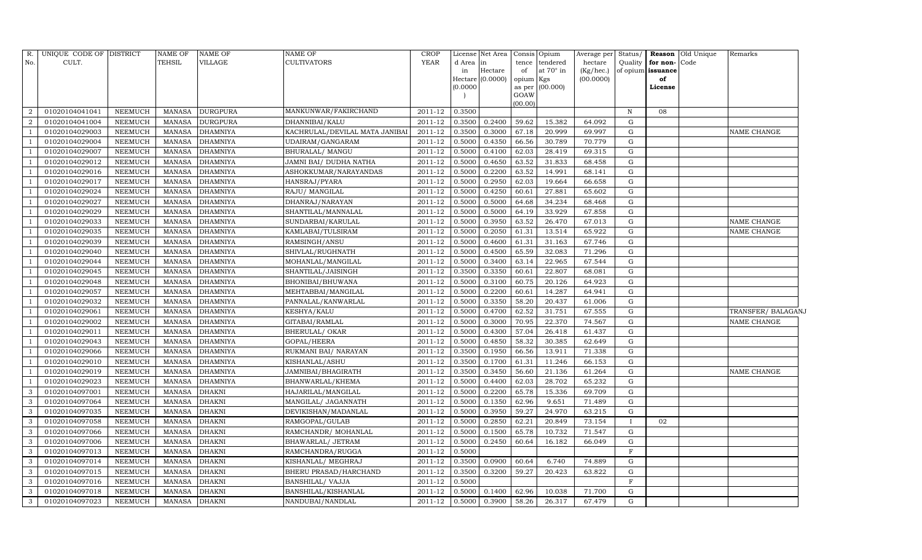| R.             | UNIQUE CODE OF DISTRICT |                | <b>NAME OF</b> | <b>NAME OF</b>  | <b>NAME OF</b>                 | <b>CROP</b> |          | License Net Area   Consis   Opium |           |                  | Average per | Status/      |                   | Reason Old Unique | Remarks            |
|----------------|-------------------------|----------------|----------------|-----------------|--------------------------------|-------------|----------|-----------------------------------|-----------|------------------|-------------|--------------|-------------------|-------------------|--------------------|
| No.            | CULT.                   |                | TEHSIL         | <b>VILLAGE</b>  | <b>CULTIVATORS</b>             | <b>YEAR</b> | d Area   | in                                | tence     | tendered         | hectare     | Quality      | for non-Code      |                   |                    |
|                |                         |                |                |                 |                                |             | in       | Hectare                           | of        | at $70^\circ$ in | (Kg/hec.)   |              | of opium issuance |                   |                    |
|                |                         |                |                |                 |                                |             | (0.0000) | Hectare (0.0000)                  | opium Kgs | as per (00.000)  | (00.0000)   |              | of                |                   |                    |
|                |                         |                |                |                 |                                |             |          |                                   | GOAW      |                  |             |              | License           |                   |                    |
|                |                         |                |                |                 |                                |             |          |                                   | (00.00)   |                  |             |              |                   |                   |                    |
| $\overline{2}$ | 01020104041041          | <b>NEEMUCH</b> | <b>MANASA</b>  | <b>DURGPURA</b> | MANKUNWAR/FAKIRCHAND           | 2011-12     | 0.3500   |                                   |           |                  |             | $\mathbf N$  | 08                |                   |                    |
| $\overline{2}$ | 01020104041004          | <b>NEEMUCH</b> | <b>MANASA</b>  | <b>DURGPURA</b> | DHANNIBAI/KALU                 | 2011-12     | 0.3500   | 0.2400                            | 59.62     | 15.382           | 64.092      | G            |                   |                   |                    |
|                | 01020104029003          | <b>NEEMUCH</b> | <b>MANASA</b>  | <b>DHAMNIYA</b> | KACHRULAL/DEVILAL MATA JANIBAI | 2011-12     | 0.3500   | 0.3000                            | 67.18     | 20.999           | 69.997      | ${\rm G}$    |                   |                   | NAME CHANGE        |
|                | 01020104029004          | <b>NEEMUCH</b> | <b>MANASA</b>  | <b>DHAMNIYA</b> | UDAIRAM/GANGARAM               | 2011-12     | 0.5000   | 0.4350                            | 66.56     | 30.789           | 70.779      | ${\rm G}$    |                   |                   |                    |
|                | 01020104029007          | <b>NEEMUCH</b> | <b>MANASA</b>  | <b>DHAMNIYA</b> | <b>BHURALAL/ MANGU</b>         | 2011-12     | 0.5000   | 0.4100                            | 62.03     | 28.419           | 69.315      | ${\rm G}$    |                   |                   |                    |
|                | 01020104029012          | <b>NEEMUCH</b> | <b>MANASA</b>  | <b>DHAMNIYA</b> | JAMNI BAI/ DUDHA NATHA         | 2011-12     | 0.5000   | 0.4650                            | 63.52     | 31.833           | 68.458      | ${\rm G}$    |                   |                   |                    |
|                | 01020104029016          | <b>NEEMUCH</b> | <b>MANASA</b>  | <b>DHAMNIYA</b> | ASHOKKUMAR/NARAYANDAS          | 2011-12     | 0.5000   | 0.2200                            | 63.52     | 14.991           | 68.141      | ${\rm G}$    |                   |                   |                    |
|                | 01020104029017          | <b>NEEMUCH</b> | <b>MANASA</b>  | <b>DHAMNIYA</b> | HANSRAJ/PYARA                  | 2011-12     | 0.5000   | 0.2950                            | 62.03     | 19.664           | 66.658      | ${\rm G}$    |                   |                   |                    |
|                | 01020104029024          | <b>NEEMUCH</b> | <b>MANASA</b>  | <b>DHAMNIYA</b> | RAJU/ MANGILAL                 | 2011-12     | 0.5000   | 0.4250                            | 60.61     | 27.881           | 65.602      | G            |                   |                   |                    |
|                | 01020104029027          | <b>NEEMUCH</b> | <b>MANASA</b>  | <b>DHAMNIYA</b> | DHANRAJ/NARAYAN                | 2011-12     | 0.5000   | 0.5000                            | 64.68     | 34.234           | 68.468      | ${\rm G}$    |                   |                   |                    |
|                | 01020104029029          | <b>NEEMUCH</b> | <b>MANASA</b>  | <b>DHAMNIYA</b> | SHANTILAL/MANNALAL             | 2011-12     | 0.5000   | 0.5000                            | 64.19     | 33.929           | 67.858      | G            |                   |                   |                    |
|                | 01020104029033          | <b>NEEMUCH</b> | <b>MANASA</b>  | <b>DHAMNIYA</b> | SUNDARBAI/KARULAL              | 2011-12     | 0.5000   | 0.3950                            | 63.52     | 26.470           | 67.013      | ${\rm G}$    |                   |                   | NAME CHANGE        |
|                | 01020104029035          | <b>NEEMUCH</b> | <b>MANASA</b>  | <b>DHAMNIYA</b> | KAMLABAI/TULSIRAM              | 2011-12     | 0.5000   | 0.2050                            | 61.31     | 13.514           | 65.922      | $\mathbf G$  |                   |                   | NAME CHANGE        |
|                | 01020104029039          | <b>NEEMUCH</b> | <b>MANASA</b>  | <b>DHAMNIYA</b> | RAMSINGH/ANSU                  | 2011-12     | 0.5000   | 0.4600                            | 61.31     | 31.163           | 67.746      | G            |                   |                   |                    |
|                | 01020104029040          | <b>NEEMUCH</b> | <b>MANASA</b>  | <b>DHAMNIYA</b> | SHIVLAL/RUGHNATH               | 2011-12     | 0.5000   | 0.4500                            | 65.59     | 32.083           | 71.296      | G            |                   |                   |                    |
|                | 01020104029044          | NEEMUCH        | <b>MANASA</b>  | <b>DHAMNIYA</b> | MOHANLAL/MANGILAL              | 2011-12     | 0.5000   | 0.3400                            | 63.14     | 22.965           | 67.544      | G            |                   |                   |                    |
|                | 01020104029045          | NEEMUCH        | <b>MANASA</b>  | DHAMNIYA        | SHANTILAL/JAISINGH             | 2011-12     | 0.3500   | 0.3350                            | 60.61     | 22.807           | 68.081      | G            |                   |                   |                    |
|                | 01020104029048          | NEEMUCH        | <b>MANASA</b>  | DHAMNIYA        | BHONIBAI/BHUWANA               | 2011-12     | 0.5000   | 0.3100                            | 60.75     | 20.126           | 64.923      | ${\rm G}$    |                   |                   |                    |
|                | 01020104029057          | NEEMUCH        | <b>MANASA</b>  | <b>DHAMNIYA</b> | MEHTABBAI/MANGILAL             | 2011-12     | 0.5000   | 0.2200                            | 60.61     | 14.287           | 64.941      | ${\rm G}$    |                   |                   |                    |
|                | 01020104029032          | NEEMUCH        | <b>MANASA</b>  | <b>DHAMNIYA</b> | PANNALAL/KANWARLAL             | 2011-12     | 0.5000   | 0.3350                            | 58.20     | 20.437           | 61.006      | G            |                   |                   |                    |
|                | 01020104029061          | NEEMUCH        | <b>MANASA</b>  | <b>DHAMNIYA</b> | KESHYA/KALU                    | 2011-12     | 0.5000   | 0.4700                            | 62.52     | 31.751           | 67.555      | ${\rm G}$    |                   |                   | TRANSFER/ BALAGANJ |
|                | 01020104029002          | <b>NEEMUCH</b> | <b>MANASA</b>  | <b>DHAMNIYA</b> | GITABAI/RAMLAL                 | 2011-12     | 0.5000   | 0.3000                            | 70.95     | 22.370           | 74.567      | ${\rm G}$    |                   |                   | NAME CHANGE        |
|                | 01020104029011          | NEEMUCH        | <b>MANASA</b>  | <b>DHAMNIYA</b> | <b>BHERULAL/ OKAR</b>          | 2011-12     | 0.5000   | 0.4300                            | 57.04     | 26.418           | 61.437      | ${\rm G}$    |                   |                   |                    |
|                | 01020104029043          | <b>NEEMUCH</b> | <b>MANASA</b>  | <b>DHAMNIYA</b> | GOPAL/HEERA                    | 2011-12     | 0.5000   | 0.4850                            | 58.32     | 30.385           | 62.649      | ${\rm G}$    |                   |                   |                    |
|                | 01020104029066          | <b>NEEMUCH</b> | <b>MANASA</b>  | <b>DHAMNIYA</b> | RUKMANI BAI/ NARAYAN           | 2011-12     | 0.3500   | 0.1950                            | 66.56     | 13.911           | 71.338      | ${\rm G}$    |                   |                   |                    |
|                | 01020104029010          | <b>NEEMUCH</b> | <b>MANASA</b>  | <b>DHAMNIYA</b> | KISHANLAL/ASHU                 | 2011-12     | 0.3500   | 0.1700                            | 61.31     | 11.246           | 66.153      | ${\rm G}$    |                   |                   |                    |
|                | 01020104029019          | <b>NEEMUCH</b> | <b>MANASA</b>  | <b>DHAMNIYA</b> | JAMNIBAI/BHAGIRATH             | 2011-12     | 0.3500   | 0.3450                            | 56.60     | 21.136           | 61.264      | ${\rm G}$    |                   |                   | NAME CHANGE        |
|                | 01020104029023          | <b>NEEMUCH</b> | <b>MANASA</b>  | <b>DHAMNIYA</b> | BHANWARLAL/KHEMA               | 2011-12     | 0.5000   | 0.4400                            | 62.03     | 28.702           | 65.232      | ${\rm G}$    |                   |                   |                    |
| 3              | 01020104097001          | <b>NEEMUCH</b> | <b>MANASA</b>  | <b>DHAKNI</b>   | HAJARILAL/MANGILAL             | 2011-12     | 0.5000   | 0.2200                            | 65.78     | 15.336           | 69.709      | ${\rm G}$    |                   |                   |                    |
| 3              | 01020104097064          | <b>NEEMUCH</b> | <b>MANASA</b>  | <b>DHAKNI</b>   | MANGILAL/ JAGANNATH            | 2011-12     | 0.5000   | 0.1350                            | 62.96     | 9.651            | 71.489      | G            |                   |                   |                    |
| $\mathbf{3}$   | 01020104097035          | <b>NEEMUCH</b> | <b>MANASA</b>  | <b>DHAKNI</b>   | DEVIKISHAN/MADANLAL            | 2011-12     | 0.5000   | 0.3950                            | 59.27     | 24.970           | 63.215      | ${\rm G}$    |                   |                   |                    |
| 3              | 01020104097058          | <b>NEEMUCH</b> | <b>MANASA</b>  | <b>DHAKNI</b>   | RAMGOPAL/GULAB                 | 2011-12     | 0.5000   | 0.2850                            | 62.21     | 20.849           | 73.154      | $\mathbf{I}$ | 02                |                   |                    |
| 3              | 01020104097066          | <b>NEEMUCH</b> | <b>MANASA</b>  | <b>DHAKNI</b>   | RAMCHANDR/ MOHANLAL            | 2011-12     | 0.5000   | 0.1500                            | 65.78     | 10.732           | 71.547      | ${\rm G}$    |                   |                   |                    |
| 3              | 01020104097006          | <b>NEEMUCH</b> | <b>MANASA</b>  | <b>DHAKNI</b>   | BHAWARLAL/ JETRAM              | 2011-12     | 0.5000   | 0.2450                            | 60.64     | 16.182           | 66.049      | ${\rm G}$    |                   |                   |                    |
| $\mathbf{3}$   | 01020104097013          | <b>NEEMUCH</b> | <b>MANASA</b>  | <b>DHAKNI</b>   | RAMCHANDRA/RUGGA               | 2011-12     | 0.5000   |                                   |           |                  |             | $\mathbf F$  |                   |                   |                    |
| $\overline{3}$ | 01020104097014          | <b>NEEMUCH</b> | <b>MANASA</b>  | <b>DHAKNI</b>   | KISHANLAL/ MEGHRAJ             | 2011-12     | 0.3500   | 0.0900                            | 60.64     | 6.740            | 74.889      | ${\rm G}$    |                   |                   |                    |
| 3              | 01020104097015          | <b>NEEMUCH</b> | <b>MANASA</b>  | DHAKNI          | BHERU PRASAD/HARCHAND          | 2011-12     | 0.3500   | 0.3200                            | 59.27     | 20.423           | 63.822      | ${\rm G}$    |                   |                   |                    |
| 3              | 01020104097016          | NEEMUCH        | <b>MANASA</b>  | <b>DHAKNI</b>   | <b>BANSHILAL/ VAJJA</b>        | 2011-12     | 0.5000   |                                   |           |                  |             | $\mathbf F$  |                   |                   |                    |
| 3              | 01020104097018          | NEEMUCH        | <b>MANASA</b>  | <b>DHAKNI</b>   | BANSHILAL/KISHANLAL            | 2011-12     | 0.5000   | 0.1400                            | 62.96     | 10.038           | 71.700      | G            |                   |                   |                    |
| $\sqrt{3}$     | 01020104097023          | NEEMUCH        | <b>MANASA</b>  | <b>DHAKNI</b>   | NANDUBAI/NANDLAL               | 2011-12     | 0.5000   | 0.3900                            | 58.26     | 26.317           | 67.479      | G            |                   |                   |                    |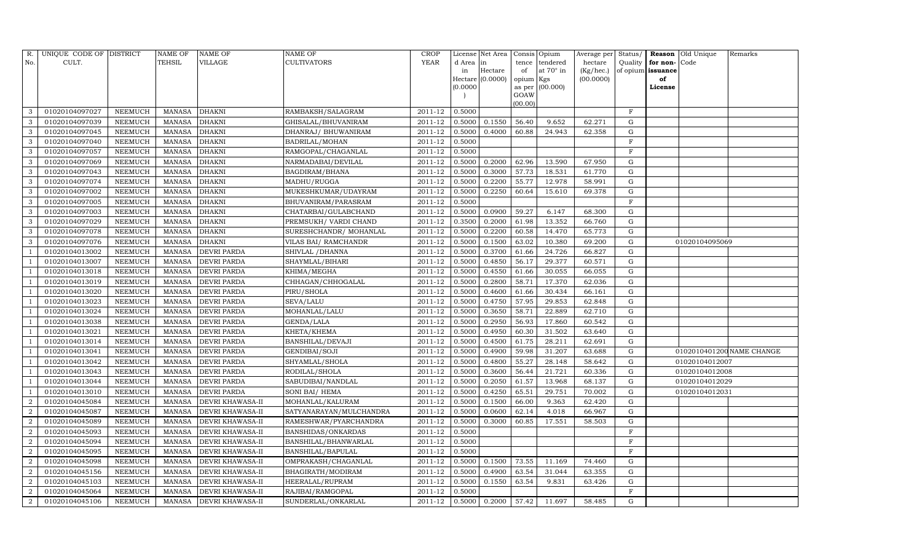| R.             | UNIQUE CODE OF DISTRICT |                | <b>NAME OF</b> | <b>NAME OF</b>          | <b>NAME OF</b>              | CROP    |           | License Net Area |           | Consis Opium     | Average per | Status/      |                   | Reason Old Unique | Remarks                   |
|----------------|-------------------------|----------------|----------------|-------------------------|-----------------------------|---------|-----------|------------------|-----------|------------------|-------------|--------------|-------------------|-------------------|---------------------------|
| No.            | CULT.                   |                | <b>TEHSIL</b>  | VILLAGE                 | <b>CULTIVATORS</b>          | YEAR    | d Area in |                  | tence     | tendered         | hectare     | Quality      | for non-          | Code              |                           |
|                |                         |                |                |                         |                             |         | in        | Hectare          | of        | at $70^\circ$ in | (Kg/hec.)   |              | of opium issuance |                   |                           |
|                |                         |                |                |                         |                             |         | (0.0000)  | Hectare (0.0000) | opium Kgs | as per (00.000)  | (00.0000)   |              | of<br>License     |                   |                           |
|                |                         |                |                |                         |                             |         |           |                  | GOAW      |                  |             |              |                   |                   |                           |
|                |                         |                |                |                         |                             |         |           |                  | (00.00)   |                  |             |              |                   |                   |                           |
| 3              | 01020104097027          | NEEMUCH        | MANASA         | <b>DHAKNI</b>           | RAMBAKSH/SALAGRAM           | 2011-12 | 0.5000    |                  |           |                  |             | $_{\rm F}$   |                   |                   |                           |
| 3              | 01020104097039          | NEEMUCH        | MANASA         | <b>DHAKNI</b>           | GHISALAL/BHUVANIRAM         | 2011-12 | 0.5000    | 0.1550           | 56.40     | 9.652            | 62.271      | G            |                   |                   |                           |
| 3              | 01020104097045          | <b>NEEMUCH</b> | <b>MANASA</b>  | <b>DHAKNI</b>           | DHANRAJ/ BHUWANIRAM         | 2011-12 | 0.5000    | 0.4000           | 60.88     | 24.943           | 62.358      | G            |                   |                   |                           |
| 3              | 01020104097040          | NEEMUCH        | MANASA         | <b>DHAKNI</b>           | <b>BADRILAL/MOHAN</b>       | 2011-12 | 0.5000    |                  |           |                  |             | $\mathbf F$  |                   |                   |                           |
| 3              | 01020104097057          | NEEMUCH        | MANASA         | <b>DHAKNI</b>           | RAMGOPAL/CHAGANLAL          | 2011-12 | 0.5000    |                  |           |                  |             | $\mathbf{F}$ |                   |                   |                           |
| 3              | 01020104097069          | NEEMUCH        | MANASA         | <b>DHAKNI</b>           | NARMADABAI/DEVILAL          | 2011-12 | 0.5000    | 0.2000           | 62.96     | 13.590           | 67.950      | G            |                   |                   |                           |
| 3              | 01020104097043          | NEEMUCH        | MANASA         | <b>DHAKNI</b>           | BAGDIRAM/BHANA              | 2011-12 | 0.5000    | 0.3000           | 57.73     | 18.531           | 61.770      | G            |                   |                   |                           |
| 3              | 01020104097074          | NEEMUCH        | MANASA         | <b>DHAKNI</b>           | MADHU/RUGGA                 | 2011-12 | 0.5000    | 0.2200           | 55.77     | 12.978           | 58.991      | G            |                   |                   |                           |
| 3              | 01020104097002          | NEEMUCH        | <b>MANASA</b>  | <b>DHAKNI</b>           | MUKESHKUMAR/UDAYRAM         | 2011-12 | 0.5000    | 0.2250           | 60.64     | 15.610           | 69.378      | G            |                   |                   |                           |
| 3              | 01020104097005          | NEEMUCH        | MANASA         | <b>DHAKNI</b>           | BHUVANIRAM/PARASRAM         | 2011-12 | 0.5000    |                  |           |                  |             | $\mathbf{F}$ |                   |                   |                           |
| 3              | 01020104097003          | NEEMUCH        | MANASA         | <b>DHAKNI</b>           | CHATARBAI/GULABCHAND        | 2011-12 | 0.5000    | 0.0900           | 59.27     | 6.147            | 68.300      | G            |                   |                   |                           |
| 3              | 01020104097029          | <b>NEEMUCH</b> | MANASA         | <b>DHAKNI</b>           | PREMSUKH/ VARDI CHAND       | 2011-12 | 0.3500    | 0.2000           | 61.98     | 13.352           | 66.760      | G            |                   |                   |                           |
| 3              | 01020104097078          | NEEMUCH        | MANASA         | <b>DHAKNI</b>           | SURESHCHANDR/ MOHANLAL      | 2011-12 | 0.5000    | 0.2200           | 60.58     | 14.470           | 65.773      | G            |                   |                   |                           |
| 3              | 01020104097076          | <b>NEEMUCH</b> | <b>MANASA</b>  | <b>DHAKNI</b>           | <b>VILAS BAI/ RAMCHANDR</b> | 2011-12 | 0.5000    | 0.1500           | 63.02     | 10.380           | 69.200      | G            |                   | 01020104095069    |                           |
| $\overline{1}$ | 01020104013002          | NEEMUCH        | MANASA         | <b>DEVRI PARDA</b>      | SHIVLAL / DHANNA            | 2011-12 | 0.5000    | 0.3700           | 61.66     | 24.726           | 66.827      | G            |                   |                   |                           |
|                | 01020104013007          | NEEMUCH        | MANASA         | <b>DEVRI PARDA</b>      | SHAYMLAL/BIHARI             | 2011-12 | 0.5000    | 0.4850           | 56.17     | 29.377           | 60.571      | ${\rm G}$    |                   |                   |                           |
|                | 01020104013018          | <b>NEEMUCH</b> | MANASA         | <b>DEVRI PARDA</b>      | KHIMA/MEGHA                 | 2011-12 | 0.5000    | 0.4550           | 61.66     | 30.055           | 66.055      | G            |                   |                   |                           |
|                | 01020104013019          | NEEMUCH        | MANASA         | <b>DEVRI PARDA</b>      | CHHAGAN/CHHOGALAL           | 2011-12 | 0.5000    | 0.2800           | 58.71     | 17.370           | 62.036      | G            |                   |                   |                           |
|                | 01020104013020          | NEEMUCH        | MANASA         | <b>DEVRI PARDA</b>      | PIRU/SHOLA                  | 2011-12 | 0.5000    | 0.4600           | 61.66     | 30.434           | 66.161      | ${\rm G}$    |                   |                   |                           |
|                | 01020104013023          | <b>NEEMUCH</b> | MANASA         | <b>DEVRI PARDA</b>      | SEVA/LALU                   | 2011-12 | 0.5000    | 0.4750           | 57.95     | 29.853           | 62.848      | $\mathbf G$  |                   |                   |                           |
|                | 01020104013024          | NEEMUCH        | MANASA         | <b>DEVRI PARDA</b>      | MOHANLAL/LALU               | 2011-12 | 0.5000    | 0.3650           | 58.71     | 22.889           | 62.710      | G            |                   |                   |                           |
|                | 01020104013038          | NEEMUCH        | MANASA         | <b>DEVRI PARDA</b>      | GENDA/LALA                  | 2011-12 | 0.5000    | 0.2950           | 56.93     | 17.860           | 60.542      | G            |                   |                   |                           |
| $\overline{1}$ | 01020104013021          | NEEMUCH        | MANASA         | <b>DEVRI PARDA</b>      | KHETA/KHEMA                 | 2011-12 | 0.5000    | 0.4950           | 60.30     | 31.502           | 63.640      | G            |                   |                   |                           |
|                | 01020104013014          | NEEMUCH        | MANASA         | <b>DEVRI PARDA</b>      | BANSHILAL/DEVAJI            | 2011-12 | 0.5000    | 0.4500           | 61.75     | 28.211           | 62.691      | G            |                   |                   |                           |
|                | 01020104013041          | <b>NEEMUCH</b> | MANASA         | <b>DEVRI PARDA</b>      | GENDIBAI/SOJI               | 2011-12 | 0.5000    | 0.4900           | 59.98     | 31.207           | 63.688      | G            |                   |                   | 0102010401200 NAME CHANGE |
|                | 01020104013042          | <b>NEEMUCH</b> | MANASA         | <b>DEVRI PARDA</b>      | SHYAMLAL/SHOLA              | 2011-12 | 0.5000    | 0.4800           | 55.27     | 28.148           | 58.642      | G            |                   | 01020104012007    |                           |
| - 1            | 01020104013043          | NEEMUCH        | MANASA         | <b>DEVRI PARDA</b>      | RODILAL/SHOLA               | 2011-12 | 0.5000    | 0.3600           | 56.44     | 21.721           | 60.336      | G            |                   | 01020104012008    |                           |
|                | 01020104013044          | <b>NEEMUCH</b> | MANASA         | <b>DEVRI PARDA</b>      | SABUDIBAI/NANDLAL           | 2011-12 | 0.5000    | 0.2050           | 61.57     | 13.968           | 68.137      | G            |                   | 01020104012029    |                           |
|                | 01020104013010          | NEEMUCH        | MANASA         | <b>DEVRI PARDA</b>      | SONI BAI/ HEMA              | 2011-12 | 0.5000    | 0.4250           | 65.51     | 29.751           | 70.002      | G            |                   | 01020104012031    |                           |
| $\overline{2}$ | 01020104045084          | <b>NEEMUCH</b> | MANASA         | <b>DEVRI KHAWASA-II</b> | MOHANLAL/KALURAM            | 2011-12 | 0.5000    | 0.1500           | 66.00     | 9.363            | 62.420      | G            |                   |                   |                           |
| $\overline{2}$ | 01020104045087          | NEEMUCH        | MANASA         | <b>DEVRI KHAWASA-II</b> | SATYANARAYAN/MULCHANDRA     | 2011-12 | 0.5000    | 0.0600           | 62.14     | 4.018            | 66.967      | ${\rm G}$    |                   |                   |                           |
| $\overline{2}$ | 01020104045089          | NEEMUCH        | MANASA         | <b>DEVRI KHAWASA-II</b> | RAMESHWAR/PYARCHANDRA       | 2011-12 | 0.5000    | 0.3000           | 60.85     | 17.551           | 58.503      | G            |                   |                   |                           |
| $\overline{2}$ | 01020104045093          | <b>NEEMUCH</b> | <b>MANASA</b>  | <b>DEVRI KHAWASA-II</b> | <b>BANSHIDAS/ONKARDAS</b>   | 2011-12 | 0.5000    |                  |           |                  |             | $\rm F$      |                   |                   |                           |
| $\overline{2}$ | 01020104045094          | NEEMUCH        | MANASA         | <b>DEVRI KHAWASA-II</b> | BANSHILAL/BHANWARLAL        | 2011-12 | 0.5000    |                  |           |                  |             | F            |                   |                   |                           |
| $\overline{2}$ | 01020104045095          | <b>NEEMUCH</b> | MANASA         | <b>DEVRI KHAWASA-II</b> | <b>BANSHILAL/BAPULAL</b>    | 2011-12 | 0.5000    |                  |           |                  |             | $\rm F$      |                   |                   |                           |
| $\overline{2}$ | 01020104045098          | <b>NEEMUCH</b> | <b>MANASA</b>  | DEVRI KHAWASA-II        | OMPRAKASH/CHAGANLAL         | 2011-12 | 0.5000    | 0.1500           | 73.55     | 11.169           | 74.460      | G            |                   |                   |                           |
| $\overline{2}$ | 01020104045156          | <b>NEEMUCH</b> | MANASA         | DEVRI KHAWASA-II        | BHAGIRATH/MODIRAM           | 2011-12 | 0.5000    | 0.4900           | 63.54     | 31.044           | 63.355      | G            |                   |                   |                           |
| $\overline{2}$ | 01020104045103          | <b>NEEMUCH</b> | MANASA         | <b>DEVRI KHAWASA-II</b> | HEERALAL/RUPRAM             | 2011-12 | 0.5000    | 0.1550           | 63.54     | 9.831            | 63.426      | ${\rm G}$    |                   |                   |                           |
| $\overline{2}$ | 01020104045064          | NEEMUCH        | MANASA         | DEVRI KHAWASA-II        | RAJIBAI/RAMGOPAL            | 2011-12 | 0.5000    |                  |           |                  |             | F            |                   |                   |                           |
| $\overline{2}$ | 01020104045106          | NEEMUCH        |                | MANASA DEVRI KHAWASA-II | SUNDERLAL/ONKARLAL          | 2011-12 | 0.5000    | 0.2000           | 57.42     | 11.697           | 58.485      | G            |                   |                   |                           |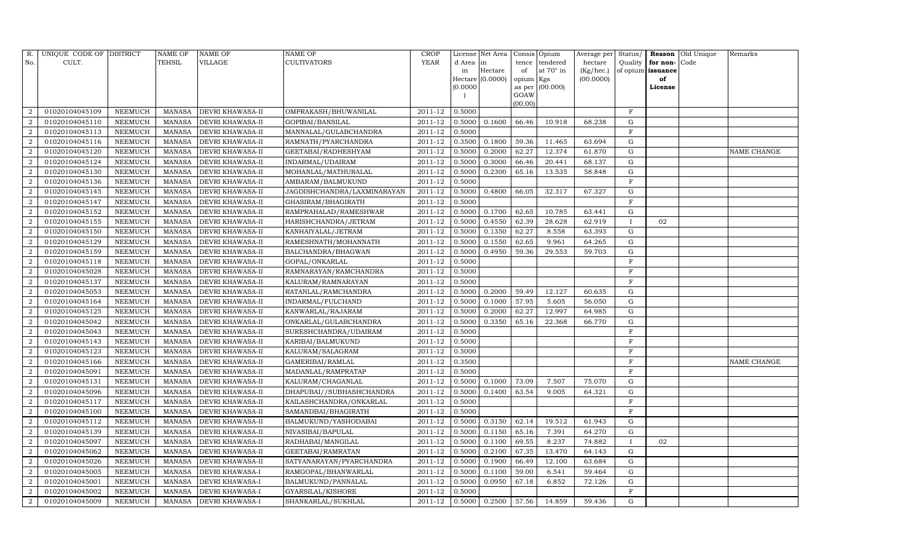| R.               | UNIQUE CODE OF DISTRICT |                | <b>NAME OF</b> | <b>NAME OF</b>          | <b>NAME OF</b>              | CROP    |           | License Net Area | Consis Opium   |                  | Average per |              |                   | Status/ <b>Reason</b> Old Unique | Remarks     |
|------------------|-------------------------|----------------|----------------|-------------------------|-----------------------------|---------|-----------|------------------|----------------|------------------|-------------|--------------|-------------------|----------------------------------|-------------|
| No.              | CULT.                   |                | <b>TEHSIL</b>  | <b>VILLAGE</b>          | <b>CULTIVATORS</b>          | YEAR    | d Area in |                  | tence          | tendered         | hectare     | Quality      | for non-          | Code                             |             |
|                  |                         |                |                |                         |                             |         | in        | Hectare          | of             | at $70^\circ$ in | (Kg/hec.)   |              | of opium issuance |                                  |             |
|                  |                         |                |                |                         |                             |         |           | Hectare (0.0000) | opium Kgs      |                  | (00.0000)   |              | of                |                                  |             |
|                  |                         |                |                |                         |                             |         | (0.0000)  |                  | as per<br>GOAW | (00.000)         |             |              | License           |                                  |             |
|                  |                         |                |                |                         |                             |         |           |                  | (00.00)        |                  |             |              |                   |                                  |             |
| $\overline{2}$   | 01020104045109          | NEEMUCH        | <b>MANASA</b>  | <b>DEVRI KHAWASA-II</b> | OMPRAKASH/BHUWANILAL        | 2011-12 | 0.5000    |                  |                |                  |             | $_{\rm F}$   |                   |                                  |             |
| $\overline{2}$   | 01020104045110          | <b>NEEMUCH</b> | <b>MANASA</b>  | DEVRI KHAWASA-II        | GOPIBAI/BANSILAL            | 2011-12 | 0.5000    | 0.1600           | 66.46          | 10.918           | 68.238      | G            |                   |                                  |             |
| 2                | 01020104045113          | NEEMUCH        | <b>MANASA</b>  | DEVRI KHAWASA-II        | MANNALAL/GULABCHANDRA       | 2011-12 | 0.5000    |                  |                |                  |             | $_{\rm F}$   |                   |                                  |             |
| $\overline{a}$   | 01020104045116          | NEEMUCH        | <b>MANASA</b>  | DEVRI KHAWASA-II        | RAMNATH/PYARCHANDRA         | 2011-12 | 0.3500    | 0.1800           | 59.36          | 11.465           | 63.694      | G            |                   |                                  |             |
| $\overline{a}$   | 01020104045120          | <b>NEEMUCH</b> | <b>MANASA</b>  | DEVRI KHAWASA-II        | GEETABAI/RADHESHYAM         | 2011-12 | 0.5000    | 0.2000           | 62.27          | 12.374           | 61.870      | G            |                   |                                  | NAME CHANGE |
| $\overline{a}$   | 01020104045124          | NEEMUCH        | <b>MANASA</b>  | DEVRI KHAWASA-II        | INDARMAL/UDAIRAM            | 2011-12 | 0.5000    | 0.3000           | 66.46          | 20.441           | 68.137      | G            |                   |                                  |             |
| $\,2$            | 01020104045130          | NEEMUCH        | <b>MANASA</b>  | DEVRI KHAWASA-II        | MOHANLAL/MATHURALAL         | 2011-12 | 0.5000    | 0.2300           | 65.16          | 13.535           | 58.848      | G            |                   |                                  |             |
| $\overline{2}$   | 01020104045136          | NEEMUCH        | <b>MANASA</b>  | DEVRI KHAWASA-II        | AMBARAM/BALMUKUND           | 2011-12 | 0.5000    |                  |                |                  |             | $\mathbf F$  |                   |                                  |             |
| $\overline{2}$   | 01020104045145          | <b>NEEMUCH</b> | <b>MANASA</b>  | DEVRI KHAWASA-II        | JAGDISHCHANDRA/LAXMINARAYAN | 2011-12 | 0.5000    | 0.4800           | 66.05          | 32.317           | 67.327      | G            |                   |                                  |             |
| $\overline{a}$   | 01020104045147          | NEEMUCH        | <b>MANASA</b>  | DEVRI KHAWASA-II        | GHASIRAM/BHAGIRATH          | 2011-12 | 0.5000    |                  |                |                  |             | $\mathbf F$  |                   |                                  |             |
| $\,2$            | 01020104045152          | NEEMUCH        | <b>MANASA</b>  | DEVRI KHAWASA-II        | RAMPRAHALAD/RAMESHWAR       | 2011-12 | 0.5000    | 0.1700           | 62.65          | 10.785           | 63.441      | ${\rm G}$    |                   |                                  |             |
| $\overline{2}$   | 01020104045155          | <b>NEEMUCH</b> | <b>MANASA</b>  | DEVRI KHAWASA-II        | HARISHCHANDRA/JETRAM        | 2011-12 | 0.5000    | 0.4550           | 62.39          | 28.628           | 62.919      | $\bf{I}$     | 02                |                                  |             |
| $\,2$            | 01020104045150          | <b>NEEMUCH</b> | <b>MANASA</b>  | DEVRI KHAWASA-II        | KANHAIYALAL/JETRAM          | 2011-12 | 0.5000    | 0.1350           | 62.27          | 8.558            | 63.393      | G            |                   |                                  |             |
| $\overline{a}$   | 01020104045129          | NEEMUCH        | <b>MANASA</b>  | <b>DEVRI KHAWASA-II</b> | RAMESHNATH/MOHANNATH        | 2011-12 | 0.5000    | 0.1550           | 62.65          | 9.961            | 64.265      | G            |                   |                                  |             |
| $\boldsymbol{2}$ | 01020104045159          | NEEMUCH        | <b>MANASA</b>  | DEVRI KHAWASA-II        | BALCHANDRA/BHAGWAN          | 2011-12 | 0.5000    | 0.4950           | 59.36          | 29.553           | 59.703      | ${\rm G}$    |                   |                                  |             |
| $\overline{2}$   | 01020104045118          | NEEMUCH        | <b>MANASA</b>  | <b>DEVRI KHAWASA-II</b> | GOPAL/ONKARLAL              | 2011-12 | 0.5000    |                  |                |                  |             | $\mathbf F$  |                   |                                  |             |
| $\overline{2}$   | 01020104045028          | <b>NEEMUCH</b> | <b>MANASA</b>  | DEVRI KHAWASA-II        | RAMNARAYAN/RAMCHANDRA       | 2011-12 | 0.5000    |                  |                |                  |             | $\mathbf F$  |                   |                                  |             |
| $\overline{2}$   | 01020104045137          | NEEMUCH        | <b>MANASA</b>  | <b>DEVRI KHAWASA-II</b> | KALURAM/RAMNARAYAN          | 2011-12 | 0.5000    |                  |                |                  |             | $\mathbf F$  |                   |                                  |             |
| $\overline{a}$   | 01020104045053          | NEEMUCH        | <b>MANASA</b>  | DEVRI KHAWASA-II        | RATANLAL/RAMCHANDRA         | 2011-12 | 0.5000    | 0.2000           | 59.49          | 12.127           | 60.635      | ${\rm G}$    |                   |                                  |             |
| $\overline{2}$   | 01020104045164          | <b>NEEMUCH</b> | <b>MANASA</b>  | DEVRI KHAWASA-II        | INDARMAL/FULCHAND           | 2011-12 | 0.5000    | 0.1000           | 57.95          | 5.605            | 56.050      | $\mathbf G$  |                   |                                  |             |
| $\overline{a}$   | 01020104045125          | NEEMUCH        | <b>MANASA</b>  | DEVRI KHAWASA-II        | KANWARLAL/RAJARAM           | 2011-12 | 0.5000    | 0.2000           | 62.27          | 12.997           | 64.985      | G            |                   |                                  |             |
| $\overline{a}$   | 01020104045042          | NEEMUCH        | <b>MANASA</b>  | DEVRI KHAWASA-II        | ONKARLAL/GULABCHANDRA       | 2011-12 | 0.5000    | 0.3350           | 65.16          | 22.368           | 66.770      | G            |                   |                                  |             |
| $\overline{2}$   | 01020104045043          | NEEMUCH        | <b>MANASA</b>  | DEVRI KHAWASA-II        | SURESHCHANDRA/UDAIRAM       | 2011-12 | 0.5000    |                  |                |                  |             | $\rm F$      |                   |                                  |             |
| $\,2$            | 01020104045143          | <b>NEEMUCH</b> | <b>MANASA</b>  | DEVRI KHAWASA-II        | KARIBAI/BALMUKUND           | 2011-12 | 0.5000    |                  |                |                  |             | F            |                   |                                  |             |
| $\overline{2}$   | 01020104045123          | <b>NEEMUCH</b> | <b>MANASA</b>  | DEVRI KHAWASA-II        | KALURAM/SALAGRAM            | 2011-12 | 0.5000    |                  |                |                  |             | $\rm F$      |                   |                                  |             |
| $\overline{a}$   | 01020104045166          | <b>NEEMUCH</b> | <b>MANASA</b>  | DEVRI KHAWASA-II        | GAMERIBAI/RAMLAL            | 2011-12 | 0.3500    |                  |                |                  |             | F            |                   |                                  | NAME CHANGE |
| $\overline{2}$   | 01020104045091          | NEEMUCH        | <b>MANASA</b>  | DEVRI KHAWASA-II        | MADANLAL/RAMPRATAP          | 2011-12 | 0.5000    |                  |                |                  |             | $\mathbf F$  |                   |                                  |             |
| $\overline{2}$   | 01020104045131          | <b>NEEMUCH</b> | <b>MANASA</b>  | DEVRI KHAWASA-II        | KALURAM/CHAGANLAL           | 2011-12 | 0.5000    | 0.1000           | 73.09          | 7.507            | 75.070      | ${\rm G}$    |                   |                                  |             |
| $\overline{2}$   | 01020104045096          | NEEMUCH        | <b>MANASA</b>  | <b>DEVRI KHAWASA-II</b> | DHAPUBAI//SUBHASHCHANDRA    | 2011-12 | 0.5000    | 0.1400           | 63.54          | 9.005            | 64.321      | G            |                   |                                  |             |
| $\,2$            | 01020104045117          | NEEMUCH        | <b>MANASA</b>  | DEVRI KHAWASA-II        | KAILASHCHANDRA/ONKARLAL     | 2011-12 | 0.5000    |                  |                |                  |             | F            |                   |                                  |             |
| $\overline{a}$   | 01020104045100          | <b>NEEMUCH</b> | <b>MANASA</b>  | DEVRI KHAWASA-II        | SAMANDBAI/BHAGIRATH         | 2011-12 | 0.5000    |                  |                |                  |             | $\mathbf F$  |                   |                                  |             |
| $\overline{2}$   | 01020104045112          | <b>NEEMUCH</b> | <b>MANASA</b>  | <b>DEVRI KHAWASA-II</b> | BALMUKUND/YASHODABAI        | 2011-12 | 0.5000    | 0.3150           | 62.14          | 19.512           | 61.943      | G            |                   |                                  |             |
| $\overline{2}$   | 01020104045139          | <b>NEEMUCH</b> | <b>MANASA</b>  | DEVRI KHAWASA-II        | NIVASIBAI/BAPULAL           | 2011-12 | 0.5000    | 0.1150           | 65.16          | 7.391            | 64.270      | G            |                   |                                  |             |
| $\boldsymbol{2}$ | 01020104045097          | NEEMUCH        | <b>MANASA</b>  | DEVRI KHAWASA-II        | RADHABAI/MANGILAL           | 2011-12 | 0.5000    | 0.1100           | 69.55          | 8.237            | 74.882      | $\mathbf{I}$ | 02                |                                  |             |
| $\overline{a}$   | 01020104045062          | NEEMUCH        | <b>MANASA</b>  | <b>DEVRI KHAWASA-II</b> | GEETABAI/RAMRATAN           | 2011-12 | 0.5000    | 0.2100           | 67.35          | 13.470           | 64.143      | G            |                   |                                  |             |
| $\overline{2}$   | 01020104045026          | <b>NEEMUCH</b> | <b>MANASA</b>  | DEVRI KHAWASA-II        | SATYANARAYAN/PYARCHANDRA    | 2011-12 | 0.5000    | 0.1900           | 66.49          | 12.100           | 63.684      | G            |                   |                                  |             |
| $\overline{a}$   | 01020104045005          | <b>NEEMUCH</b> | <b>MANASA</b>  | DEVRI KHAWASA-I         | RAMGOPAL/BHANWARLAL         | 2011-12 | 0.5000    | 0.1100           | 59.00          | 6.541            | 59.464      | G            |                   |                                  |             |
| $\overline{2}$   | 01020104045001          | NEEMUCH        | <b>MANASA</b>  | DEVRI KHAWASA-I         | BALMUKUND/PANNALAL          | 2011-12 | 0.5000    | 0.0950           | 67.18          | 6.852            | 72.126      | G            |                   |                                  |             |
| $\overline{a}$   | 01020104045002          | <b>NEEMUCH</b> | <b>MANASA</b>  | DEVRI KHAWASA-I         | GYARSILAL/KISHORE           | 2011-12 | 0.5000    |                  |                |                  |             | F            |                   |                                  |             |
| $\overline{2}$   | 01020104045009          | NEEMUCH        | MANASA         | <b>DEVRI KHAWASA-I</b>  | SHANKARLAL/SUKHLAL          | 2011-12 | 0.5000    | 0.2500           | 57.56          | 14.859           | 59.436      | G            |                   |                                  |             |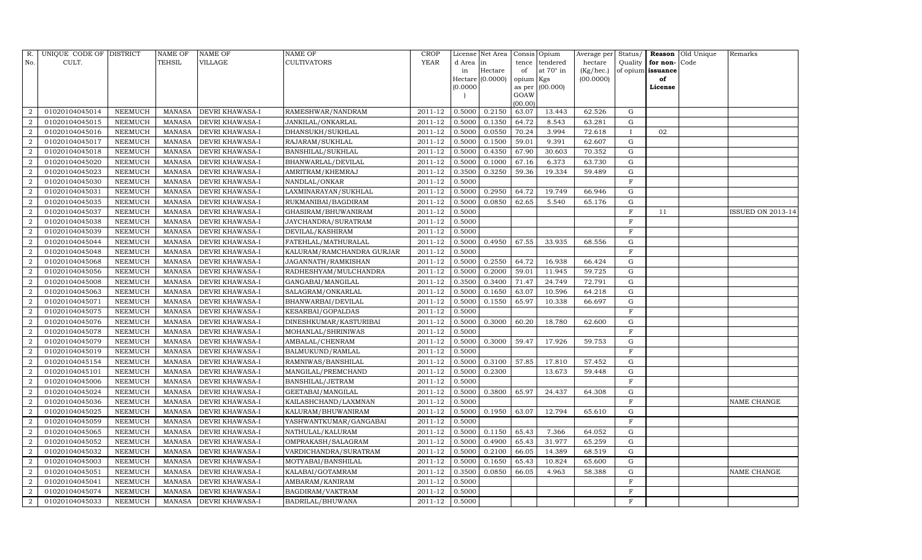| R.             | UNIQUE CODE OF DISTRICT |                | <b>NAME OF</b> | <b>NAME OF</b>         | <b>NAME OF</b>            | CROP        |           | License Net Area |           | Consis Opium     | Average per | Status/      |                   | Reason Old Unique | Remarks                  |
|----------------|-------------------------|----------------|----------------|------------------------|---------------------------|-------------|-----------|------------------|-----------|------------------|-------------|--------------|-------------------|-------------------|--------------------------|
| No.            | CULT.                   |                | TEHSIL         | VILLAGE                | <b>CULTIVATORS</b>        | <b>YEAR</b> | d Area in |                  | tence     | tendered         | hectare     | Quality      | for non-          | Code              |                          |
|                |                         |                |                |                        |                           |             | in        | Hectare          | of        | at $70^\circ$ in | (Kg/hec.)   |              | of opium issuance |                   |                          |
|                |                         |                |                |                        |                           |             |           | Hectare (0.0000) | opium Kgs |                  | (00.0000)   |              | of                |                   |                          |
|                |                         |                |                |                        |                           |             | (0.0000)  |                  | GOAW      | as per (00.000)  |             |              | License           |                   |                          |
|                |                         |                |                |                        |                           |             |           |                  | (00.00)   |                  |             |              |                   |                   |                          |
| $\overline{2}$ | 01020104045014          | NEEMUCH        | MANASA         | <b>DEVRI KHAWASA-I</b> | RAMESHWAR/NANDRAM         | 2011-12     | 0.5000    | 0.2150           | 63.07     | 13.443           | 62.526      | G            |                   |                   |                          |
| $\overline{2}$ | 01020104045015          | NEEMUCH        | MANASA         | <b>DEVRI KHAWASA-I</b> | JANKILAL/ONKARLAL         | 2011-12     | 0.5000    | 0.1350           | 64.72     | 8.543            | 63.281      | G            |                   |                   |                          |
| $\overline{2}$ | 01020104045016          | NEEMUCH        | MANASA         | <b>DEVRI KHAWASA-I</b> | DHANSUKH/SUKHLAL          | 2011-12     | 0.5000    | 0.0550           | 70.24     | 3.994            | 72.618      | $\mathbf{I}$ | 02                |                   |                          |
| $\overline{2}$ | 01020104045017          | NEEMUCH        | MANASA         | <b>DEVRI KHAWASA-I</b> | RAJARAM/SUKHLAL           | 2011-12     | 0.5000    | 0.1500           | 59.01     | 9.391            | 62.607      | G            |                   |                   |                          |
| $\overline{2}$ | 01020104045018          | NEEMUCH        | MANASA         | <b>DEVRI KHAWASA-I</b> | <b>BANSHILAL/SUKHLAL</b>  | 2011-12     | 0.5000    | 0.4350           | 67.90     | 30.603           | 70.352      | G            |                   |                   |                          |
| $\overline{2}$ | 01020104045020          | NEEMUCH        | MANASA         | DEVRI KHAWASA-I        | BHANWARLAL/DEVILAL        | 2011-12     | 0.5000    | 0.1000           | 67.16     | 6.373            | 63.730      | G            |                   |                   |                          |
| $\overline{2}$ | 01020104045023          | <b>NEEMUCH</b> | <b>MANASA</b>  | <b>DEVRI KHAWASA-I</b> | AMRITRAM/KHEMRAJ          | 2011-12     | 0.3500    | 0.3250           | 59.36     | 19.334           | 59.489      | G            |                   |                   |                          |
| $\overline{2}$ | 01020104045030          | NEEMUCH        | MANASA         | <b>DEVRI KHAWASA-I</b> | NANDLAL/ONKAR             | 2011-12     | 0.5000    |                  |           |                  |             | $\mathbf F$  |                   |                   |                          |
| $\overline{2}$ | 01020104045031          | NEEMUCH        | MANASA         | <b>DEVRI KHAWASA-I</b> | LAXMINARAYAN/SUKHLAL      | 2011-12     | 0.5000    | 0.2950           | 64.72     | 19.749           | 66.946      | ${\rm G}$    |                   |                   |                          |
| $\overline{2}$ | 01020104045035          | NEEMUCH        | MANASA         | <b>DEVRI KHAWASA-I</b> | RUKMANIBAI/BAGDIRAM       | 2011-12     | 0.5000    | 0.0850           | 62.65     | 5.540            | 65.176      | G            |                   |                   |                          |
| $\overline{2}$ | 01020104045037          | <b>NEEMUCH</b> | <b>MANASA</b>  | <b>DEVRI KHAWASA-I</b> | GHASIRAM/BHUWANIRAM       | 2011-12     | 0.5000    |                  |           |                  |             | $\rm F$      | 11                |                   | <b>ISSUED ON 2013-14</b> |
| $\overline{2}$ | 01020104045038          | NEEMUCH        | MANASA         | <b>DEVRI KHAWASA-I</b> | JAYCHANDRA/SURATRAM       | 2011-12     | 0.5000    |                  |           |                  |             | $\mathbf F$  |                   |                   |                          |
| $\overline{2}$ | 01020104045039          | NEEMUCH        | MANASA         | <b>DEVRI KHAWASA-I</b> | DEVILAL/KASHIRAM          | 2011-12     | 0.5000    |                  |           |                  |             | $\mathbf{F}$ |                   |                   |                          |
| $\overline{2}$ | 01020104045044          | NEEMUCH        | MANASA         | <b>DEVRI KHAWASA-I</b> | FATEHLAL/MATHURALAL       | 2011-12     | 0.5000    | 0.4950           | 67.55     | 33.935           | 68.556      | G            |                   |                   |                          |
| $\overline{2}$ | 01020104045048          | NEEMUCH        | MANASA         | <b>DEVRI KHAWASA-I</b> | KALURAM/RAMCHANDRA GURJAR | 2011-12     | 0.5000    |                  |           |                  |             | $\mathbf F$  |                   |                   |                          |
| $\overline{2}$ | 01020104045068          | NEEMUCH        | MANASA         | <b>DEVRI KHAWASA-I</b> | JAGANNATH/RAMKISHAN       | 2011-12     | 0.5000    | 0.2550           | 64.72     | 16.938           | 66.424      | ${\rm G}$    |                   |                   |                          |
| $\overline{2}$ | 01020104045056          | <b>NEEMUCH</b> | MANASA         | <b>DEVRI KHAWASA-I</b> | RADHESHYAM/MULCHANDRA     | 2011-12     | 0.5000    | 0.2000           | 59.01     | 11.945           | 59.725      | $\mathbf G$  |                   |                   |                          |
| $\overline{2}$ | 01020104045008          | NEEMUCH        | MANASA         | <b>DEVRI KHAWASA-I</b> | GANGABAI/MANGILAL         | 2011-12     | 0.3500    | 0.3400           | 71.47     | 24.749           | 72.791      | G            |                   |                   |                          |
| $\overline{a}$ | 01020104045063          | NEEMUCH        | MANASA         | <b>DEVRI KHAWASA-I</b> | SALAGRAM/ONKARLAL         | 2011-12     | 0.5000    | 0.1650           | 63.07     | 10.596           | 64.218      | G            |                   |                   |                          |
| $\overline{2}$ | 01020104045071          | <b>NEEMUCH</b> | MANASA         | <b>DEVRI KHAWASA-I</b> | <b>BHANWARBAI/DEVILAL</b> | 2011-12     | 0.5000    | 0.1550           | 65.97     | 10.338           | 66.697      | $\mathbf G$  |                   |                   |                          |
| $\overline{2}$ | 01020104045075          | NEEMUCH        | MANASA         | <b>DEVRI KHAWASA-I</b> | KESARBAI/GOPALDAS         | 2011-12     | 0.5000    |                  |           |                  |             | $\mathbf F$  |                   |                   |                          |
| $\overline{2}$ | 01020104045076          | <b>NEEMUCH</b> | <b>MANASA</b>  | <b>DEVRI KHAWASA-I</b> | DINESHKUMAR/KASTURIBAI    | 2011-12     | 0.5000    | 0.3000           | 60.20     | 18.780           | 62.600      | G            |                   |                   |                          |
| $\overline{2}$ | 01020104045078          | NEEMUCH        | MANASA         | <b>DEVRI KHAWASA-I</b> | MOHANLAL/SHRINIWAS        | 2011-12     | 0.5000    |                  |           |                  |             | F            |                   |                   |                          |
| $\overline{2}$ | 01020104045079          | <b>NEEMUCH</b> | MANASA         | <b>DEVRI KHAWASA-I</b> | AMBALAL/CHENRAM           | 2011-12     | 0.5000    | 0.3000           | 59.47     | 17.926           | 59.753      | ${\rm G}$    |                   |                   |                          |
| $\overline{2}$ | 01020104045019          | NEEMUCH        | <b>MANASA</b>  | DEVRI KHAWASA-I        | BALMUKUND/RAMLAL          | 2011-12     | 0.5000    |                  |           |                  |             | $\mathbf F$  |                   |                   |                          |
| $\overline{2}$ | 01020104045154          | <b>NEEMUCH</b> | MANASA         | <b>DEVRI KHAWASA-I</b> | RAMNIWAS/BANSHILAL        | 2011-12     | 0.5000    | 0.3100           | 57.85     | 17.810           | 57.452      | G            |                   |                   |                          |
| $\overline{2}$ | 01020104045101          | NEEMUCH        | MANASA         | <b>DEVRI KHAWASA-I</b> | MANGILAL/PREMCHAND        | 2011-12     | 0.5000    | 0.2300           |           | 13.673           | 59.448      | ${\rm G}$    |                   |                   |                          |
| $\overline{2}$ | 01020104045006          | <b>NEEMUCH</b> | MANASA         | <b>DEVRI KHAWASA-I</b> | <b>BANSHILAL/JETRAM</b>   | 2011-12     | 0.5000    |                  |           |                  |             | $\mathbf F$  |                   |                   |                          |
| $\overline{2}$ | 01020104045024          | NEEMUCH        | MANASA         | <b>DEVRI KHAWASA-I</b> | GEETABAI/MANGILAL         | 2011-12     | 0.5000    | 0.3800           | 65.97     | 24.437           | 64.308      | G            |                   |                   |                          |
| $\overline{2}$ | 01020104045036          | <b>NEEMUCH</b> | <b>MANASA</b>  | <b>DEVRI KHAWASA-I</b> | KAILASHCHAND/LAXMNAN      | 2011-12     | 0.5000    |                  |           |                  |             | $\mathbf F$  |                   |                   | NAME CHANGE              |
| $\overline{2}$ | 01020104045025          | NEEMUCH        | MANASA         | <b>DEVRI KHAWASA-I</b> | KALURAM/BHUWANIRAM        | 2011-12     | 0.5000    | 0.1950           | 63.07     | 12.794           | 65.610      | $\mathbf G$  |                   |                   |                          |
| $\overline{2}$ | 01020104045059          | NEEMUCH        | <b>MANASA</b>  | <b>DEVRI KHAWASA-I</b> | YASHWANTKUMAR/GANGABAI    | 2011-12     | 0.5000    |                  |           |                  |             | $\mathbf F$  |                   |                   |                          |
| $\overline{2}$ | 01020104045065          | <b>NEEMUCH</b> | MANASA         | <b>DEVRI KHAWASA-I</b> | NATHULAL/KALURAM          | 2011-12     | 0.5000    | 0.1150           | 65.43     | 7.366            | 64.052      | ${\rm G}$    |                   |                   |                          |
| $\overline{2}$ | 01020104045052          | <b>NEEMUCH</b> | MANASA         | <b>DEVRI KHAWASA-I</b> | OMPRAKASH/SALAGRAM        | 2011-12     | 0.5000    | 0.4900           | 65.43     | 31.977           | 65.259      | G            |                   |                   |                          |
| 2              | 01020104045032          | NEEMUCH        | MANASA         | <b>DEVRI KHAWASA-I</b> | VARDICHANDRA/SURATRAM     | 2011-12     | 0.5000    | 0.2100           | 66.05     | 14.389           | 68.519      | ${\rm G}$    |                   |                   |                          |
| $\overline{2}$ | 01020104045003          | <b>NEEMUCH</b> | <b>MANASA</b>  | <b>DEVRI KHAWASA-I</b> | MOTYABAI/BANSHILAL        | 2011-12     | 0.5000    | 0.1650           | 65.43     | 10.824           | 65.600      | G            |                   |                   |                          |
| 2              | 01020104045051          | <b>NEEMUCH</b> | MANASA         | <b>DEVRI KHAWASA-I</b> | KALABAI/GOTAMRAM          | 2011-12     | 0.3500    | 0.0850           | 66.05     | 4.963            | 58.388      | G            |                   |                   | NAME CHANGE              |
| $\overline{a}$ | 01020104045041          | NEEMUCH        | MANASA         | <b>DEVRI KHAWASA-I</b> | AMBARAM/KANIRAM           | 2011-12     | 0.5000    |                  |           |                  |             | F            |                   |                   |                          |
| $\overline{2}$ | 01020104045074          | <b>NEEMUCH</b> | MANASA         | <b>DEVRI KHAWASA-I</b> | BAGDIRAM/VAKTRAM          | 2011-12     | 0.5000    |                  |           |                  |             | F            |                   |                   |                          |
| $\overline{2}$ | 01020104045033          | <b>NEEMUCH</b> |                | MANASA DEVRI KHAWASA-I | <b>BADRILAL/BHUWANA</b>   | $2011 - 12$ | 0.5000    |                  |           |                  |             | F            |                   |                   |                          |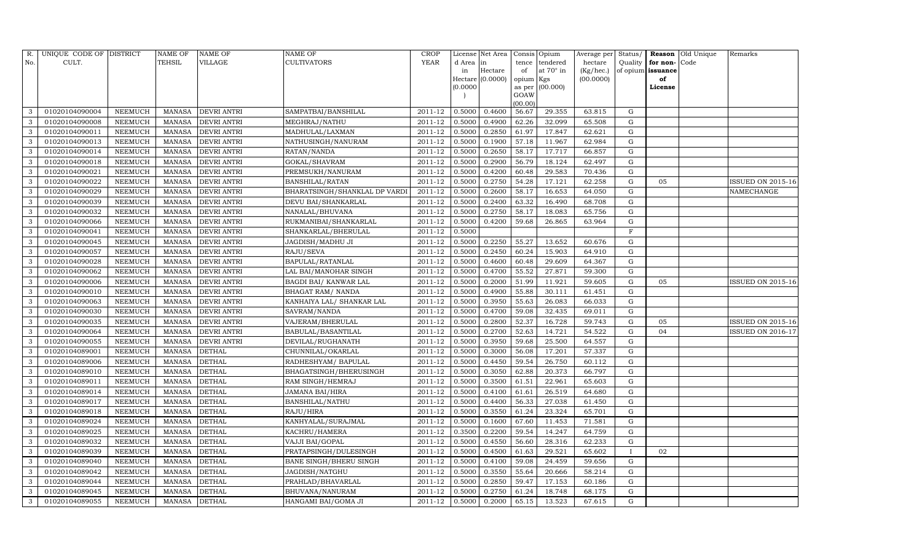| R.  | UNIQUE CODE OF DISTRICT |                | NAME OF       | <b>NAME OF</b>     | <b>NAME OF</b>                | <b>CROP</b> |           | License Net Area |                | Consis Opium     | Average per | Status/      | Reason            | Old Unique | Remarks                  |
|-----|-------------------------|----------------|---------------|--------------------|-------------------------------|-------------|-----------|------------------|----------------|------------------|-------------|--------------|-------------------|------------|--------------------------|
| No. | CULT.                   |                | <b>TEHSIL</b> | VILLAGE            | <b>CULTIVATORS</b>            | YEAR        | d Area in |                  | tence          | tendered         | hectare     | Quality      | for non-          | Code       |                          |
|     |                         |                |               |                    |                               |             | in        | Hectare          | of             | at $70^\circ$ in | (Kg/hec.)   |              | of opium issuance |            |                          |
|     |                         |                |               |                    |                               |             |           | Hectare (0.0000) | opium Kgs      |                  | (00.0000)   |              | of                |            |                          |
|     |                         |                |               |                    |                               |             | (0.0000)  |                  | as per<br>GOAW | (00.000)         |             |              | License           |            |                          |
|     |                         |                |               |                    |                               |             |           |                  | (00.00)        |                  |             |              |                   |            |                          |
| 3   | 01020104090004          | NEEMUCH        | MANASA        | <b>DEVRI ANTRI</b> | SAMPATBAI/BANSHILAL           | 2011-12     | 0.5000    | 0.4600           | 56.67          | 29.355           | 63.815      | G            |                   |            |                          |
| 3   | 01020104090008          | NEEMUCH        | MANASA        | <b>DEVRI ANTRI</b> | MEGHRAJ/NATHU                 | 2011-12     | 0.5000    | 0.4900           | 62.26          | 32.099           | 65.508      | G            |                   |            |                          |
| 3   | 01020104090011          | <b>NEEMUCH</b> | <b>MANASA</b> | <b>DEVRI ANTRI</b> | MADHULAL/LAXMAN               | 2011-12     | 0.5000    | 0.2850           | 61.97          | 17.847           | 62.621      | G            |                   |            |                          |
| 3   | 01020104090013          | NEEMUCH        | MANASA        | <b>DEVRI ANTRI</b> | NATHUSINGH/NANURAM            | 2011-12     | 0.5000    | 0.1900           | 57.18          | 11.967           | 62.984      | ${\rm G}$    |                   |            |                          |
| 3   | 01020104090014          | NEEMUCH        | MANASA        | <b>DEVRI ANTRI</b> | RATAN/NANDA                   | 2011-12     | 0.5000    | 0.2650           | 58.17          | 17.717           | 66.857      | $\mathbf G$  |                   |            |                          |
| 3   | 01020104090018          | NEEMUCH        | MANASA        | <b>DEVRI ANTRI</b> | GOKAL/SHAVRAM                 | 2011-12     | 0.5000    | 0.2900           | 56.79          | 18.124           | 62.497      | G            |                   |            |                          |
| 3   | 01020104090021          | NEEMUCH        | MANASA        | DEVRI ANTRI        | PREMSUKH/NANURAM              | $2011 - 12$ | 0.5000    | 0.4200           | 60.48          | 29.583           | 70.436      | G            |                   |            |                          |
| 3   | 01020104090022          | <b>NEEMUCH</b> | MANASA        | <b>DEVRI ANTRI</b> | <b>BANSHILAL/RATAN</b>        | 2011-12     | 0.5000    | 0.2750           | 54.28          | 17.121           | 62.258      | ${\rm G}$    | 05                |            | <b>ISSUED ON 2015-16</b> |
| 3   | 01020104090029          | <b>NEEMUCH</b> | <b>MANASA</b> | <b>DEVRI ANTRI</b> | BHARATSINGH/SHANKLAL DP VARDI | 2011-12     | 0.5000    | 0.2600           | 58.17          | 16.653           | 64.050      | $\mathbf G$  |                   |            | NAMECHANGE               |
| 3   | 01020104090039          | NEEMUCH        | MANASA        | <b>DEVRI ANTRI</b> | DEVU BAI/SHANKARLAL           | 2011-12     | 0.5000    | 0.2400           | 63.32          | 16.490           | 68.708      | ${\rm G}$    |                   |            |                          |
| 3   | 01020104090032          | <b>NEEMUCH</b> | <b>MANASA</b> | <b>DEVRI ANTRI</b> | NANALAL/BHUVANA               | 2011-12     | 0.5000    | 0.2750           | 58.17          | 18.083           | 65.756      | ${\rm G}$    |                   |            |                          |
| 3   | 01020104090066          | <b>NEEMUCH</b> | MANASA        | <b>DEVRI ANTRI</b> | RUKMANIBAI/SHANKARLAL         | 2011-12     | 0.5000    | 0.4200           | 59.68          | 26.865           | 63.964      | G            |                   |            |                          |
| 3   | 01020104090041          | <b>NEEMUCH</b> | <b>MANASA</b> | <b>DEVRI ANTRI</b> | SHANKARLAL/BHERULAL           | 2011-12     | 0.5000    |                  |                |                  |             | F            |                   |            |                          |
| 3   | 01020104090045          | <b>NEEMUCH</b> | MANASA        | <b>DEVRI ANTRI</b> | JAGDISH/MADHU JI              | 2011-12     | 0.5000    | 0.2250           | 55.27          | 13.652           | 60.676      | G            |                   |            |                          |
| 3   | 01020104090057          | NEEMUCH        | MANASA        | <b>DEVRI ANTRI</b> | RAJU/SEVA                     | 2011-12     | 0.5000    | 0.2450           | 60.24          | 15.903           | 64.910      | G            |                   |            |                          |
| 3   | 01020104090028          | <b>NEEMUCH</b> | MANASA        | <b>DEVRI ANTRI</b> | <b>BAPULAL/RATANLAL</b>       | 2011-12     | 0.5000    | 0.4600           | 60.48          | 29.609           | 64.367      | G            |                   |            |                          |
| 3   | 01020104090062          | <b>NEEMUCH</b> | <b>MANASA</b> | <b>DEVRI ANTRI</b> | LAL BAI/MANOHAR SINGH         | 2011-12     | 0.5000    | 0.4700           | 55.52          | 27.871           | 59.300      | G            |                   |            |                          |
| 3   | 01020104090006          | <b>NEEMUCH</b> | MANASA        | <b>DEVRI ANTRI</b> | BAGDI BAI/ KANWAR LAL         | 2011-12     | 0.5000    | 0.2000           | 51.99          | 11.921           | 59.605      | G            | 05                |            | <b>ISSUED ON 2015-16</b> |
| 3   | 01020104090010          | NEEMUCH        | MANASA        | <b>DEVRI ANTRI</b> | <b>BHAGAT RAM/ NANDA</b>      | 2011-12     | 0.5000    | 0.4900           | 55.88          | 30.111           | 61.451      | G            |                   |            |                          |
| 3   | 01020104090063          | <b>NEEMUCH</b> | MANASA        | <b>DEVRI ANTRI</b> | KANHAIYA LAL/ SHANKAR LAL     | 2011-12     | 0.5000    | 0.3950           | 55.63          | 26.083           | 66.033      | G            |                   |            |                          |
| 3   | 01020104090030          | NEEMUCH        | MANASA        | <b>DEVRI ANTRI</b> | SAVRAM/NANDA                  | 2011-12     | 0.5000    | 0.4700           | 59.08          | 32.435           | 69.011      | G            |                   |            |                          |
| 3   | 01020104090035          | <b>NEEMUCH</b> | <b>MANASA</b> | <b>DEVRI ANTRI</b> | VAJERAM/BHERULAL              | 2011-12     | 0.5000    | 0.2800           | 52.37          | 16.728           | 59.743      | ${\rm G}$    | 05                |            | ISSUED ON 2015-16        |
| 3   | 01020104090064          | NEEMUCH        | MANASA        | <b>DEVRI ANTRI</b> | BABULAL/BASANTILAL            | $2011 - 12$ | 0.5000    | 0.2700           | 52.63          | 14.721           | 54.522      | G            | 04                |            | <b>ISSUED ON 2016-17</b> |
| 3   | 01020104090055          | <b>NEEMUCH</b> | MANASA        | <b>DEVRI ANTRI</b> | DEVILAL/RUGHANATH             | 2011-12     | 0.5000    | 0.3950           | 59.68          | 25.500           | 64.557      | G            |                   |            |                          |
| 3   | 01020104089001          | NEEMUCH        | MANASA        | <b>DETHAL</b>      | CHUNNILAL/OKARLAL             | 2011-12     | 0.5000    | 0.3000           | 56.08          | 17.201           | 57.337      | G            |                   |            |                          |
| 3   | 01020104089006          | <b>NEEMUCH</b> | <b>MANASA</b> | <b>DETHAL</b>      | RADHESHYAM/ BAPULAL           | 2011-12     | 0.5000    | 0.4450           | 59.54          | 26.750           | 60.112      | G            |                   |            |                          |
| 3   | 01020104089010          | <b>NEEMUCH</b> | <b>MANASA</b> | <b>DETHAL</b>      | BHAGATSINGH/BHERUSINGH        | 2011-12     | 0.5000    | 0.3050           | 62.88          | 20.373           | 66.797      | ${\rm G}$    |                   |            |                          |
| 3   | 01020104089011          | <b>NEEMUCH</b> | <b>MANASA</b> | <b>DETHAL</b>      | RAM SINGH/HEMRAJ              | 2011-12     | 0.5000    | 0.3500           | 61.51          | 22.961           | 65.603      | $\mathbf G$  |                   |            |                          |
| 3   | 01020104089014          | NEEMUCH        | MANASA        | <b>DETHAL</b>      | <b>JAMANA BAI/HIRA</b>        | 2011-12     | 0.5000    | 0.4100           | 61.61          | 26.519           | 64.680      | G            |                   |            |                          |
| 3   | 01020104089017          | NEEMUCH        | MANASA        | <b>DETHAL</b>      | <b>BANSHILAL/NATHU</b>        | 2011-12     | 0.5000    | 0.4400           | 56.33          | 27.038           | 61.450      | ${\rm G}$    |                   |            |                          |
| 3   | 01020104089018          | <b>NEEMUCH</b> | MANASA        | <b>DETHAL</b>      | RAJU/HIRA                     | 2011-12     | 0.5000    | 0.3550           | 61.24          | 23.324           | 65.701      | ${\rm G}$    |                   |            |                          |
| 3   | 01020104089024          | NEEMUCH        | <b>MANASA</b> | <b>DETHAL</b>      | KANHYALAL/SURAJMAL            | 2011-12     | 0.5000    | 0.1600           | 67.60          | 11.453           | 71.581      | $\mathbf G$  |                   |            |                          |
| 3   | 01020104089025          | <b>NEEMUCH</b> | MANASA        | <b>DETHAL</b>      | KACHRU/HAMERA                 | 2011-12     | 0.3500    | 0.2200           | 59.54          | 14.247           | 64.759      | G            |                   |            |                          |
| 3   | 01020104089032          | <b>NEEMUCH</b> | MANASA        | <b>DETHAL</b>      | VAJJI BAI/GOPAL               | 2011-12     | 0.5000    | 0.4550           | 56.60          | 28.316           | 62.233      | ${\rm G}$    |                   |            |                          |
| 3   | 01020104089039          | <b>NEEMUCH</b> | MANASA        | <b>DETHAL</b>      | PRATAPSINGH/DULESINGH         | 2011-12     | 0.5000    | 0.4500           | 61.63          | 29.521           | 65.602      | $\mathbf{I}$ | 02                |            |                          |
| 3   | 01020104089040          | <b>NEEMUCH</b> | <b>MANASA</b> | <b>DETHAL</b>      | <b>BANE SINGH/BHERU SINGH</b> | 2011-12     | 0.5000    | 0.4100           | 59.08          | 24.459           | 59.656      | $\mathbf G$  |                   |            |                          |
| 3   | 01020104089042          | <b>NEEMUCH</b> | MANASA        | <b>DETHAL</b>      | JAGDISH/NATGHU                | 2011-12     | 0.5000    | 0.3550           | 55.64          | 20.666           | 58.214      | G            |                   |            |                          |
| 3   | 01020104089044          | NEEMUCH        | MANASA        | <b>DETHAL</b>      | PRAHLAD/BHAVARLAL             | 2011-12     | 0.5000    | 0.2850           | 59.47          | 17.153           | 60.186      | G            |                   |            |                          |
| 3   | 01020104089045          | <b>NEEMUCH</b> | MANASA        | <b>DETHAL</b>      | <b>BHUVANA/NANURAM</b>        | 2011-12     | 0.5000    | 0.2750           | 61.24          | 18.748           | 68.175      | G            |                   |            |                          |
| 3   | 01020104089055          | <b>NEEMUCH</b> | MANASA DETHAL |                    | HANGAMI BAI/GOMA JI           | 2011-12     | 0.5000    | 0.2000           | 65.15          | 13.523           | 67.615      | G            |                   |            |                          |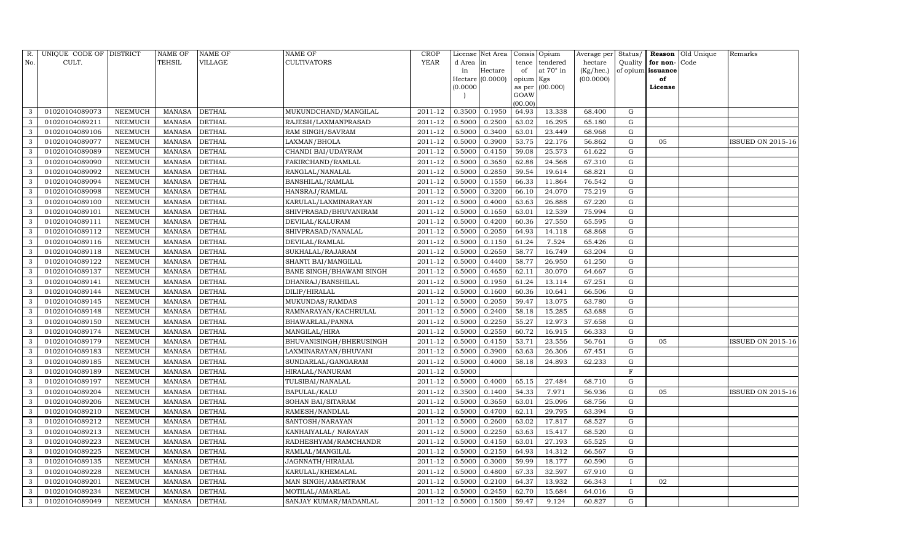| R.           | UNIQUE CODE OF DISTRICT |                | <b>NAME OF</b> | <b>NAME OF</b> | <b>NAME OF</b>           | CROP        |           | License Net Area |                | Consis Opium     | Average per | Status/      | Reason            | Old Unique | Remarks                  |
|--------------|-------------------------|----------------|----------------|----------------|--------------------------|-------------|-----------|------------------|----------------|------------------|-------------|--------------|-------------------|------------|--------------------------|
| No.          | CULT.                   |                | <b>TEHSIL</b>  | VILLAGE        | <b>CULTIVATORS</b>       | YEAR        | d Area in |                  | tence          | tendered         | hectare     | Quality      | for non-          | Code       |                          |
|              |                         |                |                |                |                          |             | in        | Hectare          | of             | at $70^\circ$ in | (Kg/hec.)   |              | of opium issuance |            |                          |
|              |                         |                |                |                |                          |             |           | Hectare (0.0000) | opium Kgs      |                  | (00.0000)   |              | of                |            |                          |
|              |                         |                |                |                |                          |             | (0.0000)  |                  | as per<br>GOAW | (00.000)         |             |              | License           |            |                          |
|              |                         |                |                |                |                          |             |           |                  | (00.00)        |                  |             |              |                   |            |                          |
| 3            | 01020104089073          | NEEMUCH        | MANASA         | <b>DETHAL</b>  | MUKUNDCHAND/MANGILAL     | 2011-12     | 0.3500    | 0.1950           | 64.93          | 13.338           | 68.400      | G            |                   |            |                          |
| 3            | 01020104089211          | NEEMUCH        | <b>MANASA</b>  | <b>DETHAL</b>  | RAJESH/LAXMANPRASAD      | 2011-12     | 0.5000    | 0.2500           | 63.02          | 16.295           | 65.180      | G            |                   |            |                          |
| 3            | 01020104089106          | <b>NEEMUCH</b> | <b>MANASA</b>  | <b>DETHAL</b>  | RAM SINGH/SAVRAM         | 2011-12     | 0.5000    | 0.3400           | 63.01          | 23.449           | 68.968      | G            |                   |            |                          |
| 3            | 01020104089077          | NEEMUCH        | MANASA         | <b>DETHAL</b>  | LAXMAN/BHOLA             | 2011-12     | 0.5000    | 0.3900           | 53.75          | 22.176           | 56.862      | ${\rm G}$    | 05                |            | ISSUED ON 2015-16        |
| 3            | 01020104089089          | <b>NEEMUCH</b> | <b>MANASA</b>  | <b>DETHAL</b>  | CHANDI BAI/UDAYRAM       | 2011-12     | 0.5000    | 0.4150           | 59.08          | 25.573           | 61.622      | $\mathbf G$  |                   |            |                          |
| 3            | 01020104089090          | NEEMUCH        | MANASA         | <b>DETHAL</b>  | FAKIRCHAND/RAMLAL        | 2011-12     | 0.5000    | 0.3650           | 62.88          | 24.568           | 67.310      | G            |                   |            |                          |
| 3            | 01020104089092          | NEEMUCH        | MANASA         | <b>DETHAL</b>  | RANGLAL/NANALAL          | $2011 - 12$ | 0.5000    | 0.2850           | 59.54          | 19.614           | 68.821      | G            |                   |            |                          |
| 3            | 01020104089094          | <b>NEEMUCH</b> | MANASA         | <b>DETHAL</b>  | <b>BANSHILAL/RAMLAL</b>  | 2011-12     | 0.5000    | 0.1550           | 66.33          | 11.864           | 76.542      | ${\rm G}$    |                   |            |                          |
| 3            | 01020104089098          | <b>NEEMUCH</b> | <b>MANASA</b>  | <b>DETHAL</b>  | HANSRAJ/RAMLAL           | 2011-12     | 0.5000    | 0.3200           | 66.10          | 24.070           | 75.219      | $\mathbf G$  |                   |            |                          |
| 3            | 01020104089100          | NEEMUCH        | MANASA         | <b>DETHAL</b>  | KARULAL/LAXMINARAYAN     | 2011-12     | 0.5000    | 0.4000           | 63.63          | 26.888           | 67.220      | ${\rm G}$    |                   |            |                          |
| 3            | 01020104089101          | <b>NEEMUCH</b> | <b>MANASA</b>  | <b>DETHAL</b>  | SHIVPRASAD/BHUVANIRAM    | 2011-12     | 0.5000    | 0.1650           | 63.01          | 12.539           | 75.994      | ${\rm G}$    |                   |            |                          |
| $\mathbf{3}$ | 01020104089111          | <b>NEEMUCH</b> | MANASA         | <b>DETHAL</b>  | DEVILAL/KALURAM          | 2011-12     | 0.5000    | 0.4200           | 60.36          | 27.550           | 65.595      | G            |                   |            |                          |
| 3            | 01020104089112          | <b>NEEMUCH</b> | <b>MANASA</b>  | <b>DETHAL</b>  | SHIVPRASAD/NANALAL       | 2011-12     | 0.5000    | 0.2050           | 64.93          | 14.118           | 68.868      | ${\rm G}$    |                   |            |                          |
| 3            | 01020104089116          | <b>NEEMUCH</b> | <b>MANASA</b>  | <b>DETHAL</b>  | DEVILAL/RAMLAL           | 2011-12     | 0.5000    | 0.1150           | 61.24          | 7.524            | 65.426      | G            |                   |            |                          |
| 3            | 01020104089118          | NEEMUCH        | MANASA         | <b>DETHAL</b>  | SUKHALAL/RAJARAM         | 2011-12     | 0.5000    | 0.2650           | 58.77          | 16.749           | 63.204      | G            |                   |            |                          |
| 3            | 01020104089122          | <b>NEEMUCH</b> | MANASA         | <b>DETHAL</b>  | SHANTI BAI/MANGILAL      | 2011-12     | 0.5000    | 0.4400           | 58.77          | 26.950           | 61.250      | $\mathbf G$  |                   |            |                          |
| 3            | 01020104089137          | <b>NEEMUCH</b> | <b>MANASA</b>  | <b>DETHAL</b>  | BANE SINGH/BHAWANI SINGH | 2011-12     | 0.5000    | 0.4650           | 62.11          | 30.070           | 64.667      | G            |                   |            |                          |
| 3            | 01020104089141          | <b>NEEMUCH</b> | MANASA         | <b>DETHAL</b>  | DHANRAJ/BANSHILAL        | 2011-12     | 0.5000    | 0.1950           | 61.24          | 13.114           | 67.251      | G            |                   |            |                          |
| 3            | 01020104089144          | <b>NEEMUCH</b> | MANASA         | <b>DETHAL</b>  | DILIP/HIRALAL            | 2011-12     | 0.5000    | 0.1600           | 60.36          | 10.641           | 66.506      | G            |                   |            |                          |
| 3            | 01020104089145          | NEEMUCH        | MANASA         | <b>DETHAL</b>  | MUKUNDAS/RAMDAS          | 2011-12     | 0.5000    | 0.2050           | 59.47          | 13.075           | 63.780      | G            |                   |            |                          |
| 3            | 01020104089148          | NEEMUCH        | MANASA         | <b>DETHAL</b>  | RAMNARAYAN/KACHRULAL     | 2011-12     | 0.5000    | 0.2400           | 58.18          | 15.285           | 63.688      | G            |                   |            |                          |
| 3            | 01020104089150          | <b>NEEMUCH</b> | <b>MANASA</b>  | <b>DETHAL</b>  | BHAWARLAL/PANNA          | 2011-12     | 0.5000    | 0.2250           | 55.27          | 12.973           | 57.658      | G            |                   |            |                          |
| 3            | 01020104089174          | NEEMUCH        | MANASA         | <b>DETHAL</b>  | MANGILAL/HIRA            | $2011 - 12$ | 0.5000    | 0.2550           | 60.72          | 16.915           | 66.333      | G            |                   |            |                          |
| 3            | 01020104089179          | <b>NEEMUCH</b> | <b>MANASA</b>  | <b>DETHAL</b>  | BHUVANISINGH/BHERUSINGH  | 2011-12     | 0.5000    | 0.4150           | 53.71          | 23.556           | 56.761      | G            | 05                |            | <b>ISSUED ON 2015-16</b> |
| 3            | 01020104089183          | <b>NEEMUCH</b> | MANASA         | <b>DETHAL</b>  | LAXMINARAYAN/BHUVANI     | 2011-12     | 0.5000    | 0.3900           | 63.63          | 26.306           | 67.451      | ${\rm G}$    |                   |            |                          |
| 3            | 01020104089185          | <b>NEEMUCH</b> | <b>MANASA</b>  | <b>DETHAL</b>  | SUNDARLAL/GANGARAM       | 2011-12     | 0.5000    | 0.4000           | 58.18          | 24.893           | 62.233      | G            |                   |            |                          |
| 3            | 01020104089189          | <b>NEEMUCH</b> | <b>MANASA</b>  | <b>DETHAL</b>  | HIRALAL/NANURAM          | 2011-12     | 0.5000    |                  |                |                  |             | $\mathbf F$  |                   |            |                          |
| 3            | 01020104089197          | <b>NEEMUCH</b> | <b>MANASA</b>  | <b>DETHAL</b>  | TULSIBAI/NANALAL         | 2011-12     | 0.5000    | 0.4000           | 65.15          | 27.484           | 68.710      | $\mathbf G$  |                   |            |                          |
| 3            | 01020104089204          | NEEMUCH        | MANASA         | <b>DETHAL</b>  | <b>BAPULAL/KALU</b>      | 2011-12     | 0.3500    | 0.1400           | 54.33          | 7.971            | 56.936      | G            | 05                |            | <b>ISSUED ON 2015-16</b> |
| 3            | 01020104089206          | NEEMUCH        | MANASA         | <b>DETHAL</b>  | SOHAN BAI/SITARAM        | 2011-12     | 0.5000    | 0.3650           | 63.01          | 25.096           | 68.756      | G            |                   |            |                          |
| 3            | 01020104089210          | <b>NEEMUCH</b> | MANASA         | <b>DETHAL</b>  | RAMESH/NANDLAL           | 2011-12     | 0.5000    | 0.4700           | 62.11          | 29.795           | 63.394      | $\mathbf G$  |                   |            |                          |
| 3            | 01020104089212          | <b>NEEMUCH</b> | <b>MANASA</b>  | <b>DETHAL</b>  | SANTOSH/NARAYAN          | 2011-12     | 0.5000    | 0.2600           | 63.02          | 17.817           | 68.527      | $\mathbf G$  |                   |            |                          |
| 3            | 01020104089213          | <b>NEEMUCH</b> | <b>MANASA</b>  | <b>DETHAL</b>  | KANHAIYALAL/ NARAYAN     | 2011-12     | 0.5000    | 0.2250           | 63.63          | 15.417           | 68.520      | ${\rm G}$    |                   |            |                          |
| 3            | 01020104089223          | <b>NEEMUCH</b> | <b>MANASA</b>  | <b>DETHAL</b>  | RADHESHYAM/RAMCHANDR     | 2011-12     | 0.5000    | 0.4150           | 63.01          | 27.193           | 65.525      | G            |                   |            |                          |
| 3            | 01020104089225          | <b>NEEMUCH</b> | MANASA         | <b>DETHAL</b>  | RAMLAL/MANGILAL          | 2011-12     | 0.5000    | 0.2150           | 64.93          | 14.312           | 66.567      | ${\rm G}$    |                   |            |                          |
| 3            | 01020104089135          | <b>NEEMUCH</b> | <b>MANASA</b>  | <b>DETHAL</b>  | JAGNNATH/HIRALAL         | 2011-12     | 0.5000    | 0.3000           | 59.99          | 18.177           | 60.590      | $\mathbf G$  |                   |            |                          |
| 3            | 01020104089228          | <b>NEEMUCH</b> | MANASA         | <b>DETHAL</b>  | KARULAL/KHEMALAL         | 2011-12     | 0.5000    | 0.4800           | 67.33          | 32.597           | 67.910      | G            |                   |            |                          |
| 3            | 01020104089201          | NEEMUCH        | MANASA         | <b>DETHAL</b>  | MAN SINGH/AMARTRAM       | 2011-12     | 0.5000    | 0.2100           | 64.37          | 13.932           | 66.343      | $\mathbf{I}$ | 02                |            |                          |
| 3            | 01020104089234          | <b>NEEMUCH</b> | MANASA         | <b>DETHAL</b>  | MOTILAL/AMARLAL          | 2011-12     | 0.5000    | 0.2450           | 62.70          | 15.684           | 64.016      | G            |                   |            |                          |
| 3            | 01020104089049          | <b>NEEMUCH</b> | MANASA DETHAL  |                | SANJAY KUMAR/MADANLAL    | 2011-12     | 0.5000    | 0.1500           | 59.47          | 9.124            | 60.827      | G            |                   |            |                          |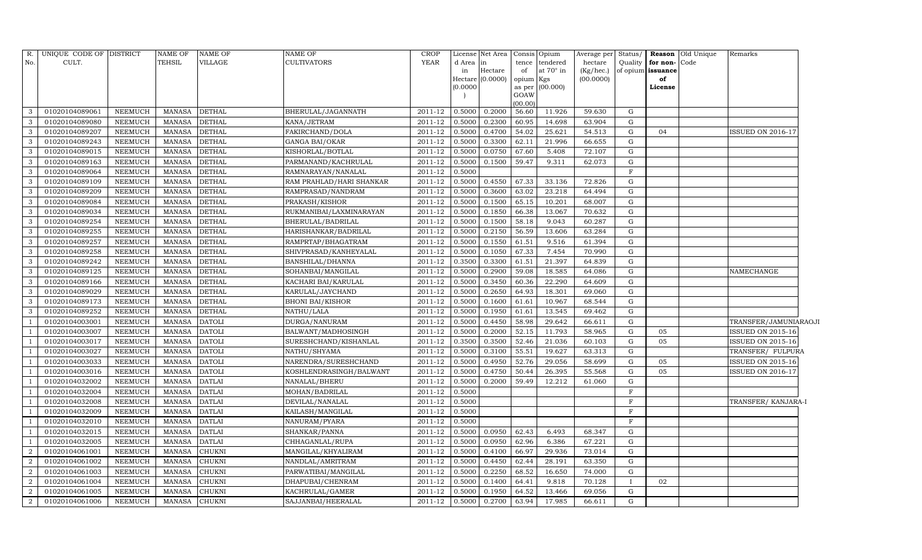| R.               | UNIQUE CODE OF DISTRICT |                | <b>NAME OF</b> | <b>NAME OF</b> | NAME OF                  | CROP        |           | License Net Area   Consis   Opium |                     |           | Average per Status/ |              |                   | <b>Reason</b> Old Unique | Remarks                  |  |
|------------------|-------------------------|----------------|----------------|----------------|--------------------------|-------------|-----------|-----------------------------------|---------------------|-----------|---------------------|--------------|-------------------|--------------------------|--------------------------|--|
| No.              | CULT.                   |                | TEHSIL         | VILLAGE        | CULTIVATORS              | <b>YEAR</b> | d Area in |                                   | tence               | tendered  | hectare             | Quality      | for non-Code      |                          |                          |  |
|                  |                         |                |                |                |                          |             | in        | Hectare                           | of                  | at 70° in | (Kg/hec.)           |              | of opium issuance |                          |                          |  |
|                  |                         |                |                |                |                          |             | (0.0000)  | Hectare (0.0000)                  | opium Kgs<br>as per | (00.000)  | (00.0000)           |              | of<br>License     |                          |                          |  |
|                  |                         |                |                |                |                          |             |           |                                   | GOAW                |           |                     |              |                   |                          |                          |  |
|                  |                         |                |                |                |                          |             |           |                                   | (00.00)             |           |                     |              |                   |                          |                          |  |
| 3                | 01020104089061          | <b>NEEMUCH</b> | <b>MANASA</b>  | <b>DETHAL</b>  | BHERULAL/JAGANNATH       | 2011-12     | 0.5000    | 0.2000                            | 56.60               | 11.926    | 59.630              | G            |                   |                          |                          |  |
| 3                | 01020104089080          | NEEMUCH        | <b>MANASA</b>  | <b>DETHAL</b>  | KANA/JETRAM              | 2011-12     | 0.5000    | 0.2300                            | 60.95               | 14.698    | 63.904              | G            |                   |                          |                          |  |
| 3                | 01020104089207          | <b>NEEMUCH</b> | <b>MANASA</b>  | <b>DETHAL</b>  | FAKIRCHAND/DOLA          | 2011-12     | 0.5000    | 0.4700                            | 54.02               | 25.621    | 54.513              | G            | 04                |                          | <b>ISSUED ON 2016-17</b> |  |
| 3                | 01020104089243          | NEEMUCH        | <b>MANASA</b>  | <b>DETHAL</b>  | <b>GANGA BAI/OKAR</b>    | 2011-12     | 0.5000    | 0.3300                            | 62.11               | 21.996    | 66.655              | G            |                   |                          |                          |  |
| 3                | 01020104089015          | NEEMUCH        | <b>MANASA</b>  | <b>DETHAL</b>  | KISHORLAL/BOTLAL         | 2011-12     | 0.5000    | 0.0750                            | 67.60               | 5.408     | 72.107              | G            |                   |                          |                          |  |
| 3                | 01020104089163          | <b>NEEMUCH</b> | <b>MANASA</b>  | <b>DETHAL</b>  | PARMANAND/KACHRULAL      | 2011-12     | 0.5000    | 0.1500                            | 59.47               | 9.311     | 62.073              | G            |                   |                          |                          |  |
| 3                | 01020104089064          | NEEMUCH        | <b>MANASA</b>  | <b>DETHAL</b>  | RAMNARAYAN/NANALAL       | 2011-12     | 0.5000    |                                   |                     |           |                     | F            |                   |                          |                          |  |
| 3                | 01020104089109          | <b>NEEMUCH</b> | <b>MANASA</b>  | <b>DETHAL</b>  | RAM PRAHLAD/HARI SHANKAR | 2011-12     | 0.5000    | 0.4550                            | 67.33               | 33.136    | 72.826              | G            |                   |                          |                          |  |
| 3                | 01020104089209          | NEEMUCH        | <b>MANASA</b>  | <b>DETHAL</b>  | RAMPRASAD/NANDRAM        | 2011-12     | 0.5000    | 0.3600                            | 63.02               | 23.218    | 64.494              | G            |                   |                          |                          |  |
| 3                | 01020104089084          | NEEMUCH        | <b>MANASA</b>  | <b>DETHAL</b>  | PRAKASH/KISHOR           | 2011-12     | 0.5000    | 0.1500                            | 65.15               | 10.201    | 68.007              | G            |                   |                          |                          |  |
| 3                | 01020104089034          | NEEMUCH        | <b>MANASA</b>  | <b>DETHAL</b>  | RUKMANIBAI/LAXMINARAYAN  | 2011-12     | 0.5000    | 0.1850                            | 66.38               | 13.067    | 70.632              | G            |                   |                          |                          |  |
| 3                | 01020104089254          | <b>NEEMUCH</b> | <b>MANASA</b>  | <b>DETHAL</b>  | BHERULAL/BADRILAL        | 2011-12     | 0.5000    | 0.1500                            | 58.18               | 9.043     | 60.287              | G            |                   |                          |                          |  |
| 3                | 01020104089255          | <b>NEEMUCH</b> | <b>MANASA</b>  | <b>DETHAL</b>  | HARISHANKAR/BADRILAL     | 2011-12     | 0.5000    | 0.2150                            | 56.59               | 13.606    | 63.284              | $\mathbf G$  |                   |                          |                          |  |
| 3                | 01020104089257          | NEEMUCH        | <b>MANASA</b>  | <b>DETHAL</b>  | RAMPRTAP/BHAGATRAM       | 2011-12     | 0.5000    | 0.1550                            | 61.51               | 9.516     | 61.394              | G            |                   |                          |                          |  |
| 3                | 01020104089258          | <b>NEEMUCH</b> | <b>MANASA</b>  | <b>DETHAL</b>  | SHIVPRASAD/KANHEYALAL    | 2011-12     | 0.5000    | 0.1050                            | 67.33               | 7.454     | 70.990              | $\mathbf G$  |                   |                          |                          |  |
| 3                | 01020104089242          | <b>NEEMUCH</b> | <b>MANASA</b>  | <b>DETHAL</b>  | BANSHILAL/DHANNA         | 2011-12     | 0.3500    | 0.3300                            | 61.51               | 21.397    | 64.839              | G            |                   |                          |                          |  |
| 3                | 01020104089125          | <b>NEEMUCH</b> | <b>MANASA</b>  | <b>DETHAL</b>  | SOHANBAI/MANGILAL        | 2011-12     | 0.5000    | 0.2900                            | 59.08               | 18.585    | 64.086              | G            |                   |                          | NAMECHANGE               |  |
| 3                | 01020104089166          | NEEMUCH        | <b>MANASA</b>  | <b>DETHAL</b>  | KACHARI BAI/KARULAL      | 2011-12     | 0.5000    | 0.3450                            | 60.36               | 22.290    | 64.609              | G            |                   |                          |                          |  |
| 3                | 01020104089029          | <b>NEEMUCH</b> | <b>MANASA</b>  | <b>DETHAL</b>  | KARULAL/JAYCHAND         | 2011-12     | 0.5000    | 0.2650                            | 64.93               | 18.301    | 69.060              | G            |                   |                          |                          |  |
| 3                | 01020104089173          | <b>NEEMUCH</b> | <b>MANASA</b>  | <b>DETHAL</b>  | <b>BHONI BAI/KISHOR</b>  | 2011-12     | 0.5000    | 0.1600                            | 61.61               | 10.967    | 68.544              | G            |                   |                          |                          |  |
| 3                | 01020104089252          | NEEMUCH        | <b>MANASA</b>  | <b>DETHAL</b>  | NATHU/LALA               | 2011-12     | 0.5000    | 0.1950                            | 61.61               | 13.545    | 69.462              | G            |                   |                          |                          |  |
|                  | 01020104003001          | NEEMUCH        | <b>MANASA</b>  | <b>DATOLI</b>  | DURGA/NANURAM            | 2011-12     | 0.5000    | 0.4450                            | 58.98               | 29.642    | 66.611              | G            |                   |                          | TRANSFER/JAMUNIARAOJI    |  |
|                  | 01020104003007          | NEEMUCH        | <b>MANASA</b>  | <b>DATOLI</b>  | BALWANT/MADHOSINGH       | 2011-12     | 0.5000    | 0.2000                            | 52.15               | 11.793    | 58.965              | G            | 05                |                          | <b>ISSUED ON 2015-16</b> |  |
|                  | 01020104003017          | <b>NEEMUCH</b> | <b>MANASA</b>  | <b>DATOLI</b>  | SURESHCHAND/KISHANLAL    | 2011-12     | 0.3500    | 0.3500                            | 52.46               | 21.036    | 60.103              | ${\rm G}$    | 05                |                          | <b>ISSUED ON 2015-16</b> |  |
|                  | 01020104003027          | NEEMUCH        | <b>MANASA</b>  | <b>DATOLI</b>  | NATHU/SHYAMA             | 2011-12     | 0.5000    | 0.3100                            | 55.51               | 19.627    | 63.313              | G            |                   |                          | TRANSFER/ FULPURA        |  |
|                  | 01020104003033          | NEEMUCH        | <b>MANASA</b>  | <b>DATOLI</b>  | NARENDRA/SURESHCHAND     | 2011-12     | 0.5000    | 0.4950                            | 52.76               | 29.056    | 58.699              | G            | 05                |                          | <b>ISSUED ON 2015-16</b> |  |
|                  | 01020104003016          | <b>NEEMUCH</b> | <b>MANASA</b>  | <b>DATOLI</b>  | KOSHLENDRASINGH/BALWANT  | 2011-12     | 0.5000    | 0.4750                            | 50.44               | 26.395    | 55.568              | $\mathbf G$  | 05                |                          | <b>ISSUED ON 2016-17</b> |  |
|                  | 01020104032002          | NEEMUCH        | <b>MANASA</b>  | <b>DATLAI</b>  | NANALAL/BHERU            | 2011-12     | 0.5000    | 0.2000                            | 59.49               | 12.212    | 61.060              | G            |                   |                          |                          |  |
|                  | 01020104032004          | <b>NEEMUCH</b> | <b>MANASA</b>  | <b>DATLAI</b>  | MOHAN/BADRILAL           | 2011-12     | 0.5000    |                                   |                     |           |                     | F            |                   |                          |                          |  |
|                  | 01020104032008          | <b>NEEMUCH</b> | <b>MANASA</b>  | <b>DATLAI</b>  | DEVILAL/NANALAL          | 2011-12     | 0.5000    |                                   |                     |           |                     | F            |                   |                          | TRANSFER/ KANJARA-I      |  |
|                  | 01020104032009          | NEEMUCH        | <b>MANASA</b>  | <b>DATLAI</b>  | KAILASH/MANGILAL         | 2011-12     | 0.5000    |                                   |                     |           |                     | F            |                   |                          |                          |  |
|                  | 01020104032010          | <b>NEEMUCH</b> | <b>MANASA</b>  | <b>DATLAI</b>  | NANURAM/PYARA            | 2011-12     | 0.5000    |                                   |                     |           |                     | F            |                   |                          |                          |  |
|                  | 01020104032015          | NEEMUCH        | <b>MANASA</b>  | <b>DATLAI</b>  | SHANKAR/PANNA            | 2011-12     | 0.5000    | 0.0950                            | 62.43               | 6.493     | 68.347              | G            |                   |                          |                          |  |
|                  | 01020104032005          | NEEMUCH        | <b>MANASA</b>  | <b>DATLAI</b>  | CHHAGANLAL/RUPA          | 2011-12     | 0.5000    | 0.0950                            | 62.96               | 6.386     | 67.221              | G            |                   |                          |                          |  |
| $\overline{2}$   | 01020104061001          | NEEMUCH        | <b>MANASA</b>  | <b>CHUKNI</b>  | MANGILAL/KHYALIRAM       | 2011-12     | 0.5000    | 0.4100                            | 66.97               | 29.936    | 73.014              | G            |                   |                          |                          |  |
| $\overline{2}$   | 01020104061002          | NEEMUCH        | <b>MANASA</b>  | <b>CHUKNI</b>  | NANDLAL/AMRITRAM         | 2011-12     | 0.5000    | 0.4450                            | 62.44               | 28.191    | 63.350              | G            |                   |                          |                          |  |
| $\overline{2}$   | 01020104061003          | NEEMUCH        | <b>MANASA</b>  | <b>CHUKNI</b>  | PARWATIBAI/MANGILAL      | 2011-12     | 0.5000    | 0.2250                            | 68.52               | 16.650    | 74.000              | ${\rm G}$    |                   |                          |                          |  |
| $\overline{2}$   | 01020104061004          | NEEMUCH        | <b>MANASA</b>  | <b>CHUKNI</b>  | DHAPUBAI/CHENRAM         | 2011-12     | 0.5000    | 0.1400                            | 64.41               | 9.818     | 70.128              | $\mathbf{I}$ | 02                |                          |                          |  |
| $\sqrt{2}$       | 01020104061005          | <b>NEEMUCH</b> | <b>MANASA</b>  | <b>CHUKNI</b>  | KACHRULAL/GAMER          | 2011-12     | 0.5000    | 0.1950                            | 64.52               | 13.466    | 69.056              | G            |                   |                          |                          |  |
| $\boldsymbol{2}$ | 01020104061006          | <b>NEEMUCH</b> | <b>MANASA</b>  | <b>CHUKNI</b>  | SAJJANBAI/HEERALAL       | 2011-12     | 0.5000    | 0.2700                            | 63.94               | 17.985    | 66.611              | $\mathbf G$  |                   |                          |                          |  |
|                  |                         |                |                |                |                          |             |           |                                   |                     |           |                     |              |                   |                          |                          |  |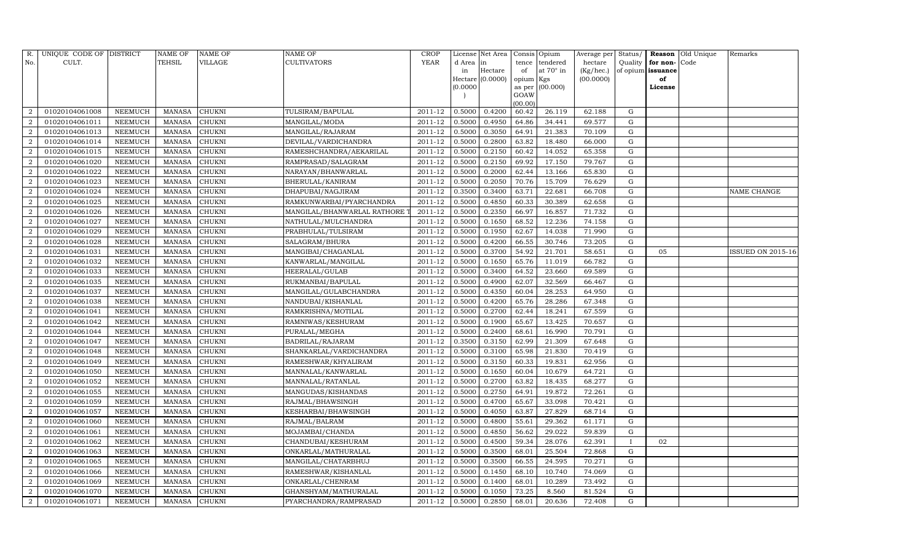| R.             | UNIQUE CODE OF DISTRICT |                | <b>NAME OF</b> | <b>NAME OF</b> | <b>NAME OF</b>              | CROP        |           | License Net Area |                     | Consis Opium     | Average per | Status/      | Reason            | Old Unique | Remarks           |
|----------------|-------------------------|----------------|----------------|----------------|-----------------------------|-------------|-----------|------------------|---------------------|------------------|-------------|--------------|-------------------|------------|-------------------|
| No.            | CULT.                   |                | <b>TEHSIL</b>  | VILLAGE        | <b>CULTIVATORS</b>          | <b>YEAR</b> | d Area in |                  | tence               | tendered         | hectare     | Quality      | for non-          | Code       |                   |
|                |                         |                |                |                |                             |             | in        | Hectare          | of                  | at $70^\circ$ in | (Kg/hec.)   |              | of opium issuance |            |                   |
|                |                         |                |                |                |                             |             | (0.0000)  | Hectare (0.0000) | opium Kgs<br>as per | (00.000)         | (00.0000)   |              | of<br>License     |            |                   |
|                |                         |                |                |                |                             |             |           |                  | GOAW                |                  |             |              |                   |            |                   |
|                |                         |                |                |                |                             |             |           |                  | (00.00)             |                  |             |              |                   |            |                   |
| $\overline{2}$ | 01020104061008          | NEEMUCH        | MANASA         | <b>CHUKNI</b>  | TULSIRAM/BAPULAL            | 2011-12     | 0.5000    | 0.4200           | 60.42               | 26.119           | 62.188      | G            |                   |            |                   |
| $\overline{2}$ | 01020104061011          | <b>NEEMUCH</b> | MANASA         | <b>CHUKNI</b>  | MANGILAL/MODA               | 2011-12     | 0.5000    | 0.4950           | 64.86               | 34.441           | 69.577      | G            |                   |            |                   |
| $\overline{2}$ | 01020104061013          | <b>NEEMUCH</b> | <b>MANASA</b>  | <b>CHUKNI</b>  | MANGILAL/RAJARAM            | 2011-12     | 0.5000    | 0.3050           | 64.91               | 21.383           | 70.109      | G            |                   |            |                   |
| $\overline{2}$ | 01020104061014          | NEEMUCH        | MANASA         | <b>CHUKNI</b>  | DEVILAL/VARDICHANDRA        | 2011-12     | 0.5000    | 0.2800           | 63.82               | 18.480           | 66.000      | G            |                   |            |                   |
| 2              | 01020104061015          | NEEMUCH        | MANASA         | <b>CHUKNI</b>  | RAMESHCHANDRA/AEKARILAL     | 2011-12     | 0.5000    | 0.2150           | 60.42               | 14.052           | 65.358      | G            |                   |            |                   |
| $\overline{2}$ | 01020104061020          | NEEMUCH        | MANASA         | CHUKNI         | RAMPRASAD/SALAGRAM          | 2011-12     | 0.5000    | 0.2150           | 69.92               | 17.150           | 79.767      | G            |                   |            |                   |
| $\overline{2}$ | 01020104061022          | NEEMUCH        | <b>MANASA</b>  | <b>CHUKNI</b>  | NARAYAN/BHANWARLAL          | 2011-12     | 0.5000    | 0.2000           | 62.44               | 13.166           | 65.830      | G            |                   |            |                   |
| 2              | 01020104061023          | <b>NEEMUCH</b> | MANASA         | <b>CHUKNI</b>  | BHERULAL/KANIRAM            | 2011-12     | 0.5000    | 0.2050           | 70.76               | 15.709           | 76.629      | G            |                   |            |                   |
| $\overline{2}$ | 01020104061024          | NEEMUCH        | MANASA         | CHUKNI         | DHAPUBAI/NAGJIRAM           | 2011-12     | 0.3500    | 0.3400           | 63.71               | 22.681           | 66.708      | $\mathbf G$  |                   |            | NAME CHANGE       |
| $\overline{2}$ | 01020104061025          | NEEMUCH        | MANASA         | <b>CHUKNI</b>  | RAMKUNWARBAI/PYARCHANDRA    | 2011-12     | 0.5000    | 0.4850           | 60.33               | 30.389           | 62.658      | G            |                   |            |                   |
| $\overline{2}$ | 01020104061026          | NEEMUCH        | <b>MANASA</b>  | <b>CHUKNI</b>  | MANGILAL/BHANWARLAL RATHORE | 2011-12     | 0.5000    | 0.2350           | 66.97               | 16.857           | 71.732      | G            |                   |            |                   |
| 2              | 01020104061027          | <b>NEEMUCH</b> | MANASA         | <b>CHUKNI</b>  | NATHULAL/MULCHANDRA         | 2011-12     | 0.5000    | 0.1650           | 68.52               | 12.236           | 74.158      | ${\rm G}$    |                   |            |                   |
| $\overline{2}$ | 01020104061029          | NEEMUCH        | MANASA         | <b>CHUKNI</b>  | PRABHULAL/TULSIRAM          | 2011-12     | 0.5000    | 0.1950           | 62.67               | 14.038           | 71.990      | G            |                   |            |                   |
| $\overline{2}$ | 01020104061028          | <b>NEEMUCH</b> | <b>MANASA</b>  | <b>CHUKNI</b>  | SALAGRAM/BHURA              | 2011-12     | 0.5000    | 0.4200           | 66.55               | 30.746           | 73.205      | G            |                   |            |                   |
| $\overline{2}$ | 01020104061031          | <b>NEEMUCH</b> | <b>MANASA</b>  | <b>CHUKNI</b>  | MANGIBAI/CHAGANLAL          | 2011-12     | 0.5000    | 0.3700           | 54.92               | 21.701           | 58.651      | G            | 05                |            | ISSUED ON 2015-16 |
| $\overline{2}$ | 01020104061032          | NEEMUCH        | MANASA         | <b>CHUKNI</b>  | KANWARLAL/MANGILAL          | 2011-12     | 0.5000    | 0.1650           | 65.76               | 11.019           | 66.782      | G            |                   |            |                   |
| $\overline{2}$ | 01020104061033          | NEEMUCH        | <b>MANASA</b>  | <b>CHUKNI</b>  | HEERALAL/GULAB              | 2011-12     | 0.5000    | 0.3400           | 64.52               | 23.660           | 69.589      | G            |                   |            |                   |
| $\overline{2}$ | 01020104061035          | <b>NEEMUCH</b> | MANASA         | <b>CHUKNI</b>  | RUKMANBAI/BAPULAL           | 2011-12     | 0.5000    | 0.4900           | 62.07               | 32.569           | 66.467      | G            |                   |            |                   |
| $\overline{2}$ | 01020104061037          | NEEMUCH        | MANASA         | <b>CHUKNI</b>  | MANGILAL/GULABCHANDRA       | 2011-12     | 0.5000    | 0.4350           | 60.04               | 28.253           | 64.950      | G            |                   |            |                   |
| 2              | 01020104061038          | NEEMUCH        | MANASA         | <b>CHUKNI</b>  | NANDUBAI/KISHANLAL          | 2011-12     | 0.5000    | 0.4200           | 65.76               | 28.286           | 67.348      | G            |                   |            |                   |
| $\overline{2}$ | 01020104061041          | NEEMUCH        | MANASA         | <b>CHUKNI</b>  | RAMKRISHNA/MOTILAL          | 2011-12     | 0.5000    | 0.2700           | 62.44               | 18.241           | 67.559      | G            |                   |            |                   |
| $\overline{2}$ | 01020104061042          | <b>NEEMUCH</b> | <b>MANASA</b>  | <b>CHUKNI</b>  | RAMNIWAS/KESHURAM           | 2011-12     | 0.5000    | 0.1900           | 65.67               | 13.425           | 70.657      | G            |                   |            |                   |
| $\overline{2}$ | 01020104061044          | NEEMUCH        | MANASA         | CHUKNI         | PURALAL/MEGHA               | 2011-12     | 0.5000    | 0.2400           | 68.61               | 16.990           | 70.791      | ${\rm G}$    |                   |            |                   |
| $\overline{2}$ | 01020104061047          | <b>NEEMUCH</b> | <b>MANASA</b>  | <b>CHUKNI</b>  | BADRILAL/RAJARAM            | 2011-12     | 0.3500    | 0.3150           | 62.99               | 21.309           | 67.648      | ${\rm G}$    |                   |            |                   |
| $\overline{2}$ | 01020104061048          | NEEMUCH        | MANASA         | CHUKNI         | SHANKARLAL/VARDICHANDRA     | 2011-12     | 0.5000    | 0.3100           | 65.98               | 21.830           | 70.419      | G            |                   |            |                   |
| $\overline{2}$ | 01020104061049          | NEEMUCH        | MANASA         | <b>CHUKNI</b>  | RAMESHWAR/KHYALIRAM         | 2011-12     | 0.5000    | 0.3150           | 60.33               | 19.831           | 62.956      | G            |                   |            |                   |
| $\overline{2}$ | 01020104061050          | NEEMUCH        | MANASA         | <b>CHUKNI</b>  | MANNALAL/KANWARLAL          | 2011-12     | 0.5000    | 0.1650           | 60.04               | 10.679           | 64.721      | $\mathbf G$  |                   |            |                   |
| $\overline{2}$ | 01020104061052          | NEEMUCH        | <b>MANASA</b>  | CHUKNI         | MANNALAL/RATANLAL           | 2011-12     | 0.5000    | 0.2700           | 63.82               | 18.435           | 68.277      | G            |                   |            |                   |
| $\overline{2}$ | 01020104061055          | <b>NEEMUCH</b> | MANASA         | <b>CHUKNI</b>  | MANGUDAS/KISHANDAS          | 2011-12     | 0.5000    | 0.2750           | 64.91               | 19.872           | 72.261      | G            |                   |            |                   |
| $\overline{2}$ | 01020104061059          | NEEMUCH        | MANASA         | <b>CHUKNI</b>  | RAJMAL/BHAWSINGH            | 2011-12     | 0.5000    | 0.4700           | 65.67               | 33.098           | 70.421      | G            |                   |            |                   |
| $\overline{2}$ | 01020104061057          | NEEMUCH        | MANASA         | <b>CHUKNI</b>  | KESHARBAI/BHAWSINGH         | 2011-12     | 0.5000    | 0.4050           | 63.87               | 27.829           | 68.714      | G            |                   |            |                   |
| $\overline{2}$ | 01020104061060          | NEEMUCH        | <b>MANASA</b>  | <b>CHUKNI</b>  | RAJMAL/BALRAM               | 2011-12     | 0.5000    | 0.4800           | 55.61               | 29.362           | 61.171      | G            |                   |            |                   |
| $\overline{2}$ | 01020104061061          | <b>NEEMUCH</b> | <b>MANASA</b>  | <b>CHUKNI</b>  | MOJAMBAI/CHANDA             | 2011-12     | 0.5000    | 0.4850           | 56.62               | 29.022           | 59.839      | G            |                   |            |                   |
| $\overline{2}$ | 01020104061062          | NEEMUCH        | MANASA         | <b>CHUKNI</b>  | CHANDUBAI/KESHURAM          | 2011-12     | 0.5000    | 0.4500           | 59.34               | 28.076           | 62.391      | $\mathbf{I}$ | 02                |            |                   |
| $\overline{2}$ | 01020104061063          | <b>NEEMUCH</b> | <b>MANASA</b>  | <b>CHUKNI</b>  | ONKARLAL/MATHURALAL         | 2011-12     | 0.5000    | 0.3500           | 68.01               | 25.504           | 72.868      | G            |                   |            |                   |
| $\overline{2}$ | 01020104061065          | <b>NEEMUCH</b> | MANASA         | CHUKNI         | MANGILAL/CHATARBHUJ         | 2011-12     | 0.5000    | 0.3500           | 66.55               | 24.595           | 70.271      | G            |                   |            |                   |
| $\overline{2}$ | 01020104061066          | NEEMUCH        | MANASA         | <b>CHUKNI</b>  | RAMESHWAR/KISHANLAL         | 2011-12     | 0.5000    | 0.1450           | 68.10               | 10.740           | 74.069      | G            |                   |            |                   |
| $\overline{2}$ | 01020104061069          | <b>NEEMUCH</b> | MANASA         | <b>CHUKNI</b>  | ONKARLAL/CHENRAM            | 2011-12     | 0.5000    | 0.1400           | 68.01               | 10.289           | 73.492      | ${\rm G}$    |                   |            |                   |
| $\overline{2}$ | 01020104061070          | <b>NEEMUCH</b> | <b>MANASA</b>  | <b>CHUKNI</b>  | GHANSHYAM/MATHURALAL        | 2011-12     | 0.5000    | 0.1050           | 73.25               | 8.560            | 81.524      | G            |                   |            |                   |
| $\overline{2}$ | 01020104061071          | NEEMUCH        | MANASA         | <b>CHUKNI</b>  | PYARCHANDRA/RAMPRASAD       | 2011-12     | 0.5000    | 0.2850           | 68.01               | 20.636           | 72.408      | G            |                   |            |                   |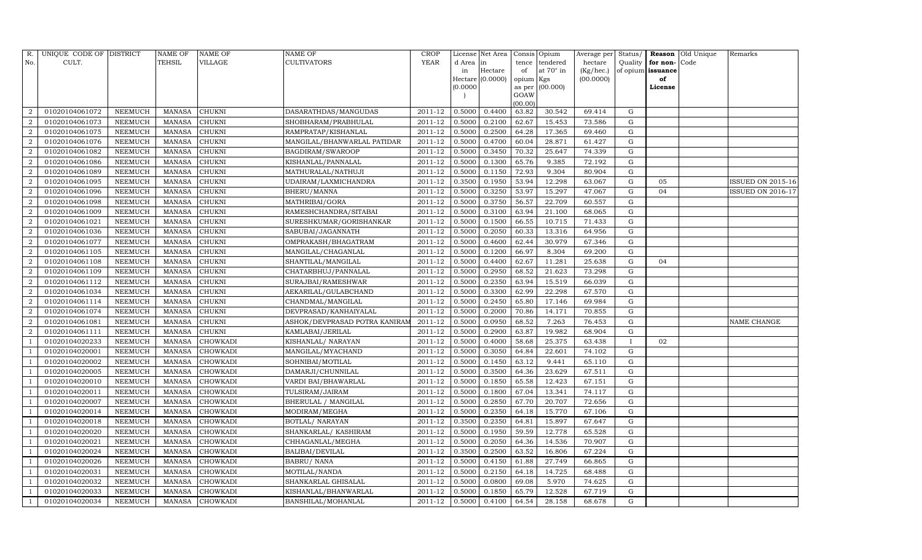| R.                     | UNIQUE CODE OF DISTRICT |         | NAME OF       | NAME OF       | NAME OF                       | CROP        |           | License Net Area | Consis         | Opium     | Average per | Status/      | Reason            | Old Unique | Remarks                  |
|------------------------|-------------------------|---------|---------------|---------------|-------------------------------|-------------|-----------|------------------|----------------|-----------|-------------|--------------|-------------------|------------|--------------------------|
| No.                    | CULT.                   |         | TEHSIL        | VILLAGE       | <b>CULTIVATORS</b>            | <b>YEAR</b> | d Area in |                  | tence          | tendered  | hectare     | Quality      | for non-          | Code       |                          |
|                        |                         |         |               |               |                               |             | in        | Hectare          | of             | at 70° in | (Kg/hec.)   |              | of opium issuance |            |                          |
|                        |                         |         |               |               |                               |             |           | Hectare (0.0000) | opium Kgs      |           | (00.0000)   |              | of                |            |                          |
|                        |                         |         |               |               |                               |             | (0.0000)  |                  | as per<br>GOAW | (00.000)  |             |              | License           |            |                          |
|                        |                         |         |               |               |                               |             |           |                  | (00.00)        |           |             |              |                   |            |                          |
| 2                      | 01020104061072          | NEEMUCH | MANASA        | <b>CHUKNI</b> | DASARATHDAS/MANGUDAS          | 2011-12     | 0.5000    | 0.4400           | 63.82          | 30.542    | 69.414      | G            |                   |            |                          |
| $\overline{2}$         | 01020104061073          | NEEMUCH | <b>MANASA</b> | CHUKNI        | SHOBHARAM/PRABHULAL           | 2011-12     | 0.5000    | 0.2100           | 62.67          | 15.453    | 73.586      | G            |                   |            |                          |
| $\overline{2}$         | 01020104061075          | NEEMUCH | <b>MANASA</b> | CHUKNI        | RAMPRATAP/KISHANLAL           | 2011-12     | 0.5000    | 0.2500           | 64.28          | 17.365    | 69.460      | G            |                   |            |                          |
| $\overline{2}$         | 01020104061076          | NEEMUCH | MANASA        | CHUKNI        | MANGILAL/BHANWARLAL PATIDAR   | 2011-12     | 0.5000    | 0.4700           | 60.04          | 28.871    | 61.427      | G            |                   |            |                          |
| 2                      | 01020104061082          | NEEMUCH | <b>MANASA</b> | CHUKNI        | BAGDIRAM/SWAROOP              | 2011-12     | 0.5000    | 0.3450           | 70.32          | 25.647    | 74.339      | G            |                   |            |                          |
|                        | 01020104061086          | NEEMUCH | <b>MANASA</b> | CHUKNI        | KISHANLAL/PANNALAL            | 2011-12     | 0.5000    | 0.1300           | 65.76          | 9.385     | 72.192      | G            |                   |            |                          |
| $\overline{2}$         | 01020104061089          | NEEMUCH | <b>MANASA</b> | CHUKNI        | MATHURALAL/NATHUJI            | 2011-12     | 0.5000    | 0.1150           | 72.93          | 9.304     | 80.904      | G            |                   |            |                          |
| 2                      | 01020104061095          | NEEMUCH | <b>MANASA</b> | CHUKNI        | UDAIRAM/LAXMICHANDRA          | 2011-12     | 0.3500    | 0.1950           | 53.94          | 12.298    | 63.067      | G            | 05                |            | ISSUED ON 2015-16        |
| 2                      | 01020104061096          | NEEMUCH | MANASA        | CHUKNI        | BHERU/MANNA                   | 2011-12     | 0.5000    | 0.3250           | 53.97          | 15.297    | 47.067      | G            | 04                |            | <b>ISSUED ON 2016-17</b> |
|                        | 01020104061098          | NEEMUCH | MANASA        | CHUKNI        | MATHRIBAI/GORA                | 2011-12     | 0.5000    | 0.3750           | 56.57          | 22.709    | 60.557      | G            |                   |            |                          |
| 2                      | 01020104061009          | NEEMUCH | <b>MANASA</b> | <b>CHUKNI</b> | RAMESHCHANDRA/SITABAI         | 2011-12     | 0.5000    | 0.3100           | 63.94          | 21.100    | 68.065      | G            |                   |            |                          |
| 2                      | 01020104061021          | NEEMUCH | <b>MANASA</b> | CHUKNI        | SURESHKUMAR/GORISHANKAR       | 2011-12     | 0.5000    | 0.1500           | 66.55          | 10.715    | 71.433      | ${\rm G}$    |                   |            |                          |
| $\overline{2}$         | 01020104061036          | NEEMUCH | <b>MANASA</b> | CHUKNI        | SABUBAI/JAGANNATH             | 2011-12     | 0.5000    | 0.2050           | 60.33          | 13.316    | 64.956      | G            |                   |            |                          |
| $\overline{2}$         | 01020104061077          | NEEMUCH | <b>MANASA</b> | CHUKNI        | OMPRAKASH/BHAGATRAM           | 2011-12     | 0.5000    | 0.4600           | 62.44          | 30.979    | 67.346      | G            |                   |            |                          |
| $\overline{2}$         | 01020104061105          | NEEMUCH | <b>MANASA</b> | CHUKNI        | MANGILAL/CHAGANLAL            | 2011-12     | 0.5000    | 0.1200           | 66.97          | 8.304     | 69.200      | G            |                   |            |                          |
| 2                      | 01020104061108          | NEEMUCH | MANASA        | CHUKNI        | SHANTILAL/MANGILAL            | 2011-12     | 0.5000    | 0.4400           | 62.67          | 11.281    | 25.638      | G            | 04                |            |                          |
| $\mathcal{D}_{\alpha}$ | 01020104061109          | NEEMUCH | <b>MANASA</b> | CHUKNI        | CHATARBHUJ/PANNALAL           | 2011-12     | 0.5000    | 0.2950           | 68.52          | 21.623    | 73.298      | G            |                   |            |                          |
|                        | 01020104061112          | NEEMUCH | <b>MANASA</b> | CHUKNI        | SURAJBAI/RAMESHWAR            | 2011-12     | 0.5000    | 0.2350           | 63.94          | 15.519    | 66.039      | G            |                   |            |                          |
| $\overline{2}$         | 01020104061034          | NEEMUCH | <b>MANASA</b> | CHUKNI        | AEKARILAL/GULABCHAND          | 2011-12     | 0.5000    | 0.3300           | 62.99          | 22.298    | 67.570      | G            |                   |            |                          |
| $\mathcal{D}$          | 01020104061114          | NEEMUCH | MANASA        | CHUKNI        | CHANDMAL/MANGILAL             | 2011-12     | 0.5000    | 0.2450           | 65.80          | 17.146    | 69.984      | G            |                   |            |                          |
|                        | 01020104061074          | NEEMUCH | <b>MANASA</b> | CHUKNI        | DEVPRASAD/KANHAIYALAL         | 2011-12     | 0.5000    | 0.2000           | 70.86          | 14.171    | 70.855      | G            |                   |            |                          |
| 2                      | 01020104061081          | NEEMUCH | <b>MANASA</b> | <b>CHUKNI</b> | ASHOK/DEVPRASAD POTRA KANIRAM | 2011-12     | 0.5000    | 0.0950           | 68.52          | 7.263     | 76.453      | G            |                   |            | NAME CHANGE              |
| $\overline{2}$         | 01020104061111          | NEEMUCH | MANASA        | CHUKNI        | KAMLABAI/JERILAL              | 2011-12     | 0.5000    | 0.2900           | 63.87          | 19.982    | 68.904      | ${\rm G}$    |                   |            |                          |
|                        | 01020104020233          | NEEMUCH | <b>MANASA</b> | CHOWKADI      | KISHANLAL/ NARAYAN            | 2011-12     | 0.5000    | 0.4000           | 58.68          | 25.375    | 63.438      | $\mathbf{I}$ | 02                |            |                          |
|                        | 01020104020001          | NEEMUCH | MANASA        | CHOWKADI      | MANGILAL/MYACHAND             | 2011-12     | 0.5000    | 0.3050           | 64.84          | 22.601    | 74.102      | G            |                   |            |                          |
|                        | 01020104020002          | NEEMUCH | <b>MANASA</b> | CHOWKADI      | SOHNIBAI/MOTILAL              | 2011-12     | 0.5000    | 0.1450           | 63.12          | 9.441     | 65.110      | G            |                   |            |                          |
|                        | 01020104020005          | NEEMUCH | <b>MANASA</b> | CHOWKADI      | DAMARJI/CHUNNILAL             | 2011-12     | 0.5000    | 0.3500           | 64.36          | 23.629    | 67.511      | G            |                   |            |                          |
|                        | 01020104020010          | NEEMUCH | <b>MANASA</b> | CHOWKADI      | VARDI BAI/BHAWARLAL           | 2011-12     | 0.5000    | 0.1850           | 65.58          | 12.423    | 67.151      | G            |                   |            |                          |
|                        | 01020104020011          | NEEMUCH | <b>MANASA</b> | CHOWKADI      | TULSIRAM/JAIRAM               | 2011-12     | 0.5000    | 0.1800           | 67.04          | 13.341    | 74.117      | G            |                   |            |                          |
|                        | 01020104020007          | NEEMUCH | <b>MANASA</b> | CHOWKADI      | BHERULAL / MANGILAL           | 2011-12     | 0.5000    | 0.2850           | 67.70          | 20.707    | 72.656      | G            |                   |            |                          |
|                        | 01020104020014          | NEEMUCH | MANASA        | CHOWKADI      | MODIRAM/MEGHA                 | 2011-12     | 0.5000    | 0.2350           | 64.18          | 15.770    | 67.106      | G            |                   |            |                          |
|                        | 01020104020018          | NEEMUCH | <b>MANASA</b> | CHOWKADI      | BOTLAL/ NARAYAN               | 2011-12     | 0.3500    | 0.2350           | 64.81          | 15.897    | 67.647      | G            |                   |            |                          |
|                        | 01020104020020          | NEEMUCH | <b>MANASA</b> | CHOWKADI      | SHANKARLAL/KASHIRAM           | 2011-12     | 0.5000    | 0.1950           | 59.59          | 12.778    | 65.528      | G            |                   |            |                          |
|                        | 01020104020021          | NEEMUCH | MANASA        | CHOWKADI      | CHHAGANLAL/MEGHA              | 2011-12     | 0.5000    | 0.2050           | 64.36          | 14.536    | 70.907      | G            |                   |            |                          |
|                        | 01020104020024          | NEEMUCH | <b>MANASA</b> | CHOWKADI      | <b>BALIBAI/DEVILAL</b>        | 2011-12     | 0.3500    | 0.2500           | 63.52          | 16.806    | 67.224      | G            |                   |            |                          |
|                        | 01020104020026          | NEEMUCH | <b>MANASA</b> | CHOWKADI      | <b>BABRU/ NANA</b>            | 2011-12     | 0.5000    | 0.4150           | 61.88          | 27.749    | 66.865      | G            |                   |            |                          |
|                        | 01020104020031          | NEEMUCH | <b>MANASA</b> | CHOWKADI      | MOTILAL/NANDA                 | 2011-12     | 0.5000    | 0.2150           | 64.18          | 14.725    | 68.488      | G            |                   |            |                          |
|                        | 01020104020032          | NEEMUCH | <b>MANASA</b> | CHOWKADI      | SHANKARLAL GHISALAL           | 2011-12     | 0.5000    | 0.0800           | 69.08          | 5.970     | 74.625      | G            |                   |            |                          |
|                        | 01020104020033          | NEEMUCH | MANASA        | CHOWKADI      | KISHANLAL/BHANWARLAL          | 2011-12     | 0.5000    | 0.1850           | 65.79          | 12.528    | 67.719      | G            |                   |            |                          |
|                        | 01020104020034          | NEEMUCH | MANASA        | CHOWKADI      | BANSHILAL/MOHANLAL            | 2011-12     | 0.5000    | 0.4100           | 64.54          | 28.158    | 68.678      | G            |                   |            |                          |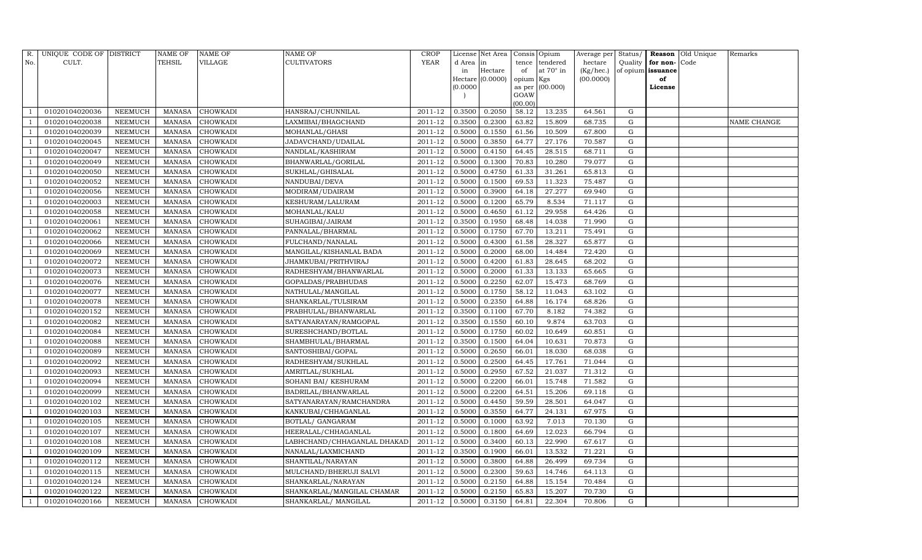| R.             | UNIQUE CODE OF DISTRICT |                | NAME OF       | <b>NAME OF</b>  | <b>NAME OF</b>              | CROP    |           | License Net Area |                 | Consis Opium     | Average per | Status/     |                   | <b>Reason</b> Old Unique | Remarks     |
|----------------|-------------------------|----------------|---------------|-----------------|-----------------------------|---------|-----------|------------------|-----------------|------------------|-------------|-------------|-------------------|--------------------------|-------------|
| No.            | CULT.                   |                | <b>TEHSIL</b> | VILLAGE         | <b>CULTIVATORS</b>          | YEAR    | d Area in |                  | tence           | tendered         | hectare     | Quality     | for non-          | Code                     |             |
|                |                         |                |               |                 |                             |         | in        | Hectare          | of              | at $70^\circ$ in | (Kg/hec.)   |             | of opium issuance |                          |             |
|                |                         |                |               |                 |                             |         |           | Hectare (0.0000) | opium Kgs       |                  | (00.0000)   |             | of                |                          |             |
|                |                         |                |               |                 |                             |         | (0.0000)  |                  | as per          | (00.000)         |             |             | License           |                          |             |
|                |                         |                |               |                 |                             |         |           |                  | GOAW<br>(00.00) |                  |             |             |                   |                          |             |
|                | 01020104020036          | NEEMUCH        | MANASA        | <b>CHOWKADI</b> | HANSRAJ/CHUNNILAL           | 2011-12 | 0.3500    | 0.2050           | 58.12           | 13.235           | 64.561      | G           |                   |                          |             |
|                | 01020104020038          | NEEMUCH        | MANASA        | <b>CHOWKADI</b> | LAXMIBAI/BHAGCHAND          | 2011-12 | 0.3500    | 0.2300           | 63.82           | 15.809           | 68.735      | G           |                   |                          | NAME CHANGE |
|                | 01020104020039          | <b>NEEMUCH</b> | <b>MANASA</b> | <b>CHOWKADI</b> | MOHANLAL/GHASI              | 2011-12 | 0.5000    | 0.1550           | 61.56           | 10.509           | 67.800      | G           |                   |                          |             |
|                | 01020104020045          | NEEMUCH        | MANASA        | <b>CHOWKADI</b> | JADAVCHAND/UDAILAL          | 2011-12 | 0.5000    | 0.3850           | 64.77           | 27.176           | 70.587      | ${\rm G}$   |                   |                          |             |
|                | 01020104020047          | NEEMUCH        | MANASA        | <b>CHOWKADI</b> | NANDLAL/KASHIRAM            | 2011-12 | 0.5000    | 0.4150           | 64.45           | 28.515           | 68.711      | G           |                   |                          |             |
|                | 01020104020049          | NEEMUCH        | MANASA        | <b>CHOWKADI</b> | BHANWARLAL/GORILAL          | 2011-12 | 0.5000    | 0.1300           | 70.83           | 10.280           | 79.077      | G           |                   |                          |             |
|                | 01020104020050          | NEEMUCH        | MANASA        | <b>CHOWKADI</b> | SUKHLAL/GHISALAL            | 2011-12 | 0.5000    | 0.4750           | 61.33           | 31.261           | 65.813      | G           |                   |                          |             |
|                | 01020104020052          | NEEMUCH        | MANASA        | <b>CHOWKADI</b> | NANDUBAI/DEVA               | 2011-12 | 0.5000    | 0.1500           | 69.53           | 11.323           | 75.487      | G           |                   |                          |             |
|                | 01020104020056          | <b>NEEMUCH</b> | <b>MANASA</b> | <b>CHOWKADI</b> | MODIRAM/UDAIRAM             | 2011-12 | 0.5000    | 0.3900           | 64.18           | 27.277           | 69.940      | $\mathbf G$ |                   |                          |             |
|                | 01020104020003          | NEEMUCH        | MANASA        | <b>CHOWKADI</b> | KESHURAM/LALURAM            | 2011-12 | 0.5000    | 0.1200           | 65.79           | 8.534            | 71.117      | G           |                   |                          |             |
|                | 01020104020058          | NEEMUCH        | MANASA        | <b>CHOWKADI</b> | MOHANLAL/KALU               | 2011-12 | 0.5000    | 0.4650           | 61.12           | 29.958           | 64.426      | G           |                   |                          |             |
|                | 01020104020061          | <b>NEEMUCH</b> | MANASA        | CHOWKADI        | SUHAGIBAI/JAIRAM            | 2011-12 | 0.3500    | 0.1950           | 68.48           | 14.038           | 71.990      | G           |                   |                          |             |
|                | 01020104020062          | NEEMUCH        | <b>MANASA</b> | <b>CHOWKADI</b> | PANNALAL/BHARMAL            | 2011-12 | 0.5000    | 0.1750           | 67.70           | 13.211           | 75.491      | G           |                   |                          |             |
|                | 01020104020066          | <b>NEEMUCH</b> | <b>MANASA</b> | <b>CHOWKADI</b> | FULCHAND/NANALAL            | 2011-12 | 0.5000    | 0.4300           | 61.58           | 28.327           | 65.877      | G           |                   |                          |             |
|                | 01020104020069          | <b>NEEMUCH</b> | MANASA        | <b>CHOWKADI</b> | MANGILAL/KISHANLAL BADA     | 2011-12 | 0.5000    | 0.2000           | 68.00           | 14.484           | 72.420      | G           |                   |                          |             |
|                | 01020104020072          | <b>NEEMUCH</b> | <b>MANASA</b> | <b>CHOWKADI</b> | JHAMKUBAI/PRITHVIRAJ        | 2011-12 | 0.5000    | 0.4200           | 61.83           | 28.645           | 68.202      | G           |                   |                          |             |
|                | 01020104020073          | NEEMUCH        | <b>MANASA</b> | CHOWKADI        | RADHESHYAM/BHANWARLAL       | 2011-12 | 0.5000    | 0.2000           | 61.33           | 13.133           | 65.665      | G           |                   |                          |             |
|                | 01020104020076          | <b>NEEMUCH</b> | <b>MANASA</b> | <b>CHOWKADI</b> | GOPALDAS/PRABHUDAS          | 2011-12 | 0.5000    | 0.2250           | 62.07           | 15.473           | 68.769      | G           |                   |                          |             |
|                | 01020104020077          | <b>NEEMUCH</b> | MANASA        | <b>CHOWKADI</b> | NATHULAL/MANGILAL           | 2011-12 | 0.5000    | 0.1750           | 58.12           | 11.043           | 63.102      | ${\rm G}$   |                   |                          |             |
|                | 01020104020078          | <b>NEEMUCH</b> | <b>MANASA</b> | <b>CHOWKADI</b> | SHANKARLAL/TULSIRAM         | 2011-12 | 0.5000    | 0.2350           | 64.88           | 16.174           | 68.826      | $\mathbf G$ |                   |                          |             |
|                | 01020104020152          | NEEMUCH        | MANASA        | <b>CHOWKADI</b> | PRABHULAL/BHANWARLAL        | 2011-12 | 0.3500    | 0.1100           | 67.70           | 8.182            | 74.382      | ${\rm G}$   |                   |                          |             |
|                | 01020104020082          | NEEMUCH        | <b>MANASA</b> | <b>CHOWKADI</b> | SATYANARAYAN/RAMGOPAL       | 2011-12 | 0.3500    | 0.1550           | 60.10           | 9.874            | 63.703      | ${\rm G}$   |                   |                          |             |
|                | 01020104020084          | <b>NEEMUCH</b> | MANASA        | <b>CHOWKADI</b> | SURESHCHAND/BOTLAL          | 2011-12 | 0.5000    | 0.1750           | 60.02           | 10.649           | 60.851      | $\mathbf G$ |                   |                          |             |
|                | 01020104020088          | NEEMUCH        | <b>MANASA</b> | <b>CHOWKADI</b> | SHAMBHULAL/BHARMAL          | 2011-12 | 0.3500    | 0.1500           | 64.04           | 10.631           | 70.873      | $\mathbf G$ |                   |                          |             |
|                | 01020104020089          | <b>NEEMUCH</b> | MANASA        | <b>CHOWKADI</b> | SANTOSHIBAI/GOPAL           | 2011-12 | 0.5000    | 0.2650           | 66.01           | 18.030           | 68.038      | G           |                   |                          |             |
|                | 01020104020092          | <b>NEEMUCH</b> | MANASA        | <b>CHOWKADI</b> | RADHESHYAM/SUKHLAL          | 2011-12 | 0.5000    | 0.2500           | 64.45           | 17.761           | 71.044      | G           |                   |                          |             |
|                | 01020104020093          | <b>NEEMUCH</b> | MANASA        | <b>CHOWKADI</b> | AMRITLAL/SUKHLAL            | 2011-12 | 0.5000    | 0.2950           | 67.52           | 21.037           | 71.312      | ${\rm G}$   |                   |                          |             |
|                | 01020104020094          | <b>NEEMUCH</b> | <b>MANASA</b> | <b>CHOWKADI</b> | SOHANI BAI/ KESHURAM        | 2011-12 | 0.5000    | 0.2200           | 66.01           | 15.748           | 71.582      | $\mathbf G$ |                   |                          |             |
|                | 01020104020099          | <b>NEEMUCH</b> | MANASA        | <b>CHOWKADI</b> | BADRILAL/BHANWARLAL         | 2011-12 | 0.5000    | 0.2200           | 64.51           | 15.206           | 69.118      | G           |                   |                          |             |
|                | 01020104020102          | NEEMUCH        | <b>MANASA</b> | <b>CHOWKADI</b> | SATYANARAYAN/RAMCHANDRA     | 2011-12 | 0.5000    | 0.4450           | 59.59           | 28.501           | 64.047      | ${\rm G}$   |                   |                          |             |
|                | 01020104020103          | <b>NEEMUCH</b> | MANASA        | <b>CHOWKADI</b> | KANKUBAI/CHHAGANLAL         | 2011-12 | 0.5000    | 0.3550           | 64.77           | 24.131           | 67.975      | G           |                   |                          |             |
|                | 01020104020105          | <b>NEEMUCH</b> | MANASA        | <b>CHOWKADI</b> | BOTLAL/ GANGARAM            | 2011-12 | 0.5000    | 0.1000           | 63.92           | 7.013            | 70.130      | G           |                   |                          |             |
|                | 01020104020107          | <b>NEEMUCH</b> | <b>MANASA</b> | <b>CHOWKADI</b> | HEERALAL/CHHAGANLAL         | 2011-12 | 0.5000    | 0.1800           | 64.69           | 12.023           | 66.794      | G           |                   |                          |             |
|                | 01020104020108          | NEEMUCH        | MANASA        | <b>CHOWKADI</b> | LABHCHAND/CHHAGANLAL DHAKAD | 2011-12 | 0.5000    | 0.3400           | 60.13           | 22.990           | 67.617      | G           |                   |                          |             |
|                | 01020104020109          | NEEMUCH        | MANASA        | <b>CHOWKADI</b> | NANALAL/LAXMICHAND          | 2011-12 | 0.3500    | 0.1900           | 66.01           | 13.532           | 71.221      | $\mathbf G$ |                   |                          |             |
|                | 01020104020112          | NEEMUCH        | MANASA        | <b>CHOWKADI</b> | SHANTILAL/NARAYAN           | 2011-12 | 0.5000    | 0.3800           | 64.88           | 26.499           | 69.734      | G           |                   |                          |             |
|                | 01020104020115          | NEEMUCH        | MANASA        | <b>CHOWKADI</b> | MULCHAND/BHERUJI SALVI      | 2011-12 | 0.5000    | 0.2300           | 59.63           | 14.746           | 64.113      | G           |                   |                          |             |
|                | 01020104020124          | <b>NEEMUCH</b> | MANASA        | CHOWKADI        | SHANKARLAL/NARAYAN          | 2011-12 | 0.5000    | 0.2150           | 64.88           | 15.154           | 70.484      | ${\rm G}$   |                   |                          |             |
|                | 01020104020122          | <b>NEEMUCH</b> | <b>MANASA</b> | <b>CHOWKADI</b> | SHANKARLAL/MANGILAL CHAMAR  | 2011-12 | 0.5000    | 0.2150           | 65.83           | 15.207           | 70.730      | G           |                   |                          |             |
| $\overline{1}$ | 01020104020166          | NEEMUCH        |               | MANASA CHOWKADI | SHANKARLAL/ MANGILAL        | 2011-12 | 0.5000    | 0.3150           | 64.81           | 22.304           | 70.806      | G           |                   |                          |             |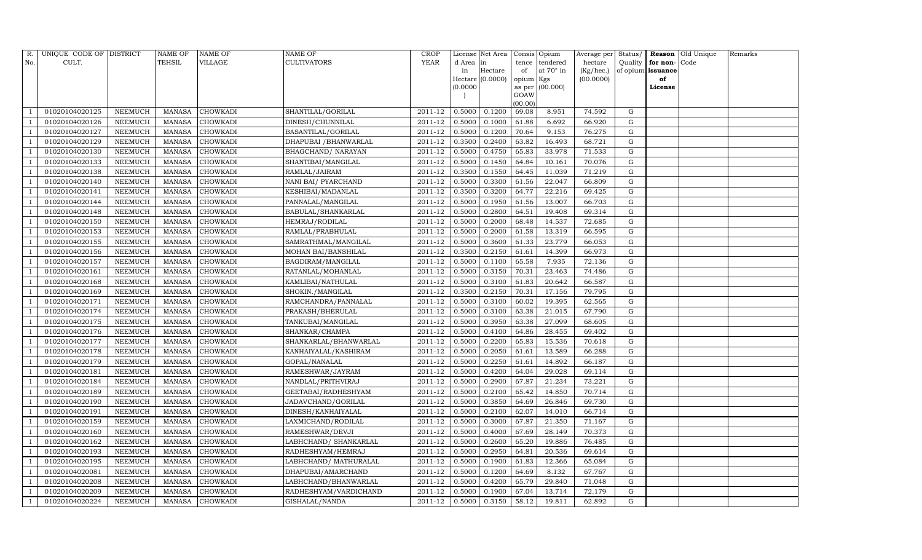| R.             | UNIQUE CODE OF DISTRICT |                | <b>NAME OF</b> | <b>NAME OF</b>  | <b>NAME OF</b>            | <b>CROP</b> |           | License Net Area |                | Consis Opium     | Average per | Status/     |                   | <b>Reason</b> Old Unique | Remarks |
|----------------|-------------------------|----------------|----------------|-----------------|---------------------------|-------------|-----------|------------------|----------------|------------------|-------------|-------------|-------------------|--------------------------|---------|
| No.            | CULT.                   |                | <b>TEHSIL</b>  | VILLAGE         | <b>CULTIVATORS</b>        | YEAR        | d Area in |                  | tence          | tendered         | hectare     | Quality     | for non-          | Code                     |         |
|                |                         |                |                |                 |                           |             | in        | Hectare          | of             | at $70^\circ$ in | (Kg/hec.)   |             | of opium issuance |                          |         |
|                |                         |                |                |                 |                           |             |           | Hectare (0.0000) | opium Kgs      |                  | (00.0000)   |             | of                |                          |         |
|                |                         |                |                |                 |                           |             | (0.0000)  |                  | as per<br>GOAW | (00.000)         |             |             | License           |                          |         |
|                |                         |                |                |                 |                           |             |           |                  | (00.00)        |                  |             |             |                   |                          |         |
|                | 01020104020125          | NEEMUCH        | MANASA         | <b>CHOWKADI</b> | SHANTILAL/GORILAL         | 2011-12     | 0.5000    | 0.1200           | 69.08          | 8.951            | 74.592      | G           |                   |                          |         |
|                | 01020104020126          | NEEMUCH        | MANASA         | <b>CHOWKADI</b> | DINESH/CHUNNILAL          | 2011-12     | 0.5000    | 0.1000           | 61.88          | 6.692            | 66.920      | G           |                   |                          |         |
|                | 01020104020127          | <b>NEEMUCH</b> | <b>MANASA</b>  | <b>CHOWKADI</b> | BASANTILAL/GORILAL        | 2011-12     | 0.5000    | 0.1200           | 70.64          | 9.153            | 76.275      | G           |                   |                          |         |
|                | 01020104020129          | NEEMUCH        | MANASA         | <b>CHOWKADI</b> | DHAPUBAI / BHANWARLAL     | 2011-12     | 0.3500    | 0.2400           | 63.82          | 16.493           | 68.721      | ${\rm G}$   |                   |                          |         |
|                | 01020104020130          | NEEMUCH        | <b>MANASA</b>  | <b>CHOWKADI</b> | <b>BHAGCHAND/ NARAYAN</b> | 2011-12     | 0.5000    | 0.4750           | 65.83          | 33.978           | 71.533      | $\mathbf G$ |                   |                          |         |
|                | 01020104020133          | NEEMUCH        | MANASA         | <b>CHOWKADI</b> | SHANTIBAI/MANGILAL        | 2011-12     | 0.5000    | 0.1450           | 64.84          | 10.161           | 70.076      | G           |                   |                          |         |
|                | 01020104020138          | NEEMUCH        | MANASA         | <b>CHOWKADI</b> | RAMLAL/JAIRAM             | $2011 - 12$ | 0.3500    | 0.1550           | 64.45          | 11.039           | 71.219      | G           |                   |                          |         |
|                | 01020104020140          | NEEMUCH        | MANASA         | <b>CHOWKADI</b> | NANI BAI/ PYARCHAND       | 2011-12     | 0.5000    | 0.3300           | 61.56          | 22.047           | 66.809      | ${\rm G}$   |                   |                          |         |
|                | 01020104020141          | <b>NEEMUCH</b> | <b>MANASA</b>  | <b>CHOWKADI</b> | KESHIBAI/MADANLAL         | 2011-12     | 0.3500    | 0.3200           | 64.77          | 22.216           | 69.425      | $\mathbf G$ |                   |                          |         |
|                | 01020104020144          | NEEMUCH        | MANASA         | <b>CHOWKADI</b> | PANNALAL/MANGILAL         | 2011-12     | 0.5000    | 0.1950           | 61.56          | 13.007           | 66.703      | ${\rm G}$   |                   |                          |         |
|                | 01020104020148          | <b>NEEMUCH</b> | <b>MANASA</b>  | <b>CHOWKADI</b> | BABULAL/SHANKARLAL        | 2011-12     | 0.5000    | 0.2800           | 64.51          | 19.408           | 69.314      | ${\rm G}$   |                   |                          |         |
|                | 01020104020150          | <b>NEEMUCH</b> | MANASA         | <b>CHOWKADI</b> | HEMRAJ/RODILAL            | 2011-12     | 0.5000    | 0.2000           | 68.48          | 14.537           | 72.685      | G           |                   |                          |         |
|                | 01020104020153          | <b>NEEMUCH</b> | <b>MANASA</b>  | <b>CHOWKADI</b> | RAMLAL/PRABHULAL          | 2011-12     | 0.5000    | 0.2000           | 61.58          | 13.319           | 66.595      | ${\rm G}$   |                   |                          |         |
|                | 01020104020155          | <b>NEEMUCH</b> | <b>MANASA</b>  | <b>CHOWKADI</b> | SAMRATHMAL/MANGILAL       | 2011-12     | 0.5000    | 0.3600           | 61.33          | 23.779           | 66.053      | G           |                   |                          |         |
|                | 01020104020156          | NEEMUCH        | MANASA         | <b>CHOWKADI</b> | MOHAN BAI/BANSHILAL       | 2011-12     | 0.3500    | 0.2150           | 61.61          | 14.399           | 66.973      | G           |                   |                          |         |
|                | 01020104020157          | NEEMUCH        | MANASA         | <b>CHOWKADI</b> | BAGDIRAM/MANGILAL         | 2011-12     | 0.5000    | 0.1100           | 65.58          | 7.935            | 72.136      | $\mathbf G$ |                   |                          |         |
|                | 01020104020161          | <b>NEEMUCH</b> | <b>MANASA</b>  | <b>CHOWKADI</b> | RATANLAL/MOHANLAL         | 2011-12     | 0.5000    | 0.3150           | 70.31          | 23.463           | 74.486      | G           |                   |                          |         |
|                | 01020104020168          | <b>NEEMUCH</b> | MANASA         | <b>CHOWKADI</b> | KAMLIBAI/NATHULAL         | 2011-12     | 0.5000    | 0.3100           | 61.83          | 20.642           | 66.587      | G           |                   |                          |         |
|                | 01020104020169          | NEEMUCH        | MANASA         | <b>CHOWKADI</b> | SHOKIN./MANGILAL          | 2011-12     | 0.3500    | 0.2150           | 70.31          | 17.156           | 79.795      | G           |                   |                          |         |
|                | 01020104020171          | NEEMUCH        | MANASA         | <b>CHOWKADI</b> | RAMCHANDRA/PANNALAL       | 2011-12     | 0.5000    | 0.3100           | 60.02          | 19.395           | 62.565      | G           |                   |                          |         |
|                | 01020104020174          | NEEMUCH        | MANASA         | <b>CHOWKADI</b> | PRAKASH/BHERULAL          | 2011-12     | 0.5000    | 0.3100           | 63.38          | 21.015           | 67.790      | G           |                   |                          |         |
|                | 01020104020175          | <b>NEEMUCH</b> | <b>MANASA</b>  | <b>CHOWKADI</b> | TANKUBAI/MANGILAL         | 2011-12     | 0.5000    | 0.3950           | 63.38          | 27.099           | 68.605      | G           |                   |                          |         |
|                | 01020104020176          | NEEMUCH        | MANASA         | <b>CHOWKADI</b> | SHANKAR/CHAMPA            | $2011 - 12$ | 0.5000    | 0.4100           | 64.86          | 28.455           | 69.402      | G           |                   |                          |         |
|                | 01020104020177          | NEEMUCH        | <b>MANASA</b>  | <b>CHOWKADI</b> | SHANKARLAL/BHANWARLAL     | 2011-12     | 0.5000    | 0.2200           | 65.83          | 15.536           | 70.618      | G           |                   |                          |         |
|                | 01020104020178          | <b>NEEMUCH</b> | <b>MANASA</b>  | CHOWKADI        | KANHAIYALAL/KASHIRAM      | 2011-12     | 0.5000    | 0.2050           | 61.61          | 13.589           | 66.288      | G           |                   |                          |         |
|                | 01020104020179          | <b>NEEMUCH</b> | <b>MANASA</b>  | <b>CHOWKADI</b> | GOPAL/NANALAL             | 2011-12     | 0.5000    | 0.2250           | 61.61          | 14.892           | 66.187      | G           |                   |                          |         |
|                | 01020104020181          | NEEMUCH        | <b>MANASA</b>  | <b>CHOWKADI</b> | RAMESHWAR/JAYRAM          | 2011-12     | 0.5000    | 0.4200           | 64.04          | 29.028           | 69.114      | ${\rm G}$   |                   |                          |         |
|                | 01020104020184          | <b>NEEMUCH</b> | <b>MANASA</b>  | <b>CHOWKADI</b> | NANDLAL/PRITHVIRAJ        | 2011-12     | 0.5000    | 0.2900           | 67.87          | 21.234           | 73.221      | $\mathbf G$ |                   |                          |         |
|                | 01020104020189          | NEEMUCH        | MANASA         | <b>CHOWKADI</b> | GEETABAI/RADHESHYAM       | 2011-12     | 0.5000    | 0.2100           | 65.42          | 14.850           | 70.714      | G           |                   |                          |         |
|                | 01020104020190          | NEEMUCH        | MANASA         | <b>CHOWKADI</b> | JADAVCHAND/GORILAL        | 2011-12     | 0.5000    | 0.3850           | 64.69          | 26.846           | 69.730      | ${\rm G}$   |                   |                          |         |
|                | 01020104020191          | <b>NEEMUCH</b> | MANASA         | <b>CHOWKADI</b> | DINESH/KANHAIYALAL        | 2011-12     | 0.5000    | 0.2100           | 62.07          | 14.010           | 66.714      | $\mathbf G$ |                   |                          |         |
|                | 01020104020159          | NEEMUCH        | <b>MANASA</b>  | <b>CHOWKADI</b> | LAXMICHAND/RODILAL        | 2011-12     | 0.5000    | 0.3000           | 67.87          | 21.350           | 71.167      | $\mathbf G$ |                   |                          |         |
|                | 01020104020160          | <b>NEEMUCH</b> | MANASA         | <b>CHOWKADI</b> | RAMESHWAR/DEVJI           | 2011-12     | 0.5000    | 0.4000           | 67.69          | 28.149           | 70.373      | ${\rm G}$   |                   |                          |         |
|                | 01020104020162          | <b>NEEMUCH</b> | MANASA         | <b>CHOWKADI</b> | LABHCHAND/ SHANKARLAL     | 2011-12     | 0.5000    | 0.2600           | 65.20          | 19.886           | 76.485      | G           |                   |                          |         |
|                | 01020104020193          | NEEMUCH        | MANASA         | <b>CHOWKADI</b> | RADHESHYAM/HEMRAJ         | 2011-12     | 0.5000    | 0.2950           | 64.81          | 20.536           | 69.614      | ${\rm G}$   |                   |                          |         |
|                | 01020104020195          | <b>NEEMUCH</b> | <b>MANASA</b>  | <b>CHOWKADI</b> | LABHCHAND/ MATHURALAL     | 2011-12     | 0.5000    | 0.1900           | 61.83          | 12.366           | 65.084      | ${\rm G}$   |                   |                          |         |
|                | 01020104020081          | <b>NEEMUCH</b> | MANASA         | <b>CHOWKADI</b> | DHAPUBAI/AMARCHAND        | 2011-12     | 0.5000    | 0.1200           | 64.69          | 8.132            | 67.767      | G           |                   |                          |         |
|                | 01020104020208          | NEEMUCH        | <b>MANASA</b>  | <b>CHOWKADI</b> | LABHCHAND/BHANWARLAL      | 2011-12     | 0.5000    | 0.4200           | 65.79          | 29.840           | 71.048      | G           |                   |                          |         |
| $\overline{1}$ | 01020104020209          | <b>NEEMUCH</b> | MANASA         | <b>CHOWKADI</b> | RADHESHYAM/VARDICHAND     | 2011-12     | 0.5000    | 0.1900           | 67.04          | 13.714           | 72.179      | G           |                   |                          |         |
| $\overline{1}$ | 01020104020224          | <b>NEEMUCH</b> |                | MANASA CHOWKADI | GISHALAL/NANDA            | 2011-12     | 0.5000    | 0.3150           | 58.12          | 19.811           | 62.892      | G           |                   |                          |         |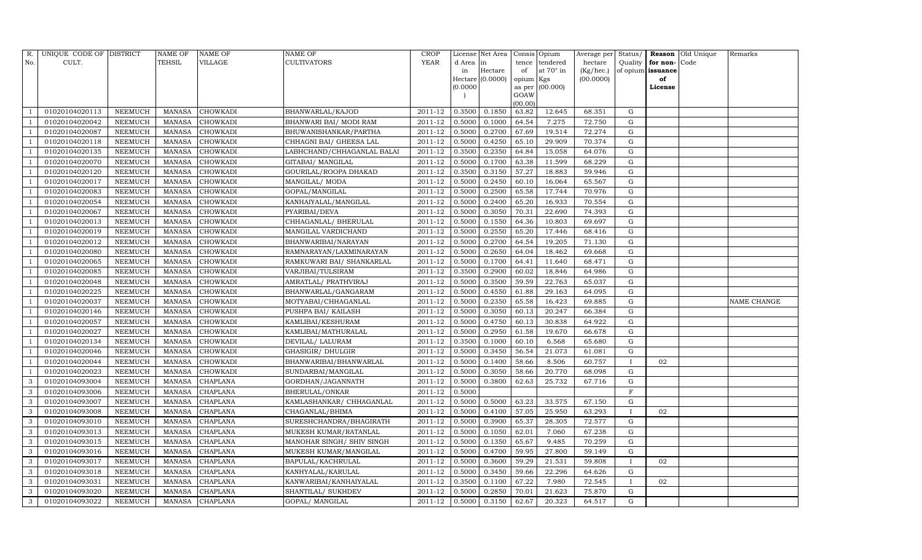| R.         | UNIQUE CODE OF DISTRICT |                | <b>NAME OF</b> | <b>NAME OF</b>  | <b>NAME OF</b>             | <b>CROP</b> |           | License Net Area |                | Consis Opium | Average per | Status/      | Reason            | Old Unique | Remarks     |
|------------|-------------------------|----------------|----------------|-----------------|----------------------------|-------------|-----------|------------------|----------------|--------------|-------------|--------------|-------------------|------------|-------------|
| No.        | CULT.                   |                | <b>TEHSIL</b>  | VILLAGE         | <b>CULTIVATORS</b>         | YEAR        | d Area in |                  | tence          | tendered     | hectare     | Quality      | for non-          | Code       |             |
|            |                         |                |                |                 |                            |             | in        | Hectare          | of             | at 70° in    | (Kg/hec.)   |              | of opium issuance |            |             |
|            |                         |                |                |                 |                            |             |           | Hectare (0.0000) | opium Kgs      |              | (00.0000)   |              | of                |            |             |
|            |                         |                |                |                 |                            |             | (0.0000)  |                  | as per<br>GOAW | (00.000)     |             |              | License           |            |             |
|            |                         |                |                |                 |                            |             |           |                  | (00.00)        |              |             |              |                   |            |             |
|            | 01020104020113          | NEEMUCH        | MANASA         | <b>CHOWKADI</b> | BHANWARLAL/KAJOD           | 2011-12     | 0.3500    | 0.1850           | 63.82          | 12.645       | 68.351      | G            |                   |            |             |
|            | 01020104020042          | NEEMUCH        | <b>MANASA</b>  | <b>CHOWKADI</b> | BHANWARI BAI/ MODI RAM     | 2011-12     | 0.5000    | 0.1000           | 64.54          | 7.275        | 72.750      | G            |                   |            |             |
|            | 01020104020087          | <b>NEEMUCH</b> | <b>MANASA</b>  | <b>CHOWKADI</b> | BHUWANISHANKAR/PARTHA      | 2011-12     | 0.5000    | 0.2700           | 67.69          | 19.514       | 72.274      | G            |                   |            |             |
|            | 01020104020118          | <b>NEEMUCH</b> | <b>MANASA</b>  | <b>CHOWKADI</b> | CHHAGNI BAI/ GHEESA LAL    | 2011-12     | 0.5000    | 0.4250           | 65.10          | 29.909       | 70.374      | G            |                   |            |             |
|            | 01020104020135          | <b>NEEMUCH</b> | <b>MANASA</b>  | <b>CHOWKADI</b> | LABHCHAND/CHHAGANLAL BALAI | 2011-12     | 0.3500    | 0.2350           | 64.84          | 15.058       | 64.076      | G            |                   |            |             |
|            | 01020104020070          | NEEMUCH        | <b>MANASA</b>  | <b>CHOWKADI</b> | GITABAI/ MANGILAL          | 2011-12     | 0.5000    | 0.1700           | 63.38          | 11.599       | 68.229      | G            |                   |            |             |
|            | 01020104020120          | <b>NEEMUCH</b> | <b>MANASA</b>  | <b>CHOWKADI</b> | GOURILAL/ROOPA DHAKAD      | 2011-12     | 0.3500    | 0.3150           | 57.27          | 18.883       | 59.946      | G            |                   |            |             |
|            | 01020104020017          | NEEMUCH        | <b>MANASA</b>  | <b>CHOWKADI</b> | MANGILAL/ MODA             | 2011-12     | 0.5000    | 0.2450           | 60.10          | 16.064       | 65.567      | G            |                   |            |             |
|            | 01020104020083          | <b>NEEMUCH</b> | <b>MANASA</b>  | <b>CHOWKADI</b> | GOPAL/MANGILAL             | 2011-12     | 0.5000    | 0.2500           | 65.58          | 17.744       | 70.976      | G            |                   |            |             |
|            | 01020104020054          | NEEMUCH        | <b>MANASA</b>  | <b>CHOWKADI</b> | KANHAIYALAL/MANGILAL       | 2011-12     | 0.5000    | 0.2400           | 65.20          | 16.933       | 70.554      | G            |                   |            |             |
|            | 01020104020067          | NEEMUCH        | <b>MANASA</b>  | <b>CHOWKADI</b> | PYARIBAI/DEVA              | 2011-12     | 0.5000    | 0.3050           | 70.31          | 22.690       | 74.393      | ${\rm G}$    |                   |            |             |
|            | 01020104020013          | NEEMUCH        | <b>MANASA</b>  | <b>CHOWKADI</b> | CHHAGANLAL/ BHERULAL       | 2011-12     | 0.5000    | 0.1550           | 64.36          | 10.803       | 69.697      | G            |                   |            |             |
|            | 01020104020019          | <b>NEEMUCH</b> | <b>MANASA</b>  | <b>CHOWKADI</b> | MANGILAL VARDICHAND        | 2011-12     | 0.5000    | 0.2550           | 65.20          | 17.446       | 68.416      | G            |                   |            |             |
|            | 01020104020012          | NEEMUCH        | <b>MANASA</b>  | <b>CHOWKADI</b> | BHANWARIBAI/NARAYAN        | 2011-12     | 0.5000    | 0.2700           | 64.54          | 19.205       | 71.130      | G            |                   |            |             |
|            | 01020104020080          | NEEMUCH        | <b>MANASA</b>  | <b>CHOWKADI</b> | RAMNARAYAN/LAXMINARAYAN    | 2011-12     | 0.5000    | 0.2650           | 64.04          | 18.462       | 69.668      | G            |                   |            |             |
|            | 01020104020065          | NEEMUCH        | MANASA         | <b>CHOWKADI</b> | RAMKUWARI BAI/ SHANKARLAL  | 2011-12     | 0.5000    | 0.1700           | 64.41          | 11.640       | 68.471      | G            |                   |            |             |
|            | 01020104020085          | NEEMUCH        | <b>MANASA</b>  | <b>CHOWKADI</b> | VARJIBAI/TULSIRAM          | 2011-12     | 0.3500    | 0.2900           | 60.02          | 18.846       | 64.986      | G            |                   |            |             |
|            | 01020104020048          | <b>NEEMUCH</b> | <b>MANASA</b>  | <b>CHOWKADI</b> | AMRATLAL/ PRATHVIRAJ       | 2011-12     | 0.5000    | 0.3500           | 59.59          | 22.763       | 65.037      | G            |                   |            |             |
|            | 01020104020225          | NEEMUCH        | <b>MANASA</b>  | <b>CHOWKADI</b> | BHANWARLAL/GANGARAM        | 2011-12     | 0.5000    | 0.4550           | 61.88          | 29.163       | 64.095      | G            |                   |            |             |
|            | 01020104020037          | NEEMUCH        | <b>MANASA</b>  | <b>CHOWKADI</b> | MOTYABAI/CHHAGANLAL        | 2011-12     | 0.5000    | 0.2350           | 65.58          | 16.423       | 69.885      | G            |                   |            | NAME CHANGE |
|            | 01020104020146          | <b>NEEMUCH</b> | <b>MANASA</b>  | <b>CHOWKADI</b> | PUSHPA BAI/ KAILASH        | 2011-12     | 0.5000    | 0.3050           | 60.13          | 20.247       | 66.384      | G            |                   |            |             |
|            | 01020104020057          | <b>NEEMUCH</b> | <b>MANASA</b>  | <b>CHOWKADI</b> | KAMLIBAI/KESHURAM          | 2011-12     | 0.5000    | 0.4750           | 60.13          | 30.838       | 64.922      | G            |                   |            |             |
|            | 01020104020027          | NEEMUCH        | <b>MANASA</b>  | <b>CHOWKADI</b> | KAMLIBAI/MATHURALAL        | $2011 - 12$ | 0.5000    | 0.2950           | 61.58          | 19.670       | 66.678      | G            |                   |            |             |
|            | 01020104020134          | <b>NEEMUCH</b> | <b>MANASA</b>  | <b>CHOWKADI</b> | DEVILAL/ LALURAM           | 2011-12     | 0.3500    | 0.1000           | 60.10          | 6.568        | 65.680      | G            |                   |            |             |
|            | 01020104020046          | <b>NEEMUCH</b> | <b>MANASA</b>  | <b>CHOWKADI</b> | GHASIGIR/ DHULGIR          | 2011-12     | 0.5000    | 0.3450           | 56.54          | 21.073       | 61.081      | G            |                   |            |             |
|            | 01020104020044          | <b>NEEMUCH</b> | <b>MANASA</b>  | <b>CHOWKADI</b> | BHANWARIBAI/BHANWARLAL     | 2011-12     | 0.5000    | 0.1400           | 58.66          | 8.506        | 60.757      |              | 02                |            |             |
|            | 01020104020023          | NEEMUCH        | <b>MANASA</b>  | <b>CHOWKADI</b> | SUNDARBAI/MANGILAL         | 2011-12     | 0.5000    | 0.3050           | 58.66          | 20.770       | 68.098      | G            |                   |            |             |
| 3          | 01020104093004          | <b>NEEMUCH</b> | <b>MANASA</b>  | <b>CHAPLANA</b> | GORDHAN/JAGANNATH          | 2011-12     | 0.5000    | 0.3800           | 62.63          | 25.732       | 67.716      | G            |                   |            |             |
| 3          | 01020104093006          | <b>NEEMUCH</b> | <b>MANASA</b>  | <b>CHAPLANA</b> | BHERULAL/ONKAR             | 2011-12     | 0.5000    |                  |                |              |             | $\mathbf F$  |                   |            |             |
| 3          | 01020104093007          | <b>NEEMUCH</b> | <b>MANASA</b>  | <b>CHAPLANA</b> | KAMLASHANKAR/ CHHAGANLAL   | 2011-12     | 0.5000    | 0.5000           | 63.23          | 33.575       | 67.150      | G            |                   |            |             |
| 3          | 01020104093008          | <b>NEEMUCH</b> | <b>MANASA</b>  | <b>CHAPLANA</b> | CHAGANLAL/BHIMA            | 2011-12     | 0.5000    | 0.4100           | 57.05          | 25.950       | 63.293      |              | 02                |            |             |
| 3          | 01020104093010          | NEEMUCH        | <b>MANASA</b>  | <b>CHAPLANA</b> | SURESHCHANDRA/BHAGIRATH    | 2011-12     | 0.5000    | 0.3900           | 65.37          | 28.305       | 72.577      | G            |                   |            |             |
| 3          | 01020104093013          | <b>NEEMUCH</b> | <b>MANASA</b>  | <b>CHAPLANA</b> | MUKESH KUMAR/RATANLAL      | 2011-12     | 0.5000    | 0.1050           | 62.01          | 7.060        | 67.238      | G            |                   |            |             |
| 3          | 01020104093015          | <b>NEEMUCH</b> | <b>MANASA</b>  | <b>CHAPLANA</b> | MANOHAR SINGH/ SHIV SINGH  | 2011-12     | 0.5000    | 0.1350           | 65.67          | 9.485        | 70.259      | G            |                   |            |             |
| 3          | 01020104093016          | NEEMUCH        | <b>MANASA</b>  | <b>CHAPLANA</b> | MUKESH KUMAR/MANGILAL      | 2011-12     | 0.5000    | 0.4700           | 59.95          | 27.800       | 59.149      | G            |                   |            |             |
| 3          | 01020104093017          | <b>NEEMUCH</b> | <b>MANASA</b>  | CHAPLANA        | <b>BAPULAL/KACHRULAL</b>   | 2011-12     | 0.5000    | 0.3600           | 59.29          | 21.531       | 59.808      |              | 02                |            |             |
| 3          | 01020104093018          | NEEMUCH        | <b>MANASA</b>  | <b>CHAPLANA</b> | KANHYALAL/KARULAL          | 2011-12     | 0.5000    | 0.3450           | 59.66          | 22.296       | 64.626      | G            |                   |            |             |
| 3          | 01020104093031          | NEEMUCH        | <b>MANASA</b>  | CHAPLANA        | KANWARIBAI/KANHAIYALAL     | 2011-12     | 0.3500    | 0.1100           | 67.22          | 7.980        | 72.545      | $\mathbf{I}$ | 02                |            |             |
| $\sqrt{3}$ | 01020104093020          | <b>NEEMUCH</b> | <b>MANASA</b>  | <b>CHAPLANA</b> | SHANTILAL/ SUKHDEV         | 2011-12     | 0.5000    | 0.2850           | 70.01          | 21.623       | 75.870      | G            |                   |            |             |
| 3          | 01020104093022          | <b>NEEMUCH</b> | MANASA         | <b>CHAPLANA</b> | GOPAL/ MANGILAL            | 2011-12     | 0.5000    | 0.3150           | 62.67          | 20.323       | 64.517      | G            |                   |            |             |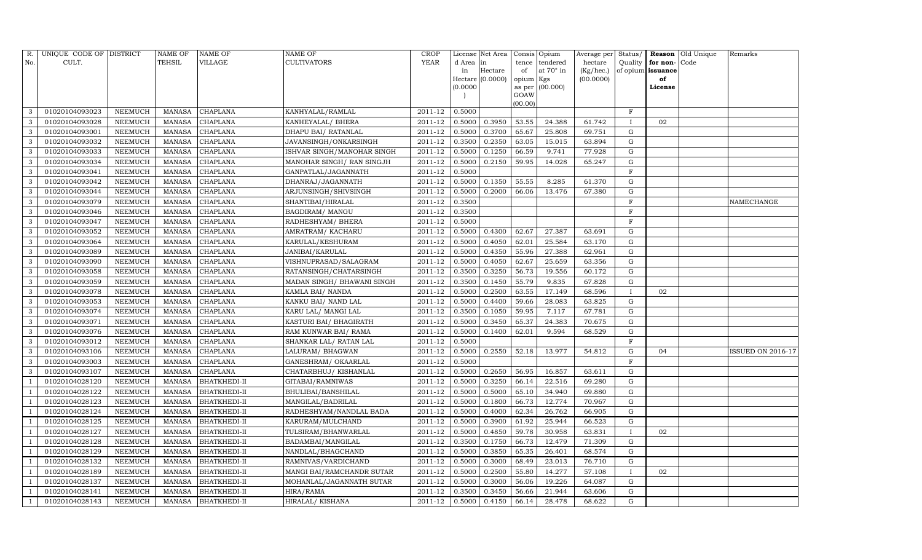| R.             | UNIQUE CODE OF DISTRICT |                | <b>NAME OF</b> | <b>NAME OF</b>      | <b>NAME OF</b>             | <b>CROP</b> |           | License Net Area |           | Consis Opium      | Average per | Status/      |                   | <b>Reason</b> Old Unique | Remarks           |
|----------------|-------------------------|----------------|----------------|---------------------|----------------------------|-------------|-----------|------------------|-----------|-------------------|-------------|--------------|-------------------|--------------------------|-------------------|
| No.            | CULT.                   |                | <b>TEHSIL</b>  | VILLAGE             | <b>CULTIVATORS</b>         | YEAR        | d Area in |                  | tence     | tendered          | hectare     | Quality      | for non-          | Code                     |                   |
|                |                         |                |                |                     |                            |             | in        | Hectare          | of        | at $70^\circ$ in  | (Kg/hec.)   |              | of opium issuance |                          |                   |
|                |                         |                |                |                     |                            |             |           | Hectare (0.0000) | opium Kgs |                   | (00.0000)   |              | of                |                          |                   |
|                |                         |                |                |                     |                            |             | (0.0000   |                  | GOAW      | as per $(00.000)$ |             |              | License           |                          |                   |
|                |                         |                |                |                     |                            |             |           |                  | (00.00)   |                   |             |              |                   |                          |                   |
| 3              | 01020104093023          | NEEMUCH        | MANASA         | <b>CHAPLANA</b>     | KANHYALAL/RAMLAL           | 2011-12     | 0.5000    |                  |           |                   |             | $\mathbf F$  |                   |                          |                   |
| 3              | 01020104093028          | NEEMUCH        | MANASA         | <b>CHAPLANA</b>     | KANHEYALAL/ BHERA          | 2011-12     | 0.5000    | 0.3950           | 53.55     | 24.388            | 61.742      |              | 02                |                          |                   |
| 3              | 01020104093001          | <b>NEEMUCH</b> | <b>MANASA</b>  | <b>CHAPLANA</b>     | DHAPU BAI/ RATANLAL        | 2011-12     | 0.5000    | 0.3700           | 65.67     | 25.808            | 69.751      | G            |                   |                          |                   |
| 3              | 01020104093032          | NEEMUCH        | MANASA         | <b>CHAPLANA</b>     | JAVANSINGH/ONKARSINGH      | 2011-12     | 0.3500    | 0.2350           | 63.05     | 15.015            | 63.894      | G            |                   |                          |                   |
| 3              | 01020104093033          | NEEMUCH        | <b>MANASA</b>  | <b>CHAPLANA</b>     | ISHVAR SINGH/MANOHAR SINGH | 2011-12     | 0.5000    | 0.1250           | 66.59     | 9.741             | 77.928      | G            |                   |                          |                   |
| 3              | 01020104093034          | NEEMUCH        | MANASA         | <b>CHAPLANA</b>     | MANOHAR SINGH/ RAN SINGJH  | 2011-12     | 0.5000    | 0.2150           | 59.95     | 14.028            | 65.247      | G            |                   |                          |                   |
| 3              | 01020104093041          | NEEMUCH        | MANASA         | <b>CHAPLANA</b>     | GANPATLAL/JAGANNATH        | 2011-12     | 0.5000    |                  |           |                   |             | $\mathbf F$  |                   |                          |                   |
| 3              | 01020104093042          | NEEMUCH        | MANASA         | <b>CHAPLANA</b>     | DHANRAJ/JAGANNATH          | 2011-12     | 0.5000    | 0.1350           | 55.55     | 8.285             | 61.370      | $\mathbf G$  |                   |                          |                   |
| 3              | 01020104093044          | <b>NEEMUCH</b> | <b>MANASA</b>  | <b>CHAPLANA</b>     | ARJUNSINGH/SHIVSINGH       | 2011-12     | 0.5000    | 0.2000           | 66.06     | 13.476            | 67.380      | $\mathbf G$  |                   |                          |                   |
| 3              | 01020104093079          | NEEMUCH        | MANASA         | <b>CHAPLANA</b>     | SHANTIBAI/HIRALAL          | 2011-12     | 0.3500    |                  |           |                   |             | $\mathbf F$  |                   |                          | NAMECHANGE        |
| 3              | 01020104093046          | NEEMUCH        | <b>MANASA</b>  | <b>CHAPLANA</b>     | <b>BAGDIRAM/ MANGU</b>     | 2011-12     | 0.3500    |                  |           |                   |             | $\mathbf F$  |                   |                          |                   |
| $\mathbf{3}$   | 01020104093047          | <b>NEEMUCH</b> | MANASA         | CHAPLANA            | RADHESHYAM / BHERA         | 2011-12     | 0.5000    |                  |           |                   |             | F            |                   |                          |                   |
| 3              | 01020104093052          | <b>NEEMUCH</b> | <b>MANASA</b>  | <b>CHAPLANA</b>     | AMRATRAM / KACHARU         | 2011-12     | 0.5000    | 0.4300           | 62.67     | 27.387            | 63.691      | G            |                   |                          |                   |
| 3              | 01020104093064          | <b>NEEMUCH</b> | <b>MANASA</b>  | CHAPLANA            | KARULAL/KESHURAM           | 2011-12     | 0.5000    | 0.4050           | 62.01     | 25.584            | 63.170      | G            |                   |                          |                   |
| 3              | 01020104093089          | NEEMUCH        | MANASA         | CHAPLANA            | JANIBAI/KARULAL            | 2011-12     | 0.5000    | 0.4350           | 55.96     | 27.388            | 62.961      | G            |                   |                          |                   |
| 3              | 01020104093090          | NEEMUCH        | <b>MANASA</b>  | <b>CHAPLANA</b>     | VISHNUPRASAD/SALAGRAM      | 2011-12     | 0.5000    | 0.4050           | 62.67     | 25.659            | 63.356      | G            |                   |                          |                   |
| 3              | 01020104093058          | <b>NEEMUCH</b> | <b>MANASA</b>  | CHAPLANA            | RATANSINGH/CHATARSINGH     | 2011-12     | 0.3500    | 0.3250           | 56.73     | 19.556            | 60.172      | G            |                   |                          |                   |
| 3              | 01020104093059          | <b>NEEMUCH</b> | MANASA         | <b>CHAPLANA</b>     | MADAN SINGH/ BHAWANI SINGH | 2011-12     | 0.3500    | 0.1450           | 55.79     | 9.835             | 67.828      | G            |                   |                          |                   |
| 3              | 01020104093078          | NEEMUCH        | <b>MANASA</b>  | <b>CHAPLANA</b>     | KAMLA BAI/ NANDA           | 2011-12     | 0.5000    | 0.2500           | 63.55     | 17.149            | 68.596      | $\mathbf{I}$ | 02                |                          |                   |
| 3              | 01020104093053          | NEEMUCH        | MANASA         | <b>CHAPLANA</b>     | KANKU BAI/ NAND LAL        | 2011-12     | 0.5000    | 0.4400           | 59.66     | 28.083            | 63.825      | G            |                   |                          |                   |
| 3              | 01020104093074          | NEEMUCH        | MANASA         | <b>CHAPLANA</b>     | KARU LAL/ MANGI LAL        | 2011-12     | 0.3500    | 0.1050           | 59.95     | 7.117             | 67.781      | G            |                   |                          |                   |
| 3              | 01020104093071          | <b>NEEMUCH</b> | <b>MANASA</b>  | CHAPLANA            | KASTURI BAI / BHAGIRATH    | 2011-12     | 0.5000    | 0.3450           | 65.37     | 24.383            | 70.675      | G            |                   |                          |                   |
| 3              | 01020104093076          | NEEMUCH        | MANASA         | CHAPLANA            | RAM KUNWAR BAI/ RAMA       | 2011-12     | 0.5000    | 0.1400           | 62.01     | 9.594             | 68.529      | G            |                   |                          |                   |
| 3              | 01020104093012          | NEEMUCH        | MANASA         | <b>CHAPLANA</b>     | SHANKAR LAL/ RATAN LAL     | 2011-12     | 0.5000    |                  |           |                   |             | $\mathbf F$  |                   |                          |                   |
| 3              | 01020104093106          | <b>NEEMUCH</b> | <b>MANASA</b>  | CHAPLANA            | LALURAM/ BHAGWAN           | 2011-12     | 0.5000    | 0.2550           | 52.18     | 13.977            | 54.812      | ${\rm G}$    | 04                |                          | ISSUED ON 2016-17 |
| 3              | 01020104093003          | <b>NEEMUCH</b> | <b>MANASA</b>  | CHAPLANA            | GANESHRAM / OKAARLAL       | 2011-12     | 0.5000    |                  |           |                   |             | $\mathbf F$  |                   |                          |                   |
| 3              | 01020104093107          | NEEMUCH        | MANASA         | CHAPLANA            | CHATARBHUJ/ KISHANLAL      | 2011-12     | 0.5000    | 0.2650           | 56.95     | 16.857            | 63.611      | G            |                   |                          |                   |
|                | 01020104028120          | <b>NEEMUCH</b> | <b>MANASA</b>  | <b>BHATKHEDI-II</b> | GITABAI/RAMNIWAS           | 2011-12     | 0.5000    | 0.3250           | 66.14     | 22.516            | 69.280      | $\mathbf G$  |                   |                          |                   |
|                | 01020104028122          | NEEMUCH        | MANASA         | <b>BHATKHEDI-II</b> | <b>BHULIBAI/BANSHILAL</b>  | 2011-12     | 0.5000    | 0.5000           | 65.10     | 34.940            | 69.880      | G            |                   |                          |                   |
|                | 01020104028123          | NEEMUCH        | MANASA         | <b>BHATKHEDI-II</b> | MANGILAL/BADRILAL          | 2011-12     | 0.5000    | 0.1800           | 66.73     | 12.774            | 70.967      | G            |                   |                          |                   |
|                | 01020104028124          | <b>NEEMUCH</b> | MANASA         | <b>BHATKHEDI-II</b> | RADHESHYAM/NANDLAL BADA    | 2011-12     | 0.5000    | 0.4000           | 62.34     | 26.762            | 66.905      | $\mathbf G$  |                   |                          |                   |
|                | 01020104028125          | NEEMUCH        | MANASA         | <b>BHATKHEDI-II</b> | KARURAM/MULCHAND           | 2011-12     | 0.5000    | 0.3900           | 61.92     | 25.944            | 66.523      | $\mathbf G$  |                   |                          |                   |
|                | 01020104028127          | <b>NEEMUCH</b> | MANASA         | <b>BHATKHEDI-II</b> | TULSIRAM/BHANWARLAL        | 2011-12     | 0.5000    | 0.4850           | 59.78     | 30.958            | 63.831      | $\bf{I}$     | 02                |                          |                   |
|                | 01020104028128          | <b>NEEMUCH</b> | MANASA         | <b>BHATKHEDI-II</b> | BADAMBAI/MANGILAL          | 2011-12     | 0.3500    | 0.1750           | 66.73     | 12.479            | 71.309      | G            |                   |                          |                   |
| - 1            | 01020104028129          | NEEMUCH        | MANASA         | <b>BHATKHEDI-II</b> | NANDLAL/BHAGCHAND          | 2011-12     | 0.5000    | 0.3850           | 65.35     | 26.401            | 68.574      | ${\rm G}$    |                   |                          |                   |
|                | 01020104028132          | <b>NEEMUCH</b> | MANASA         | <b>BHATKHEDI-II</b> | RAMNIVAS/VARDICHAND        | 2011-12     | 0.5000    | 0.3000           | 68.49     | 23.013            | 76.710      | $\mathbf G$  |                   |                          |                   |
|                | 01020104028189          | <b>NEEMUCH</b> | MANASA         | <b>BHATKHEDI-II</b> | MANGI BAI/RAMCHANDR SUTAR  | 2011-12     | 0.5000    | 0.2500           | 55.80     | 14.277            | 57.108      | $\mathbf{I}$ | 02                |                          |                   |
|                | 01020104028137          | NEEMUCH        | MANASA         | <b>BHATKHEDI-II</b> | MOHANLAL/JAGANNATH SUTAR   | 2011-12     | 0.5000    | 0.3000           | 56.06     | 19.226            | 64.087      | G            |                   |                          |                   |
| $\overline{1}$ | 01020104028141          | NEEMUCH        | MANASA         | <b>BHATKHEDI-II</b> | HIRA/RAMA                  | 2011-12     | 0.3500    | 0.3450           | 56.66     | 21.944            | 63.606      | G            |                   |                          |                   |
| $\mathbf{1}$   | 01020104028143          | <b>NEEMUCH</b> |                | MANASA BHATKHEDI-II | HIRALAL/KISHANA            | 2011-12     | 0.5000    | 0.4150           | 66.14     | 28.478            | 68.622      | G            |                   |                          |                   |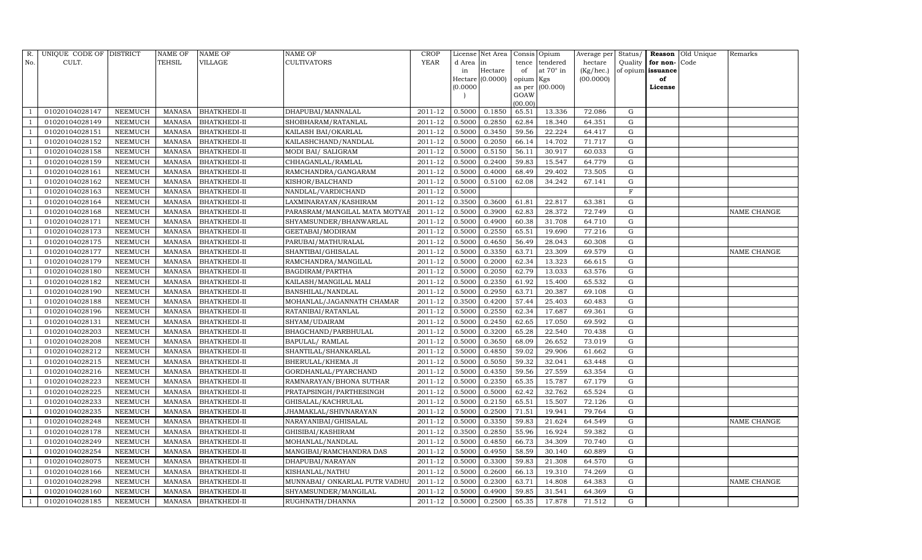| R.             | UNIQUE CODE OF DISTRICT |                | <b>NAME OF</b> | NAME OF             | NAME OF                       | CROP                 |          | License Net Area |           | Consis Opium     | Average per | Status/ |                   | Reason Old Unique | Remarks            |
|----------------|-------------------------|----------------|----------------|---------------------|-------------------------------|----------------------|----------|------------------|-----------|------------------|-------------|---------|-------------------|-------------------|--------------------|
| No.            | CULT.                   |                | TEHSIL         | VILLAGE             | CULTIVATORS                   | <b>YEAR</b>          | d Area   | in               | tence     | tendered         | hectare     | Quality | for non-Code      |                   |                    |
|                |                         |                |                |                     |                               |                      | in       | Hectare          | of        | at $70^\circ$ in | (Kg/hec.)   |         | of opium issuance |                   |                    |
|                |                         |                |                |                     |                               |                      |          | Hectare (0.0000) | opium Kgs |                  | (00.0000)   |         | of                |                   |                    |
|                |                         |                |                |                     |                               |                      | (0.0000) |                  | GOAW      | as per (00.000)  |             |         | License           |                   |                    |
|                |                         |                |                |                     |                               |                      |          |                  | (00.00)   |                  |             |         |                   |                   |                    |
|                | 01020104028147          | NEEMUCH        | MANASA         | <b>BHATKHEDI-II</b> | DHAPUBAI/MANNALAL             | 2011-12              | 0.5000   | 0.1850           | 65.51     | 13.336           | 72.086      | G       |                   |                   |                    |
|                | 01020104028149          | NEEMUCH        | <b>MANASA</b>  | BHATKHEDI-II        | SHOBHARAM/RATANLAL            | 2011-12              | 0.5000   | 0.2850           | 62.84     | 18.340           | 64.351      | G       |                   |                   |                    |
|                | 01020104028151          | NEEMUCH        | <b>MANASA</b>  | BHATKHEDI-II        | KAILASH BAI/OKARLAL           | 2011-12              | 0.5000   | 0.3450           | 59.56     | 22.224           | 64.417      | G       |                   |                   |                    |
|                | 01020104028152          | <b>NEEMUCH</b> | <b>MANASA</b>  | BHATKHEDI-II        | KAILASHCHAND/NANDLAL          | 2011-12              | 0.5000   | 0.2050           | 66.14     | 14.702           | 71.717      | G       |                   |                   |                    |
|                | 01020104028158          | NEEMUCH        | <b>MANASA</b>  | BHATKHEDI-II        | MODI BAI/ SALIGRAM            | 2011-12              | 0.5000   | 0.5150           | 56.11     | 30.917           | 60.033      | G       |                   |                   |                    |
|                | 01020104028159          | <b>NEEMUCH</b> | <b>MANASA</b>  | BHATKHEDI-II        | CHHAGANLAL/RAMLAL             | 2011-12              | 0.5000   | 0.2400           | 59.83     | 15.547           | 64.779      | G       |                   |                   |                    |
|                | 01020104028161          | <b>NEEMUCH</b> | <b>MANASA</b>  | <b>BHATKHEDI-II</b> | RAMCHANDRA/GANGARAM           | 2011-12              | 0.5000   | 0.4000           | 68.49     | 29.402           | 73.505      | G       |                   |                   |                    |
| - 1            | 01020104028162          | NEEMUCH        | <b>MANASA</b>  | BHATKHEDI-II        | KISHOR/BALCHAND               | 2011-12              | 0.5000   | 0.5100           | 62.08     | 34.242           | 67.141      | G       |                   |                   |                    |
|                | 01020104028163          | <b>NEEMUCH</b> | <b>MANASA</b>  | BHATKHEDI-II        | NANDLAL/VARDICHAND            | 2011-12              | 0.5000   |                  |           |                  |             | F       |                   |                   |                    |
|                | 01020104028164          | NEEMUCH        | <b>MANASA</b>  | BHATKHEDI-II        | LAXMINARAYAN/KASHIRAM         | 2011-12              | 0.3500   | 0.3600           | 61.81     | 22.817           | 63.381      | G       |                   |                   |                    |
|                | 01020104028168          | NEEMUCH        | <b>MANASA</b>  | BHATKHEDI-II        | PARASRAM/MANGILAL MATA MOTYAE | 2011-12              | 0.5000   | 0.3900           | 62.83     | 28.372           | 72.749      | G       |                   |                   | <b>NAME CHANGE</b> |
|                | 01020104028171          | <b>NEEMUCH</b> | MANASA         | BHATKHEDI-II        | SHYAMSUNDER/BHANWARLAL        | 2011-12              | 0.5000   | 0.4900           | 60.38     | 31.708           | 64.710      | G       |                   |                   |                    |
|                | 01020104028173          | <b>NEEMUCH</b> | <b>MANASA</b>  | BHATKHEDI-II        | GEETABAI/MODIRAM              | 2011-12              | 0.5000   | 0.2550           | 65.51     | 19.690           | 77.216      | G       |                   |                   |                    |
|                | 01020104028175          | NEEMUCH        | MANASA         | BHATKHEDI-II        | PARUBAI/MATHURALAL            | 2011-12              | 0.5000   | 0.4650           | 56.49     | 28.043           | 60.308      | G       |                   |                   |                    |
|                | 01020104028177          | NEEMUCH        | MANASA         | BHATKHEDI-II        | SHANTIBAI/GHISALAL            | 2011-12              | 0.5000   | 0.3350           | 63.71     | 23.309           | 69.579      | G       |                   |                   | <b>NAME CHANGE</b> |
| - 1            | 01020104028179          | NEEMUCH        | MANASA         | BHATKHEDI-II        | RAMCHANDRA/MANGILAL           | 2011-12              | 0.5000   | 0.2000           | 62.34     | 13.323           | 66.615      | G       |                   |                   |                    |
|                | 01020104028180          | NEEMUCH        | MANASA         | BHATKHEDI-II        | BAGDIRAM/PARTHA               | 2011-12              | 0.5000   | 0.2050           | 62.79     | 13.033           | 63.576      | G       |                   |                   |                    |
|                | 01020104028182          | NEEMUCH        | MANASA         | BHATKHEDI-II        | KAILASH/MANGILAL MALI         | 2011-12              | 0.5000   | 0.2350           | 61.92     | 15.400           | 65.532      | G       |                   |                   |                    |
|                | 01020104028190          | NEEMUCH        | <b>MANASA</b>  | BHATKHEDI-II        | BANSHILAL/NANDLAL             | $2011 - 12$          | 0.5000   | 0.2950           | 63.71     | 20.387           | 69.108      | G       |                   |                   |                    |
|                | 01020104028188          | NEEMUCH        | MANASA         | BHATKHEDI-II        | MOHANLAL/JAGANNATH CHAMAR     | 2011-12              | 0.3500   | 0.4200           | 57.44     | 25.403           | 60.483      | G       |                   |                   |                    |
|                | 01020104028196          | <b>NEEMUCH</b> | <b>MANASA</b>  | BHATKHEDI-II        | RATANIBAI/RATANLAL            | 2011-12              | 0.5000   | 0.2550           | 62.34     | 17.687           | 69.361      | G       |                   |                   |                    |
|                | 01020104028131          | <b>NEEMUCH</b> | <b>MANASA</b>  | BHATKHEDI-II        | SHYAM/UDAIRAM                 | 2011-12              | 0.5000   | 0.2450           | 62.65     | 17.050           | 69.592      | G       |                   |                   |                    |
|                | 01020104028203          | NEEMUCH        | MANASA         | BHATKHEDI-II        | BHAGCHAND/PARBHULAL           | $2011 - 12$          | 0.5000   | 0.3200           | 65.28     | 22.540           | 70.438      | G       |                   |                   |                    |
|                | 01020104028208          | <b>NEEMUCH</b> | <b>MANASA</b>  | BHATKHEDI-II        | BAPULAL/ RAMLAL               | 2011-12              | 0.5000   | 0.3650           | 68.09     | 26.652           | 73.019      | G       |                   |                   |                    |
|                | 01020104028212          | <b>NEEMUCH</b> | <b>MANASA</b>  | BHATKHEDI-II        | SHANTILAL/SHANKARLAL          | 2011-12              | 0.5000   | 0.4850           | 59.02     | 29.906           | 61.662      | G       |                   |                   |                    |
|                | 01020104028215          | <b>NEEMUCH</b> | <b>MANASA</b>  | BHATKHEDI-II        | BHERULAL/KHEMA JI             | 2011-12              | 0.5000   | 0.5050           | 59.32     | 32.041           | 63.448      | G       |                   |                   |                    |
|                | 01020104028216          | <b>NEEMUCH</b> | <b>MANASA</b>  | BHATKHEDI-II        | GORDHANLAL/PYARCHAND          | 2011-12              | 0.5000   | 0.4350           | 59.56     | 27.559           | 63.354      | G       |                   |                   |                    |
|                | 01020104028223          | <b>NEEMUCH</b> | <b>MANASA</b>  | BHATKHEDI-II        | RAMNARAYAN/BHONA SUTHAR       | 2011-12              | 0.5000   | 0.2350           | 65.35     | 15.787           | 67.179      | G       |                   |                   |                    |
|                | 01020104028225          | NEEMUCH        | <b>MANASA</b>  | BHATKHEDI-II        | PRATAPSINGH/PARTHESINGH       | 2011-12              | 0.5000   | 0.5000           | 62.42     | 32.762           | 65.524      | G       |                   |                   |                    |
|                | 01020104028233          | NEEMUCH        | <b>MANASA</b>  | <b>BHATKHEDI-II</b> | GHISALAL/KACHRULAL            | 2011-12              | 0.5000   | 0.2150           | 65.51     | 15.507           | 72.126      | G       |                   |                   |                    |
|                | 01020104028235          | <b>NEEMUCH</b> | <b>MANASA</b>  | BHATKHEDI-II        | JHAMAKLAL/SHIVNARAYAN         | $\overline{2011-12}$ | 0.5000   | 0.2500           | 71.51     | 19.941           | 79.764      | G       |                   |                   |                    |
|                | 01020104028248          | <b>NEEMUCH</b> | <b>MANASA</b>  | BHATKHEDI-II        | NARAYANIBAI/GHISALAL          | 2011-12              | 0.5000   | 0.3350           | 59.83     | 21.624           | 64.549      | G       |                   |                   | <b>NAME CHANGE</b> |
|                | 01020104028178          | NEEMUCH        | <b>MANASA</b>  | BHATKHEDI-II        | GHISIBAI/KASHIRAM             | 2011-12              | 0.3500   | 0.2850           | 55.96     | 16.924           | 59.382      | G       |                   |                   |                    |
|                | 01020104028249          | NEEMUCH        | <b>MANASA</b>  | <b>BHATKHEDI-II</b> | MOHANLAL/NANDLAL              | 2011-12              | 0.5000   | 0.4850           | 66.73     | 34.309           | 70.740      | G       |                   |                   |                    |
| - 1            | 01020104028254          | <b>NEEMUCH</b> | <b>MANASA</b>  | BHATKHEDI-II        | MANGIBAI/RAMCHANDRA DAS       | 2011-12              | 0.5000   | 0.4950           | 58.59     | 30.140           | 60.889      | G       |                   |                   |                    |
|                | 01020104028075          | <b>NEEMUCH</b> | <b>MANASA</b>  | <b>BHATKHEDI-II</b> | DHAPUBAI/NARAYAN              | 2011-12              | 0.5000   | 0.3300           | 59.83     | 21.308           | 64.570      | G       |                   |                   |                    |
|                | 01020104028166          | <b>NEEMUCH</b> | MANASA         | BHATKHEDI-II        | KISHANLAL/NATHU               | 2011-12              | 0.5000   | 0.2600           | 66.13     | 19.310           | 74.269      | G       |                   |                   |                    |
|                | 01020104028298          | <b>NEEMUCH</b> | MANASA         | BHATKHEDI-II        | MUNNABAI/ ONKARLAL PUTR VADHU | 2011-12              | 0.5000   | 0.2300           | 63.71     | 14.808           | 64.383      | G       |                   |                   | <b>NAME CHANGE</b> |
| $\overline{1}$ | 01020104028160          | NEEMUCH        | MANASA         | BHATKHEDI-II        | SHYAMSUNDER/MANGILAL          | 2011-12              | 0.5000   | 0.4900           | 59.85     | 31.541           | 64.369      | G       |                   |                   |                    |
| $\mathbf{1}$   | 01020104028185          | <b>NEEMUCH</b> |                | MANASA BHATKHEDI-II | RUGHNATH/DHANNA               | 2011-12              | 0.5000   | 0.2500           | 65.35     | 17.878           | 71.512      | G       |                   |                   |                    |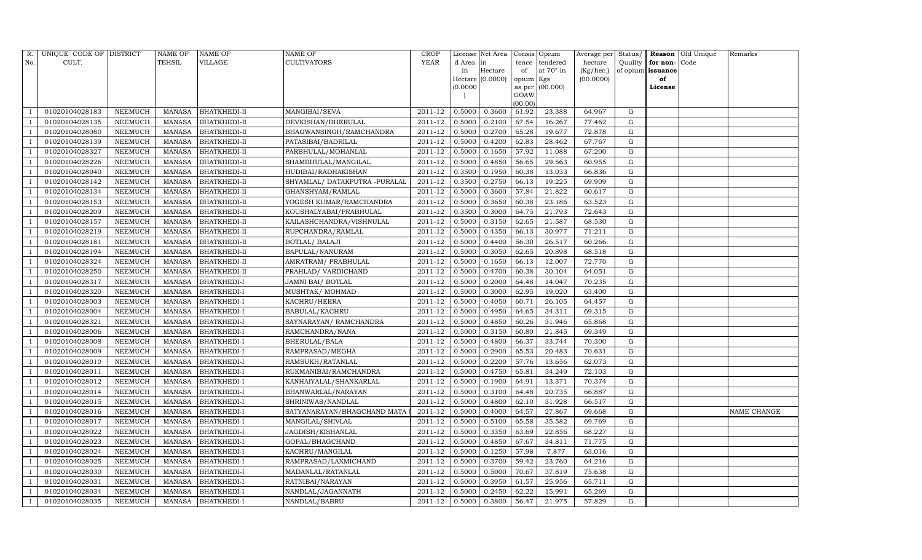| R.             | UNIQUE CODE OF DISTRICT |                | <b>NAME OF</b> | NAME OF             | NAME OF                       | CROP        |          | License Net Area |           | Consis Opium    | Average per | Status/ |                   | Reason Old Unique | Remarks            |
|----------------|-------------------------|----------------|----------------|---------------------|-------------------------------|-------------|----------|------------------|-----------|-----------------|-------------|---------|-------------------|-------------------|--------------------|
| No.            | CULT.                   |                | TEHSIL         | VILLAGE             | CULTIVATORS                   | <b>YEAR</b> | d Area   | in               | tence     | tendered        | hectare     | Quality | for non-Code      |                   |                    |
|                |                         |                |                |                     |                               |             | in       | Hectare          | of        | at 70° in       | (Kg/hec.)   |         | of opium issuance |                   |                    |
|                |                         |                |                |                     |                               |             |          | Hectare (0.0000) | opium Kgs |                 | (00.0000)   |         | of                |                   |                    |
|                |                         |                |                |                     |                               |             | (0.0000) |                  | GOAW      | as per (00.000) |             |         | License           |                   |                    |
|                |                         |                |                |                     |                               |             |          |                  | (00.00)   |                 |             |         |                   |                   |                    |
|                | 01020104028183          | NEEMUCH        | MANASA         | <b>BHATKHEDI-II</b> | MANGIBAI/SEVA                 | 2011-12     | 0.5000   | 0.3600           | 61.92     | 23.388          | 64.967      | G       |                   |                   |                    |
|                | 01020104028135          | NEEMUCH        | <b>MANASA</b>  | BHATKHEDI-II        | DEVKISHAN/BHERULAL            | 2011-12     | 0.5000   | 0.2100           | 67.54     | 16.267          | 77.462      | G       |                   |                   |                    |
|                | 01020104028080          | <b>NEEMUCH</b> | <b>MANASA</b>  | BHATKHEDI-II        | BHAGWANSINGH/RAMCHANDRA       | 2011-12     | 0.5000   | 0.2700           | 65.28     | 19.677          | 72.878      | G       |                   |                   |                    |
|                | 01020104028139          | <b>NEEMUCH</b> | <b>MANASA</b>  | BHATKHEDI-II        | PATASIBAI/BADRILAL            | 2011-12     | 0.5000   | 0.4200           | 62.83     | 28.462          | 67.767      | G       |                   |                   |                    |
|                | 01020104028327          | <b>NEEMUCH</b> | <b>MANASA</b>  | BHATKHEDI-II        | PARBHULAL/MOHANLAL            | 2011-12     | 0.5000   | 0.1650           | 57.92     | 11.088          | 67.200      | G       |                   |                   |                    |
|                | 01020104028226          | <b>NEEMUCH</b> | <b>MANASA</b>  | BHATKHEDI-II        | SHAMBHULAL/MANGILAL           | 2011-12     | 0.5000   | 0.4850           | 56.65     | 29.563          | 60.955      | G       |                   |                   |                    |
|                | 01020104028040          | <b>NEEMUCH</b> | <b>MANASA</b>  | <b>BHATKHEDI-II</b> | HUDIBAI/RADHAKISHAN           | 2011-12     | 0.3500   | 0.1950           | 60.38     | 13.033          | 66.836      | G       |                   |                   |                    |
| - 1            | 01020104028142          | NEEMUCH        | <b>MANASA</b>  | BHATKHEDI-II        | SHYAMLAL/ DATAKPUTRA -PURALAL | 2011-12     | 0.3500   | 0.2750           | 66.13     | 19.225          | 69.909      | G       |                   |                   |                    |
|                | 01020104028134          | <b>NEEMUCH</b> | <b>MANASA</b>  | BHATKHEDI-II        | GHANSHYAM/RAMLAL              | 2011-12     | 0.5000   | 0.3600           | 57.84     | 21.822          | 60.617      | G       |                   |                   |                    |
|                | 01020104028153          | NEEMUCH        | <b>MANASA</b>  | BHATKHEDI-II        | YOGESH KUMAR/RAMCHANDRA       | 2011-12     | 0.5000   | 0.3650           | 60.38     | 23.186          | 63.523      | G       |                   |                   |                    |
|                | 01020104028209          | <b>NEEMUCH</b> | <b>MANASA</b>  | BHATKHEDI-II        | KOUSHALYABAI/PRABHULAL        | 2011-12     | 0.3500   | 0.3000           | 64.75     | 21.793          | 72.643      | G       |                   |                   |                    |
|                | 01020104028157          | <b>NEEMUCH</b> | MANASA         | BHATKHEDI-II        | KAILASHCHANDRA/VISHNULAL      | 2011-12     | 0.5000   | 0.3150           | 62.65     | 21.587          | 68.530      | G       |                   |                   |                    |
|                | 01020104028219          | <b>NEEMUCH</b> | <b>MANASA</b>  | BHATKHEDI-II        | RUPCHANDRA/RAMLAL             | 2011-12     | 0.5000   | 0.4350           | 66.13     | 30.977          | 71.211      | G       |                   |                   |                    |
|                | 01020104028181          | <b>NEEMUCH</b> | MANASA         | BHATKHEDI-II        | BOTLAL/ BALAJI                | 2011-12     | 0.5000   | 0.4400           | 56.30     | 26.517          | 60.266      | G       |                   |                   |                    |
|                | 01020104028194          | NEEMUCH        | MANASA         | BHATKHEDI-II        | BAPULAL/NANURAM               | 2011-12     | 0.5000   | 0.3050           | 62.65     | 20.898          | 68.518      | G       |                   |                   |                    |
| - 1            | 01020104028324          | NEEMUCH        | MANASA         | BHATKHEDI-II        | AMRATRAM/ PRABHULAL           | 2011-12     | 0.5000   | 0.1650           | 66.13     | 12.007          | 72.770      | G       |                   |                   |                    |
|                | 01020104028250          | NEEMUCH        | MANASA         | BHATKHEDI-II        | PRAHLAD/VARDICHAND            | 2011-12     | 0.5000   | 0.4700           | 60.38     | 30.104          | 64.051      | G       |                   |                   |                    |
|                | 01020104028317          | NEEMUCH        | MANASA         | BHATKHEDI-I         | JAMNI BAI/ BOTLAL             | 2011-12     | 0.5000   | 0.2000           | 64.48     | 14.047          | 70.235      | G       |                   |                   |                    |
|                | 01020104028320          | NEEMUCH        | MANASA         | BHATKHEDI-I         | MUSHTAK/ MOHMAD               | 2011-12     | 0.5000   | 0.3000           | 62.95     | 19.020          | 63.400      | G       |                   |                   |                    |
|                | 01020104028003          | NEEMUCH        | <b>MANASA</b>  | BHATKHEDI-I         | KACHRU/HEERA                  | 2011-12     | 0.5000   | 0.4050           | 60.71     | 26.105          | 64.457      | G       |                   |                   |                    |
|                | 01020104028004          | NEEMUCH        | <b>MANASA</b>  | BHATKHEDI-I         | BABULAL/KACHRU                | 2011-12     | 0.5000   | 0.4950           | 64.65     | 34.311          | 69.315      | G       |                   |                   |                    |
|                | 01020104028321          | NEEMUCH        | <b>MANASA</b>  | BHATKHEDI-I         | SAYNARAYAN / RAMCHANDRA       | 2011-12     | 0.5000   | 0.4850           | 60.26     | 31.946          | 65.868      | G       |                   |                   |                    |
|                | 01020104028006          | NEEMUCH        | MANASA         | BHATKHEDI-I         | RAMCHANDRA/NANA               | 2011-12     | 0.5000   | 0.3150           | 60.80     | 21.845          | 69.349      | G       |                   |                   |                    |
|                | 01020104028008          | NEEMUCH        | <b>MANASA</b>  | BHATKHEDI-I         | BHERULAL/BALA                 | 2011-12     | 0.5000   | 0.4800           | 66.37     | 33.744          | 70.300      | G       |                   |                   |                    |
|                | 01020104028009          | NEEMUCH        | MANASA         | BHATKHEDI-I         | RAMPRASAD/MEGHA               | 2011-12     | 0.5000   | 0.2900           | 65.53     | 20.483          | 70.631      | G       |                   |                   |                    |
|                | 01020104028010          | NEEMUCH        | <b>MANASA</b>  | BHATKHEDI-I         | RAMSUKH/RATANLAL              | 2011-12     | 0.5000   | 0.2200           | 57.76     | 13.656          | 62.073      | G       |                   |                   |                    |
|                | 01020104028011          | <b>NEEMUCH</b> | <b>MANASA</b>  | BHATKHEDI-I         | RUKMANIBAI/RAMCHANDRA         | 2011-12     | 0.5000   | 0.4750           | 65.81     | 34.249          | 72.103      | G       |                   |                   |                    |
|                | 01020104028012          | NEEMUCH        | <b>MANASA</b>  | BHATKHEDI-I         | KANHAIYALAL/SHANKARLAL        | 2011-12     | 0.5000   | 0.1900           | 64.91     | 13.371          | 70.374      | G       |                   |                   |                    |
|                | 01020104028014          | NEEMUCH        | <b>MANASA</b>  | <b>BHATKHEDI-I</b>  | BHANWARLAL/NARAYAN            | 2011-12     | 0.5000   | 0.3100           | 64.48     | 20.735          | 66.887      | G       |                   |                   |                    |
|                | 01020104028015          | NEEMUCH        | MANASA         | <b>BHATKHEDI-I</b>  | SHRINIWAS/NANDLAL             | 2011-12     | 0.5000   | 0.4800           | 62.10     | 31.928          | 66.517      | G       |                   |                   |                    |
|                | 01020104028016          | NEEMUCH        | <b>MANASA</b>  | BHATKHEDI-I         | SATYANARAYAN/BHAGCHAND MATA   | 2011-12     | 0.5000   | 0.4000           | 64.57     | 27.867          | 69.668      | G       |                   |                   | <b>NAME CHANGE</b> |
|                | 01020104028017          | <b>NEEMUCH</b> | <b>MANASA</b>  | BHATKHEDI-I         | MANGILAL/SHIVLAL              | 2011-12     | 0.5000   | 0.5100           | 65.58     | 35.582          | 69.769      | G       |                   |                   |                    |
|                | 01020104028022          | NEEMUCH        | <b>MANASA</b>  | BHATKHEDI-I         | JAGDISH/KISHANLAL             | 2011-12     | 0.5000   | 0.3350           | 63.69     | 22.856          | 68.227      | G       |                   |                   |                    |
|                | 01020104028023          | NEEMUCH        | <b>MANASA</b>  | <b>BHATKHEDI-I</b>  | GOPAL/BHAGCHAND               | 2011-12     | 0.5000   | 0.4850           | 67.67     | 34.811          | 71.775      | G       |                   |                   |                    |
| $\overline{1}$ | 01020104028024          | NEEMUCH        | <b>MANASA</b>  | BHATKHEDI-I         | KACHRU/MANGILAL               | 2011-12     | 0.5000   | 0.1250           | 57.98     | 7.877           | 63.016      | G       |                   |                   |                    |
|                | 01020104028025          | <b>NEEMUCH</b> | <b>MANASA</b>  | <b>BHATKHEDI-I</b>  | RAMPRASAD/LAXMICHAND          | 2011-12     | 0.5000   | 0.3700           | 59.42     | 23.760          | 64.216      | G       |                   |                   |                    |
|                | 01020104028030          | NEEMUCH        | MANASA         | BHATKHEDI-I         | MADANLAL/RATANLAL             | 2011-12     | 0.5000   | 0.5000           | 70.67     | 37.819          | 75.638      | G       |                   |                   |                    |
|                | 01020104028031          | NEEMUCH        | MANASA         | BHATKHEDI-I         | RATNIBAI/NARAYAN              | 2011-12     | 0.5000   | 0.3950           | 61.57     | 25.956          | 65.711      | G       |                   |                   |                    |
| $\overline{1}$ | 01020104028034          | NEEMUCH        | MANASA         | BHATKHEDI-I         | NANDLAL/JAGANNATH             | 2011-12     | 0.5000   | 0.2450           | 62.22     | 15.991          | 65.269      | G       |                   |                   |                    |
| $\mathbf{1}$   | 01020104028035          | <b>NEEMUCH</b> |                | MANASA BHATKHEDI-I  | NANDLAL/BABRU                 | 2011-12     | 0.5000   | 0.3800           | 56.47     | 21.975          | 57.829      | G       |                   |                   |                    |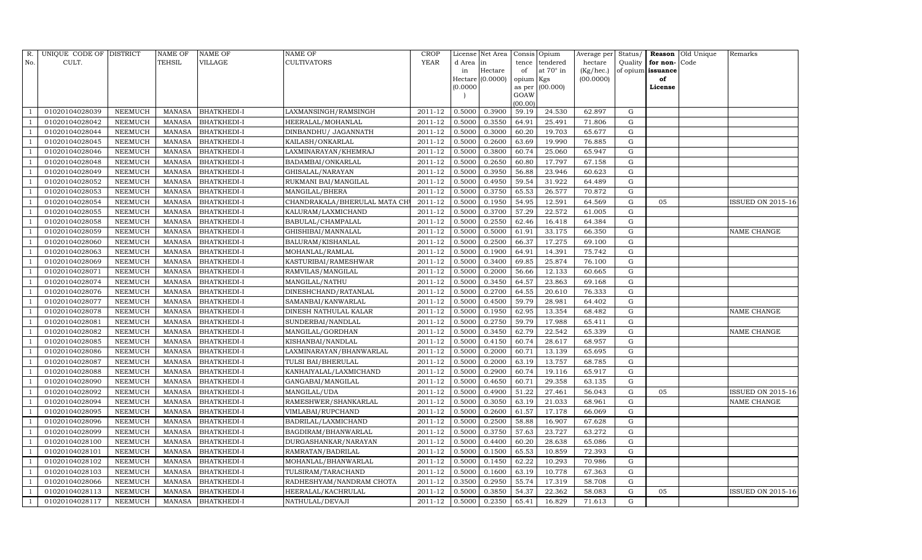| R.             | UNIQUE CODE OF DISTRICT |                | <b>NAME OF</b> | NAME OF            | <b>NAME OF</b>                | <b>CROP</b> |          | License Net Area |                | Consis Opium | Average per | Status/     |                   | <b>Reason</b> Old Unique | Remarks                  |
|----------------|-------------------------|----------------|----------------|--------------------|-------------------------------|-------------|----------|------------------|----------------|--------------|-------------|-------------|-------------------|--------------------------|--------------------------|
| No.            | CULT.                   |                | TEHSIL         | VILLAGE            | <b>CULTIVATORS</b>            | YEAR        | d Area   | in               | tence          | tendered     | hectare     | Quality     | for non-          | Code                     |                          |
|                |                         |                |                |                    |                               |             | in       | Hectare          | of             | at 70° in    | (Kg/hec.)   |             | of opium issuance |                          |                          |
|                |                         |                |                |                    |                               |             |          | Hectare (0.0000) | opium Kgs      |              | (00.0000)   |             | of                |                          |                          |
|                |                         |                |                |                    |                               |             | (0.0000) |                  | as per<br>GOAW | (00.000)     |             |             | License           |                          |                          |
|                |                         |                |                |                    |                               |             |          |                  | (00.00)        |              |             |             |                   |                          |                          |
|                | 01020104028039          | NEEMUCH        | <b>MANASA</b>  | <b>BHATKHEDI-I</b> | LAXMANSINGH/RAMSINGH          | 2011-12     | 0.5000   | 0.3900           | 59.19          | 24.530       | 62.897      | $\mathbf G$ |                   |                          |                          |
|                | 01020104028042          | NEEMUCH        | <b>MANASA</b>  | BHATKHEDI-I        | HEERALAL/MOHANLAL             | 2011-12     | 0.5000   | 0.3550           | 64.91          | 25.491       | 71.806      | G           |                   |                          |                          |
|                | 01020104028044          | NEEMUCH        | <b>MANASA</b>  | BHATKHEDI-I        | DINBANDHU/ JAGANNATH          | 2011-12     | 0.5000   | 0.3000           | 60.20          | 19.703       | 65.677      | $\mathbf G$ |                   |                          |                          |
|                | 01020104028045          | NEEMUCH        | MANASA         | BHATKHEDI-I        | KAILASH/ONKARLAL              | $2011 - 12$ | 0.5000   | 0.2600           | 63.69          | 19.990       | 76.885      | ${\rm G}$   |                   |                          |                          |
|                | 01020104028046          | <b>NEEMUCH</b> | MANASA         | BHATKHEDI-I        | LAXMINARAYAN/KHEMRAJ          | 2011-12     | 0.5000   | 0.3800           | 60.74          | 25.060       | 65.947      | ${\rm G}$   |                   |                          |                          |
|                | 01020104028048          | NEEMUCH        | <b>MANASA</b>  | BHATKHEDI-I        | BADAMBAI/ONKARLAL             | 2011-12     | 0.5000   | 0.2650           | 60.80          | 17.797       | 67.158      | ${\rm G}$   |                   |                          |                          |
|                | 01020104028049          | NEEMUCH        | MANASA         | <b>BHATKHEDI-I</b> | GHISALAL/NARAYAN              | $2011 - 12$ | 0.5000   | 0.3950           | 56.88          | 23.946       | 60.623      | G           |                   |                          |                          |
|                | 01020104028052          | NEEMUCH        | MANASA         | <b>BHATKHEDI-I</b> | RUKMANI BAI/MANGILAL          | 2011-12     | 0.5000   | 0.4950           | 59.54          | 31.922       | 64.489      | ${\rm G}$   |                   |                          |                          |
|                | 01020104028053          | NEEMUCH        | <b>MANASA</b>  | BHATKHEDI-I        | MANGILAL/BHERA                | 2011-12     | 0.5000   | 0.3750           | 65.53          | 26.577       | 70.872      | $\mathbf G$ |                   |                          |                          |
|                | 01020104028054          | NEEMUCH        | MANASA         | BHATKHEDI-I        | CHANDRAKALA/BHERULAL MATA CHI | 2011-12     | 0.5000   | 0.1950           | 54.95          | 12.591       | 64.569      | ${\rm G}$   | 05                |                          | <b>ISSUED ON 2015-16</b> |
|                | 01020104028055          | NEEMUCH        | <b>MANASA</b>  | BHATKHEDI-I        | KALURAM/LAXMICHAND            | 2011-12     | 0.5000   | 0.3700           | 57.29          | 22.572       | 61.005      | ${\rm G}$   |                   |                          |                          |
|                | 01020104028058          | NEEMUCH        | MANASA         | BHATKHEDI-I        | BABULAL/CHAMPALAL             | $2011 - 12$ | 0.5000   | 0.2550           | 62.46          | 16.418       | 64.384      | G           |                   |                          |                          |
|                | 01020104028059          | <b>NEEMUCH</b> | <b>MANASA</b>  | <b>BHATKHEDI-I</b> | GHISHIBAI/MANNALAL            | 2011-12     | 0.5000   | 0.5000           | 61.91          | 33.175       | 66.350      | G           |                   |                          | NAME CHANGE              |
|                | 01020104028060          | NEEMUCH        | <b>MANASA</b>  | <b>BHATKHEDI-I</b> | <b>BALURAM/KISHANLAL</b>      | 2011-12     | 0.5000   | 0.2500           | 66.37          | 17.275       | 69.100      | ${\rm G}$   |                   |                          |                          |
|                | 01020104028063          | NEEMUCH        | <b>MANASA</b>  | BHATKHEDI-I        | MOHANLAL/RAMLAL               | 2011-12     | 0.5000   | 0.1900           | 64.91          | 14.391       | 75.742      | G           |                   |                          |                          |
|                | 01020104028069          | NEEMUCH        | MANASA         | <b>BHATKHEDI-I</b> | KASTURIBAI/RAMESHWAR          | 2011-12     | 0.5000   | 0.3400           | 69.85          | 25.874       | 76.100      | G           |                   |                          |                          |
|                | 01020104028071          | NEEMUCH        | MANASA         | BHATKHEDI-I        | RAMVILAS/MANGILAL             | 2011-12     | 0.5000   | 0.2000           | 56.66          | 12.133       | 60.665      | $\mathbf G$ |                   |                          |                          |
|                | 01020104028074          | NEEMUCH        | MANASA         | BHATKHEDI-I        | MANGILAL/NATHU                | 2011-12     | 0.5000   | 0.3450           | 64.57          | 23.863       | 69.168      | G           |                   |                          |                          |
|                | 01020104028076          | NEEMUCH        | MANASA         | BHATKHEDI-I        | DINESHCHAND/RATANLAL          | 2011-12     | 0.5000   | 0.2700           | 64.55          | 20.610       | 76.333      | ${\rm G}$   |                   |                          |                          |
|                | 01020104028077          | NEEMUCH        | MANASA         | BHATKHEDI-I        | SAMANBAI/KANWARLAL            | 2011-12     | 0.5000   | 0.4500           | 59.79          | 28.981       | 64.402      | G           |                   |                          |                          |
|                | 01020104028078          | NEEMUCH        | MANASA         | BHATKHEDI-I        | DINESH NATHULAL KALAR         | 2011-12     | 0.5000   | 0.1950           | 62.95          | 13.354       | 68.482      | ${\rm G}$   |                   |                          | NAME CHANGE              |
|                | 01020104028081          | <b>NEEMUCH</b> | <b>MANASA</b>  | BHATKHEDI-I        | SUNDERBAI/NANDLAL             | 2011-12     | 0.5000   | 0.2750           | 59.79          | 17.988       | 65.411      | ${\rm G}$   |                   |                          |                          |
|                | 01020104028082          | NEEMUCH        | MANASA         | BHATKHEDI-I        | MANGILAL/GORDHAN              | $2011 - 12$ | 0.5000   | 0.3450           | 62.79          | 22.542       | 65.339      | ${\rm G}$   |                   |                          | NAME CHANGE              |
|                | 01020104028085          | <b>NEEMUCH</b> | <b>MANASA</b>  | BHATKHEDI-I        | KISHANBAI/NANDLAL             | 2011-12     | 0.5000   | 0.4150           | 60.74          | 28.617       | 68.957      | ${\rm G}$   |                   |                          |                          |
|                | 01020104028086          | NEEMUCH        | <b>MANASA</b>  | BHATKHEDI-I        | LAXMINARAYAN/BHANWARLAL       | 2011-12     | 0.5000   | 0.2000           | 60.71          | 13.139       | 65.695      | ${\rm G}$   |                   |                          |                          |
|                | 01020104028087          | NEEMUCH        | <b>MANASA</b>  | BHATKHEDI-I        | TULSI BAI/BHERULAL            | 2011-12     | 0.5000   | 0.2000           | 63.19          | 13.757       | 68.785      | G           |                   |                          |                          |
|                | 01020104028088          | NEEMUCH        | <b>MANASA</b>  | BHATKHEDI-I        | KANHAIYALAL/LAXMICHAND        | 2011-12     | 0.5000   | 0.2900           | 60.74          | 19.116       | 65.917      | ${\rm G}$   |                   |                          |                          |
|                | 01020104028090          | NEEMUCH        | <b>MANASA</b>  | BHATKHEDI-I        | GANGABAI/MANGILAL             | 2011-12     | 0.5000   | 0.4650           | 60.71          | 29.358       | 63.135      | $\mathbf G$ |                   |                          |                          |
|                | 01020104028092          | NEEMUCH        | MANASA         | BHATKHEDI-I        | MANGILAL/UDA                  | 2011-12     | 0.5000   | 0.4900           | 51.22          | 27.461       | 56.043      | ${\rm G}$   | 05                |                          | <b>ISSUED ON 2015-16</b> |
|                | 01020104028094          | NEEMUCH        | <b>MANASA</b>  | BHATKHEDI-I        | RAMESHWER/SHANKARLAL          | 2011-12     | 0.5000   | 0.3050           | 63.19          | 21.033       | 68.961      | ${\rm G}$   |                   |                          | NAME CHANGE              |
|                | 01020104028095          | NEEMUCH        | MANASA         | BHATKHEDI-I        | VIMLABAI/RUPCHAND             | 2011-12     | 0.5000   | 0.2600           | 61.57          | 17.178       | 66.069      | G           |                   |                          |                          |
|                | 01020104028096          | NEEMUCH        | <b>MANASA</b>  | BHATKHEDI-I        | BADRILAL/LAXMICHAND           | 2011-12     | 0.5000   | 0.2500           | 58.88          | 16.907       | 67.628      | ${\rm G}$   |                   |                          |                          |
|                | 01020104028099          | NEEMUCH        | <b>MANASA</b>  | BHATKHEDI-I        | BAGDIRAM/BHANWARLAL           | 2011-12     | 0.5000   | 0.3750           | 57.63          | 23.727       | 63.272      | ${\rm G}$   |                   |                          |                          |
|                | 01020104028100          | NEEMUCH        | <b>MANASA</b>  | BHATKHEDI-I        | DURGASHANKAR/NARAYAN          | 2011-12     | 0.5000   | 0.4400           | 60.20          | 28.638       | 65.086      | ${\rm G}$   |                   |                          |                          |
|                | 01020104028101          | NEEMUCH        | MANASA         | BHATKHEDI-I        | RAMRATAN/BADRILAL             | 2011-12     | 0.5000   | 0.1500           | 65.53          | 10.859       | 72.393      | ${\rm G}$   |                   |                          |                          |
|                | 01020104028102          | <b>NEEMUCH</b> | <b>MANASA</b>  | <b>BHATKHEDI-I</b> | MOHANLAL/BHANWARLAL           | 2011-12     | 0.5000   | 0.1450           | 62.22          | 10.293       | 70.986      | ${\rm G}$   |                   |                          |                          |
|                | 01020104028103          | NEEMUCH        | MANASA         | BHATKHEDI-I        | TULSIRAM/TARACHAND            | 2011-12     | 0.5000   | 0.1600           | 63.19          | 10.778       | 67.363      | G           |                   |                          |                          |
|                | 01020104028066          | NEEMUCH        | MANASA         | BHATKHEDI-I        | RADHESHYAM/NANDRAM CHOTA      | 2011-12     | 0.3500   | 0.2950           | 55.74          | 17.319       | 58.708      | ${\rm G}$   |                   |                          |                          |
|                | 01020104028113          | NEEMUCH        | MANASA         | BHATKHEDI-I        | HEERALAL/KACHRULAL            | 2011-12     | 0.5000   | 0.3850           | 54.37          | 22.362       | 58.083      | G           | 05                |                          | <b>ISSUED ON 2015-16</b> |
| $\overline{1}$ | 01020104028117          | <b>NEEMUCH</b> |                | MANASA BHATKHEDI-I | NATHULAL/DEVAJI               | 2011-12     | 0.5000   | 0.2350           | 65.41          | 16.829       | 71.613      | G           |                   |                          |                          |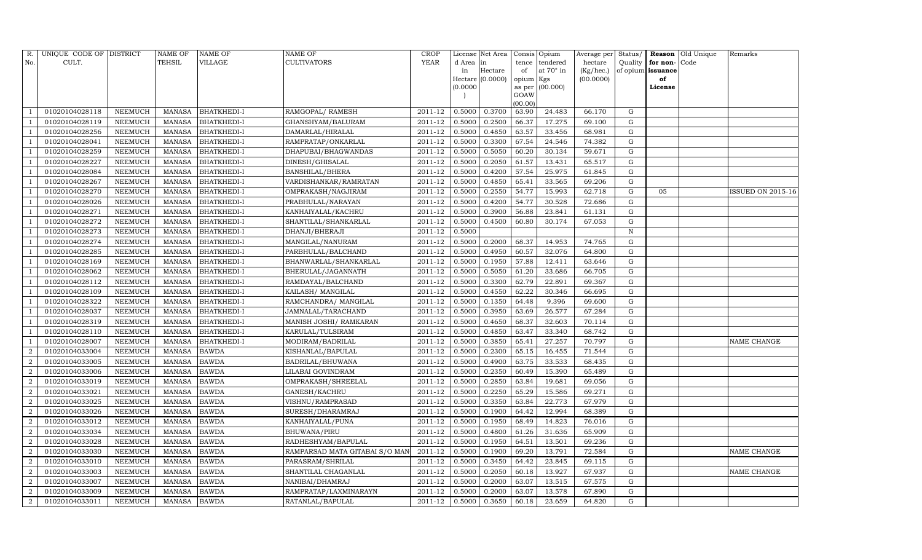| R.             | UNIQUE CODE OF DISTRICT |                | <b>NAME OF</b> | NAME OF            | NAME OF                        | CROP        |          | License Net Area |           | Consis Opium     | Average per | Status/     |                   | Reason Old Unique | Remarks                  |
|----------------|-------------------------|----------------|----------------|--------------------|--------------------------------|-------------|----------|------------------|-----------|------------------|-------------|-------------|-------------------|-------------------|--------------------------|
| No.            | CULT.                   |                | TEHSIL         | VILLAGE            | CULTIVATORS                    | <b>YEAR</b> | d Area   | in               | tence     | tendered         | hectare     | Quality     | for non-Code      |                   |                          |
|                |                         |                |                |                    |                                |             | in       | Hectare          | of        | at $70^\circ$ in | (Kg/hec.)   |             | of opium issuance |                   |                          |
|                |                         |                |                |                    |                                |             |          | Hectare (0.0000) | opium Kgs |                  | (00.0000)   |             | of                |                   |                          |
|                |                         |                |                |                    |                                |             | (0.0000) |                  | GOAW      | as per (00.000)  |             |             | License           |                   |                          |
|                |                         |                |                |                    |                                |             |          |                  | (00.00)   |                  |             |             |                   |                   |                          |
|                | 01020104028118          | NEEMUCH        | <b>MANASA</b>  | BHATKHEDI-I        | RAMGOPAL/RAMESH                | 2011-12     | 0.5000   | 0.3700           | 63.90     | 24.483           | 66.170      | G           |                   |                   |                          |
|                | 01020104028119          | NEEMUCH        | <b>MANASA</b>  | BHATKHEDI-I        | GHANSHYAM/BALURAM              | 2011-12     | 0.5000   | 0.2500           | 66.37     | 17.275           | 69.100      | G           |                   |                   |                          |
|                | 01020104028256          | <b>NEEMUCH</b> | <b>MANASA</b>  | BHATKHEDI-I        | DAMARLAL/HIRALAL               | 2011-12     | 0.5000   | 0.4850           | 63.57     | 33.456           | 68.981      | G           |                   |                   |                          |
|                | 01020104028041          | <b>NEEMUCH</b> | <b>MANASA</b>  | BHATKHEDI-I        | RAMPRATAP/ONKARLAL             | 2011-12     | 0.5000   | 0.3300           | 67.54     | 24.546           | 74.382      | G           |                   |                   |                          |
|                | 01020104028259          | <b>NEEMUCH</b> | <b>MANASA</b>  | BHATKHEDI-I        | DHAPUBAI/BHAGWANDAS            | 2011-12     | 0.5000   | 0.5050           | 60.20     | 30.134           | 59.671      | G           |                   |                   |                          |
|                | 01020104028227          | NEEMUCH        | <b>MANASA</b>  | BHATKHEDI-I        | DINESH/GHISALAL                | 2011-12     | 0.5000   | 0.2050           | 61.57     | 13.431           | 65.517      | G           |                   |                   |                          |
|                | 01020104028084          | <b>NEEMUCH</b> | <b>MANASA</b>  | BHATKHEDI-I        | BANSHILAL/BHERA                | 2011-12     | 0.5000   | 0.4200           | 57.54     | 25.975           | 61.845      | G           |                   |                   |                          |
| - 1            | 01020104028267          | <b>NEEMUCH</b> | <b>MANASA</b>  | BHATKHEDI-I        | VARDISHANKAR/RAMRATAN          | 2011-12     | 0.5000   | 0.4850           | 65.41     | 33.565           | 69.206      | G           |                   |                   |                          |
|                | 01020104028270          | <b>NEEMUCH</b> | <b>MANASA</b>  | BHATKHEDI-I        | OMPRAKASH/NAGJIRAM             | 2011-12     | 0.5000   | 0.2550           | 54.77     | 15.993           | 62.718      | G           | 05                |                   | <b>ISSUED ON 2015-16</b> |
|                | 01020104028026          | NEEMUCH        | <b>MANASA</b>  | BHATKHEDI-I        | PRABHULAL/NARAYAN              | 2011-12     | 0.5000   | 0.4200           | 54.77     | 30.528           | 72.686      | G           |                   |                   |                          |
|                | 01020104028271          | <b>NEEMUCH</b> | <b>MANASA</b>  | BHATKHEDI-I        | KANHAIYALAL/KACHRU             | 2011-12     | 0.5000   | 0.3900           | 56.88     | 23.841           | 61.131      | G           |                   |                   |                          |
|                | 01020104028272          | <b>NEEMUCH</b> | MANASA         | BHATKHEDI-I        | SHANTILAL/SHANKARLAL           | 2011-12     | 0.5000   | 0.4500           | 60.80     | 30.174           | 67.053      | G           |                   |                   |                          |
|                | 01020104028273          | <b>NEEMUCH</b> | <b>MANASA</b>  | <b>BHATKHEDI-I</b> | DHANJI/BHERAJI                 | 2011-12     | 0.5000   |                  |           |                  |             | $\mathbf N$ |                   |                   |                          |
|                | 01020104028274          | NEEMUCH        | <b>MANASA</b>  | BHATKHEDI-I        | MANGILAL/NANURAM               | 2011-12     | 0.5000   | 0.2000           | 68.37     | 14.953           | 74.765      | G           |                   |                   |                          |
|                | 01020104028285          | NEEMUCH        | <b>MANASA</b>  | BHATKHEDI-I        | PARBHULAL/BALCHAND             | 2011-12     | 0.5000   | 0.4950           | 60.57     | 32.076           | 64.800      | G           |                   |                   |                          |
| - 1            | 01020104028169          | NEEMUCH        | MANASA         | BHATKHEDI-I        | BHANWARLAL/SHANKARLAL          | 2011-12     | 0.5000   | 0.1950           | 57.88     | 12.411           | 63.646      | G           |                   |                   |                          |
|                | 01020104028062          | NEEMUCH        | MANASA         | BHATKHEDI-I        | BHERULAL/JAGANNATH             | 2011-12     | 0.5000   | 0.5050           | 61.20     | 33.686           | 66.705      | G           |                   |                   |                          |
|                | 01020104028112          | NEEMUCH        | MANASA         | BHATKHEDI-I        | RAMDAYAL/BALCHAND              | 2011-12     | 0.5000   | 0.3300           | 62.79     | 22.891           | 69.367      | G           |                   |                   |                          |
|                | 01020104028109          | NEEMUCH        | <b>MANASA</b>  | BHATKHEDI-I        | KAILASH/ MANGILAL              | 2011-12     | 0.5000   | 0.4550           | 62.22     | 30.346           | 66.695      | G           |                   |                   |                          |
|                | 01020104028322          | NEEMUCH        | <b>MANASA</b>  | BHATKHEDI-I        | RAMCHANDRA/MANGILAL            | 2011-12     | 0.5000   | 0.1350           | 64.48     | 9.396            | 69.600      | G           |                   |                   |                          |
|                | 01020104028037          | NEEMUCH        | <b>MANASA</b>  | BHATKHEDI-I        | JAMNALAL/TARACHAND             | 2011-12     | 0.5000   | 0.3950           | 63.69     | 26.577           | 67.284      | G           |                   |                   |                          |
|                | 01020104028319          | <b>NEEMUCH</b> | <b>MANASA</b>  | BHATKHEDI-I        | MANISH JOSHI/ RAMKARAN         | 2011-12     | 0.5000   | 0.4650           | 68.37     | 32.603           | 70.114      | G           |                   |                   |                          |
|                | 01020104028110          | NEEMUCH        | <b>MANASA</b>  | BHATKHEDI-I        | KARULAL/TULSIRAM               | $2011 - 12$ | 0.5000   | 0.4850           | 63.47     | 33.340           | 68.742      | G           |                   |                   |                          |
|                | 01020104028007          | <b>NEEMUCH</b> | <b>MANASA</b>  | BHATKHEDI-I        | MODIRAM/BADRILAL               | 2011-12     | 0.5000   | 0.3850           | 65.41     | 27.257           | 70.797      | G           |                   |                   | <b>NAME CHANGE</b>       |
| $\overline{2}$ | 01020104033004          | <b>NEEMUCH</b> | <b>MANASA</b>  | <b>BAWDA</b>       | KISHANLAL/BAPULAL              | 2011-12     | 0.5000   | 0.2300           | 65.15     | 16.455           | 71.544      | G           |                   |                   |                          |
| $\overline{2}$ | 01020104033005          | <b>NEEMUCH</b> | <b>MANASA</b>  | <b>BAWDA</b>       | BADRILAL/BHUWANA               | 2011-12     | 0.5000   | 0.4900           | 63.75     | 33.533           | 68.435      | G           |                   |                   |                          |
| $\overline{2}$ | 01020104033006          | <b>NEEMUCH</b> | <b>MANASA</b>  | <b>BAWDA</b>       | LILABAI GOVINDRAM              | 2011-12     | 0.5000   | 0.2350           | 60.49     | 15.390           | 65.489      | G           |                   |                   |                          |
| $\overline{2}$ | 01020104033019          | <b>NEEMUCH</b> | <b>MANASA</b>  | <b>BAWDA</b>       | OMPRAKASH/SHREELAL             | 2011-12     | 0.5000   | 0.2850           | 63.84     | 19.681           | 69.056      | G           |                   |                   |                          |
| $\overline{2}$ | 01020104033021          | <b>NEEMUCH</b> | <b>MANASA</b>  | <b>BAWDA</b>       | GANESH/KACHRU                  | 2011-12     | 0.5000   | 0.2250           | 65.29     | 15.586           | 69.271      | G           |                   |                   |                          |
| 2              | 01020104033025          | NEEMUCH        | <b>MANASA</b>  | <b>BAWDA</b>       | VISHNU/RAMPRASAD               | 2011-12     | 0.5000   | 0.3350           | 63.84     | 22.773           | 67.979      | G           |                   |                   |                          |
| $\overline{2}$ | 01020104033026          | <b>NEEMUCH</b> | <b>MANASA</b>  | <b>BAWDA</b>       | SURESH/DHARAMRAJ               | $2011 - 12$ | 0.5000   | 0.1900           | 64.42     | 12.994           | 68.389      | G           |                   |                   |                          |
| $\overline{2}$ | 01020104033012          | <b>NEEMUCH</b> | <b>MANASA</b>  | <b>BAWDA</b>       | KANHAIYALAL/PUNA               | 2011-12     | 0.5000   | 0.1950           | 68.49     | 14.823           | 76.016      | G           |                   |                   |                          |
| $\overline{2}$ | 01020104033034          | <b>NEEMUCH</b> | <b>MANASA</b>  | <b>BAWDA</b>       | BHUWANA/PIRU                   | 2011-12     | 0.5000   | 0.4800           | 61.26     | 31.636           | 65.909      | G           |                   |                   |                          |
| $\overline{2}$ | 01020104033028          | NEEMUCH        | <b>MANASA</b>  | <b>BAWDA</b>       | RADHESHYAM/BAPULAL             | 2011-12     | 0.5000   | 0.1950           | 64.51     | 13.501           | 69.236      | G           |                   |                   |                          |
| $\overline{2}$ | 01020104033030          | <b>NEEMUCH</b> | <b>MANASA</b>  | <b>BAWDA</b>       | RAMPARSAD MATA GITABAI S/O MAN | 2011-12     | 0.5000   | 0.1900           | 69.20     | 13.791           | 72.584      | G           |                   |                   | <b>NAME CHANGE</b>       |
| $\overline{2}$ | 01020104033010          | <b>NEEMUCH</b> | <b>MANASA</b>  | <b>BAWDA</b>       | PARASRAM/SHRILAL               | 2011-12     | 0.5000   | 0.3450           | 64.42     | 23.845           | 69.115      | G           |                   |                   |                          |
| $\overline{2}$ | 01020104033003          | NEEMUCH        | <b>MANASA</b>  | <b>BAWDA</b>       | SHANTILAL CHAGANLAL            | 2011-12     | 0.5000   | 0.2050           | 60.18     | 13.927           | 67.937      | G           |                   |                   | <b>NAME CHANGE</b>       |
| $\overline{2}$ | 01020104033007          | NEEMUCH        | <b>MANASA</b>  | <b>BAWDA</b>       | NANIBAI/DHAMRAJ                | 2011-12     | 0.5000   | 0.2000           | 63.07     | 13.515           | 67.575      | G           |                   |                   |                          |
| $\overline{2}$ | 01020104033009          | NEEMUCH        | MANASA         | <b>BAWDA</b>       | RAMPRATAP/LAXMINARAYN          | 2011-12     | 0.5000   | 0.2000           | 63.07     | 13.578           | 67.890      | G           |                   |                   |                          |
| $\overline{2}$ | 01020104033011          | <b>NEEMUCH</b> | MANASA         | <b>BAWDA</b>       | RATANLAL/BAPULAL               | 2011-12     | 0.5000   | 0.3650           | 60.18     | 23.659           | 64.820      | G           |                   |                   |                          |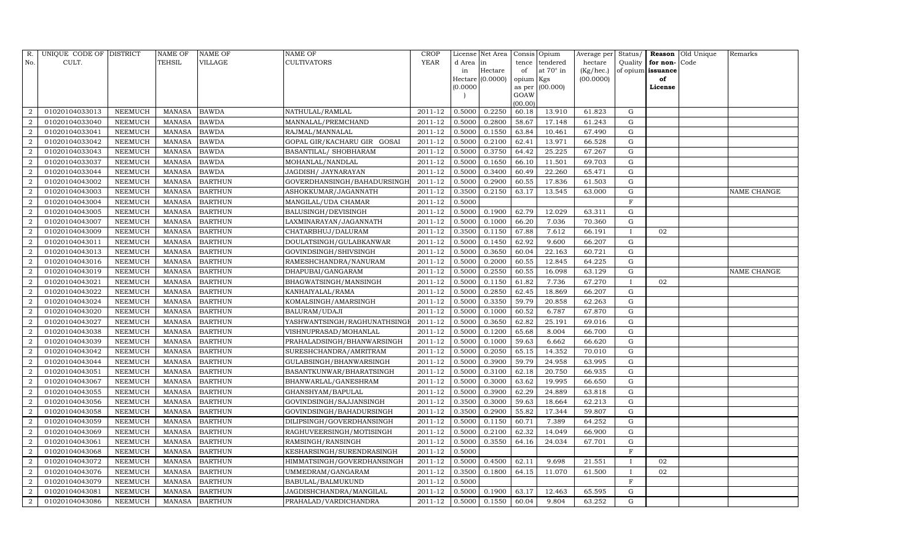| R.             | UNIQUE CODE OF DISTRICT |                | NAME OF       | NAME OF        | NAME OF                      | CROP        |          | License Net Area |           | Consis Opium     | Average per | Status/      |                          | Reason Old Unique | Remarks            |
|----------------|-------------------------|----------------|---------------|----------------|------------------------------|-------------|----------|------------------|-----------|------------------|-------------|--------------|--------------------------|-------------------|--------------------|
| No.            | CULT.                   |                | TEHSIL        | VILLAGE        | CULTIVATORS                  | <b>YEAR</b> | d Area   | in               | tence     | tendered         | hectare     | Quality      | for non-Code             |                   |                    |
|                |                         |                |               |                |                              |             | in       | Hectare          | of        | at $70^\circ$ in | (Kg/hec.)   |              | of opium <b>issuance</b> |                   |                    |
|                |                         |                |               |                |                              |             |          | Hectare (0.0000) | opium Kgs |                  | (00.0000)   |              | of                       |                   |                    |
|                |                         |                |               |                |                              |             | (0.0000) |                  | GOAW      | as per (00.000)  |             |              | License                  |                   |                    |
|                |                         |                |               |                |                              |             |          |                  | (00.00)   |                  |             |              |                          |                   |                    |
| $\overline{2}$ | 01020104033013          | NEEMUCH        | MANASA        | <b>BAWDA</b>   | NATHULAL/RAMLAL              | 2011-12     | 0.5000   | 0.2250           | 60.18     | 13.910           | 61.823      | G            |                          |                   |                    |
| $\overline{2}$ | 01020104033040          | NEEMUCH        | <b>MANASA</b> | <b>BAWDA</b>   | MANNALAL/PREMCHAND           | 2011-12     | 0.5000   | 0.2800           | 58.67     | 17.148           | 61.243      | G            |                          |                   |                    |
| $\overline{a}$ | 01020104033041          | <b>NEEMUCH</b> | <b>MANASA</b> | <b>BAWDA</b>   | RAJMAL/MANNALAL              | 2011-12     | 0.5000   | 0.1550           | 63.84     | 10.461           | 67.490      | G            |                          |                   |                    |
| $\overline{2}$ | 01020104033042          | <b>NEEMUCH</b> | MANASA        | <b>BAWDA</b>   | GOPAL GIR/KACHARU GIR GOSAI  | 2011-12     | 0.5000   | 0.2100           | 62.41     | 13.971           | 66.528      | G            |                          |                   |                    |
| $\overline{2}$ | 01020104033043          | <b>NEEMUCH</b> | <b>MANASA</b> | <b>BAWDA</b>   | BASANTILAL/ SHOBHARAM        | 2011-12     | 0.5000   | 0.3750           | 64.42     | 25.225           | 67.267      | G            |                          |                   |                    |
| $\overline{2}$ | 01020104033037          | NEEMUCH        | <b>MANASA</b> | <b>BAWDA</b>   | MOHANLAL/NANDLAL             | 2011-12     | 0.5000   | 0.1650           | 66.10     | 11.501           | 69.703      | G            |                          |                   |                    |
| $\overline{2}$ | 01020104033044          | NEEMUCH        | <b>MANASA</b> | <b>BAWDA</b>   | JAGDISH / JAYNARAYAN         | $2011 - 12$ | 0.5000   | 0.3400           | 60.49     | 22.260           | 65.471      | G            |                          |                   |                    |
| $\overline{2}$ | 01020104043002          | NEEMUCH        | MANASA        | <b>BARTHUN</b> | GOVERDHANSINGH/BAHADURSINGH  | 2011-12     | 0.5000   | 0.2900           | 60.55     | 17.836           | 61.503      | G            |                          |                   |                    |
| $\overline{2}$ | 01020104043003          | NEEMUCH        | <b>MANASA</b> | <b>BARTHUN</b> | ASHOKKUMAR/JAGANNATH         | 2011-12     | 0.3500   | 0.2150           | 63.17     | 13.545           | 63.000      | G            |                          |                   | <b>NAME CHANGE</b> |
| $\overline{2}$ | 01020104043004          | NEEMUCH        | <b>MANASA</b> | <b>BARTHUN</b> | MANGILAL/UDA CHAMAR          | 2011-12     | 0.5000   |                  |           |                  |             | $\mathbf F$  |                          |                   |                    |
| $\overline{2}$ | 01020104043005          | NEEMUCH        | <b>MANASA</b> | <b>BARTHUN</b> | BALUSINGH/DEVISINGH          | 2011-12     | 0.5000   | 0.1900           | 62.79     | 12.029           | 63.311      | G            |                          |                   |                    |
| $\overline{2}$ | 01020104043007          | NEEMUCH        | <b>MANASA</b> | <b>BARTHUN</b> | LAXMINARAYAN/JAGANNATH       | 2011-12     | 0.5000   | 0.1000           | 66.20     | 7.036            | 70.360      | G            |                          |                   |                    |
| $\overline{2}$ | 01020104043009          | <b>NEEMUCH</b> | <b>MANASA</b> | <b>BARTHUN</b> | CHATARBHUJ/DALURAM           | 2011-12     | 0.3500   | 0.1150           | 67.88     | 7.612            | 66.191      | $\mathbf{I}$ | 02                       |                   |                    |
| $\overline{2}$ | 01020104043011          | NEEMUCH        | <b>MANASA</b> | <b>BARTHUN</b> | DOULATSINGH/GULABKANWAR      | 2011-12     | 0.5000   | 0.1450           | 62.92     | 9.600            | 66.207      | G            |                          |                   |                    |
| $\overline{2}$ | 01020104043013          | NEEMUCH        | <b>MANASA</b> | <b>BARTHUN</b> | GOVINDSINGH/SHIVSINGH        | $2011 - 12$ | 0.5000   | 0.3650           | 60.04     | 22.163           | 60.721      | G            |                          |                   |                    |
| $\overline{2}$ | 01020104043016          | NEEMUCH        | <b>MANASA</b> | <b>BARTHUN</b> | RAMESHCHANDRA/NANURAM        | 2011-12     | 0.5000   | 0.2000           | 60.55     | 12.845           | 64.225      | G            |                          |                   |                    |
| $\overline{2}$ | 01020104043019          | NEEMUCH        | <b>MANASA</b> | <b>BARTHUN</b> | DHAPUBAI/GANGARAM            | 2011-12     | 0.5000   | 0.2550           | 60.55     | 16.098           | 63.129      | G            |                          |                   | <b>NAME CHANGE</b> |
| $\overline{a}$ | 01020104043021          | NEEMUCH        | <b>MANASA</b> | <b>BARTHUN</b> | BHAGWATSINGH/MANSINGH        | 2011-12     | 0.5000   | 0.1150           | 61.82     | 7.736            | 67.270      | T            | 02                       |                   |                    |
| $\overline{2}$ | 01020104043022          | <b>NEEMUCH</b> | <b>MANASA</b> | <b>BARTHUN</b> | KANHAIYALAL/RAMA             | 2011-12     | 0.5000   | 0.2850           | 62.45     | 18.869           | 66.207      | G            |                          |                   |                    |
| $\overline{2}$ | 01020104043024          | NEEMUCH        | <b>MANASA</b> | <b>BARTHUN</b> | KOMALSINGH/AMARSINGH         | 2011-12     | 0.5000   | 0.3350           | 59.79     | 20.858           | 62.263      | G            |                          |                   |                    |
| $\overline{2}$ | 01020104043020          | NEEMUCH        | <b>MANASA</b> | <b>BARTHUN</b> | BALURAM/UDAJI                | 2011-12     | 0.5000   | 0.1000           | 60.52     | 6.787            | 67.870      | G            |                          |                   |                    |
| 2              | 01020104043027          | NEEMUCH        | <b>MANASA</b> | <b>BARTHUN</b> | YASHWANTSINGH/RAGHUNATHSINGI | 2011-12     | 0.5000   | 0.3650           | 62.82     | 25.191           | 69.016      | G            |                          |                   |                    |
| $\overline{2}$ | 01020104043038          | NEEMUCH        | <b>MANASA</b> | <b>BARTHUN</b> | VISHNUPRASAD/MOHANLAL        | 2011-12     | 0.5000   | 0.1200           | 65.68     | 8.004            | 66.700      | G            |                          |                   |                    |
| $\overline{2}$ | 01020104043039          | <b>NEEMUCH</b> | <b>MANASA</b> | <b>BARTHUN</b> | PRAHALADSINGH/BHANWARSINGH   | 2011-12     | 0.5000   | 0.1000           | 59.63     | 6.662            | 66.620      | G            |                          |                   |                    |
| $\overline{2}$ | 01020104043042          | NEEMUCH        | <b>MANASA</b> | <b>BARTHUN</b> | SURESHCHANDRA/AMRITRAM       | 2011-12     | 0.5000   | 0.2050           | 65.15     | 14.352           | 70.010      | G            |                          |                   |                    |
| $\overline{2}$ | 01020104043044          | NEEMUCH        | <b>MANASA</b> | <b>BARTHUN</b> | GULABSINGH/BHANWARSINGH      | 2011-12     | 0.5000   | 0.3900           | 59.79     | 24.958           | 63.995      | G            |                          |                   |                    |
| $\overline{2}$ | 01020104043051          | NEEMUCH        | <b>MANASA</b> | <b>BARTHUN</b> | BASANTKUNWAR/BHARATSINGH     | 2011-12     | 0.5000   | 0.3100           | 62.18     | 20.750           | 66.935      | G            |                          |                   |                    |
| $\overline{2}$ | 01020104043067          | <b>NEEMUCH</b> | <b>MANASA</b> | <b>BARTHUN</b> | BHANWARLAL/GANESHRAM         | 2011-12     | 0.5000   | 0.3000           | 63.62     | 19.995           | 66.650      | G            |                          |                   |                    |
| $\overline{2}$ | 01020104043055          | NEEMUCH        | <b>MANASA</b> | <b>BARTHUN</b> | GHANSHYAM/BAPULAL            | 2011-12     | 0.5000   | 0.3900           | 62.29     | 24.889           | 63.818      | G            |                          |                   |                    |
| $\overline{2}$ | 01020104043056          | <b>NEEMUCH</b> | <b>MANASA</b> | <b>BARTHUN</b> | GOVINDSINGH/SAJJANSINGH      | 2011-12     | 0.3500   | 0.3000           | 59.63     | 18.664           | 62.213      | G            |                          |                   |                    |
| $\overline{2}$ | 01020104043058          | NEEMUCH        | MANASA        | <b>BARTHUN</b> | GOVINDSINGH/BAHADURSINGH     | 2011-12     | 0.3500   | 0.2900           | 55.82     | 17.344           | 59.807      | G            |                          |                   |                    |
| $\overline{2}$ | 01020104043059          | NEEMUCH        | <b>MANASA</b> | <b>BARTHUN</b> | DILIPSINGH/GOVERDHANSINGH    | 2011-12     | 0.5000   | 0.1150           | 60.71     | 7.389            | 64.252      | G            |                          |                   |                    |
| $\overline{2}$ | 01020104043069          | NEEMUCH        | <b>MANASA</b> | <b>BARTHUN</b> | RAGHUVEERSINGH/MOTISINGH     | 2011-12     | 0.5000   | 0.2100           | 62.32     | 14.049           | 66.900      | G            |                          |                   |                    |
| $\overline{2}$ | 01020104043061          | <b>NEEMUCH</b> | MANASA        | <b>BARTHUN</b> | RAMSINGH/RANSINGH            | 2011-12     | 0.5000   | 0.3550           | 64.16     | 24.034           | 67.701      | G            |                          |                   |                    |
| 2              | 01020104043068          | NEEMUCH        | <b>MANASA</b> | <b>BARTHUN</b> | KESHARSINGH/SURENDRASINGH    | 2011-12     | 0.5000   |                  |           |                  |             | $_{\rm F}$   |                          |                   |                    |
| $\overline{2}$ | 01020104043072          | NEEMUCH        | MANASA        | <b>BARTHUN</b> | HIMMATSINGH/GOVERDHANSINGH   | 2011-12     | 0.5000   | 0.4500           | 62.11     | 9.698            | 21.551      | $\mathbf I$  | 02                       |                   |                    |
| $\overline{a}$ | 01020104043076          | NEEMUCH        | MANASA        | <b>BARTHUN</b> | UMMEDRAM/GANGARAM            | 2011-12     | 0.3500   | 0.1800           | 64.15     | 11.070           | 61.500      |              | 02                       |                   |                    |
| $\overline{2}$ | 01020104043079          | NEEMUCH        | MANASA        | <b>BARTHUN</b> | BABULAL/BALMUKUND            | 2011-12     | 0.5000   |                  |           |                  |             | F            |                          |                   |                    |
| 2              | 01020104043081          | NEEMUCH        | MANASA        | <b>BARTHUN</b> | JAGDISHCHANDRA/MANGILAL      | 2011-12     | 0.5000   | 0.1900           | 63.17     | 12.463           | 65.595      | G            |                          |                   |                    |
| $\overline{2}$ | 01020104043086          | NEEMUCH        |               | MANASA BARTHUN | PRAHALAD/VARDICHANDRA        | 2011-12     | 0.5000   | 0.1550           | 60.04     | 9.804            | 63.252      | G            |                          |                   |                    |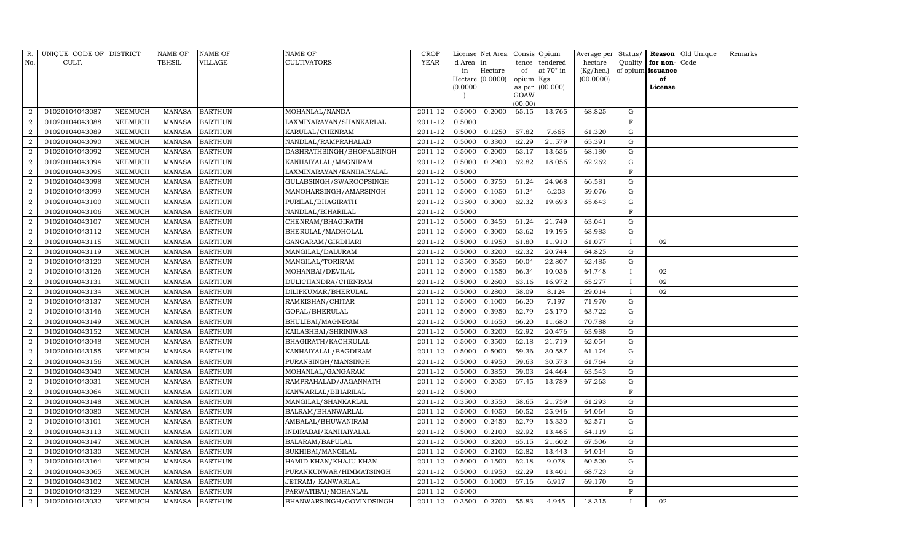| R.             | UNIQUE CODE OF DISTRICT |                | NAME OF       | <b>NAME OF</b> | <b>NAME OF</b>             | <b>CROP</b> |           | License Net Area |                 | Consis Opium     | Average per | Status/      | Reason            | Old Unique | Remarks |
|----------------|-------------------------|----------------|---------------|----------------|----------------------------|-------------|-----------|------------------|-----------------|------------------|-------------|--------------|-------------------|------------|---------|
| No.            | CULT.                   |                | <b>TEHSIL</b> | VILLAGE        | <b>CULTIVATORS</b>         | YEAR        | d Area in |                  | tence           | tendered         | hectare     | Quality      | for non-          | Code       |         |
|                |                         |                |               |                |                            |             | in        | Hectare          | of              | at $70^\circ$ in | (Kg/hec.)   |              | of opium issuance |            |         |
|                |                         |                |               |                |                            |             |           | Hectare (0.0000) | opium Kgs       |                  | (00.0000)   |              | of                |            |         |
|                |                         |                |               |                |                            |             | (0.0000)  |                  | as per          | (00.000)         |             |              | License           |            |         |
|                |                         |                |               |                |                            |             |           |                  | GOAW<br>(00.00) |                  |             |              |                   |            |         |
| $\overline{2}$ | 01020104043087          | NEEMUCH        | MANASA        | <b>BARTHUN</b> | MOHANLAL/NANDA             | 2011-12     | 0.5000    | 0.2000           | 65.15           | 13.765           | 68.825      | G            |                   |            |         |
| $\overline{2}$ | 01020104043088          | NEEMUCH        | MANASA        | <b>BARTHUN</b> | LAXMINARAYAN/SHANKARLAL    | 2011-12     | 0.5000    |                  |                 |                  |             | F            |                   |            |         |
| $\overline{2}$ | 01020104043089          | <b>NEEMUCH</b> | <b>MANASA</b> | <b>BARTHUN</b> | KARULAL/CHENRAM            | 2011-12     | 0.5000    | 0.1250           | 57.82           | 7.665            | 61.320      | G            |                   |            |         |
| $\overline{2}$ | 01020104043090          | NEEMUCH        | MANASA        | <b>BARTHUN</b> | NANDLAL/RAMPRAHALAD        | 2011-12     | 0.5000    | 0.3300           | 62.29           | 21.579           | 65.391      | G            |                   |            |         |
| $\overline{2}$ | 01020104043092          | NEEMUCH        | MANASA        | <b>BARTHUN</b> | DASHRATHSINGH/BHOPALSINGH  | 2011-12     | 0.5000    | 0.2000           | 63.17           | 13.636           | 68.180      | G            |                   |            |         |
| $\overline{2}$ | 01020104043094          | <b>NEEMUCH</b> | MANASA        | <b>BARTHUN</b> | KANHAIYALAL/MAGNIRAM       | 2011-12     | 0.5000    | 0.2900           | 62.82           | 18.056           | 62.262      | G            |                   |            |         |
| $\overline{2}$ | 01020104043095          | NEEMUCH        | MANASA        | <b>BARTHUN</b> | LAXMINARAYAN/KANHAIYALAL   | 2011-12     | 0.5000    |                  |                 |                  |             | F            |                   |            |         |
| $\overline{2}$ | 01020104043098          | NEEMUCH        | MANASA        | <b>BARTHUN</b> | GULABSINGH/SWAROOPSINGH    | 2011-12     | 0.5000    | 0.3750           | 61.24           | 24.968           | 66.581      | G            |                   |            |         |
| $\overline{2}$ | 01020104043099          | <b>NEEMUCH</b> | <b>MANASA</b> | <b>BARTHUN</b> | MANOHARSINGH/AMARSINGH     | 2011-12     | 0.5000    | 0.1050           | 61.24           | 6.203            | 59.076      | G            |                   |            |         |
| $\overline{2}$ | 01020104043100          | NEEMUCH        | MANASA        | <b>BARTHUN</b> | PURILAL/BHAGIRATH          | 2011-12     | 0.3500    | 0.3000           | 62.32           | 19.693           | 65.643      | G            |                   |            |         |
| $\overline{2}$ | 01020104043106          | NEEMUCH        | MANASA        | <b>BARTHUN</b> | NANDLAL/BIHARILAL          | 2011-12     | 0.5000    |                  |                 |                  |             | F            |                   |            |         |
| $\overline{2}$ | 01020104043107          | NEEMUCH        | MANASA        | <b>BARTHUN</b> | CHENRAM/BHAGIRATH          | 2011-12     | 0.5000    | 0.3450           | 61.24           | 21.749           | 63.041      | G            |                   |            |         |
| $\overline{2}$ | 01020104043112          | NEEMUCH        | MANASA        | <b>BARTHUN</b> | BHERULAL/MADHOLAL          | 2011-12     | 0.5000    | 0.3000           | 63.62           | 19.195           | 63.983      | G            |                   |            |         |
| $\overline{2}$ | 01020104043115          | <b>NEEMUCH</b> | <b>MANASA</b> | <b>BARTHUN</b> | GANGARAM/GIRDHARI          | 2011-12     | 0.5000    | 0.1950           | 61.80           | 11.910           | 61.077      | $\mathbf{I}$ | 02                |            |         |
| $\overline{2}$ | 01020104043119          | NEEMUCH        | MANASA        | <b>BARTHUN</b> | MANGILAL/DALURAM           | 2011-12     | 0.5000    | 0.3200           | 62.32           | 20.744           | 64.825      | G            |                   |            |         |
| $\overline{2}$ | 01020104043120          | NEEMUCH        | MANASA        | <b>BARTHUN</b> | MANGILAL/TORIRAM           | 2011-12     | 0.3500    | 0.3650           | 60.04           | 22.807           | 62.485      | G            |                   |            |         |
| $\overline{2}$ | 01020104043126          | <b>NEEMUCH</b> | MANASA        | <b>BARTHUN</b> | MOHANBAI/DEVILAL           | 2011-12     | 0.5000    | 0.1550           | 66.34           | 10.036           | 64.748      | $\mathbf{I}$ | 02                |            |         |
| $\overline{2}$ | 01020104043131          | NEEMUCH        | <b>MANASA</b> | <b>BARTHUN</b> | DULICHANDRA/CHENRAM        | 2011-12     | 0.5000    | 0.2600           | 63.16           | 16.972           | 65.277      | $\mathbf{I}$ | 02                |            |         |
| $\overline{2}$ | 01020104043134          | NEEMUCH        | MANASA        | <b>BARTHUN</b> | DILIPKUMAR/BHERULAL        | 2011-12     | 0.5000    | 0.2800           | 58.09           | 8.124            | 29.014      | $\mathbf{I}$ | 02                |            |         |
| $\overline{2}$ | 01020104043137          | <b>NEEMUCH</b> | <b>MANASA</b> | <b>BARTHUN</b> | RAMKISHAN/CHITAR           | 2011-12     | 0.5000    | 0.1000           | 66.20           | 7.197            | 71.970      | $\mathbf G$  |                   |            |         |
| $\overline{2}$ | 01020104043146          | <b>NEEMUCH</b> | MANASA        | <b>BARTHUN</b> | GOPAL/BHERULAL             | 2011-12     | 0.5000    | 0.3950           | 62.79           | 25.170           | 63.722      | G            |                   |            |         |
| $\overline{2}$ | 01020104043149          | NEEMUCH        | MANASA        | <b>BARTHUN</b> | BHULIBAI/MAGNIRAM          | 2011-12     | 0.5000    | 0.1650           | 66.20           | 11.680           | 70.788      | G            |                   |            |         |
| $\overline{2}$ | 01020104043152          | NEEMUCH        | MANASA        | <b>BARTHUN</b> | KAILASHBAI/SHRINIWAS       | 2011-12     | 0.5000    | 0.3200           | 62.92           | 20.476           | 63.988      | G            |                   |            |         |
| $\overline{2}$ | 01020104043048          | NEEMUCH        | MANASA        | <b>BARTHUN</b> | <b>BHAGIRATH/KACHRULAL</b> | 2011-12     | 0.5000    | 0.3500           | 62.18           | 21.719           | 62.054      | G            |                   |            |         |
| $\overline{2}$ | 01020104043155          | <b>NEEMUCH</b> | <b>MANASA</b> | <b>BARTHUN</b> | KANHAIYALAL/BAGDIRAM       | 2011-12     | 0.5000    | 0.5000           | 59.36           | 30.587           | 61.174      | G            |                   |            |         |
| $\overline{2}$ | 01020104043156          | NEEMUCH        | MANASA        | <b>BARTHUN</b> | PURANSINGH/MANSINGH        | 2011-12     | 0.5000    | 0.4950           | 59.63           | 30.573           | 61.764      | G            |                   |            |         |
| $\overline{2}$ | 01020104043040          | NEEMUCH        | MANASA        | <b>BARTHUN</b> | MOHANLAL/GANGARAM          | 2011-12     | 0.5000    | 0.3850           | 59.03           | 24.464           | 63.543      | G            |                   |            |         |
| $\overline{2}$ | 01020104043031          | <b>NEEMUCH</b> | MANASA        | <b>BARTHUN</b> | RAMPRAHALAD/JAGANNATH      | 2011-12     | 0.5000    | 0.2050           | 67.45           | 13.789           | 67.263      | ${\rm G}$    |                   |            |         |
| $\overline{2}$ | 01020104043064          | <b>NEEMUCH</b> | MANASA        | <b>BARTHUN</b> | KANWARLAL/BIHARILAL        | 2011-12     | 0.5000    |                  |                 |                  |             | $\rm F$      |                   |            |         |
| $\overline{2}$ | 01020104043148          | <b>NEEMUCH</b> | MANASA        | <b>BARTHUN</b> | MANGILAL/SHANKARLAL        | 2011-12     | 0.3500    | 0.3550           | 58.65           | 21.759           | 61.293      | ${\rm G}$    |                   |            |         |
| $\overline{2}$ | 01020104043080          | NEEMUCH        | <b>MANASA</b> | <b>BARTHUN</b> | BALRAM/BHANWARLAL          | 2011-12     | 0.5000    | 0.4050           | 60.52           | 25.946           | 64.064      | ${\rm G}$    |                   |            |         |
| $\overline{2}$ | 01020104043101          | NEEMUCH        | MANASA        | <b>BARTHUN</b> | AMBALAL/BHUWANIRAM         | 2011-12     | 0.5000    | 0.2450           | 62.79           | 15.330           | 62.571      | G            |                   |            |         |
| $\overline{2}$ | 01020104043113          | <b>NEEMUCH</b> | <b>MANASA</b> | <b>BARTHUN</b> | INDIRABAI/KANHAIYALAL      | 2011-12     | 0.5000    | 0.2100           | 62.92           | 13.465           | 64.119      | G            |                   |            |         |
| $\overline{2}$ | 01020104043147          | NEEMUCH        | MANASA        | <b>BARTHUN</b> | <b>BALARAM/BAPULAL</b>     | 2011-12     | 0.5000    | 0.3200           | 65.15           | 21.602           | 67.506      | ${\rm G}$    |                   |            |         |
| $\overline{2}$ | 01020104043130          | <b>NEEMUCH</b> | <b>MANASA</b> | <b>BARTHUN</b> | SUKHIBAI/MANGILAL          | 2011-12     | 0.5000    | 0.2100           | 62.82           | 13.443           | 64.014      | G            |                   |            |         |
| $\overline{2}$ | 01020104043164          | <b>NEEMUCH</b> | <b>MANASA</b> | <b>BARTHUN</b> | HAMID KHAN/KHAJU KHAN      | 2011-12     | 0.5000    | 0.1500           | 62.18           | 9.078            | 60.520      | G            |                   |            |         |
| $\overline{2}$ | 01020104043065          | <b>NEEMUCH</b> | MANASA        | <b>BARTHUN</b> | PURANKUNWAR/HIMMATSINGH    | 2011-12     | 0.5000    | 0.1950           | 62.29           | 13.401           | 68.723      | G            |                   |            |         |
| $\overline{2}$ | 01020104043102          | <b>NEEMUCH</b> | MANASA        | <b>BARTHUN</b> | JETRAM/KANWARLAL           | 2011-12     | 0.5000    | 0.1000           | 67.16           | 6.917            | 69.170      | ${\rm G}$    |                   |            |         |
| $\overline{2}$ | 01020104043129          | <b>NEEMUCH</b> | MANASA        | <b>BARTHUN</b> | PARWATIBAI/MOHANLAL        | 2011-12     | 0.5000    |                  |                 |                  |             | F            |                   |            |         |
| $\overline{2}$ | 01020104043032          | NEEMUCH        |               | MANASA BARTHUN | BHANWARSINGH/GOVINDSINGH   | 2011-12     | 0.3500    | 0.2700           | 55.83           | 4.945            | 18.315      | $\mathbf{I}$ | 02                |            |         |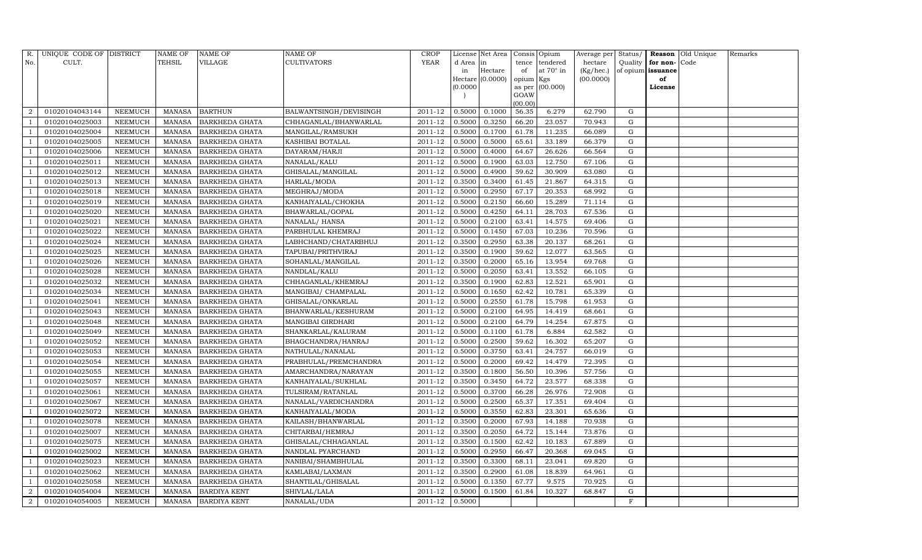| R.             | UNIQUE CODE OF DISTRICT |                | <b>NAME OF</b> | <b>NAME OF</b>        | <b>NAME OF</b>         | <b>CROP</b> |           | License Net Area |                | Consis Opium     | Average per Status/ |           |                   | Reason Old Unique | Remarks |
|----------------|-------------------------|----------------|----------------|-----------------------|------------------------|-------------|-----------|------------------|----------------|------------------|---------------------|-----------|-------------------|-------------------|---------|
| No.            | CULT.                   |                | <b>TEHSIL</b>  | VILLAGE               | <b>CULTIVATORS</b>     | YEAR        | d Area in |                  | tence          | tendered         | hectare             | Quality   | for non-          | Code              |         |
|                |                         |                |                |                       |                        |             | in        | Hectare          | of             | at $70^\circ$ in | (Kg/hec.)           |           | of opium issuance |                   |         |
|                |                         |                |                |                       |                        |             |           | Hectare (0.0000) | opium Kgs      |                  | (00.0000)           |           | of                |                   |         |
|                |                         |                |                |                       |                        |             | (0.0000)  |                  | as per<br>GOAW | (00.000)         |                     |           | License           |                   |         |
|                |                         |                |                |                       |                        |             |           |                  | (00.00)        |                  |                     |           |                   |                   |         |
| $\overline{2}$ | 01020104043144          | NEEMUCH        | MANASA         | <b>BARTHUN</b>        | BALWANTSINGH/DEVISINGH | 2011-12     | 0.5000    | 0.1000           | 56.35          | 6.279            | 62.790              | G         |                   |                   |         |
|                | 01020104025003          | NEEMUCH        | <b>MANASA</b>  | <b>BARKHEDA GHATA</b> | CHHAGANLAL/BHANWARLAL  | 2011-12     | 0.5000    | 0.3250           | 66.20          | 23.057           | 70.943              | G         |                   |                   |         |
|                | 01020104025004          | NEEMUCH        | <b>MANASA</b>  | <b>BARKHEDA GHATA</b> | MANGILAL/RAMSUKH       | 2011-12     | 0.5000    | 0.1700           | 61.78          | 11.235           | 66.089              | G         |                   |                   |         |
|                | 01020104025005          | <b>NEEMUCH</b> | <b>MANASA</b>  | <b>BARKHEDA GHATA</b> | KASHIBAI BOTALAL       | 2011-12     | 0.5000    | 0.5000           | 65.61          | 33.189           | 66.379              | G         |                   |                   |         |
|                | 01020104025006          | <b>NEEMUCH</b> | <b>MANASA</b>  | <b>BARKHEDA GHATA</b> | DAYARAM/HARJI          | 2011-12     | 0.5000    | 0.4000           | 64.67          | 26.626           | 66.564              | G         |                   |                   |         |
|                | 01020104025011          | <b>NEEMUCH</b> | <b>MANASA</b>  | <b>BARKHEDA GHATA</b> | NANALAL/KALU           | 2011-12     | 0.5000    | 0.1900           | 63.03          | 12.750           | 67.106              | G         |                   |                   |         |
|                | 01020104025012          | <b>NEEMUCH</b> | <b>MANASA</b>  | <b>BARKHEDA GHATA</b> | GHISALAL/MANGILAL      | 2011-12     | 0.5000    | 0.4900           | 59.62          | 30.909           | 63.080              | G         |                   |                   |         |
| - 1            | 01020104025013          | NEEMUCH        | <b>MANASA</b>  | <b>BARKHEDA GHATA</b> | HARLAL/MODA            | 2011-12     | 0.3500    | 0.3400           | 61.45          | 21.867           | 64.315              | G         |                   |                   |         |
|                | 01020104025018          | <b>NEEMUCH</b> | <b>MANASA</b>  | <b>BARKHEDA GHATA</b> | MEGHRAJ/MODA           | 2011-12     | 0.5000    | 0.2950           | 67.17          | 20.353           | 68.992              | G         |                   |                   |         |
|                | 01020104025019          | NEEMUCH        | <b>MANASA</b>  | <b>BARKHEDA GHATA</b> | KANHAIYALAL/CHOKHA     | 2011-12     | 0.5000    | 0.2150           | 66.60          | 15.289           | 71.114              | G         |                   |                   |         |
|                | 01020104025020          | NEEMUCH        | <b>MANASA</b>  | <b>BARKHEDA GHATA</b> | BHAWARLAL/GOPAL        | 2011-12     | 0.5000    | 0.4250           | 64.11          | 28.703           | 67.536              | ${\rm G}$ |                   |                   |         |
|                | 01020104025021          | <b>NEEMUCH</b> | <b>MANASA</b>  | <b>BARKHEDA GHATA</b> | NANALAL/HANSA          | 2011-12     | 0.5000    | 0.2100           | 63.41          | 14.575           | 69.406              | G         |                   |                   |         |
|                | 01020104025022          | <b>NEEMUCH</b> | <b>MANASA</b>  | <b>BARKHEDA GHATA</b> | PARBHULAL KHEMRAJ      | 2011-12     | 0.5000    | 0.1450           | 67.03          | 10.236           | 70.596              | G         |                   |                   |         |
|                | 01020104025024          | <b>NEEMUCH</b> | <b>MANASA</b>  | <b>BARKHEDA GHATA</b> | LABHCHAND/CHATARBHUJ   | 2011-12     | 0.3500    | 0.2950           | 63.38          | 20.137           | 68.261              | G         |                   |                   |         |
|                | 01020104025025          | <b>NEEMUCH</b> | <b>MANASA</b>  | <b>BARKHEDA GHATA</b> | TAPUBAI/PRITHVIRAJ     | 2011-12     | 0.3500    | 0.1900           | 59.62          | 12.077           | 63.565              | G         |                   |                   |         |
|                | 01020104025026          | NEEMUCH        | MANASA         | <b>BARKHEDA GHATA</b> | SOHANLAL/MANGILAL      | 2011-12     | 0.3500    | 0.2000           | 65.16          | 13.954           | 69.768              | G         |                   |                   |         |
|                | 01020104025028          | NEEMUCH        | MANASA         | <b>BARKHEDA GHATA</b> | NANDLAL/KALU           | 2011-12     | 0.5000    | 0.2050           | 63.41          | 13.552           | 66.105              | G         |                   |                   |         |
|                | 01020104025032          | <b>NEEMUCH</b> | <b>MANASA</b>  | <b>BARKHEDA GHATA</b> | CHHAGANLAL/KHEMRAJ     | 2011-12     | 0.3500    | 0.1900           | 62.83          | 12.521           | 65.901              | G         |                   |                   |         |
|                | 01020104025034          | NEEMUCH        | MANASA         | <b>BARKHEDA GHATA</b> | MANGIBAI / CHAMPALAL   | 2011-12     | 0.5000    | 0.1650           | 62.42          | 10.781           | 65.339              | G         |                   |                   |         |
|                | 01020104025041          | NEEMUCH        | <b>MANASA</b>  | <b>BARKHEDA GHATA</b> | GHISALAL/ONKARLAL      | 2011-12     | 0.5000    | 0.2550           | 61.78          | 15.798           | 61.953              | G         |                   |                   |         |
|                | 01020104025043          | NEEMUCH        | <b>MANASA</b>  | <b>BARKHEDA GHATA</b> | BHANWARLAL/KESHURAM    | 2011-12     | 0.5000    | 0.2100           | 64.95          | 14.419           | 68.661              | G         |                   |                   |         |
|                | 01020104025048          | <b>NEEMUCH</b> | <b>MANASA</b>  | <b>BARKHEDA GHATA</b> | MANGIBAI GIRDHARI      | 2011-12     | 0.5000    | 0.2100           | 64.79          | 14.254           | 67.875              | G         |                   |                   |         |
|                | 01020104025049          | NEEMUCH        | <b>MANASA</b>  | <b>BARKHEDA GHATA</b> | SHANKARLAL/KALURAM     | 2011-12     | 0.5000    | 0.1100           | 61.78          | 6.884            | 62.582              | G         |                   |                   |         |
|                | 01020104025052          | <b>NEEMUCH</b> | <b>MANASA</b>  | <b>BARKHEDA GHATA</b> | BHAGCHANDRA/HANRAJ     | 2011-12     | 0.5000    | 0.2500           | 59.62          | 16.302           | 65.207              | G         |                   |                   |         |
|                | 01020104025053          | <b>NEEMUCH</b> | <b>MANASA</b>  | <b>BARKHEDA GHATA</b> | NATHULAL/NANALAL       | 2011-12     | 0.5000    | 0.3750           | 63.41          | 24.757           | 66.019              | G         |                   |                   |         |
|                | 01020104025054          | <b>NEEMUCH</b> | <b>MANASA</b>  | <b>BARKHEDA GHATA</b> | PRABHULAL/PREMCHANDRA  | 2011-12     | 0.5000    | 0.2000           | 69.42          | 14.479           | 72.395              | G         |                   |                   |         |
|                | 01020104025055          | NEEMUCH        | <b>MANASA</b>  | <b>BARKHEDA GHATA</b> | AMARCHANDRA/NARAYAN    | 2011-12     | 0.3500    | 0.1800           | 56.50          | 10.396           | 57.756              | G         |                   |                   |         |
|                | 01020104025057          | <b>NEEMUCH</b> | <b>MANASA</b>  | <b>BARKHEDA GHATA</b> | KANHAIYALAL/SUKHLAL    | 2011-12     | 0.3500    | 0.3450           | 64.72          | 23.577           | 68.338              | G         |                   |                   |         |
|                | 01020104025061          | <b>NEEMUCH</b> | <b>MANASA</b>  | <b>BARKHEDA GHATA</b> | TULSIRAM/RATANLAL      | 2011-12     | 0.5000    | 0.3700           | 66.28          | 26.976           | 72.908              | G         |                   |                   |         |
|                | 01020104025067          | NEEMUCH        | <b>MANASA</b>  | <b>BARKHEDA GHATA</b> | NANALAL/VARDICHANDRA   | 2011-12     | 0.5000    | 0.2500           | 65.37          | 17.351           | 69.404              | G         |                   |                   |         |
|                | 01020104025072          | <b>NEEMUCH</b> | <b>MANASA</b>  | <b>BARKHEDA GHATA</b> | KANHAIYALAL/MODA       | 2011-12     | 0.5000    | 0.3550           | 62.83          | 23.301           | 65.636              | G         |                   |                   |         |
|                | 01020104025078          | <b>NEEMUCH</b> | <b>MANASA</b>  | <b>BARKHEDA GHATA</b> | KAILASH/BHANWARLAL     | 2011-12     | 0.3500    | 0.2000           | 67.93          | 14.188           | 70.938              | ${\rm G}$ |                   |                   |         |
|                | 01020104025007          | <b>NEEMUCH</b> | <b>MANASA</b>  | <b>BARKHEDA GHATA</b> | CHITARBAI/HEMRAJ       | 2011-12     | 0.3500    | 0.2050           | 64.72          | 15.144           | 73.876              | G         |                   |                   |         |
|                | 01020104025075          | <b>NEEMUCH</b> | <b>MANASA</b>  | <b>BARKHEDA GHATA</b> | GHISALAL/CHHAGANLAL    | 2011-12     | 0.3500    | 0.1500           | 62.42          | 10.183           | 67.889              | G         |                   |                   |         |
|                | 01020104025002          | NEEMUCH        | MANASA         | <b>BARKHEDA GHATA</b> | NANDLAL PYARCHAND      | 2011-12     | 0.5000    | 0.2950           | 66.47          | 20.368           | 69.045              | G         |                   |                   |         |
|                | 01020104025023          | <b>NEEMUCH</b> | <b>MANASA</b>  | <b>BARKHEDA GHATA</b> | NANIBAI/SHAMBHULAL     | 2011-12     | 0.3500    | 0.3300           | 68.11          | 23.041           | 69.820              | ${\rm G}$ |                   |                   |         |
|                | 01020104025062          | <b>NEEMUCH</b> | <b>MANASA</b>  | <b>BARKHEDA GHATA</b> | KAMLABAI/LAXMAN        | 2011-12     | 0.3500    | 0.2900           | 61.08          | 18.839           | 64.961              | G         |                   |                   |         |
| $\overline{1}$ | 01020104025058          | <b>NEEMUCH</b> | MANASA         | <b>BARKHEDA GHATA</b> | SHANTILAL/GHISALAL     | 2011-12     | 0.5000    | 0.1350           | 67.77          | 9.575            | 70.925              | G         |                   |                   |         |
| 2              | 01020104054004          | <b>NEEMUCH</b> | MANASA         | <b>BARDIYA KENT</b>   | SHIVLAL/LALA           | 2011-12     | 0.5000    | 0.1500           | 61.84          | 10.327           | 68.847              | G         |                   |                   |         |
| $\,2\,$        | 01020104054005          | NEEMUCH        |                | MANASA BARDIYA KENT   | NANALAL/UDA            | 2011-12     | 0.5000    |                  |                |                  |                     | F         |                   |                   |         |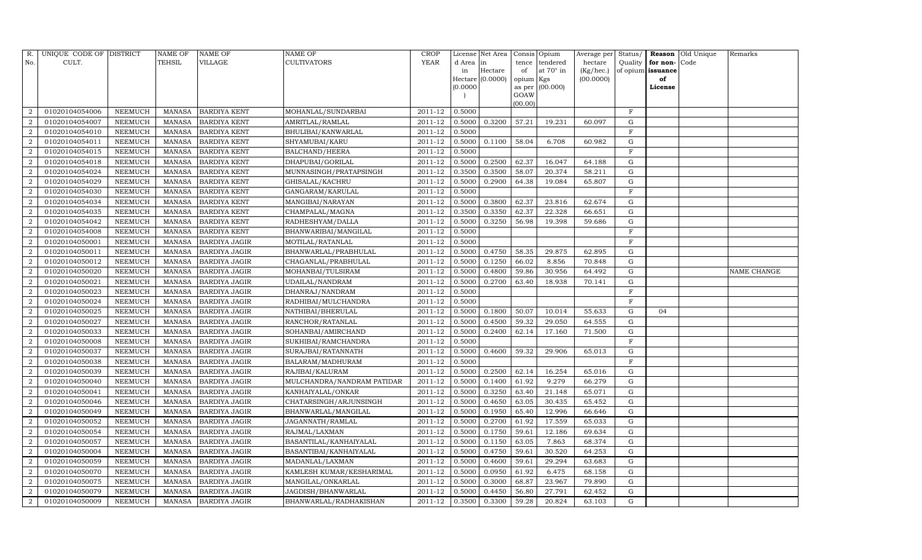| R.               | UNIQUE CODE OF DISTRICT |                | <b>NAME OF</b> | <b>NAME OF</b>       | <b>NAME OF</b>             | CROP        |           | License Net Area |           | Consis Opium     | Average per | Status/      |                   | Reason Old Unique | Remarks     |
|------------------|-------------------------|----------------|----------------|----------------------|----------------------------|-------------|-----------|------------------|-----------|------------------|-------------|--------------|-------------------|-------------------|-------------|
| No.              | CULT.                   |                | TEHSIL         | VILLAGE              | <b>CULTIVATORS</b>         | <b>YEAR</b> | d Area in |                  | tence     | tendered         | hectare     | Quality      | for non-          | Code              |             |
|                  |                         |                |                |                      |                            |             | in        | Hectare          | of        | at $70^\circ$ in | (Kg/hec.)   |              | of opium issuance |                   |             |
|                  |                         |                |                |                      |                            |             |           | Hectare (0.0000) | opium Kgs |                  | (00.0000)   |              | of                |                   |             |
|                  |                         |                |                |                      |                            |             | (0.0000)  |                  | GOAW      | as per (00.000)  |             |              | License           |                   |             |
|                  |                         |                |                |                      |                            |             |           |                  | (00.00)   |                  |             |              |                   |                   |             |
| $\overline{2}$   | 01020104054006          | NEEMUCH        | MANASA         | <b>BARDIYA KENT</b>  | MOHANLAL/SUNDARBAI         | 2011-12     | 0.5000    |                  |           |                  |             | $\mathbf{F}$ |                   |                   |             |
| $\overline{2}$   | 01020104054007          | NEEMUCH        | MANASA         | <b>BARDIYA KENT</b>  | AMRITLAL/RAMLAL            | 2011-12     | 0.5000    | 0.3200           | 57.21     | 19.231           | 60.097      | G            |                   |                   |             |
| $\overline{2}$   | 01020104054010          | <b>NEEMUCH</b> | MANASA         | <b>BARDIYA KENT</b>  | BHULIBAI/KANWARLAL         | 2011-12     | 0.5000    |                  |           |                  |             | $_{\rm F}$   |                   |                   |             |
| $\overline{2}$   | 01020104054011          | NEEMUCH        | MANASA         | <b>BARDIYA KENT</b>  | SHYAMUBAI/KARU             | 2011-12     | 0.5000    | 0.1100           | 58.04     | 6.708            | 60.982      | $\mathbf G$  |                   |                   |             |
| $\overline{2}$   | 01020104054015          | NEEMUCH        | MANASA         | <b>BARDIYA KENT</b>  | BALCHAND/HEERA             | 2011-12     | 0.5000    |                  |           |                  |             | F            |                   |                   |             |
| $\overline{2}$   | 01020104054018          | NEEMUCH        | MANASA         | <b>BARDIYA KENT</b>  | DHAPUBAI/GORILAL           | 2011-12     | 0.5000    | 0.2500           | 62.37     | 16.047           | 64.188      | $\mathbf G$  |                   |                   |             |
| $\overline{2}$   | 01020104054024          | NEEMUCH        | MANASA         | <b>BARDIYA KENT</b>  | MUNNASINGH/PRATAPSINGH     | 2011-12     | 0.3500    | 0.3500           | 58.07     | 20.374           | 58.211      | G            |                   |                   |             |
| 2                | 01020104054029          | NEEMUCH        | MANASA         | <b>BARDIYA KENT</b>  | GHISALAL/KACHRU            | 2011-12     | 0.5000    | 0.2900           | 64.38     | 19.084           | 65.807      | G            |                   |                   |             |
| $\overline{2}$   | 01020104054030          | NEEMUCH        | MANASA         | <b>BARDIYA KENT</b>  | GANGARAM/KARULAL           | 2011-12     | 0.5000    |                  |           |                  |             | $\mathbf{F}$ |                   |                   |             |
| $\overline{2}$   | 01020104054034          | NEEMUCH        | MANASA         | <b>BARDIYA KENT</b>  | MANGIBAI/NARAYAN           | 2011-12     | 0.5000    | 0.3800           | 62.37     | 23.816           | 62.674      | G            |                   |                   |             |
| 2                | 01020104054035          | <b>NEEMUCH</b> | MANASA         | <b>BARDIYA KENT</b>  | CHAMPALAL/MAGNA            | 2011-12     | 0.3500    | 0.3350           | 62.37     | 22.328           | 66.651      | G            |                   |                   |             |
| $\overline{2}$   | 01020104054042          | NEEMUCH        | MANASA         | <b>BARDIYA KENT</b>  | RADHESHYAM/DALLA           | 2011-12     | 0.5000    | 0.3250           | 56.98     | 19.398           | 59.686      | ${\rm G}$    |                   |                   |             |
| $\overline{2}$   | 01020104054008          | NEEMUCH        | MANASA         | <b>BARDIYA KENT</b>  | BHANWARIBAI/MANGILAL       | 2011-12     | 0.5000    |                  |           |                  |             | F            |                   |                   |             |
| $\overline{2}$   | 01020104050001          | <b>NEEMUCH</b> | MANASA         | <b>BARDIYA JAGIR</b> | MOTILAL/RATANLAL           | 2011-12     | 0.5000    |                  |           |                  |             | $\mathbf{F}$ |                   |                   |             |
| $\overline{2}$   | 01020104050011          | <b>NEEMUCH</b> | MANASA         | <b>BARDIYA JAGIR</b> | BHANWARLAL/PRABHULAL       | 2011-12     | 0.5000    | 0.4750           | 58.35     | 29.875           | 62.895      | G            |                   |                   |             |
| 2                | 01020104050012          | NEEMUCH        | MANASA         | <b>BARDIYA JAGIR</b> | CHAGANLAL/PRABHULAL        | 2011-12     | 0.5000    | 0.1250           | 66.02     | 8.856            | 70.848      | G            |                   |                   |             |
| $\overline{2}$   | 01020104050020          | NEEMUCH        | MANASA         | <b>BARDIYA JAGIR</b> | MOHANBAI/TULSIRAM          | 2011-12     | 0.5000    | 0.4800           | 59.86     | 30.956           | 64.492      | G            |                   |                   | NAME CHANGE |
| $\overline{2}$   | 01020104050021          | NEEMUCH        | MANASA         | <b>BARDIYA JAGIR</b> | UDAILAL/NANDRAM            | 2011-12     | 0.5000    | 0.2700           | 63.40     | 18.938           | 70.141      | G            |                   |                   |             |
| $\overline{2}$   | 01020104050023          | NEEMUCH        | MANASA         | <b>BARDIYA JAGIR</b> | DHANRAJ/NANDRAM            | 2011-12     | 0.5000    |                  |           |                  |             | F            |                   |                   |             |
| $\overline{2}$   | 01020104050024          | NEEMUCH        | MANASA         | <b>BARDIYA JAGIR</b> | RADHIBAI/MULCHANDRA        | 2011-12     | 0.5000    |                  |           |                  |             | $\mathbf{F}$ |                   |                   |             |
| $\overline{2}$   | 01020104050025          | NEEMUCH        | MANASA         | <b>BARDIYA JAGIR</b> | NATHIBAI/BHERULAL          | 2011-12     | 0.5000    | 0.1800           | 50.07     | 10.014           | 55.633      | G            | 04                |                   |             |
| $\overline{2}$   | 01020104050027          | NEEMUCH        | MANASA         | <b>BARDIYA JAGIR</b> | RANCHOR/RATANLAL           | 2011-12     | 0.5000    | 0.4500           | 59.32     | 29.050           | 64.555      | G            |                   |                   |             |
| $\boldsymbol{2}$ | 01020104050033          | NEEMUCH        | MANASA         | <b>BARDIYA JAGIR</b> | SOHANBAI/AMIRCHAND         | 2011-12     | 0.5000    | 0.2400           | 62.14     | 17.160           | 71.500      | ${\rm G}$    |                   |                   |             |
| $\overline{2}$   | 01020104050008          | <b>NEEMUCH</b> | MANASA         | <b>BARDIYA JAGIR</b> | SUKHIBAI/RAMCHANDRA        | 2011-12     | 0.5000    |                  |           |                  |             | $\mathbf F$  |                   |                   |             |
| $\overline{2}$   | 01020104050037          | NEEMUCH        | MANASA         | <b>BARDIYA JAGIR</b> | SURAJBAI/RATANNATH         | 2011-12     | 0.5000    | 0.4600           | 59.32     | 29.906           | 65.013      | G            |                   |                   |             |
| $\overline{2}$   | 01020104050038          | NEEMUCH        | MANASA         | <b>BARDIYA JAGIR</b> | BALARAM/MADHURAM           | 2011-12     | 0.5000    |                  |           |                  |             | $\mathbf F$  |                   |                   |             |
| $\overline{2}$   | 01020104050039          | NEEMUCH        | MANASA         | <b>BARDIYA JAGIR</b> | RAJIBAI/KALURAM            | 2011-12     | 0.5000    | 0.2500           | 62.14     | 16.254           | 65.016      | $\mathbf G$  |                   |                   |             |
| $\overline{2}$   | 01020104050040          | NEEMUCH        | MANASA         | <b>BARDIYA JAGIR</b> | MULCHANDRA/NANDRAM PATIDAR | 2011-12     | 0.5000    | 0.1400           | 61.92     | 9.279            | 66.279      | G            |                   |                   |             |
| $\overline{2}$   | 01020104050041          | NEEMUCH        | MANASA         | <b>BARDIYA JAGIR</b> | KANHAIYALAL/ONKAR          | 2011-12     | 0.5000    | 0.3250           | 63.40     | 21.148           | 65.071      | G            |                   |                   |             |
| $\overline{a}$   | 01020104050046          | NEEMUCH        | MANASA         | <b>BARDIYA JAGIR</b> | CHATARSINGH/ARJUNSINGH     | 2011-12     | 0.5000    | 0.4650           | 63.05     | 30.435           | 65.452      | G            |                   |                   |             |
| $\overline{2}$   | 01020104050049          | NEEMUCH        | MANASA         | <b>BARDIYA JAGIR</b> | BHANWARLAL/MANGILAL        | 2011-12     | 0.5000    | 0.1950           | 65.40     | 12.996           | 66.646      | G            |                   |                   |             |
| $\sqrt{2}$       | 01020104050052          | NEEMUCH        | MANASA         | <b>BARDIYA JAGIR</b> | JAGANNATH/RAMLAL           | 2011-12     | 0.5000    | 0.2700           | 61.92     | 17.559           | 65.033      | G            |                   |                   |             |
| $\overline{2}$   | 01020104050054          | <b>NEEMUCH</b> | MANASA         | <b>BARDIYA JAGIR</b> | RAJMAL/LAXMAN              | 2011-12     | 0.5000    | 0.1750           | 59.61     | 12.186           | 69.634      | G            |                   |                   |             |
| $\overline{2}$   | 01020104050057          | NEEMUCH        | MANASA         | <b>BARDIYA JAGIR</b> | BASANTILAL/KANHAIYALAL     | 2011-12     | 0.5000    | 0.1150           | 63.05     | 7.863            | 68.374      | G            |                   |                   |             |
| $\overline{2}$   | 01020104050004          | <b>NEEMUCH</b> | MANASA         | <b>BARDIYA JAGIR</b> | BASANTIBAI/KANHAIYALAL     | 2011-12     | 0.5000    | 0.4750           | 59.61     | 30.520           | 64.253      | G            |                   |                   |             |
| $\overline{2}$   | 01020104050059          | <b>NEEMUCH</b> | MANASA         | <b>BARDIYA JAGIR</b> | MADANLAL/LAXMAN            | 2011-12     | 0.5000    | 0.4600           | 59.61     | 29.294           | 63.683      | G            |                   |                   |             |
| $\overline{a}$   | 01020104050070          | NEEMUCH        | MANASA         | <b>BARDIYA JAGIR</b> | KAMLESH KUMAR/KESHARIMAL   | 2011-12     | 0.5000    | 0.0950           | 61.92     | 6.475            | 68.158      | G            |                   |                   |             |
| $\overline{2}$   | 01020104050075          | NEEMUCH        | MANASA         | <b>BARDIYA JAGIR</b> | MANGILAL/ONKARLAL          | 2011-12     | 0.5000    | 0.3000           | 68.87     | 23.967           | 79.890      | G            |                   |                   |             |
| $\overline{2}$   | 01020104050079          | NEEMUCH        | MANASA         | <b>BARDIYA JAGIR</b> | JAGDISH/BHANWARLAL         | 2011-12     | 0.5000    | 0.4450           | 56.80     | 27.791           | 62.452      | G            |                   |                   |             |
| $\overline{2}$   | 01020104050009          | NEEMUCH        |                | MANASA BARDIYA JAGIR | BHANWARLAL/RADHAKISHAN     | $2011 - 12$ | 0.3500    | 0.3300           | 59.28     | 20.824           | 63.103      | G            |                   |                   |             |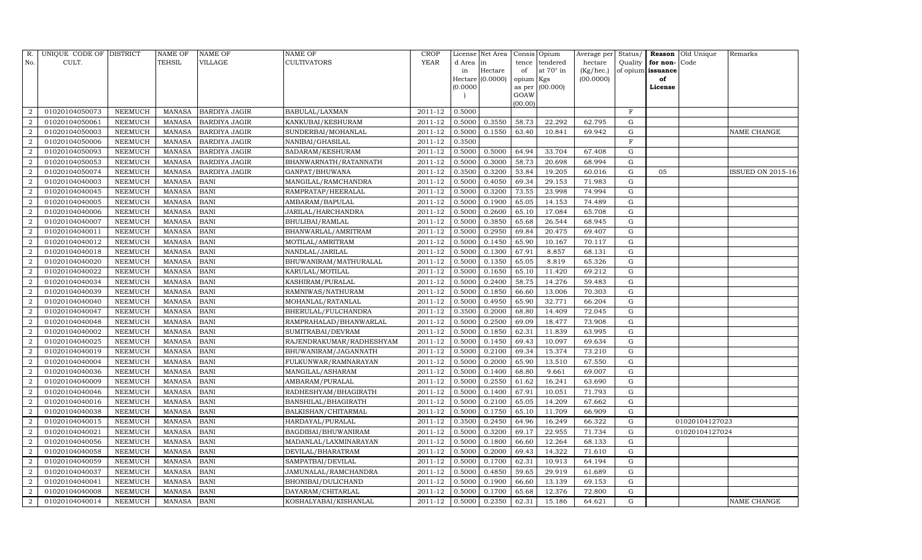| R.             | UNIQUE CODE OF DISTRICT |                | <b>NAME OF</b> | <b>NAME OF</b>       | <b>NAME OF</b>           | CROP        |           | License Net Area |                | Consis Opium     | Average per | Status/      | Reason            | Old Unique     | Remarks           |
|----------------|-------------------------|----------------|----------------|----------------------|--------------------------|-------------|-----------|------------------|----------------|------------------|-------------|--------------|-------------------|----------------|-------------------|
| No.            | CULT.                   |                | <b>TEHSIL</b>  | VILLAGE              | <b>CULTIVATORS</b>       | <b>YEAR</b> | d Area in |                  | tence          | tendered         | hectare     | Quality      | for non-          | Code           |                   |
|                |                         |                |                |                      |                          |             | in        | Hectare          | of             | at $70^\circ$ in | (Kg/hec.)   |              | of opium issuance |                |                   |
|                |                         |                |                |                      |                          |             |           | Hectare (0.0000) | opium Kgs      |                  | (00.0000)   |              | of                |                |                   |
|                |                         |                |                |                      |                          |             | (0.0000)  |                  | as per<br>GOAW | (00.000)         |             |              | License           |                |                   |
|                |                         |                |                |                      |                          |             |           |                  | (00.00)        |                  |             |              |                   |                |                   |
| $\overline{2}$ | 01020104050073          | NEEMUCH        | MANASA         | <b>BARDIYA JAGIR</b> | BABULAL/LAXMAN           | 2011-12     | 0.5000    |                  |                |                  |             | $\mathbf{F}$ |                   |                |                   |
| $\overline{2}$ | 01020104050061          | <b>NEEMUCH</b> | MANASA         | <b>BARDIYA JAGIR</b> | KANKUBAI/KESHURAM        | 2011-12     | 0.5000    | 0.3550           | 58.73          | 22.292           | 62.795      | G            |                   |                |                   |
| $\overline{2}$ | 01020104050003          | <b>NEEMUCH</b> | MANASA         | <b>BARDIYA JAGIR</b> | SUNDERBAI/MOHANLAL       | 2011-12     | 0.5000    | 0.1550           | 63.40          | 10.841           | 69.942      | G            |                   |                | NAME CHANGE       |
| $\overline{2}$ | 01020104050006          | NEEMUCH        | MANASA         | <b>BARDIYA JAGIR</b> | NANIBAI/GHASILAL         | 2011-12     | 0.3500    |                  |                |                  |             | F            |                   |                |                   |
| 2              | 01020104050093          | NEEMUCH        | MANASA         | <b>BARDIYA JAGIR</b> | SADARAM/KESHURAM         | 2011-12     | 0.5000    | 0.5000           | 64.94          | 33.704           | 67.408      | G            |                   |                |                   |
| $\overline{2}$ | 01020104050053          | NEEMUCH        | MANASA         | <b>BARDIYA JAGIR</b> | BHANWARNATH/RATANNATH    | 2011-12     | 0.5000    | 0.3000           | 58.73          | 20.698           | 68.994      | $\mathbf G$  |                   |                |                   |
| $\overline{2}$ | 01020104050074          | NEEMUCH        | <b>MANASA</b>  | <b>BARDIYA JAGIR</b> | GANPAT/BHUWANA           | 2011-12     | 0.3500    | 0.3200           | 53.84          | 19.205           | 60.016      | G            | 05                |                | ISSUED ON 2015-16 |
| 2              | 01020104040003          | NEEMUCH        | MANASA         | <b>BANI</b>          | MANGILAL/RAMCHANDRA      | 2011-12     | 0.5000    | 0.4050           | 69.34          | 29.153           | 71.983      | G            |                   |                |                   |
| $\overline{2}$ | 01020104040045          | NEEMUCH        | <b>MANASA</b>  | <b>BANI</b>          | RAMPRATAP/HEERALAL       | 2011-12     | 0.5000    | 0.3200           | 73.55          | 23.998           | 74.994      | $\mathbf G$  |                   |                |                   |
| $\overline{2}$ | 01020104040005          | NEEMUCH        | MANASA         | <b>BANI</b>          | AMBARAM/BAPULAL          | 2011-12     | 0.5000    | 0.1900           | 65.05          | 14.153           | 74.489      | G            |                   |                |                   |
| $\overline{2}$ | 01020104040006          | NEEMUCH        | MANASA         | <b>BANI</b>          | JARILAL/HARCHANDRA       | 2011-12     | 0.5000    | 0.2600           | 65.10          | 17.084           | 65.708      | G            |                   |                |                   |
| $\overline{2}$ | 01020104040007          | NEEMUCH        | MANASA         | <b>BANI</b>          | BHULIBAI/RAMLAL          | 2011-12     | 0.5000    | 0.3850           | 65.68          | 26.544           | 68.945      | ${\rm G}$    |                   |                |                   |
| $\overline{2}$ | 01020104040011          | NEEMUCH        | MANASA         | <b>BANI</b>          | BHANWARLAL/AMRITRAM      | 2011-12     | 0.5000    | 0.2950           | 69.84          | 20.475           | 69.407      | G            |                   |                |                   |
| $\overline{2}$ | 01020104040012          | <b>NEEMUCH</b> | <b>MANASA</b>  | <b>BANI</b>          | MOTILAL/AMRITRAM         | 2011-12     | 0.5000    | 0.1450           | 65.90          | 10.167           | 70.117      | G            |                   |                |                   |
| $\overline{2}$ | 01020104040018          | <b>NEEMUCH</b> | <b>MANASA</b>  | <b>BANI</b>          | NANDLAL/JARILAL          | 2011-12     | 0.5000    | 0.1300           | 67.91          | 8.857            | 68.131      | G            |                   |                |                   |
| 2              | 01020104040020          | NEEMUCH        | MANASA         | <b>BANI</b>          | BHUWANIRAM/MATHURALAL    | 2011-12     | 0.5000    | 0.1350           | 65.05          | 8.819            | 65.326      | G            |                   |                |                   |
| $\overline{2}$ | 01020104040022          | NEEMUCH        | <b>MANASA</b>  | <b>BANI</b>          | KARULAL/MOTILAL          | 2011-12     | 0.5000    | 0.1650           | 65.10          | 11.420           | 69.212      | G            |                   |                |                   |
| $\overline{2}$ | 01020104040034          | <b>NEEMUCH</b> | MANASA         | <b>BANI</b>          | KASHIRAM/PURALAL         | 2011-12     | 0.5000    | 0.2400           | 58.75          | 14.276           | 59.483      | G            |                   |                |                   |
| $\overline{2}$ | 01020104040039          | NEEMUCH        | MANASA         | <b>BANI</b>          | RAMNIWAS/NATHURAM        | 2011-12     | 0.5000    | 0.1850           | 66.60          | 13.006           | 70.303      | G            |                   |                |                   |
| 2              | 01020104040040          | <b>NEEMUCH</b> | MANASA         | <b>BANI</b>          | MOHANLAL/RATANLAL        | 2011-12     | 0.5000    | 0.4950           | 65.90          | 32.771           | 66.204      | G            |                   |                |                   |
| $\overline{2}$ | 01020104040047          | NEEMUCH        | MANASA         | <b>BANI</b>          | BHERULAL/FULCHANDRA      | 2011-12     | 0.3500    | 0.2000           | 68.80          | 14.409           | 72.045      | G            |                   |                |                   |
| $\overline{2}$ | 01020104040048          | NEEMUCH        | MANASA         | <b>BANI</b>          | RAMPRAHALAD/BHANWARLAL   | 2011-12     | 0.5000    | 0.2500           | 69.09          | 18.477           | 73.908      | G            |                   |                |                   |
| $\overline{2}$ | 01020104040002          | NEEMUCH        | MANASA         | <b>BANI</b>          | SUMITRABAI/DEVRAM        | 2011-12     | 0.5000    | 0.1850           | 62.31          | 11.839           | 63.995      | ${\rm G}$    |                   |                |                   |
| $\overline{2}$ | 01020104040025          | <b>NEEMUCH</b> | <b>MANASA</b>  | <b>BANI</b>          | RAJENDRAKUMAR/RADHESHYAM | 2011-12     | 0.5000    | 0.1450           | 69.43          | 10.097           | 69.634      | ${\rm G}$    |                   |                |                   |
| $\overline{2}$ | 01020104040019          | NEEMUCH        | MANASA         | <b>BANI</b>          | BHUWANIRAM/JAGANNATH     | 2011-12     | 0.5000    | 0.2100           | 69.34          | 15.374           | 73.210      | G            |                   |                |                   |
| $\overline{2}$ | 01020104040004          | NEEMUCH        | MANASA         | <b>BANI</b>          | FULKUNWAR/RAMNARAYAN     | 2011-12     | 0.5000    | 0.2000           | 65.90          | 13.510           | 67.550      | G            |                   |                |                   |
| $\overline{2}$ | 01020104040036          | NEEMUCH        | MANASA         | <b>BANI</b>          | MANGILAL/ASHARAM         | 2011-12     | 0.5000    | 0.1400           | 68.80          | 9.661            | 69.007      | $\mathbf G$  |                   |                |                   |
| $\overline{2}$ | 01020104040009          | NEEMUCH        | <b>MANASA</b>  | <b>BANI</b>          | AMBARAM/PURALAL          | 2011-12     | 0.5000    | 0.2550           | 61.62          | 16.241           | 63.690      | G            |                   |                |                   |
| $\overline{2}$ | 01020104040046          | NEEMUCH        | <b>MANASA</b>  | <b>BANI</b>          | RADHESHYAM/BHAGIRATH     | 2011-12     | 0.5000    | 0.1400           | 67.91          | 10.051           | 71.793      | G            |                   |                |                   |
| $\overline{2}$ | 01020104040016          | NEEMUCH        | MANASA         | <b>BANI</b>          | BANSHILAL/BHAGIRATH      | 2011-12     | 0.5000    | 0.2100           | 65.05          | 14.209           | 67.662      | G            |                   |                |                   |
| $\overline{2}$ | 01020104040038          | NEEMUCH        | MANASA         | <b>BANI</b>          | BALKISHAN/CHITARMAL      | 2011-12     | 0.5000    | 0.1750           | 65.10          | 11.709           | 66.909      | G            |                   |                |                   |
| $\overline{2}$ | 01020104040015          | NEEMUCH        | <b>MANASA</b>  | <b>BANI</b>          | HARDAYAL/PURALAL         | 2011-12     | 0.3500    | 0.2450           | 64.96          | 16.249           | 66.322      | G            |                   | 01020104127023 |                   |
| $\overline{2}$ | 01020104040021          | <b>NEEMUCH</b> | <b>MANASA</b>  | <b>BANI</b>          | BAGDIBAI/BHUWANIRAM      | 2011-12     | 0.5000    | 0.3200           | 69.17          | 22.955           | 71.734      | G            |                   | 01020104127024 |                   |
| $\overline{2}$ | 01020104040056          | NEEMUCH        | MANASA         | <b>BANI</b>          | MADANLAL/LAXMINARAYAN    | 2011-12     | 0.5000    | 0.1800           | 66.60          | 12.264           | 68.133      | G            |                   |                |                   |
| 2              | 01020104040058          | <b>NEEMUCH</b> | MANASA         | <b>BANI</b>          | DEVILAL/BHARATRAM        | 2011-12     | 0.5000    | 0.2000           | 69.43          | 14.322           | 71.610      | G            |                   |                |                   |
| $\overline{2}$ | 01020104040059          | <b>NEEMUCH</b> | MANASA         | <b>BANI</b>          | SAMPATBAI/DEVILAL        | 2011-12     | 0.5000    | 0.1700           | 62.31          | 10.913           | 64.194      | G            |                   |                |                   |
| $\overline{2}$ | 01020104040037          | <b>NEEMUCH</b> | <b>MANASA</b>  | <b>BANI</b>          | JAMUNALAL/RAMCHANDRA     | 2011-12     | 0.5000    | 0.4850           | 59.65          | 29.919           | 61.689      | G            |                   |                |                   |
| $\overline{2}$ | 01020104040041          | <b>NEEMUCH</b> | MANASA         | <b>BANI</b>          | BHONIBAI/DULICHAND       | 2011-12     | 0.5000    | 0.1900           | 66.60          | 13.139           | 69.153      | ${\rm G}$    |                   |                |                   |
| $\overline{2}$ | 01020104040008          | <b>NEEMUCH</b> | <b>MANASA</b>  | <b>BANI</b>          | DAYARAM/CHITARLAL        | 2011-12     | 0.5000    | 0.1700           | 65.68          | 12.376           | 72.800      | G            |                   |                |                   |
| $\overline{2}$ | 01020104040014          | NEEMUCH        | MANASA         | <b>BANI</b>          | KOSHALYABAI/KISHANLAL    | 2011-12     | 0.5000    | 0.2350           | 62.31          | 15.186           | 64.621      | G            |                   |                | NAME CHANGE       |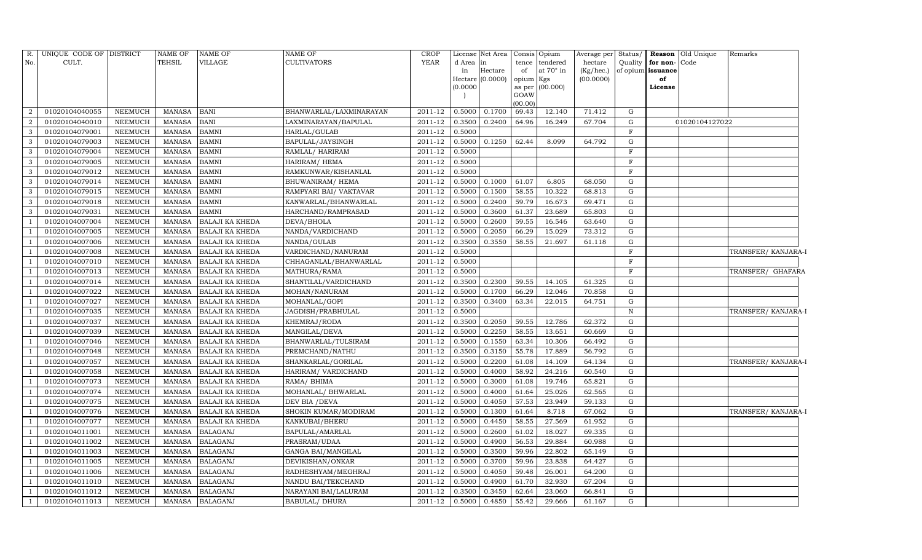| R.             | UNIQUE CODE OF DISTRICT |                | <b>NAME OF</b> | <b>NAME OF</b>         | <b>NAME OF</b>          | <b>CROP</b> |           | License Net Area   Consis   Opium |                    |                 | Average per Status/ |              |                      | <b>Reason</b> Old Unique | Remarks             |
|----------------|-------------------------|----------------|----------------|------------------------|-------------------------|-------------|-----------|-----------------------------------|--------------------|-----------------|---------------------|--------------|----------------------|--------------------------|---------------------|
| No.            | CULT.                   |                | <b>TEHSIL</b>  | VILLAGE                | <b>CULTIVATORS</b>      | YEAR        | d Area in |                                   |                    | tence tendered  | hectare             |              | Quality for non-Code |                          |                     |
|                |                         |                |                |                        |                         |             | in        | Hectare                           | of                 | at 70° in       | (Kg/hec.)           |              | of opium issuance    |                          |                     |
|                |                         |                |                |                        |                         |             |           | Hectare (0.0000)                  | opium Kgs          |                 | (00.0000)           |              | of                   |                          |                     |
|                |                         |                |                |                        |                         |             | (0.0000)  |                                   | GOAW               | as per (00.000) |                     |              | License              |                          |                     |
|                |                         |                |                |                        |                         |             |           |                                   | (00.00)            |                 |                     |              |                      |                          |                     |
| $\overline{2}$ | 01020104040055          | NEEMUCH        | MANASA         | <b>BANI</b>            | BHANWARLAL/LAXMINARAYAN | 2011-12     | 0.5000    | 0.1700                            | 69.43              | 12.140          | 71.412              | G            |                      |                          |                     |
| $\overline{2}$ | 01020104040010          | <b>NEEMUCH</b> | <b>MANASA</b>  | <b>BANI</b>            | LAXMINARAYAN/BAPULAL    | 2011-12     | 0.3500    | 0.2400                            | 64.96              | 16.249          | 67.704              | G            |                      | 01020104127022           |                     |
| 3              | 01020104079001          | NEEMUCH        | <b>MANASA</b>  | <b>BAMNI</b>           | HARLAL/GULAB            | 2011-12     | 0.5000    |                                   |                    |                 |                     | $\mathbf F$  |                      |                          |                     |
| $\mathbf{3}$   | 01020104079003          | NEEMUCH        | <b>MANASA</b>  | <b>BAMNI</b>           | BAPULAL/JAYSINGH        | 2011-12     | 0.5000    | 0.1250                            | 62.44              | 8.099           | 64.792              | $\mathbf G$  |                      |                          |                     |
| 3              | 01020104079004          | <b>NEEMUCH</b> | <b>MANASA</b>  | <b>BAMNI</b>           | RAMLAL/ HARIRAM         | 2011-12     | 0.5000    |                                   |                    |                 |                     | $\mathbf F$  |                      |                          |                     |
| 3              | 01020104079005          | <b>NEEMUCH</b> | <b>MANASA</b>  | <b>BAMNI</b>           | HARIRAM/HEMA            | 2011-12     | 0.5000    |                                   |                    |                 |                     | $\mathbf F$  |                      |                          |                     |
| 3              | 01020104079012          | NEEMUCH        | <b>MANASA</b>  | <b>BAMNI</b>           | RAMKUNWAR/KISHANLAL     | 2011-12     | 0.5000    |                                   |                    |                 |                     | $\mathbf F$  |                      |                          |                     |
| 3              | 01020104079014          | <b>NEEMUCH</b> | <b>MANASA</b>  | <b>BAMNI</b>           | BHUWANIRAM/HEMA         | 2011-12     | 0.5000    | 0.1000                            | 61.07              | 6.805           | 68.050              | $\mathbf G$  |                      |                          |                     |
| 3              | 01020104079015          | <b>NEEMUCH</b> | <b>MANASA</b>  | <b>BAMNI</b>           | RAMPYARI BAI/ VAKTAVAR  | 2011-12     | 0.5000    | 0.1500                            | 58.55              | 10.322          | 68.813              | G            |                      |                          |                     |
| 3              | 01020104079018          | <b>NEEMUCH</b> | <b>MANASA</b>  | <b>BAMNI</b>           | KANWARLAL/BHANWARLAL    | 2011-12     | 0.5000    | 0.2400                            | 59.79              | 16.673          | 69.471              | ${\rm G}$    |                      |                          |                     |
| 3              | 01020104079031          | <b>NEEMUCH</b> | <b>MANASA</b>  | <b>BAMNI</b>           | HARCHAND/RAMPRASAD      | 2011-12     | 0.5000    | 0.3600                            | 61.37              | 23.689          | 65.803              | $\mathbf G$  |                      |                          |                     |
|                | 01020104007004          | <b>NEEMUCH</b> | MANASA         | <b>BALAJI KA KHEDA</b> | DEVA/BHOLA              | 2011-12     | 0.5000    | 0.2600                            | 59.55              | 16.546          | 63.640              | G            |                      |                          |                     |
|                | 01020104007005          | <b>NEEMUCH</b> | <b>MANASA</b>  | <b>BALAJI KA KHEDA</b> | NANDA/VARDICHAND        | 2011-12     | 0.5000    | 0.2050                            | 66.29              | 15.029          | 73.312              | $\mathbf G$  |                      |                          |                     |
|                | 01020104007006          | <b>NEEMUCH</b> | MANASA         | <b>BALAJI KA KHEDA</b> | NANDA/GULAB             | 2011-12     | 0.3500    | 0.3550                            | 58.55              | 21.697          | 61.118              | G            |                      |                          |                     |
|                | 01020104007008          | NEEMUCH        | MANASA         | <b>BALAJI KA KHEDA</b> | VARDICHAND/NANURAM      | 2011-12     | 0.5000    |                                   |                    |                 |                     | $\mathbf F$  |                      |                          | TRANSFER/ KANJARA-I |
|                | 01020104007010          | NEEMUCH        | MANASA         | <b>BALAJI KA KHEDA</b> | CHHAGANLAL/BHANWARLAL   | 2011-12     | 0.5000    |                                   |                    |                 |                     | $\mathbf F$  |                      |                          |                     |
|                | 01020104007013          | <b>NEEMUCH</b> | MANASA         | <b>BALAJI KA KHEDA</b> | MATHURA/RAMA            | 2011-12     | 0.5000    |                                   |                    |                 |                     | $\mathbf F$  |                      |                          | TRANSFER/ GHAFARA   |
|                | 01020104007014          | NEEMUCH        | MANASA         | <b>BALAJI KA KHEDA</b> | SHANTILAL/VARDICHAND    | 2011-12     | 0.3500    | 0.2300                            | 59.55              | 14.105          | 61.325              | G            |                      |                          |                     |
|                | 01020104007022          | NEEMUCH        | MANASA         | <b>BALAJI KA KHEDA</b> | MOHAN/NANURAM           | 2011-12     | 0.5000    | 0.1700                            | 66.29              | 12.046          | 70.858              | G            |                      |                          |                     |
|                | 01020104007027          | <b>NEEMUCH</b> | MANASA         | <b>BALAJI KA KHEDA</b> | MOHANLAL/GOPI           | 2011-12     | 0.3500    | 0.3400                            | 63.34              | 22.015          | 64.751              | G            |                      |                          |                     |
|                | 01020104007035          | <b>NEEMUCH</b> | MANASA         | <b>BALAJI KA KHEDA</b> | JAGDISH/PRABHULAL       | 2011-12     | 0.5000    |                                   |                    |                 |                     | $\, {\rm N}$ |                      |                          | TRANSFER/ KANJARA-I |
|                | 01020104007037          | <b>NEEMUCH</b> | <b>MANASA</b>  | <b>BALAJI KA KHEDA</b> | KHEMRAJ/RODA            | 2011-12     | 0.3500    | 0.2050                            | 59.55              | 12.786          | 62.372              | $\mathbf G$  |                      |                          |                     |
|                | 01020104007039          | NEEMUCH        | MANASA         | <b>BALAJI KA KHEDA</b> | MANGILAL/DEVA           | 2011-12     | 0.5000    | 0.2250                            | $\overline{58.55}$ | 13.651          | 60.669              | $\mathbf G$  |                      |                          |                     |
|                | 01020104007046          | <b>NEEMUCH</b> | <b>MANASA</b>  | <b>BALAJI KA KHEDA</b> | BHANWARLAL/TULSIRAM     | 2011-12     | 0.5000    | 0.1550                            | 63.34              | 10.306          | 66.492              | $\mathbf G$  |                      |                          |                     |
|                | 01020104007048          | <b>NEEMUCH</b> | <b>MANASA</b>  | BALAJI KA KHEDA        | PREMCHAND/NATHU         | 2011-12     | 0.3500    | 0.3150                            | 55.78              | 17.889          | 56.792              | ${\rm G}$    |                      |                          |                     |
|                | 01020104007057          | <b>NEEMUCH</b> | <b>MANASA</b>  | <b>BALAJI KA KHEDA</b> | SHANKARLAL/GORILAL      | 2011-12     | 0.5000    | 0.2200                            | 61.08              | 14.109          | 64.134              | $\mathbf G$  |                      |                          | TRANSFER/ KANJARA-I |
|                | 01020104007058          | <b>NEEMUCH</b> | <b>MANASA</b>  | BALAJI KA KHEDA        | HARIRAM/VARDICHAND      | 2011-12     | 0.5000    | 0.4000                            | 58.92              | 24.216          | 60.540              | G            |                      |                          |                     |
|                | 01020104007073          | <b>NEEMUCH</b> | <b>MANASA</b>  | <b>BALAJI KA KHEDA</b> | RAMA/ BHIMA             | 2011-12     | 0.5000    | 0.3000                            | 61.08              | 19.746          | 65.821              | G            |                      |                          |                     |
|                | 01020104007074          | <b>NEEMUCH</b> | MANASA         | <b>BALAJI KA KHEDA</b> | MOHANLAL/ BHWARLAL      | 2011-12     | 0.5000    | 0.4000                            | 61.64              | 25.026          | 62.565              | G            |                      |                          |                     |
|                | 01020104007075          | <b>NEEMUCH</b> | <b>MANASA</b>  | <b>BALAJI KA KHEDA</b> | DEV BIA / DEVA          | $2011 - 12$ | 0.5000    | 0.4050                            | 57.53              | 23.949          | 59.133              | $\mathbf G$  |                      |                          |                     |
|                | 01020104007076          | <b>NEEMUCH</b> | <b>MANASA</b>  | <b>BALAJI KA KHEDA</b> | SHOKIN KUMAR/MODIRAM    | 2011-12     | 0.5000    | 0.1300                            | 61.64              | 8.718           | 67.062              | $\mathbf G$  |                      |                          | TRANSFER/ KANJARA-I |
|                | 01020104007077          | <b>NEEMUCH</b> | <b>MANASA</b>  | <b>BALAJI KA KHEDA</b> | KANKUBAI/BHERU          | 2011-12     | 0.5000    | 0.4450                            | 58.55              | 27.569          | 61.952              | $\mathbf G$  |                      |                          |                     |
|                | 01020104011001          | <b>NEEMUCH</b> | <b>MANASA</b>  | <b>BALAGANJ</b>        | BAPULAL/AMARLAL         | 2011-12     | 0.5000    | 0.2600                            | 61.02              | 18.027          | 69.335              | ${\rm G}$    |                      |                          |                     |
|                | 01020104011002          | <b>NEEMUCH</b> | <b>MANASA</b>  | <b>BALAGANJ</b>        | PRASRAM/UDAA            | 2011-12     | 0.5000    | 0.4900                            | 56.53              | 29.884          | 60.988              | G            |                      |                          |                     |
| -1             | 01020104011003          | <b>NEEMUCH</b> | MANASA         | <b>BALAGANJ</b>        | GANGA BAI/MANGILAL      | 2011-12     | 0.5000    | 0.3500                            | 59.96              | 22.802          | 65.149              | $\mathbf G$  |                      |                          |                     |
|                | 01020104011005          | <b>NEEMUCH</b> | <b>MANASA</b>  | <b>BALAGANJ</b>        | DEVIKISHAN/ONKAR        | 2011-12     | 0.5000    | 0.3700                            | 59.96              | 23.838          | 64.427              | $\mathbf G$  |                      |                          |                     |
|                | 01020104011006          | <b>NEEMUCH</b> | MANASA         | <b>BALAGANJ</b>        | RADHESHYAM/MEGHRAJ      | 2011-12     | 0.5000    | 0.4050                            | 59.48              | 26.001          | 64.200              | G            |                      |                          |                     |
|                | 01020104011010          | NEEMUCH        | MANASA         | <b>BALAGANJ</b>        | NANDU BAI/TEKCHAND      | 2011-12     | 0.5000    | 0.4900                            | 61.70              | 32.930          | 67.204              | G            |                      |                          |                     |
|                | 01020104011012          | <b>NEEMUCH</b> | MANASA         | <b>BALAGANJ</b>        | NARAYANI BAI/LALURAM    | 2011-12     | 0.3500    | 0.3450                            | 62.64              | 23.060          | 66.841              | G            |                      |                          |                     |
|                | 01020104011013          | NEEMUCH        |                | MANASA BALAGANJ        | <b>BABULAL/ DHURA</b>   | 2011-12     | 0.5000    | 0.4850                            | 55.42              | 29.666          | 61.167              | G            |                      |                          |                     |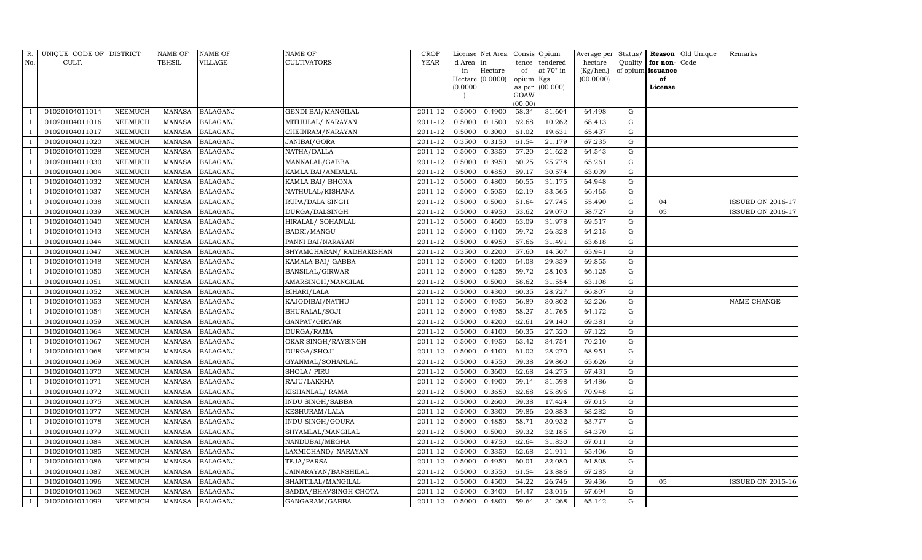| R.             | UNIQUE CODE OF DISTRICT |                | <b>NAME OF</b> | <b>NAME OF</b>  | <b>NAME OF</b>            | <b>CROP</b> |           | License Net Area |                | Consis Opium     | Average per | Status/     |                   | Reason Old Unique | Remarks                  |
|----------------|-------------------------|----------------|----------------|-----------------|---------------------------|-------------|-----------|------------------|----------------|------------------|-------------|-------------|-------------------|-------------------|--------------------------|
| No.            | CULT.                   |                | <b>TEHSIL</b>  | VILLAGE         | <b>CULTIVATORS</b>        | <b>YEAR</b> | d Area in |                  | tence          | tendered         | hectare     | Quality     | for non-          | Code              |                          |
|                |                         |                |                |                 |                           |             | in        | Hectare          | of             | at $70^\circ$ in | (Kg/hec.)   |             | of opium issuance |                   |                          |
|                |                         |                |                |                 |                           |             |           | Hectare (0.0000) | opium Kgs      |                  | (00.0000)   |             | of                |                   |                          |
|                |                         |                |                |                 |                           |             | (0.0000)  |                  | as per<br>GOAW | (00.000)         |             |             | License           |                   |                          |
|                |                         |                |                |                 |                           |             |           |                  | (00.00)        |                  |             |             |                   |                   |                          |
|                | 01020104011014          | NEEMUCH        | MANASA         | <b>BALAGANJ</b> | <b>GENDI BAI/MANGILAL</b> | 2011-12     | 0.5000    | 0.4900           | 58.34          | 31.604           | 64.498      | G           |                   |                   |                          |
|                | 01020104011016          | NEEMUCH        | <b>MANASA</b>  | <b>BALAGANJ</b> | MITHULAL/ NARAYAN         | 2011-12     | 0.5000    | 0.1500           | 62.68          | 10.262           | 68.413      | G           |                   |                   |                          |
|                | 01020104011017          | <b>NEEMUCH</b> | <b>MANASA</b>  | <b>BALAGANJ</b> | CHEINRAM/NARAYAN          | 2011-12     | 0.5000    | 0.3000           | 61.02          | 19.631           | 65.437      | G           |                   |                   |                          |
|                | 01020104011020          | NEEMUCH        | MANASA         | <b>BALAGANJ</b> | JANIBAI/GORA              | 2011-12     | 0.3500    | 0.3150           | 61.54          | 21.179           | 67.235      | ${\rm G}$   |                   |                   |                          |
|                | 01020104011028          | NEEMUCH        | <b>MANASA</b>  | <b>BALAGANJ</b> | NATHA/DALLA               | 2011-12     | 0.5000    | 0.3350           | 57.20          | 21.622           | 64.543      | G           |                   |                   |                          |
|                | 01020104011030          | NEEMUCH        | MANASA         | <b>BALAGANJ</b> | MANNALAL/GABBA            | 2011-12     | 0.5000    | 0.3950           | 60.25          | 25.778           | 65.261      | ${\rm G}$   |                   |                   |                          |
|                | 01020104011004          | NEEMUCH        | MANASA         | <b>BALAGANJ</b> | KAMLA BAI/AMBALAL         | $2011 - 12$ | 0.5000    | 0.4850           | 59.17          | 30.574           | 63.039      | G           |                   |                   |                          |
|                | 01020104011032          | NEEMUCH        | MANASA         | <b>BALAGANJ</b> | KAMLA BAI/ BHONA          | 2011-12     | 0.5000    | 0.4800           | 60.55          | 31.175           | 64.948      | ${\rm G}$   |                   |                   |                          |
|                | 01020104011037          | <b>NEEMUCH</b> | <b>MANASA</b>  | <b>BALAGANJ</b> | NATHULAL/KISHANA          | 2011-12     | 0.5000    | 0.5050           | 62.19          | 33.565           | 66.465      | $\mathbf G$ |                   |                   |                          |
|                | 01020104011038          | NEEMUCH        | MANASA         | <b>BALAGANJ</b> | RUPA/DALA SINGH           | 2011-12     | 0.5000    | 0.5000           | 51.64          | 27.745           | 55.490      | ${\rm G}$   | 04                |                   | <b>ISSUED ON 2016-17</b> |
|                | 01020104011039          | <b>NEEMUCH</b> | MANASA         | <b>BALAGANJ</b> | DURGA/DALSINGH            | 2011-12     | 0.5000    | 0.4950           | 53.62          | 29.070           | 58.727      | ${\rm G}$   | 05                |                   | <b>ISSUED ON 2016-17</b> |
|                | 01020104011040          | <b>NEEMUCH</b> | MANASA         | <b>BALAGANJ</b> | HIRALAL/ SOHANLAL         | 2011-12     | 0.5000    | 0.4600           | 63.09          | 31.978           | 69.517      | G           |                   |                   |                          |
|                | 01020104011043          | <b>NEEMUCH</b> | <b>MANASA</b>  | <b>BALAGANJ</b> | BADRI/MANGU               | 2011-12     | 0.5000    | 0.4100           | 59.72          | 26.328           | 64.215      | ${\rm G}$   |                   |                   |                          |
|                | 01020104011044          | <b>NEEMUCH</b> | MANASA         | <b>BALAGANJ</b> | PANNI BAI/NARAYAN         | 2011-12     | 0.5000    | 0.4950           | 57.66          | 31.491           | 63.618      | G           |                   |                   |                          |
|                | 01020104011047          | NEEMUCH        | MANASA         | <b>BALAGANJ</b> | SHYAMCHARAN/ RADHAKISHAN  | 2011-12     | 0.3500    | 0.2200           | 57.60          | 14.507           | 65.941      | G           |                   |                   |                          |
|                | 01020104011048          | NEEMUCH        | MANASA         | <b>BALAGANJ</b> | KAMALA BAI/ GABBA         | 2011-12     | 0.5000    | 0.4200           | 64.08          | 29.339           | 69.855      | G           |                   |                   |                          |
|                | 01020104011050          | <b>NEEMUCH</b> | <b>MANASA</b>  | <b>BALAGANJ</b> | <b>BANSILAL/GIRWAR</b>    | 2011-12     | 0.5000    | 0.4250           | 59.72          | 28.103           | 66.125      | G           |                   |                   |                          |
|                | 01020104011051          | <b>NEEMUCH</b> | MANASA         | <b>BALAGANJ</b> | AMARSINGH/MANGILAL        | 2011-12     | 0.5000    | 0.5000           | 58.62          | 31.554           | 63.108      | G           |                   |                   |                          |
|                | 01020104011052          | NEEMUCH        | MANASA         | <b>BALAGANJ</b> | BIHARI/LALA               | 2011-12     | 0.5000    | 0.4300           | 60.35          | 28.727           | 66.807      | G           |                   |                   |                          |
|                | 01020104011053          | NEEMUCH        | MANASA         | <b>BALAGANJ</b> | KAJODIBAI/NATHU           | 2011-12     | 0.5000    | 0.4950           | 56.89          | 30.802           | 62.226      | G           |                   |                   | NAME CHANGE              |
|                | 01020104011054          | NEEMUCH        | MANASA         | <b>BALAGANJ</b> | <b>BHURALAL/SOJI</b>      | 2011-12     | 0.5000    | 0.4950           | 58.27          | 31.765           | 64.172      | ${\rm G}$   |                   |                   |                          |
|                | 01020104011059          | <b>NEEMUCH</b> | <b>MANASA</b>  | <b>BALAGANJ</b> | GANPAT/GIRVAR             | 2011-12     | 0.5000    | 0.4200           | 62.61          | 29.140           | 69.381      | ${\rm G}$   |                   |                   |                          |
|                | 01020104011064          | NEEMUCH        | MANASA         | <b>BALAGANJ</b> | DURGA/RAMA                | $2011 - 12$ | 0.5000    | 0.4100           | 60.35          | 27.520           | 67.122      | G           |                   |                   |                          |
|                | 01020104011067          | <b>NEEMUCH</b> | MANASA         | <b>BALAGANJ</b> | OKAR SINGH/RAYSINGH       | 2011-12     | 0.5000    | 0.4950           | 63.42          | 34.754           | 70.210      | ${\rm G}$   |                   |                   |                          |
|                | 01020104011068          | NEEMUCH        | <b>MANASA</b>  | <b>BALAGANJ</b> | DURGA/SHOJI               | 2011-12     | 0.5000    | 0.4100           | 61.02          | 28.270           | 68.951      | G           |                   |                   |                          |
|                | 01020104011069          | <b>NEEMUCH</b> | <b>MANASA</b>  | <b>BALAGANJ</b> | GYANMAL/SOHANLAL          | 2011-12     | 0.5000    | 0.4550           | 59.38          | 29.860           | 65.626      | G           |                   |                   |                          |
|                | 01020104011070          | NEEMUCH        | MANASA         | <b>BALAGANJ</b> | SHOLA/ PIRU               | 2011-12     | 0.5000    | 0.3600           | 62.68          | 24.275           | 67.431      | ${\rm G}$   |                   |                   |                          |
|                | 01020104011071          | <b>NEEMUCH</b> | <b>MANASA</b>  | <b>BALAGANJ</b> | RAJU/LAKKHA               | 2011-12     | 0.5000    | 0.4900           | 59.14          | 31.598           | 64.486      | $\mathbf G$ |                   |                   |                          |
|                | 01020104011072          | NEEMUCH        | MANASA         | <b>BALAGANJ</b> | KISHANLAL/RAMA            | 2011-12     | 0.5000    | 0.3650           | 62.68          | 25.896           | 70.948      | G           |                   |                   |                          |
|                | 01020104011075          | NEEMUCH        | MANASA         | <b>BALAGANJ</b> | <b>INDU SINGH/SABBA</b>   | 2011-12     | 0.5000    | 0.2600           | 59.38          | 17.424           | 67.015      | ${\rm G}$   |                   |                   |                          |
|                | 01020104011077          | <b>NEEMUCH</b> | MANASA         | <b>BALAGANJ</b> | <b>KESHURAM/LALA</b>      | 2011-12     | 0.5000    | 0.3300           | 59.86          | 20.883           | 63.282      | $\mathbf G$ |                   |                   |                          |
|                | 01020104011078          | NEEMUCH        | <b>MANASA</b>  | <b>BALAGANJ</b> | <b>INDU SINGH/GOURA</b>   | 2011-12     | 0.5000    | 0.4850           | 58.71          | 30.932           | 63.777      | $\mathbf G$ |                   |                   |                          |
|                | 01020104011079          | <b>NEEMUCH</b> | MANASA         | <b>BALAGANJ</b> | SHYAMLAL/MANGILAL         | 2011-12     | 0.5000    | 0.5000           | 59.32          | 32.185           | 64.370      | ${\rm G}$   |                   |                   |                          |
|                | 01020104011084          | <b>NEEMUCH</b> | MANASA         | <b>BALAGANJ</b> | NANDUBAI/MEGHA            | 2011-12     | 0.5000    | 0.4750           | 62.64          | 31.830           | 67.011      | G           |                   |                   |                          |
|                | 01020104011085          | NEEMUCH        | MANASA         | <b>BALAGANJ</b> | LAXMICHAND/ NARAYAN       | 2011-12     | 0.5000    | 0.3350           | 62.68          | 21.911           | 65.406      | ${\rm G}$   |                   |                   |                          |
|                | 01020104011086          | <b>NEEMUCH</b> | <b>MANASA</b>  | <b>BALAGANJ</b> | TEJA/PARSA                | 2011-12     | 0.5000    | 0.4950           | 60.01          | 32.080           | 64.808      | $\mathbf G$ |                   |                   |                          |
|                | 01020104011087          | <b>NEEMUCH</b> | MANASA         | <b>BALAGANJ</b> | JAINARAYAN/BANSHILAL      | 2011-12     | 0.5000    | 0.3550           | 61.54          | 23.886           | 67.285      | G           |                   |                   |                          |
|                | 01020104011096          | NEEMUCH        | MANASA         | <b>BALAGANJ</b> | SHANTILAL/MANGILAL        | 2011-12     | 0.5000    | 0.4500           | 54.22          | 26.746           | 59.436      | G           | 05                |                   | <b>ISSUED ON 2015-16</b> |
| $\overline{1}$ | 01020104011060          | <b>NEEMUCH</b> | MANASA         | <b>BALAGANJ</b> | SADDA/BHAVSINGH CHOTA     | 2011-12     | 0.5000    | 0.3400           | 64.47          | 23.016           | 67.694      | G           |                   |                   |                          |
| 1              | 01020104011099          | <b>NEEMUCH</b> |                | MANASA BALAGANJ | GANGARAM/GABBA            | 2011-12     | 0.5000    | 0.4800           | 59.64          | 31.268           | 65.142      | G           |                   |                   |                          |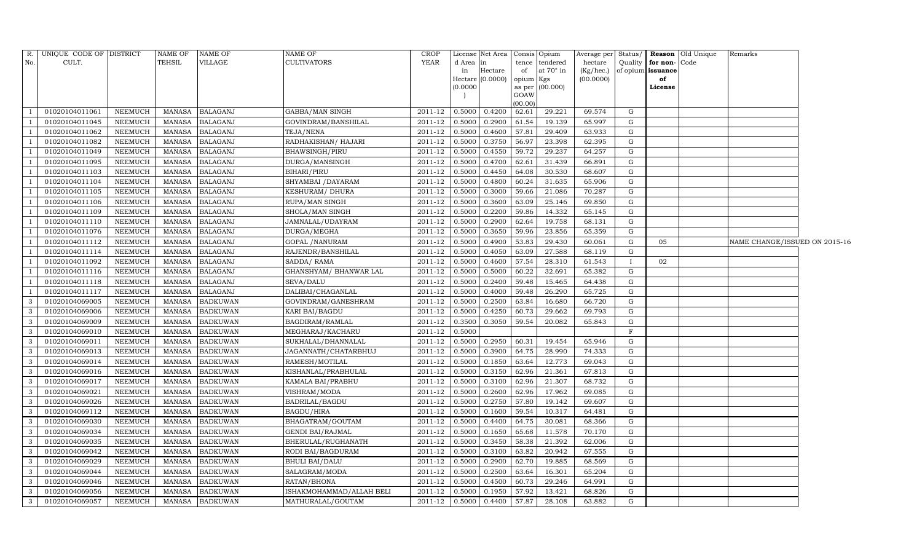| R.                       | UNIQUE CODE OF DISTRICT |                | <b>NAME OF</b> | <b>NAME OF</b>  | NAME OF                  | <b>CROP</b> |          | License Net Area   Consis   Opium |                 |                  | Average per Status/ |              |                   | <b>Reason</b> Old Unique | Remarks                       |  |
|--------------------------|-------------------------|----------------|----------------|-----------------|--------------------------|-------------|----------|-----------------------------------|-----------------|------------------|---------------------|--------------|-------------------|--------------------------|-------------------------------|--|
| No.                      | CULT.                   |                | TEHSIL         | VILLAGE         | <b>CULTIVATORS</b>       | <b>YEAR</b> | d Area   |                                   | tence           | tendered         | hectare             | Quality      | for non-Code      |                          |                               |  |
|                          |                         |                |                |                 |                          |             | in       | Hectare                           | of              | at $70^\circ$ in | (Kg/hec.)           |              | of opium issuance |                          |                               |  |
|                          |                         |                |                |                 |                          |             | (0.0000) | Hectare (0.0000)                  | opium<br>as per | Kgs<br>(00.000)  | (00.0000)           |              | of<br>License     |                          |                               |  |
|                          |                         |                |                |                 |                          |             |          |                                   | GOAW            |                  |                     |              |                   |                          |                               |  |
|                          |                         |                |                |                 |                          |             |          |                                   | (00.00)         |                  |                     |              |                   |                          |                               |  |
|                          | 01020104011061          | <b>NEEMUCH</b> | <b>MANASA</b>  | <b>BALAGANJ</b> | GABBA/MAN SINGH          | 2011-12     | 0.5000   | 0.4200                            | 62.61           | 29.221           | 69.574              | G            |                   |                          |                               |  |
|                          | 01020104011045          | <b>NEEMUCH</b> | <b>MANASA</b>  | <b>BALAGANJ</b> | GOVINDRAM/BANSHILAL      | 2011-12     | 0.5000   | 0.2900                            | 61.54           | 19.139           | 65.997              | $\mathbf G$  |                   |                          |                               |  |
| - 1                      | 01020104011062          | <b>NEEMUCH</b> | <b>MANASA</b>  | <b>BALAGANJ</b> | TEJA/NENA                | 2011-12     | 0.5000   | 0.4600                            | 57.81           | 29.409           | 63.933              | G            |                   |                          |                               |  |
| $\overline{1}$           | 01020104011082          | <b>NEEMUCH</b> | <b>MANASA</b>  | <b>BALAGANJ</b> | RADHAKISHAN / HAJARI     | 2011-12     | 0.5000   | 0.3750                            | 56.97           | 23.398           | 62.395              | G            |                   |                          |                               |  |
|                          | 01020104011049          | <b>NEEMUCH</b> | <b>MANASA</b>  | <b>BALAGANJ</b> | BHAWSINGH/PIRU           | 2011-12     | 0.5000   | 0.4550                            | 59.72           | 29.237           | 64.257              | G            |                   |                          |                               |  |
| - 1                      | 01020104011095          | NEEMUCH        | <b>MANASA</b>  | <b>BALAGANJ</b> | DURGA/MANSINGH           | 2011-12     | 0.5000   | 0.4700                            | 62.61           | 31.439           | 66.891              | G            |                   |                          |                               |  |
| $\overline{1}$           | 01020104011103          | NEEMUCH        | MANASA         | <b>BALAGANJ</b> | BIHARI/PIRU              | 2011-12     | 0.5000   | 0.4450                            | 64.08           | 30.530           | 68.607              | G            |                   |                          |                               |  |
| $\overline{\phantom{0}}$ | 01020104011104          | NEEMUCH        | <b>MANASA</b>  | <b>BALAGANJ</b> | SHYAMBAI /DAYARAM        | 2011-12     | 0.5000   | 0.4800                            | 60.24           | 31.635           | 65.906              | G            |                   |                          |                               |  |
|                          | 01020104011105          | <b>NEEMUCH</b> | <b>MANASA</b>  | <b>BALAGANJ</b> | KESHURAM/DHURA           | 2011-12     | 0.5000   | 0.3000                            | 59.66           | 21.086           | 70.287              | G            |                   |                          |                               |  |
| - 1                      | 01020104011106          | NEEMUCH        | <b>MANASA</b>  | <b>BALAGANJ</b> | RUPA/MAN SINGH           | 2011-12     | 0.5000   | 0.3600                            | 63.09           | 25.146           | 69.850              | G            |                   |                          |                               |  |
|                          | 01020104011109          | NEEMUCH        | <b>MANASA</b>  | <b>BALAGANJ</b> | SHOLA/MAN SINGH          | 2011-12     | 0.5000   | 0.2200                            | 59.86           | 14.332           | 65.145              | G            |                   |                          |                               |  |
| - 1                      | 01020104011110          | <b>NEEMUCH</b> | <b>MANASA</b>  | <b>BALAGANJ</b> | JAMNALAL/UDAYRAM         | 2011-12     | 0.5000   | 0.2900                            | 62.64           | 19.758           | 68.131              | G            |                   |                          |                               |  |
|                          | 01020104011076          | <b>NEEMUCH</b> | <b>MANASA</b>  | <b>BALAGANJ</b> | DURGA/MEGHA              | 2011-12     | 0.5000   | 0.3650                            | 59.96           | 23.856           | 65.359              | G            |                   |                          |                               |  |
| $\overline{1}$           | 01020104011112          | <b>NEEMUCH</b> | <b>MANASA</b>  | <b>BALAGANJ</b> | <b>GOPAL / NANURAM</b>   | 2011-12     | 0.5000   | 0.4900                            | 53.83           | 29.430           | 60.061              | G            | 05                |                          | NAME CHANGE/ISSUED ON 2015-16 |  |
| $\overline{\phantom{0}}$ | 01020104011114          | <b>NEEMUCH</b> | <b>MANASA</b>  | <b>BALAGANJ</b> | RAJENDR/BANSHILAL        | $2011 - 12$ | 0.5000   | 0.4050                            | 63.09           | 27.588           | 68.119              | G            |                   |                          |                               |  |
| $\overline{1}$           | 01020104011092          | <b>NEEMUCH</b> | <b>MANASA</b>  | <b>BALAGANJ</b> | SADDA/RAMA               | 2011-12     | 0.5000   | 0.4600                            | 57.54           | 28.310           | 61.543              | $\mathbf{I}$ | 02                |                          |                               |  |
|                          | 01020104011116          | <b>NEEMUCH</b> | <b>MANASA</b>  | <b>BALAGANJ</b> | GHANSHYAM/ BHANWAR LAL   | 2011-12     | 0.5000   | 0.5000                            | 60.22           | 32.691           | 65.382              | G            |                   |                          |                               |  |
| - 1                      | 01020104011118          | <b>NEEMUCH</b> | <b>MANASA</b>  | <b>BALAGANJ</b> | SEVA/DALU                | 2011-12     | 0.5000   | 0.2400                            | 59.48           | 15.465           | 64.438              | G            |                   |                          |                               |  |
| $\overline{1}$           | 01020104011117          | <b>NEEMUCH</b> | <b>MANASA</b>  | <b>BALAGANJ</b> | DALIBAI/CHAGANLAL        | $2011 - 12$ | 0.5000   | 0.4000                            | 59.48           | 26.290           | 65.725              | G            |                   |                          |                               |  |
| $\mathbf{3}$             | 01020104069005          | <b>NEEMUCH</b> | <b>MANASA</b>  | <b>BADKUWAN</b> | GOVINDRAM/GANESHRAM      | 2011-12     | 0.5000   | 0.2500                            | 63.84           | 16.680           | 66.720              | G            |                   |                          |                               |  |
| 3                        | 01020104069006          | <b>NEEMUCH</b> | <b>MANASA</b>  | <b>BADKUWAN</b> | KARI BAI/BAGDU           | 2011-12     | 0.5000   | 0.4250                            | 60.73           | 29.662           | 69.793              | $\mathbf G$  |                   |                          |                               |  |
| 3                        | 01020104069009          | <b>NEEMUCH</b> | <b>MANASA</b>  | <b>BADKUWAN</b> | BAGDIRAM/RAMLAL          | 2011-12     | 0.3500   | 0.3050                            | 59.54           | 20.082           | 65.843              | G            |                   |                          |                               |  |
| $\mathbf{3}$             | 01020104069010          | NEEMUCH        | MANASA         | <b>BADKUWAN</b> | MEGHARAJ/KACHARU         | 2011-12     | 0.5000   |                                   |                 |                  |                     | F            |                   |                          |                               |  |
| 3                        | 01020104069011          | NEEMUCH        | <b>MANASA</b>  | <b>BADKUWAN</b> | SUKHALAL/DHANNALAL       | 2011-12     | 0.5000   | 0.2950                            | 60.31           | 19.454           | 65.946              | G            |                   |                          |                               |  |
| 3                        | 01020104069013          | <b>NEEMUCH</b> | <b>MANASA</b>  | <b>BADKUWAN</b> | JAGANNATH/CHATARBHUJ     | 2011-12     | 0.5000   | 0.3900                            | 64.75           | 28.990           | 74.333              | G            |                   |                          |                               |  |
| $\mathbf{3}$             | 01020104069014          | <b>NEEMUCH</b> | <b>MANASA</b>  | <b>BADKUWAN</b> | RAMESH/MOTILAL           | 2011-12     | 0.5000   | 0.1850                            | 63.64           | 12.773           | 69.043              | G            |                   |                          |                               |  |
| 3                        | 01020104069016          | NEEMUCH        | <b>MANASA</b>  | <b>BADKUWAN</b> | KISHANLAL/PRABHULAL      | $2011 - 12$ | 0.5000   | 0.3150                            | 62.96           | 21.361           | 67.813              | G            |                   |                          |                               |  |
| $\mathbf{3}$             | 01020104069017          | <b>NEEMUCH</b> | <b>MANASA</b>  | <b>BADKUWAN</b> | KAMALA BAI/PRABHU        | 2011-12     | 0.5000   | 0.3100                            | 62.96           | 21.307           | 68.732              | G            |                   |                          |                               |  |
| 3                        | 01020104069021          | <b>NEEMUCH</b> | <b>MANASA</b>  | <b>BADKUWAN</b> | VISHRAM/MODA             | 2011-12     | 0.5000   | 0.2600                            | 62.96           | 17.962           | 69.085              | G            |                   |                          |                               |  |
| $\mathbf{3}$             | 01020104069026          | <b>NEEMUCH</b> | <b>MANASA</b>  | <b>BADKUWAN</b> | BADRILAL/BAGDU           | 2011-12     | 0.5000   | 0.2750                            | 57.80           | 19.142           | 69.607              | G            |                   |                          |                               |  |
| $\mathbf{3}$             | 01020104069112          | <b>NEEMUCH</b> | <b>MANASA</b>  | <b>BADKUWAN</b> | <b>BAGDU/HIRA</b>        | 2011-12     | 0.5000   | 0.1600                            | 59.54           | 10.317           | 64.481              | G            |                   |                          |                               |  |
| $\mathbf{3}$             | 01020104069030          | <b>NEEMUCH</b> | <b>MANASA</b>  | <b>BADKUWAN</b> | BHAGATRAM/GOUTAM         | 2011-12     | 0.5000   | 0.4400                            | 64.75           | 30.081           | 68.366              | G            |                   |                          |                               |  |
| 3                        | 01020104069034          | <b>NEEMUCH</b> | <b>MANASA</b>  | <b>BADKUWAN</b> | <b>GENDI BAI/RAJMAL</b>  | 2011-12     | 0.5000   | 0.1650                            | 65.68           | 11.578           | 70.170              | G            |                   |                          |                               |  |
| $\mathbf{3}$             | 01020104069035          | NEEMUCH        | <b>MANASA</b>  | <b>BADKUWAN</b> | BHERULAL/RUGHANATH       | 2011-12     | 0.5000   | 0.3450                            | 58.38           | 21.392           | 62.006              | G            |                   |                          |                               |  |
| $\mathbf{3}$             | 01020104069042          | <b>NEEMUCH</b> | <b>MANASA</b>  | <b>BADKUWAN</b> | RODI BAI/BAGDURAM        | 2011-12     | 0.5000   | 0.3100                            | 63.82           | 20.942           | 67.555              | G            |                   |                          |                               |  |
| $\mathbf{3}$             | 01020104069029          | <b>NEEMUCH</b> | <b>MANASA</b>  | <b>BADKUWAN</b> | <b>BHULI BAI/DALU</b>    | 2011-12     | 0.5000   | 0.2900                            | 62.70           | 19.885           | 68.569              | G            |                   |                          |                               |  |
| 3                        | 01020104069044          | <b>NEEMUCH</b> | <b>MANASA</b>  | <b>BADKUWAN</b> | SALAGRAM/MODA            | 2011-12     | 0.5000   | 0.2500                            | 63.64           | 16.301           | 65.204              | G            |                   |                          |                               |  |
| 3                        | 01020104069046          | <b>NEEMUCH</b> | <b>MANASA</b>  | <b>BADKUWAN</b> | RATAN/BHONA              | 2011-12     | 0.5000   | 0.4500                            | 60.73           | 29.246           | 64.991              | G            |                   |                          |                               |  |
| $\mathbf{3}$             | 01020104069056          | NEEMUCH        | <b>MANASA</b>  | <b>BADKUWAN</b> | ISHAKMOHAMMAD/ALLAH BELI | 2011-12     | 0.5000   | 0.1950                            | 57.92           | 13.421           | 68.826              | G            |                   |                          |                               |  |
| $\mathbf{3}$             | 01020104069057          | <b>NEEMUCH</b> |                | MANASA BADKUWAN | MATHURALAL/GOUTAM        | 2011-12     | 0.5000   | 0.4400                            | 57.87           | 28.108           | 63.882              | G            |                   |                          |                               |  |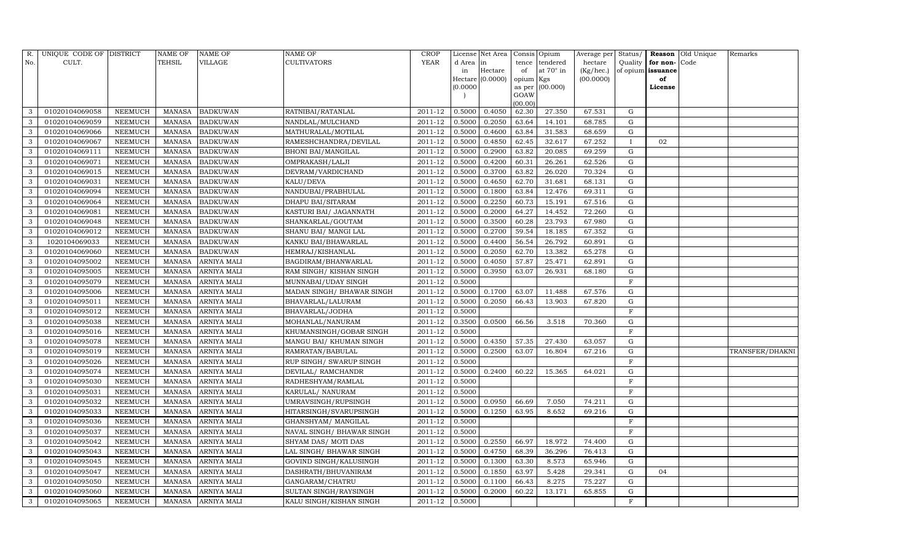| R.           | UNIQUE CODE OF DISTRICT |                | NAME OF       | <b>NAME OF</b>     | <b>NAME OF</b>             | CROP        |           | License Net Area |                | Consis Opium     | Average per | Status/      |                   | <b>Reason</b> Old Unique | Remarks         |
|--------------|-------------------------|----------------|---------------|--------------------|----------------------------|-------------|-----------|------------------|----------------|------------------|-------------|--------------|-------------------|--------------------------|-----------------|
| No.          | CULT.                   |                | <b>TEHSIL</b> | VILLAGE            | <b>CULTIVATORS</b>         | YEAR        | d Area in |                  | tence          | tendered         | hectare     | Quality      | for non-          | Code                     |                 |
|              |                         |                |               |                    |                            |             | in        | Hectare          | of             | at $70^\circ$ in | (Kg/hec.)   |              | of opium issuance |                          |                 |
|              |                         |                |               |                    |                            |             |           | Hectare (0.0000) | opium Kgs      |                  | (00.0000)   |              | of                |                          |                 |
|              |                         |                |               |                    |                            |             | (0.0000)  |                  | as per<br>GOAW | (00.000)         |             |              | License           |                          |                 |
|              |                         |                |               |                    |                            |             |           |                  | (00.00)        |                  |             |              |                   |                          |                 |
| 3            | 01020104069058          | NEEMUCH        | MANASA        | <b>BADKUWAN</b>    | RATNIBAI/RATANLAL          | 2011-12     | 0.5000    | 0.4050           | 62.30          | 27.350           | 67.531      | G            |                   |                          |                 |
| 3            | 01020104069059          | NEEMUCH        | MANASA        | <b>BADKUWAN</b>    | NANDLAL/MULCHAND           | 2011-12     | 0.5000    | 0.2050           | 63.64          | 14.101           | 68.785      | G            |                   |                          |                 |
| 3            | 01020104069066          | <b>NEEMUCH</b> | <b>MANASA</b> | <b>BADKUWAN</b>    | MATHURALAL/MOTILAL         | 2011-12     | 0.5000    | 0.4600           | 63.84          | 31.583           | 68.659      | G            |                   |                          |                 |
| 3            | 01020104069067          | NEEMUCH        | MANASA        | <b>BADKUWAN</b>    | RAMESHCHANDRA/DEVILAL      | $2011 - 12$ | 0.5000    | 0.4850           | 62.45          | 32.617           | 67.252      | $\mathbf{I}$ | 02                |                          |                 |
| 3            | 01020104069111          | NEEMUCH        | MANASA        | <b>BADKUWAN</b>    | <b>BHONI BAI/MANGILAL</b>  | 2011-12     | 0.5000    | 0.2900           | 63.82          | 20.085           | 69.259      | ${\rm G}$    |                   |                          |                 |
| 3            | 01020104069071          | NEEMUCH        | MANASA        | <b>BADKUWAN</b>    | OMPRAKASH/LALJI            | 2011-12     | 0.5000    | 0.4200           | 60.31          | 26.261           | 62.526      | ${\rm G}$    |                   |                          |                 |
| 3            | 01020104069015          | NEEMUCH        | MANASA        | <b>BADKUWAN</b>    | DEVRAM/VARDICHAND          | 2011-12     | 0.5000    | 0.3700           | 63.82          | 26.020           | 70.324      | $\mathbf G$  |                   |                          |                 |
| 3            | 01020104069031          | <b>NEEMUCH</b> | MANASA        | <b>BADKUWAN</b>    | KALU/DEVA                  | 2011-12     | 0.5000    | 0.4650           | 62.70          | 31.681           | 68.131      | ${\rm G}$    |                   |                          |                 |
| 3            | 01020104069094          | <b>NEEMUCH</b> | MANASA        | <b>BADKUWAN</b>    | NANDUBAI/PRABHULAL         | 2011-12     | 0.5000    | 0.1800           | 63.84          | 12.476           | 69.311      | G            |                   |                          |                 |
| 3            | 01020104069064          | NEEMUCH        | MANASA        | <b>BADKUWAN</b>    | DHAPU BAI/SITARAM          | 2011-12     | 0.5000    | 0.2250           | 60.73          | 15.191           | 67.516      | G            |                   |                          |                 |
| 3            | 01020104069081          | NEEMUCH        | MANASA        | <b>BADKUWAN</b>    | KASTURI BAI/ JAGANNATH     | 2011-12     | 0.5000    | 0.2000           | 64.27          | 14.452           | 72.260      | G            |                   |                          |                 |
| 3            | 01020104069048          | NEEMUCH        | MANASA        | <b>BADKUWAN</b>    | SHANKARLAL/GOUTAM          | 2011-12     | 0.5000    | 0.3500           | 60.28          | 23.793           | 67.980      | ${\rm G}$    |                   |                          |                 |
| 3            | 01020104069012          | NEEMUCH        | MANASA        | <b>BADKUWAN</b>    | SHANU BAI/ MANGI LAL       | 2011-12     | 0.5000    | 0.2700           | 59.54          | 18.185           | 67.352      | G            |                   |                          |                 |
| 3            | 1020104069033           | <b>NEEMUCH</b> | MANASA        | <b>BADKUWAN</b>    | KANKU BAI/BHAWARLAL        | 2011-12     | 0.5000    | 0.4400           | 56.54          | 26.792           | 60.891      | G            |                   |                          |                 |
| 3            | 01020104069060          | NEEMUCH        | MANASA        | <b>BADKUWAN</b>    | HEMRAJ/KISHANLAL           | 2011-12     | 0.5000    | 0.2050           | 62.70          | 13.382           | 65.278      | G            |                   |                          |                 |
| 3            | 01020104095002          | NEEMUCH        | MANASA        | <b>ARNIYA MALI</b> | BAGDIRAM/BHANWARLAL        | 2011-12     | 0.5000    | 0.4050           | 57.87          | 25.471           | 62.891      | G            |                   |                          |                 |
| 3            | 01020104095005          | NEEMUCH        | MANASA        | <b>ARNIYA MALI</b> | RAM SINGH/KISHAN SINGH     | 2011-12     | 0.5000    | 0.3950           | 63.07          | 26.931           | 68.180      | $\mathbf G$  |                   |                          |                 |
| 3            | 01020104095079          | NEEMUCH        | MANASA        | <b>ARNIYA MALI</b> | MUNNABAI/UDAY SINGH        | 2011-12     | 0.5000    |                  |                |                  |             | $\mathbf F$  |                   |                          |                 |
| 3            | 01020104095006          | NEEMUCH        | MANASA        | <b>ARNIYA MALI</b> | MADAN SINGH / BHAWAR SINGH | 2011-12     | 0.5000    | 0.1700           | 63.07          | 11.488           | 67.576      | G            |                   |                          |                 |
| 3            | 01020104095011          | <b>NEEMUCH</b> | MANASA        | <b>ARNIYA MALI</b> | BHAVARLAL/LALURAM          | 2011-12     | 0.5000    | 0.2050           | 66.43          | 13.903           | 67.820      | $\mathbf G$  |                   |                          |                 |
| 3            | 01020104095012          | <b>NEEMUCH</b> | <b>MANASA</b> | <b>ARNIYA MALI</b> | BHAVARLAL/JODHA            | 2011-12     | 0.5000    |                  |                |                  |             | $\mathbf F$  |                   |                          |                 |
| 3            | 01020104095038          | <b>NEEMUCH</b> | <b>MANASA</b> | <b>ARNIYA MALI</b> | MOHANLAL/NANURAM           | 2011-12     | 0.3500    | 0.0500           | 66.56          | 3.518            | 70.360      | G            |                   |                          |                 |
| 3            | 01020104095016          | <b>NEEMUCH</b> | MANASA        | <b>ARNIYA MALI</b> | KHUMANSINGH/GOBAR SINGH    | 2011-12     | 0.5000    |                  |                |                  |             | F            |                   |                          |                 |
| 3            | 01020104095078          | NEEMUCH        | MANASA        | <b>ARNIYA MALI</b> | MANGU BAI/ KHUMAN SINGH    | 2011-12     | 0.5000    | 0.4350           | 57.35          | 27.430           | 63.057      | G            |                   |                          |                 |
| 3            | 01020104095019          | <b>NEEMUCH</b> | MANASA        | <b>ARNIYA MALI</b> | RAMRATAN/BABULAL           | 2011-12     | 0.5000    | 0.2500           | 63.07          | 16.804           | 67.216      | G            |                   |                          | TRANSFER/DHAKNI |
| 3            | 01020104095026          | NEEMUCH        | MANASA        | <b>ARNIYA MALI</b> | RUP SINGH/ SWARUP SINGH    | 2011-12     | 0.5000    |                  |                |                  |             | $\mathbf F$  |                   |                          |                 |
| 3            | 01020104095074          | NEEMUCH        | MANASA        | <b>ARNIYA MALI</b> | DEVILAL/ RAMCHANDR         | 2011-12     | 0.5000    | 0.2400           | 60.22          | 15.365           | 64.021      | G            |                   |                          |                 |
| 3            | 01020104095030          | NEEMUCH        | MANASA        | <b>ARNIYA MALI</b> | RADHESHYAM/RAMLAL          | 2011-12     | 0.5000    |                  |                |                  |             | F            |                   |                          |                 |
| 3            | 01020104095031          | NEEMUCH        | MANASA        | <b>ARNIYA MALI</b> | KARULAL/ NANURAM           | 2011-12     | 0.5000    |                  |                |                  |             | F            |                   |                          |                 |
| 3            | 01020104095032          | <b>NEEMUCH</b> | MANASA        | <b>ARNIYA MALI</b> | UMRAVSINGH/RUPSINGH        | 2011-12     | 0.5000    | 0.0950           | 66.69          | 7.050            | 74.211      | G            |                   |                          |                 |
| 3            | 01020104095033          | <b>NEEMUCH</b> | MANASA        | <b>ARNIYA MALI</b> | HITARSINGH/SVARUPSINGH     | 2011-12     | 0.5000    | 0.1250           | 63.95          | 8.652            | 69.216      | ${\rm G}$    |                   |                          |                 |
| 3            | 01020104095036          | <b>NEEMUCH</b> | MANASA        | <b>ARNIYA MALI</b> | GHANSHYAM / MANGILAL       | 2011-12     | 0.5000    |                  |                |                  |             | $\mathbf F$  |                   |                          |                 |
| 3            | 01020104095037          | NEEMUCH        | <b>MANASA</b> | ARNIYA MALI        | NAVAL SINGH/ BHAWAR SINGH  | 2011-12     | 0.5000    |                  |                |                  |             | $\mathbf{F}$ |                   |                          |                 |
| 3            | 01020104095042          | <b>NEEMUCH</b> | <b>MANASA</b> | <b>ARNIYA MALI</b> | SHYAM DAS/ MOTI DAS        | 2011-12     | 0.5000    | 0.2550           | 66.97          | 18.972           | 74.400      | G            |                   |                          |                 |
| 3            | 01020104095043          | <b>NEEMUCH</b> | MANASA        | <b>ARNIYA MALI</b> | LAL SINGH/ BHAWAR SINGH    | 2011-12     | 0.5000    | 0.4750           | 68.39          | 36.296           | 76.413      | G            |                   |                          |                 |
| 3            | 01020104095045          | <b>NEEMUCH</b> | <b>MANASA</b> | <b>ARNIYA MALI</b> | GOVIND SINGH/KALUSINGH     | 2011-12     | 0.5000    | 0.1300           | 63.30          | 8.573            | 65.946      | $\mathbf G$  |                   |                          |                 |
| 3            | 01020104095047          | NEEMUCH        | MANASA        | <b>ARNIYA MALI</b> | DASHRATH/BHUVANIRAM        | 2011-12     | 0.5000    | 0.1850           | 63.97          | 5.428            | 29.341      | ${\rm G}$    | 04                |                          |                 |
| 3            | 01020104095050          | <b>NEEMUCH</b> | <b>MANASA</b> | <b>ARNIYA MALI</b> | GANGARAM/CHATRU            | 2011-12     | 0.5000    | 0.1100           | 66.43          | 8.275            | 75.227      | ${\rm G}$    |                   |                          |                 |
| $\mathbf{3}$ | 01020104095060          | <b>NEEMUCH</b> | MANASA        | <b>ARNIYA MALI</b> | SULTAN SINGH/RAYSINGH      | 2011-12     | 0.5000    | 0.2000           | 60.22          | 13.171           | 65.855      | G            |                   |                          |                 |
| $\mathbf{3}$ | 01020104095065          | <b>NEEMUCH</b> |               | MANASA ARNIYA MALI | KALU SINGH/KISHAN SINGH    | 2011-12     | 0.5000    |                  |                |                  |             | $\mathbf F$  |                   |                          |                 |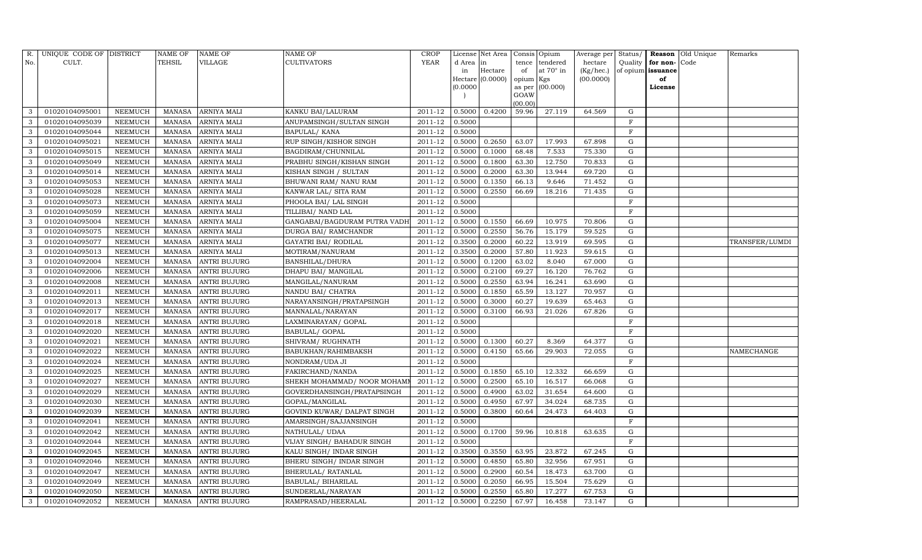| R.           | UNIQUE CODE OF DISTRICT |                | NAME OF       | <b>NAME OF</b>      | <b>NAME OF</b>                | <b>CROP</b> |           | License Net Area |                | Consis Opium     | Average per | Status/     |                   | <b>Reason</b> Old Unique | Remarks        |
|--------------|-------------------------|----------------|---------------|---------------------|-------------------------------|-------------|-----------|------------------|----------------|------------------|-------------|-------------|-------------------|--------------------------|----------------|
| No.          | CULT.                   |                | <b>TEHSIL</b> | VILLAGE             | <b>CULTIVATORS</b>            | YEAR        | d Area in |                  | tence          | tendered         | hectare     | Quality     | for non-          | Code                     |                |
|              |                         |                |               |                     |                               |             | in        | Hectare          | of             | at $70^\circ$ in | (Kg/hec.)   |             | of opium issuance |                          |                |
|              |                         |                |               |                     |                               |             |           | Hectare (0.0000) | opium Kgs      |                  | (00.0000)   |             | of                |                          |                |
|              |                         |                |               |                     |                               |             | (0.0000)  |                  | as per<br>GOAW | (00.000)         |             |             | License           |                          |                |
|              |                         |                |               |                     |                               |             |           |                  | (00.00)        |                  |             |             |                   |                          |                |
| 3            | 01020104095001          | NEEMUCH        | MANASA        | <b>ARNIYA MALI</b>  | KANKU BAI/LALURAM             | 2011-12     | 0.5000    | 0.4200           | 59.96          | 27.119           | 64.569      | G           |                   |                          |                |
| 3            | 01020104095039          | NEEMUCH        | MANASA        | <b>ARNIYA MALI</b>  | ANUPAMSINGH/SULTAN SINGH      | 2011-12     | 0.5000    |                  |                |                  |             | $\mathbf F$ |                   |                          |                |
| 3            | 01020104095044          | <b>NEEMUCH</b> | MANASA        | <b>ARNIYA MALI</b>  | <b>BAPULAL/ KANA</b>          | 2011-12     | 0.5000    |                  |                |                  |             | $\rm F$     |                   |                          |                |
| 3            | 01020104095021          | NEEMUCH        | MANASA        | <b>ARNIYA MALI</b>  | <b>RUP SINGH/KISHOR SINGH</b> | 2011-12     | 0.5000    | 0.2650           | 63.07          | 17.993           | 67.898      | ${\rm G}$   |                   |                          |                |
| 3            | 01020104095015          | NEEMUCH        | MANASA        | <b>ARNIYA MALI</b>  | BAGDIRAM/CHUNNILAL            | 2011-12     | 0.5000    | 0.1000           | 68.48          | 7.533            | 75.330      | $\mathbf G$ |                   |                          |                |
| 3            | 01020104095049          | NEEMUCH        | MANASA        | <b>ARNIYA MALI</b>  | PRABHU SINGH/KISHAN SINGH     | 2011-12     | 0.5000    | 0.1800           | 63.30          | 12.750           | 70.833      | G           |                   |                          |                |
| 3            | 01020104095014          | NEEMUCH        | MANASA        | <b>ARNIYA MALI</b>  | KISHAN SINGH / SULTAN         | 2011-12     | 0.5000    | 0.2000           | 63.30          | 13.944           | 69.720      | G           |                   |                          |                |
| 3            | 01020104095053          | NEEMUCH        | MANASA        | <b>ARNIYA MALI</b>  | BHUWANI RAM/ NANU RAM         | 2011-12     | 0.5000    | 0.1350           | 66.13          | 9.646            | 71.452      | ${\rm G}$   |                   |                          |                |
| 3            | 01020104095028          | <b>NEEMUCH</b> | MANASA        | <b>ARNIYA MALI</b>  | KANWAR LAL/ SITA RAM          | 2011-12     | 0.5000    | 0.2550           | 66.69          | 18.216           | 71.435      | $\mathbf G$ |                   |                          |                |
| 3            | 01020104095073          | NEEMUCH        | MANASA        | <b>ARNIYA MALI</b>  | PHOOLA BAI/ LAL SINGH         | 2011-12     | 0.5000    |                  |                |                  |             | $\mathbf F$ |                   |                          |                |
| 3            | 01020104095059          | <b>NEEMUCH</b> | MANASA        | <b>ARNIYA MALI</b>  | TILLIBAI/ NAND LAL            | 2011-12     | 0.5000    |                  |                |                  |             | $\mathbf F$ |                   |                          |                |
| $\mathbf{3}$ | 01020104095004          | <b>NEEMUCH</b> | MANASA        | <b>ARNIYA MALI</b>  | GANGABAI/BAGDURAM PUTRA VADH  | 2011-12     | 0.5000    | 0.1550           | 66.69          | 10.975           | 70.806      | G           |                   |                          |                |
| 3            | 01020104095075          | <b>NEEMUCH</b> | <b>MANASA</b> | <b>ARNIYA MALI</b>  | DURGA BAI/ RAMCHANDR          | 2011-12     | 0.5000    | 0.2550           | 56.76          | 15.179           | 59.525      | ${\rm G}$   |                   |                          |                |
| 3            | 01020104095077          | <b>NEEMUCH</b> | MANASA        | <b>ARNIYA MALI</b>  | GAYATRI BAI / RODILAL         | 2011-12     | 0.3500    | 0.2000           | 60.22          | 13.919           | 69.595      | G           |                   |                          | TRANSFER/LUMDI |
| 3            | 01020104095013          | NEEMUCH        | MANASA        | <b>ARNIYA MALI</b>  | MOTIRAM/NANURAM               | 2011-12     | 0.3500    | 0.2000           | 57.80          | 11.923           | 59.615      | G           |                   |                          |                |
| 3            | 01020104092004          | <b>NEEMUCH</b> | MANASA        | <b>ANTRI BUJURG</b> | <b>BANSHILAL/DHURA</b>        | 2011-12     | 0.5000    | 0.1200           | 63.02          | 8.040            | 67.000      | G           |                   |                          |                |
| 3            | 01020104092006          | <b>NEEMUCH</b> | MANASA        | <b>ANTRI BUJURG</b> | DHAPU BAI/ MANGILAL           | 2011-12     | 0.5000    | 0.2100           | 69.27          | 16.120           | 76.762      | $\mathbf G$ |                   |                          |                |
| 3            | 01020104092008          | <b>NEEMUCH</b> | MANASA        | <b>ANTRI BUJURG</b> | MANGILAL/NANURAM              | 2011-12     | 0.5000    | 0.2550           | 63.94          | 16.241           | 63.690      | G           |                   |                          |                |
| 3            | 01020104092011          | NEEMUCH        | MANASA        | <b>ANTRI BUJURG</b> | NANDU BAI/ CHATRA             | 2011-12     | 0.5000    | 0.1850           | 65.59          | 13.127           | 70.957      | G           |                   |                          |                |
| 3            | 01020104092013          | NEEMUCH        | MANASA        | <b>ANTRI BUJURG</b> | NARAYANSINGH/PRATAPSINGH      | 2011-12     | 0.5000    | 0.3000           | 60.27          | 19.639           | 65.463      | G           |                   |                          |                |
| 3            | 01020104092017          | NEEMUCH        | MANASA        | <b>ANTRI BUJURG</b> | MANNALAL/NARAYAN              | 2011-12     | 0.5000    | 0.3100           | 66.93          | 21.026           | 67.826      | G           |                   |                          |                |
| 3            | 01020104092018          | <b>NEEMUCH</b> | <b>MANASA</b> | <b>ANTRI BUJURG</b> | LAXMINARAYAN/ GOPAL           | 2011-12     | 0.5000    |                  |                |                  |             | $\rm F$     |                   |                          |                |
| 3            | 01020104092020          | NEEMUCH        | MANASA        | <b>ANTRI BUJURG</b> | <b>BABULAL/ GOPAL</b>         | 2011-12     | 0.5000    |                  |                |                  |             | $\mathbf F$ |                   |                          |                |
| 3            | 01020104092021          | <b>NEEMUCH</b> | MANASA        | <b>ANTRI BUJURG</b> | SHIVRAM/RUGHNATH              | 2011-12     | 0.5000    | 0.1300           | 60.27          | 8.369            | 64.377      | G           |                   |                          |                |
| 3            | 01020104092022          | <b>NEEMUCH</b> | MANASA        | <b>ANTRI BUJURG</b> | BABUKHAN/RAHIMBAKSH           | 2011-12     | 0.5000    | 0.4150           | 65.66          | 29.903           | 72.055      | G           |                   |                          | NAMECHANGE     |
| 3            | 01020104092024          | <b>NEEMUCH</b> | <b>MANASA</b> | <b>ANTRI BUJURG</b> | NONDRAM/UDA JI                | 2011-12     | 0.5000    |                  |                |                  |             | $\mathbf F$ |                   |                          |                |
| 3            | 01020104092025          | <b>NEEMUCH</b> | MANASA        | <b>ANTRI BUJURG</b> | FAKIRCHAND/NANDA              | 2011-12     | 0.5000    | 0.1850           | 65.10          | 12.332           | 66.659      | G           |                   |                          |                |
| 3            | 01020104092027          | <b>NEEMUCH</b> | MANASA        | <b>ANTRI BUJURG</b> | SHEKH MOHAMMAD/ NOOR MOHAMI   | $2011 - 12$ | 0.5000    | 0.2500           | 65.10          | 16.517           | 66.068      | $\mathbf G$ |                   |                          |                |
| 3            | 01020104092029          | NEEMUCH        | MANASA        | <b>ANTRI BUJURG</b> | GOVERDHANSINGH/PRATAPSINGH    | 2011-12     | 0.5000    | 0.4900           | 63.02          | 31.654           | 64.600      | G           |                   |                          |                |
| 3            | 01020104092030          | NEEMUCH        | MANASA        | <b>ANTRI BUJURG</b> | GOPAL/MANGILAL                | 2011-12     | 0.5000    | 0.4950           | 67.97          | 34.024           | 68.735      | G           |                   |                          |                |
| 3            | 01020104092039          | <b>NEEMUCH</b> | MANASA        | <b>ANTRI BUJURG</b> | GOVIND KUWAR/ DALPAT SINGH    | 2011-12     | 0.5000    | 0.3800           | 60.64          | 24.473           | 64.403      | ${\rm G}$   |                   |                          |                |
| 3            | 01020104092041          | NEEMUCH        | MANASA        | <b>ANTRI BUJURG</b> | AMARSINGH/SAJJANSINGH         | 2011-12     | 0.5000    |                  |                |                  |             | $\mathbf F$ |                   |                          |                |
| 3            | 01020104092042          | <b>NEEMUCH</b> | MANASA        | <b>ANTRI BUJURG</b> | NATHULAL/ UDAA                | 2011-12     | 0.5000    | 0.1700           | 59.96          | 10.818           | 63.635      | G           |                   |                          |                |
| 3            | 01020104092044          | <b>NEEMUCH</b> | MANASA        | <b>ANTRI BUJURG</b> | VIJAY SINGH/ BAHADUR SINGH    | 2011-12     | 0.5000    |                  |                |                  |             | $\mathbf F$ |                   |                          |                |
| 3            | 01020104092045          | <b>NEEMUCH</b> | MANASA        | <b>ANTRI BUJURG</b> | KALU SINGH/INDAR SINGH        | 2011-12     | 0.3500    | 0.3550           | 63.95          | 23.872           | 67.245      | ${\rm G}$   |                   |                          |                |
| 3            | 01020104092046          | <b>NEEMUCH</b> | <b>MANASA</b> | <b>ANTRI BUJURG</b> | BHERU SINGH / INDAR SINGH     | 2011-12     | 0.5000    | 0.4850           | 65.80          | 32.956           | 67.951      | ${\rm G}$   |                   |                          |                |
| 3            | 01020104092047          | <b>NEEMUCH</b> | MANASA        | <b>ANTRI BUJURG</b> | BHERULAL/ RATANLAL            | 2011-12     | 0.5000    | 0.2900           | 60.54          | 18.473           | 63.700      | G           |                   |                          |                |
| 3            | 01020104092049          | NEEMUCH        | MANASA        | <b>ANTRI BUJURG</b> | BABULAL/ BIHARILAL            | 2011-12     | 0.5000    | 0.2050           | 66.95          | 15.504           | 75.629      | G           |                   |                          |                |
| $\mathbf{3}$ | 01020104092050          | <b>NEEMUCH</b> | MANASA        | <b>ANTRI BUJURG</b> | SUNDERLAL/NARAYAN             | 2011-12     | 0.5000    | 0.2550           | 65.80          | 17.277           | 67.753      | G           |                   |                          |                |
| 3            | 01020104092052          | <b>NEEMUCH</b> |               | MANASA ANTRI BUJURG | RAMPRASAD/HEERALAL            | 2011-12     | 0.5000    | 0.2250           | 67.97          | 16.458           | 73.147      | G           |                   |                          |                |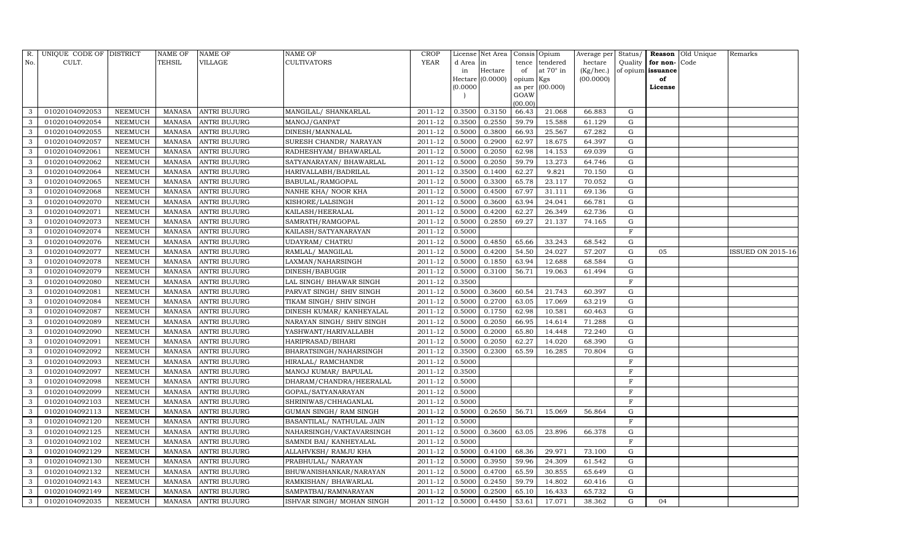| R.           | UNIQUE CODE OF DISTRICT |                | NAME OF       | <b>NAME OF</b>      | <b>NAME OF</b>             | <b>CROP</b> |           | License Net Area |                | Consis Opium     | Average per | Status/      |                   | <b>Reason</b> Old Unique | Remarks           |
|--------------|-------------------------|----------------|---------------|---------------------|----------------------------|-------------|-----------|------------------|----------------|------------------|-------------|--------------|-------------------|--------------------------|-------------------|
| No.          | CULT.                   |                | <b>TEHSIL</b> | VILLAGE             | <b>CULTIVATORS</b>         | YEAR        | d Area in |                  | tence          | tendered         | hectare     | Quality      | for non-          | Code                     |                   |
|              |                         |                |               |                     |                            |             | in        | Hectare          | of             | at $70^\circ$ in | (Kg/hec.)   |              | of opium issuance |                          |                   |
|              |                         |                |               |                     |                            |             |           | Hectare (0.0000) | opium Kgs      |                  | (00.0000)   |              | of                |                          |                   |
|              |                         |                |               |                     |                            |             | (0.0000)  |                  | as per<br>GOAW | (00.000)         |             |              | License           |                          |                   |
|              |                         |                |               |                     |                            |             |           |                  | (00.00)        |                  |             |              |                   |                          |                   |
| 3            | 01020104092053          | NEEMUCH        | MANASA        | <b>ANTRI BUJURG</b> | MANGILAL/ SHANKARLAL       | 2011-12     | 0.3500    | 0.3150           | 66.43          | 21.068           | 66.883      | G            |                   |                          |                   |
| 3            | 01020104092054          | NEEMUCH        | MANASA        | <b>ANTRI BUJURG</b> | MANOJ/GANPAT               | 2011-12     | 0.3500    | 0.2550           | 59.79          | 15.588           | 61.129      | G            |                   |                          |                   |
| 3            | 01020104092055          | <b>NEEMUCH</b> | MANASA        | <b>ANTRI BUJURG</b> | DINESH/MANNALAL            | 2011-12     | 0.5000    | 0.3800           | 66.93          | 25.567           | 67.282      | G            |                   |                          |                   |
| 3            | 01020104092057          | NEEMUCH        | MANASA        | <b>ANTRI BUJURG</b> | SURESH CHANDR/ NARAYAN     | 2011-12     | 0.5000    | 0.2900           | 62.97          | 18.675           | 64.397      | G            |                   |                          |                   |
| 3            | 01020104092061          | NEEMUCH        | MANASA        | <b>ANTRI BUJURG</b> | RADHESHYAM / BHAWARLAL     | 2011-12     | 0.5000    | 0.2050           | 62.98          | 14.153           | 69.039      | G            |                   |                          |                   |
| 3            | 01020104092062          | NEEMUCH        | MANASA        | <b>ANTRI BUJURG</b> | SATYANARAYAN / BHAWARLAL   | 2011-12     | 0.5000    | 0.2050           | 59.79          | 13.273           | 64.746      | G            |                   |                          |                   |
| 3            | 01020104092064          | NEEMUCH        | MANASA        | <b>ANTRI BUJURG</b> | HARIVALLABH/BADRILAL       | 2011-12     | 0.3500    | 0.1400           | 62.27          | 9.821            | 70.150      | G            |                   |                          |                   |
| 3            | 01020104092065          | NEEMUCH        | MANASA        | <b>ANTRI BUJURG</b> | BABULAL/RAMGOPAL           | 2011-12     | 0.5000    | 0.3300           | 65.78          | 23.117           | 70.052      | G            |                   |                          |                   |
| 3            | 01020104092068          | <b>NEEMUCH</b> | MANASA        | <b>ANTRI BUJURG</b> | NANHE KHA/ NOOR KHA        | 2011-12     | 0.5000    | 0.4500           | 67.97          | 31.111           | 69.136      | $\mathbf G$  |                   |                          |                   |
| 3            | 01020104092070          | NEEMUCH        | MANASA        | <b>ANTRI BUJURG</b> | KISHORE/LALSINGH           | 2011-12     | 0.5000    | 0.3600           | 63.94          | 24.041           | 66.781      | ${\rm G}$    |                   |                          |                   |
| 3            | 01020104092071          | <b>NEEMUCH</b> | MANASA        | <b>ANTRI BUJURG</b> | KAILASH/HEERALAL           | 2011-12     | 0.5000    | 0.4200           | 62.27          | 26.349           | 62.736      | ${\rm G}$    |                   |                          |                   |
| $\mathbf{3}$ | 01020104092073          | <b>NEEMUCH</b> | MANASA        | <b>ANTRI BUJURG</b> | SAMRATH/RAMGOPAL           | 2011-12     | 0.5000    | 0.2850           | 69.27          | 21.137           | 74.165      | G            |                   |                          |                   |
| 3            | 01020104092074          | <b>NEEMUCH</b> | MANASA        | <b>ANTRI BUJURG</b> | KAILASH/SATYANARAYAN       | 2011-12     | 0.5000    |                  |                |                  |             | $\mathbf F$  |                   |                          |                   |
| 3            | 01020104092076          | <b>NEEMUCH</b> | MANASA        | <b>ANTRI BUJURG</b> | <b>UDAYRAM/ CHATRU</b>     | 2011-12     | 0.5000    | 0.4850           | 65.66          | 33.243           | 68.542      | G            |                   |                          |                   |
| 3            | 01020104092077          | NEEMUCH        | MANASA        | <b>ANTRI BUJURG</b> | RAMLAL/ MANGILAL           | 2011-12     | 0.5000    | 0.4200           | 54.50          | 24.027           | 57.207      | G            | 05                |                          | ISSUED ON 2015-16 |
| 3            | 01020104092078          | <b>NEEMUCH</b> | MANASA        | <b>ANTRI BUJURG</b> | LAXMAN/NAHARSINGH          | 2011-12     | 0.5000    | 0.1850           | 63.94          | 12.688           | 68.584      | $\mathbf G$  |                   |                          |                   |
| 3            | 01020104092079          | <b>NEEMUCH</b> | MANASA        | <b>ANTRI BUJURG</b> | DINESH/BABUGIR             | 2011-12     | 0.5000    | 0.3100           | 56.71          | 19.063           | 61.494      | G            |                   |                          |                   |
| 3            | 01020104092080          | <b>NEEMUCH</b> | MANASA        | <b>ANTRI BUJURG</b> | LAL SINGH/ BHAWAR SINGH    | 2011-12     | 0.3500    |                  |                |                  |             | $\rm F$      |                   |                          |                   |
| 3            | 01020104092081          | NEEMUCH        | MANASA        | <b>ANTRI BUJURG</b> | PARVAT SINGH/ SHIV SINGH   | 2011-12     | 0.5000    | 0.3600           | 60.54          | 21.743           | 60.397      | G            |                   |                          |                   |
| 3            | 01020104092084          | <b>NEEMUCH</b> | MANASA        | <b>ANTRI BUJURG</b> | TIKAM SINGH / SHIV SINGH   | 2011-12     | 0.5000    | 0.2700           | 63.05          | 17.069           | 63.219      | G            |                   |                          |                   |
| 3            | 01020104092087          | NEEMUCH        | MANASA        | <b>ANTRI BUJURG</b> | DINESH KUMAR/ KANHEYALAL   | 2011-12     | 0.5000    | 0.1750           | 62.98          | 10.581           | 60.463      | G            |                   |                          |                   |
| 3            | 01020104092089          | <b>NEEMUCH</b> | <b>MANASA</b> | <b>ANTRI BUJURG</b> | NARAYAN SINGH / SHIV SINGH | 2011-12     | 0.5000    | 0.2050           | 66.95          | 14.614           | 71.288      | G            |                   |                          |                   |
| 3            | 01020104092090          | NEEMUCH        | MANASA        | <b>ANTRI BUJURG</b> | YASHWANT/HARIVALLABH       | 2011-12     | 0.5000    | 0.2000           | 65.80          | 14.448           | 72.240      | G            |                   |                          |                   |
| 3            | 01020104092091          | <b>NEEMUCH</b> | MANASA        | <b>ANTRI BUJURG</b> | HARIPRASAD/BIHARI          | 2011-12     | 0.5000    | 0.2050           | 62.27          | 14.020           | 68.390      | G            |                   |                          |                   |
| 3            | 01020104092092          | <b>NEEMUCH</b> | MANASA        | <b>ANTRI BUJURG</b> | BHARATSINGH/NAHARSINGH     | 2011-12     | 0.3500    | 0.2300           | 65.59          | 16.285           | 70.804      | G            |                   |                          |                   |
| 3            | 01020104092093          | <b>NEEMUCH</b> | <b>MANASA</b> | <b>ANTRI BUJURG</b> | HIRALAL/ RAMCHANDR         | 2011-12     | 0.5000    |                  |                |                  |             | $\mathbf F$  |                   |                          |                   |
| 3            | 01020104092097          | <b>NEEMUCH</b> | MANASA        | <b>ANTRI BUJURG</b> | MANOJ KUMAR/ BAPULAL       | 2011-12     | 0.3500    |                  |                |                  |             | $\mathbf F$  |                   |                          |                   |
| 3            | 01020104092098          | <b>NEEMUCH</b> | MANASA        | <b>ANTRI BUJURG</b> | DHARAM/CHANDRA/HEERALAL    | 2011-12     | 0.5000    |                  |                |                  |             | $\mathbf{F}$ |                   |                          |                   |
| 3            | 01020104092099          | NEEMUCH        | MANASA        | <b>ANTRI BUJURG</b> | GOPAL/SATYANARAYAN         | 2011-12     | 0.5000    |                  |                |                  |             | $\rm F$      |                   |                          |                   |
| 3            | 01020104092103          | NEEMUCH        | MANASA        | <b>ANTRI BUJURG</b> | SHRINIWAS/CHHAGANLAL       | 2011-12     | 0.5000    |                  |                |                  |             | $\mathbf{F}$ |                   |                          |                   |
| 3            | 01020104092113          | <b>NEEMUCH</b> | MANASA        | <b>ANTRI BUJURG</b> | GUMAN SINGH/ RAM SINGH     | 2011-12     | 0.5000    | 0.2650           | 56.71          | 15.069           | 56.864      | ${\rm G}$    |                   |                          |                   |
| 3            | 01020104092120          | NEEMUCH        | MANASA        | <b>ANTRI BUJURG</b> | BASANTILAL/ NATHULAL JAIN  | 2011-12     | 0.5000    |                  |                |                  |             | $\mathbf{F}$ |                   |                          |                   |
| 3            | 01020104092125          | <b>NEEMUCH</b> | MANASA        | <b>ANTRI BUJURG</b> | NAHARSINGH/VAKTAVARSINGH   | 2011-12     | 0.5000    | 0.3600           | 63.05          | 23.896           | 66.378      | G            |                   |                          |                   |
| 3            | 01020104092102          | <b>NEEMUCH</b> | MANASA        | <b>ANTRI BUJURG</b> | SAMNDI BAI/ KANHEYALAL     | 2011-12     | 0.5000    |                  |                |                  |             | $\mathbf{F}$ |                   |                          |                   |
| 3            | 01020104092129          | <b>NEEMUCH</b> | MANASA        | <b>ANTRI BUJURG</b> | ALLAHVKSH/ RAMJU KHA       | 2011-12     | 0.5000    | 0.4100           | 68.36          | 29.971           | 73.100      | ${\rm G}$    |                   |                          |                   |
| 3            | 01020104092130          | <b>NEEMUCH</b> | MANASA        | <b>ANTRI BUJURG</b> | PRABHULAL/ NARAYAN         | 2011-12     | 0.5000    | 0.3950           | 59.96          | 24.309           | 61.542      | ${\rm G}$    |                   |                          |                   |
| 3            | 01020104092132          | <b>NEEMUCH</b> | MANASA        | <b>ANTRI BUJURG</b> | BHUWANISHANKAR/NARAYAN     | 2011-12     | 0.5000    | 0.4700           | 65.59          | 30.855           | 65.649      | G            |                   |                          |                   |
| 3            | 01020104092143          | NEEMUCH        | MANASA        | <b>ANTRI BUJURG</b> | RAMKISHAN / BHAWARLAL      | 2011-12     | 0.5000    | 0.2450           | 59.79          | 14.802           | 60.416      | G            |                   |                          |                   |
| $\mathbf{3}$ | 01020104092149          | <b>NEEMUCH</b> | MANASA        | <b>ANTRI BUJURG</b> | SAMPATBAI/RAMNARAYAN       | 2011-12     | 0.5000    | 0.2500           | 65.10          | 16.433           | 65.732      | G            |                   |                          |                   |
| 3            | 01020104092035          | <b>NEEMUCH</b> |               | MANASA ANTRI BUJURG | ISHVAR SINGH / MOHAN SINGH | 2011-12     | 0.5000    | 0.4450           | 53.61          | 17.071           | 38.362      | G            | 04                |                          |                   |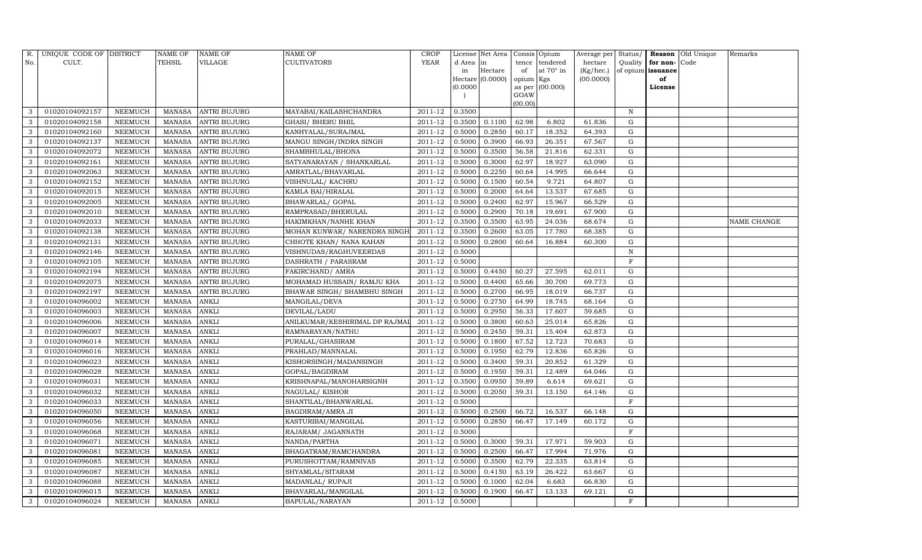| R.           | UNIQUE CODE OF DISTRICT |                | <b>NAME OF</b> | <b>NAME OF</b>      | <b>NAME OF</b>                 | <b>CROP</b> |           | License Net Area |           | Consis Opium      | Average per | Status/     |                   | <b>Reason</b> Old Unique | Remarks     |
|--------------|-------------------------|----------------|----------------|---------------------|--------------------------------|-------------|-----------|------------------|-----------|-------------------|-------------|-------------|-------------------|--------------------------|-------------|
| No.          | CULT.                   |                | <b>TEHSIL</b>  | VILLAGE             | <b>CULTIVATORS</b>             | YEAR        | d Area in |                  | tence     | tendered          | hectare     | Quality     | for non-          | Code                     |             |
|              |                         |                |                |                     |                                |             | in        | Hectare          | of        | at $70^\circ$ in  | (Kg/hec.)   |             | of opium issuance |                          |             |
|              |                         |                |                |                     |                                |             |           | Hectare (0.0000) | opium Kgs |                   | (00.0000)   |             | of                |                          |             |
|              |                         |                |                |                     |                                |             | (0.0000)  |                  | GOAW      | as per $(00.000)$ |             |             | License           |                          |             |
|              |                         |                |                |                     |                                |             |           |                  | (00.00)   |                   |             |             |                   |                          |             |
| 3            | 01020104092157          | NEEMUCH        | MANASA         | <b>ANTRI BUJURG</b> | MAYABAI/KAILASHCHANDRA         | 2011-12     | 0.3500    |                  |           |                   |             | $\mathbf N$ |                   |                          |             |
| 3            | 01020104092158          | NEEMUCH        | MANASA         | <b>ANTRI BUJURG</b> | <b>GHASI/ BHERU BHIL</b>       | 2011-12     | 0.3500    | 0.1100           | 62.98     | 6.802             | 61.836      | G           |                   |                          |             |
| 3            | 01020104092160          | <b>NEEMUCH</b> | MANASA         | <b>ANTRI BUJURG</b> | KANHYALAL/SURAJMAL             | 2011-12     | 0.5000    | 0.2850           | 60.17     | 18.352            | 64.393      | G           |                   |                          |             |
| 3            | 01020104092137          | NEEMUCH        | MANASA         | <b>ANTRI BUJURG</b> | MANGU SINGH/INDRA SINGH        | $2011 - 12$ | 0.5000    | 0.3900           | 66.93     | 26.351            | 67.567      | G           |                   |                          |             |
| 3            | 01020104092072          | NEEMUCH        | MANASA         | <b>ANTRI BUJURG</b> | SHAMBHULAL/BHONA               | 2011-12     | 0.5000    | 0.3500           | 56.58     | 21.816            | 62.331      | G           |                   |                          |             |
| 3            | 01020104092161          | NEEMUCH        | MANASA         | <b>ANTRI BUJURG</b> | SATYANARAYAN / SHANKARLAL      | 2011-12     | 0.5000    | 0.3000           | 62.97     | 18.927            | 63.090      | G           |                   |                          |             |
| 3            | 01020104092063          | NEEMUCH        | MANASA         | <b>ANTRI BUJURG</b> | AMRATLAL/BHAVARLAL             | $2011 - 12$ | 0.5000    | 0.2250           | 60.64     | 14.995            | 66.644      | G           |                   |                          |             |
| 3            | 01020104092152          | NEEMUCH        | MANASA         | <b>ANTRI BUJURG</b> | VISHNULAL/ KACHRU              | 2011-12     | 0.5000    | 0.1500           | 60.54     | 9.721             | 64.807      | G           |                   |                          |             |
| 3            | 01020104092015          | <b>NEEMUCH</b> | MANASA         | <b>ANTRI BUJURG</b> | KAMLA BAI/HIRALAL              | 2011-12     | 0.5000    | 0.2000           | 64.64     | 13.537            | 67.685      | $\mathbf G$ |                   |                          |             |
| 3            | 01020104092005          | NEEMUCH        | MANASA         | <b>ANTRI BUJURG</b> | BHAWARLAL/ GOPAL               | 2011-12     | 0.5000    | 0.2400           | 62.97     | 15.967            | 66.529      | ${\rm G}$   |                   |                          |             |
| 3            | 01020104092010          | <b>NEEMUCH</b> | MANASA         | <b>ANTRI BUJURG</b> | RAMPRASAD/BHERULAL             | 2011-12     | 0.5000    | 0.2900           | 70.18     | 19.691            | 67.900      | ${\rm G}$   |                   |                          |             |
| $\mathbf{3}$ | 01020104092033          | <b>NEEMUCH</b> | MANASA         | <b>ANTRI BUJURG</b> | HAKIMKHAN/NANHE KHAN           | 2011-12     | 0.3500    | 0.3500           | 63.95     | 24.036            | 68.674      | G           |                   |                          | NAME CHANGE |
| 3            | 01020104092138          | <b>NEEMUCH</b> | MANASA         | <b>ANTRI BUJURG</b> | MOHAN KUNWAR/ NARENDRA SINGH   | 2011-12     | 0.3500    | 0.2600           | 63.05     | 17.780            | 68.385      | ${\rm G}$   |                   |                          |             |
| 3            | 01020104092131          | <b>NEEMUCH</b> | MANASA         | <b>ANTRI BUJURG</b> | CHHOTE KHAN/ NANA KAHAN        | 2011-12     | 0.5000    | 0.2800           | 60.64     | 16.884            | 60.300      | G           |                   |                          |             |
| 3            | 01020104092146          | NEEMUCH        | MANASA         | <b>ANTRI BUJURG</b> | VISHNUDAS/RAGHUVEERDAS         | 2011-12     | 0.5000    |                  |           |                   |             | $\mathbf N$ |                   |                          |             |
| 3            | 01020104092105          | NEEMUCH        | MANASA         | <b>ANTRI BUJURG</b> | DASHRATH / PARASRAM            | 2011-12     | 0.5000    |                  |           |                   |             | F           |                   |                          |             |
| 3            | 01020104092194          | <b>NEEMUCH</b> | MANASA         | <b>ANTRI BUJURG</b> | <b>FAKIRCHAND/ AMRA</b>        | 2011-12     | 0.5000    | 0.4450           | 60.27     | 27.595            | 62.011      | G           |                   |                          |             |
| 3            | 01020104092075          | <b>NEEMUCH</b> | MANASA         | <b>ANTRI BUJURG</b> | MOHAMAD HUSSAIN/ RAMJU KHA     | 2011-12     | 0.5000    | 0.4400           | 65.66     | 30.700            | 69.773      | G           |                   |                          |             |
| 3            | 01020104092197          | NEEMUCH        | MANASA         | <b>ANTRI BUJURG</b> | BHAWAR SINGH/ SHAMBHU SINGH    | 2011-12     | 0.5000    | 0.2700           | 66.95     | 18.019            | 66.737      | G           |                   |                          |             |
| 3            | 01020104096002          | NEEMUCH        | MANASA         | <b>ANKLI</b>        | MANGILAL/DEVA                  | 2011-12     | 0.5000    | 0.2750           | 64.99     | 18.745            | 68.164      | G           |                   |                          |             |
| 3            | 01020104096003          | NEEMUCH        | MANASA         | <b>ANKLI</b>        | DEVILAL/LADU                   | 2011-12     | 0.5000    | 0.2950           | 56.33     | 17.607            | 59.685      | G           |                   |                          |             |
| 3            | 01020104096006          | <b>NEEMUCH</b> | <b>MANASA</b>  | <b>ANKLI</b>        | ANILKUMAR/KESHIRIMAL DP RAJMAI | 2011-12     | 0.5000    | 0.3800           | 60.63     | 25.014            | 65.826      | G           |                   |                          |             |
| 3            | 01020104096007          | NEEMUCH        | MANASA         | <b>ANKLI</b>        | RAMNARAYAN/NATHU               | 2011-12     | 0.5000    | 0.2450           | 59.31     | 15.404            | 62.873      | G           |                   |                          |             |
| 3            | 01020104096014          | NEEMUCH        | MANASA         | <b>ANKLI</b>        | PURALAL/GHASIRAM               | 2011-12     | 0.5000    | 0.1800           | 67.52     | 12.723            | 70.683      | G           |                   |                          |             |
| 3            | 01020104096016          | <b>NEEMUCH</b> | MANASA         | <b>ANKLI</b>        | PRAHLAD/MANNALAL               | 2011-12     | 0.5000    | 0.1950           | 62.79     | 12.836            | 65.826      | G           |                   |                          |             |
| 3            | 01020104096023          | <b>NEEMUCH</b> | <b>MANASA</b>  | <b>ANKLI</b>        | KISHORSINGH/MADANSINGH         | 2011-12     | 0.5000    | 0.3400           | 59.31     | 20.852            | 61.329      | G           |                   |                          |             |
| 3            | 01020104096028          | <b>NEEMUCH</b> | MANASA         | <b>ANKLI</b>        | GOPAL/BAGDIRAM                 | 2011-12     | 0.5000    | 0.1950           | 59.31     | 12.489            | 64.046      | G           |                   |                          |             |
| 3            | 01020104096031          | <b>NEEMUCH</b> | <b>MANASA</b>  | <b>ANKLI</b>        | KRISHNAPAL/MANOHARSIGNH        | 2011-12     | 0.3500    | 0.0950           | 59.89     | 6.614             | 69.621      | $\mathbf G$ |                   |                          |             |
| 3            | 01020104096032          | NEEMUCH        | MANASA         | <b>ANKLI</b>        | NAGULAL/KISHOR                 | 2011-12     | 0.5000    | 0.2050           | 59.31     | 13.150            | 64.146      | G           |                   |                          |             |
| 3            | 01020104096033          | NEEMUCH        | MANASA         | <b>ANKLI</b>        | SHANTILAL/BHANWARLAL           | 2011-12     | 0.5000    |                  |           |                   |             | $\mathbf F$ |                   |                          |             |
| 3            | 01020104096050          | <b>NEEMUCH</b> | MANASA         | <b>ANKLI</b>        | <b>BAGDIRAM/AMRA JI</b>        | 2011-12     | 0.5000    | 0.2500           | 66.72     | 16.537            | 66.148      | $\mathbf G$ |                   |                          |             |
| 3            | 01020104096056          | NEEMUCH        | <b>MANASA</b>  | <b>ANKLI</b>        | KASTURIBAI/MANGILAL            | 2011-12     | 0.5000    | 0.2850           | 66.47     | 17.149            | 60.172      | $\mathbf G$ |                   |                          |             |
| 3            | 01020104096068          | <b>NEEMUCH</b> | MANASA         | <b>ANKLI</b>        | RAJARAM/ JAGANNATH             | 2011-12     | 0.5000    |                  |           |                   |             | $\mathbf F$ |                   |                          |             |
| 3            | 01020104096071          | <b>NEEMUCH</b> | MANASA         | <b>ANKLI</b>        | NANDA/PARTHA                   | 2011-12     | 0.5000    | 0.3000           | 59.31     | 17.971            | 59.903      | G           |                   |                          |             |
| 3            | 01020104096081          | NEEMUCH        | MANASA         | <b>ANKLI</b>        | BHAGATRAM/RAMCHANDRA           | 2011-12     | 0.5000    | 0.2500           | 66.47     | 17.994            | 71.976      | ${\rm G}$   |                   |                          |             |
| 3            | 01020104096085          | <b>NEEMUCH</b> | <b>MANASA</b>  | <b>ANKLI</b>        | PURUSHOTTAM/RAMNIVAS           | 2011-12     | 0.5000    | 0.3500           | 62.79     | 22.335            | 63.814      | ${\rm G}$   |                   |                          |             |
| 3            | 01020104096087          | <b>NEEMUCH</b> | MANASA         | ANKLI               | SHYAMLAL/SITARAM               | 2011-12     | 0.5000    | 0.4150           | 63.19     | 26.422            | 63.667      | G           |                   |                          |             |
| 3            | 01020104096088          | NEEMUCH        | MANASA         | <b>ANKLI</b>        | MADANLAL/ RUPAJI               | 2011-12     | 0.5000    | 0.1000           | 62.04     | 6.683             | 66.830      | G           |                   |                          |             |
| $\mathbf{3}$ | 01020104096015          | <b>NEEMUCH</b> | MANASA         | <b>ANKLI</b>        | BHAVARLAL/MANGILAL             | 2011-12     | 0.5000    | 0.1900           | 66.47     | 13.133            | 69.121      | G           |                   |                          |             |
| 3            | 01020104096024          | <b>NEEMUCH</b> | MANASA ANKLI   |                     | <b>BAPULAL/NARAYAN</b>         | 2011-12     | 0.5000    |                  |           |                   |             | F           |                   |                          |             |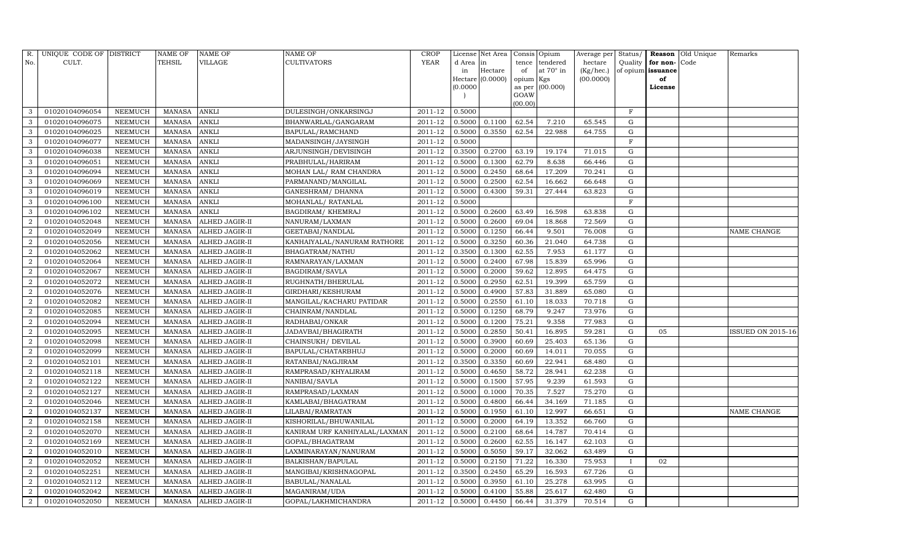| R.             | UNIQUE CODE OF DISTRICT |                | <b>NAME OF</b> | <b>NAME OF</b>        | <b>NAME OF</b>                | CROP    |           | License Net Area |                     | Consis Opium     | Average per | Status/      | Reason            | Old Unique | Remarks           |
|----------------|-------------------------|----------------|----------------|-----------------------|-------------------------------|---------|-----------|------------------|---------------------|------------------|-------------|--------------|-------------------|------------|-------------------|
| No.            | CULT.                   |                | <b>TEHSIL</b>  | VILLAGE               | <b>CULTIVATORS</b>            | YEAR    | d Area in |                  | tence               | tendered         | hectare     | Quality      | for non-          | Code       |                   |
|                |                         |                |                |                       |                               |         | in        | Hectare          | of                  | at $70^\circ$ in | (Kg/hec.)   |              | of opium issuance |            |                   |
|                |                         |                |                |                       |                               |         | (0.0000   | Hectare (0.0000) | opium Kgs<br>as per | (00.000)         | (00.0000)   |              | of<br>License     |            |                   |
|                |                         |                |                |                       |                               |         |           |                  | GOAW                |                  |             |              |                   |            |                   |
|                |                         |                |                |                       |                               |         |           |                  | (00.00)             |                  |             |              |                   |            |                   |
| 3              | 01020104096054          | NEEMUCH        | MANASA         | <b>ANKLI</b>          | DULESINGH/ONKARSINGJ          | 2011-12 | 0.5000    |                  |                     |                  |             | $\mathbf F$  |                   |            |                   |
| 3              | 01020104096075          | NEEMUCH        | <b>MANASA</b>  | <b>ANKLI</b>          | BHANWARLAL/GANGARAM           | 2011-12 | 0.5000    | 0.1100           | 62.54               | 7.210            | 65.545      | G            |                   |            |                   |
| 3              | 01020104096025          | <b>NEEMUCH</b> | <b>MANASA</b>  | <b>ANKLI</b>          | <b>BAPULAL/RAMCHAND</b>       | 2011-12 | 0.5000    | 0.3550           | 62.54               | 22.988           | 64.755      | G            |                   |            |                   |
| 3              | 01020104096077          | NEEMUCH        | MANASA         | <b>ANKLI</b>          | MADANSINGH/JAYSINGH           | 2011-12 | 0.5000    |                  |                     |                  |             | $\mathbf F$  |                   |            |                   |
| 3              | 01020104096038          | NEEMUCH        | <b>MANASA</b>  | <b>ANKLI</b>          | ARJUNSINGH/DEVISINGH          | 2011-12 | 0.3500    | 0.2700           | 63.19               | 19.174           | 71.015      | $\mathbf G$  |                   |            |                   |
| 3              | 01020104096051          | NEEMUCH        | MANASA         | <b>ANKLI</b>          | PRABHULAL/HARIRAM             | 2011-12 | 0.5000    | 0.1300           | 62.79               | 8.638            | 66.446      | G            |                   |            |                   |
| 3              | 01020104096094          | NEEMUCH        | MANASA         | <b>ANKLI</b>          | MOHAN LAL/ RAM CHANDRA        | 2011-12 | 0.5000    | 0.2450           | 68.64               | 17.209           | 70.241      | G            |                   |            |                   |
| 3              | 01020104096069          | <b>NEEMUCH</b> | MANASA         | <b>ANKLI</b>          | PARMANAND/MANGILAL            | 2011-12 | 0.5000    | 0.2500           | 62.54               | 16.662           | 66.648      | ${\rm G}$    |                   |            |                   |
| 3              | 01020104096019          | <b>NEEMUCH</b> | <b>MANASA</b>  | <b>ANKLI</b>          | GANESHRAM / DHANNA            | 2011-12 | 0.5000    | 0.4300           | 59.31               | 27.444           | 63.823      | $\mathbf G$  |                   |            |                   |
| 3              | 01020104096100          | NEEMUCH        | MANASA         | <b>ANKLI</b>          | MOHANLAL/ RATANLAL            | 2011-12 | 0.5000    |                  |                     |                  |             | $\mathbf F$  |                   |            |                   |
| 3              | 01020104096102          | <b>NEEMUCH</b> | MANASA         | <b>ANKLI</b>          | <b>BAGDIRAM/ KHEMRAJ</b>      | 2011-12 | 0.5000    | 0.2600           | 63.49               | 16.598           | 63.838      | $\mathbf G$  |                   |            |                   |
| $\overline{2}$ | 01020104052048          | <b>NEEMUCH</b> | MANASA         | ALHED JAGIR-II        | NANURAM/LAXMAN                | 2011-12 | 0.5000    | 0.2600           | 69.04               | 18.868           | 72.569      | G            |                   |            |                   |
| $\overline{2}$ | 01020104052049          | <b>NEEMUCH</b> | <b>MANASA</b>  | ALHED JAGIR-II        | GEETABAI/NANDLAL              | 2011-12 | 0.5000    | 0.1250           | 66.44               | 9.501            | 76.008      | ${\rm G}$    |                   |            | NAME CHANGE       |
| $\overline{2}$ | 01020104052056          | <b>NEEMUCH</b> | MANASA         | <b>ALHED JAGIR-II</b> | KANHAIYALAL/NANURAM RATHORE   | 2011-12 | 0.5000    | 0.3250           | 60.36               | 21.040           | 64.738      | G            |                   |            |                   |
| $\overline{2}$ | 01020104052062          | NEEMUCH        | MANASA         | ALHED JAGIR-II        | <b>BHAGATRAM/NATHU</b>        | 2011-12 | 0.3500    | 0.1300           | 62.55               | 7.953            | 61.177      | G            |                   |            |                   |
| 2              | 01020104052064          | NEEMUCH        | MANASA         | ALHED JAGIR-II        | RAMNARAYAN/LAXMAN             | 2011-12 | 0.5000    | 0.2400           | 67.98               | 15.839           | 65.996      | $\mathbf G$  |                   |            |                   |
| $\overline{2}$ | 01020104052067          | <b>NEEMUCH</b> | MANASA         | <b>ALHED JAGIR-II</b> | <b>BAGDIRAM/SAVLA</b>         | 2011-12 | 0.5000    | 0.2000           | 59.62               | 12.895           | 64.475      | $\mathbf G$  |                   |            |                   |
| $\overline{2}$ | 01020104052072          | <b>NEEMUCH</b> | MANASA         | ALHED JAGIR-II        | RUGHNATH/BHERULAL             | 2011-12 | 0.5000    | 0.2950           | 62.51               | 19.399           | 65.759      | G            |                   |            |                   |
| $\overline{a}$ | 01020104052076          | NEEMUCH        | MANASA         | ALHED JAGIR-II        | GIRDHARI/KESHURAM             | 2011-12 | 0.5000    | 0.4900           | 57.83               | 31.889           | 65.080      | G            |                   |            |                   |
| $\overline{2}$ | 01020104052082          | NEEMUCH        | MANASA         | <b>ALHED JAGIR-II</b> | MANGILAL/KACHARU PATIDAR      | 2011-12 | 0.5000    | 0.2550           | 61.10               | 18.033           | 70.718      | G            |                   |            |                   |
| $\overline{2}$ | 01020104052085          | NEEMUCH        | MANASA         | ALHED JAGIR-II        | CHAINRAM/NANDLAL              | 2011-12 | 0.5000    | 0.1250           | 68.79               | 9.247            | 73.976      | G            |                   |            |                   |
| $\overline{2}$ | 01020104052094          | <b>NEEMUCH</b> | <b>MANASA</b>  | ALHED JAGIR-II        | RADHABAI/ONKAR                | 2011-12 | 0.5000    | 0.1200           | 75.21               | 9.358            | 77.983      | ${\rm G}$    |                   |            |                   |
| $\overline{2}$ | 01020104052095          | NEEMUCH        | MANASA         | ALHED JAGIR-II        | JADAVBAI/BHAGIRATH            | 2011-12 | 0.5000    | 0.2850           | 50.41               | 16.895           | 59.281      | G            | 05                |            | ISSUED ON 2015-16 |
| $\overline{2}$ | 01020104052098          | <b>NEEMUCH</b> | MANASA         | ALHED JAGIR-II        | CHAINSUKH / DEVILAL           | 2011-12 | 0.5000    | 0.3900           | 60.69               | 25.403           | 65.136      | G            |                   |            |                   |
| $\overline{2}$ | 01020104052099          | <b>NEEMUCH</b> | MANASA         | ALHED JAGIR-II        | BAPULAL/CHATARBHUJ            | 2011-12 | 0.5000    | 0.2000           | 60.69               | 14.011           | 70.055      | G            |                   |            |                   |
| $\overline{2}$ | 01020104052101          | <b>NEEMUCH</b> | <b>MANASA</b>  | ALHED JAGIR-II        | RATANBAI/NAGJIRAM             | 2011-12 | 0.3500    | 0.3350           | 60.69               | 22.941           | 68.480      | G            |                   |            |                   |
| $\overline{2}$ | 01020104052118          | <b>NEEMUCH</b> | MANASA         | ALHED JAGIR-II        | RAMPRASAD/KHYALIRAM           | 2011-12 | 0.5000    | 0.4650           | 58.72               | 28.941           | 62.238      | G            |                   |            |                   |
| 2              | 01020104052122          | <b>NEEMUCH</b> | <b>MANASA</b>  | ALHED JAGIR-II        | NANIBAI/SAVLA                 | 2011-12 | 0.5000    | 0.1500           | 57.95               | 9.239            | 61.593      | $\mathbf G$  |                   |            |                   |
| $\overline{2}$ | 01020104052127          | NEEMUCH        | MANASA         | <b>ALHED JAGIR-II</b> | RAMPRASAD/LAXMAN              | 2011-12 | 0.5000    | 0.1000           | 70.35               | 7.527            | 75.270      | G            |                   |            |                   |
| $\overline{2}$ | 01020104052046          | NEEMUCH        | MANASA         | ALHED JAGIR-II        | KAMLABAI/BHAGATRAM            | 2011-12 | 0.5000    | 0.4800           | 66.44               | 34.169           | 71.185      | G            |                   |            |                   |
| $\overline{2}$ | 01020104052137          | <b>NEEMUCH</b> | MANASA         | ALHED JAGIR-II        | LILABAI/RAMRATAN              | 2011-12 | 0.5000    | 0.1950           | 61.10               | 12.997           | 66.651      | ${\rm G}$    |                   |            | NAME CHANGE       |
| $\overline{2}$ | 01020104052158          | <b>NEEMUCH</b> | <b>MANASA</b>  | ALHED JAGIR-II        | KISHORILAL/BHUWANILAL         | 2011-12 | 0.5000    | 0.2000           | 64.19               | 13.352           | 66.760      | $\mathbf G$  |                   |            |                   |
| $\overline{2}$ | 01020104052070          | <b>NEEMUCH</b> | MANASA         | ALHED JAGIR-II        | KANIRAM URF KANHIYALAL/LAXMAN | 2011-12 | 0.5000    | 0.2100           | 68.64               | 14.787           | 70.414      | G            |                   |            |                   |
| $\overline{2}$ | 01020104052169          | <b>NEEMUCH</b> | MANASA         | ALHED JAGIR-II        | GOPAL/BHAGATRAM               | 2011-12 | 0.5000    | 0.2600           | 62.55               | 16.147           | 62.103      | G            |                   |            |                   |
| $\overline{2}$ | 01020104052010          | <b>NEEMUCH</b> | MANASA         | ALHED JAGIR-II        | LAXMINARAYAN/NANURAM          | 2011-12 | 0.5000    | 0.5050           | 59.17               | 32.062           | 63.489      | $\mathbf G$  |                   |            |                   |
| $\overline{2}$ | 01020104052052          | <b>NEEMUCH</b> | MANASA         | ALHED JAGIR-II        | <b>BALKISHAN/BAPULAL</b>      | 2011-12 | 0.5000    | 0.2150           | 71.22               | 16.330           | 75.953      | $\mathbf{I}$ | 02                |            |                   |
| $\overline{2}$ | 01020104052251          | <b>NEEMUCH</b> | MANASA         | <b>ALHED JAGIR-II</b> | MANGIBAI/KRISHNAGOPAL         | 2011-12 | 0.3500    | 0.2450           | 65.29               | 16.593           | 67.726      | G            |                   |            |                   |
| $\overline{2}$ | 01020104052112          | <b>NEEMUCH</b> | MANASA         | ALHED JAGIR-II        | <b>BABULAL/NANALAL</b>        | 2011-12 | 0.5000    | 0.3950           | 61.10               | 25.278           | 63.995      | G            |                   |            |                   |
| $\overline{2}$ | 01020104052042          | <b>NEEMUCH</b> | MANASA         | ALHED JAGIR-II        | MAGANIRAM/UDA                 | 2011-12 | 0.5000    | 0.4100           | 55.88               | 25.617           | 62.480      | G            |                   |            |                   |
| $\overline{2}$ | 01020104052050          | <b>NEEMUCH</b> |                | MANASA ALHED JAGIR-II | GOPAL/LAKHMICHANDRA           | 2011-12 | 0.5000    | 0.4450           | 66.44               | 31.379           | 70.514      | G            |                   |            |                   |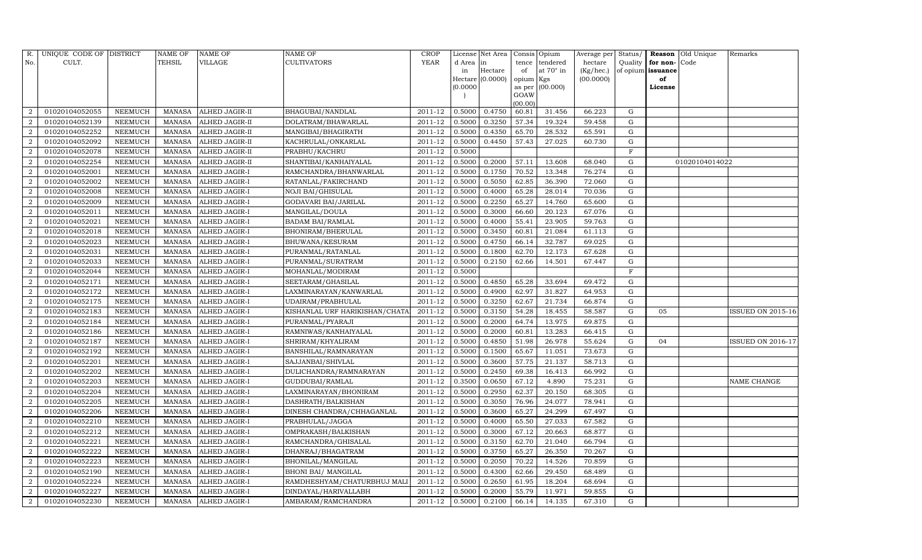| R.             | UNIQUE CODE OF DISTRICT |                | NAME OF       | NAME OF        | <b>NAME OF</b>                 | <b>CROP</b> |          | License Net Area |                | Consis Opium | Average per | Status/      | Reason            | Old Unique     | Remarks           |
|----------------|-------------------------|----------------|---------------|----------------|--------------------------------|-------------|----------|------------------|----------------|--------------|-------------|--------------|-------------------|----------------|-------------------|
| No.            | CULT.                   |                | TEHSIL        | VILLAGE        | <b>CULTIVATORS</b>             | <b>YEAR</b> | d Area   | lin              | tence          | tendered     | hectare     | Quality      | for non-          | Code           |                   |
|                |                         |                |               |                |                                |             | in       | Hectare          | of             | at 70° in    | (Kg/hec.)   |              | of opium issuance |                |                   |
|                |                         |                |               |                |                                |             |          | Hectare (0.0000) | opium Kgs      |              | (00.0000)   |              | of                |                |                   |
|                |                         |                |               |                |                                |             | (0.0000) |                  | as per<br>GOAW | (00.000)     |             |              | License           |                |                   |
|                |                         |                |               |                |                                |             |          |                  | (00.00)        |              |             |              |                   |                |                   |
| $\mathcal{D}$  | 01020104052055          | NEEMUCH        | MANASA        | ALHED JAGIR-II | BHAGUBAI/NANDLAL               | 2011-12     | 0.5000   | 0.4750           | 60.81          | 31.456       | 66.223      | G            |                   |                |                   |
|                | 01020104052139          | NEEMUCH        | <b>MANASA</b> | ALHED JAGIR-II | DOLATRAM/BHAWARLAL             | 2011-12     | 0.5000   | 0.3250           | 57.34          | 19.324       | 59.458      | G            |                   |                |                   |
| 2              | 01020104052252          | <b>NEEMUCH</b> | <b>MANASA</b> | ALHED JAGIR-II | MANGIBAI/BHAGIRATH             | 2011-12     | 0.5000   | 0.4350           | 65.70          | 28.532       | 65.591      | G            |                   |                |                   |
| 2              | 01020104052092          | NEEMUCH        | MANASA        | ALHED JAGIR-II | KACHRULAL/ONKARLAL             | 2011-12     | 0.5000   | 0.4450           | 57.43          | 27.025       | 60.730      | G            |                   |                |                   |
| $\overline{2}$ | 01020104052078          | NEEMUCH        | MANASA        | ALHED JAGIR-II | PRABHU/KACHRU                  | 2011-12     | 0.5000   |                  |                |              |             | $\mathbf F$  |                   |                |                   |
| $\overline{2}$ | 01020104052254          | NEEMUCH        | <b>MANASA</b> | ALHED JAGIR-II | SHANTIBAI/KANHAIYALAL          | 2011-12     | 0.5000   | 0.2000           | 57.11          | 13.608       | 68.040      | G            |                   | 01020104014022 |                   |
| $\overline{2}$ | 01020104052001          | NEEMUCH        | MANASA        | ALHED JAGIR-I  | RAMCHANDRA/BHANWARLAL          | 2011-12     | 0.5000   | 0.1750           | 70.52          | 13.348       | 76.274      | G            |                   |                |                   |
| 2              | 01020104052002          | NEEMUCH        | <b>MANASA</b> | ALHED JAGIR-I  | RATANLAL/FAKIRCHAND            | 2011-12     | 0.5000   | 0.5050           | 62.85          | 36.390       | 72.060      | G            |                   |                |                   |
| $\overline{2}$ | 01020104052008          | <b>NEEMUCH</b> | <b>MANASA</b> | ALHED JAGIR-I  | <b>NOJI BAI/GHISULAL</b>       | 2011-12     | 0.5000   | 0.4000           | 65.28          | 28.014       | 70.036      | $\mathbf G$  |                   |                |                   |
|                | 01020104052009          | NEEMUCH        | MANASA        | ALHED JAGIR-I  | GODAVARI BAI/JARILAL           | 2011-12     | 0.5000   | 0.2250           | 65.27          | 14.760       | 65.600      | ${\rm G}$    |                   |                |                   |
| $\overline{2}$ | 01020104052011          | NEEMUCH        | <b>MANASA</b> | ALHED JAGIR-I  | MANGILAL/DOULA                 | 2011-12     | 0.5000   | 0.3000           | 66.60          | 20.123       | 67.076      | ${\rm G}$    |                   |                |                   |
| $\overline{2}$ | 01020104052021          | NEEMUCH        | MANASA        | ALHED JAGIR-I  | <b>BADAM BAI/RAMLAL</b>        | 2011-12     | 0.5000   | 0.4000           | 55.41          | 23.905       | 59.763      | G            |                   |                |                   |
| $\overline{2}$ | 01020104052018          | <b>NEEMUCH</b> | <b>MANASA</b> | ALHED JAGIR-I  | BHONIRAM/BHERULAL              | 2011-12     | 0.5000   | 0.3450           | 60.81          | 21.084       | 61.113      | ${\rm G}$    |                   |                |                   |
| $\overline{2}$ | 01020104052023          | NEEMUCH        | MANASA        | ALHED JAGIR-I  | BHUWANA/KESURAM                | 2011-12     | 0.5000   | 0.4750           | 66.14          | 32.787       | 69.025      | G            |                   |                |                   |
| $\overline{2}$ | 01020104052031          | NEEMUCH        | MANASA        | ALHED JAGIR-I  | PURANMAL/RATANLAL              | 2011-12     | 0.5000   | 0.1800           | 62.70          | 12.173       | 67.628      | G            |                   |                |                   |
| $\overline{2}$ | 01020104052033          | NEEMUCH        | <b>MANASA</b> | ALHED JAGIR-I  | PURANMAL/SURATRAM              | 2011-12     | 0.5000   | 0.2150           | 62.66          | 14.501       | 67.447      | G            |                   |                |                   |
| $\mathcal{D}$  | 01020104052044          | <b>NEEMUCH</b> | <b>MANASA</b> | ALHED JAGIR-I  | MOHANLAL/MODIRAM               | 2011-12     | 0.5000   |                  |                |              |             | $\mathbf{F}$ |                   |                |                   |
| 2              | 01020104052171          | NEEMUCH        | MANASA        | ALHED JAGIR-I  | SEETARAM/GHASILAL              | 2011-12     | 0.5000   | 0.4850           | 65.28          | 33.694       | 69.472      | G            |                   |                |                   |
| $\overline{2}$ | 01020104052172          | NEEMUCH        | <b>MANASA</b> | ALHED JAGIR-I  | LAXMINARAYAN/KANWARLAL         | 2011-12     | 0.5000   | 0.4900           | 62.97          | 31.827       | 64.953      | G            |                   |                |                   |
| 2              | 01020104052175          | NEEMUCH        | <b>MANASA</b> | ALHED JAGIR-I  | UDAIRAM/PRABHULAL              | 2011-12     | 0.5000   | 0.3250           | 62.67          | 21.734       | 66.874      | G            |                   |                |                   |
| $\overline{2}$ | 01020104052183          | NEEMUCH        | <b>MANASA</b> | ALHED JAGIR-I  | KISHANLAL URF HARIKISHAN/CHATA | 2011-12     | 0.5000   | 0.3150           | 54.28          | 18.455       | 58.587      | G            | 05                |                | ISSUED ON 2015-16 |
| $\mathcal{D}$  | 01020104052184          | NEEMUCH        | <b>MANASA</b> | ALHED JAGIR-I  | PURANMAL/PYARAJI               | 2011-12     | 0.5000   | 0.2000           | 64.74          | 13.975       | 69.875      | G            |                   |                |                   |
| $\mathcal{D}$  | 01020104052186          | NEEMUCH        | <b>MANASA</b> | ALHED JAGIR-I  | RAMNIWAS/KANHAIYALAL           | 2011-12     | 0.5000   | 0.2000           | 60.81          | 13.283       | 66.415      | G            |                   |                |                   |
| 2              | 01020104052187          | NEEMUCH        | <b>MANASA</b> | ALHED JAGIR-I  | SHRIRAM/KHYALIRAM              | 2011-12     | 0.5000   | 0.4850           | 51.98          | 26.978       | 55.624      | G            | 04                |                | ISSUED ON 2016-17 |
|                | 01020104052192          | NEEMUCH        | <b>MANASA</b> | ALHED JAGIR-I  | BANSHILAL/RAMNARAYAN           | 2011-12     | 0.5000   | 0.1500           | 65.67          | 11.051       | 73.673      | ${\rm G}$    |                   |                |                   |
| $\overline{2}$ | 01020104052201          | NEEMUCH        | <b>MANASA</b> | ALHED JAGIR-I  | SAJJANBAI/SHIVLAL              | 2011-12     | 0.5000   | 0.3600           | 57.75          | 21.137       | 58.713      | G            |                   |                |                   |
| 2              | 01020104052202          | NEEMUCH        | <b>MANASA</b> | ALHED JAGIR-I  | DULICHANDRA/RAMNARAYAN         | 2011-12     | 0.5000   | 0.2450           | 69.38          | 16.413       | 66.992      | G            |                   |                |                   |
| $\overline{2}$ | 01020104052203          | NEEMUCH        | <b>MANASA</b> | ALHED JAGIR-I  | GUDDUBAI/RAMLAL                | 2011-12     | 0.3500   | 0.0650           | 67.12          | 4.890        | 75.231      | $\mathbf G$  |                   |                | NAME CHANGE       |
| $\overline{2}$ | 01020104052204          | NEEMUCH        | MANASA        | ALHED JAGIR-I  | LAXMINARAYAN/BHONIRAM          | 2011-12     | 0.5000   | 0.2950           | 62.37          | 20.150       | 68.305      | G            |                   |                |                   |
| $\overline{2}$ | 01020104052205          | NEEMUCH        | <b>MANASA</b> | ALHED JAGIR-I  | DASHRATH/BALKISHAN             | 2011-12     | 0.5000   | 0.3050           | 76.96          | 24.077       | 78.941      | G            |                   |                |                   |
| $\overline{2}$ | 01020104052206          | NEEMUCH        | MANASA        | ALHED JAGIR-I  | DINESH CHANDRA/CHHAGANLAL      | 2011-12     | 0.5000   | 0.3600           | 65.27          | 24.299       | 67.497      | $\mathbf G$  |                   |                |                   |
| $\overline{2}$ | 01020104052210          | <b>NEEMUCH</b> | <b>MANASA</b> | ALHED JAGIR-I  | PRABHULAL/JAGGA                | 2011-12     | 0.5000   | 0.4000           | 65.50          | 27.033       | 67.582      | $\mathbf G$  |                   |                |                   |
|                | 01020104052212          | NEEMUCH        | <b>MANASA</b> | ALHED JAGIR-I  | OMPRAKASH/BALKISHAN            | 2011-12     | 0.5000   | 0.3000           | 67.12          | 20.663       | 68.877      | G            |                   |                |                   |
| $\overline{2}$ | 01020104052221          | NEEMUCH        | <b>MANASA</b> | ALHED JAGIR-I  | RAMCHANDRA/GHISALAL            | 2011-12     | 0.5000   | 0.3150           | 62.70          | 21.040       | 66.794      | G            |                   |                |                   |
| 2              | 01020104052222          | NEEMUCH        | <b>MANASA</b> | ALHED JAGIR-I  | DHANRAJ/BHAGATRAM              | 2011-12     | 0.5000   | 0.3750           | 65.27          | 26.350       | 70.267      | G            |                   |                |                   |
| $\overline{2}$ | 01020104052223          | <b>NEEMUCH</b> | <b>MANASA</b> | ALHED JAGIR-I  | BHONILAL/MANGILAL              | 2011-12     | 0.5000   | 0.2050           | 70.22          | 14.526       | 70.859      | ${\rm G}$    |                   |                |                   |
| $\overline{2}$ | 01020104052190          | NEEMUCH        | MANASA        | ALHED JAGIR-I  | BHONI BAI/ MANGILAL            | 2011-12     | 0.5000   | 0.4300           | 62.66          | 29.450       | 68.489      | G            |                   |                |                   |
| $\overline{2}$ | 01020104052224          | NEEMUCH        | <b>MANASA</b> | ALHED JAGIR-I  | RAMDHESHYAM/CHATURBHUJ MALI    | 2011-12     | 0.5000   | 0.2650           | 61.95          | 18.204       | 68.694      | G            |                   |                |                   |
| 2              | 01020104052227          | NEEMUCH        | <b>MANASA</b> | ALHED JAGIR-I  | DINDAYAL/HARIVALLABH           | 2011-12     | 0.5000   | 0.2000           | 55.79          | 11.971       | 59.855      | G            |                   |                |                   |
| $\overline{a}$ | 01020104052230          | <b>NEEMUCH</b> | MANASA        | ALHED JAGIR-I  | AMBARAM/RAMCHANDRA             | 2011-12     | 0.5000   | 0.2100           | 66.14          | 14.135       | 67.310      | G            |                   |                |                   |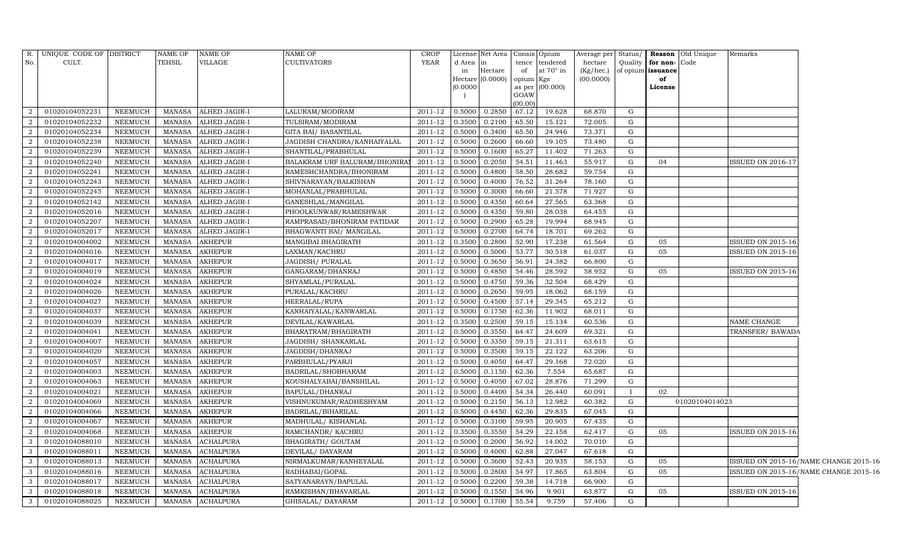| d Area<br>tence tendered<br>hectare<br>Quality<br>for non-<br>Code<br>at 70° in<br>Hectare<br>(Kg/hec.)<br>issuance<br>in<br>of<br>of opium<br>Hectare (0.0000)<br>(00.0000)<br>opium Kgs<br>of<br>0.0000<br>as per (00.000)<br>License<br>GOAW<br>(00.00)<br>01020104052231<br>0.5000<br>0.2850<br>67.12<br>19.628<br>68.870<br>2<br><b>NEEMUCH</b><br>MANASA<br>ALHED JAGIR-I<br>LALURAM/MODIRAM<br>2011-12<br>G<br>2<br><b>NEEMUCH</b><br>ALHED JAGIR-I<br>2011-12<br>0.2100<br>65.50<br>15.121<br>72.005<br>G<br>01020104052232<br>MANASA<br>TULSIRAM/MODIRAM<br>0.3500<br>2<br>01020104052234<br>NEEMUCH<br>2011-12<br>0.3400<br>65.50<br>24.946<br>73.371<br>G<br>MANASA<br>ALHED JAGIR-I<br>GITA BAI/ BASANTILAL<br>0.5000<br>2<br>01020104052238<br>0.2600<br><b>NEEMUCH</b><br><b>MANASA</b><br>ALHED JAGIR-I<br>JAGDISH CHANDRA/KANHAIYALAL<br>2011-12<br>0.5000<br>66.60<br>19.105<br>73.480<br>G<br>65.27<br>G<br>2<br>01020104052239<br><b>NEEMUCH</b><br>MANASA<br>2011-12<br>0.5000<br>0.1600<br>11.402<br>71.263<br>ALHED JAGIR-I<br>SHANTILAL/PRABHULAL<br>2<br>01020104052240<br>BALAKRAM URF BALURAM/BHONIRAI<br>2011-12<br>0.2050<br>54.51<br>G<br>NEEMUCH<br>MANASA<br>ALHED JAGIR-I<br>0.5000<br>11.463<br>55.917<br>04<br><b>ISSUED ON 2016-17</b><br>2<br>0.4800<br>58.50<br>01020104052241<br><b>NEEMUCH</b><br>MANASA<br>ALHED JAGIR-I<br>RAMESHCHANDRA/BHONIRAM<br>2011-12<br>0.5000<br>28.682<br>59.754<br>G<br>2<br>01020104052243<br>NEEMUCH<br><b>MANASA</b><br>2011-12<br>0.4000<br>76.52<br>31.264<br>78.160<br>G<br>ALHED JAGIR-I<br>SHIVNARAYAN/BALKISHAN<br>0.5000<br>2<br>01020104052245<br>2011-12<br>0.3000<br>66.60<br>21.578<br><b>NEEMUCH</b><br>MANASA<br>ALHED JAGIR-I<br>MOHANLAL/PRABHULAL<br>0.5000<br>71.927<br>G<br>2<br>$2011 - 12$<br>01020104052142<br>NEEMUCH<br>MANASA<br><b>ALHED JAGIR-I</b><br>GANESHLAL/MANGILAL<br>0.5000<br>0.4350<br>60.64<br>27.565<br>63.368<br>G<br>01020104052016<br>2011-12<br>0.4350<br>${\rm G}$<br>2<br><b>NEEMUCH</b><br><b>MANASA</b><br><b>ALHED JAGIR-I</b><br>PHOOLKUNWAR/RAMESHWAR<br>0.5000<br>59.80<br>28.038<br>64.455<br>2<br>01020104052207<br>2011-12<br>0.2900<br>65.28<br>19.994<br><b>NEEMUCH</b><br><b>MANASA</b><br>ALHED JAGIR-I<br>RAMPRASAD/BHONIRAM PATIDAR<br>0.5000<br>68.945<br>G<br>64.74<br>2<br>01020104052017<br><b>NEEMUCH</b><br>MANASA<br>ALHED JAGIR-I<br>BHAGWANTI BAI/ MANGILAL<br>2011-12<br>0.5000<br>0.2700<br>18.701<br>69.262<br>G<br>2<br>01020104004002<br><b>NEEMUCH</b><br><b>AKHEPUR</b><br>MANGIBAI BHAGIRATH<br>2011-12<br>0.2800<br>52.90<br>17.238<br>61.564<br>G<br><b>ISSUED ON 2015-16</b><br>MANASA<br>0.3500<br>05<br>2<br>01020104004016<br><b>AKHEPUR</b><br>2011-12<br>0.5000<br>0.5000<br>53.77<br>30.518<br><b>ISSUED ON 2015-16</b><br><b>NEEMUCH</b><br>MANASA<br>LAXMAN/KACHRU<br>61.037<br>G<br>05<br>2<br>01020104004017<br>NEEMUCH<br><b>MANASA</b><br><b>AKHEPUR</b><br>JAGDISH/PURALAL<br>2011-12<br>0.5000<br>0.3650<br>56.91<br>24.382<br>66.800<br>$\mathbf G$<br>2<br>01020104004019<br>2011-12<br>0.4850<br>54.46<br>28.592<br>G<br><b>NEEMUCH</b><br><b>MANASA</b><br>AKHEPUR<br>GANGARAM/DHANRAJ<br>0.5000<br>58.952<br>05<br>ISSUED ON 2015-16<br>59.36<br>2<br>01020104004024<br>NEEMUCH<br><b>MANASA</b><br>AKHEPUR<br>SHYAMLAL/PURALAL<br>2011-12<br>0.4750<br>32.504<br>68.429<br>G<br>0.5000<br>01020104004026<br>2011-12<br>0.2650<br>59.95<br>${\rm G}$<br>2<br><b>NEEMUCH</b><br>MANASA<br><b>AKHEPUR</b><br>PURALAL/KACHRU<br>0.5000<br>18.062<br>68.159<br>2<br>01020104004027<br>AKHEPUR<br>2011-12<br>0.4500<br>57.14<br>29.345<br><b>NEEMUCH</b><br><b>MANASA</b><br>HEERALAL/RUPA<br>0.5000<br>65.212<br>G<br>$\overline{a}$<br>62.36<br>G<br>01020104004037<br><b>NEEMUCH</b><br>MANASA<br><b>AKHEPUR</b><br>KANHAIYALAL/KANWARLAL<br>2011-12<br>0.5000<br>0.1750<br>11.902<br>68.011<br>2<br>01020104004039<br><b>NEEMUCH</b><br><b>MANASA</b><br><b>AKHEPUR</b><br>DEVILAL/KAWARLAL<br>2011-12<br>0.2500<br>59.15<br>15.134<br>G<br>0.3500<br>60.536<br>NAME CHANGE<br>2<br>01020104004041<br><b>AKHEPUR</b><br>2011-12<br>0.3550<br>64.47<br>24.609<br>69.321<br>G<br><b>NEEMUCH</b><br>MANASA<br>BHARATRAM/BHAGIRATH<br>0.5000<br>TRANSFER/ BAWADA<br>0.3350<br>2<br>01020104004007<br><b>NEEMUCH</b><br><b>MANASA</b><br><b>AKHEPUR</b><br>JAGDISH / SHANKARLAL<br>2011-12<br>0.5000<br>59.15<br>21.311<br>63.615<br>G<br>2<br>01020104004020<br>$2011 - 12$<br>0.3500<br>NEEMUCH<br><b>MANASA</b><br><b>AKHEPUR</b><br>JAGDISH/DHANRAJ<br>0.5000<br>59.15<br>22.122<br>63.206<br>G<br>2<br>$2011 - 12$<br>G<br>01020104004057<br>NEEMUCH<br><b>MANASA</b><br><b>AKHEPUR</b><br>PARBHULAL/PYARJI<br>0.5000<br>0.4050<br>64.47<br>29.168<br>72.020<br>01020104004003<br>2011-12<br>0.1150<br>7.554<br>G<br>2<br>NEEMUCH<br><b>MANASA</b><br><b>AKHEPUR</b><br>BADRILAL/SHOBHARAM<br>0.5000<br>62.36<br>65.687<br>2<br>01020104004063<br>NEEMUCH<br><b>MANASA</b><br>AKHEPUR<br>KOUSHALYABAI/BANSHILAL<br>2011-12<br>0.5000<br>0.4050<br>67.02<br>28.876<br>71.299<br>G<br>2<br>2011-12<br>54.34<br>26.440<br>01020104004021<br><b>NEEMUCH</b><br>MANASA<br><b>AKHEPUR</b><br>BAPULAL/DHANRAJ<br>0.5000<br>0.4400<br>60.091<br>02<br>$\mathbf{I}$<br>2011-12<br>2<br>01020104004069<br><b>NEEMUCH</b><br><b>MANASA</b><br><b>AKHEPUR</b><br>VISHNUKUMAR/RADHESHYAM<br>0.5000<br>0.2150<br>56.13<br>12.982<br>60.382<br>G<br>01020104014023<br>2<br>01020104004066<br>NEEMUCH<br><b>AKHEPUR</b><br>2011-12<br>0.5000<br>0.4450<br>62.36<br>G<br>MANASA<br>BADRILAL/BIHARILAL<br>29.835<br>67.045<br>2<br>01020104004067<br>NEEMUCH<br><b>MANASA</b><br><b>AKHEPUR</b><br>MADHULAL/KISHANLAL<br>2011-12<br>0.5000<br>0.3100<br>59.95<br>20.905<br>67.435<br>G<br>2<br>2011-12<br>54.29<br>01020104004068<br>NEEMUCH<br><b>MANASA</b><br>AKHEPUR<br>RAMCHANDR/KACHRU<br>0.3550<br>22.158<br>62.417<br>G<br><b>ISSUED ON 2015-16</b><br>0.3500<br>05<br>$2011 - 12$<br>56.92<br>G<br>$\mathbf{3}$<br>01020104088010<br><b>NEEMUCH</b><br>MANASA<br><b>ACHALPURA</b><br>BHAGIRATH/ GOUTAM<br>0.5000<br>0.2000<br>14.002<br>70.010<br>$\mathbf{3}$<br>01020104088011<br>NEEMUCH<br>2011-12<br>0.4000<br>62.88<br>27.047<br>G<br>MANASA<br>ACHALPURA<br>DEVILAL/DAYARAM<br>0.5000<br>67.618<br>$\mathbf{3}$<br>01020104088013<br>NEEMUCH<br><b>MANASA</b><br>ACHALPURA<br>NIRMALKUMAR/KANHEYALAL<br>2011-12<br>0.3600<br>52.43<br>20.935<br>G<br>0.5000<br>58.153<br>05<br>ISSUED ON 2015-16/NAME CHANGE 2015-16<br>$\mathbf{3}$<br>54.97<br>G<br>01020104088016<br><b>NEEMUCH</b><br>MANASA<br>ACHALPURA<br>RADHABAI/GOPAL<br>2011-12<br>0.5000<br>0.2800<br>17.865<br>63.804<br>05<br>ISSUED ON 2015-16/NAME CHANGE 2015-16<br>$\mathbf{3}$<br>01020104088017<br><b>NEEMUCH</b><br><b>MANASA</b><br><b>ACHALPURA</b><br>SATYANARAYN/BAPULAL<br>2011-12<br>0.2200<br>59.38<br>14.718<br>66.900<br>G<br>0.5000<br>$\mathbf{3}$<br>0.1550<br>01020104088018<br><b>NEEMUCH</b><br>MANASA<br><b>ACHALPURA</b><br>RAMKISHAN/BHAVARLAL<br>2011-12<br>0.5000<br>54.96<br>9.901<br>63.877<br>$\mathbf G$<br><b>ISSUED ON 2015-16</b><br>05<br>$\mathbf{3}$<br>01020104088025<br>MANASA<br>GHISALAL/DAYARAM<br>2011-12<br>0.5000<br>0.1700<br>55.54<br>9.759<br>57.406<br>NEEMUCH<br><b>ACHALPURA</b><br>G | $R_{\cdot}$ | UNIQUE CODE OF DISTRICT | <b>NAME OF</b> | NAME OF | NAME OF     | CROP        | License Net Area   Consis   Opium |  | Average per Status/ |  | <b>Reason</b> Old Unique | Remarks |  |
|------------------------------------------------------------------------------------------------------------------------------------------------------------------------------------------------------------------------------------------------------------------------------------------------------------------------------------------------------------------------------------------------------------------------------------------------------------------------------------------------------------------------------------------------------------------------------------------------------------------------------------------------------------------------------------------------------------------------------------------------------------------------------------------------------------------------------------------------------------------------------------------------------------------------------------------------------------------------------------------------------------------------------------------------------------------------------------------------------------------------------------------------------------------------------------------------------------------------------------------------------------------------------------------------------------------------------------------------------------------------------------------------------------------------------------------------------------------------------------------------------------------------------------------------------------------------------------------------------------------------------------------------------------------------------------------------------------------------------------------------------------------------------------------------------------------------------------------------------------------------------------------------------------------------------------------------------------------------------------------------------------------------------------------------------------------------------------------------------------------------------------------------------------------------------------------------------------------------------------------------------------------------------------------------------------------------------------------------------------------------------------------------------------------------------------------------------------------------------------------------------------------------------------------------------------------------------------------------------------------------------------------------------------------------------------------------------------------------------------------------------------------------------------------------------------------------------------------------------------------------------------------------------------------------------------------------------------------------------------------------------------------------------------------------------------------------------------------------------------------------------------------------------------------------------------------------------------------------------------------------------------------------------------------------------------------------------------------------------------------------------------------------------------------------------------------------------------------------------------------------------------------------------------------------------------------------------------------------------------------------------------------------------------------------------------------------------------------------------------------------------------------------------------------------------------------------------------------------------------------------------------------------------------------------------------------------------------------------------------------------------------------------------------------------------------------------------------------------------------------------------------------------------------------------------------------------------------------------------------------------------------------------------------------------------------------------------------------------------------------------------------------------------------------------------------------------------------------------------------------------------------------------------------------------------------------------------------------------------------------------------------------------------------------------------------------------------------------------------------------------------------------------------------------------------------------------------------------------------------------------------------------------------------------------------------------------------------------------------------------------------------------------------------------------------------------------------------------------------------------------------------------------------------------------------------------------------------------------------------------------------------------------------------------------------------------------------------------------------------------------------------------------------------------------------------------------------------------------------------------------------------------------------------------------------------------------------------------------------------------------------------------------------------------------------------------------------------------------------------------------------------------------------------------------------------------------------------------------------------------------------------------------------------------------------------------------------------------------------------------------------------------------------------------------------------------------------------------------------------------------------------------------------------------------------------------------------------------------------------------------------------------------------------------------------------------------------------------------------------------------------------------------------------------------------------------------------------------------------------------------------------------------------------------------------------------------------------------------------------------------------------------------------------------------------------------------------------------------------------------------------------------------------------------------------------------------------------------------------------------------------------------------------------------------------------------------------------------------------------------------------------------------------------------------------------------------------------------------------------------------------------------------------------------------------------------------------------------------------------------------------------------------------|-------------|-------------------------|----------------|---------|-------------|-------------|-----------------------------------|--|---------------------|--|--------------------------|---------|--|
|                                                                                                                                                                                                                                                                                                                                                                                                                                                                                                                                                                                                                                                                                                                                                                                                                                                                                                                                                                                                                                                                                                                                                                                                                                                                                                                                                                                                                                                                                                                                                                                                                                                                                                                                                                                                                                                                                                                                                                                                                                                                                                                                                                                                                                                                                                                                                                                                                                                                                                                                                                                                                                                                                                                                                                                                                                                                                                                                                                                                                                                                                                                                                                                                                                                                                                                                                                                                                                                                                                                                                                                                                                                                                                                                                                                                                                                                                                                                                                                                                                                                                                                                                                                                                                                                                                                                                                                                                                                                                                                                                                                                                                                                                                                                                                                                                                                                                                                                                                                                                                                                                                                                                                                                                                                                                                                                                                                                                                                                                                                                                                                                                                                                                                                                                                                                                                                                                                                                                                                                                                                                                                                                                                                                                                                                                                                                                                                                                                                                                                                                                                                                                                                                                                                                                                                                                                                                                                                                                                                                                                                                                                                                                                                                                                                                              | No.         | CULT.                   | <b>TEHSIL</b>  | VILLAGE | CULTIVATORS | <b>YEAR</b> |                                   |  |                     |  |                          |         |  |
|                                                                                                                                                                                                                                                                                                                                                                                                                                                                                                                                                                                                                                                                                                                                                                                                                                                                                                                                                                                                                                                                                                                                                                                                                                                                                                                                                                                                                                                                                                                                                                                                                                                                                                                                                                                                                                                                                                                                                                                                                                                                                                                                                                                                                                                                                                                                                                                                                                                                                                                                                                                                                                                                                                                                                                                                                                                                                                                                                                                                                                                                                                                                                                                                                                                                                                                                                                                                                                                                                                                                                                                                                                                                                                                                                                                                                                                                                                                                                                                                                                                                                                                                                                                                                                                                                                                                                                                                                                                                                                                                                                                                                                                                                                                                                                                                                                                                                                                                                                                                                                                                                                                                                                                                                                                                                                                                                                                                                                                                                                                                                                                                                                                                                                                                                                                                                                                                                                                                                                                                                                                                                                                                                                                                                                                                                                                                                                                                                                                                                                                                                                                                                                                                                                                                                                                                                                                                                                                                                                                                                                                                                                                                                                                                                                                                              |             |                         |                |         |             |             |                                   |  |                     |  |                          |         |  |
|                                                                                                                                                                                                                                                                                                                                                                                                                                                                                                                                                                                                                                                                                                                                                                                                                                                                                                                                                                                                                                                                                                                                                                                                                                                                                                                                                                                                                                                                                                                                                                                                                                                                                                                                                                                                                                                                                                                                                                                                                                                                                                                                                                                                                                                                                                                                                                                                                                                                                                                                                                                                                                                                                                                                                                                                                                                                                                                                                                                                                                                                                                                                                                                                                                                                                                                                                                                                                                                                                                                                                                                                                                                                                                                                                                                                                                                                                                                                                                                                                                                                                                                                                                                                                                                                                                                                                                                                                                                                                                                                                                                                                                                                                                                                                                                                                                                                                                                                                                                                                                                                                                                                                                                                                                                                                                                                                                                                                                                                                                                                                                                                                                                                                                                                                                                                                                                                                                                                                                                                                                                                                                                                                                                                                                                                                                                                                                                                                                                                                                                                                                                                                                                                                                                                                                                                                                                                                                                                                                                                                                                                                                                                                                                                                                                                              |             |                         |                |         |             |             |                                   |  |                     |  |                          |         |  |
|                                                                                                                                                                                                                                                                                                                                                                                                                                                                                                                                                                                                                                                                                                                                                                                                                                                                                                                                                                                                                                                                                                                                                                                                                                                                                                                                                                                                                                                                                                                                                                                                                                                                                                                                                                                                                                                                                                                                                                                                                                                                                                                                                                                                                                                                                                                                                                                                                                                                                                                                                                                                                                                                                                                                                                                                                                                                                                                                                                                                                                                                                                                                                                                                                                                                                                                                                                                                                                                                                                                                                                                                                                                                                                                                                                                                                                                                                                                                                                                                                                                                                                                                                                                                                                                                                                                                                                                                                                                                                                                                                                                                                                                                                                                                                                                                                                                                                                                                                                                                                                                                                                                                                                                                                                                                                                                                                                                                                                                                                                                                                                                                                                                                                                                                                                                                                                                                                                                                                                                                                                                                                                                                                                                                                                                                                                                                                                                                                                                                                                                                                                                                                                                                                                                                                                                                                                                                                                                                                                                                                                                                                                                                                                                                                                                                              |             |                         |                |         |             |             |                                   |  |                     |  |                          |         |  |
|                                                                                                                                                                                                                                                                                                                                                                                                                                                                                                                                                                                                                                                                                                                                                                                                                                                                                                                                                                                                                                                                                                                                                                                                                                                                                                                                                                                                                                                                                                                                                                                                                                                                                                                                                                                                                                                                                                                                                                                                                                                                                                                                                                                                                                                                                                                                                                                                                                                                                                                                                                                                                                                                                                                                                                                                                                                                                                                                                                                                                                                                                                                                                                                                                                                                                                                                                                                                                                                                                                                                                                                                                                                                                                                                                                                                                                                                                                                                                                                                                                                                                                                                                                                                                                                                                                                                                                                                                                                                                                                                                                                                                                                                                                                                                                                                                                                                                                                                                                                                                                                                                                                                                                                                                                                                                                                                                                                                                                                                                                                                                                                                                                                                                                                                                                                                                                                                                                                                                                                                                                                                                                                                                                                                                                                                                                                                                                                                                                                                                                                                                                                                                                                                                                                                                                                                                                                                                                                                                                                                                                                                                                                                                                                                                                                                              |             |                         |                |         |             |             |                                   |  |                     |  |                          |         |  |
|                                                                                                                                                                                                                                                                                                                                                                                                                                                                                                                                                                                                                                                                                                                                                                                                                                                                                                                                                                                                                                                                                                                                                                                                                                                                                                                                                                                                                                                                                                                                                                                                                                                                                                                                                                                                                                                                                                                                                                                                                                                                                                                                                                                                                                                                                                                                                                                                                                                                                                                                                                                                                                                                                                                                                                                                                                                                                                                                                                                                                                                                                                                                                                                                                                                                                                                                                                                                                                                                                                                                                                                                                                                                                                                                                                                                                                                                                                                                                                                                                                                                                                                                                                                                                                                                                                                                                                                                                                                                                                                                                                                                                                                                                                                                                                                                                                                                                                                                                                                                                                                                                                                                                                                                                                                                                                                                                                                                                                                                                                                                                                                                                                                                                                                                                                                                                                                                                                                                                                                                                                                                                                                                                                                                                                                                                                                                                                                                                                                                                                                                                                                                                                                                                                                                                                                                                                                                                                                                                                                                                                                                                                                                                                                                                                                                              |             |                         |                |         |             |             |                                   |  |                     |  |                          |         |  |
|                                                                                                                                                                                                                                                                                                                                                                                                                                                                                                                                                                                                                                                                                                                                                                                                                                                                                                                                                                                                                                                                                                                                                                                                                                                                                                                                                                                                                                                                                                                                                                                                                                                                                                                                                                                                                                                                                                                                                                                                                                                                                                                                                                                                                                                                                                                                                                                                                                                                                                                                                                                                                                                                                                                                                                                                                                                                                                                                                                                                                                                                                                                                                                                                                                                                                                                                                                                                                                                                                                                                                                                                                                                                                                                                                                                                                                                                                                                                                                                                                                                                                                                                                                                                                                                                                                                                                                                                                                                                                                                                                                                                                                                                                                                                                                                                                                                                                                                                                                                                                                                                                                                                                                                                                                                                                                                                                                                                                                                                                                                                                                                                                                                                                                                                                                                                                                                                                                                                                                                                                                                                                                                                                                                                                                                                                                                                                                                                                                                                                                                                                                                                                                                                                                                                                                                                                                                                                                                                                                                                                                                                                                                                                                                                                                                                              |             |                         |                |         |             |             |                                   |  |                     |  |                          |         |  |
|                                                                                                                                                                                                                                                                                                                                                                                                                                                                                                                                                                                                                                                                                                                                                                                                                                                                                                                                                                                                                                                                                                                                                                                                                                                                                                                                                                                                                                                                                                                                                                                                                                                                                                                                                                                                                                                                                                                                                                                                                                                                                                                                                                                                                                                                                                                                                                                                                                                                                                                                                                                                                                                                                                                                                                                                                                                                                                                                                                                                                                                                                                                                                                                                                                                                                                                                                                                                                                                                                                                                                                                                                                                                                                                                                                                                                                                                                                                                                                                                                                                                                                                                                                                                                                                                                                                                                                                                                                                                                                                                                                                                                                                                                                                                                                                                                                                                                                                                                                                                                                                                                                                                                                                                                                                                                                                                                                                                                                                                                                                                                                                                                                                                                                                                                                                                                                                                                                                                                                                                                                                                                                                                                                                                                                                                                                                                                                                                                                                                                                                                                                                                                                                                                                                                                                                                                                                                                                                                                                                                                                                                                                                                                                                                                                                                              |             |                         |                |         |             |             |                                   |  |                     |  |                          |         |  |
|                                                                                                                                                                                                                                                                                                                                                                                                                                                                                                                                                                                                                                                                                                                                                                                                                                                                                                                                                                                                                                                                                                                                                                                                                                                                                                                                                                                                                                                                                                                                                                                                                                                                                                                                                                                                                                                                                                                                                                                                                                                                                                                                                                                                                                                                                                                                                                                                                                                                                                                                                                                                                                                                                                                                                                                                                                                                                                                                                                                                                                                                                                                                                                                                                                                                                                                                                                                                                                                                                                                                                                                                                                                                                                                                                                                                                                                                                                                                                                                                                                                                                                                                                                                                                                                                                                                                                                                                                                                                                                                                                                                                                                                                                                                                                                                                                                                                                                                                                                                                                                                                                                                                                                                                                                                                                                                                                                                                                                                                                                                                                                                                                                                                                                                                                                                                                                                                                                                                                                                                                                                                                                                                                                                                                                                                                                                                                                                                                                                                                                                                                                                                                                                                                                                                                                                                                                                                                                                                                                                                                                                                                                                                                                                                                                                                              |             |                         |                |         |             |             |                                   |  |                     |  |                          |         |  |
|                                                                                                                                                                                                                                                                                                                                                                                                                                                                                                                                                                                                                                                                                                                                                                                                                                                                                                                                                                                                                                                                                                                                                                                                                                                                                                                                                                                                                                                                                                                                                                                                                                                                                                                                                                                                                                                                                                                                                                                                                                                                                                                                                                                                                                                                                                                                                                                                                                                                                                                                                                                                                                                                                                                                                                                                                                                                                                                                                                                                                                                                                                                                                                                                                                                                                                                                                                                                                                                                                                                                                                                                                                                                                                                                                                                                                                                                                                                                                                                                                                                                                                                                                                                                                                                                                                                                                                                                                                                                                                                                                                                                                                                                                                                                                                                                                                                                                                                                                                                                                                                                                                                                                                                                                                                                                                                                                                                                                                                                                                                                                                                                                                                                                                                                                                                                                                                                                                                                                                                                                                                                                                                                                                                                                                                                                                                                                                                                                                                                                                                                                                                                                                                                                                                                                                                                                                                                                                                                                                                                                                                                                                                                                                                                                                                                              |             |                         |                |         |             |             |                                   |  |                     |  |                          |         |  |
|                                                                                                                                                                                                                                                                                                                                                                                                                                                                                                                                                                                                                                                                                                                                                                                                                                                                                                                                                                                                                                                                                                                                                                                                                                                                                                                                                                                                                                                                                                                                                                                                                                                                                                                                                                                                                                                                                                                                                                                                                                                                                                                                                                                                                                                                                                                                                                                                                                                                                                                                                                                                                                                                                                                                                                                                                                                                                                                                                                                                                                                                                                                                                                                                                                                                                                                                                                                                                                                                                                                                                                                                                                                                                                                                                                                                                                                                                                                                                                                                                                                                                                                                                                                                                                                                                                                                                                                                                                                                                                                                                                                                                                                                                                                                                                                                                                                                                                                                                                                                                                                                                                                                                                                                                                                                                                                                                                                                                                                                                                                                                                                                                                                                                                                                                                                                                                                                                                                                                                                                                                                                                                                                                                                                                                                                                                                                                                                                                                                                                                                                                                                                                                                                                                                                                                                                                                                                                                                                                                                                                                                                                                                                                                                                                                                                              |             |                         |                |         |             |             |                                   |  |                     |  |                          |         |  |
|                                                                                                                                                                                                                                                                                                                                                                                                                                                                                                                                                                                                                                                                                                                                                                                                                                                                                                                                                                                                                                                                                                                                                                                                                                                                                                                                                                                                                                                                                                                                                                                                                                                                                                                                                                                                                                                                                                                                                                                                                                                                                                                                                                                                                                                                                                                                                                                                                                                                                                                                                                                                                                                                                                                                                                                                                                                                                                                                                                                                                                                                                                                                                                                                                                                                                                                                                                                                                                                                                                                                                                                                                                                                                                                                                                                                                                                                                                                                                                                                                                                                                                                                                                                                                                                                                                                                                                                                                                                                                                                                                                                                                                                                                                                                                                                                                                                                                                                                                                                                                                                                                                                                                                                                                                                                                                                                                                                                                                                                                                                                                                                                                                                                                                                                                                                                                                                                                                                                                                                                                                                                                                                                                                                                                                                                                                                                                                                                                                                                                                                                                                                                                                                                                                                                                                                                                                                                                                                                                                                                                                                                                                                                                                                                                                                                              |             |                         |                |         |             |             |                                   |  |                     |  |                          |         |  |
|                                                                                                                                                                                                                                                                                                                                                                                                                                                                                                                                                                                                                                                                                                                                                                                                                                                                                                                                                                                                                                                                                                                                                                                                                                                                                                                                                                                                                                                                                                                                                                                                                                                                                                                                                                                                                                                                                                                                                                                                                                                                                                                                                                                                                                                                                                                                                                                                                                                                                                                                                                                                                                                                                                                                                                                                                                                                                                                                                                                                                                                                                                                                                                                                                                                                                                                                                                                                                                                                                                                                                                                                                                                                                                                                                                                                                                                                                                                                                                                                                                                                                                                                                                                                                                                                                                                                                                                                                                                                                                                                                                                                                                                                                                                                                                                                                                                                                                                                                                                                                                                                                                                                                                                                                                                                                                                                                                                                                                                                                                                                                                                                                                                                                                                                                                                                                                                                                                                                                                                                                                                                                                                                                                                                                                                                                                                                                                                                                                                                                                                                                                                                                                                                                                                                                                                                                                                                                                                                                                                                                                                                                                                                                                                                                                                                              |             |                         |                |         |             |             |                                   |  |                     |  |                          |         |  |
|                                                                                                                                                                                                                                                                                                                                                                                                                                                                                                                                                                                                                                                                                                                                                                                                                                                                                                                                                                                                                                                                                                                                                                                                                                                                                                                                                                                                                                                                                                                                                                                                                                                                                                                                                                                                                                                                                                                                                                                                                                                                                                                                                                                                                                                                                                                                                                                                                                                                                                                                                                                                                                                                                                                                                                                                                                                                                                                                                                                                                                                                                                                                                                                                                                                                                                                                                                                                                                                                                                                                                                                                                                                                                                                                                                                                                                                                                                                                                                                                                                                                                                                                                                                                                                                                                                                                                                                                                                                                                                                                                                                                                                                                                                                                                                                                                                                                                                                                                                                                                                                                                                                                                                                                                                                                                                                                                                                                                                                                                                                                                                                                                                                                                                                                                                                                                                                                                                                                                                                                                                                                                                                                                                                                                                                                                                                                                                                                                                                                                                                                                                                                                                                                                                                                                                                                                                                                                                                                                                                                                                                                                                                                                                                                                                                                              |             |                         |                |         |             |             |                                   |  |                     |  |                          |         |  |
|                                                                                                                                                                                                                                                                                                                                                                                                                                                                                                                                                                                                                                                                                                                                                                                                                                                                                                                                                                                                                                                                                                                                                                                                                                                                                                                                                                                                                                                                                                                                                                                                                                                                                                                                                                                                                                                                                                                                                                                                                                                                                                                                                                                                                                                                                                                                                                                                                                                                                                                                                                                                                                                                                                                                                                                                                                                                                                                                                                                                                                                                                                                                                                                                                                                                                                                                                                                                                                                                                                                                                                                                                                                                                                                                                                                                                                                                                                                                                                                                                                                                                                                                                                                                                                                                                                                                                                                                                                                                                                                                                                                                                                                                                                                                                                                                                                                                                                                                                                                                                                                                                                                                                                                                                                                                                                                                                                                                                                                                                                                                                                                                                                                                                                                                                                                                                                                                                                                                                                                                                                                                                                                                                                                                                                                                                                                                                                                                                                                                                                                                                                                                                                                                                                                                                                                                                                                                                                                                                                                                                                                                                                                                                                                                                                                                              |             |                         |                |         |             |             |                                   |  |                     |  |                          |         |  |
|                                                                                                                                                                                                                                                                                                                                                                                                                                                                                                                                                                                                                                                                                                                                                                                                                                                                                                                                                                                                                                                                                                                                                                                                                                                                                                                                                                                                                                                                                                                                                                                                                                                                                                                                                                                                                                                                                                                                                                                                                                                                                                                                                                                                                                                                                                                                                                                                                                                                                                                                                                                                                                                                                                                                                                                                                                                                                                                                                                                                                                                                                                                                                                                                                                                                                                                                                                                                                                                                                                                                                                                                                                                                                                                                                                                                                                                                                                                                                                                                                                                                                                                                                                                                                                                                                                                                                                                                                                                                                                                                                                                                                                                                                                                                                                                                                                                                                                                                                                                                                                                                                                                                                                                                                                                                                                                                                                                                                                                                                                                                                                                                                                                                                                                                                                                                                                                                                                                                                                                                                                                                                                                                                                                                                                                                                                                                                                                                                                                                                                                                                                                                                                                                                                                                                                                                                                                                                                                                                                                                                                                                                                                                                                                                                                                                              |             |                         |                |         |             |             |                                   |  |                     |  |                          |         |  |
|                                                                                                                                                                                                                                                                                                                                                                                                                                                                                                                                                                                                                                                                                                                                                                                                                                                                                                                                                                                                                                                                                                                                                                                                                                                                                                                                                                                                                                                                                                                                                                                                                                                                                                                                                                                                                                                                                                                                                                                                                                                                                                                                                                                                                                                                                                                                                                                                                                                                                                                                                                                                                                                                                                                                                                                                                                                                                                                                                                                                                                                                                                                                                                                                                                                                                                                                                                                                                                                                                                                                                                                                                                                                                                                                                                                                                                                                                                                                                                                                                                                                                                                                                                                                                                                                                                                                                                                                                                                                                                                                                                                                                                                                                                                                                                                                                                                                                                                                                                                                                                                                                                                                                                                                                                                                                                                                                                                                                                                                                                                                                                                                                                                                                                                                                                                                                                                                                                                                                                                                                                                                                                                                                                                                                                                                                                                                                                                                                                                                                                                                                                                                                                                                                                                                                                                                                                                                                                                                                                                                                                                                                                                                                                                                                                                                              |             |                         |                |         |             |             |                                   |  |                     |  |                          |         |  |
|                                                                                                                                                                                                                                                                                                                                                                                                                                                                                                                                                                                                                                                                                                                                                                                                                                                                                                                                                                                                                                                                                                                                                                                                                                                                                                                                                                                                                                                                                                                                                                                                                                                                                                                                                                                                                                                                                                                                                                                                                                                                                                                                                                                                                                                                                                                                                                                                                                                                                                                                                                                                                                                                                                                                                                                                                                                                                                                                                                                                                                                                                                                                                                                                                                                                                                                                                                                                                                                                                                                                                                                                                                                                                                                                                                                                                                                                                                                                                                                                                                                                                                                                                                                                                                                                                                                                                                                                                                                                                                                                                                                                                                                                                                                                                                                                                                                                                                                                                                                                                                                                                                                                                                                                                                                                                                                                                                                                                                                                                                                                                                                                                                                                                                                                                                                                                                                                                                                                                                                                                                                                                                                                                                                                                                                                                                                                                                                                                                                                                                                                                                                                                                                                                                                                                                                                                                                                                                                                                                                                                                                                                                                                                                                                                                                                              |             |                         |                |         |             |             |                                   |  |                     |  |                          |         |  |
|                                                                                                                                                                                                                                                                                                                                                                                                                                                                                                                                                                                                                                                                                                                                                                                                                                                                                                                                                                                                                                                                                                                                                                                                                                                                                                                                                                                                                                                                                                                                                                                                                                                                                                                                                                                                                                                                                                                                                                                                                                                                                                                                                                                                                                                                                                                                                                                                                                                                                                                                                                                                                                                                                                                                                                                                                                                                                                                                                                                                                                                                                                                                                                                                                                                                                                                                                                                                                                                                                                                                                                                                                                                                                                                                                                                                                                                                                                                                                                                                                                                                                                                                                                                                                                                                                                                                                                                                                                                                                                                                                                                                                                                                                                                                                                                                                                                                                                                                                                                                                                                                                                                                                                                                                                                                                                                                                                                                                                                                                                                                                                                                                                                                                                                                                                                                                                                                                                                                                                                                                                                                                                                                                                                                                                                                                                                                                                                                                                                                                                                                                                                                                                                                                                                                                                                                                                                                                                                                                                                                                                                                                                                                                                                                                                                                              |             |                         |                |         |             |             |                                   |  |                     |  |                          |         |  |
|                                                                                                                                                                                                                                                                                                                                                                                                                                                                                                                                                                                                                                                                                                                                                                                                                                                                                                                                                                                                                                                                                                                                                                                                                                                                                                                                                                                                                                                                                                                                                                                                                                                                                                                                                                                                                                                                                                                                                                                                                                                                                                                                                                                                                                                                                                                                                                                                                                                                                                                                                                                                                                                                                                                                                                                                                                                                                                                                                                                                                                                                                                                                                                                                                                                                                                                                                                                                                                                                                                                                                                                                                                                                                                                                                                                                                                                                                                                                                                                                                                                                                                                                                                                                                                                                                                                                                                                                                                                                                                                                                                                                                                                                                                                                                                                                                                                                                                                                                                                                                                                                                                                                                                                                                                                                                                                                                                                                                                                                                                                                                                                                                                                                                                                                                                                                                                                                                                                                                                                                                                                                                                                                                                                                                                                                                                                                                                                                                                                                                                                                                                                                                                                                                                                                                                                                                                                                                                                                                                                                                                                                                                                                                                                                                                                                              |             |                         |                |         |             |             |                                   |  |                     |  |                          |         |  |
|                                                                                                                                                                                                                                                                                                                                                                                                                                                                                                                                                                                                                                                                                                                                                                                                                                                                                                                                                                                                                                                                                                                                                                                                                                                                                                                                                                                                                                                                                                                                                                                                                                                                                                                                                                                                                                                                                                                                                                                                                                                                                                                                                                                                                                                                                                                                                                                                                                                                                                                                                                                                                                                                                                                                                                                                                                                                                                                                                                                                                                                                                                                                                                                                                                                                                                                                                                                                                                                                                                                                                                                                                                                                                                                                                                                                                                                                                                                                                                                                                                                                                                                                                                                                                                                                                                                                                                                                                                                                                                                                                                                                                                                                                                                                                                                                                                                                                                                                                                                                                                                                                                                                                                                                                                                                                                                                                                                                                                                                                                                                                                                                                                                                                                                                                                                                                                                                                                                                                                                                                                                                                                                                                                                                                                                                                                                                                                                                                                                                                                                                                                                                                                                                                                                                                                                                                                                                                                                                                                                                                                                                                                                                                                                                                                                                              |             |                         |                |         |             |             |                                   |  |                     |  |                          |         |  |
|                                                                                                                                                                                                                                                                                                                                                                                                                                                                                                                                                                                                                                                                                                                                                                                                                                                                                                                                                                                                                                                                                                                                                                                                                                                                                                                                                                                                                                                                                                                                                                                                                                                                                                                                                                                                                                                                                                                                                                                                                                                                                                                                                                                                                                                                                                                                                                                                                                                                                                                                                                                                                                                                                                                                                                                                                                                                                                                                                                                                                                                                                                                                                                                                                                                                                                                                                                                                                                                                                                                                                                                                                                                                                                                                                                                                                                                                                                                                                                                                                                                                                                                                                                                                                                                                                                                                                                                                                                                                                                                                                                                                                                                                                                                                                                                                                                                                                                                                                                                                                                                                                                                                                                                                                                                                                                                                                                                                                                                                                                                                                                                                                                                                                                                                                                                                                                                                                                                                                                                                                                                                                                                                                                                                                                                                                                                                                                                                                                                                                                                                                                                                                                                                                                                                                                                                                                                                                                                                                                                                                                                                                                                                                                                                                                                                              |             |                         |                |         |             |             |                                   |  |                     |  |                          |         |  |
|                                                                                                                                                                                                                                                                                                                                                                                                                                                                                                                                                                                                                                                                                                                                                                                                                                                                                                                                                                                                                                                                                                                                                                                                                                                                                                                                                                                                                                                                                                                                                                                                                                                                                                                                                                                                                                                                                                                                                                                                                                                                                                                                                                                                                                                                                                                                                                                                                                                                                                                                                                                                                                                                                                                                                                                                                                                                                                                                                                                                                                                                                                                                                                                                                                                                                                                                                                                                                                                                                                                                                                                                                                                                                                                                                                                                                                                                                                                                                                                                                                                                                                                                                                                                                                                                                                                                                                                                                                                                                                                                                                                                                                                                                                                                                                                                                                                                                                                                                                                                                                                                                                                                                                                                                                                                                                                                                                                                                                                                                                                                                                                                                                                                                                                                                                                                                                                                                                                                                                                                                                                                                                                                                                                                                                                                                                                                                                                                                                                                                                                                                                                                                                                                                                                                                                                                                                                                                                                                                                                                                                                                                                                                                                                                                                                                              |             |                         |                |         |             |             |                                   |  |                     |  |                          |         |  |
|                                                                                                                                                                                                                                                                                                                                                                                                                                                                                                                                                                                                                                                                                                                                                                                                                                                                                                                                                                                                                                                                                                                                                                                                                                                                                                                                                                                                                                                                                                                                                                                                                                                                                                                                                                                                                                                                                                                                                                                                                                                                                                                                                                                                                                                                                                                                                                                                                                                                                                                                                                                                                                                                                                                                                                                                                                                                                                                                                                                                                                                                                                                                                                                                                                                                                                                                                                                                                                                                                                                                                                                                                                                                                                                                                                                                                                                                                                                                                                                                                                                                                                                                                                                                                                                                                                                                                                                                                                                                                                                                                                                                                                                                                                                                                                                                                                                                                                                                                                                                                                                                                                                                                                                                                                                                                                                                                                                                                                                                                                                                                                                                                                                                                                                                                                                                                                                                                                                                                                                                                                                                                                                                                                                                                                                                                                                                                                                                                                                                                                                                                                                                                                                                                                                                                                                                                                                                                                                                                                                                                                                                                                                                                                                                                                                                              |             |                         |                |         |             |             |                                   |  |                     |  |                          |         |  |
|                                                                                                                                                                                                                                                                                                                                                                                                                                                                                                                                                                                                                                                                                                                                                                                                                                                                                                                                                                                                                                                                                                                                                                                                                                                                                                                                                                                                                                                                                                                                                                                                                                                                                                                                                                                                                                                                                                                                                                                                                                                                                                                                                                                                                                                                                                                                                                                                                                                                                                                                                                                                                                                                                                                                                                                                                                                                                                                                                                                                                                                                                                                                                                                                                                                                                                                                                                                                                                                                                                                                                                                                                                                                                                                                                                                                                                                                                                                                                                                                                                                                                                                                                                                                                                                                                                                                                                                                                                                                                                                                                                                                                                                                                                                                                                                                                                                                                                                                                                                                                                                                                                                                                                                                                                                                                                                                                                                                                                                                                                                                                                                                                                                                                                                                                                                                                                                                                                                                                                                                                                                                                                                                                                                                                                                                                                                                                                                                                                                                                                                                                                                                                                                                                                                                                                                                                                                                                                                                                                                                                                                                                                                                                                                                                                                                              |             |                         |                |         |             |             |                                   |  |                     |  |                          |         |  |
|                                                                                                                                                                                                                                                                                                                                                                                                                                                                                                                                                                                                                                                                                                                                                                                                                                                                                                                                                                                                                                                                                                                                                                                                                                                                                                                                                                                                                                                                                                                                                                                                                                                                                                                                                                                                                                                                                                                                                                                                                                                                                                                                                                                                                                                                                                                                                                                                                                                                                                                                                                                                                                                                                                                                                                                                                                                                                                                                                                                                                                                                                                                                                                                                                                                                                                                                                                                                                                                                                                                                                                                                                                                                                                                                                                                                                                                                                                                                                                                                                                                                                                                                                                                                                                                                                                                                                                                                                                                                                                                                                                                                                                                                                                                                                                                                                                                                                                                                                                                                                                                                                                                                                                                                                                                                                                                                                                                                                                                                                                                                                                                                                                                                                                                                                                                                                                                                                                                                                                                                                                                                                                                                                                                                                                                                                                                                                                                                                                                                                                                                                                                                                                                                                                                                                                                                                                                                                                                                                                                                                                                                                                                                                                                                                                                                              |             |                         |                |         |             |             |                                   |  |                     |  |                          |         |  |
|                                                                                                                                                                                                                                                                                                                                                                                                                                                                                                                                                                                                                                                                                                                                                                                                                                                                                                                                                                                                                                                                                                                                                                                                                                                                                                                                                                                                                                                                                                                                                                                                                                                                                                                                                                                                                                                                                                                                                                                                                                                                                                                                                                                                                                                                                                                                                                                                                                                                                                                                                                                                                                                                                                                                                                                                                                                                                                                                                                                                                                                                                                                                                                                                                                                                                                                                                                                                                                                                                                                                                                                                                                                                                                                                                                                                                                                                                                                                                                                                                                                                                                                                                                                                                                                                                                                                                                                                                                                                                                                                                                                                                                                                                                                                                                                                                                                                                                                                                                                                                                                                                                                                                                                                                                                                                                                                                                                                                                                                                                                                                                                                                                                                                                                                                                                                                                                                                                                                                                                                                                                                                                                                                                                                                                                                                                                                                                                                                                                                                                                                                                                                                                                                                                                                                                                                                                                                                                                                                                                                                                                                                                                                                                                                                                                                              |             |                         |                |         |             |             |                                   |  |                     |  |                          |         |  |
|                                                                                                                                                                                                                                                                                                                                                                                                                                                                                                                                                                                                                                                                                                                                                                                                                                                                                                                                                                                                                                                                                                                                                                                                                                                                                                                                                                                                                                                                                                                                                                                                                                                                                                                                                                                                                                                                                                                                                                                                                                                                                                                                                                                                                                                                                                                                                                                                                                                                                                                                                                                                                                                                                                                                                                                                                                                                                                                                                                                                                                                                                                                                                                                                                                                                                                                                                                                                                                                                                                                                                                                                                                                                                                                                                                                                                                                                                                                                                                                                                                                                                                                                                                                                                                                                                                                                                                                                                                                                                                                                                                                                                                                                                                                                                                                                                                                                                                                                                                                                                                                                                                                                                                                                                                                                                                                                                                                                                                                                                                                                                                                                                                                                                                                                                                                                                                                                                                                                                                                                                                                                                                                                                                                                                                                                                                                                                                                                                                                                                                                                                                                                                                                                                                                                                                                                                                                                                                                                                                                                                                                                                                                                                                                                                                                                              |             |                         |                |         |             |             |                                   |  |                     |  |                          |         |  |
|                                                                                                                                                                                                                                                                                                                                                                                                                                                                                                                                                                                                                                                                                                                                                                                                                                                                                                                                                                                                                                                                                                                                                                                                                                                                                                                                                                                                                                                                                                                                                                                                                                                                                                                                                                                                                                                                                                                                                                                                                                                                                                                                                                                                                                                                                                                                                                                                                                                                                                                                                                                                                                                                                                                                                                                                                                                                                                                                                                                                                                                                                                                                                                                                                                                                                                                                                                                                                                                                                                                                                                                                                                                                                                                                                                                                                                                                                                                                                                                                                                                                                                                                                                                                                                                                                                                                                                                                                                                                                                                                                                                                                                                                                                                                                                                                                                                                                                                                                                                                                                                                                                                                                                                                                                                                                                                                                                                                                                                                                                                                                                                                                                                                                                                                                                                                                                                                                                                                                                                                                                                                                                                                                                                                                                                                                                                                                                                                                                                                                                                                                                                                                                                                                                                                                                                                                                                                                                                                                                                                                                                                                                                                                                                                                                                                              |             |                         |                |         |             |             |                                   |  |                     |  |                          |         |  |
|                                                                                                                                                                                                                                                                                                                                                                                                                                                                                                                                                                                                                                                                                                                                                                                                                                                                                                                                                                                                                                                                                                                                                                                                                                                                                                                                                                                                                                                                                                                                                                                                                                                                                                                                                                                                                                                                                                                                                                                                                                                                                                                                                                                                                                                                                                                                                                                                                                                                                                                                                                                                                                                                                                                                                                                                                                                                                                                                                                                                                                                                                                                                                                                                                                                                                                                                                                                                                                                                                                                                                                                                                                                                                                                                                                                                                                                                                                                                                                                                                                                                                                                                                                                                                                                                                                                                                                                                                                                                                                                                                                                                                                                                                                                                                                                                                                                                                                                                                                                                                                                                                                                                                                                                                                                                                                                                                                                                                                                                                                                                                                                                                                                                                                                                                                                                                                                                                                                                                                                                                                                                                                                                                                                                                                                                                                                                                                                                                                                                                                                                                                                                                                                                                                                                                                                                                                                                                                                                                                                                                                                                                                                                                                                                                                                                              |             |                         |                |         |             |             |                                   |  |                     |  |                          |         |  |
|                                                                                                                                                                                                                                                                                                                                                                                                                                                                                                                                                                                                                                                                                                                                                                                                                                                                                                                                                                                                                                                                                                                                                                                                                                                                                                                                                                                                                                                                                                                                                                                                                                                                                                                                                                                                                                                                                                                                                                                                                                                                                                                                                                                                                                                                                                                                                                                                                                                                                                                                                                                                                                                                                                                                                                                                                                                                                                                                                                                                                                                                                                                                                                                                                                                                                                                                                                                                                                                                                                                                                                                                                                                                                                                                                                                                                                                                                                                                                                                                                                                                                                                                                                                                                                                                                                                                                                                                                                                                                                                                                                                                                                                                                                                                                                                                                                                                                                                                                                                                                                                                                                                                                                                                                                                                                                                                                                                                                                                                                                                                                                                                                                                                                                                                                                                                                                                                                                                                                                                                                                                                                                                                                                                                                                                                                                                                                                                                                                                                                                                                                                                                                                                                                                                                                                                                                                                                                                                                                                                                                                                                                                                                                                                                                                                                              |             |                         |                |         |             |             |                                   |  |                     |  |                          |         |  |
|                                                                                                                                                                                                                                                                                                                                                                                                                                                                                                                                                                                                                                                                                                                                                                                                                                                                                                                                                                                                                                                                                                                                                                                                                                                                                                                                                                                                                                                                                                                                                                                                                                                                                                                                                                                                                                                                                                                                                                                                                                                                                                                                                                                                                                                                                                                                                                                                                                                                                                                                                                                                                                                                                                                                                                                                                                                                                                                                                                                                                                                                                                                                                                                                                                                                                                                                                                                                                                                                                                                                                                                                                                                                                                                                                                                                                                                                                                                                                                                                                                                                                                                                                                                                                                                                                                                                                                                                                                                                                                                                                                                                                                                                                                                                                                                                                                                                                                                                                                                                                                                                                                                                                                                                                                                                                                                                                                                                                                                                                                                                                                                                                                                                                                                                                                                                                                                                                                                                                                                                                                                                                                                                                                                                                                                                                                                                                                                                                                                                                                                                                                                                                                                                                                                                                                                                                                                                                                                                                                                                                                                                                                                                                                                                                                                                              |             |                         |                |         |             |             |                                   |  |                     |  |                          |         |  |
|                                                                                                                                                                                                                                                                                                                                                                                                                                                                                                                                                                                                                                                                                                                                                                                                                                                                                                                                                                                                                                                                                                                                                                                                                                                                                                                                                                                                                                                                                                                                                                                                                                                                                                                                                                                                                                                                                                                                                                                                                                                                                                                                                                                                                                                                                                                                                                                                                                                                                                                                                                                                                                                                                                                                                                                                                                                                                                                                                                                                                                                                                                                                                                                                                                                                                                                                                                                                                                                                                                                                                                                                                                                                                                                                                                                                                                                                                                                                                                                                                                                                                                                                                                                                                                                                                                                                                                                                                                                                                                                                                                                                                                                                                                                                                                                                                                                                                                                                                                                                                                                                                                                                                                                                                                                                                                                                                                                                                                                                                                                                                                                                                                                                                                                                                                                                                                                                                                                                                                                                                                                                                                                                                                                                                                                                                                                                                                                                                                                                                                                                                                                                                                                                                                                                                                                                                                                                                                                                                                                                                                                                                                                                                                                                                                                                              |             |                         |                |         |             |             |                                   |  |                     |  |                          |         |  |
|                                                                                                                                                                                                                                                                                                                                                                                                                                                                                                                                                                                                                                                                                                                                                                                                                                                                                                                                                                                                                                                                                                                                                                                                                                                                                                                                                                                                                                                                                                                                                                                                                                                                                                                                                                                                                                                                                                                                                                                                                                                                                                                                                                                                                                                                                                                                                                                                                                                                                                                                                                                                                                                                                                                                                                                                                                                                                                                                                                                                                                                                                                                                                                                                                                                                                                                                                                                                                                                                                                                                                                                                                                                                                                                                                                                                                                                                                                                                                                                                                                                                                                                                                                                                                                                                                                                                                                                                                                                                                                                                                                                                                                                                                                                                                                                                                                                                                                                                                                                                                                                                                                                                                                                                                                                                                                                                                                                                                                                                                                                                                                                                                                                                                                                                                                                                                                                                                                                                                                                                                                                                                                                                                                                                                                                                                                                                                                                                                                                                                                                                                                                                                                                                                                                                                                                                                                                                                                                                                                                                                                                                                                                                                                                                                                                                              |             |                         |                |         |             |             |                                   |  |                     |  |                          |         |  |
|                                                                                                                                                                                                                                                                                                                                                                                                                                                                                                                                                                                                                                                                                                                                                                                                                                                                                                                                                                                                                                                                                                                                                                                                                                                                                                                                                                                                                                                                                                                                                                                                                                                                                                                                                                                                                                                                                                                                                                                                                                                                                                                                                                                                                                                                                                                                                                                                                                                                                                                                                                                                                                                                                                                                                                                                                                                                                                                                                                                                                                                                                                                                                                                                                                                                                                                                                                                                                                                                                                                                                                                                                                                                                                                                                                                                                                                                                                                                                                                                                                                                                                                                                                                                                                                                                                                                                                                                                                                                                                                                                                                                                                                                                                                                                                                                                                                                                                                                                                                                                                                                                                                                                                                                                                                                                                                                                                                                                                                                                                                                                                                                                                                                                                                                                                                                                                                                                                                                                                                                                                                                                                                                                                                                                                                                                                                                                                                                                                                                                                                                                                                                                                                                                                                                                                                                                                                                                                                                                                                                                                                                                                                                                                                                                                                                              |             |                         |                |         |             |             |                                   |  |                     |  |                          |         |  |
|                                                                                                                                                                                                                                                                                                                                                                                                                                                                                                                                                                                                                                                                                                                                                                                                                                                                                                                                                                                                                                                                                                                                                                                                                                                                                                                                                                                                                                                                                                                                                                                                                                                                                                                                                                                                                                                                                                                                                                                                                                                                                                                                                                                                                                                                                                                                                                                                                                                                                                                                                                                                                                                                                                                                                                                                                                                                                                                                                                                                                                                                                                                                                                                                                                                                                                                                                                                                                                                                                                                                                                                                                                                                                                                                                                                                                                                                                                                                                                                                                                                                                                                                                                                                                                                                                                                                                                                                                                                                                                                                                                                                                                                                                                                                                                                                                                                                                                                                                                                                                                                                                                                                                                                                                                                                                                                                                                                                                                                                                                                                                                                                                                                                                                                                                                                                                                                                                                                                                                                                                                                                                                                                                                                                                                                                                                                                                                                                                                                                                                                                                                                                                                                                                                                                                                                                                                                                                                                                                                                                                                                                                                                                                                                                                                                                              |             |                         |                |         |             |             |                                   |  |                     |  |                          |         |  |
|                                                                                                                                                                                                                                                                                                                                                                                                                                                                                                                                                                                                                                                                                                                                                                                                                                                                                                                                                                                                                                                                                                                                                                                                                                                                                                                                                                                                                                                                                                                                                                                                                                                                                                                                                                                                                                                                                                                                                                                                                                                                                                                                                                                                                                                                                                                                                                                                                                                                                                                                                                                                                                                                                                                                                                                                                                                                                                                                                                                                                                                                                                                                                                                                                                                                                                                                                                                                                                                                                                                                                                                                                                                                                                                                                                                                                                                                                                                                                                                                                                                                                                                                                                                                                                                                                                                                                                                                                                                                                                                                                                                                                                                                                                                                                                                                                                                                                                                                                                                                                                                                                                                                                                                                                                                                                                                                                                                                                                                                                                                                                                                                                                                                                                                                                                                                                                                                                                                                                                                                                                                                                                                                                                                                                                                                                                                                                                                                                                                                                                                                                                                                                                                                                                                                                                                                                                                                                                                                                                                                                                                                                                                                                                                                                                                                              |             |                         |                |         |             |             |                                   |  |                     |  |                          |         |  |
|                                                                                                                                                                                                                                                                                                                                                                                                                                                                                                                                                                                                                                                                                                                                                                                                                                                                                                                                                                                                                                                                                                                                                                                                                                                                                                                                                                                                                                                                                                                                                                                                                                                                                                                                                                                                                                                                                                                                                                                                                                                                                                                                                                                                                                                                                                                                                                                                                                                                                                                                                                                                                                                                                                                                                                                                                                                                                                                                                                                                                                                                                                                                                                                                                                                                                                                                                                                                                                                                                                                                                                                                                                                                                                                                                                                                                                                                                                                                                                                                                                                                                                                                                                                                                                                                                                                                                                                                                                                                                                                                                                                                                                                                                                                                                                                                                                                                                                                                                                                                                                                                                                                                                                                                                                                                                                                                                                                                                                                                                                                                                                                                                                                                                                                                                                                                                                                                                                                                                                                                                                                                                                                                                                                                                                                                                                                                                                                                                                                                                                                                                                                                                                                                                                                                                                                                                                                                                                                                                                                                                                                                                                                                                                                                                                                                              |             |                         |                |         |             |             |                                   |  |                     |  |                          |         |  |
|                                                                                                                                                                                                                                                                                                                                                                                                                                                                                                                                                                                                                                                                                                                                                                                                                                                                                                                                                                                                                                                                                                                                                                                                                                                                                                                                                                                                                                                                                                                                                                                                                                                                                                                                                                                                                                                                                                                                                                                                                                                                                                                                                                                                                                                                                                                                                                                                                                                                                                                                                                                                                                                                                                                                                                                                                                                                                                                                                                                                                                                                                                                                                                                                                                                                                                                                                                                                                                                                                                                                                                                                                                                                                                                                                                                                                                                                                                                                                                                                                                                                                                                                                                                                                                                                                                                                                                                                                                                                                                                                                                                                                                                                                                                                                                                                                                                                                                                                                                                                                                                                                                                                                                                                                                                                                                                                                                                                                                                                                                                                                                                                                                                                                                                                                                                                                                                                                                                                                                                                                                                                                                                                                                                                                                                                                                                                                                                                                                                                                                                                                                                                                                                                                                                                                                                                                                                                                                                                                                                                                                                                                                                                                                                                                                                                              |             |                         |                |         |             |             |                                   |  |                     |  |                          |         |  |
|                                                                                                                                                                                                                                                                                                                                                                                                                                                                                                                                                                                                                                                                                                                                                                                                                                                                                                                                                                                                                                                                                                                                                                                                                                                                                                                                                                                                                                                                                                                                                                                                                                                                                                                                                                                                                                                                                                                                                                                                                                                                                                                                                                                                                                                                                                                                                                                                                                                                                                                                                                                                                                                                                                                                                                                                                                                                                                                                                                                                                                                                                                                                                                                                                                                                                                                                                                                                                                                                                                                                                                                                                                                                                                                                                                                                                                                                                                                                                                                                                                                                                                                                                                                                                                                                                                                                                                                                                                                                                                                                                                                                                                                                                                                                                                                                                                                                                                                                                                                                                                                                                                                                                                                                                                                                                                                                                                                                                                                                                                                                                                                                                                                                                                                                                                                                                                                                                                                                                                                                                                                                                                                                                                                                                                                                                                                                                                                                                                                                                                                                                                                                                                                                                                                                                                                                                                                                                                                                                                                                                                                                                                                                                                                                                                                                              |             |                         |                |         |             |             |                                   |  |                     |  |                          |         |  |
|                                                                                                                                                                                                                                                                                                                                                                                                                                                                                                                                                                                                                                                                                                                                                                                                                                                                                                                                                                                                                                                                                                                                                                                                                                                                                                                                                                                                                                                                                                                                                                                                                                                                                                                                                                                                                                                                                                                                                                                                                                                                                                                                                                                                                                                                                                                                                                                                                                                                                                                                                                                                                                                                                                                                                                                                                                                                                                                                                                                                                                                                                                                                                                                                                                                                                                                                                                                                                                                                                                                                                                                                                                                                                                                                                                                                                                                                                                                                                                                                                                                                                                                                                                                                                                                                                                                                                                                                                                                                                                                                                                                                                                                                                                                                                                                                                                                                                                                                                                                                                                                                                                                                                                                                                                                                                                                                                                                                                                                                                                                                                                                                                                                                                                                                                                                                                                                                                                                                                                                                                                                                                                                                                                                                                                                                                                                                                                                                                                                                                                                                                                                                                                                                                                                                                                                                                                                                                                                                                                                                                                                                                                                                                                                                                                                                              |             |                         |                |         |             |             |                                   |  |                     |  |                          |         |  |
|                                                                                                                                                                                                                                                                                                                                                                                                                                                                                                                                                                                                                                                                                                                                                                                                                                                                                                                                                                                                                                                                                                                                                                                                                                                                                                                                                                                                                                                                                                                                                                                                                                                                                                                                                                                                                                                                                                                                                                                                                                                                                                                                                                                                                                                                                                                                                                                                                                                                                                                                                                                                                                                                                                                                                                                                                                                                                                                                                                                                                                                                                                                                                                                                                                                                                                                                                                                                                                                                                                                                                                                                                                                                                                                                                                                                                                                                                                                                                                                                                                                                                                                                                                                                                                                                                                                                                                                                                                                                                                                                                                                                                                                                                                                                                                                                                                                                                                                                                                                                                                                                                                                                                                                                                                                                                                                                                                                                                                                                                                                                                                                                                                                                                                                                                                                                                                                                                                                                                                                                                                                                                                                                                                                                                                                                                                                                                                                                                                                                                                                                                                                                                                                                                                                                                                                                                                                                                                                                                                                                                                                                                                                                                                                                                                                                              |             |                         |                |         |             |             |                                   |  |                     |  |                          |         |  |
|                                                                                                                                                                                                                                                                                                                                                                                                                                                                                                                                                                                                                                                                                                                                                                                                                                                                                                                                                                                                                                                                                                                                                                                                                                                                                                                                                                                                                                                                                                                                                                                                                                                                                                                                                                                                                                                                                                                                                                                                                                                                                                                                                                                                                                                                                                                                                                                                                                                                                                                                                                                                                                                                                                                                                                                                                                                                                                                                                                                                                                                                                                                                                                                                                                                                                                                                                                                                                                                                                                                                                                                                                                                                                                                                                                                                                                                                                                                                                                                                                                                                                                                                                                                                                                                                                                                                                                                                                                                                                                                                                                                                                                                                                                                                                                                                                                                                                                                                                                                                                                                                                                                                                                                                                                                                                                                                                                                                                                                                                                                                                                                                                                                                                                                                                                                                                                                                                                                                                                                                                                                                                                                                                                                                                                                                                                                                                                                                                                                                                                                                                                                                                                                                                                                                                                                                                                                                                                                                                                                                                                                                                                                                                                                                                                                                              |             |                         |                |         |             |             |                                   |  |                     |  |                          |         |  |
|                                                                                                                                                                                                                                                                                                                                                                                                                                                                                                                                                                                                                                                                                                                                                                                                                                                                                                                                                                                                                                                                                                                                                                                                                                                                                                                                                                                                                                                                                                                                                                                                                                                                                                                                                                                                                                                                                                                                                                                                                                                                                                                                                                                                                                                                                                                                                                                                                                                                                                                                                                                                                                                                                                                                                                                                                                                                                                                                                                                                                                                                                                                                                                                                                                                                                                                                                                                                                                                                                                                                                                                                                                                                                                                                                                                                                                                                                                                                                                                                                                                                                                                                                                                                                                                                                                                                                                                                                                                                                                                                                                                                                                                                                                                                                                                                                                                                                                                                                                                                                                                                                                                                                                                                                                                                                                                                                                                                                                                                                                                                                                                                                                                                                                                                                                                                                                                                                                                                                                                                                                                                                                                                                                                                                                                                                                                                                                                                                                                                                                                                                                                                                                                                                                                                                                                                                                                                                                                                                                                                                                                                                                                                                                                                                                                                              |             |                         |                |         |             |             |                                   |  |                     |  |                          |         |  |
|                                                                                                                                                                                                                                                                                                                                                                                                                                                                                                                                                                                                                                                                                                                                                                                                                                                                                                                                                                                                                                                                                                                                                                                                                                                                                                                                                                                                                                                                                                                                                                                                                                                                                                                                                                                                                                                                                                                                                                                                                                                                                                                                                                                                                                                                                                                                                                                                                                                                                                                                                                                                                                                                                                                                                                                                                                                                                                                                                                                                                                                                                                                                                                                                                                                                                                                                                                                                                                                                                                                                                                                                                                                                                                                                                                                                                                                                                                                                                                                                                                                                                                                                                                                                                                                                                                                                                                                                                                                                                                                                                                                                                                                                                                                                                                                                                                                                                                                                                                                                                                                                                                                                                                                                                                                                                                                                                                                                                                                                                                                                                                                                                                                                                                                                                                                                                                                                                                                                                                                                                                                                                                                                                                                                                                                                                                                                                                                                                                                                                                                                                                                                                                                                                                                                                                                                                                                                                                                                                                                                                                                                                                                                                                                                                                                                              |             |                         |                |         |             |             |                                   |  |                     |  |                          |         |  |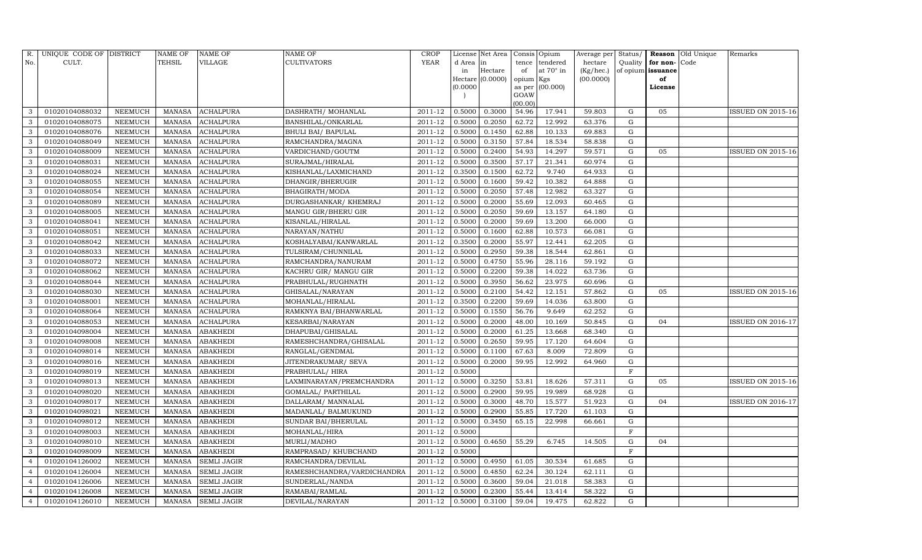| R.             | UNIQUE CODE OF DISTRICT |                | <b>NAME OF</b> | <b>NAME OF</b>     | <b>NAME OF</b>             | <b>CROP</b> |          | License Net Area |           | Consis Opium      | Average per | Status/        |                   | Reason Old Unique | Remarks                  |
|----------------|-------------------------|----------------|----------------|--------------------|----------------------------|-------------|----------|------------------|-----------|-------------------|-------------|----------------|-------------------|-------------------|--------------------------|
| No.            | CULT.                   |                | <b>TEHSIL</b>  | <b>VILLAGE</b>     | CULTIVATORS                | YEAR        | d Area   | in               | tence     | tendered          | hectare     | Quality        | for non-          | Code              |                          |
|                |                         |                |                |                    |                            |             | in       | Hectare          | of        | at 70° in         | (Kg/hec.)   |                | of opium issuance |                   |                          |
|                |                         |                |                |                    |                            |             |          | Hectare (0.0000) | opium Kgs |                   | (00.0000)   |                | of                |                   |                          |
|                |                         |                |                |                    |                            |             | (0.0000) |                  | GOAW      | as per $(00.000)$ |             |                | License           |                   |                          |
|                |                         |                |                |                    |                            |             |          |                  | (00.00)   |                   |             |                |                   |                   |                          |
| 3              | 01020104088032          | <b>NEEMUCH</b> | <b>MANASA</b>  | <b>ACHALPURA</b>   | DASHRATH / MOHANLAL        | 2011-12     | 0.5000   | 0.3000           | 54.96     | 17.941            | 59.803      | G              | 05                |                   | ISSUED ON 2015-16        |
| 3              | 01020104088075          | NEEMUCH        | <b>MANASA</b>  | <b>ACHALPURA</b>   | BANSHILAL/ONKARLAL         | 2011-12     | 0.5000   | 0.2050           | 62.72     | 12.992            | 63.376      | G              |                   |                   |                          |
| 3              | 01020104088076          | <b>NEEMUCH</b> | <b>MANASA</b>  | <b>ACHALPURA</b>   | BHULI BAI/ BAPULAL         | 2011-12     | 0.5000   | 0.1450           | 62.88     | 10.133            | 69.883      | G              |                   |                   |                          |
| $\mathbf{3}$   | 01020104088049          | <b>NEEMUCH</b> | <b>MANASA</b>  | <b>ACHALPURA</b>   | RAMCHANDRA/MAGNA           | 2011-12     | 0.5000   | 0.3150           | 57.84     | 18.534            | 58.838      | G              |                   |                   |                          |
| 3              | 01020104088009          | <b>NEEMUCH</b> | <b>MANASA</b>  | <b>ACHALPURA</b>   | VARDICHAND/GOUTM           | 2011-12     | 0.5000   | 0.2400           | 54.93     | 14.297            | 59.571      | G              | 05                |                   | <b>ISSUED ON 2015-16</b> |
| 3              | 01020104088031          | <b>NEEMUCH</b> | <b>MANASA</b>  | <b>ACHALPURA</b>   | SURAJMAL/HIRALAL           | 2011-12     | 0.5000   | 0.3500           | 57.17     | 21.341            | 60.974      | $\mathbf G$    |                   |                   |                          |
| 3              | 01020104088024          | NEEMUCH        | <b>MANASA</b>  | <b>ACHALPURA</b>   | KISHANLAL/LAXMICHAND       | 2011-12     | 0.3500   | 0.1500           | 62.72     | 9.740             | 64.933      | G              |                   |                   |                          |
| 3              | 01020104088055          | <b>NEEMUCH</b> | <b>MANASA</b>  | <b>ACHALPURA</b>   | DHANGIR/BHERUGIR           | 2011-12     | 0.5000   | 0.1600           | 59.42     | 10.382            | 64.888      | ${\rm G}$      |                   |                   |                          |
| 3              | 01020104088054          | <b>NEEMUCH</b> | <b>MANASA</b>  | <b>ACHALPURA</b>   | BHAGIRATH/MODA             | 2011-12     | 0.5000   | 0.2050           | 57.48     | 12.982            | 63.327      | G              |                   |                   |                          |
| 3              | 01020104088089          | <b>NEEMUCH</b> | <b>MANASA</b>  | <b>ACHALPURA</b>   | DURGASHANKAR/ KHEMRAJ      | 2011-12     | 0.5000   | 0.2000           | 55.69     | 12.093            | 60.465      | ${\rm G}$      |                   |                   |                          |
| 3              | 01020104088005          | <b>NEEMUCH</b> | <b>MANASA</b>  | <b>ACHALPURA</b>   | MANGU GIR/BHERU GIR        | 2011-12     | 0.5000   | 0.2050           | 59.69     | 13.157            | 64.180      | ${\rm G}$      |                   |                   |                          |
| 3              | 01020104088041          | <b>NEEMUCH</b> | <b>MANASA</b>  | <b>ACHALPURA</b>   | KISANLAL/HIRALAL           | 2011-12     | 0.5000   | 0.2000           | 59.69     | 13.200            | 66.000      | G              |                   |                   |                          |
| 3              | 01020104088051          | <b>NEEMUCH</b> | <b>MANASA</b>  | <b>ACHALPURA</b>   | NARAYAN/NATHU              | 2011-12     | 0.5000   | 0.1600           | 62.88     | 10.573            | 66.081      | G              |                   |                   |                          |
| 3              | 01020104088042          | <b>NEEMUCH</b> | <b>MANASA</b>  | <b>ACHALPURA</b>   | KOSHALYABAI/KANWARLAL      | 2011-12     | 0.3500   | 0.2000           | 55.97     | 12.441            | 62.205      | ${\rm G}$      |                   |                   |                          |
| 3              | 01020104088033          | NEEMUCH        | <b>MANASA</b>  | ACHALPURA          | TULSIRAM/CHUNNILAL         | 2011-12     | 0.5000   | 0.2950           | 59.38     | 18.544            | 62.861      | G              |                   |                   |                          |
| 3              | 01020104088072          | <b>NEEMUCH</b> | <b>MANASA</b>  | <b>ACHALPURA</b>   | RAMCHANDRA/NANURAM         | 2011-12     | 0.5000   | 0.4750           | 55.96     | 28.116            | 59.192      | G              |                   |                   |                          |
| 3              | 01020104088062          | NEEMUCH        | <b>MANASA</b>  | ACHALPURA          | KACHRU GIR/ MANGU GIR      | 2011-12     | 0.5000   | 0.2200           | 59.38     | 14.022            | 63.736      | G              |                   |                   |                          |
| 3              | 01020104088044          | NEEMUCH        | <b>MANASA</b>  | <b>ACHALPURA</b>   | PRABHULAL/RUGHNATH         | 2011-12     | 0.5000   | 0.3950           | 56.62     | 23.975            | 60.696      | G              |                   |                   |                          |
| 3              | 01020104088030          | NEEMUCH        | <b>MANASA</b>  | <b>ACHALPURA</b>   | GHISALAL/NARAYAN           | 2011-12     | 0.5000   | 0.2100           | 54.42     | 12.151            | 57.862      | ${\rm G}$      | 05                |                   | <b>ISSUED ON 2015-16</b> |
| 3              | 01020104088001          | NEEMUCH        | <b>MANASA</b>  | <b>ACHALPURA</b>   | MOHANLAL/HIRALAL           | 2011-12     | 0.3500   | 0.2200           | 59.69     | 14.036            | 63.800      | G              |                   |                   |                          |
| 3              | 01020104088064          | NEEMUCH        | <b>MANASA</b>  | <b>ACHALPURA</b>   | RAMKNYA BAI/BHANWARLAL     | 2011-12     | 0.5000   | 0.1550           | 56.76     | 9.649             | 62.252      | ${\rm G}$      |                   |                   |                          |
| 3              | 01020104088053          | <b>NEEMUCH</b> | <b>MANASA</b>  | <b>ACHALPURA</b>   | KESARBAI/NARAYAN           | 2011-12     | 0.5000   | 0.2000           | 48.00     | 10.169            | 50.845      | ${\rm G}$      | 04                |                   | <b>ISSUED ON 2016-17</b> |
| 3              | 01020104098004          | <b>NEEMUCH</b> | <b>MANASA</b>  | <b>ABAKHEDI</b>    | DHAPUBAI/GHISALAL          | 2011-12     | 0.5000   | 0.2000           | 61.25     | 13.668            | 68.340      | G              |                   |                   |                          |
| 3              | 01020104098008          | <b>NEEMUCH</b> | <b>MANASA</b>  | <b>ABAKHEDI</b>    | RAMESHCHANDRA/GHISALAL     | 2011-12     | 0.5000   | 0.2650           | 59.95     | 17.120            | 64.604      | ${\rm G}$      |                   |                   |                          |
| 3              | 01020104098014          | <b>NEEMUCH</b> | <b>MANASA</b>  | <b>ABAKHEDI</b>    | RANGLAL/GENDMAL            | 2011-12     | 0.5000   | 0.1100           | 67.63     | 8.009             | 72.809      | ${\rm G}$      |                   |                   |                          |
| 3              | 01020104098016          | <b>NEEMUCH</b> | <b>MANASA</b>  | <b>ABAKHEDI</b>    | JITENDRAKUMAR/ SEVA        | 2011-12     | 0.5000   | 0.2000           | 59.95     | 12.992            | 64.960      | ${\rm G}$      |                   |                   |                          |
| 3              | 01020104098019          | <b>NEEMUCH</b> | <b>MANASA</b>  | <b>ABAKHEDI</b>    | PRABHULAL/ HIRA            | 2011-12     | 0.5000   |                  |           |                   |             | $\mathbf F$    |                   |                   |                          |
| 3              | 01020104098013          | <b>NEEMUCH</b> | <b>MANASA</b>  | <b>ABAKHEDI</b>    | LAXMINARAYAN/PREMCHANDRA   | 2011-12     | 0.5000   | 0.3250           | 53.81     | 18.626            | 57.311      | $\mathbf G$    | 05                |                   | <b>ISSUED ON 2015-16</b> |
| 3              | 01020104098020          | <b>NEEMUCH</b> | <b>MANASA</b>  | <b>ABAKHEDI</b>    | GOMALAL/ PARTHILAL         | 2011-12     | 0.5000   | 0.2900           | 59.95     | 19.989            | 68.928      | G              |                   |                   |                          |
| 3              | 01020104098017          | <b>NEEMUCH</b> | <b>MANASA</b>  | <b>ABAKHEDI</b>    | DALLARAM/ MANNALAL         | 2011-12     | 0.5000   | 0.3000           | 48.70     | 15.577            | 51.923      | ${\rm G}$      | 04                |                   | <b>ISSUED ON 2016-17</b> |
| 3              | 01020104098021          | <b>NEEMUCH</b> | <b>MANASA</b>  | <b>ABAKHEDI</b>    | MADANLAL/ BALMUKUND        | 2011-12     | 0.5000   | 0.2900           | 55.85     | 17.720            | 61.103      | G              |                   |                   |                          |
| 3              | 01020104098012          | <b>NEEMUCH</b> | <b>MANASA</b>  | <b>ABAKHEDI</b>    | SUNDAR BAI/BHERULAL        | 2011-12     | 0.5000   | 0.3450           | 65.15     | 22.998            | 66.661      | G              |                   |                   |                          |
| 3              | 01020104098003          | <b>NEEMUCH</b> | <b>MANASA</b>  | <b>ABAKHEDI</b>    | MOHANLAL/HIRA              | 2011-12     | 0.5000   |                  |           |                   |             | $\overline{F}$ |                   |                   |                          |
| 3              | 01020104098010          | <b>NEEMUCH</b> | <b>MANASA</b>  | <b>ABAKHEDI</b>    | MURLI/MADHO                | 2011-12     | 0.5000   | 0.4650           | 55.29     | 6.745             | 14.505      | G              | 04                |                   |                          |
| 3              | 01020104098009          | <b>NEEMUCH</b> | <b>MANASA</b>  | <b>ABAKHEDI</b>    | RAMPRASAD/ KHUBCHAND       | 2011-12     | 0.5000   |                  |           |                   |             | $\mathbf F$    |                   |                   |                          |
| $\overline{4}$ | 01020104126002          | <b>NEEMUCH</b> | <b>MANASA</b>  | <b>SEMLI JAGIR</b> | RAMCHANDRA/DEVILAL         | 2011-12     | 0.5000   | 0.4950           | 61.05     | 30.534            | 61.685      | $\mathbf G$    |                   |                   |                          |
| $\overline{4}$ | 01020104126004          | <b>NEEMUCH</b> | <b>MANASA</b>  | <b>SEMLI JAGIR</b> | RAMESHCHANDRA/VARDICHANDRA | 2011-12     | 0.5000   | 0.4850           | 62.24     | 30.124            | 62.111      | G              |                   |                   |                          |
| $\overline{4}$ | 01020104126006          | NEEMUCH        | <b>MANASA</b>  | <b>SEMLI JAGIR</b> | SUNDERLAL/NANDA            | 2011-12     | 0.5000   | 0.3600           | 59.04     | 21.018            | 58.383      | G              |                   |                   |                          |
| $\overline{4}$ | 01020104126008          | NEEMUCH        | <b>MANASA</b>  | <b>SEMLI JAGIR</b> | RAMABAI/RAMLAL             | 2011-12     | 0.5000   | 0.2300           | 55.44     | 13.414            | 58.322      | G              |                   |                   |                          |
| $\overline{4}$ | 01020104126010          | <b>NEEMUCH</b> | MANASA         | <b>SEMLI JAGIR</b> | DEVILAL/NARAYAN            | 2011-12     | 0.5000   | 0.3100           | 59.04     | 19.475            | 62.822      | G              |                   |                   |                          |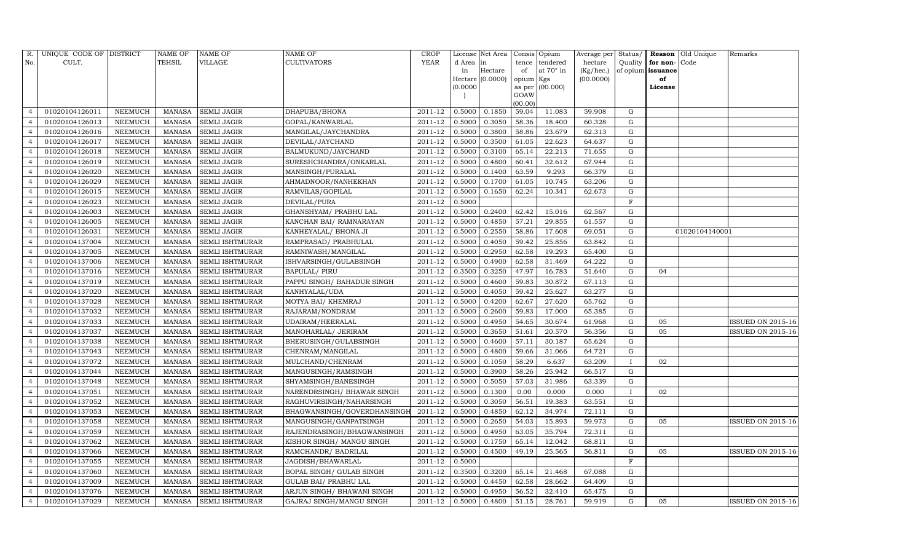| R.             | UNIQUE CODE OF DISTRICT |                | <b>NAME OF</b> | <b>NAME OF</b>         | <b>NAME OF</b>              | <b>CROP</b> |          | License Net Area |           | Consis Opium    | Average per | Status/      |                   | Reason Old Unique | Remarks                  |
|----------------|-------------------------|----------------|----------------|------------------------|-----------------------------|-------------|----------|------------------|-----------|-----------------|-------------|--------------|-------------------|-------------------|--------------------------|
| No.            | CULT.                   |                | <b>TEHSIL</b>  | VILLAGE                | CULTIVATORS                 | <b>YEAR</b> | d Area   | in               |           | tence tendered  | hectare     | Quality      | for non-Code      |                   |                          |
|                |                         |                |                |                        |                             |             | in       | Hectare          | of        | at 70° in       | (Kg/hec.)   |              | of opium issuance |                   |                          |
|                |                         |                |                |                        |                             |             |          | Hectare (0.0000) | opium Kgs |                 | (00.0000)   |              | of                |                   |                          |
|                |                         |                |                |                        |                             |             | (0.0000) |                  | GOAW      | as per (00.000) |             |              | License           |                   |                          |
|                |                         |                |                |                        |                             |             |          |                  | (00.00)   |                 |             |              |                   |                   |                          |
| $\overline{4}$ | 01020104126011          | NEEMUCH        | MANASA         | <b>SEMLI JAGIR</b>     | DHAPUBA/BHONA               | 2011-12     | 0.5000   | 0.1850           | 59.04     | 11.083          | 59.908      | G            |                   |                   |                          |
| $\overline{4}$ | 01020104126013          | NEEMUCH        | MANASA         | <b>SEMLI JAGIR</b>     | GOPAL/KANWARLAL             | 2011-12     | 0.5000   | 0.3050           | 58.36     | 18.400          | 60.328      | G            |                   |                   |                          |
| $\overline{4}$ | 01020104126016          | <b>NEEMUCH</b> | MANASA         | <b>SEMLI JAGIR</b>     | MANGILAL/JAYCHANDRA         | 2011-12     | 0.5000   | 0.3800           | 58.86     | 23.679          | 62.313      | G            |                   |                   |                          |
| $\overline{4}$ | 01020104126017          | NEEMUCH        | <b>MANASA</b>  | <b>SEMLI JAGIR</b>     | DEVILAL/JAYCHAND            | 2011-12     | 0.5000   | 0.3500           | 61.05     | 22.623          | 64.637      | G            |                   |                   |                          |
| $\overline{4}$ | 01020104126018          | <b>NEEMUCH</b> | <b>MANASA</b>  | <b>SEMLI JAGIR</b>     | BALMUKUND/JAYCHAND          | 2011-12     | 0.5000   | 0.3100           | 65.14     | 22.213          | 71.655      | G            |                   |                   |                          |
|                | 01020104126019          | NEEMUCH        | <b>MANASA</b>  | <b>SEMLI JAGIR</b>     | SURESHCHANDRA/ONKARLAL      | 2011-12     | 0.5000   | 0.4800           | 60.41     | 32.612          | 67.944      | G            |                   |                   |                          |
| $\overline{4}$ | 01020104126020          | <b>NEEMUCH</b> | <b>MANASA</b>  | <b>SEMLI JAGIR</b>     | MANSINGH/PURALAL            | 2011-12     | 0.5000   | 0.1400           | 63.59     | 9.293           | 66.379      | G            |                   |                   |                          |
| $\overline{4}$ | 01020104126029          | <b>NEEMUCH</b> | <b>MANASA</b>  | <b>SEMLI JAGIR</b>     | AHMADNOOR/NANHEKHAN         | 2011-12     | 0.5000   | 0.1700           | 61.05     | 10.745          | 63.206      | G            |                   |                   |                          |
| $\overline{4}$ | 01020104126015          | NEEMUCH        | <b>MANASA</b>  | <b>SEMLI JAGIR</b>     | RAMVILAS/GOPILAL            | 2011-12     | 0.5000   | 0.1650           | 62.24     | 10.341          | 62.673      | G            |                   |                   |                          |
|                | 01020104126023          | NEEMUCH        | <b>MANASA</b>  | <b>SEMLI JAGIR</b>     | DEVILAL/PURA                | 2011-12     | 0.5000   |                  |           |                 |             | $\rm F$      |                   |                   |                          |
| $\overline{4}$ | 01020104126003          | NEEMUCH        | <b>MANASA</b>  | <b>SEMLI JAGIR</b>     | GHANSHYAM / PRABHU LAL      | 2011-12     | 0.5000   | 0.2400           | 62.42     | 15.016          | 62.567      | G            |                   |                   |                          |
| $\overline{4}$ | 01020104126005          | NEEMUCH        | <b>MANASA</b>  | <b>SEMLI JAGIR</b>     | KANCHAN BAI/ RAMNARAYAN     | 2011-12     | 0.5000   | 0.4850           | 57.21     | 29.855          | 61.557      | G            |                   |                   |                          |
| $\overline{4}$ | 01020104126031          | <b>NEEMUCH</b> | <b>MANASA</b>  | <b>SEMLI JAGIR</b>     | KANHEYALAL/ BHONA JI        | 2011-12     | 0.5000   | 0.2550           | 58.86     | 17.608          | 69.051      | G            |                   | 01020104140001    |                          |
| $\overline{4}$ | 01020104137004          | <b>NEEMUCH</b> | <b>MANASA</b>  | <b>SEMLI ISHTMURAR</b> | RAMPRASAD/ PRABHULAL        | 2011-12     | 0.5000   | 0.4050           | 59.42     | 25.856          | 63.842      | G            |                   |                   |                          |
| $\overline{4}$ | 01020104137005          | <b>NEEMUCH</b> | <b>MANASA</b>  | <b>SEMLI ISHTMURAR</b> | RAMNIWASH/MANGILAL          | 2011-12     | 0.5000   | 0.2950           | 62.58     | 19.293          | 65.400      | G            |                   |                   |                          |
| $\overline{4}$ | 01020104137006          | NEEMUCH        | <b>MANASA</b>  | <b>SEMLI ISHTMURAR</b> | ISHVARSINGH/GULABSINGH      | 2011-12     | 0.5000   | 0.4900           | 62.58     | 31.469          | 64.222      | G            |                   |                   |                          |
| $\overline{4}$ | 01020104137016          | <b>NEEMUCH</b> | <b>MANASA</b>  | <b>SEMLI ISHTMURAR</b> | <b>BAPULAL/ PIRU</b>        | 2011-12     | 0.3500   | 0.3250           | 47.97     | 16.783          | 51.640      | G            | 04                |                   |                          |
| $\overline{4}$ | 01020104137019          | <b>NEEMUCH</b> | <b>MANASA</b>  | <b>SEMLI ISHTMURAR</b> | PAPPU SINGH/ BAHADUR SINGH  | 2011-12     | 0.5000   | 0.4600           | 59.83     | 30.872          | 67.113      | G            |                   |                   |                          |
| $\overline{4}$ | 01020104137020          | NEEMUCH        | <b>MANASA</b>  | <b>SEMLI ISHTMURAR</b> | KANHYALAL/UDA               | 2011-12     | 0.5000   | 0.4050           | 59.42     | 25.627          | 63.277      | G            |                   |                   |                          |
| $\overline{4}$ | 01020104137028          | NEEMUCH        | <b>MANASA</b>  | <b>SEMLI ISHTMURAR</b> | MOTYA BAI/ KHEMRAJ          | 2011-12     | 0.5000   | 0.4200           | 62.67     | 27.620          | 65.762      | G            |                   |                   |                          |
|                | 01020104137032          | <b>NEEMUCH</b> | <b>MANASA</b>  | <b>SEMLI ISHTMURAR</b> | RAJARAM/NONDRAM             | 2011-12     | 0.5000   | 0.2600           | 59.83     | 17.000          | 65.385      | ${\rm G}$    |                   |                   |                          |
| $\overline{4}$ | 01020104137033          | NEEMUCH        | <b>MANASA</b>  | <b>SEMLI ISHTMURAR</b> | UDAIRAM/HEERALAL            | 2011-12     | 0.5000   | 0.4950           | 54.65     | 30.674          | 61.968      | G            | 05                |                   | <b>ISSUED ON 2015-16</b> |
| $\overline{4}$ | 01020104137037          | <b>NEEMUCH</b> | <b>MANASA</b>  | <b>SEMLI ISHTMURAR</b> | MANOHARLAL/ JERIRAM         | 2011-12     | 0.5000   | 0.3650           | 51.61     | 20.570          | 56.356      | G            | 05                |                   | ISSUED ON 2015-16        |
| $\overline{4}$ | 01020104137038          | <b>NEEMUCH</b> | <b>MANASA</b>  | <b>SEMLI ISHTMURAR</b> | BHERUSINGH/GULABSINGH       | 2011-12     | 0.5000   | 0.4600           | 57.11     | 30.187          | 65.624      | G            |                   |                   |                          |
|                | 01020104137043          | NEEMUCH        | <b>MANASA</b>  | <b>SEMLI ISHTMURAR</b> | CHENRAM/MANGILAL            | 2011-12     | 0.5000   | 0.4800           | 59.66     | 31.066          | 64.721      | ${\rm G}$    |                   |                   |                          |
| $\overline{4}$ | 01020104137072          | NEEMUCH        | <b>MANASA</b>  | <b>SEMLI ISHTMURAR</b> | MULCHAND/CHENRAM            | 2011-12     | 0.5000   | 0.1050           | 58.29     | 6.637           | 63.209      | Т.           | 02                |                   |                          |
| $\overline{4}$ | 01020104137044          | <b>NEEMUCH</b> | <b>MANASA</b>  | <b>SEMLI ISHTMURAR</b> | MANGUSINGH/RAMSINGH         | 2011-12     | 0.5000   | 0.3900           | 58.26     | 25.942          | 66.517      | G            |                   |                   |                          |
| $\overline{4}$ | 01020104137048          | <b>NEEMUCH</b> | <b>MANASA</b>  | <b>SEMLI ISHTMURAR</b> | SHYAMSINGH/BANESINGH        | 2011-12     | 0.5000   | 0.5050           | 57.03     | 31.986          | 63.339      | G            |                   |                   |                          |
| $\overline{4}$ | 01020104137051          | <b>NEEMUCH</b> | <b>MANASA</b>  | <b>SEMLI ISHTMURAR</b> | NARENDRSINGH / BHAWAR SINGH | 2011-12     | 0.5000   | 0.1300           | 0.00      | 0.000           | 0.000       | $\mathbf{I}$ | 02                |                   |                          |
| $\overline{4}$ | 01020104137052          | <b>NEEMUCH</b> | <b>MANASA</b>  | <b>SEMLI ISHTMURAR</b> | RAGHUVIRSINGH/NAHARSINGH    | 2011-12     | 0.5000   | 0.3050           | 56.51     | 19.383          | 63.551      | ${\rm G}$    |                   |                   |                          |
| $\overline{4}$ | 01020104137053          | NEEMUCH        | <b>MANASA</b>  | <b>SEMLI ISHTMURAR</b> | BHAGWANSINGH/GOVERDHANSINGI | 2011-12     | 0.5000   | 0.4850           | 62.12     | 34.974          | 72.111      | G            |                   |                   |                          |
| $\overline{4}$ | 01020104137058          | <b>NEEMUCH</b> | <b>MANASA</b>  | <b>SEMLI ISHTMURAR</b> | MANGUSINGH/GANPATSINGH      | 2011-12     | 0.5000   | 0.2650           | 54.03     | 15.893          | 59.973      | G            | 05                |                   | ISSUED ON 2015-16        |
| $\overline{4}$ | 01020104137059          | <b>NEEMUCH</b> | <b>MANASA</b>  | <b>SEMLI ISHTMURAR</b> | RAJENDRASINGH/BHAGWANSINGH  | 2011-12     | 0.5000   | 0.4950           | 63.05     | 35.794          | 72.311      | G            |                   |                   |                          |
| $\overline{4}$ | 01020104137062          | <b>NEEMUCH</b> | <b>MANASA</b>  | SEMLI ISHTMURAR        | KISHOR SINGH/ MANGU SINGH   | 2011-12     | 0.5000   | 0.1750           | 65.14     | 12.042          | 68.811      | G            |                   |                   |                          |
| $\overline{4}$ | 01020104137066          | NEEMUCH        | <b>MANASA</b>  | <b>SEMLI ISHTMURAR</b> | RAMCHANDR/ BADRILAL         | 2011-12     | 0.5000   | 0.4500           | 49.19     | 25.565          | 56.811      | ${\rm G}$    | 05                |                   | <b>ISSUED ON 2015-16</b> |
| $\overline{4}$ | 01020104137055          | <b>NEEMUCH</b> | <b>MANASA</b>  | <b>SEMLI ISHTMURAR</b> | JAGDISH/BHAWARLAL           | 2011-12     | 0.5000   |                  |           |                 |             | F            |                   |                   |                          |
| $\overline{4}$ | 01020104137060          | NEEMUCH        | <b>MANASA</b>  | <b>SEMLI ISHTMURAR</b> | BOPAL SINGH/ GULAB SINGH    | 2011-12     | 0.3500   | 0.3200           | 65.14     | 21.468          | 67.088      | G            |                   |                   |                          |
| $\overline{4}$ | 01020104137009          | <b>NEEMUCH</b> | <b>MANASA</b>  | SEMLI ISHTMURAR        | GULAB BAI / PRABHU LAL      | 2011-12     | 0.5000   | 0.4450           | 62.58     | 28.662          | 64.409      | ${\rm G}$    |                   |                   |                          |
| $\overline{4}$ | 01020104137076          | NEEMUCH        | <b>MANASA</b>  | <b>SEMLI ISHTMURAR</b> | ARJUN SINGH/ BHAWANI SINGH  | 2011-12     | 0.5000   | 0.4950           | 56.52     | 32.410          | 65.475      | G            |                   |                   |                          |
| $\overline{4}$ | 01020104137029          | <b>NEEMUCH</b> | MANASA         | <b>SEMLI ISHTMURAR</b> | GAJRAJ SINGH/MANGU SINGH    | 2011-12     | 0.5000   | 0.4800           | 51.15     | 28.761          | 59.919      | G            | 05                |                   | <b>ISSUED ON 2015-16</b> |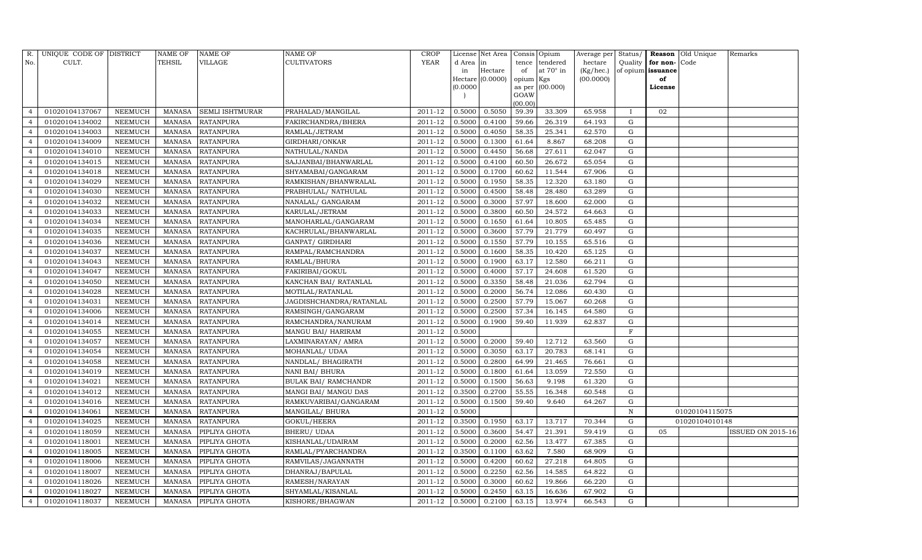| R.             | UNIQUE CODE OF DISTRICT |                | <b>NAME OF</b> | <b>NAME OF</b>         | <b>NAME OF</b>              | CROP           |           | License Net Area |           | Consis Opium      | Average per | Status/      |                   | Reason Old Unique | Remarks                  |
|----------------|-------------------------|----------------|----------------|------------------------|-----------------------------|----------------|-----------|------------------|-----------|-------------------|-------------|--------------|-------------------|-------------------|--------------------------|
| No.            | CULT.                   |                | <b>TEHSIL</b>  | VILLAGE                | <b>CULTIVATORS</b>          | YEAR           | d Area in |                  | tence     | tendered          | hectare     | Quality      | for non-          | Code              |                          |
|                |                         |                |                |                        |                             |                | in        | Hectare          | of        | at 70° in         | (Kg/hec.)   |              | of opium issuance |                   |                          |
|                |                         |                |                |                        |                             |                | (0.0000)  | Hectare (0.0000) | opium Kgs | as per $(00.000)$ | (00.0000)   |              | of<br>License     |                   |                          |
|                |                         |                |                |                        |                             |                |           |                  | GOAW      |                   |             |              |                   |                   |                          |
|                |                         |                |                |                        |                             |                |           |                  | (00.00)   |                   |             |              |                   |                   |                          |
| $\overline{4}$ | 01020104137067          | NEEMUCH        | MANASA         | <b>SEMLI ISHTMURAR</b> | PRAHALAD/MANGILAL           | 2011-12        | 0.5000    | 0.5050           | 59.39     | 33.309            | 65.958      | $\mathbf{I}$ | 02                |                   |                          |
|                | 01020104134002          | NEEMUCH        | MANASA         | <b>RATANPURA</b>       | FAKIRCHANDRA/BHERA          | 2011-12        | 0.5000    | 0.4100           | 59.66     | 26.319            | 64.193      | G            |                   |                   |                          |
| $\overline{4}$ | 01020104134003          | <b>NEEMUCH</b> | MANASA         | <b>RATANPURA</b>       | RAMLAL/JETRAM               | 2011-12        | 0.5000    | 0.4050           | 58.35     | 25.341            | 62.570      | G            |                   |                   |                          |
| $\overline{4}$ | 01020104134009          | NEEMUCH        | MANASA         | <b>RATANPURA</b>       | GIRDHARI/ONKAR              | 2011-12        | 0.5000    | 0.1300           | 61.64     | 8.867             | 68.208      | G            |                   |                   |                          |
| $\overline{4}$ | 01020104134010          | NEEMUCH        | MANASA         | <b>RATANPURA</b>       | NATHULAL/NANDA              | 2011-12        | 0.5000    | 0.4450           | 56.68     | 27.611            | 62.047      | G            |                   |                   |                          |
| $\overline{4}$ | 01020104134015          | NEEMUCH        | MANASA         | <b>RATANPURA</b>       | SAJJANBAI/BHANWARLAL        | 2011-12        | 0.5000    | 0.4100           | 60.50     | 26.672            | 65.054      | G            |                   |                   |                          |
| $\overline{4}$ | 01020104134018          | NEEMUCH        | MANASA         | <b>RATANPURA</b>       | SHYAMABAI/GANGARAM          | 2011-12        | 0.5000    | 0.1700           | 60.62     | 11.544            | 67.906      | G            |                   |                   |                          |
| $\overline{4}$ | 01020104134029          | NEEMUCH        | MANASA         | <b>RATANPURA</b>       | RAMKISHAN/BHANWRALAL        | 2011-12        | 0.5000    | 0.1950           | 58.35     | 12.320            | 63.180      | G            |                   |                   |                          |
| $\overline{4}$ | 01020104134030          | <b>NEEMUCH</b> | MANASA         | <b>RATANPURA</b>       | PRABHULAL/ NATHULAL         | 2011-12        | 0.5000    | 0.4500           | 58.48     | 28.480            | 63.289      | G            |                   |                   |                          |
| $\overline{4}$ | 01020104134032          | NEEMUCH        | MANASA         | <b>RATANPURA</b>       | NANALAL/ GANGARAM           | 2011-12        | 0.5000    | 0.3000           | 57.97     | 18.600            | 62.000      | G            |                   |                   |                          |
| $\overline{4}$ | 01020104134033          | NEEMUCH        | MANASA         | <b>RATANPURA</b>       | KARULAL/JETRAM              | 2011-12        | 0.5000    | 0.3800           | 60.50     | 24.572            | 64.663      | G            |                   |                   |                          |
| $\overline{4}$ | 01020104134034          | NEEMUCH        | MANASA         | <b>RATANPURA</b>       | MANOHARLAL/GANGARAM         | 2011-12        | 0.5000    | 0.1650           | 61.64     | 10.805            | 65.485      | G            |                   |                   |                          |
|                | 01020104134035          | NEEMUCH        | MANASA         | <b>RATANPURA</b>       | KACHRULAL/BHANWARLAL        | 2011-12        | 0.5000    | 0.3600           | 57.79     | 21.779            | 60.497      | G            |                   |                   |                          |
| $\overline{4}$ | 01020104134036          | <b>NEEMUCH</b> | MANASA         | <b>RATANPURA</b>       | GANPAT/ GIRDHARI            | 2011-12        | 0.5000    | 0.1550           | 57.79     | 10.155            | 65.516      | G            |                   |                   |                          |
| $\overline{4}$ | 01020104134037          | NEEMUCH        | MANASA         | <b>RATANPURA</b>       | RAMPAL/RAMCHANDRA           | 2011-12        | 0.5000    | 0.1600           | 58.35     | 10.420            | 65.125      | G            |                   |                   |                          |
| $\overline{4}$ | 01020104134043          | NEEMUCH        | MANASA         | <b>RATANPURA</b>       | RAMLAL/BHURA                | 2011-12        | 0.5000    | 0.1900           | 63.17     | 12.580            | 66.211      | ${\rm G}$    |                   |                   |                          |
|                | 01020104134047          | NEEMUCH        | MANASA         | <b>RATANPURA</b>       | FAKIRIBAI/GOKUL             | 2011-12        | 0.5000    | 0.4000           | 57.17     | 24.608            | 61.520      | G            |                   |                   |                          |
| $\overline{4}$ | 01020104134050          | NEEMUCH        | MANASA         | <b>RATANPURA</b>       | KANCHAN BAI/ RATANLAL       | 2011-12        | 0.5000    | 0.3350           | 58.48     | 21.036            | 62.794      | G            |                   |                   |                          |
| $\overline{4}$ | 01020104134028          | NEEMUCH        | MANASA         | <b>RATANPURA</b>       | MOTILAL/RATANLAL            | 2011-12        | 0.5000    | 0.2000           | 56.74     | 12.086            | 60.430      | ${\rm G}$    |                   |                   |                          |
| $\overline{4}$ | 01020104134031          | <b>NEEMUCH</b> | MANASA         | <b>RATANPURA</b>       | JAGDISHCHANDRA/RATANLAL     | 2011-12        | 0.5000    | 0.2500           | 57.79     | 15.067            | 60.268      | $\mathbf G$  |                   |                   |                          |
| $\overline{4}$ | 01020104134006          | NEEMUCH        | MANASA         | <b>RATANPURA</b>       | RAMSINGH/GANGARAM           | 2011-12        | 0.5000    | 0.2500           | 57.34     | 16.145            | 64.580      | G            |                   |                   |                          |
| $\overline{4}$ | 01020104134014          | NEEMUCH        | MANASA         | <b>RATANPURA</b>       | RAMCHANDRA/NANURAM          | 2011-12        | 0.5000    | 0.1900           | 59.40     | 11.939            | 62.837      | G            |                   |                   |                          |
| $\overline{4}$ | 01020104134055          | NEEMUCH        | MANASA         | <b>RATANPURA</b>       | MANGU BAI/ HARIRAM          | 2011-12        | 0.5000    |                  |           |                   |             | $_{\rm F}$   |                   |                   |                          |
| $\overline{4}$ | 01020104134057          | NEEMUCH        | MANASA         | <b>RATANPURA</b>       | LAXMINARAYAN/ AMRA          | 2011-12        | 0.5000    | 0.2000           | 59.40     | 12.712            | 63.560      | $\mathbf G$  |                   |                   |                          |
| $\overline{4}$ | 01020104134054          | <b>NEEMUCH</b> | MANASA         | <b>RATANPURA</b>       | MOHANLAL/ UDAA              | 2011-12        | 0.5000    | 0.3050           | 63.17     | 20.783            | 68.141      | G            |                   |                   |                          |
| $\overline{4}$ | 01020104134058          | NEEMUCH        | MANASA         | <b>RATANPURA</b>       | NANDLAL/ BHAGIRATH          | 2011-12        | 0.5000    | 0.2800           | 64.99     | 21.465            | 76.661      | G            |                   |                   |                          |
| $\overline{4}$ | 01020104134019          | NEEMUCH        | MANASA         | <b>RATANPURA</b>       | NANI BAI/ BHURA             | 2011-12        | 0.5000    | 0.1800           | 61.64     | 13.059            | 72.550      | G            |                   |                   |                          |
|                | 01020104134021          | NEEMUCH        | MANASA         | <b>RATANPURA</b>       | <b>BULAK BAI/ RAMCHANDR</b> | 2011-12        | 0.5000    | 0.1500           | 56.63     | 9.198             | 61.320      | G            |                   |                   |                          |
| $\overline{4}$ | 01020104134012          | NEEMUCH        | MANASA         | <b>RATANPURA</b>       | MANGI BAI/ MANGU DAS        | 2011-12        | 0.3500    | 0.2700           | 55.55     | 16.348            | 60.548      | G            |                   |                   |                          |
| $\overline{4}$ | 01020104134016          | NEEMUCH        | MANASA         | <b>RATANPURA</b>       | RAMKUVARIBAI/GANGARAM       | 2011-12        | 0.5000    | 0.1500           | 59.40     | 9.640             | 64.267      | G            |                   |                   |                          |
| $\overline{4}$ | 01020104134061          | NEEMUCH        | MANASA         | <b>RATANPURA</b>       | MANGILAL/ BHURA             | 2011-12        | 0.5000    |                  |           |                   |             | $\,$ N       |                   | 01020104115075    |                          |
|                | 01020104134025          | NEEMUCH        | MANASA         | <b>RATANPURA</b>       | GOKUL/HEERA                 | 2011-12        | 0.3500    | 0.1950           | 63.17     | 13.717            | 70.344      | G            |                   | 01020104010148    |                          |
| $\overline{4}$ | 01020104118059          | <b>NEEMUCH</b> | MANASA         | PIPLIYA GHOTA          | <b>BHERU/ UDAA</b>          | 2011-12        | 0.5000    | 0.3600           | 54.47     | 21.391            | 59.419      | G            | 05                |                   | <b>ISSUED ON 2015-16</b> |
| $\overline{4}$ | 01020104118001          | NEEMUCH        | MANASA         | PIPLIYA GHOTA          | KISHANLAL/UDAIRAM           | 2011-12        | 0.5000    | 0.2000           | 62.56     | 13.477            | 67.385      | G            |                   |                   |                          |
| $\overline{4}$ | 01020104118005          | <b>NEEMUCH</b> | MANASA         | PIPLIYA GHOTA          | RAMLAL/PYARCHANDRA          | 2011-12        | 0.3500    | 0.1100           | 63.62     | 7.580             | 68.909      | G            |                   |                   |                          |
| $\overline{4}$ | 01020104118006          | <b>NEEMUCH</b> | MANASA         | PIPLIYA GHOTA          | RAMVILAS/JAGANNATH          | 2011-12        | 0.5000    | 0.4200           | 60.62     | 27.218            | 64.805      | G            |                   |                   |                          |
| $\overline{4}$ | 01020104118007          | NEEMUCH        | MANASA         | PIPLIYA GHOTA          | DHANRAJ/BAPULAL             | 2011-12        | 0.5000    | 0.2250           | 62.56     | 14.585            | 64.822      | G            |                   |                   |                          |
| $\overline{4}$ | 01020104118026          | NEEMUCH        | MANASA         | PIPLIYA GHOTA          | RAMESH/NARAYAN              | 2011-12        | 0.5000    | 0.3000           | 60.62     | 19.866            | 66.220      | G            |                   |                   |                          |
| $\overline{4}$ | 01020104118027          | NEEMUCH        | MANASA         | PIPLIYA GHOTA          | SHYAMLAL/KISANLAL           | 2011-12        | 0.5000    | 0.2450           | 63.15     | 16.636            | 67.902      | $\mathbf G$  |                   |                   |                          |
| $\overline{4}$ | 01020104118037          | NEEMUCH        |                | MANASA PIPLIYA GHOTA   | KISHORE/BHAGWAN             | 2011-12 0.5000 |           | 0.2100           | 63.15     | 13.974            | 66.543      | G            |                   |                   |                          |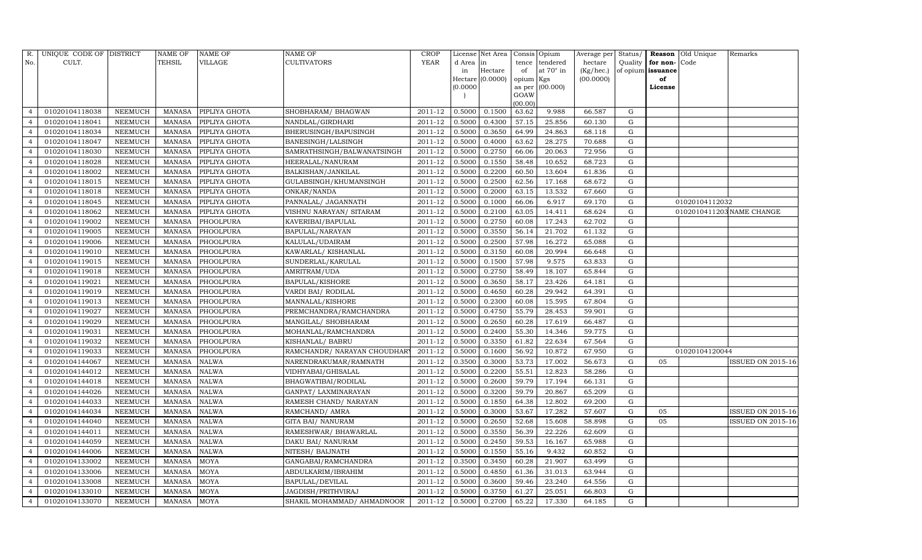| R.             | UNIQUE CODE OF DISTRICT |                | <b>NAME OF</b> | <b>NAME OF</b> | <b>NAME OF</b>               | <b>CROP</b> |           | License Net Area |                | Consis Opium | Average per Status/ |             |                   | Reason Old Unique | Remarks                   |
|----------------|-------------------------|----------------|----------------|----------------|------------------------------|-------------|-----------|------------------|----------------|--------------|---------------------|-------------|-------------------|-------------------|---------------------------|
| No.            | CULT.                   |                | <b>TEHSIL</b>  | VILLAGE        | <b>CULTIVATORS</b>           | YEAR        | d Area in |                  | tence          | tendered     | hectare             | Quality     | for non-          | Code              |                           |
|                |                         |                |                |                |                              |             | in        | Hectare          | of             | at 70° in    | $(Kg/ {\rm hec.})$  |             | of opium issuance |                   |                           |
|                |                         |                |                |                |                              |             |           | Hectare (0.0000) | opium Kgs      |              | (00.0000)           |             | of                |                   |                           |
|                |                         |                |                |                |                              |             | (0.0000)  |                  | as per<br>GOAW | (00.000)     |                     |             | License           |                   |                           |
|                |                         |                |                |                |                              |             |           |                  | (00.00)        |              |                     |             |                   |                   |                           |
| $\overline{4}$ | 01020104118038          | <b>NEEMUCH</b> | <b>MANASA</b>  | PIPLIYA GHOTA  | SHOBHARAM / BHAGWAN          | 2011-12     | 0.5000    | 0.1500           | 63.62          | 9.988        | 66.587              | G           |                   |                   |                           |
| $\overline{4}$ | 01020104118041          | NEEMUCH        | MANASA         | PIPLIYA GHOTA  | NANDLAL/GIRDHARI             | 2011-12     | 0.5000    | 0.4300           | 57.15          | 25.856       | 60.130              | G           |                   |                   |                           |
| $\overline{4}$ | 01020104118034          | <b>NEEMUCH</b> | <b>MANASA</b>  | PIPLIYA GHOTA  | BHERUSINGH/BAPUSINGH         | 2011-12     | 0.5000    | 0.3650           | 64.99          | 24.863       | 68.118              | G           |                   |                   |                           |
| $\overline{4}$ | 01020104118047          | <b>NEEMUCH</b> | <b>MANASA</b>  | PIPLIYA GHOTA  | BANESINGH/LALSINGH           | 2011-12     | 0.5000    | 0.4000           | 63.62          | 28.275       | 70.688              | G           |                   |                   |                           |
| $\overline{4}$ | 01020104118030          | <b>NEEMUCH</b> | <b>MANASA</b>  | PIPLIYA GHOTA  | SAMRATHSINGH/BALWANATSINGH   | 2011-12     | 0.5000    | 0.2750           | 66.06          | 20.063       | 72.956              | G           |                   |                   |                           |
| $\overline{4}$ | 01020104118028          | <b>NEEMUCH</b> | <b>MANASA</b>  | PIPLIYA GHOTA  | HEERALAL/NANURAM             | 2011-12     | 0.5000    | 0.1550           | 58.48          | 10.652       | 68.723              | G           |                   |                   |                           |
| $\overline{4}$ | 01020104118002          | NEEMUCH        | <b>MANASA</b>  | PIPLIYA GHOTA  | <b>BALKISHAN/JANKILAL</b>    | 2011-12     | 0.5000    | 0.2200           | 60.50          | 13.604       | 61.836              | G           |                   |                   |                           |
| $\overline{4}$ | 01020104118015          | NEEMUCH        | <b>MANASA</b>  | PIPLIYA GHOTA  | GULABSINGH/KHUMANSINGH       | 2011-12     | 0.5000    | 0.2500           | 62.56          | 17.168       | 68.672              | G           |                   |                   |                           |
| $\overline{4}$ | 01020104118018          | <b>NEEMUCH</b> | <b>MANASA</b>  | PIPLIYA GHOTA  | ONKAR/NANDA                  | 2011-12     | 0.5000    | 0.2000           | 63.15          | 13.532       | 67.660              | G           |                   |                   |                           |
| $\overline{4}$ | 01020104118045          | NEEMUCH        | <b>MANASA</b>  | PIPLIYA GHOTA  | PANNALAL/ JAGANNATH          | 2011-12     | 0.5000    | 0.1000           | 66.06          | 6.917        | 69.170              | G           |                   | 01020104112032    |                           |
| $\overline{4}$ | 01020104118062          | NEEMUCH        | <b>MANASA</b>  | PIPLIYA GHOTA  | VISHNU NARAYAN/ SITARAM      | 2011-12     | 0.5000    | 0.2100           | 63.05          | 14.411       | 68.624              | G           |                   |                   | 0102010411203 NAME CHANGE |
| $\overline{4}$ | 01020104119002          | <b>NEEMUCH</b> | <b>MANASA</b>  | PHOOLPURA      | KAVERIBAI/BAPULAL            | 2011-12     | 0.5000    | 0.2750           | 60.08          | 17.243       | 62.702              | G           |                   |                   |                           |
| $\overline{4}$ | 01020104119005          | NEEMUCH        | <b>MANASA</b>  | PHOOLPURA      | BAPULAL/NARAYAN              | 2011-12     | 0.5000    | 0.3550           | 56.14          | 21.702       | 61.132              | G           |                   |                   |                           |
| $\overline{4}$ | 01020104119006          | <b>NEEMUCH</b> | <b>MANASA</b>  | PHOOLPURA      | KALULAL/UDAIRAM              | 2011-12     | 0.5000    | 0.2500           | 57.98          | 16.272       | 65.088              | G           |                   |                   |                           |
| $\overline{4}$ | 01020104119010          | <b>NEEMUCH</b> | <b>MANASA</b>  | PHOOLPURA      | KAWARLAL/KISHANLAL           | 2011-12     | 0.5000    | 0.3150           | 60.08          | 20.994       | 66.648              | G           |                   |                   |                           |
| $\overline{4}$ | 01020104119015          | NEEMUCH        | <b>MANASA</b>  | PHOOLPURA      | SUNDERLAL/KARULAL            | 2011-12     | 0.5000    | 0.1500           | 57.98          | 9.575        | 63.833              | G           |                   |                   |                           |
| $\overline{4}$ | 01020104119018          | <b>NEEMUCH</b> | <b>MANASA</b>  | PHOOLPURA      | AMRITRAM/UDA                 | 2011-12     | 0.5000    | 0.2750           | 58.49          | 18.107       | 65.844              | G           |                   |                   |                           |
| $\overline{4}$ | 01020104119021          | <b>NEEMUCH</b> | <b>MANASA</b>  | PHOOLPURA      | <b>BAPULAL/KISHORE</b>       | 2011-12     | 0.5000    | 0.3650           | 58.17          | 23.426       | 64.181              | G           |                   |                   |                           |
| $\overline{4}$ | 01020104119019          | NEEMUCH        | <b>MANASA</b>  | PHOOLPURA      | VARDI BAI/ RODILAL           | 2011-12     | 0.5000    | 0.4650           | 60.28          | 29.942       | 64.391              | G           |                   |                   |                           |
| $\overline{4}$ | 01020104119013          | <b>NEEMUCH</b> | <b>MANASA</b>  | PHOOLPURA      | MANNALAL/KISHORE             | 2011-12     | 0.5000    | 0.2300           | 60.08          | 15.595       | 67.804              | $\mathbf G$ |                   |                   |                           |
| $\overline{4}$ | 01020104119027          | NEEMUCH        | <b>MANASA</b>  | PHOOLPURA      | PREMCHANDRA/RAMCHANDRA       | 2011-12     | 0.5000    | 0.4750           | 55.79          | 28.453       | 59.901              | G           |                   |                   |                           |
| $\overline{4}$ | 01020104119029          | NEEMUCH        | <b>MANASA</b>  | PHOOLPURA      | MANGILAL/ SHOBHARAM          | 2011-12     | 0.5000    | 0.2650           | 60.28          | 17.619       | 66.487              | G           |                   |                   |                           |
| $\overline{4}$ | 01020104119031          | <b>NEEMUCH</b> | <b>MANASA</b>  | PHOOLPURA      | MOHANLAL/RAMCHANDRA          | 2011-12     | 0.5000    | 0.2400           | 55.30          | 14.346       | 59.775              | G           |                   |                   |                           |
| $\overline{4}$ | 01020104119032          | NEEMUCH        | <b>MANASA</b>  | PHOOLPURA      | KISHANLAL/ BABRU             | 2011-12     | 0.5000    | 0.3350           | 61.82          | 22.634       | 67.564              | G           |                   |                   |                           |
| $\overline{4}$ | 01020104119033          | <b>NEEMUCH</b> | <b>MANASA</b>  | PHOOLPURA      | RAMCHANDR/ NARAYAN CHOUDHARY | 2011-12     | 0.5000    | 0.1600           | 56.92          | 10.872       | 67.950              | G           |                   | 01020104120044    |                           |
| $\overline{4}$ | 01020104144067          | <b>NEEMUCH</b> | <b>MANASA</b>  | <b>NALWA</b>   | NARENDRAKUMAR/RAMNATH        | 2011-12     | 0.3500    | 0.3000           | 53.73          | 17.002       | 56.673              | G           | 05                |                   | ISSUED ON 2015-16         |
| $\overline{4}$ | 01020104144012          | NEEMUCH        | <b>MANASA</b>  | <b>NALWA</b>   | VIDHYABAI/GHISALAL           | 2011-12     | 0.5000    | 0.2200           | 55.51          | 12.823       | 58.286              | G           |                   |                   |                           |
| $\overline{4}$ | 01020104144018          | <b>NEEMUCH</b> | <b>MANASA</b>  | NALWA          | BHAGWATIBAI/RODILAL          | 2011-12     | 0.5000    | 0.2600           | 59.79          | 17.194       | 66.131              | G           |                   |                   |                           |
| $\overline{4}$ | 01020104144026          | <b>NEEMUCH</b> | <b>MANASA</b>  | <b>NALWA</b>   | GANPAT/ LAXMINARAYAN         | 2011-12     | 0.5000    | 0.3200           | 59.79          | 20.867       | 65.209              | G           |                   |                   |                           |
| $\overline{4}$ | 01020104144033          | <b>NEEMUCH</b> | <b>MANASA</b>  | <b>NALWA</b>   | RAMESH CHAND/ NARAYAN        | 2011-12     | 0.5000    | 0.1850           | 64.38          | 12.802       | 69.200              | G           |                   |                   |                           |
| $\overline{4}$ | 01020104144034          | <b>NEEMUCH</b> | <b>MANASA</b>  | <b>NALWA</b>   | RAMCHAND/ AMRA               | 2011-12     | 0.5000    | 0.3000           | 53.67          | 17.282       | 57.607              | $\mathbf G$ | 05                |                   | <b>ISSUED ON 2015-16</b>  |
| $\overline{4}$ | 01020104144040          | NEEMUCH        | <b>MANASA</b>  | <b>NALWA</b>   | GITA BAI/ NANURAM            | 2011-12     | 0.5000    | 0.2650           | 52.68          | 15.608       | 58.898              | G           | 05                |                   | <b>ISSUED ON 2015-16</b>  |
| $\overline{4}$ | 01020104144011          | <b>NEEMUCH</b> | <b>MANASA</b>  | <b>NALWA</b>   | RAMESHWAR/ BHAWARLAL         | 2011-12     | 0.5000    | 0.3550           | 56.39          | 22.226       | 62.609              | G           |                   |                   |                           |
| $\overline{4}$ | 01020104144059          | NEEMUCH        | <b>MANASA</b>  | <b>NALWA</b>   | DAKU BAI/ NANURAM            | 2011-12     | 0.5000    | 0.2450           | 59.53          | 16.167       | 65.988              | G           |                   |                   |                           |
| $\overline{4}$ | 01020104144006          | NEEMUCH        | <b>MANASA</b>  | <b>NALWA</b>   | NITESH/ BAIJNATH             | 2011-12     | 0.5000    | 0.1550           | 55.16          | 9.432        | 60.852              | G           |                   |                   |                           |
| $\overline{4}$ | 01020104133002          | <b>NEEMUCH</b> | <b>MANASA</b>  | <b>MOYA</b>    | GANGABAI/RAMCHANDRA          | 2011-12     | 0.3500    | 0.3450           | 60.28          | 21.907       | 63.499              | G           |                   |                   |                           |
| $\overline{4}$ | 01020104133006          | <b>NEEMUCH</b> | <b>MANASA</b>  | <b>MOYA</b>    | ABDULKARIM/IBRAHIM           | 2011-12     | 0.5000    | 0.4850           | 61.36          | 31.013       | 63.944              | G           |                   |                   |                           |
| $\overline{4}$ | 01020104133008          | <b>NEEMUCH</b> | <b>MANASA</b>  | <b>MOYA</b>    | <b>BAPULAL/DEVILAL</b>       | 2011-12     | 0.5000    | 0.3600           | 59.46          | 23.240       | 64.556              | G           |                   |                   |                           |
| $\overline{4}$ | 01020104133010          | <b>NEEMUCH</b> | <b>MANASA</b>  | <b>MOYA</b>    | JAGDISH/PRITHVIRAJ           | 2011-12     | 0.5000    | 0.3750           | 61.27          | 25.051       | 66.803              | G           |                   |                   |                           |
| $\overline{4}$ | 01020104133070          | NEEMUCH        | MANASA         | <b>MOYA</b>    | SHAKIL MOHAMMAD/ AHMADNOOR   | 2011-12     | 0.5000    | 0.2700           | 65.22          | 17.330       | 64.185              | G           |                   |                   |                           |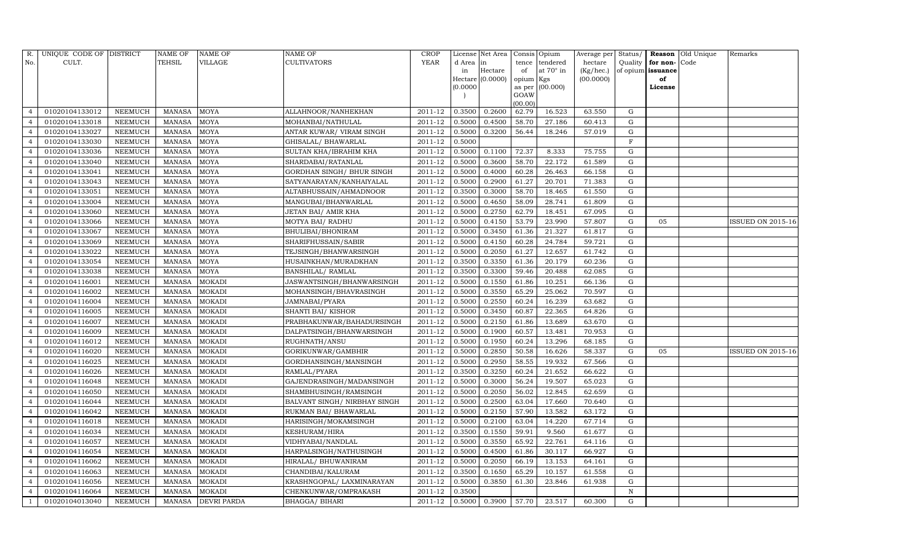| R.             | UNIQUE CODE OF DISTRICT |                | <b>NAME OF</b> | <b>NAME OF</b>     | <b>NAME OF</b>               | CROP                  |           | License Net Area | Consis Opium   |           | Average per |             |                   | Status/ <b>Reason</b> Old Unique | Remarks           |
|----------------|-------------------------|----------------|----------------|--------------------|------------------------------|-----------------------|-----------|------------------|----------------|-----------|-------------|-------------|-------------------|----------------------------------|-------------------|
| No.            | CULT.                   |                | TEHSIL         | <b>VILLAGE</b>     | <b>CULTIVATORS</b>           | YEAR                  | d Area in |                  | tence          | tendered  | hectare     | Quality     | for non-          | Code                             |                   |
|                |                         |                |                |                    |                              |                       | in        | Hectare          | of             | at 70° in | (Kg/hec.)   |             | of opium issuance |                                  |                   |
|                |                         |                |                |                    |                              |                       | (0.0000)  | Hectare (0.0000) | opium Kgs      | (00.000)  | (00.0000)   |             | of<br>License     |                                  |                   |
|                |                         |                |                |                    |                              |                       |           |                  | as per<br>GOAW |           |             |             |                   |                                  |                   |
|                |                         |                |                |                    |                              |                       |           |                  | (00.00)        |           |             |             |                   |                                  |                   |
| $\overline{4}$ | 01020104133012          | <b>NEEMUCH</b> | <b>MANASA</b>  | <b>MOYA</b>        | ALLAHNOOR/NANHEKHAN          | 2011-12               | 0.3500    | 0.2600           | 62.79          | 16.523    | 63.550      | G           |                   |                                  |                   |
| $\overline{4}$ | 01020104133018          | NEEMUCH        | <b>MANASA</b>  | MOYA               | MOHANBAI/NATHULAL            | 2011-12               | 0.5000    | 0.4500           | 58.70          | 27.186    | 60.413      | G           |                   |                                  |                   |
| $\overline{4}$ | 01020104133027          | NEEMUCH        | <b>MANASA</b>  | <b>MOYA</b>        | ANTAR KUWAR/ VIRAM SINGH     | 2011-12               | 0.5000    | 0.3200           | 56.44          | 18.246    | 57.019      | G           |                   |                                  |                   |
| $\overline{4}$ | 01020104133030          | NEEMUCH        | <b>MANASA</b>  | <b>MOYA</b>        | GHISALAL/ BHAWARLAL          | 2011-12               | 0.5000    |                  |                |           |             | F           |                   |                                  |                   |
| $\overline{4}$ | 01020104133036          | <b>NEEMUCH</b> | <b>MANASA</b>  | <b>MOYA</b>        | SULTAN KHA/IBRAHIM KHA       | 2011-12               | 0.5000    | 0.1100           | 72.37          | 8.333     | 75.755      | ${\rm G}$   |                   |                                  |                   |
| $\overline{4}$ | 01020104133040          | <b>NEEMUCH</b> | <b>MANASA</b>  | MOYA               | SHARDABAI/RATANLAL           | 2011-12               | 0.5000    | 0.3600           | 58.70          | 22.172    | 61.589      | G           |                   |                                  |                   |
| $\overline{4}$ | 01020104133041          | NEEMUCH        | <b>MANASA</b>  | <b>MOYA</b>        | GORDHAN SINGH/ BHUR SINGH    | 2011-12               | 0.5000    | 0.4000           | 60.28          | 26.463    | 66.158      | G           |                   |                                  |                   |
| $\overline{4}$ | 01020104133043          | NEEMUCH        | <b>MANASA</b>  | <b>MOYA</b>        | SATYANARAYAN/KANHAIYALAL     | 2011-12               | 0.5000    | 0.2900           | 61.27          | 20.701    | 71.383      | G           |                   |                                  |                   |
| $\overline{4}$ | 01020104133051          | <b>NEEMUCH</b> | <b>MANASA</b>  | <b>MOYA</b>        | ALTABHUSSAIN/AHMADNOOR       | 2011-12               | 0.3500    | 0.3000           | 58.70          | 18.465    | 61.550      | G           |                   |                                  |                   |
| $\overline{4}$ | 01020104133004          | <b>NEEMUCH</b> | <b>MANASA</b>  | MOYA               | MANGUBAI/BHANWARLAL          | 2011-12               | 0.5000    | 0.4650           | 58.09          | 28.741    | 61.809      | G           |                   |                                  |                   |
| $\overline{4}$ | 01020104133060          | NEEMUCH        | <b>MANASA</b>  | <b>MOYA</b>        | JETAN BAI/ AMIR KHA          | 2011-12               | 0.5000    | 0.2750           | 62.79          | 18.451    | 67.095      | G           |                   |                                  |                   |
| $\overline{4}$ | 01020104133066          | <b>NEEMUCH</b> | <b>MANASA</b>  | <b>MOYA</b>        | MOTYA BAI/ RADHU             | 2011-12               | 0.5000    | 0.4150           | 53.79          | 23.990    | 57.807      | G           | 05                |                                  | ISSUED ON 2015-16 |
| $\overline{4}$ | 01020104133067          | <b>NEEMUCH</b> | <b>MANASA</b>  | MOYA               | BHULIBAI/BHONIRAM            | 2011-12               | 0.5000    | 0.3450           | 61.36          | 21.327    | 61.817      | G           |                   |                                  |                   |
| $\overline{4}$ | 01020104133069          | <b>NEEMUCH</b> | <b>MANASA</b>  | <b>MOYA</b>        | SHARIFHUSSAIN/SABIR          | 2011-12               | 0.5000    | 0.4150           | 60.28          | 24.784    | 59.721      | G           |                   |                                  |                   |
| $\overline{4}$ | 01020104133022          | NEEMUCH        | <b>MANASA</b>  | <b>MOYA</b>        | TEJSINGH/BHANWARSINGH        | 2011-12               | 0.5000    | 0.2050           | 61.27          | 12.657    | 61.742      | G           |                   |                                  |                   |
| $\overline{4}$ | 01020104133054          | NEEMUCH        | <b>MANASA</b>  | MOYA               | HUSAINKHAN/MURADKHAN         | 2011-12               | 0.3500    | 0.3350           | 61.36          | 20.179    | 60.236      | ${\rm G}$   |                   |                                  |                   |
| $\overline{4}$ | 01020104133038          | NEEMUCH        | <b>MANASA</b>  | MOYA               | BANSHILAL/ RAMLAL            | 2011-12               | 0.3500    | 0.3300           | 59.46          | 20.488    | 62.085      | ${\rm G}$   |                   |                                  |                   |
| $\overline{4}$ | 01020104116001          | <b>NEEMUCH</b> | <b>MANASA</b>  | <b>MOKADI</b>      | JASWANTSINGH/BHANWARSINGH    | 2011-12               | 0.5000    | 0.1550           | 61.86          | 10.251    | 66.136      | G           |                   |                                  |                   |
| $\overline{4}$ | 01020104116002          | NEEMUCH        | <b>MANASA</b>  | <b>MOKADI</b>      | MOHANSINGH/BHAVRASINGH       | 2011-12               | 0.5000    | 0.3550           | 65.29          | 25.062    | 70.597      | ${\rm G}$   |                   |                                  |                   |
| $\overline{4}$ | 01020104116004          | <b>NEEMUCH</b> | <b>MANASA</b>  | <b>MOKADI</b>      | JAMNABAI/PYARA               | 2011-12               | 0.5000    | 0.2550           | 60.24          | 16.239    | 63.682      | $\mathbf G$ |                   |                                  |                   |
| $\overline{4}$ | 01020104116005          | NEEMUCH        | <b>MANASA</b>  | <b>MOKADI</b>      | SHANTI BAI/KISHOR            | 2011-12               | 0.5000    | 0.3450           | 60.87          | 22.365    | 64.826      | G           |                   |                                  |                   |
| $\overline{4}$ | 01020104116007          | NEEMUCH        | <b>MANASA</b>  | <b>MOKADI</b>      | PRABHAKUNWAR/BAHADURSINGH    | 2011-12               | 0.5000    | 0.2150           | 61.86          | 13.689    | 63.670      | G           |                   |                                  |                   |
| $\overline{4}$ | 01020104116009          | <b>NEEMUCH</b> | <b>MANASA</b>  | <b>MOKADI</b>      | DALPATSINGH/BHANWARSINGH     | 2011-12               | 0.5000    | 0.1900           | 60.57          | 13.481    | 70.953      | G           |                   |                                  |                   |
| $\overline{4}$ | 01020104116012          | <b>NEEMUCH</b> | <b>MANASA</b>  | <b>MOKADI</b>      | RUGHNATH/ANSU                | 2011-12               | 0.5000    | 0.1950           | 60.24          | 13.296    | 68.185      | $\mathbf G$ |                   |                                  |                   |
| $\overline{4}$ | 01020104116020          | <b>NEEMUCH</b> | <b>MANASA</b>  | <b>MOKADI</b>      | GORIKUNWAR/GAMBHIR           | 2011-12               | 0.5000    | 0.2850           | 50.58          | 16.626    | 58.337      | G           | 05                |                                  | ISSUED ON 2015-16 |
| $\overline{4}$ | 01020104116025          | <b>NEEMUCH</b> | <b>MANASA</b>  | <b>MOKADI</b>      | GORDHANSINGH/MANSINGH        | 2011-12               | 0.5000    | 0.2950           | 58.55          | 19.932    | 67.566      | G           |                   |                                  |                   |
| $\overline{4}$ | 01020104116026          | NEEMUCH        | <b>MANASA</b>  | <b>MOKADI</b>      | RAMLAL/PYARA                 | 2011-12               | 0.3500    | 0.3250           | 60.24          | 21.652    | 66.622      | G           |                   |                                  |                   |
| $\overline{4}$ | 01020104116048          | <b>NEEMUCH</b> | <b>MANASA</b>  | <b>MOKADI</b>      | GAJENDRASINGH/MADANSINGH     | 2011-12               | 0.5000    | 0.3000           | 56.24          | 19.507    | 65.023      | ${\rm G}$   |                   |                                  |                   |
| $\overline{4}$ | 01020104116050          | NEEMUCH        | <b>MANASA</b>  | <b>MOKADI</b>      | SHAMBHUSINGH/RAMSINGH        | 2011-12               | 0.5000    | 0.2050           | 56.02          | 12.845    | 62.659      | G           |                   |                                  |                   |
| $\overline{4}$ | 01020104116044          | <b>NEEMUCH</b> | <b>MANASA</b>  | <b>MOKADI</b>      | BALVANT SINGH/ NIRBHAY SINGH | 2011-12               | 0.5000    | 0.2500           | 63.04          | 17.660    | 70.640      | ${\rm G}$   |                   |                                  |                   |
| $\overline{4}$ | 01020104116042          | <b>NEEMUCH</b> | <b>MANASA</b>  | <b>MOKADI</b>      | RUKMAN BAI/ BHAWARLAL        | 2011-12               | 0.5000    | 0.2150           | 57.90          | 13.582    | 63.172      | ${\rm G}$   |                   |                                  |                   |
| $\overline{4}$ | 01020104116018          | <b>NEEMUCH</b> | <b>MANASA</b>  | <b>MOKADI</b>      | HARISINGH/MOKAMSINGH         | 2011-12               | 0.5000    | 0.2100           | 63.04          | 14.220    | 67.714      | G           |                   |                                  |                   |
| $\overline{4}$ | 01020104116034          | <b>NEEMUCH</b> | <b>MANASA</b>  | <b>MOKADI</b>      | KESHURAM/HIRA                | 2011-12               | 0.3500    | 0.1550           | 59.91          | 9.560     | 61.677      | G           |                   |                                  |                   |
| $\overline{4}$ | 01020104116057          | NEEMUCH        | <b>MANASA</b>  | <b>MOKADI</b>      | VIDHYABAI/NANDLAL            | 2011-12               | 0.5000    | 0.3550           | 65.92          | 22.761    | 64.116      | G           |                   |                                  |                   |
| $\overline{4}$ | 01020104116054          | NEEMUCH        | <b>MANASA</b>  | <b>MOKADI</b>      | HARPALSINGH/NATHUSINGH       | 2011-12               | 0.5000    | 0.4500           | 61.86          | 30.117    | 66.927      | G           |                   |                                  |                   |
| $\overline{4}$ | 01020104116062          | <b>NEEMUCH</b> | <b>MANASA</b>  | <b>MOKADI</b>      | HIRALAL/ BHUWANIRAM          | 2011-12               | 0.5000    | 0.2050           | 66.19          | 13.153    | 64.161      | G           |                   |                                  |                   |
| $\overline{4}$ | 01020104116063          | <b>NEEMUCH</b> | <b>MANASA</b>  | <b>MOKADI</b>      | CHANDIBAI/KALURAM            | 2011-12               | 0.3500    | 0.1650           | 65.29          | 10.157    | 61.558      | G           |                   |                                  |                   |
| $\overline{4}$ | 01020104116056          | <b>NEEMUCH</b> | <b>MANASA</b>  | <b>MOKADI</b>      | KRASHNGOPAL/ LAXMINARAYAN    | 2011-12               | 0.5000    | 0.3850           | 61.30          | 23.846    | 61.938      | ${\rm G}$   |                   |                                  |                   |
| $\overline{4}$ | 01020104116064          | <b>NEEMUCH</b> | <b>MANASA</b>  | <b>MOKADI</b>      | CHENKUNWAR/OMPRAKASH         | 2011-12               | 0.3500    |                  |                |           |             | $\mathbf N$ |                   |                                  |                   |
| $\overline{1}$ | 01020104013040          | NEEMUCH        | MANASA         | <b>DEVRI PARDA</b> | BHAGGA/ BIHARI               | 2011-12 0.5000 0.3900 |           |                  | 57.70          | 23.517    | 60.300      | G           |                   |                                  |                   |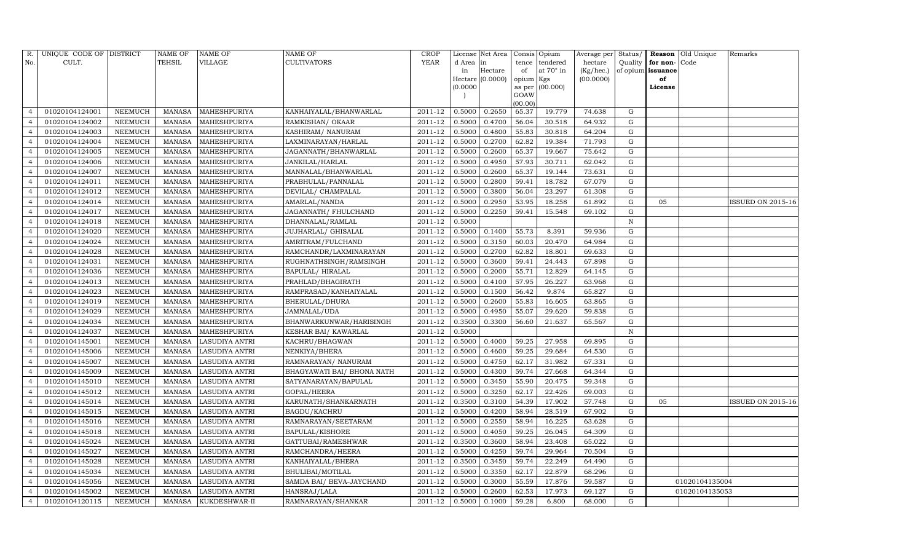| R.             | UNIQUE CODE OF DISTRICT |                | <b>NAME OF</b> | <b>NAME OF</b>        | <b>NAME OF</b>              | CROP        |           | License Net Area |           | Consis Opium      | Average per | Status/     |                   | <b>Reason</b> Old Unique | Remarks                  |
|----------------|-------------------------|----------------|----------------|-----------------------|-----------------------------|-------------|-----------|------------------|-----------|-------------------|-------------|-------------|-------------------|--------------------------|--------------------------|
| No.            | CULT.                   |                | <b>TEHSIL</b>  | VILLAGE               | <b>CULTIVATORS</b>          | YEAR        | d Area in |                  | tence     | tendered          | hectare     | Quality     | for non-          | Code                     |                          |
|                |                         |                |                |                       |                             |             | in        | Hectare          | of        | at $70^\circ$ in  | (Kg/hec.)   |             | of opium issuance |                          |                          |
|                |                         |                |                |                       |                             |             | (0.0000)  | Hectare (0.0000) | opium Kgs | as per $(00.000)$ | (00.0000)   |             | of<br>License     |                          |                          |
|                |                         |                |                |                       |                             |             |           |                  | GOAW      |                   |             |             |                   |                          |                          |
|                |                         |                |                |                       |                             |             |           |                  | (00.00)   |                   |             |             |                   |                          |                          |
| $\overline{4}$ | 01020104124001          | NEEMUCH        | MANASA         | MAHESHPURIYA          | KANHAIYALAL/BHANWARLAL      | 2011-12     | 0.5000    | 0.2650           | 65.37     | 19.779            | 74.638      | G           |                   |                          |                          |
|                | 01020104124002          | NEEMUCH        | MANASA         | MAHESHPURIYA          | RAMKISHAN/ OKAAR            | 2011-12     | 0.5000    | 0.4700           | 56.04     | 30.518            | 64.932      | G           |                   |                          |                          |
| $\overline{4}$ | 01020104124003          | <b>NEEMUCH</b> | MANASA         | MAHESHPURIYA          | KASHIRAM/ NANURAM           | 2011-12     | 0.5000    | 0.4800           | 55.83     | 30.818            | 64.204      | G           |                   |                          |                          |
| $\overline{4}$ | 01020104124004          | NEEMUCH        | MANASA         | MAHESHPURIYA          | LAXMINARAYAN/HARLAL         | $2011 - 12$ | 0.5000    | 0.2700           | 62.82     | 19.384            | 71.793      | G           |                   |                          |                          |
| $\overline{4}$ | 01020104124005          | NEEMUCH        | MANASA         | MAHESHPURIYA          | JAGANNATH/BHANWARLAL        | 2011-12     | 0.5000    | 0.2600           | 65.37     | 19.667            | 75.642      | G           |                   |                          |                          |
| $\overline{4}$ | 01020104124006          | NEEMUCH        | MANASA         | MAHESHPURIYA          | JANKILAL/HARLAL             | 2011-12     | 0.5000    | 0.4950           | 57.93     | 30.711            | 62.042      | G           |                   |                          |                          |
| $\overline{4}$ | 01020104124007          | NEEMUCH        | MANASA         | MAHESHPURIYA          | MANNALAL/BHANWARLAL         | $2011 - 12$ | 0.5000    | 0.2600           | 65.37     | 19.144            | 73.631      | G           |                   |                          |                          |
| $\overline{4}$ | 01020104124011          | NEEMUCH        | MANASA         | MAHESHPURIYA          | PRABHULAL/PANNALAL          | 2011-12     | 0.5000    | 0.2800           | 59.41     | 18.782            | 67.079      | G           |                   |                          |                          |
| $\overline{4}$ | 01020104124012          | <b>NEEMUCH</b> | MANASA         | MAHESHPURIYA          | DEVILAL/ CHAMPALAL          | 2011-12     | 0.5000    | 0.3800           | 56.04     | 23.297            | 61.308      | $\mathbf G$ |                   |                          |                          |
|                | 01020104124014          | NEEMUCH        | MANASA         | MAHESHPURIYA          | AMARLAL/NANDA               | 2011-12     | 0.5000    | 0.2950           | 53.95     | 18.258            | 61.892      | ${\rm G}$   | 05                |                          | <b>ISSUED ON 2015-16</b> |
| $\overline{4}$ | 01020104124017          | <b>NEEMUCH</b> | MANASA         | MAHESHPURIYA          | JAGANNATH / FHULCHAND       | 2011-12     | 0.5000    | 0.2250           | 59.41     | 15.548            | 69.102      | ${\rm G}$   |                   |                          |                          |
| $\overline{4}$ | 01020104124018          | <b>NEEMUCH</b> | MANASA         | MAHESHPURIYA          | DHANNALAL/RAMLAL            | 2011-12     | 0.5000    |                  |           |                   |             | N           |                   |                          |                          |
| $\overline{4}$ | 01020104124020          | <b>NEEMUCH</b> | <b>MANASA</b>  | MAHESHPURIYA          | JUJHARLAL/ GHISALAL         | 2011-12     | 0.5000    | 0.1400           | 55.73     | 8.391             | 59.936      | ${\rm G}$   |                   |                          |                          |
| $\overline{4}$ | 01020104124024          | <b>NEEMUCH</b> | MANASA         | MAHESHPURIYA          | AMRITRAM/FULCHAND           | 2011-12     | 0.5000    | 0.3150           | 60.03     | 20.470            | 64.984      | G           |                   |                          |                          |
| $\overline{4}$ | 01020104124028          | NEEMUCH        | MANASA         | MAHESHPURIYA          | RAMCHANDR/LAXMINARAYAN      | 2011-12     | 0.5000    | 0.2700           | 62.82     | 18.801            | 69.633      | G           |                   |                          |                          |
| $\overline{4}$ | 01020104124031          | NEEMUCH        | MANASA         | MAHESHPURIYA          | RUGHNATHSINGH/RAMSINGH      | 2011-12     | 0.5000    | 0.3600           | 59.41     | 24.443            | 67.898      | G           |                   |                          |                          |
| $\Delta$       | 01020104124036          | <b>NEEMUCH</b> | MANASA         | MAHESHPURIYA          | <b>BAPULAL/HIRALAL</b>      | 2011-12     | 0.5000    | 0.2000           | 55.71     | 12.829            | 64.145      | G           |                   |                          |                          |
| $\overline{4}$ | 01020104124013          | <b>NEEMUCH</b> | MANASA         | MAHESHPURIYA          | PRAHLAD/BHAGIRATH           | 2011-12     | 0.5000    | 0.4100           | 57.95     | 26.227            | 63.968      | G           |                   |                          |                          |
| $\overline{4}$ | 01020104124023          | NEEMUCH        | MANASA         | MAHESHPURIYA          | RAMPRASAD/KANHAIYALAL       | 2011-12     | 0.5000    | 0.1500           | 56.42     | 9.874             | 65.827      | G           |                   |                          |                          |
| $\overline{4}$ | 01020104124019          | NEEMUCH        | MANASA         | MAHESHPURIYA          | <b>BHERULAL/DHURA</b>       | 2011-12     | 0.5000    | 0.2600           | 55.83     | 16.605            | 63.865      | G           |                   |                          |                          |
|                | 01020104124029          | NEEMUCH        | MANASA         | MAHESHPURIYA          | JAMNALAL/UDA                | 2011-12     | 0.5000    | 0.4950           | 55.07     | 29.620            | 59.838      | G           |                   |                          |                          |
| $\overline{4}$ | 01020104124034          | <b>NEEMUCH</b> | <b>MANASA</b>  | MAHESHPURIYA          | BHANWARKUNWAR/HARISINGH     | 2011-12     | 0.3500    | 0.3300           | 56.60     | 21.637            | 65.567      | G           |                   |                          |                          |
| $\overline{4}$ | 01020104124037          | NEEMUCH        | MANASA         | MAHESHPURIYA          | KESHAR BAI/ KAWARLAL        | 2011-12     | 0.5000    |                  |           |                   |             | N           |                   |                          |                          |
| $\overline{4}$ | 01020104145001          | NEEMUCH        | MANASA         | <b>LASUDIYA ANTRI</b> | KACHRU/BHAGWAN              | 2011-12     | 0.5000    | 0.4000           | 59.25     | 27.958            | 69.895      | G           |                   |                          |                          |
|                | 01020104145006          | <b>NEEMUCH</b> | MANASA         | LASUDIYA ANTRI        | NENKIYA/BHERA               | 2011-12     | 0.5000    | 0.4600           | 59.25     | 29.684            | 64.530      | G           |                   |                          |                          |
| $\overline{4}$ | 01020104145007          | <b>NEEMUCH</b> | <b>MANASA</b>  | LASUDIYA ANTRI        | RAMNARAYAN/ NANURAM         | 2011-12     | 0.5000    | 0.4750           | 62.17     | 31.982            | 67.331      | G           |                   |                          |                          |
| $\overline{4}$ | 01020104145009          | <b>NEEMUCH</b> | MANASA         | <b>LASUDIYA ANTRI</b> | BHAGYAWATI BAI / BHONA NATH | 2011-12     | 0.5000    | 0.4300           | 59.74     | 27.668            | 64.344      | ${\rm G}$   |                   |                          |                          |
| $\overline{4}$ | 01020104145010          | <b>NEEMUCH</b> | <b>MANASA</b>  | <b>LASUDIYA ANTRI</b> | SATYANARAYAN/BAPULAL        | 2011-12     | 0.5000    | 0.3450           | 55.90     | 20.475            | 59.348      | $\mathbf G$ |                   |                          |                          |
| $\overline{4}$ | 01020104145012          | NEEMUCH        | MANASA         | <b>LASUDIYA ANTRI</b> | GOPAL/HEERA                 | 2011-12     | 0.5000    | 0.3250           | 62.17     | 22.426            | 69.003      | G           |                   |                          |                          |
| $\overline{4}$ | 01020104145014          | NEEMUCH        | MANASA         | <b>LASUDIYA ANTRI</b> | KARUNATH/SHANKARNATH        | 2011-12     | 0.3500    | 0.3100           | 54.39     | 17.902            | 57.748      | G           | 05                |                          | <b>ISSUED ON 2015-16</b> |
| $\overline{4}$ | 01020104145015          | <b>NEEMUCH</b> | MANASA         | <b>LASUDIYA ANTRI</b> | <b>BAGDU/KACHRU</b>         | 2011-12     | 0.5000    | 0.4200           | 58.94     | 28.519            | 67.902      | $\mathbf G$ |                   |                          |                          |
| $\overline{4}$ | 01020104145016          | NEEMUCH        | <b>MANASA</b>  | <b>LASUDIYA ANTRI</b> | RAMNARAYAN/SEETARAM         | 2011-12     | 0.5000    | 0.2550           | 58.94     | 16.225            | 63.628      | $\mathbf G$ |                   |                          |                          |
|                | 01020104145018          | <b>NEEMUCH</b> | MANASA         | LASUDIYA ANTRI        | <b>BAPULAL/KISHORE</b>      | 2011-12     | 0.5000    | 0.4050           | 59.25     | 26.045            | 64.309      | G           |                   |                          |                          |
| $\overline{4}$ | 01020104145024          | <b>NEEMUCH</b> | MANASA         | <b>LASUDIYA ANTRI</b> | GATTUBAI/RAMESHWAR          | 2011-12     | 0.3500    | 0.3600           | 58.94     | 23.408            | 65.022      | G           |                   |                          |                          |
| $\overline{4}$ | 01020104145027          | NEEMUCH        | MANASA         | <b>LASUDIYA ANTRI</b> | RAMCHANDRA/HEERA            | 2011-12     | 0.5000    | 0.4250           | 59.74     | 29.964            | 70.504      | ${\rm G}$   |                   |                          |                          |
|                | 01020104145028          | <b>NEEMUCH</b> | <b>MANASA</b>  | <b>LASUDIYA ANTRI</b> | KANHAIYALAL/BHERA           | 2011-12     | 0.3500    | 0.3450           | 59.74     | 22.249            | 64.490      | ${\rm G}$   |                   |                          |                          |
| $\overline{4}$ | 01020104145034          | <b>NEEMUCH</b> | MANASA         | LASUDIYA ANTRI        | BHULIBAI/MOTILAL            | 2011-12     | 0.5000    | 0.3350           | 62.17     | 22.879            | 68.296      | G           |                   |                          |                          |
| $\overline{4}$ | 01020104145056          | NEEMUCH        | MANASA         | LASUDIYA ANTRI        | SAMDA BAI/ BEVA-JAYCHAND    | 2011-12     | 0.5000    | 0.3000           | 55.59     | 17.876            | 59.587      | G           |                   | 01020104135004           |                          |
| $\overline{4}$ | 01020104145002          | NEEMUCH        | MANASA         | <b>LASUDIYA ANTRI</b> | HANSRAJ/LALA                | 2011-12     | 0.5000    | 0.2600           | 62.53     | 17.973            | 69.127      | G           |                   | 01020104135053           |                          |
| $\overline{4}$ | 01020104120115          | <b>NEEMUCH</b> |                | MANASA KUKDESHWAR-II  | RAMNARAYAN/SHANKAR          | 2011-12     | 0.5000    | 0.1000           | 59.28     | 6.800             | 68.000      | G           |                   |                          |                          |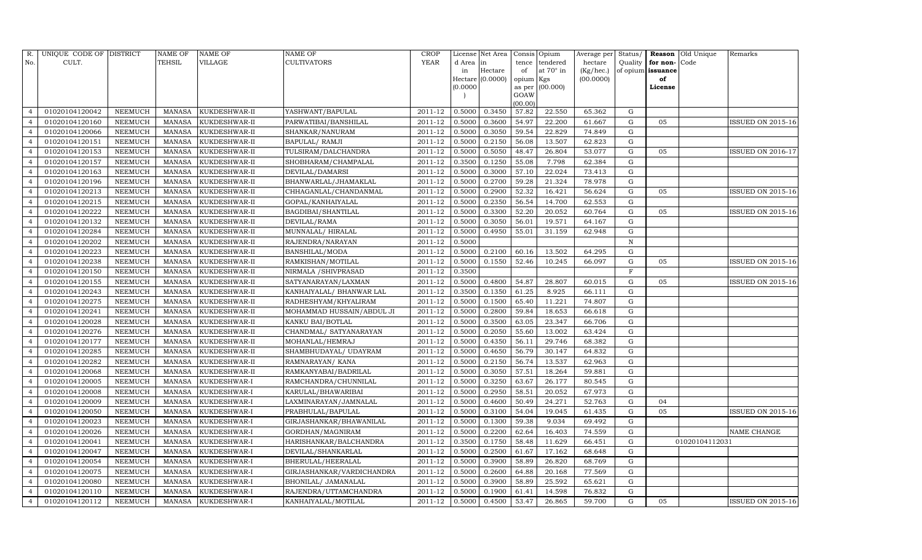| R.             | UNIQUE CODE OF DISTRICT |                | <b>NAME OF</b> | <b>NAME OF</b> | <b>NAME OF</b>            | <b>CROP</b> |          | License Net Area |           | Consis Opium    | Average per | Status/     |                          | <b>Reason</b> Old Unique | Remarks                  |
|----------------|-------------------------|----------------|----------------|----------------|---------------------------|-------------|----------|------------------|-----------|-----------------|-------------|-------------|--------------------------|--------------------------|--------------------------|
| No.            | CULT.                   |                | TEHSIL         | VILLAGE        | CULTIVATORS               | <b>YEAR</b> | d Area   | in               |           | tence tendered  | hectare     | Quality     | for non-Code             |                          |                          |
|                |                         |                |                |                |                           |             | in       | Hectare          | of        | at 70° in       | (Kg/hec.)   |             | of opium <b>issuance</b> |                          |                          |
|                |                         |                |                |                |                           |             |          | Hectare (0.0000) | opium Kgs |                 | (00.0000)   |             | of                       |                          |                          |
|                |                         |                |                |                |                           |             | (0.0000) |                  | GOAW      | as per (00.000) |             |             | License                  |                          |                          |
|                |                         |                |                |                |                           |             |          |                  | (00.00)   |                 |             |             |                          |                          |                          |
| $\overline{4}$ | 01020104120042          | <b>NEEMUCH</b> | MANASA         | KUKDESHWAR-II  | YASHWANT/BAPULAL          | 2011-12     | 0.5000   | 0.3450           | 57.82     | 22.550          | 65.362      | G           |                          |                          |                          |
| $\overline{4}$ | 01020104120160          | <b>NEEMUCH</b> | <b>MANASA</b>  | KUKDESHWAR-II  | PARWATIBAI/BANSHILAL      | 2011-12     | 0.5000   | 0.3600           | 54.97     | 22.200          | 61.667      | G           | 05                       |                          | <b>ISSUED ON 2015-16</b> |
| $\overline{4}$ | 01020104120066          | <b>NEEMUCH</b> | <b>MANASA</b>  | KUKDESHWAR-II  | SHANKAR/NANURAM           | 2011-12     | 0.5000   | 0.3050           | 59.54     | 22.829          | 74.849      | G           |                          |                          |                          |
| $\overline{4}$ | 01020104120151          | <b>NEEMUCH</b> | <b>MANASA</b>  | KUKDESHWAR-II  | BAPULAL/ RAMJI            | 2011-12     | 0.5000   | 0.2150           | 56.08     | 13.507          | 62.823      | G           |                          |                          |                          |
| $\overline{4}$ | 01020104120153          | <b>NEEMUCH</b> | <b>MANASA</b>  | KUKDESHWAR-II  | TULSIRAM/DALCHANDRA       | 2011-12     | 0.5000   | 0.5050           | 48.47     | 26.804          | 53.077      | G           | 05                       |                          | <b>ISSUED ON 2016-17</b> |
|                | 01020104120157          | <b>NEEMUCH</b> | <b>MANASA</b>  | KUKDESHWAR-II  | SHOBHARAM/CHAMPALAL       | 2011-12     | 0.3500   | 0.1250           | 55.08     | 7.798           | 62.384      | $\mathbf G$ |                          |                          |                          |
| $\overline{4}$ | 01020104120163          | <b>NEEMUCH</b> | <b>MANASA</b>  | KUKDESHWAR-II  | DEVILAL/DAMARSI           | 2011-12     | 0.5000   | 0.3000           | 57.10     | 22.024          | 73.413      | G           |                          |                          |                          |
| $\overline{4}$ | 01020104120196          | <b>NEEMUCH</b> | <b>MANASA</b>  | KUKDESHWAR-II  | BHANWARLAL/JHAMAKLAL      | 2011-12     | 0.5000   | 0.2700           | 59.28     | 21.324          | 78.978      | ${\rm G}$   |                          |                          |                          |
| $\overline{4}$ | 01020104120213          | NEEMUCH        | <b>MANASA</b>  | KUKDESHWAR-II  | CHHAGANLAL/CHANDANMAL     | 2011-12     | 0.5000   | 0.2900           | 52.32     | 16.421          | 56.624      | G           | 05                       |                          | ISSUED ON 2015-16        |
|                | 01020104120215          | NEEMUCH        | <b>MANASA</b>  | KUKDESHWAR-II  | GOPAL/KANHAIYALAL         | 2011-12     | 0.5000   | 0.2350           | 56.54     | 14.700          | 62.553      | G           |                          |                          |                          |
| $\overline{4}$ | 01020104120222          | <b>NEEMUCH</b> | <b>MANASA</b>  | KUKDESHWAR-II  | BAGDIBAI/SHANTILAL        | 2011-12     | 0.5000   | 0.3300           | 52.20     | 20.052          | 60.764      | G           | 05                       |                          | <b>ISSUED ON 2015-16</b> |
| $\overline{4}$ | 01020104120132          | <b>NEEMUCH</b> | <b>MANASA</b>  | KUKDESHWAR-II  | DEVILAL/RAMA              | 2011-12     | 0.5000   | 0.3050           | 56.01     | 19.571          | 64.167      | G           |                          |                          |                          |
| $\overline{4}$ | 01020104120284          | <b>NEEMUCH</b> | <b>MANASA</b>  | KUKDESHWAR-II  | MUNNALAL/HIRALAL          | 2011-12     | 0.5000   | 0.4950           | 55.01     | 31.159          | 62.948      | $\mathbf G$ |                          |                          |                          |
| $\overline{4}$ | 01020104120202          | <b>NEEMUCH</b> | <b>MANASA</b>  | KUKDESHWAR-II  | RAJENDRA/NARAYAN          | 2011-12     | 0.5000   |                  |           |                 |             | N           |                          |                          |                          |
| $\overline{4}$ | 01020104120223          | <b>NEEMUCH</b> | <b>MANASA</b>  | KUKDESHWAR-II  | <b>BANSHILAL/MODA</b>     | 2011-12     | 0.5000   | 0.2100           | 60.16     | 13.502          | 64.295      | G           |                          |                          |                          |
| $\overline{4}$ | 01020104120238          | <b>NEEMUCH</b> | <b>MANASA</b>  | KUKDESHWAR-II  | RAMKISHAN/MOTILAL         | 2011-12     | 0.5000   | 0.1550           | 52.46     | 10.245          | 66.097      | $\mathbf G$ | 05                       |                          | <b>ISSUED ON 2015-16</b> |
| $\overline{4}$ | 01020104120150          | <b>NEEMUCH</b> | <b>MANASA</b>  | KUKDESHWAR-II  | NIRMALA / SHIVPRASAD      | 2011-12     | 0.3500   |                  |           |                 |             | $\mathbf F$ |                          |                          |                          |
| $\overline{4}$ | 01020104120155          | <b>NEEMUCH</b> | <b>MANASA</b>  | KUKDESHWAR-II  | SATYANARAYAN/LAXMAN       | 2011-12     | 0.5000   | 0.4800           | 54.87     | 28.807          | 60.015      | G           | 05                       |                          | ISSUED ON 2015-16        |
| $\overline{4}$ | 01020104120243          | <b>NEEMUCH</b> | <b>MANASA</b>  | KUKDESHWAR-II  | KANHAIYALAL/ BHANWAR LAL  | 2011-12     | 0.3500   | 0.1350           | 61.25     | 8.925           | 66.111      | G           |                          |                          |                          |
| $\overline{4}$ | 01020104120275          | <b>NEEMUCH</b> | <b>MANASA</b>  | KUKDESHWAR-II  | RADHESHYAM/KHYALIRAM      | 2011-12     | 0.5000   | 0.1500           | 65.40     | 11.221          | 74.807      | G           |                          |                          |                          |
| $\overline{4}$ | 01020104120241          | <b>NEEMUCH</b> | <b>MANASA</b>  | KUKDESHWAR-II  | MOHAMMAD HUSSAIN/ABDUL JI | 2011-12     | 0.5000   | 0.2800           | 59.84     | 18.653          | 66.618      | G           |                          |                          |                          |
| $\overline{4}$ | 01020104120028          | <b>NEEMUCH</b> | <b>MANASA</b>  | KUKDESHWAR-II  | KANKU BAI/BOTLAL          | 2011-12     | 0.5000   | 0.3500           | 63.05     | 23.347          | 66.706      | G           |                          |                          |                          |
| $\overline{4}$ | 01020104120276          | <b>NEEMUCH</b> | <b>MANASA</b>  | KUKDESHWAR-II  | CHANDMAL/ SATYANARAYAN    | 2011-12     | 0.5000   | 0.2050           | 55.60     | 13.002          | 63.424      | G           |                          |                          |                          |
| $\overline{4}$ | 01020104120177          | <b>NEEMUCH</b> | <b>MANASA</b>  | KUKDESHWAR-II  | MOHANLAL/HEMRAJ           | 2011-12     | 0.5000   | 0.4350           | 56.11     | 29.746          | 68.382      | G           |                          |                          |                          |
|                | 01020104120285          | <b>NEEMUCH</b> | <b>MANASA</b>  | KUKDESHWAR-II  | SHAMBHUDAYAL/ UDAYRAM     | 2011-12     | 0.5000   | 0.4650           | 56.79     | 30.147          | 64.832      | G           |                          |                          |                          |
| $\overline{4}$ | 01020104120282          | <b>NEEMUCH</b> | <b>MANASA</b>  | KUKDESHWAR-II  | RAMNARAYAN/KANA           | 2011-12     | 0.5000   | 0.2150           | 56.74     | 13.537          | 62.963      | G           |                          |                          |                          |
| $\overline{4}$ | 01020104120068          | <b>NEEMUCH</b> | <b>MANASA</b>  | KUKDESHWAR-II  | RAMKANYABAI/BADRILAL      | 2011-12     | 0.5000   | 0.3050           | 57.51     | 18.264          | 59.881      | ${\rm G}$   |                          |                          |                          |
| $\overline{4}$ | 01020104120005          | <b>NEEMUCH</b> | <b>MANASA</b>  | KUKDESHWAR-I   | RAMCHANDRA/CHUNNILAL      | 2011-12     | 0.5000   | 0.3250           | 63.67     | 26.177          | 80.545      | $\mathbf G$ |                          |                          |                          |
| $\overline{4}$ | 01020104120008          | <b>NEEMUCH</b> | <b>MANASA</b>  | KUKDESHWAR-I   | KARULAL/BHAWARIBAI        | 2011-12     | 0.5000   | 0.2950           | 58.51     | 20.052          | 67.973      | ${\rm G}$   |                          |                          |                          |
| $\overline{4}$ | 01020104120009          | <b>NEEMUCH</b> | <b>MANASA</b>  | KUKDESHWAR-I   | LAXMINARAYAN/JAMNALAL     | 2011-12     | 0.5000   | 0.4600           | 50.49     | 24.271          | 52.763      | ${\rm G}$   | 04                       |                          |                          |
| $\overline{4}$ | 01020104120050          | <b>NEEMUCH</b> | <b>MANASA</b>  | KUKDESHWAR-I   | PRABHULAL/BAPULAL         | 2011-12     | 0.5000   | 0.3100           | 54.04     | 19.045          | 61.435      | G           | 05                       |                          | <b>ISSUED ON 2015-16</b> |
| $\overline{4}$ | 01020104120023          | <b>NEEMUCH</b> | <b>MANASA</b>  | KUKDESHWAR-I   | GIRJASHANKAR/BHAWANILAL   | 2011-12     | 0.5000   | 0.1300           | 59.38     | 9.034           | 69.492      | G           |                          |                          |                          |
|                | 01020104120026          | <b>NEEMUCH</b> | <b>MANASA</b>  | KUKDESHWAR-I   | GORDHAN/MAGNIRAM          | 2011-12     | 0.5000   | 0.2200           | 62.64     | 16.403          | 74.559      | ${\rm G}$   |                          |                          | NAME CHANGE              |
| $\overline{4}$ | 01020104120041          | <b>NEEMUCH</b> | <b>MANASA</b>  | KUKDESHWAR-I   | HARISHANKAR/BALCHANDRA    | 2011-12     | 0.3500   | 0.1750           | 58.48     | 11.629          | 66.451      | G           |                          | 01020104112031           |                          |
| $\overline{4}$ | 01020104120047          | <b>NEEMUCH</b> | MANASA         | KUKDESHWAR-I   | DEVILAL/SHANKARLAL        | 2011-12     | 0.5000   | 0.2500           | 61.67     | 17.162          | 68.648      | ${\rm G}$   |                          |                          |                          |
| $\overline{4}$ | 01020104120054          | <b>NEEMUCH</b> | <b>MANASA</b>  | KUKDESHWAR-I   | BHERULAL/HEERALAL         | 2011-12     | 0.5000   | 0.3900           | 58.89     | 26.820          | 68.769      | G           |                          |                          |                          |
| $\overline{4}$ | 01020104120075          | <b>NEEMUCH</b> | <b>MANASA</b>  | KUKDESHWAR-I   | GIRJASHANKAR/VARDICHANDRA | 2011-12     | 0.5000   | 0.2600           | 64.88     | 20.168          | 77.569      | G           |                          |                          |                          |
| $\overline{4}$ | 01020104120080          | NEEMUCH        | <b>MANASA</b>  | KUKDESHWAR-I   | BHONILAL/ JAMANALAL       | 2011-12     | 0.5000   | 0.3900           | 58.89     | 25.592          | 65.621      | G           |                          |                          |                          |
| $\overline{4}$ | 01020104120110          | NEEMUCH        | <b>MANASA</b>  | KUKDESHWAR-I   | RAJENDRA/UTTAMCHANDRA     | 2011-12     | 0.5000   | 0.1900           | 61.41     | 14.598          | 76.832      | G           |                          |                          |                          |
| $\overline{4}$ | 01020104120112          | <b>NEEMUCH</b> | MANASA         | KUKDESHWAR-I   | KANHAIYALAL/MOTILAL       | 2011-12     | 0.5000   | 0.4500           | 53.47     | 26.865          | 59.700      | G           | 05                       |                          | <b>ISSUED ON 2015-16</b> |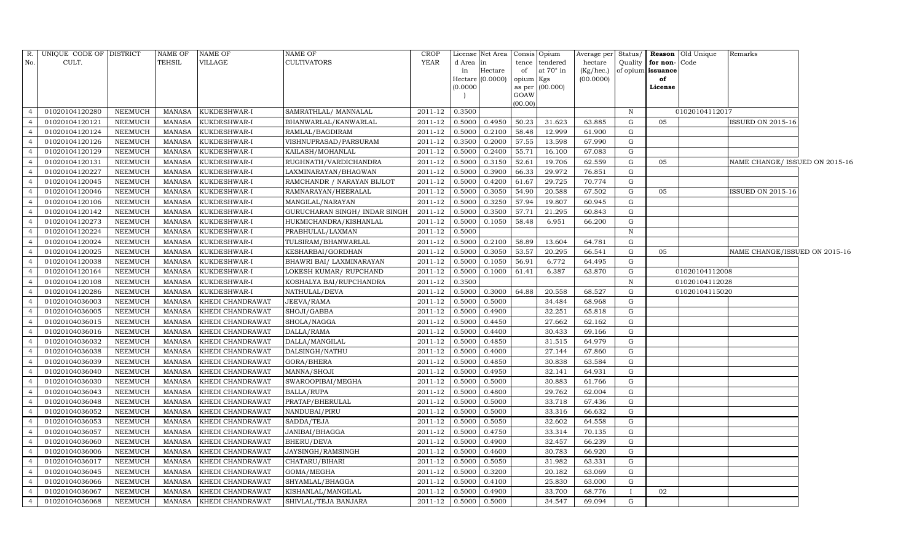| R.             | UNIQUE CODE OF DISTRICT |                | <b>NAME OF</b> | <b>NAME OF</b>          | NAME OF                        | CROP    |          | License Net Area   Consis   Opium |                     |           | Average per | Status/      |                   | Reason Old Unique | Remarks                        |  |
|----------------|-------------------------|----------------|----------------|-------------------------|--------------------------------|---------|----------|-----------------------------------|---------------------|-----------|-------------|--------------|-------------------|-------------------|--------------------------------|--|
| No.            | CULT.                   |                | TEHSIL         | VILLAGE                 | CULTIVATORS                    | YEAR    | d Area   | $\ln$                             | tence               | tendered  | hectare     | Quality      | for non-Code      |                   |                                |  |
|                |                         |                |                |                         |                                |         | in       | Hectare                           | of                  | at 70° in | (Kg/hec.)   |              | of opium issuance |                   |                                |  |
|                |                         |                |                |                         |                                |         | (0.0000) | Hectare (0.0000)                  | opium Kgs<br>as per | (00.000)  | (00.0000)   |              | of<br>License     |                   |                                |  |
|                |                         |                |                |                         |                                |         |          |                                   | GOAW                |           |             |              |                   |                   |                                |  |
|                |                         |                |                |                         |                                |         |          |                                   | (00.00)             |           |             |              |                   |                   |                                |  |
|                | 01020104120280          | NEEMUCH        | <b>MANASA</b>  | KUKDESHWAR-I            | SAMRATHLAL/ MANNALAL           | 2011-12 | 0.3500   |                                   |                     |           |             | $\mathbf N$  |                   | 01020104112017    |                                |  |
|                | 01020104120121          | NEEMUCH        | <b>MANASA</b>  | KUKDESHWAR-I            | BHANWARLAL/KANWARLAL           | 2011-12 | 0.5000   | 0.4950                            | 50.23               | 31.623    | 63.885      | G            | 05                |                   | <b>ISSUED ON 2015-16</b>       |  |
| $\overline{4}$ | 01020104120124          | NEEMUCH        | <b>MANASA</b>  | KUKDESHWAR-I            | RAMLAL/BAGDIRAM                | 2011-12 | 0.5000   | 0.2100                            | 58.48               | 12.999    | 61.900      | G            |                   |                   |                                |  |
| $\overline{4}$ | 01020104120126          | NEEMUCH        | <b>MANASA</b>  | KUKDESHWAR-I            | VISHNUPRASAD/PARSURAM          | 2011-12 | 0.3500   | 0.2000                            | 57.55               | 13.598    | 67.990      | G            |                   |                   |                                |  |
| $\overline{4}$ | 01020104120129          | <b>NEEMUCH</b> | <b>MANASA</b>  | KUKDESHWAR-I            | KAILASH/MOHANLAL               | 2011-12 | 0.5000   | 0.2400                            | 55.71               | 16.100    | 67.083      | $\mathbf{G}$ |                   |                   |                                |  |
| $\overline{4}$ | 01020104120131          | <b>NEEMUCH</b> | <b>MANASA</b>  | KUKDESHWAR-I            | RUGHNATH/VARDICHANDRA          | 2011-12 | 0.5000   | 0.3150                            | 52.61               | 19.706    | 62.559      | G            | 05                |                   | NAME CHANGE/ ISSUED ON 2015-16 |  |
| $\overline{4}$ | 01020104120227          | NEEMUCH        | <b>MANASA</b>  | KUKDESHWAR-I            | LAXMINARAYAN/BHAGWAN           | 2011-12 | 0.5000   | 0.3900                            | 66.33               | 29.972    | 76.851      | G            |                   |                   |                                |  |
| $\overline{4}$ | 01020104120045          | NEEMUCH        | MANASA         | KUKDESHWAR-I            | RAMCHANDR / NARAYAN BIJLOT     | 2011-12 | 0.5000   | 0.4200                            | 61.67               | 29.725    | 70.774      | G            |                   |                   |                                |  |
| $\overline{4}$ | 01020104120046          | <b>NEEMUCH</b> | <b>MANASA</b>  | KUKDESHWAR-I            | RAMNARAYAN/HEERALAL            | 2011-12 | 0.5000   | 0.3050                            | 54.90               | 20.588    | 67.502      | G            | 05                |                   | ISSUED ON 2015-16              |  |
| $\overline{4}$ | 01020104120106          | <b>NEEMUCH</b> | <b>MANASA</b>  | KUKDESHWAR-I            | MANGILAL/NARAYAN               | 2011-12 | 0.5000   | 0.3250                            | 57.94               | 19.807    | 60.945      | G            |                   |                   |                                |  |
| $\overline{4}$ | 01020104120142          | NEEMUCH        | <b>MANASA</b>  | KUKDESHWAR-I            | GURUCHARAN SINGH / INDAR SINGH | 2011-12 | 0.5000   | 0.3500                            | 57.71               | 21.295    | 60.843      | G            |                   |                   |                                |  |
| $\overline{4}$ | 01020104120273          | <b>NEEMUCH</b> | <b>MANASA</b>  | KUKDESHWAR-I            | HUKMICHANDRA/KISHANLAL         | 2011-12 | 0.5000   | 0.1050                            | 58.48               | 6.951     | 66.200      | G            |                   |                   |                                |  |
| $\overline{4}$ | 01020104120224          | NEEMUCH        | <b>MANASA</b>  | KUKDESHWAR-I            | PRABHULAL/LAXMAN               | 2011-12 | 0.5000   |                                   |                     |           |             | $\, {\rm N}$ |                   |                   |                                |  |
| $\overline{4}$ | 01020104120024          | NEEMUCH        | <b>MANASA</b>  | KUKDESHWAR-I            | TULSIRAM/BHANWARLAL            | 2011-12 | 0.5000   | 0.2100                            | 58.89               | 13.604    | 64.781      | G            |                   |                   |                                |  |
| $\overline{4}$ | 01020104120025          | NEEMUCH        | <b>MANASA</b>  | KUKDESHWAR-I            | KESHARBAI/GORDHAN              | 2011-12 | 0.5000   | 0.3050                            | 53.57               | 20.295    | 66.541      | G            | 05                |                   | NAME CHANGE/ISSUED ON 2015-16  |  |
| $\overline{4}$ | 01020104120038          | NEEMUCH        | <b>MANASA</b>  | KUKDESHWAR-I            | BHAWRI BAI/ LAXMINARAYAN       | 2011-12 | 0.5000   | 0.1050                            | 56.91               | 6.772     | 64.495      | G            |                   |                   |                                |  |
|                | 01020104120164          | NEEMUCH        | <b>MANASA</b>  | KUKDESHWAR-I            | LOKESH KUMAR/RUPCHAND          | 2011-12 | 0.5000   | 0.1000                            | 61.41               | 6.387     | 63.870      | G            |                   | 01020104112008    |                                |  |
| $\overline{4}$ | 01020104120108          | NEEMUCH        | <b>MANASA</b>  | KUKDESHWAR-I            | KOSHALYA BAI/RUPCHANDRA        | 2011-12 | 0.3500   |                                   |                     |           |             | $\mathbf N$  |                   | 01020104112028    |                                |  |
| $\overline{4}$ | 01020104120286          | NEEMUCH        | MANASA         | KUKDESHWAR-I            | NATHULAL/DEVA                  | 2011-12 | 0.5000   | 0.3000                            | 64.88               | 20.558    | 68.527      | G            |                   | 01020104115020    |                                |  |
| $\overline{4}$ | 01020104036003          | <b>NEEMUCH</b> | <b>MANASA</b>  | KHEDI CHANDRAWAT        | JEEVA/RAMA                     | 2011-12 | 0.5000   | 0.5000                            |                     | 34.484    | 68.968      | G            |                   |                   |                                |  |
| $\overline{4}$ | 01020104036005          | NEEMUCH        | <b>MANASA</b>  | KHEDI CHANDRAWAT        | SHOJI/GABBA                    | 2011-12 | 0.5000   | 0.4900                            |                     | 32.251    | 65.818      | G            |                   |                   |                                |  |
| $\overline{4}$ | 01020104036015          | NEEMUCH        | <b>MANASA</b>  | KHEDI CHANDRAWAT        | SHOLA/NAGGA                    | 2011-12 | 0.5000   | 0.4450                            |                     | 27.662    | 62.162      | G            |                   |                   |                                |  |
| $\overline{4}$ | 01020104036016          | NEEMUCH        | <b>MANASA</b>  | KHEDI CHANDRAWAT        | DALLA/RAMA                     | 2011-12 | 0.5000   | 0.4400                            |                     | 30.433    | 69.166      | G            |                   |                   |                                |  |
| $\overline{4}$ | 01020104036032          | <b>NEEMUCH</b> | <b>MANASA</b>  | KHEDI CHANDRAWAT        | DALLA/MANGILAL                 | 2011-12 | 0.5000   | 0.4850                            |                     | 31.515    | 64.979      | G            |                   |                   |                                |  |
| $\overline{4}$ | 01020104036038          | NEEMUCH        | <b>MANASA</b>  | KHEDI CHANDRAWAT        | DALSINGH/NATHU                 | 2011-12 | 0.5000   | 0.4000                            |                     | 27.144    | 67.860      | G            |                   |                   |                                |  |
| $\overline{4}$ | 01020104036039          | NEEMUCH        | <b>MANASA</b>  | KHEDI CHANDRAWAT        | GORA/BHERA                     | 2011-12 | 0.5000   | 0.4850                            |                     | 30.838    | 63.584      | G            |                   |                   |                                |  |
| $\overline{4}$ | 01020104036040          | NEEMUCH        | <b>MANASA</b>  | KHEDI CHANDRAWAT        | MANNA/SHOJI                    | 2011-12 | 0.5000   | 0.4950                            |                     | 32.141    | 64.931      | G            |                   |                   |                                |  |
|                | 01020104036030          | <b>NEEMUCH</b> | <b>MANASA</b>  | KHEDI CHANDRAWAT        | SWAROOPIBAI/MEGHA              | 2011-12 | 0.5000   | 0.5000                            |                     | 30.883    | 61.766      | G            |                   |                   |                                |  |
| $\overline{4}$ | 01020104036043          | NEEMUCH        | <b>MANASA</b>  | KHEDI CHANDRAWAT        | BALLA/RUPA                     | 2011-12 | 0.5000   | 0.4800                            |                     | 29.762    | 62.004      | G            |                   |                   |                                |  |
| $\overline{4}$ | 01020104036048          | NEEMUCH        | <b>MANASA</b>  | KHEDI CHANDRAWAT        | PRATAP/BHERULAL                | 2011-12 | 0.5000   | 0.5000                            |                     | 33.718    | 67.436      | G            |                   |                   |                                |  |
| $\overline{4}$ | 01020104036052          | NEEMUCH        | <b>MANASA</b>  | KHEDI CHANDRAWAT        | NANDUBAI/PIRU                  | 2011-12 | 0.5000   | 0.5000                            |                     | 33.316    | 66.632      | G            |                   |                   |                                |  |
|                | 01020104036053          | <b>NEEMUCH</b> | <b>MANASA</b>  | KHEDI CHANDRAWAT        | SADDA/TEJA                     | 2011-12 | 0.5000   | 0.5050                            |                     | 32.602    | 64.558      | G            |                   |                   |                                |  |
| $\overline{4}$ | 01020104036057          | NEEMUCH        | <b>MANASA</b>  | KHEDI CHANDRAWAT        | JANIBAI/BHAGGA                 | 2011-12 | 0.5000   | 0.4750                            |                     | 33.314    | 70.135      | G            |                   |                   |                                |  |
| $\overline{4}$ | 01020104036060          | NEEMUCH        | <b>MANASA</b>  | KHEDI CHANDRAWAT        | BHERU/DEVA                     | 2011-12 | 0.5000   | 0.4900                            |                     | 32.457    | 66.239      | G            |                   |                   |                                |  |
| $\overline{4}$ | 01020104036006          | NEEMUCH        | <b>MANASA</b>  | KHEDI CHANDRAWAT        | JAYSINGH/RAMSINGH              | 2011-12 | 0.5000   | 0.4600                            |                     | 30.783    | 66.920      | ${\rm G}$    |                   |                   |                                |  |
| $\overline{4}$ | 01020104036017          | <b>NEEMUCH</b> | <b>MANASA</b>  | KHEDI CHANDRAWAT        | CHATARU/BIHARI                 | 2011-12 | 0.5000   | 0.5050                            |                     | 31.982    | 63.331      | G            |                   |                   |                                |  |
| $\overline{4}$ | 01020104036045          | NEEMUCH        | <b>MANASA</b>  | KHEDI CHANDRAWAT        | GOMA/MEGHA                     | 2011-12 | 0.5000   | 0.3200                            |                     | 20.182    | 63.069      | G            |                   |                   |                                |  |
| $\overline{4}$ | 01020104036066          | NEEMUCH        | <b>MANASA</b>  | KHEDI CHANDRAWAT        | SHYAMLAL/BHAGGA                | 2011-12 | 0.5000   | 0.4100                            |                     | 25.830    | 63.000      | G            |                   |                   |                                |  |
| $\overline{4}$ | 01020104036067          | <b>NEEMUCH</b> | <b>MANASA</b>  | KHEDI CHANDRAWAT        | KISHANLAL/MANGILAL             | 2011-12 | 0.5000   | 0.4900                            |                     | 33.700    | 68.776      |              | 02                |                   |                                |  |
| $\overline{4}$ | 01020104036068          | NEEMUCH        |                | MANASA KHEDI CHANDRAWAT | SHIVLAL/TEJA BANJARA           | 2011-12 | 0.5000   | 0.5000                            |                     | 34.547    | 69.094      | G            |                   |                   |                                |  |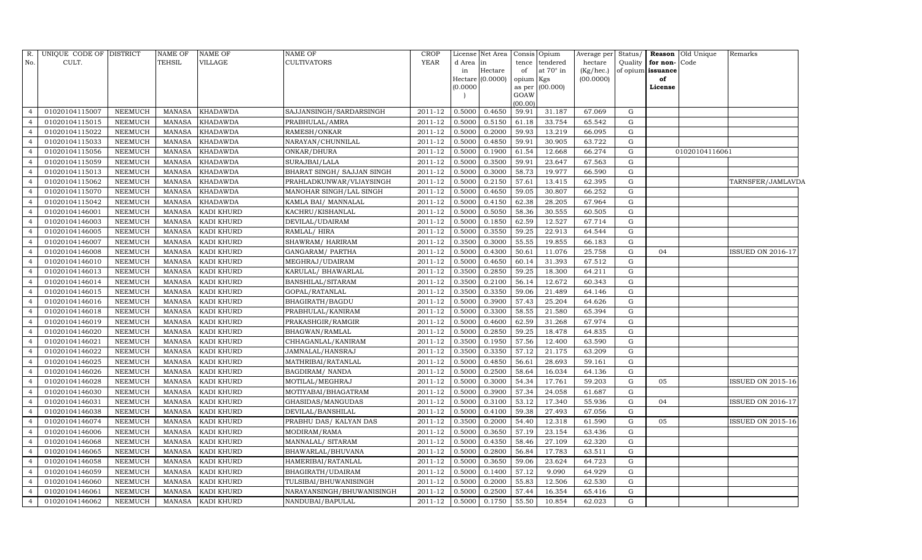| R.             | UNIQUE CODE OF DISTRICT |                | NAME OF       | <b>NAME OF</b>    | NAME OF                    | <b>CROP</b> |        | License Net Area | Consis         | Opium            | Average per | Status/ |                   | <b>Reason</b> Old Unique | Remarks                  |
|----------------|-------------------------|----------------|---------------|-------------------|----------------------------|-------------|--------|------------------|----------------|------------------|-------------|---------|-------------------|--------------------------|--------------------------|
| No.            | CULT.                   |                | TEHSIL        | VILLAGE           | CULTIVATORS                | <b>YEAR</b> | d Area | in               | tence          | tendered         | hectare     | Quality | for non-Code      |                          |                          |
|                |                         |                |               |                   |                            |             | in     | Hectare          | of             | at $70^\circ$ in | (Kg/hec.)   |         | of opium issuance |                          |                          |
|                |                         |                |               |                   |                            |             | 0.0000 | Hectare (0.0000) | opium Kgs      | (00.000)         | (00.0000)   |         | of<br>License     |                          |                          |
|                |                         |                |               |                   |                            |             |        |                  | as per<br>GOAW |                  |             |         |                   |                          |                          |
|                |                         |                |               |                   |                            |             |        |                  | (00.00)        |                  |             |         |                   |                          |                          |
| $\overline{4}$ | 01020104115007          | <b>NEEMUCH</b> | <b>MANASA</b> | <b>KHADAWDA</b>   | SAJJANSINGH/SARDARSINGH    | 2011-12     | 0.5000 | 0.4650           | 59.91          | 31.187           | 67.069      | G       |                   |                          |                          |
|                | 01020104115015          | <b>NEEMUCH</b> | <b>MANASA</b> | <b>KHADAWDA</b>   | PRABHULAL/AMRA             | 2011-12     | 0.5000 | 0.5150           | 61.18          | 33.754           | 65.542      | G       |                   |                          |                          |
| $\overline{4}$ | 01020104115022          | <b>NEEMUCH</b> | <b>MANASA</b> | <b>KHADAWDA</b>   | RAMESH/ONKAR               | 2011-12     | 0.5000 | 0.2000           | 59.93          | 13.219           | 66.095      | G       |                   |                          |                          |
| $\overline{4}$ | 01020104115033          | <b>NEEMUCH</b> | <b>MANASA</b> | <b>KHADAWDA</b>   | NARAYAN/CHUNNILAL          | 2011-12     | 0.5000 | 0.4850           | 59.91          | 30.905           | 63.722      | G       |                   |                          |                          |
| $\overline{4}$ | 01020104115056          | <b>NEEMUCH</b> | <b>MANASA</b> | <b>KHADAWDA</b>   | ONKAR/DHURA                | 2011-12     | 0.5000 | 0.1900           | 61.54          | 12.668           | 66.274      | G       |                   | 01020104116061           |                          |
| $\overline{4}$ | 01020104115059          | <b>NEEMUCH</b> | <b>MANASA</b> | <b>KHADAWDA</b>   | SURAJBAI/LALA              | 2011-12     | 0.5000 | 0.3500           | 59.91          | 23.647           | 67.563      | G       |                   |                          |                          |
| $\overline{4}$ | 01020104115013          | <b>NEEMUCH</b> | <b>MANASA</b> | <b>KHADAWDA</b>   | BHARAT SINGH/ SAJJAN SINGH | 2011-12     | 0.5000 | 0.3000           | 58.73          | 19.977           | 66.590      | G       |                   |                          |                          |
| $\overline{4}$ | 01020104115062          | <b>NEEMUCH</b> | <b>MANASA</b> | <b>KHADAWDA</b>   | PRAHLADKUNWAR/VIJAYSINGH   | 2011-12     | 0.5000 | 0.2150           | 57.61          | 13.415           | 62.395      | G       |                   |                          | TARNSFER/JAMLAVDA        |
| $\overline{4}$ | 01020104115070          | <b>NEEMUCH</b> | <b>MANASA</b> | <b>KHADAWDA</b>   | MANOHAR SINGH/LAL SINGH    | 2011-12     | 0.5000 | 0.4650           | 59.05          | 30.807           | 66.252      | G       |                   |                          |                          |
| $\overline{4}$ | 01020104115042          | <b>NEEMUCH</b> | <b>MANASA</b> | <b>KHADAWDA</b>   | KAMLA BAI/ MANNALAL        | 2011-12     | 0.5000 | 0.4150           | 62.38          | 28.205           | 67.964      | G       |                   |                          |                          |
| $\overline{4}$ | 01020104146001          | <b>NEEMUCH</b> | <b>MANASA</b> | <b>KADI KHURD</b> | KACHRU/KISHANLAL           | 2011-12     | 0.5000 | 0.5050           | 58.36          | 30.555           | 60.505      | G       |                   |                          |                          |
| $\overline{4}$ | 01020104146003          | <b>NEEMUCH</b> | <b>MANASA</b> | <b>KADI KHURD</b> | DEVILAL/UDAIRAM            | 2011-12     | 0.5000 | 0.1850           | 62.59          | 12.527           | 67.714      | G       |                   |                          |                          |
| $\overline{4}$ | 01020104146005          | <b>NEEMUCH</b> | <b>MANASA</b> | <b>KADI KHURD</b> | RAMLAL/HIRA                | 2011-12     | 0.5000 | 0.3550           | 59.25          | 22.913           | 64.544      | G       |                   |                          |                          |
| $\overline{4}$ | 01020104146007          | <b>NEEMUCH</b> | <b>MANASA</b> | <b>KADI KHURD</b> | SHAWRAM/HARIRAM            | 2011-12     | 0.3500 | 0.3000           | 55.55          | 19.855           | 66.183      | G       |                   |                          |                          |
| $\overline{4}$ | 01020104146008          | <b>NEEMUCH</b> | MANASA        | <b>KADI KHURD</b> | GANGARAM / PARTHA          | 2011-12     | 0.5000 | 0.4300           | 50.61          | 11.076           | 25.758      | G       | 04                |                          | <b>ISSUED ON 2016-17</b> |
| $\overline{4}$ | 01020104146010          | NEEMUCH        | <b>MANASA</b> | <b>KADI KHURD</b> | MEGHRAJ/UDAIRAM            | 2011-12     | 0.5000 | 0.4650           | 60.14          | 31.393           | 67.512      | G       |                   |                          |                          |
| $\overline{4}$ | 01020104146013          | <b>NEEMUCH</b> | <b>MANASA</b> | KADI KHURD        | KARULAL/BHAWARLAL          | 2011-12     | 0.3500 | 0.2850           | 59.25          | 18.300           | 64.211      | G       |                   |                          |                          |
| $\overline{4}$ | 01020104146014          | NEEMUCH        | <b>MANASA</b> | KADI KHURD        | BANSHILAL/SITARAM          | 2011-12     | 0.3500 | 0.2100           | 56.14          | 12.672           | 60.343      | G       |                   |                          |                          |
| $\overline{4}$ | 01020104146015          | NEEMUCH        | <b>MANASA</b> | <b>KADI KHURD</b> | GOPAL/RATANLAL             | 2011-12     | 0.3500 | 0.3350           | 59.06          | 21.489           | 64.146      | G       |                   |                          |                          |
| $\overline{4}$ | 01020104146016          | NEEMUCH        | <b>MANASA</b> | <b>KADI KHURD</b> | BHAGIRATH/BAGDU            | 2011-12     | 0.5000 | 0.3900           | 57.43          | 25.204           | 64.626      | G       |                   |                          |                          |
| $\overline{4}$ | 01020104146018          | NEEMUCH        | MANASA        | KADI KHURD        | PRABHULAL/KANIRAM          | 2011-12     | 0.5000 | 0.3300           | 58.55          | 21.580           | 65.394      | G       |                   |                          |                          |
| $\overline{4}$ | 01020104146019          | <b>NEEMUCH</b> | <b>MANASA</b> | KADI KHURD        | PRAKASHGIR/RAMGIR          | 2011-12     | 0.5000 | 0.4600           | 62.59          | 31.268           | 67.974      | G       |                   |                          |                          |
| $\overline{4}$ | 01020104146020          | NEEMUCH        | <b>MANASA</b> | <b>KADI KHURD</b> | BHAGWAN/RAMLAL             | 2011-12     | 0.5000 | 0.2850           | 59.25          | 18.478           | 64.835      | G       |                   |                          |                          |
| $\overline{4}$ | 01020104146021          | <b>NEEMUCH</b> | <b>MANASA</b> | KADI KHURD        | CHHAGANLAL/KANIRAM         | 2011-12     | 0.3500 | 0.1950           | 57.56          | 12.400           | 63.590      | G       |                   |                          |                          |
| $\overline{4}$ | 01020104146022          | <b>NEEMUCH</b> | <b>MANASA</b> | <b>KADI KHURD</b> | JAMNALAL/HANSRAJ           | 2011-12     | 0.3500 | 0.3350           | 57.12          | 21.175           | 63.209      | G       |                   |                          |                          |
| $\overline{4}$ | 01020104146025          | <b>NEEMUCH</b> | <b>MANASA</b> | <b>KADI KHURD</b> | MATHRIBAI/RATANLAL         | 2011-12     | 0.5000 | 0.4850           | 56.61          | 28.693           | 59.161      | G       |                   |                          |                          |
| $\overline{4}$ | 01020104146026          | NEEMUCH        | <b>MANASA</b> | <b>KADI KHURD</b> | BAGDIRAM/NANDA             | 2011-12     | 0.5000 | 0.2500           | 58.64          | 16.034           | 64.136      | G       |                   |                          |                          |
| $\overline{4}$ | 01020104146028          | <b>NEEMUCH</b> | <b>MANASA</b> | <b>KADI KHURD</b> | MOTILAL/MEGHRAJ            | 2011-12     | 0.5000 | 0.3000           | 54.34          | 17.761           | 59.203      | G       | 05                |                          | <b>ISSUED ON 2015-16</b> |
| $\overline{4}$ | 01020104146030          | <b>NEEMUCH</b> | <b>MANASA</b> | <b>KADI KHURD</b> | MOTIYABAI/BHAGATRAM        | 2011-12     | 0.5000 | 0.3900           | 57.34          | 24.058           | 61.687      | G       |                   |                          |                          |
| $\overline{4}$ | 01020104146031          | <b>NEEMUCH</b> | <b>MANASA</b> | KADI KHURD        | GHASIDAS/MANGUDAS          | 2011-12     | 0.5000 | 0.3100           | 53.12          | 17.340           | 55.936      | G       | 04                |                          | ISSUED ON 2016-17        |
| $\overline{4}$ | 01020104146038          | <b>NEEMUCH</b> | <b>MANASA</b> | <b>KADI KHURD</b> | DEVILAL/BANSHILAL          | 2011-12     | 0.5000 | 0.4100           | 59.38          | 27.493           | 67.056      | G       |                   |                          |                          |
| $\overline{4}$ | 01020104146074          | NEEMUCH        | <b>MANASA</b> | KADI KHURD        | PRABHU DAS/KALYAN DAS      | 2011-12     | 0.3500 | 0.2000           | 54.40          | 12.318           | 61.590      | G       | 05                |                          | <b>ISSUED ON 2015-16</b> |
| $\overline{4}$ | 01020104146006          | <b>NEEMUCH</b> | <b>MANASA</b> | <b>KADI KHURD</b> | MODIRAM/RAMA               | 2011-12     | 0.5000 | 0.3650           | 57.19          | 23.154           | 63.436      | G       |                   |                          |                          |
| $\overline{4}$ | 01020104146068          | <b>NEEMUCH</b> | <b>MANASA</b> | KADI KHURD        | MANNALAL/ SITARAM          | 2011-12     | 0.5000 | 0.4350           | 58.46          | 27.109           | 62.320      | G       |                   |                          |                          |
| $\overline{4}$ | 01020104146065          | <b>NEEMUCH</b> | MANASA        | KADI KHURD        | BHAWARLAL/BHUVANA          | 2011-12     | 0.5000 | 0.2800           | 56.84          | 17.783           | 63.511      | G       |                   |                          |                          |
| $\overline{4}$ | 01020104146058          | NEEMUCH        | <b>MANASA</b> | <b>KADI KHURD</b> | HAMERIBAI/RATANLAL         | 2011-12     | 0.5000 | 0.3650           | 59.06          | 23.624           | 64.723      | G       |                   |                          |                          |
| $\overline{4}$ | 01020104146059          | <b>NEEMUCH</b> | <b>MANASA</b> | <b>KADI KHURD</b> | BHAGIRATH/UDAIRAM          | 2011-12     | 0.5000 | 0.1400           | 57.12          | 9.090            | 64.929      | G       |                   |                          |                          |
| $\overline{4}$ | 01020104146060          | NEEMUCH        | <b>MANASA</b> | KADI KHURD        | TULSIBAI/BHUWANISINGH      | 2011-12     | 0.5000 | 0.2000           | 55.83          | 12.506           | 62.530      | G       |                   |                          |                          |
| $\overline{4}$ | 01020104146061          | NEEMUCH        | <b>MANASA</b> | <b>KADI KHURD</b> | NARAYANSINGH/BHUWANISINGH  | 2011-12     | 0.5000 | 0.2500           | 57.44          | 16.354           | 65.416      | G       |                   |                          |                          |
| $\overline{4}$ | 01020104146062          | <b>NEEMUCH</b> |               | MANASA KADI KHURD | NANDUBAI/BAPULAL           | 2011-12     | 0.5000 | 0.1750           | 55.50          | 10.854           | 62.023      | G       |                   |                          |                          |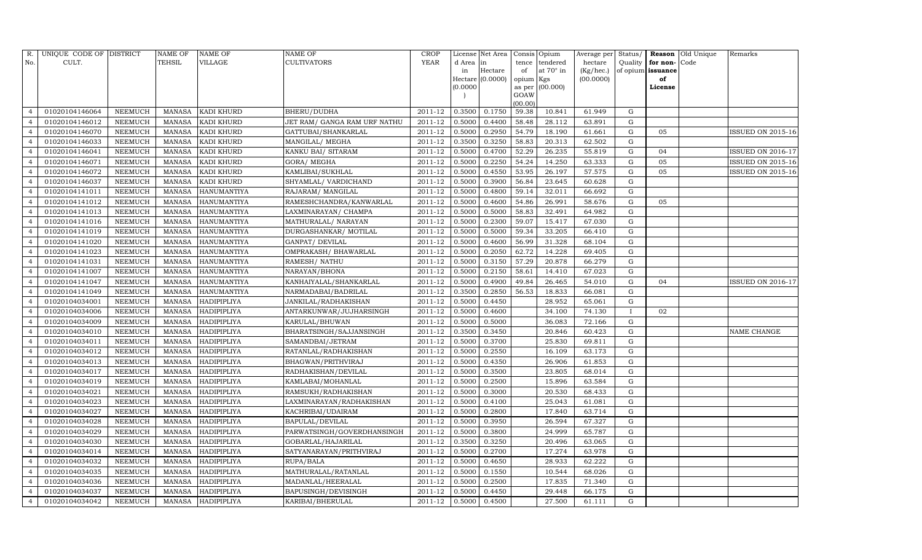| R.             | UNIQUE CODE OF DISTRICT |                | $\operatorname{NAME}$ OF | <b>NAME OF</b>     | <b>NAME OF</b>               | CROP    |           | License Net Area |                     | Consis Opium     | Average per | Status/     |                   | <b>Reason</b> Old Unique | Remarks                  |
|----------------|-------------------------|----------------|--------------------------|--------------------|------------------------------|---------|-----------|------------------|---------------------|------------------|-------------|-------------|-------------------|--------------------------|--------------------------|
| No.            | CULT.                   |                | <b>TEHSIL</b>            | VILLAGE            | <b>CULTIVATORS</b>           | YEAR    | d Area in |                  | tence               | tendered         | hectare     | Quality     | for non-          | Code                     |                          |
|                |                         |                |                          |                    |                              |         | in        | Hectare          | of                  | at $70^\circ$ in | (Kg/hec.)   |             | of opium issuance |                          |                          |
|                |                         |                |                          |                    |                              |         | (0.0000)  | Hectare (0.0000) | opium Kgs<br>as per | (00.000)         | (00.0000)   |             | of<br>License     |                          |                          |
|                |                         |                |                          |                    |                              |         |           |                  | GOAW                |                  |             |             |                   |                          |                          |
|                |                         |                |                          |                    |                              |         |           |                  | (00.00)             |                  |             |             |                   |                          |                          |
| $\overline{4}$ | 01020104146064          | NEEMUCH        | MANASA                   | <b>KADI KHURD</b>  | <b>BHERU/DUDHA</b>           | 2011-12 | 0.3500    | 0.1750           | 59.38               | 10.841           | 61.949      | G           |                   |                          |                          |
|                | 01020104146012          | NEEMUCH        | MANASA                   | <b>KADI KHURD</b>  | JET RAM/ GANGA RAM URF NATHU | 2011-12 | 0.5000    | 0.4400           | 58.48               | 28.112           | 63.891      | G           |                   |                          |                          |
| $\overline{4}$ | 01020104146070          | <b>NEEMUCH</b> | MANASA                   | <b>KADI KHURD</b>  | GATTUBAI/SHANKARLAL          | 2011-12 | 0.5000    | 0.2950           | 54.79               | 18.190           | 61.661      | G           | 05                |                          | ISSUED ON 2015-16        |
| $\overline{4}$ | 01020104146033          | NEEMUCH        | MANASA                   | <b>KADI KHURD</b>  | MANGILAL/ MEGHA              | 2011-12 | 0.3500    | 0.3250           | 58.83               | 20.313           | 62.502      | ${\rm G}$   |                   |                          |                          |
| $\overline{4}$ | 01020104146041          | NEEMUCH        | MANASA                   | KADI KHURD         | KANKU BAI/ SITARAM           | 2011-12 | 0.5000    | 0.4700           | 52.29               | 26.235           | 55.819      | G           | 04                |                          | <b>ISSUED ON 2016-17</b> |
| $\overline{4}$ | 01020104146071          | NEEMUCH        | MANASA                   | <b>KADI KHURD</b>  | GORA/ MEGHA                  | 2011-12 | 0.5000    | 0.2250           | 54.24               | 14.250           | 63.333      | G           | 05                |                          | ISSUED ON 2015-16        |
| $\overline{4}$ | 01020104146072          | NEEMUCH        | MANASA                   | <b>KADI KHURD</b>  | KAMLIBAI/SUKHLAL             | 2011-12 | 0.5000    | 0.4550           | 53.95               | 26.197           | 57.575      | G           | 05                |                          | ISSUED ON 2015-16        |
| $\overline{4}$ | 01020104146037          | NEEMUCH        | MANASA                   | <b>KADI KHURD</b>  | SHYAMLAL/ VARDICHAND         | 2011-12 | 0.5000    | 0.3900           | 56.84               | 23.645           | 60.628      | G           |                   |                          |                          |
| $\overline{4}$ | 01020104141011          | <b>NEEMUCH</b> | MANASA                   | <b>HANUMANTIYA</b> | RAJARAM/ MANGILAL            | 2011-12 | 0.5000    | 0.4800           | 59.14               | 32.011           | 66.692      | G           |                   |                          |                          |
| $\overline{4}$ | 01020104141012          | NEEMUCH        | MANASA                   | HANUMANTIYA        | RAMESHCHANDRA/KANWARLAL      | 2011-12 | 0.5000    | 0.4600           | 54.86               | 26.991           | 58.676      | G           | 05                |                          |                          |
| $\overline{4}$ | 01020104141013          | NEEMUCH        | MANASA                   | <b>HANUMANTIYA</b> | LAXMINARAYAN/ CHAMPA         | 2011-12 | 0.5000    | 0.5000           | 58.83               | 32.491           | 64.982      | G           |                   |                          |                          |
| $\overline{4}$ | 01020104141016          | NEEMUCH        | MANASA                   | HANUMANTIYA        | MATHURALAL/ NARAYAN          | 2011-12 | 0.5000    | 0.2300           | 59.07               | 15.417           | 67.030      | G           |                   |                          |                          |
|                | 01020104141019          | NEEMUCH        | MANASA                   | HANUMANTIYA        | DURGASHANKAR/ MOTILAL        | 2011-12 | 0.5000    | 0.5000           | 59.34               | 33.205           | 66.410      | G           |                   |                          |                          |
| $\overline{4}$ | 01020104141020          | <b>NEEMUCH</b> | MANASA                   | <b>HANUMANTIYA</b> | GANPAT/ DEVILAL              | 2011-12 | 0.5000    | 0.4600           | 56.99               | 31.328           | 68.104      | G           |                   |                          |                          |
| $\overline{4}$ | 01020104141023          | NEEMUCH        | MANASA                   | <b>HANUMANTIYA</b> | OMPRAKASH / BHAWARLAL        | 2011-12 | 0.5000    | 0.2050           | 62.72               | 14.228           | 69.405      | ${\rm G}$   |                   |                          |                          |
| $\overline{4}$ | 01020104141031          | NEEMUCH        | MANASA                   | HANUMANTIYA        | RAMESH / NATHU               | 2011-12 | 0.5000    | 0.3150           | 57.29               | 20.878           | 66.279      | G           |                   |                          |                          |
|                | 01020104141007          | NEEMUCH        | MANASA                   | <b>HANUMANTIYA</b> | NARAYAN/BHONA                | 2011-12 | 0.5000    | 0.2150           | 58.61               | 14.410           | 67.023      | ${\rm G}$   |                   |                          |                          |
| $\overline{4}$ | 01020104141047          | NEEMUCH        | MANASA                   | <b>HANUMANTIYA</b> | KANHAIYALAL/SHANKARLAL       | 2011-12 | 0.5000    | 0.4900           | 49.84               | 26.465           | 54.010      | G           | 04                |                          | <b>ISSUED ON 2016-17</b> |
| $\overline{4}$ | 01020104141049          | NEEMUCH        | MANASA                   | HANUMANTIYA        | NARMADABAI/BADRILAL          | 2011-12 | 0.3500    | 0.2850           | 56.53               | 18.833           | 66.081      | ${\rm G}$   |                   |                          |                          |
| $\overline{4}$ | 01020104034001          | <b>NEEMUCH</b> | MANASA                   | HADIPIPLIYA        | JANKILAL/RADHAKISHAN         | 2011-12 | 0.5000    | 0.4450           |                     | 28.952           | 65.061      | $\mathbf G$ |                   |                          |                          |
| $\overline{4}$ | 01020104034006          | <b>NEEMUCH</b> | MANASA                   | HADIPIPLIYA        | ANTARKUNWAR/JUJHARSINGH      | 2011-12 | 0.5000    | 0.4600           |                     | 34.100           | 74.130      | T           | 02                |                          |                          |
| $\overline{4}$ | 01020104034009          | NEEMUCH        | MANASA                   | HADIPIPLIYA        | KARULAL/BHUWAN               | 2011-12 | 0.5000    | 0.5000           |                     | 36.083           | 72.166      | G           |                   |                          |                          |
| $\overline{4}$ | 01020104034010          | NEEMUCH        | MANASA                   | <b>HADIPIPLIYA</b> | BHARATSINGH/SAJJANSINGH      | 2011-12 | 0.3500    | 0.3450           |                     | 20.846           | 60.423      | G           |                   |                          | NAME CHANGE              |
| $\overline{4}$ | 01020104034011          | NEEMUCH        | MANASA                   | <b>HADIPIPLIYA</b> | SAMANDBAI/JETRAM             | 2011-12 | 0.5000    | 0.3700           |                     | 25.830           | 69.811      | G           |                   |                          |                          |
| $\overline{4}$ | 01020104034012          | <b>NEEMUCH</b> | MANASA                   | HADIPIPLIYA        | RATANLAL/RADHAKISHAN         | 2011-12 | 0.5000    | 0.2550           |                     | 16.109           | 63.173      | G           |                   |                          |                          |
| $\overline{4}$ | 01020104034013          | <b>NEEMUCH</b> | MANASA                   | HADIPIPLIYA        | BHAGWAN/PRITHVIRAJ           | 2011-12 | 0.5000    | 0.4350           |                     | 26.906           | 61.853      | G           |                   |                          |                          |
| $\overline{4}$ | 01020104034017          | NEEMUCH        | MANASA                   | <b>HADIPIPLIYA</b> | RADHAKISHAN/DEVILAL          | 2011-12 | 0.5000    | 0.3500           |                     | 23.805           | 68.014      | G           |                   |                          |                          |
|                | 01020104034019          | <b>NEEMUCH</b> | MANASA                   | <b>HADIPIPLIYA</b> | KAMLABAI/MOHANLAL            | 2011-12 | 0.5000    | 0.2500           |                     | 15.896           | 63.584      | ${\rm G}$   |                   |                          |                          |
| $\overline{4}$ | 01020104034021          | <b>NEEMUCH</b> | MANASA                   | HADIPIPLIYA        | RAMSUKH/RADHAKISHAN          | 2011-12 | 0.5000    | 0.3000           |                     | 20.530           | 68.433      | G           |                   |                          |                          |
| $\overline{4}$ | 01020104034023          | <b>NEEMUCH</b> | MANASA                   | HADIPIPLIYA        | LAXMINARAYAN/RADHAKISHAN     | 2011-12 | 0.5000    | 0.4100           |                     | 25.043           | 61.081      | ${\rm G}$   |                   |                          |                          |
| $\overline{4}$ | 01020104034027          | NEEMUCH        | MANASA                   | <b>HADIPIPLIYA</b> | KACHRIBAI/UDAIRAM            | 2011-12 | 0.5000    | 0.2800           |                     | 17.840           | 63.714      | ${\rm G}$   |                   |                          |                          |
|                | 01020104034028          | NEEMUCH        | MANASA                   | HADIPIPLIYA        | <b>BAPULAL/DEVILAL</b>       | 2011-12 | 0.5000    | 0.3950           |                     | 26.594           | 67.327      | G           |                   |                          |                          |
| $\overline{4}$ | 01020104034029          | <b>NEEMUCH</b> | MANASA                   | HADIPIPLIYA        | PARWATSINGH/GOVERDHANSINGH   | 2011-12 | 0.5000    | 0.3800           |                     | 24.999           | 65.787      | G           |                   |                          |                          |
| $\overline{4}$ | 01020104034030          | NEEMUCH        | MANASA                   | HADIPIPLIYA        | GOBARLAL/HAJARILAL           | 2011-12 | 0.3500    | 0.3250           |                     | 20.496           | 63.065      | ${\rm G}$   |                   |                          |                          |
| $\overline{4}$ | 01020104034014          | <b>NEEMUCH</b> | MANASA                   | <b>HADIPIPLIYA</b> | SATYANARAYAN/PRITHVIRAJ      | 2011-12 | 0.5000    | 0.2700           |                     | 17.274           | 63.978      | G           |                   |                          |                          |
| $\overline{4}$ | 01020104034032          | <b>NEEMUCH</b> | MANASA                   | <b>HADIPIPLIYA</b> | RUPA/BALA                    | 2011-12 | 0.5000    | 0.4650           |                     | 28.933           | 62.222      | G           |                   |                          |                          |
| $\overline{4}$ | 01020104034035          | NEEMUCH        | MANASA                   | HADIPIPLIYA        | MATHURALAL/RATANLAL          | 2011-12 | 0.5000    | 0.1550           |                     | 10.544           | 68.026      | G           |                   |                          |                          |
| $\overline{4}$ | 01020104034036          | NEEMUCH        | MANASA                   | <b>HADIPIPLIYA</b> | MADANLAL/HEERALAL            | 2011-12 | 0.5000    | 0.2500           |                     | 17.835           | 71.340      | G           |                   |                          |                          |
| $\overline{4}$ | 01020104034037          | NEEMUCH        | MANASA                   | <b>HADIPIPLIYA</b> | BAPUSINGH/DEVISINGH          | 2011-12 | 0.5000    | 0.4450           |                     | 29.448           | 66.175      | $\mathbf G$ |                   |                          |                          |
| $\overline{4}$ | 01020104034042          | NEEMUCH        |                          | MANASA HADIPIPLIYA | KARIBAI/BHERULAL             | 2011-12 | 0.5000    | 0.4500           |                     | 27.500           | 61.111      | G           |                   |                          |                          |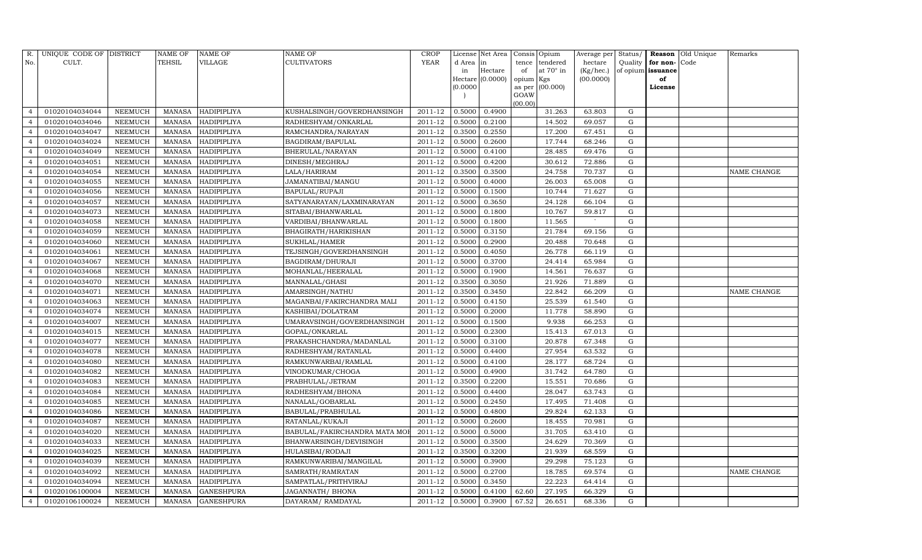| R.                       | UNIQUE CODE OF DISTRICT |                 | <b>NAME OF</b> | NAME OF            | NAME OF                       | CROP        |           | License Net Area |           | Consis Opium    | Average per | Status/ |                   | Reason Old Unique | Remarks            |
|--------------------------|-------------------------|-----------------|----------------|--------------------|-------------------------------|-------------|-----------|------------------|-----------|-----------------|-------------|---------|-------------------|-------------------|--------------------|
| No.                      | CULT.                   |                 | TEHSIL         | VILLAGE            | CULTIVATORS                   | <b>YEAR</b> | d Area in |                  |           | tence tendered  | hectare     | Quality | for non-Code      |                   |                    |
|                          |                         |                 |                |                    |                               |             | in        | Hectare          | of        | at 70° in       | (Kg/hec.)   |         | of opium issuance |                   |                    |
|                          |                         |                 |                |                    |                               |             | (0.0000)  | Hectare (0.0000) | opium Kgs | as per (00.000) | (00.0000)   |         | of<br>License     |                   |                    |
|                          |                         |                 |                |                    |                               |             |           |                  | GOAW      |                 |             |         |                   |                   |                    |
|                          |                         |                 |                |                    |                               |             |           |                  | (00.00)   |                 |             |         |                   |                   |                    |
| $\overline{4}$           | 01020104034044          | NEEMUCH         | MANASA         | HADIPIPLIYA        | KUSHALSINGH/GOVERDHANSINGH    | 2011-12     | 0.5000    | 0.4900           |           | 31.263          | 63.803      | G       |                   |                   |                    |
| $\overline{4}$           | 01020104034046          | NEEMUCH         | MANASA         | HADIPIPLIYA        | RADHESHYAM/ONKARLAL           | 2011-12     | 0.5000    | 0.2100           |           | 14.502          | 69.057      | G       |                   |                   |                    |
| $\overline{4}$           | 01020104034047          | <b>NEEMUCH</b>  | MANASA         | HADIPIPLIYA        | RAMCHANDRA/NARAYAN            | 2011-12     | 0.3500    | 0.2550           |           | 17.200          | 67.451      | G       |                   |                   |                    |
| $\overline{4}$           | 01020104034024          | NEEMUCH         | <b>MANASA</b>  | HADIPIPLIYA        | BAGDIRAM/BAPULAL              | 2011-12     | 0.5000    | 0.2600           |           | 17.744          | 68.246      | G       |                   |                   |                    |
| $\overline{4}$           | 01020104034049          | NEEMUCH         | <b>MANASA</b>  | HADIPIPLIYA        | BHERULAL/NARAYAN              | 2011-12     | 0.5000    | 0.4100           |           | 28.485          | 69.476      | G       |                   |                   |                    |
|                          | 01020104034051          | NEEMUCH         | MANASA         | HADIPIPLIYA        | DINESH/MEGHRAJ                | 2011-12     | 0.5000    | 0.4200           |           | 30.612          | 72.886      | G       |                   |                   |                    |
| $\overline{4}$           | 01020104034054          | NEEMUCH         | MANASA         | HADIPIPLIYA        | LALA/HARIRAM                  | $2011 - 12$ | 0.3500    | 0.3500           |           | 24.758          | 70.737      | G       |                   |                   | <b>NAME CHANGE</b> |
| $\overline{4}$           | 01020104034055          | NEEMUCH         | <b>MANASA</b>  | HADIPIPLIYA        | JAMANATIBAI/MANGU             | 2011-12     | 0.5000    | 0.4000           |           | 26.003          | 65.008      | G       |                   |                   |                    |
| $\overline{\mathcal{L}}$ | 01020104034056          | NEEMUCH         | MANASA         | HADIPIPLIYA        | BAPULAL/RUPAJI                | 2011-12     | 0.5000    | 0.1500           |           | 10.744          | 71.627      | G       |                   |                   |                    |
|                          | 01020104034057          | NEEMUCH         | MANASA         | HADIPIPLIYA        | SATYANARAYAN/LAXMINARAYAN     | 2011-12     | 0.5000    | 0.3650           |           | 24.128          | 66.104      | G       |                   |                   |                    |
| $\overline{4}$           | 01020104034073          | NEEMUCH         | <b>MANASA</b>  | <b>HADIPIPLIYA</b> | SITABAI/BHANWARLAL            | 2011-12     | 0.5000    | 0.1800           |           | 10.767          | 59.817      | G       |                   |                   |                    |
| $\overline{4}$           | 01020104034058          | NEEMUCH         | MANASA         | HADIPIPLIYA        | VARDIBAI/BHANWARLAL           | 2011-12     | 0.5000    | 0.1800           |           | 11.565          |             | G       |                   |                   |                    |
| $\overline{4}$           | 01020104034059          | NEEMUCH         | <b>MANASA</b>  | HADIPIPLIYA        | BHAGIRATH/HARIKISHAN          | 2011-12     | 0.5000    | 0.3150           |           | 21.784          | 69.156      | G       |                   |                   |                    |
| $\overline{4}$           | 01020104034060          | <b>NEEMUCH</b>  | MANASA         | HADIPIPLIYA        | SUKHLAL/HAMER                 | 2011-12     | 0.5000    | 0.2900           |           | 20.488          | 70.648      | G       |                   |                   |                    |
| $\overline{4}$           | 01020104034061          | NEEMUCH         | MANASA         | HADIPIPLIYA        | TEJSINGH/GOVERDHANSINGH       | $2011 - 12$ | 0.5000    | 0.4050           |           | 26.778          | 66.119      | G       |                   |                   |                    |
| $\overline{4}$           | 01020104034067          | <b>NEEMUCH</b>  | MANASA         | HADIPIPLIYA        | BAGDIRAM/DHURAJI              | 2011-12     | 0.5000    | 0.3700           |           | 24.414          | 65.984      | G       |                   |                   |                    |
|                          | 01020104034068          | <b>NEEMUCH</b>  | <b>MANASA</b>  | HADIPIPLIYA        | MOHANLAL/HEERALAL             | 2011-12     | 0.5000    | 0.1900           |           | 14.561          | 76.637      | G       |                   |                   |                    |
| $\overline{4}$           | 01020104034070          | NEEMUCH         | MANASA         | HADIPIPLIYA        | MANNALAL/GHASI                | 2011-12     | 0.3500    | 0.3050           |           | 21.926          | 71.889      | G       |                   |                   |                    |
| $\overline{4}$           | 01020104034071          | NEEMUCH         | <b>MANASA</b>  | HADIPIPLIYA        | AMARSINGH/NATHU               | $2011 - 12$ | 0.3500    | 0.3450           |           | 22.842          | 66.209      | G       |                   |                   | <b>NAME CHANGE</b> |
| $\overline{4}$           | 01020104034063          | NEEMUCH         | MANASA         | HADIPIPLIYA        | MAGANBAI/FAKIRCHANDRA MALI    | 2011-12     | 0.5000    | 0.4150           |           | 25.539          | 61.540      | G       |                   |                   |                    |
|                          | 01020104034074          | NEEMUCH         | <b>MANASA</b>  | HADIPIPLIYA        | KASHIBAI/DOLATRAM             | 2011-12     | 0.5000    | 0.2000           |           | 11.778          | 58.890      | G       |                   |                   |                    |
| $\overline{4}$           | 01020104034007          | <b>NEEMUCH</b>  | <b>MANASA</b>  | HADIPIPLIYA        | UMARAVSINGH/GOVERDHANSINGH    | 2011-12     | 0.5000    | 0.1500           |           | 9.938           | 66.253      | G       |                   |                   |                    |
| $\overline{4}$           | 01020104034015          | NEEMUCH         | <b>MANASA</b>  | HADIPIPLIYA        | GOPAL/ONKARLAL                | $2011 - 12$ | 0.5000    | 0.2300           |           | 15.413          | 67.013      | G       |                   |                   |                    |
| $\overline{4}$           | 01020104034077          | NEEMUCH         | <b>MANASA</b>  | HADIPIPLIYA        | PRAKASHCHANDRA/MADANLAL       | 2011-12     | 0.5000    | 0.3100           |           | 20.878          | 67.348      | G       |                   |                   |                    |
|                          | 01020104034078          | NEEMUCH         | MANASA         | HADIPIPLIYA        | RADHESHYAM/RATANLAL           | 2011-12     | 0.5000    | 0.4400           |           | 27.954          | 63.532      | G       |                   |                   |                    |
| $\overline{4}$           | 01020104034080          | <b>NEEMUCH</b>  | <b>MANASA</b>  | HADIPIPLIYA        | RAMKUNWARBAI/RAMLAL           | 2011-12     | 0.5000    | 0.4100           |           | 28.177          | 68.724      | G       |                   |                   |                    |
| $\overline{4}$           | 01020104034082          | NEEMUCH         | <b>MANASA</b>  | HADIPIPLIYA        | VINODKUMAR/CHOGA              | 2011-12     | 0.5000    | 0.4900           |           | 31.742          | 64.780      | G       |                   |                   |                    |
| $\overline{4}$           | 01020104034083          | NEEMUCH         | <b>MANASA</b>  | HADIPIPLIYA        | PRABHULAL/JETRAM              | 2011-12     | 0.3500    | 0.2200           |           | 15.551          | 70.686      | G       |                   |                   |                    |
| $\overline{4}$           | 01020104034084          | NEEMUCH         | MANASA         | HADIPIPLIYA        | RADHESHYAM/BHONA              | 2011-12     | 0.5000    | 0.4400           |           | 28.047          | 63.743      | G       |                   |                   |                    |
| $\overline{4}$           | 01020104034085          | NEEMUCH         | <b>MANASA</b>  | HADIPIPLIYA        | NANALAL/GOBARLAL              | 2011-12     | 0.5000    | 0.2450           |           | 17.495          | 71.408      | G       |                   |                   |                    |
| $\overline{4}$           | 01020104034086          | NEEMUCH         | MANASA         | HADIPIPLIYA        | BABULAL/PRABHULAL             | 2011-12     | 0.5000    | 0.4800           |           | 29.824          | 62.133      | G       |                   |                   |                    |
| $\overline{4}$           | 01020104034087          | NEEMUCH         | <b>MANASA</b>  | HADIPIPLIYA        | RATANLAL/KUKAJI               | 2011-12     | 0.5000    | 0.2600           |           | 18.455          | 70.981      | G       |                   |                   |                    |
| $\overline{4}$           | 01020104034020          | NEEMUCH         | <b>MANASA</b>  | HADIPIPLIYA        | BABULAL/FAKIRCHANDRA MATA MOI | 2011-12     | 0.5000    | 0.5000           |           | 31.705          | 63.410      | G       |                   |                   |                    |
| $\overline{4}$           | 01020104034033          | NEEMUCH         | <b>MANASA</b>  | HADIPIPLIYA        | BHANWARSINGH/DEVISINGH        | 2011-12     | 0.5000    | 0.3500           |           | 24.629          | 70.369      | G       |                   |                   |                    |
| $\overline{4}$           | 01020104034025          | <b>NEEMUCH</b>  | MANASA         | HADIPIPLIYA        | HULASIBAI/RODAJI              | 2011-12     | 0.3500    | 0.3200           |           | 21.939          | 68.559      | G       |                   |                   |                    |
|                          | 01020104034039          | <b>NEEMUCH</b>  | MANASA         | HADIPIPLIYA        | RAMKUNWARIBAI/MANGILAL        | 2011-12     | 0.5000    | 0.3900           |           | 29.298          | 75.123      | G       |                   |                   |                    |
| $\overline{4}$           | 01020104034092          | ${\tt NEEMUCH}$ | <b>MANASA</b>  | HADIPIPLIYA        | SAMRATH/RAMRATAN              | 2011-12     | 0.5000    | 0.2700           |           | 18.785          | 69.574      | G       |                   |                   | NAME CHANGE        |
| $\overline{4}$           | 01020104034094          | NEEMUCH         | MANASA         | HADIPIPLIYA        | SAMPATLAL/PRITHVIRAJ          | 2011-12     | 0.5000    | 0.3450           |           | 22.223          | 64.414      | G       |                   |                   |                    |
| $\overline{4}$           | 01020106100004          | <b>NEEMUCH</b>  | MANASA         | <b>GANESHPURA</b>  | JAGANNATH/BHONA               | 2011-12     | 0.5000    | 0.4100           | 62.60     | 27.195          | 66.329      | G       |                   |                   |                    |
| $\overline{4}$           | 01020106100024          | NEEMUCH         |                | MANASA GANESHPURA  | DAYARAM/RAMDAYAL              | 2011-12     | 0.5000    | 0.3900           | 67.52     | 26.651          | 68.336      | G       |                   |                   |                    |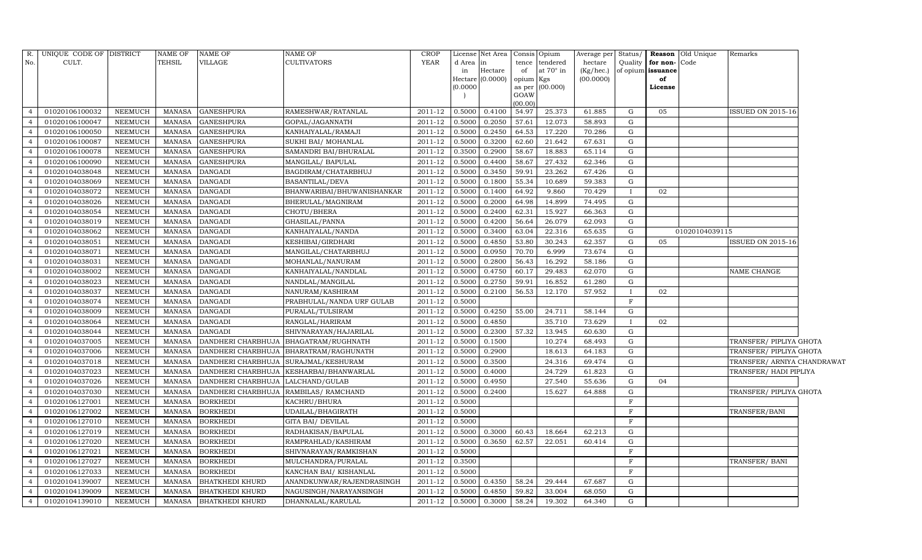|                | R. UNIQUE CODE OF DISTRICT |                 | NAME OF       | <b>NAME OF</b>            | NAME OF                    | CROP        |          | License Net Area   Consis   Opium |           |                  |           |              |                   | Average per Status/ Reason Old Unique | Remarks                     |  |
|----------------|----------------------------|-----------------|---------------|---------------------------|----------------------------|-------------|----------|-----------------------------------|-----------|------------------|-----------|--------------|-------------------|---------------------------------------|-----------------------------|--|
| No.            | CULT.                      |                 | <b>TEHSIL</b> | VILLAGE                   | CULTIVATORS                | <b>YEAR</b> | d Area   | $\sin$                            |           | tence tendered   | hectare   | Quality      | for non-Code      |                                       |                             |  |
|                |                            |                 |               |                           |                            |             | in       | Hectare                           | of        | at $70^\circ$ in | (Kg/hec.) |              | of opium issuance |                                       |                             |  |
|                |                            |                 |               |                           |                            |             | (0.0000) | Hectare $(0.0000)$                | opium Kgs | as per (00.000)  | (00.0000) |              | of<br>License     |                                       |                             |  |
|                |                            |                 |               |                           |                            |             |          |                                   | GOAW      |                  |           |              |                   |                                       |                             |  |
|                |                            |                 |               |                           |                            |             |          |                                   | (00.00)   |                  |           |              |                   |                                       |                             |  |
| $\overline{4}$ | 01020106100032             | <b>NEEMUCH</b>  | MANASA        | <b>GANESHPURA</b>         | RAMESHWAR/RATANLAL         | 2011-12     | 0.5000   | 0.4100                            | 54.97     | 25.373           | 61.885    | G            | 05                |                                       | ISSUED ON 2015-16           |  |
| $\overline{4}$ | 01020106100047             | NEEMUCH         | MANASA        | <b>GANESHPURA</b>         | GOPAL/JAGANNATH            | 2011-12     | 0.5000   | 0.2050                            | 57.61     | 12.073           | 58.893    | G            |                   |                                       |                             |  |
| $\overline{4}$ | 01020106100050             | NEEMUCH         | <b>MANASA</b> | <b>GANESHPURA</b>         | KANHAIYALAL/RAMAJI         | 2011-12     | 0.5000   | 0.2450                            | 64.53     | 17.220           | 70.286    | G            |                   |                                       |                             |  |
| $\overline{4}$ | 01020106100087             | <b>NEEMUCH</b>  | <b>MANASA</b> | <b>GANESHPURA</b>         | SUKHI BAI/ MOHANLAL        | 2011-12     | 0.5000   | 0.3200                            | 62.60     | 21.642           | 67.631    | G            |                   |                                       |                             |  |
| $\overline{4}$ | 01020106100078             | ${\tt NEEMUCH}$ | <b>MANASA</b> | <b>GANESHPURA</b>         | SAMANDRI BAI/BHURALAL      | 2011-12     | 0.3500   | 0.2900                            | 58.67     | 18.883           | 65.114    | G            |                   |                                       |                             |  |
| $\overline{4}$ | 01020106100090             | <b>NEEMUCH</b>  | <b>MANASA</b> | <b>GANESHPURA</b>         | MANGILAL/ BAPULAL          | 2011-12     | 0.5000   | 0.4400                            | 58.67     | 27.432           | 62.346    | G            |                   |                                       |                             |  |
| $\overline{4}$ | 01020104038048             | NEEMUCH         | MANASA        | <b>DANGADI</b>            | BAGDIRAM/CHATARBHUJ        | 2011-12     | 0.5000   | 0.3450                            | 59.91     | 23.262           | 67.426    | G            |                   |                                       |                             |  |
| $\overline{4}$ | 01020104038069             | NEEMUCH         | MANASA        | <b>DANGADI</b>            | BASANTILAL/DEVA            | 2011-12     | 0.5000   | 0.1800                            | 55.34     | 10.689           | 59.383    | G            |                   |                                       |                             |  |
| $\overline{4}$ | 01020104038072             | NEEMUCH         | <b>MANASA</b> | <b>DANGADI</b>            | BHANWARIBAI/BHUWANISHANKAR | 2011-12     | 0.5000   | 0.1400                            | 64.92     | 9.860            | 70.429    | $\mathbf{I}$ | 02                |                                       |                             |  |
| $\overline{4}$ | 01020104038026             | NEEMUCH         | <b>MANASA</b> | <b>DANGADI</b>            | BHERULAL/MAGNIRAM          | 2011-12     | 0.5000   | 0.2000                            | 64.98     | 14.899           | 74.495    | G            |                   |                                       |                             |  |
| $\overline{4}$ | 01020104038054             | <b>NEEMUCH</b>  | <b>MANASA</b> | <b>DANGADI</b>            | CHOTU/BHERA                | 2011-12     | 0.5000   | 0.2400                            | 62.31     | 15.927           | 66.363    | G            |                   |                                       |                             |  |
| $\overline{4}$ | 01020104038019             | <b>NEEMUCH</b>  | <b>MANASA</b> | <b>DANGADI</b>            | GHASILAL/PANNA             | 2011-12     | 0.5000   | 0.4200                            | 56.64     | 26.079           | 62.093    | G            |                   |                                       |                             |  |
| $\overline{4}$ | 01020104038062             | <b>NEEMUCH</b>  | <b>MANASA</b> | <b>DANGADI</b>            | KANHAIYALAL/NANDA          | 2011-12     | 0.5000   | 0.3400                            | 63.04     | 22.316           | 65.635    | G            |                   | 01020104039115                        |                             |  |
| $\overline{4}$ | 01020104038051             | <b>NEEMUCH</b>  | <b>MANASA</b> | <b>DANGADI</b>            | KESHIBAI/GIRDHARI          | 2011-12     | 0.5000   | 0.4850                            | 53.80     | 30.243           | 62.357    | G            | 05                |                                       | <b>ISSUED ON 2015-16</b>    |  |
| $\overline{4}$ | 01020104038071             | NEEMUCH         | MANASA        | <b>DANGADI</b>            | MANGILAL/CHATARBHUJ        | 2011-12     | 0.5000   | 0.0950                            | 70.70     | 6.999            | 73.674    | G            |                   |                                       |                             |  |
| $\overline{4}$ | 01020104038031             | NEEMUCH         | <b>MANASA</b> | <b>DANGADI</b>            | MOHANLAL/NANURAM           | 2011-12     | 0.5000   | 0.2800                            | 56.43     | 16.292           | 58.186    | G            |                   |                                       |                             |  |
| $\overline{4}$ | 01020104038002             | NEEMUCH         | <b>MANASA</b> | <b>DANGADI</b>            | KANHAIYALAL/NANDLAL        | 2011-12     | 0.5000   | 0.4750                            | 60.17     | 29.483           | 62.070    | G            |                   |                                       | NAME CHANGE                 |  |
| $\overline{4}$ | 01020104038023             | NEEMUCH         | <b>MANASA</b> | <b>DANGADI</b>            | NANDLAL/MANGILAL           | 2011-12     | 0.5000   | 0.2750                            | 59.91     | 16.852           | 61.280    | G            |                   |                                       |                             |  |
| $\overline{4}$ | 01020104038037             | <b>NEEMUCH</b>  | <b>MANASA</b> | <b>DANGADI</b>            | NANURAM/KASHIRAM           | 2011-12     | 0.5000   | 0.2100                            | 56.53     | 12.170           | 57.952    | $\mathbf I$  | 02                |                                       |                             |  |
| $\overline{4}$ | 01020104038074             | <b>NEEMUCH</b>  | MANASA        | <b>DANGADI</b>            | PRABHULAL/NANDA URF GULAB  | 2011-12     | 0.5000   |                                   |           |                  |           | F            |                   |                                       |                             |  |
| $\overline{4}$ | 01020104038009             | <b>NEEMUCH</b>  | <b>MANASA</b> | <b>DANGADI</b>            | PURALAL/TULSIRAM           | 2011-12     | 0.5000   | 0.4250                            | 55.00     | 24.711           | 58.144    | G            |                   |                                       |                             |  |
| $\overline{4}$ | 01020104038064             | NEEMUCH         | <b>MANASA</b> | <b>DANGADI</b>            | RANGLAL/HARIRAM            | 2011-12     | 0.5000   | 0.4850                            |           | 35.710           | 73.629    | $\mathbf{I}$ | 02                |                                       |                             |  |
| $\overline{4}$ | 01020104038044             | NEEMUCH         | MANASA        | <b>DANGADI</b>            | SHIVNARAYAN/HAJARILAL      | 2011-12     | 0.5000   | 0.2300                            | 57.32     | 13.945           | 60.630    | G            |                   |                                       |                             |  |
| $\overline{4}$ | 01020104037005             | <b>NEEMUCH</b>  | <b>MANASA</b> | <b>DANDHERI CHARBHUJA</b> | BHAGATRAM/RUGHNATH         | 2011-12     | 0.5000   | 0.1500                            |           | 10.274           | 68.493    | G            |                   |                                       | TRANSFER/ PIPLIYA GHOTA     |  |
| $\overline{4}$ | 01020104037006             | NEEMUCH         | <b>MANASA</b> | DANDHERI CHARBHUJA        | BHARATRAM/RAGHUNATH        | 2011-12     | 0.5000   | 0.2900                            |           | 18.613           | 64.183    | G            |                   |                                       | TRANSFER/ PIPLIYA GHOTA     |  |
| $\overline{4}$ | 01020104037018             | NEEMUCH         | <b>MANASA</b> | <b>DANDHERI CHARBHUJA</b> | SURAJMAL/KESHURAM          | 2011-12     | 0.5000   | 0.3500                            |           | 24.316           | 69.474    | G            |                   |                                       | TRANSFER/ ARNIYA CHANDRAWAT |  |
| $\overline{4}$ | 01020104037023             | <b>NEEMUCH</b>  | <b>MANASA</b> | DANDHERI CHARBHUJA        | KESHARBAI/BHANWARLAL       | 2011-12     | 0.5000   | 0.4000                            |           | 24.729           | 61.823    | G            |                   |                                       | TRANSFER/ HADI PIPLIYA      |  |
| $\overline{4}$ | 01020104037026             | <b>NEEMUCH</b>  | <b>MANASA</b> | DANDHERI CHARBHUJA        | LALCHAND/GULAB             | 2011-12     | 0.5000   | 0.4950                            |           | 27.540           | 55.636    | G            | 04                |                                       |                             |  |
| $\overline{4}$ | 01020104037030             | NEEMUCH         | <b>MANASA</b> | DANDHERI CHARBHUJA        | RAMBILAS/ RAMCHAND         | 2011-12     | 0.5000   | 0.2400                            |           | 15.627           | 64.888    | G            |                   |                                       | TRANSFER/ PIPLIYA GHOTA     |  |
| $\overline{4}$ | 01020106127001             | NEEMUCH         | <b>MANASA</b> | <b>BORKHEDI</b>           | KACHRU/BHURA               | 2011-12     | 0.5000   |                                   |           |                  |           | $_{\rm F}$   |                   |                                       |                             |  |
| $\overline{4}$ | 01020106127002             | NEEMUCH         | <b>MANASA</b> | <b>BORKHEDI</b>           | UDAILAL/BHAGIRATH          | 2011-12     | 0.5000   |                                   |           |                  |           | $\mathbf F$  |                   |                                       | TRANSFER/BANI               |  |
| $\overline{4}$ | 01020106127010             | <b>NEEMUCH</b>  | <b>MANASA</b> | <b>BORKHEDI</b>           | GITA BAI / DEVILAL         | 2011-12     | 0.5000   |                                   |           |                  |           | $\mathbf F$  |                   |                                       |                             |  |
| $\overline{4}$ | 01020106127019             | NEEMUCH         | <b>MANASA</b> | <b>BORKHEDI</b>           | RADHAKISAN/BAPULAL         | 2011-12     | 0.5000   | 0.3000                            | 60.43     | 18.664           | 62.213    | G            |                   |                                       |                             |  |
| $\overline{4}$ | 01020106127020             | NEEMUCH         | <b>MANASA</b> | <b>BORKHEDI</b>           | RAMPRAHLAD/KASHIRAM        | 2011-12     | 0.5000   | 0.3650                            | 62.57     | 22.051           | 60.414    | G            |                   |                                       |                             |  |
| $\overline{4}$ | 01020106127021             | <b>NEEMUCH</b>  | <b>MANASA</b> | <b>BORKHEDI</b>           | SHIVNARAYAN/RAMKISHAN      | 2011-12     | 0.5000   |                                   |           |                  |           | $_{\rm F}$   |                   |                                       |                             |  |
| $\overline{4}$ | 01020106127027             | NEEMUCH         | <b>MANASA</b> | <b>BORKHEDI</b>           | MULCHANDRA/PURALAL         | 2011-12     | 0.3500   |                                   |           |                  |           | $_{\rm F}$   |                   |                                       | TRANSFER/BANI               |  |
| $\overline{4}$ | 01020106127033             | NEEMUCH         | <b>MANASA</b> | <b>BORKHEDI</b>           | KANCHAN BAI/KISHANLAL      | 2011-12     | 0.5000   |                                   |           |                  |           | $\mathbf{F}$ |                   |                                       |                             |  |
| $\overline{4}$ | 01020104139007             | NEEMUCH         | <b>MANASA</b> | <b>BHATKHEDI KHURD</b>    | ANANDKUNWAR/RAJENDRASINGH  | 2011-12     | 0.5000   | 0.4350                            | 58.24     | 29.444           | 67.687    | $\mathbf G$  |                   |                                       |                             |  |
| $\overline{4}$ | 01020104139009             | NEEMUCH         | <b>MANASA</b> | <b>BHATKHEDI KHURD</b>    | NAGUSINGH/NARAYANSINGH     | 2011-12     | 0.5000   | 0.4850                            | 59.82     | 33.004           | 68.050    | G            |                   |                                       |                             |  |
| $\overline{4}$ | 01020104139010             | NEEMUCH         | MANASA        | <b>BHATKHEDI KHURD</b>    | DHANNALAL/KARULAL          | 2011-12     | 0.5000   | 0.3000                            | 58.24     | 19.302           | 64.340    | $\mathbf G$  |                   |                                       |                             |  |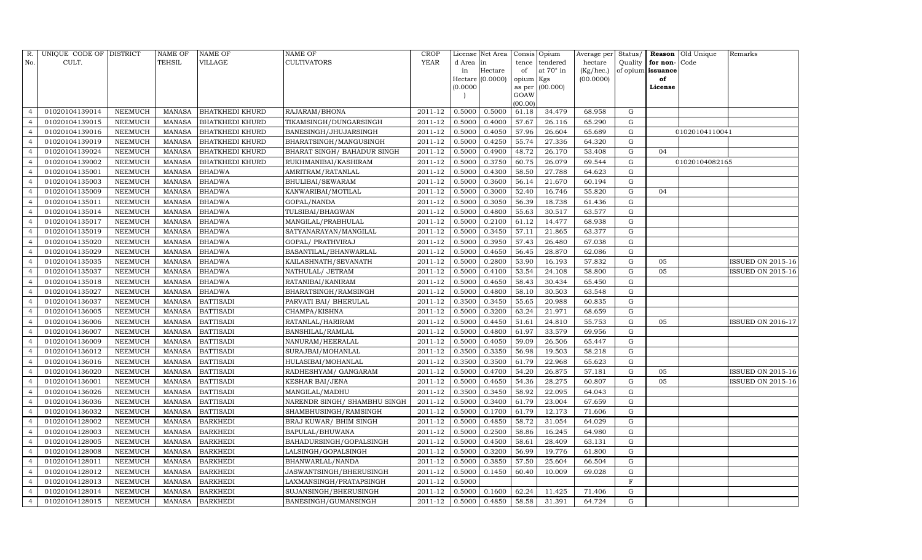| R.             | UNIQUE CODE OF DISTRICT |                | <b>NAME OF</b> | <b>NAME OF</b>         | <b>NAME OF</b>               | CROP        |           | License Net Area |                     | Consis Opium     | Average per | Status/     | Reason            | Old Unique     | Remarks                  |
|----------------|-------------------------|----------------|----------------|------------------------|------------------------------|-------------|-----------|------------------|---------------------|------------------|-------------|-------------|-------------------|----------------|--------------------------|
| No.            | CULT.                   |                | <b>TEHSIL</b>  | VILLAGE                | <b>CULTIVATORS</b>           | YEAR        | d Area in |                  | tence               | tendered         | hectare     | Quality     | for non-          | Code           |                          |
|                |                         |                |                |                        |                              |             | in        | Hectare          | of                  | at $70^\circ$ in | (Kg/hec.)   |             | of opium issuance |                |                          |
|                |                         |                |                |                        |                              |             | (0.0000)  | Hectare (0.0000) | opium Kgs<br>as per | (00.000)         | (00.0000)   |             | of<br>License     |                |                          |
|                |                         |                |                |                        |                              |             |           |                  | GOAW                |                  |             |             |                   |                |                          |
|                |                         |                |                |                        |                              |             |           |                  | (00.00)             |                  |             |             |                   |                |                          |
| $\overline{4}$ | 01020104139014          | NEEMUCH        | <b>MANASA</b>  | <b>BHATKHEDI KHURD</b> | RAJARAM/BHONA                | 2011-12     | 0.5000    | 0.5000           | 61.18               | 34.479           | 68.958      | G           |                   |                |                          |
|                | 01020104139015          | NEEMUCH        | <b>MANASA</b>  | <b>BHATKHEDI KHURD</b> | TIKAMSINGH/DUNGARSINGH       | 2011-12     | 0.5000    | 0.4000           | 57.67               | 26.116           | 65.290      | G           |                   |                |                          |
| $\overline{4}$ | 01020104139016          | <b>NEEMUCH</b> | <b>MANASA</b>  | <b>BHATKHEDI KHURD</b> | BANESINGH/JHUJARSINGH        | 2011-12     | 0.5000    | 0.4050           | 57.96               | 26.604           | 65.689      | G           |                   | 01020104110041 |                          |
| $\overline{4}$ | 01020104139019          | <b>NEEMUCH</b> | MANASA         | <b>BHATKHEDI KHURD</b> | BHARATSINGH/MANGUSINGH       | 2011-12     | 0.5000    | 0.4250           | 55.74               | 27.336           | 64.320      | $\mathbf G$ |                   |                |                          |
| $\overline{4}$ | 01020104139024          | <b>NEEMUCH</b> | <b>MANASA</b>  | <b>BHATKHEDI KHURD</b> | BHARAT SINGH / BAHADUR SINGH | 2011-12     | 0.5000    | 0.4900           | 48.72               | 26.170           | 53.408      | G           | 04                |                |                          |
|                | 01020104139002          | <b>NEEMUCH</b> | <b>MANASA</b>  | <b>BHATKHEDI KHURD</b> | RUKHMANIBAI/KASHIRAM         | 2011-12     | 0.5000    | 0.3750           | 60.75               | 26.079           | 69.544      | ${\rm G}$   |                   | 01020104082165 |                          |
| $\overline{4}$ | 01020104135001          | NEEMUCH        | MANASA         | <b>BHADWA</b>          | AMRITRAM/RATANLAL            | $2011 - 12$ | 0.5000    | 0.4300           | 58.50               | 27.788           | 64.623      | G           |                   |                |                          |
| $\overline{4}$ | 01020104135003          | <b>NEEMUCH</b> | <b>MANASA</b>  | <b>BHADWA</b>          | BHULIBAI/SEWARAM             | 2011-12     | 0.5000    | 0.3600           | 56.14               | 21.670           | 60.194      | ${\rm G}$   |                   |                |                          |
| $\Delta$       | 01020104135009          | <b>NEEMUCH</b> | <b>MANASA</b>  | <b>BHADWA</b>          | KANWARIBAI/MOTILAL           | 2011-12     | 0.5000    | 0.3000           | 52.40               | 16.746           | 55.820      | $\mathbf G$ | 04                |                |                          |
|                | 01020104135011          | NEEMUCH        | MANASA         | <b>BHADWA</b>          | GOPAL/NANDA                  | 2011-12     | 0.5000    | 0.3050           | 56.39               | 18.738           | 61.436      | ${\rm G}$   |                   |                |                          |
| $\overline{4}$ | 01020104135014          | <b>NEEMUCH</b> | MANASA         | <b>BHADWA</b>          | TULSIBAI/BHAGWAN             | 2011-12     | 0.5000    | 0.4800           | 55.63               | 30.517           | 63.577      | ${\rm G}$   |                   |                |                          |
| $\overline{4}$ | 01020104135017          | <b>NEEMUCH</b> | MANASA         | <b>BHADWA</b>          | MANGILAL/PRABHULAL           | 2011-12     | 0.5000    | 0.2100           | 61.12               | 14.477           | 68.938      | G           |                   |                |                          |
| $\overline{4}$ | 01020104135019          | <b>NEEMUCH</b> | <b>MANASA</b>  | <b>BHADWA</b>          | SATYANARAYAN/MANGILAL        | 2011-12     | 0.5000    | 0.3450           | 57.11               | 21.865           | 63.377      | ${\rm G}$   |                   |                |                          |
| $\overline{4}$ | 01020104135020          | <b>NEEMUCH</b> | <b>MANASA</b>  | <b>BHADWA</b>          | GOPAL/ PRATHVIRAJ            | 2011-12     | 0.5000    | 0.3950           | 57.43               | 26.480           | 67.038      | G           |                   |                |                          |
| $\overline{4}$ | 01020104135029          | NEEMUCH        | MANASA         | <b>BHADWA</b>          | BASANTILAL/BHANWARLAL        | 2011-12     | 0.5000    | 0.4650           | 56.45               | 28.870           | 62.086      | G           |                   |                |                          |
| $\overline{4}$ | 01020104135035          | <b>NEEMUCH</b> | <b>MANASA</b>  | <b>BHADWA</b>          | KAILASHNATH/SEVANATH         | 2011-12     | 0.5000    | 0.2800           | 53.90               | 16.193           | 57.832      | $\mathbf G$ | 05                |                | ISSUED ON 2015-16        |
|                | 01020104135037          | <b>NEEMUCH</b> | <b>MANASA</b>  | <b>BHADWA</b>          | NATHULAL/ JETRAM             | 2011-12     | 0.5000    | 0.4100           | 53.54               | 24.108           | 58.800      | $\mathbf G$ | 05                |                | <b>ISSUED ON 2015-16</b> |
| $\overline{4}$ | 01020104135018          | <b>NEEMUCH</b> | MANASA         | <b>BHADWA</b>          | RATANIBAI/KANIRAM            | 2011-12     | 0.5000    | 0.4650           | 58.43               | 30.434           | 65.450      | G           |                   |                |                          |
| $\overline{4}$ | 01020104135027          | NEEMUCH        | <b>MANASA</b>  | <b>BHADWA</b>          | BHARATSINGH/RAMSINGH         | 2011-12     | 0.5000    | 0.4800           | 58.10               | 30.503           | 63.548      | G           |                   |                |                          |
| $\overline{4}$ | 01020104136037          | <b>NEEMUCH</b> | MANASA         | <b>BATTISADI</b>       | PARVATI BAI/ BHERULAL        | 2011-12     | 0.3500    | 0.3450           | 55.65               | 20.988           | 60.835      | G           |                   |                |                          |
|                | 01020104136005          | NEEMUCH        | MANASA         | <b>BATTISADI</b>       | CHAMPA/KISHNA                | 2011-12     | 0.5000    | 0.3200           | 63.24               | 21.971           | 68.659      | G           |                   |                |                          |
| $\overline{4}$ | 01020104136006          | <b>NEEMUCH</b> | <b>MANASA</b>  | <b>BATTISADI</b>       | RATANLAL/HARIRAM             | 2011-12     | 0.5000    | 0.4450           | 51.61               | 24.810           | 55.753      | ${\rm G}$   | 05                |                | <b>ISSUED ON 2016-17</b> |
| $\overline{4}$ | 01020104136007          | NEEMUCH        | MANASA         | <b>BATTISADI</b>       | <b>BANSHILAL/RAMLAL</b>      | $2011 - 12$ | 0.5000    | 0.4800           | 61.97               | 33.579           | 69.956      | $\mathbf G$ |                   |                |                          |
| $\overline{4}$ | 01020104136009          | <b>NEEMUCH</b> | MANASA         | <b>BATTISADI</b>       | NANURAM/HEERALAL             | 2011-12     | 0.5000    | 0.4050           | 59.09               | 26.506           | 65.447      | ${\rm G}$   |                   |                |                          |
|                | 01020104136012          | NEEMUCH        | <b>MANASA</b>  | <b>BATTISADI</b>       | SURAJBAI/MOHANLAL            | 2011-12     | 0.3500    | 0.3350           | 56.98               | 19.503           | 58.218      | G           |                   |                |                          |
| $\overline{4}$ | 01020104136016          | <b>NEEMUCH</b> | <b>MANASA</b>  | <b>BATTISADI</b>       | HULASIBAI/MOHANLAL           | 2011-12     | 0.3500    | 0.3500           | 61.79               | 22.968           | 65.623      | G           |                   |                |                          |
| $\overline{4}$ | 01020104136020          | <b>NEEMUCH</b> | MANASA         | <b>BATTISADI</b>       | RADHESHYAM / GANGARAM        | 2011-12     | 0.5000    | 0.4700           | 54.20               | 26.875           | 57.181      | ${\rm G}$   | 05                |                | ISSUED ON 2015-16        |
| $\Delta$       | 01020104136001          | <b>NEEMUCH</b> | <b>MANASA</b>  | <b>BATTISADI</b>       | <b>KESHAR BAI/JENA</b>       | 2011-12     | 0.5000    | 0.4650           | 54.36               | 28.275           | 60.807      | $\mathbf G$ | 05                |                | <b>ISSUED ON 2015-16</b> |
| $\overline{4}$ | 01020104136026          | NEEMUCH        | MANASA         | <b>BATTISADI</b>       | MANGILAL/MADHU               | 2011-12     | 0.3500    | 0.3450           | 58.92               | 22.095           | 64.043      | G           |                   |                |                          |
| $\overline{4}$ | 01020104136036          | <b>NEEMUCH</b> | MANASA         | <b>BATTISADI</b>       | NARENDR SINGH/ SHAMBHU SINGH | 2011-12     | 0.5000    | 0.3400           | 61.79               | 23.004           | 67.659      | ${\rm G}$   |                   |                |                          |
| $\overline{4}$ | 01020104136032          | <b>NEEMUCH</b> | MANASA         | <b>BATTISADI</b>       | SHAMBHUSINGH/RAMSINGH        | 2011-12     | 0.5000    | 0.1700           | 61.79               | 12.173           | 71.606      | $\mathbf G$ |                   |                |                          |
| $\overline{4}$ | 01020104128002          | <b>NEEMUCH</b> | <b>MANASA</b>  | <b>BARKHEDI</b>        | BRAJ KUWAR/ BHIM SINGH       | 2011-12     | 0.5000    | 0.4850           | 58.72               | 31.054           | 64.029      | $\mathbf G$ |                   |                |                          |
|                | 01020104128003          | <b>NEEMUCH</b> | MANASA         | <b>BARKHEDI</b>        | <b>BAPULAL/BHUWANA</b>       | 2011-12     | 0.5000    | 0.2500           | 58.86               | 16.245           | 64.980      | ${\rm G}$   |                   |                |                          |
| $\overline{4}$ | 01020104128005          | <b>NEEMUCH</b> | MANASA         | <b>BARKHEDI</b>        | BAHADURSINGH/GOPALSINGH      | 2011-12     | 0.5000    | 0.4500           | 58.61               | 28.409           | 63.131      | G           |                   |                |                          |
| $\overline{4}$ | 01020104128008          | <b>NEEMUCH</b> | MANASA         | <b>BARKHEDI</b>        | LALSINGH/GOPALSINGH          | 2011-12     | 0.5000    | 0.3200           | 56.99               | 19.776           | 61.800      | ${\rm G}$   |                   |                |                          |
|                | 01020104128011          | <b>NEEMUCH</b> | <b>MANASA</b>  | <b>BARKHEDI</b>        | BHANWARLAL/NANDA             | 2011-12     | 0.5000    | 0.3850           | 57.50               | 25.604           | 66.504      | $\mathbf G$ |                   |                |                          |
| $\overline{4}$ | 01020104128012          | <b>NEEMUCH</b> | MANASA         | <b>BARKHEDI</b>        | JASWANTSINGH/BHERUSINGH      | 2011-12     | 0.5000    | 0.1450           | 60.40               | 10.009           | 69.028      | G           |                   |                |                          |
| $\overline{4}$ | 01020104128013          | NEEMUCH        | MANASA         | <b>BARKHEDI</b>        | LAXMANSINGH/PRATAPSINGH      | 2011-12     | 0.5000    |                  |                     |                  |             | F           |                   |                |                          |
| $\overline{4}$ | 01020104128014          | <b>NEEMUCH</b> | MANASA         | <b>BARKHEDI</b>        | SUJANSINGH/BHERUSINGH        | 2011-12     | 0.5000    | 0.1600           | 62.24               | 11.425           | 71.406      | G           |                   |                |                          |
| $\overline{4}$ | 01020104128015          | <b>NEEMUCH</b> |                | MANASA BARKHEDI        | BANESINGH/GUMANSINGH         | 2011-12     | 0.5000    | 0.4850           | 58.58               | 31.391           | 64.724      | G           |                   |                |                          |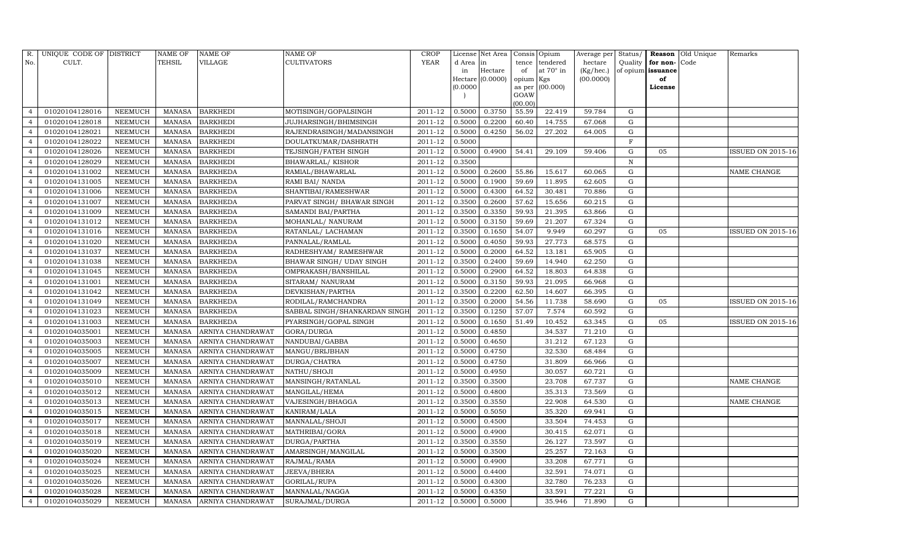| R.             | UNIQUE CODE OF DISTRICT |                | <b>NAME OF</b> | <b>NAME OF</b>           | <b>NAME OF</b>                | CROP           |           | License Net Area |                     | Consis Opium     | Average per | Status/     |                   | Reason Old Unique | Remarks                  |
|----------------|-------------------------|----------------|----------------|--------------------------|-------------------------------|----------------|-----------|------------------|---------------------|------------------|-------------|-------------|-------------------|-------------------|--------------------------|
| No.            | CULT.                   |                | <b>TEHSIL</b>  | VILLAGE                  | <b>CULTIVATORS</b>            | YEAR           | d Area in |                  | tence               | tendered         | hectare     | Quality     | for non-          | Code              |                          |
|                |                         |                |                |                          |                               |                | in        | Hectare          | of                  | at $70^\circ$ in | (Kg/hec.)   |             | of opium issuance |                   |                          |
|                |                         |                |                |                          |                               |                | (0.0000)  | Hectare (0.0000) | opium Kgs<br>as per | (00.000)         | (00.0000)   |             | of<br>License     |                   |                          |
|                |                         |                |                |                          |                               |                |           |                  | GOAW                |                  |             |             |                   |                   |                          |
|                |                         |                |                |                          |                               |                |           |                  | (00.00)             |                  |             |             |                   |                   |                          |
| $\overline{4}$ | 01020104128016          | NEEMUCH        | MANASA         | <b>BARKHEDI</b>          | MOTISINGH/GOPALSINGH          | 2011-12        | 0.5000    | 0.3750           | 55.59               | 22.419           | 59.784      | G           |                   |                   |                          |
|                | 01020104128018          | NEEMUCH        | MANASA         | <b>BARKHEDI</b>          | JUJHARSINGH/BHIMSINGH         | 2011-12        | 0.5000    | 0.2200           | 60.40               | 14.755           | 67.068      | $\mathbf G$ |                   |                   |                          |
| $\overline{4}$ | 01020104128021          | NEEMUCH        | MANASA         | <b>BARKHEDI</b>          | RAJENDRASINGH/MADANSINGH      | 2011-12        | 0.5000    | 0.4250           | 56.02               | 27.202           | 64.005      | G           |                   |                   |                          |
| $\overline{4}$ | 01020104128022          | <b>NEEMUCH</b> | MANASA         | <b>BARKHEDI</b>          | DOULATKUMAR/DASHRATH          | 2011-12        | 0.5000    |                  |                     |                  |             | $\mathbf F$ |                   |                   |                          |
| $\overline{4}$ | 01020104128026          | NEEMUCH        | MANASA         | <b>BARKHEDI</b>          | TEJSINGH/FATEH SINGH          | 2011-12        | 0.5000    | 0.4900           | 54.41               | 29.109           | 59.406      | G           | 05                |                   | <b>ISSUED ON 2015-16</b> |
| $\overline{4}$ | 01020104128029          | <b>NEEMUCH</b> | <b>MANASA</b>  | <b>BARKHEDI</b>          | <b>BHAWARLAL/ KISHOR</b>      | 2011-12        | 0.3500    |                  |                     |                  |             | N           |                   |                   |                          |
| $\overline{4}$ | 01020104131002          | <b>NEEMUCH</b> | MANASA         | <b>BARKHEDA</b>          | RAMIAL/BHAWARLAL              | 2011-12        | 0.5000    | 0.2600           | 55.86               | 15.617           | 60.065      | G           |                   |                   | NAME CHANGE              |
| $\overline{4}$ | 01020104131005          | <b>NEEMUCH</b> | MANASA         | <b>BARKHEDA</b>          | RAMI BAI/ NANDA               | 2011-12        | 0.5000    | 0.1900           | 59.69               | 11.895           | 62.605      | G           |                   |                   |                          |
|                | 01020104131006          | <b>NEEMUCH</b> | <b>MANASA</b>  | <b>BARKHEDA</b>          | SHANTIBAI/RAMESHWAR           | 2011-12        | 0.5000    | 0.4300           | 64.52               | 30.481           | 70.886      | G           |                   |                   |                          |
| $\overline{4}$ | 01020104131007          | <b>NEEMUCH</b> | <b>MANASA</b>  | <b>BARKHEDA</b>          | PARVAT SINGH/ BHAWAR SINGH    | 2011-12        | 0.3500    | 0.2600           | 57.62               | 15.656           | 60.215      | G           |                   |                   |                          |
| $\overline{4}$ | 01020104131009          | <b>NEEMUCH</b> | <b>MANASA</b>  | <b>BARKHEDA</b>          | SAMANDI BAI/PARTHA            | 2011-12        | 0.3500    | 0.3350           | 59.93               | 21.395           | 63.866      | ${\rm G}$   |                   |                   |                          |
| $\overline{4}$ | 01020104131012          | <b>NEEMUCH</b> | <b>MANASA</b>  | <b>BARKHEDA</b>          | MOHANLAL/ NANURAM             | 2011-12        | 0.5000    | 0.3150           | 59.69               | 21.207           | 67.324      | $\mathbf G$ |                   |                   |                          |
| $\overline{4}$ | 01020104131016          | NEEMUCH        | <b>MANASA</b>  | <b>BARKHEDA</b>          | RATANLAL/ LACHAMAN            | 2011-12        | 0.3500    | 0.1650           | 54.07               | 9.949            | 60.297      | G           | 05                |                   | ISSUED ON 2015-16        |
| $\overline{4}$ | 01020104131020          | NEEMUCH        | <b>MANASA</b>  | <b>BARKHEDA</b>          | PANNALAL/RAMLAL               | 2011-12        | 0.5000    | 0.4050           | 59.93               | 27.773           | 68.575      | G           |                   |                   |                          |
| $\overline{4}$ | 01020104131037          | NEEMUCH        | MANASA         | <b>BARKHEDA</b>          | RADHESHYAM / RAMESHWAR        | 2011-12        | 0.5000    | 0.2000           | 64.52               | 13.181           | 65.905      | $\mathbf G$ |                   |                   |                          |
| $\overline{4}$ | 01020104131038          | NEEMUCH        | <b>MANASA</b>  | <b>BARKHEDA</b>          | BHAWAR SINGH / UDAY SINGH     | 2011-12        | 0.3500    | 0.2400           | 59.69               | 14.940           | 62.250      | G           |                   |                   |                          |
| $\overline{4}$ | 01020104131045          | <b>NEEMUCH</b> | <b>MANASA</b>  | <b>BARKHEDA</b>          | OMPRAKASH/BANSHILAL           | 2011-12        | 0.5000    | 0.2900           | 64.52               | 18.803           | 64.838      | G           |                   |                   |                          |
| $\overline{4}$ | 01020104131001          | NEEMUCH        | MANASA         | <b>BARKHEDA</b>          | SITARAM/ NANURAM              | 2011-12        | 0.5000    | 0.3150           | 59.93               | 21.095           | 66.968      | G           |                   |                   |                          |
| $\overline{4}$ | 01020104131042          | <b>NEEMUCH</b> | MANASA         | <b>BARKHEDA</b>          | DEVKISHAN/PARTHA              | 2011-12        | 0.3500    | 0.2200           | 62.50               | 14.607           | 66.395      | ${\rm G}$   |                   |                   |                          |
| $\Delta$       | 01020104131049          | <b>NEEMUCH</b> | MANASA         | <b>BARKHEDA</b>          | RODILAL/RAMCHANDRA            | 2011-12        | 0.3500    | 0.2000           | 54.56               | 11.738           | 58.690      | ${\rm G}$   | 05                |                   | ISSUED ON 2015-16        |
| $\overline{4}$ | 01020104131023          | NEEMUCH        | <b>MANASA</b>  | <b>BARKHEDA</b>          | SABBAL SINGH/SHANKARDAN SINGH | 2011-12        | 0.3500    | 0.1250           | 57.07               | 7.574            | 60.592      | G           |                   |                   |                          |
| $\overline{4}$ | 01020104131003          | NEEMUCH        | MANASA         | <b>BARKHEDA</b>          | PYARSINGH/GOPAL SINGH         | 2011-12        | 0.5000    | 0.1650           | 51.49               | 10.452           | 63.345      | ${\rm G}$   | 05                |                   | ISSUED ON 2015-16        |
| $\overline{4}$ | 01020104035001          | NEEMUCH        | <b>MANASA</b>  | ARNIYA CHANDRAWAT        | GORA/DURGA                    | 2011-12        | 0.5000    | 0.4850           |                     | 34.537           | 71.210      | ${\rm G}$   |                   |                   |                          |
|                | 01020104035003          | NEEMUCH        | MANASA         | ARNIYA CHANDRAWAT        | NANDUBAI/GABBA                | 2011-12        | 0.5000    | 0.4650           |                     | 31.212           | 67.123      | G           |                   |                   |                          |
| $\overline{4}$ | 01020104035005          | NEEMUCH        | <b>MANASA</b>  | ARNIYA CHANDRAWAT        | MANGU/BRIJBHAN                | 2011-12        | 0.5000    | 0.4750           |                     | 32.530           | 68.484      | G           |                   |                   |                          |
| $\overline{4}$ | 01020104035007          | <b>NEEMUCH</b> | MANASA         | ARNIYA CHANDRAWAT        | DURGA/CHATRA                  | 2011-12        | 0.5000    | 0.4750           |                     | 31.809           | 66.966      | $\mathbf G$ |                   |                   |                          |
| $\overline{4}$ | 01020104035009          | NEEMUCH        | <b>MANASA</b>  | ARNIYA CHANDRAWAT        | NATHU/SHOJI                   | 2011-12        | 0.5000    | 0.4950           |                     | 30.057           | 60.721      | ${\rm G}$   |                   |                   |                          |
| $\overline{4}$ | 01020104035010          | <b>NEEMUCH</b> | <b>MANASA</b>  | ARNIYA CHANDRAWAT        | MANSINGH/RATANLAL             | 2011-12        | 0.3500    | 0.3500           |                     | 23.708           | 67.737      | $\mathbf G$ |                   |                   | NAME CHANGE              |
| $\overline{4}$ | 01020104035012          | NEEMUCH        | MANASA         | ARNIYA CHANDRAWAT        | MANGILAL/HEMA                 | 2011-12        | 0.5000    | 0.4800           |                     | 35.313           | 73.569      | ${\rm G}$   |                   |                   |                          |
| $\overline{4}$ | 01020104035013          | <b>NEEMUCH</b> | MANASA         | ARNIYA CHANDRAWAT        | VAJESINGH/BHAGGA              | 2011-12        | 0.3500    | 0.3550           |                     | 22.908           | 64.530      | $\mathbf G$ |                   |                   | NAME CHANGE              |
|                | 01020104035015          | <b>NEEMUCH</b> | <b>MANASA</b>  | ARNIYA CHANDRAWAT        | KANIRAM/LALA                  | 2011-12        | 0.5000    | 0.5050           |                     | 35.320           | 69.941      | $\mathbf G$ |                   |                   |                          |
| $\overline{4}$ | 01020104035017          | <b>NEEMUCH</b> | <b>MANASA</b>  | ARNIYA CHANDRAWAT        | MANNALAL/SHOJI                | 2011-12        | 0.5000    | 0.4500           |                     | 33.504           | 74.453      | G           |                   |                   |                          |
| $\overline{4}$ | 01020104035018          | <b>NEEMUCH</b> | <b>MANASA</b>  | ARNIYA CHANDRAWAT        | MATHRIBAI/GORA                | 2011-12        | 0.5000    | 0.4900           |                     | 30.415           | 62.071      | ${\rm G}$   |                   |                   |                          |
| $\overline{4}$ | 01020104035019          | <b>NEEMUCH</b> | <b>MANASA</b>  | ARNIYA CHANDRAWAT        | DURGA/PARTHA                  | 2011-12        | 0.3500    | 0.3550           |                     | 26.127           | 73.597      | $\mathbf G$ |                   |                   |                          |
| $\overline{4}$ | 01020104035020          | <b>NEEMUCH</b> | MANASA         | ARNIYA CHANDRAWAT        | AMARSINGH/MANGILAL            | 2011-12        | 0.5000    | 0.3500           |                     | 25.257           | 72.163      | G           |                   |                   |                          |
| $\overline{4}$ | 01020104035024          | <b>NEEMUCH</b> | <b>MANASA</b>  | ARNIYA CHANDRAWAT        | RAJMAL/RAMA                   | 2011-12        | 0.5000    | 0.4900           |                     | 33.208           | 67.771      | ${\rm G}$   |                   |                   |                          |
| $\overline{4}$ | 01020104035025          | NEEMUCH        | MANASA         | ARNIYA CHANDRAWAT        | JEEVA/BHERA                   | 2011-12        | 0.5000    | 0.4400           |                     | 32.591           | 74.071      | $\mathbf G$ |                   |                   |                          |
| $\overline{4}$ | 01020104035026          | NEEMUCH        | <b>MANASA</b>  | ARNIYA CHANDRAWAT        | GORILAL/RUPA                  | 2011-12        | 0.5000    | 0.4300           |                     | 32.780           | 76.233      | $\mathbf G$ |                   |                   |                          |
| $\overline{4}$ | 01020104035028          | <b>NEEMUCH</b> | MANASA         | ARNIYA CHANDRAWAT        | MANNALAL/NAGGA                | 2011-12        | 0.5000    | 0.4350           |                     | 33.591           | 77.221      | ${\rm G}$   |                   |                   |                          |
| $\overline{4}$ | 01020104035029          | NEEMUCH        | MANASA         | <b>ARNIYA CHANDRAWAT</b> | SURAJMAL/DURGA                | 2011-12 0.5000 |           | 0.5000           |                     | 35.946           | 71.890      | G           |                   |                   |                          |